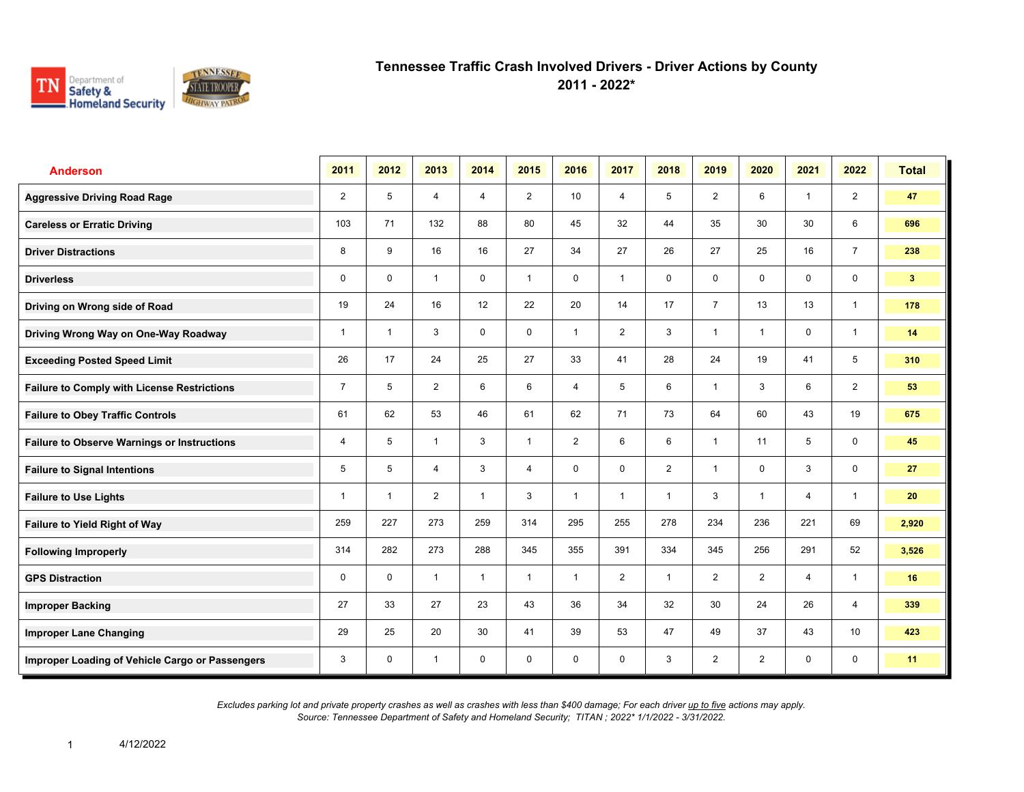

| <b>Anderson</b>                                    | 2011           | 2012         | 2013           | 2014           | 2015           | 2016           | 2017           | 2018           | 2019           | 2020           | 2021           | 2022           | <b>Total</b>   |
|----------------------------------------------------|----------------|--------------|----------------|----------------|----------------|----------------|----------------|----------------|----------------|----------------|----------------|----------------|----------------|
| <b>Aggressive Driving Road Rage</b>                | 2              | 5            | $\overline{4}$ | $\overline{4}$ | $\overline{2}$ | 10             | $\overline{4}$ | 5              | $\overline{2}$ | 6              | $\mathbf{1}$   | $\overline{2}$ | 47             |
| <b>Careless or Erratic Driving</b>                 | 103            | 71           | 132            | 88             | 80             | 45             | 32             | 44             | 35             | 30             | 30             | 6              | 696            |
| <b>Driver Distractions</b>                         | 8              | 9            | 16             | 16             | 27             | 34             | 27             | 26             | 27             | 25             | 16             | $\overline{7}$ | 238            |
| <b>Driverless</b>                                  | 0              | $\mathbf 0$  | $\mathbf{1}$   | $\mathbf 0$    | $\mathbf{1}$   | 0              | $\mathbf{1}$   | $\mathbf 0$    | 0              | $\mathbf 0$    | $\mathbf 0$    | $\mathbf 0$    | 3 <sup>1</sup> |
| Driving on Wrong side of Road                      | 19             | 24           | 16             | 12             | 22             | 20             | 14             | 17             | $\overline{7}$ | 13             | 13             | $\mathbf{1}$   | 178            |
| Driving Wrong Way on One-Way Roadway               | $\mathbf{1}$   | $\mathbf{1}$ | 3              | $\mathbf 0$    | 0              | $\mathbf{1}$   | $\overline{2}$ | 3              | $\overline{1}$ | $\overline{1}$ | $\mathbf 0$    | $\mathbf{1}$   | 14             |
| <b>Exceeding Posted Speed Limit</b>                | 26             | 17           | 24             | 25             | 27             | 33             | 41             | 28             | 24             | 19             | 41             | 5              | 310            |
| <b>Failure to Comply with License Restrictions</b> | $\overline{7}$ | 5            | 2              | 6              | 6              | 4              | 5              | 6              | $\mathbf 1$    | 3              | 6              | 2              | 53             |
| <b>Failure to Obey Traffic Controls</b>            | 61             | 62           | 53             | 46             | 61             | 62             | 71             | 73             | 64             | 60             | 43             | 19             | 675            |
| <b>Failure to Observe Warnings or Instructions</b> | 4              | 5            | $\mathbf{1}$   | 3              | $\mathbf{1}$   | $\overline{2}$ | 6              | 6              | 1              | 11             | 5              | $\mathbf 0$    | 45             |
| <b>Failure to Signal Intentions</b>                | 5              | 5            | 4              | 3              | $\overline{4}$ | $\mathbf 0$    | $\mathbf 0$    | $\overline{2}$ | $\overline{1}$ | $\Omega$       | 3              | $\mathbf 0$    | 27             |
| <b>Failure to Use Lights</b>                       | $\mathbf{1}$   | $\mathbf{1}$ | 2              | $\mathbf{1}$   | 3              | $\mathbf{1}$   | $\mathbf{1}$   | $\mathbf{1}$   | 3              | $\overline{1}$ | $\overline{4}$ | $\mathbf{1}$   | 20             |
| Failure to Yield Right of Way                      | 259            | 227          | 273            | 259            | 314            | 295            | 255            | 278            | 234            | 236            | 221            | 69             | 2,920          |
| <b>Following Improperly</b>                        | 314            | 282          | 273            | 288            | 345            | 355            | 391            | 334            | 345            | 256            | 291            | 52             | 3,526          |
| <b>GPS Distraction</b>                             | $\mathbf 0$    | $\mathbf 0$  | $\mathbf{1}$   | $\mathbf{1}$   | $\mathbf{1}$   | $\mathbf{1}$   | $\overline{2}$ | $\mathbf{1}$   | $\overline{2}$ | 2              | $\overline{4}$ | $\mathbf{1}$   | 16             |
| <b>Improper Backing</b>                            | 27             | 33           | 27             | 23             | 43             | 36             | 34             | 32             | 30             | 24             | 26             | $\overline{4}$ | 339            |
| <b>Improper Lane Changing</b>                      | 29             | 25           | 20             | 30             | 41             | 39             | 53             | 47             | 49             | 37             | 43             | 10             | 423            |
| Improper Loading of Vehicle Cargo or Passengers    | 3              | $\mathbf 0$  | $\mathbf{1}$   | $\mathbf 0$    | $\mathbf 0$    | $\mathbf 0$    | 0              | 3              | $\overline{2}$ | $\overline{2}$ | 0              | $\mathbf 0$    | 11             |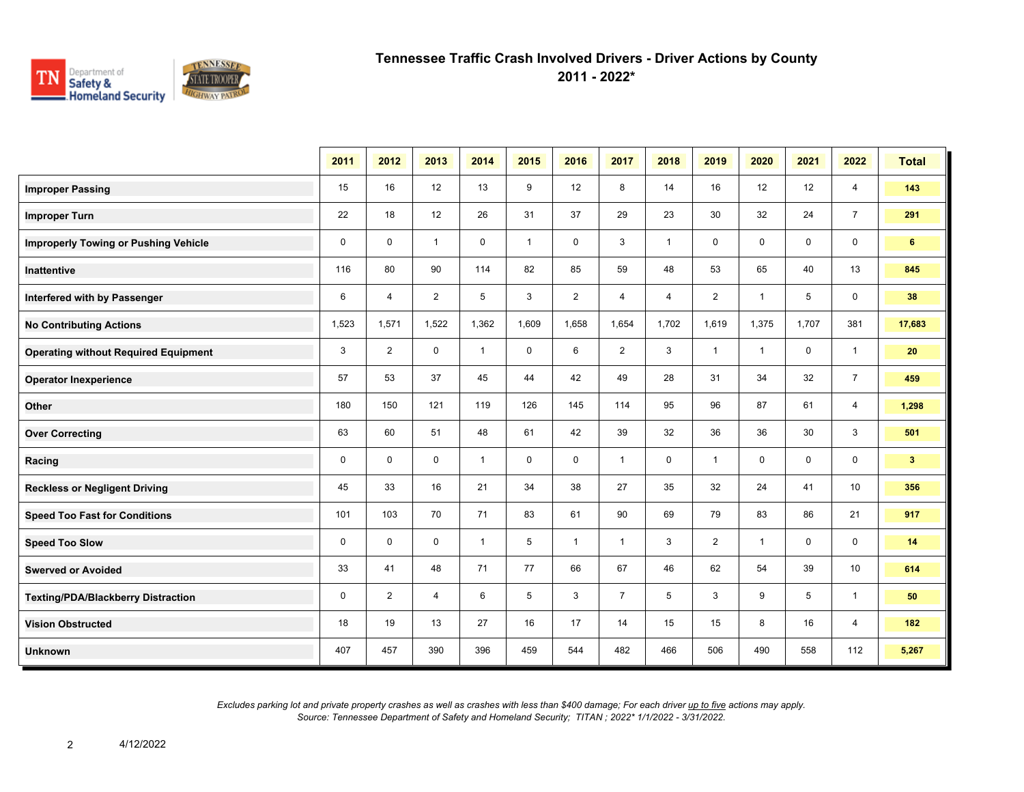

**2011 - 2022\***

|                                             | 2011        | 2012           | 2013           | 2014         | 2015         | 2016           | 2017           | 2018           | 2019           | 2020           | 2021        | 2022           | <b>Total</b>   |
|---------------------------------------------|-------------|----------------|----------------|--------------|--------------|----------------|----------------|----------------|----------------|----------------|-------------|----------------|----------------|
| <b>Improper Passing</b>                     | 15          | 16             | 12             | 13           | 9            | 12             | 8              | 14             | 16             | 12             | 12          | $\overline{4}$ | 143            |
| <b>Improper Turn</b>                        | 22          | 18             | 12             | 26           | 31           | 37             | 29             | 23             | 30             | 32             | 24          | $\overline{7}$ | 291            |
| <b>Improperly Towing or Pushing Vehicle</b> | $\mathbf 0$ | $\mathbf 0$    | $\mathbf{1}$   | $\mathbf 0$  | $\mathbf{1}$ | $\mathbf 0$    | 3              | $\mathbf{1}$   | 0              | 0              | 0           | 0              | 6              |
| <b>Inattentive</b>                          | 116         | 80             | 90             | 114          | 82           | 85             | 59             | 48             | 53             | 65             | 40          | 13             | 845            |
| Interfered with by Passenger                | 6           | $\overline{4}$ | $\overline{2}$ | 5            | 3            | $\overline{2}$ | 4              | $\overline{4}$ | $\overline{2}$ | $\overline{1}$ | 5           | $\mathbf 0$    | 38             |
| <b>No Contributing Actions</b>              | 1,523       | 1,571          | 1,522          | 1,362        | 1,609        | 1,658          | 1,654          | 1,702          | 1,619          | 1,375          | 1,707       | 381            | 17,683         |
| <b>Operating without Required Equipment</b> | 3           | $\overline{2}$ | $\mathbf 0$    | $\mathbf{1}$ | $\mathbf 0$  | 6              | 2              | 3              | $\mathbf{1}$   | $\mathbf{1}$   | $\mathbf 0$ | $\mathbf{1}$   | 20             |
| <b>Operator Inexperience</b>                | 57          | 53             | 37             | 45           | 44           | 42             | 49             | 28             | 31             | 34             | 32          | $\overline{7}$ | 459            |
| Other                                       | 180         | 150            | 121            | 119          | 126          | 145            | 114            | 95             | 96             | 87             | 61          | $\overline{4}$ | 1,298          |
| <b>Over Correcting</b>                      | 63          | 60             | 51             | 48           | 61           | 42             | 39             | 32             | 36             | 36             | 30          | 3              | 501            |
| Racing                                      | $\mathbf 0$ | $\mathbf 0$    | $\mathbf 0$    | $\mathbf{1}$ | $\mathbf 0$  | $\mathbf 0$    | $\mathbf{1}$   | $\mathbf 0$    | $\mathbf{1}$   | $\mathbf 0$    | $\mathbf 0$ | $\mathbf 0$    | 3 <sup>2</sup> |
| <b>Reckless or Negligent Driving</b>        | 45          | 33             | 16             | 21           | 34           | 38             | 27             | 35             | 32             | 24             | 41          | 10             | 356            |
| <b>Speed Too Fast for Conditions</b>        | 101         | 103            | 70             | 71           | 83           | 61             | 90             | 69             | 79             | 83             | 86          | 21             | 917            |
| <b>Speed Too Slow</b>                       | $\mathbf 0$ | $\mathbf 0$    | $\mathbf 0$    | $\mathbf{1}$ | 5            | $\mathbf{1}$   | $\mathbf{1}$   | 3              | $\overline{2}$ | $\mathbf 1$    | $\mathbf 0$ | 0              | 14             |
| <b>Swerved or Avoided</b>                   | 33          | 41             | 48             | 71           | 77           | 66             | 67             | 46             | 62             | 54             | 39          | 10             | 614            |
| <b>Texting/PDA/Blackberry Distraction</b>   | 0           | $\overline{2}$ | $\overline{4}$ | 6            | 5            | 3              | $\overline{7}$ | 5              | 3              | 9              | 5           | $\mathbf{1}$   | 50             |
| <b>Vision Obstructed</b>                    | 18          | 19             | 13             | 27           | 16           | 17             | 14             | 15             | 15             | 8              | 16          | 4              | 182            |
| <b>Unknown</b>                              | 407         | 457            | 390            | 396          | 459          | 544            | 482            | 466            | 506            | 490            | 558         | 112            | 5,267          |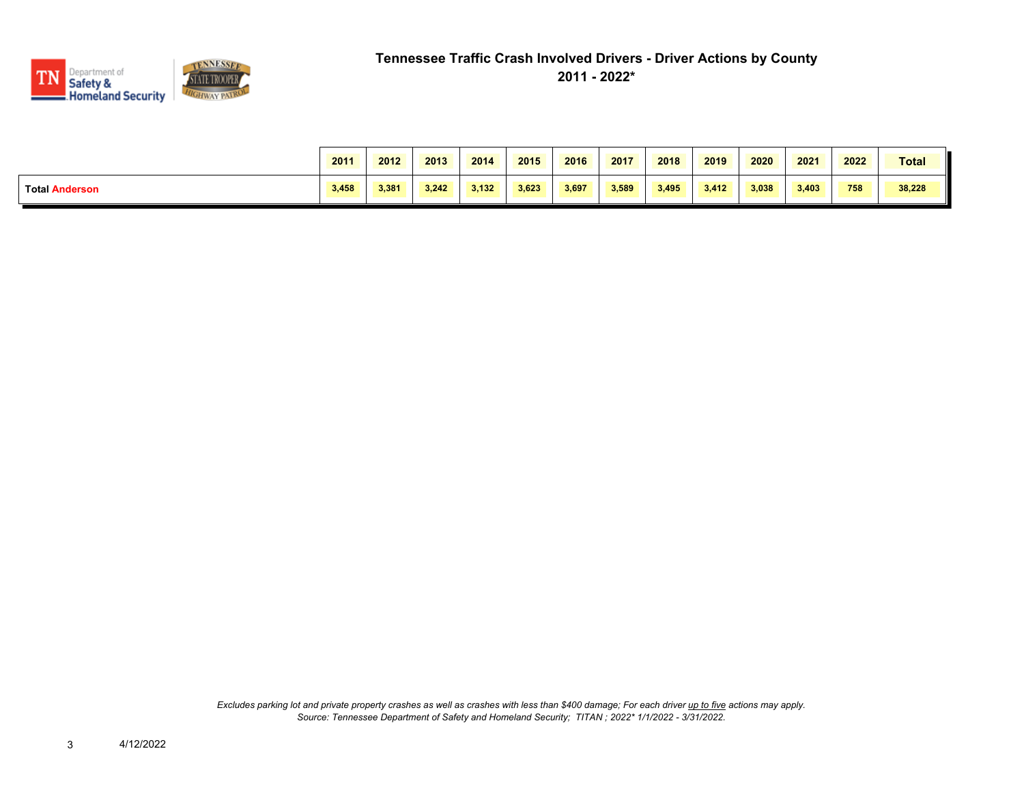

|                       | 2011  | 2012  | 2013  | 2014  | 2015  | 2016  | 2017  | 2018  | 2019  | 2020  | 2021  | 2022 | <b>Total</b> |
|-----------------------|-------|-------|-------|-------|-------|-------|-------|-------|-------|-------|-------|------|--------------|
| <b>Total Anderson</b> | 3,458 | 3.381 | 3.242 | 3.132 | 3.623 | 3,697 | 3.589 | 3,495 | 3.412 | 3,038 | 3.403 | 758  | 38,228       |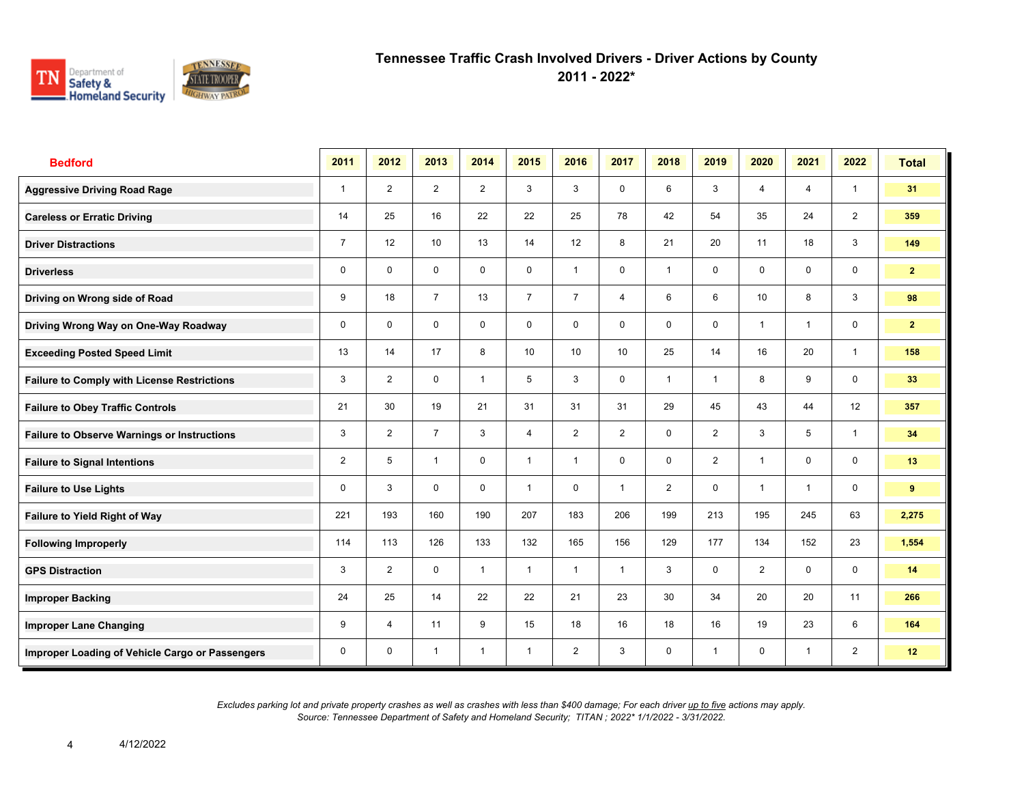

**2011 - 2022\***

| <b>Bedford</b>                                     | 2011           | 2012           | 2013           | 2014           | 2015            | 2016           | 2017           | 2018           | 2019           | 2020                    | 2021           | 2022           | <b>Total</b>   |
|----------------------------------------------------|----------------|----------------|----------------|----------------|-----------------|----------------|----------------|----------------|----------------|-------------------------|----------------|----------------|----------------|
| <b>Aggressive Driving Road Rage</b>                | $\mathbf{1}$   | 2              | $\overline{2}$ | $\overline{2}$ | 3               | 3              | $\mathbf 0$    | 6              | 3              | $\overline{4}$          | $\overline{4}$ | $\mathbf{1}$   | 31             |
| <b>Careless or Erratic Driving</b>                 | 14             | 25             | 16             | 22             | 22              | 25             | 78             | 42             | 54             | 35                      | 24             | $\overline{2}$ | 359            |
| <b>Driver Distractions</b>                         | $\overline{7}$ | 12             | 10             | 13             | 14              | 12             | 8              | 21             | 20             | 11                      | 18             | 3              | 149            |
| <b>Driverless</b>                                  | 0              | $\mathbf{0}$   | $\mathbf 0$    | $\mathbf 0$    | 0               | $\overline{1}$ | $\mathbf 0$    | $\mathbf{1}$   | 0              | $\mathbf 0$             | $\mathbf 0$    | $\mathbf 0$    | 2 <sup>1</sup> |
| Driving on Wrong side of Road                      | 9              | 18             | $\overline{7}$ | 13             | $\overline{7}$  | $\overline{7}$ | $\overline{4}$ | 6              | 6              | 10                      | 8              | 3              | 98             |
| Driving Wrong Way on One-Way Roadway               | 0              | $\mathbf 0$    | $\mathbf 0$    | $\mathbf 0$    | 0               | $\mathbf 0$    | 0              | $\mathbf 0$    | 0              | $\overline{\mathbf{1}}$ | $\overline{1}$ | $\mathbf 0$    | $\mathbf{2}$   |
| <b>Exceeding Posted Speed Limit</b>                | 13             | 14             | 17             | 8              | 10 <sup>1</sup> | 10             | 10             | 25             | 14             | 16                      | 20             | $\overline{1}$ | 158            |
| <b>Failure to Comply with License Restrictions</b> | 3              | $\overline{2}$ | $\mathbf 0$    | $\mathbf{1}$   | 5               | 3              | $\mathbf 0$    | $\mathbf{1}$   | $\mathbf{1}$   | 8                       | 9              | $\mathbf 0$    | 33             |
| <b>Failure to Obey Traffic Controls</b>            | 21             | 30             | 19             | 21             | 31              | 31             | 31             | 29             | 45             | 43                      | 44             | 12             | 357            |
| <b>Failure to Observe Warnings or Instructions</b> | 3              | $\overline{2}$ | $\overline{7}$ | 3              | 4               | $\overline{2}$ | $\overline{2}$ | $\mathbf 0$    | $\overline{2}$ | 3                       | 5              | $\overline{1}$ | 34             |
| <b>Failure to Signal Intentions</b>                | $\overline{2}$ | 5              | $\overline{1}$ | $\mathbf 0$    | $\mathbf{1}$    | $\overline{1}$ | $\mathbf 0$    | $\mathbf 0$    | $\overline{2}$ | $\overline{1}$          | $\mathbf 0$    | $\mathbf 0$    | 13             |
| <b>Failure to Use Lights</b>                       | 0              | 3              | $\mathbf 0$    | $\mathbf 0$    | 1               | $\mathbf 0$    | $\overline{1}$ | $\overline{2}$ | 0              | $\overline{1}$          | $\overline{1}$ | $\mathbf 0$    | 9              |
| <b>Failure to Yield Right of Way</b>               | 221            | 193            | 160            | 190            | 207             | 183            | 206            | 199            | 213            | 195                     | 245            | 63             | 2,275          |
| <b>Following Improperly</b>                        | 114            | 113            | 126            | 133            | 132             | 165            | 156            | 129            | 177            | 134                     | 152            | 23             | 1,554          |
| <b>GPS Distraction</b>                             | 3              | $\overline{2}$ | $\mathbf 0$    | $\mathbf{1}$   | $\mathbf{1}$    | $\overline{1}$ | $\mathbf{1}$   | 3              | 0              | $\overline{2}$          | $\mathbf 0$    | $\mathbf 0$    | 14             |
| <b>Improper Backing</b>                            | 24             | 25             | 14             | 22             | 22              | 21             | 23             | 30             | 34             | 20                      | 20             | 11             | 266            |
| <b>Improper Lane Changing</b>                      | 9              | $\overline{4}$ | 11             | 9              | 15              | 18             | 16             | 18             | 16             | 19                      | 23             | 6              | 164            |
| Improper Loading of Vehicle Cargo or Passengers    | 0              | $\mathbf 0$    | $\overline{1}$ | $\overline{1}$ | $\mathbf{1}$    | $\overline{2}$ | 3              | $\mathbf 0$    | $\mathbf{1}$   | $\mathbf 0$             | $\overline{1}$ | $\overline{2}$ | 12             |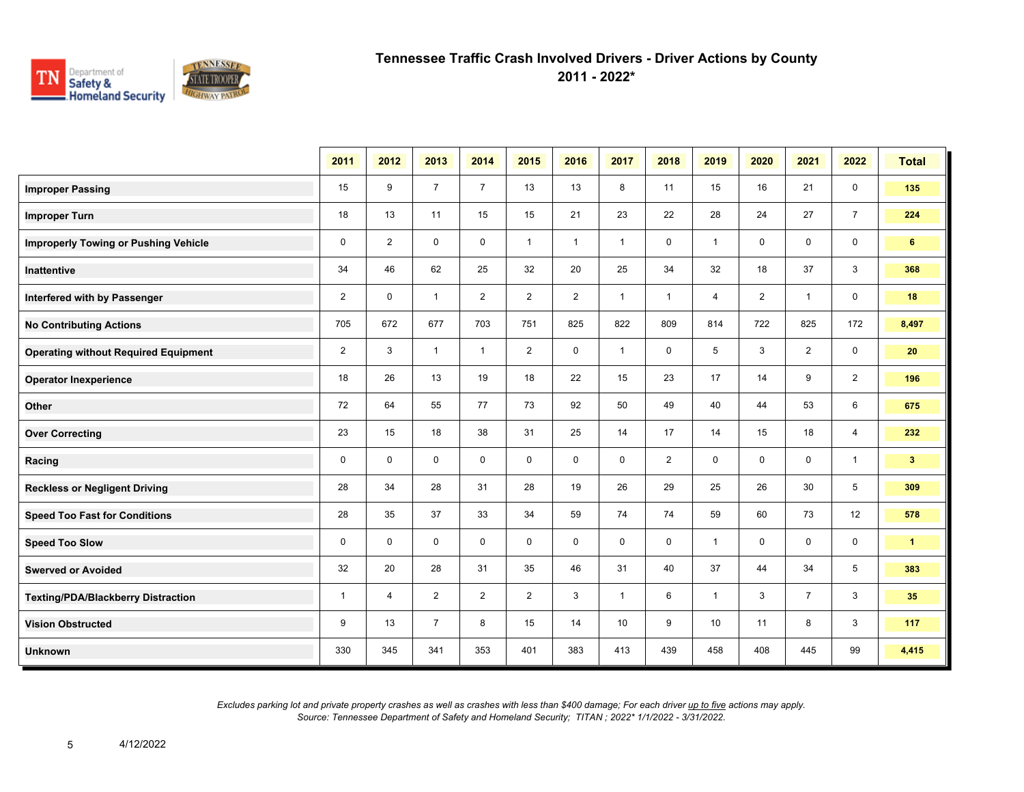

**2011 - 2022\***

|                                             | 2011           | 2012           | 2013           | 2014           | 2015           | 2016           | 2017         | 2018           | 2019           | 2020           | 2021           | 2022           | <b>Total</b>   |
|---------------------------------------------|----------------|----------------|----------------|----------------|----------------|----------------|--------------|----------------|----------------|----------------|----------------|----------------|----------------|
| <b>Improper Passing</b>                     | 15             | 9              | $\overline{7}$ | $\overline{7}$ | 13             | 13             | 8            | 11             | 15             | 16             | 21             | $\mathbf 0$    | 135            |
| <b>Improper Turn</b>                        | 18             | 13             | 11             | 15             | 15             | 21             | 23           | 22             | 28             | 24             | 27             | $\overline{7}$ | 224            |
| <b>Improperly Towing or Pushing Vehicle</b> | $\mathbf 0$    | $\overline{2}$ | $\mathbf 0$    | $\mathbf 0$    | $\mathbf{1}$   | $\mathbf{1}$   | $\mathbf{1}$ | 0              | $\mathbf{1}$   | 0              | $\mathbf 0$    | $\mathbf 0$    | 6              |
| Inattentive                                 | 34             | 46             | 62             | 25             | 32             | 20             | 25           | 34             | 32             | 18             | 37             | 3              | 368            |
| Interfered with by Passenger                | $\overline{2}$ | $\mathbf 0$    | $\mathbf{1}$   | 2              | $\overline{2}$ | $\overline{2}$ | $\mathbf{1}$ | $\mathbf{1}$   | $\overline{4}$ | $\overline{2}$ | $\mathbf{1}$   | $\mathbf 0$    | 18             |
| <b>No Contributing Actions</b>              | 705            | 672            | 677            | 703            | 751            | 825            | 822          | 809            | 814            | 722            | 825            | 172            | 8,497          |
| <b>Operating without Required Equipment</b> | 2              | 3              | $\mathbf{1}$   | $\mathbf{1}$   | $\overline{2}$ | 0              | $\mathbf{1}$ | $\mathbf 0$    | 5              | 3              | 2              | $\mathbf 0$    | 20             |
| <b>Operator Inexperience</b>                | 18             | 26             | 13             | 19             | 18             | 22             | 15           | 23             | 17             | 14             | 9              | $\overline{2}$ | 196            |
| Other                                       | 72             | 64             | 55             | 77             | 73             | 92             | 50           | 49             | 40             | 44             | 53             | 6              | 675            |
| <b>Over Correcting</b>                      | 23             | 15             | 18             | 38             | 31             | 25             | 14           | 17             | 14             | 15             | 18             | $\overline{4}$ | 232            |
| Racing                                      | $\mathbf 0$    | $\mathbf 0$    | $\mathbf 0$    | $\mathbf 0$    | $\mathbf 0$    | $\mathbf 0$    | $\mathbf 0$  | $\overline{2}$ | 0              | $\mathbf 0$    | $\mathbf 0$    | $\mathbf{1}$   | 3 <sup>2</sup> |
| <b>Reckless or Negligent Driving</b>        | 28             | 34             | 28             | 31             | 28             | 19             | 26           | 29             | 25             | 26             | 30             | 5              | 309            |
| <b>Speed Too Fast for Conditions</b>        | 28             | 35             | 37             | 33             | 34             | 59             | 74           | 74             | 59             | 60             | 73             | 12             | 578            |
| <b>Speed Too Slow</b>                       | $\mathbf 0$    | $\mathbf 0$    | $\mathbf 0$    | $\mathbf 0$    | $\mathbf 0$    | $\mathbf 0$    | $\mathbf 0$  | $\mathbf 0$    | $\mathbf{1}$   | $\mathbf 0$    | $\mathbf 0$    | $\mathbf 0$    | $\mathbf{1}$   |
| <b>Swerved or Avoided</b>                   | 32             | 20             | 28             | 31             | 35             | 46             | 31           | 40             | 37             | 44             | 34             | 5              | 383            |
| <b>Texting/PDA/Blackberry Distraction</b>   | $\mathbf{1}$   | $\overline{4}$ | $\overline{2}$ | $\overline{2}$ | $\overline{2}$ | 3              | $\mathbf{1}$ | 6              | $\mathbf{1}$   | 3              | $\overline{7}$ | 3              | 35             |
| <b>Vision Obstructed</b>                    | 9              | 13             | $\overline{7}$ | 8              | 15             | 14             | 10           | 9              | 10             | 11             | 8              | 3              | 117            |
| <b>Unknown</b>                              | 330            | 345            | 341            | 353            | 401            | 383            | 413          | 439            | 458            | 408            | 445            | 99             | 4,415          |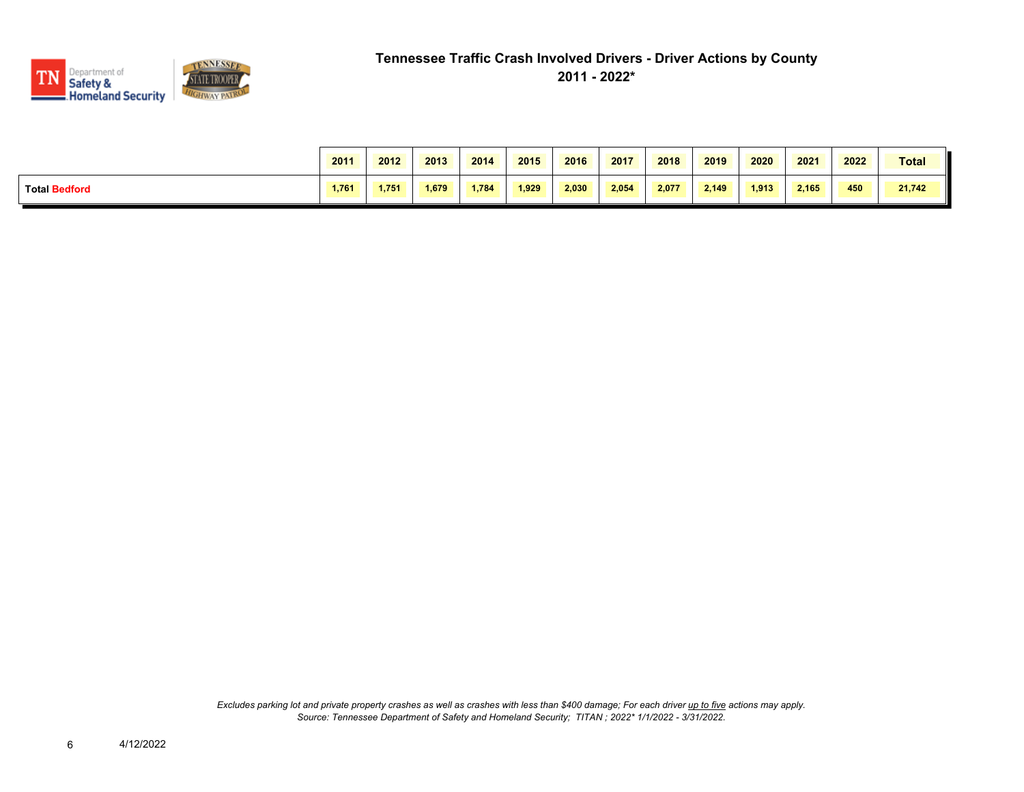

|                      | 2011  | 2012  | 2013  | 2014  | 2015  | 2016  | 2017  | 2018  | 2019  | 2020  | 2021  | 2022 | <b>Total</b> |
|----------------------|-------|-------|-------|-------|-------|-------|-------|-------|-------|-------|-------|------|--------------|
| <b>Total Bedford</b> | 1,761 | 1.751 | 1.679 | 1.784 | 1.929 | 2.030 | 2.054 | 2.077 | 2.149 | 1.913 | 2.165 | 450  | 21,742       |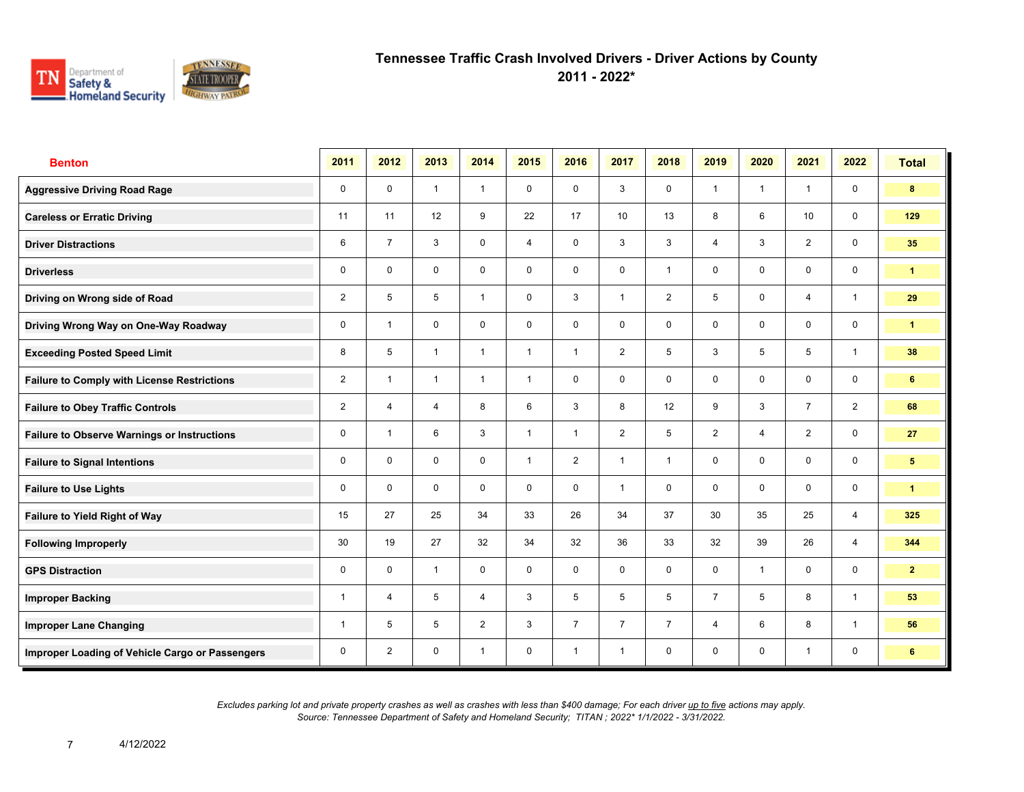

**2011 - 2022\***

| <b>Benton</b>                                      | 2011           | 2012           | 2013           | 2014           | 2015         | 2016           | 2017           | 2018           | 2019           | 2020           | 2021           | 2022                    | <b>Total</b>    |
|----------------------------------------------------|----------------|----------------|----------------|----------------|--------------|----------------|----------------|----------------|----------------|----------------|----------------|-------------------------|-----------------|
| <b>Aggressive Driving Road Rage</b>                | $\mathbf 0$    | $\mathbf 0$    | $\mathbf{1}$   | $\mathbf{1}$   | $\mathbf 0$  | $\mathbf 0$    | 3              | $\mathbf 0$    | $\mathbf{1}$   | $\overline{1}$ | $\mathbf{1}$   | $\mathbf 0$             | 8               |
| <b>Careless or Erratic Driving</b>                 | 11             | 11             | 12             | 9              | 22           | 17             | 10             | 13             | 8              | 6              | 10             | $\mathbf 0$             | 129             |
| <b>Driver Distractions</b>                         | 6              | $\overline{7}$ | 3              | $\mathbf 0$    | 4            | $\mathbf 0$    | $\mathbf{3}$   | $\mathbf{3}$   | $\overline{4}$ | 3              | 2              | $\mathbf 0$             | 35              |
| <b>Driverless</b>                                  | 0              | $\mathbf 0$    | $\mathbf 0$    | $\mathbf 0$    | $\mathbf 0$  | $\mathbf 0$    | $\mathbf 0$    | $\mathbf{1}$   | $\mathbf 0$    | $\mathbf 0$    | $\mathbf 0$    | $\mathbf 0$             | $\mathbf{1}$    |
| Driving on Wrong side of Road                      | $\overline{2}$ | 5              | 5              | $\mathbf{1}$   | 0            | 3              | $\mathbf{1}$   | $\overline{2}$ | 5              | $\mathbf 0$    | 4              | $\mathbf{1}$            | 29              |
| Driving Wrong Way on One-Way Roadway               | 0              | $\overline{1}$ | $\mathbf 0$    | $\mathbf 0$    | $\mathbf 0$  | $\mathbf 0$    | $\mathbf 0$    | $\mathbf 0$    | 0              | $\mathbf 0$    | $\mathbf 0$    | $\mathbf 0$             | $\mathbf{1}$    |
| <b>Exceeding Posted Speed Limit</b>                | 8              | 5              | $\overline{1}$ | $\mathbf{1}$   | $\mathbf{1}$ | $\overline{1}$ | $\overline{2}$ | 5              | 3              | 5              | 5              | $\mathbf{1}$            | 38              |
| <b>Failure to Comply with License Restrictions</b> | $\overline{2}$ | $\overline{1}$ | $\mathbf{1}$   | $\mathbf{1}$   | $\mathbf{1}$ | $\mathbf 0$    | $\mathbf 0$    | $\mathbf 0$    | 0              | $\mathbf 0$    | $\mathbf 0$    | $\mathbf 0$             | 6               |
| <b>Failure to Obey Traffic Controls</b>            | $\overline{2}$ | $\overline{4}$ | $\overline{4}$ | 8              | 6            | 3              | 8              | 12             | 9              | 3              | $\overline{7}$ | 2                       | 68              |
| <b>Failure to Observe Warnings or Instructions</b> | 0              | $\overline{1}$ | 6              | 3              | $\mathbf{1}$ | $\overline{1}$ | $\overline{2}$ | 5              | $\overline{2}$ | $\overline{4}$ | 2              | $\mathbf 0$             | 27              |
| <b>Failure to Signal Intentions</b>                | 0              | $\mathbf 0$    | $\mathbf 0$    | $\mathbf 0$    | $\mathbf{1}$ | 2              | $\mathbf{1}$   | $\mathbf{1}$   | $\mathbf 0$    | $\mathbf 0$    | $\mathbf 0$    | $\mathsf{O}\phantom{0}$ | $5\phantom{.0}$ |
| <b>Failure to Use Lights</b>                       | 0              | $\mathbf{0}$   | $\mathbf 0$    | $\mathbf 0$    | $\mathbf 0$  | $\mathbf 0$    | $\mathbf{1}$   | $\mathbf 0$    | $\mathbf 0$    | $\mathbf 0$    | $\mathbf 0$    | $\mathsf{O}\phantom{0}$ | $\mathbf{1}$    |
| <b>Failure to Yield Right of Way</b>               | 15             | 27             | 25             | 34             | 33           | 26             | 34             | 37             | 30             | 35             | 25             | $\overline{4}$          | 325             |
| <b>Following Improperly</b>                        | 30             | 19             | 27             | 32             | 34           | 32             | 36             | 33             | 32             | 39             | 26             | $\overline{4}$          | 344             |
| <b>GPS Distraction</b>                             | 0              | $\mathbf 0$    | $\mathbf{1}$   | $\mathbf 0$    | $\mathbf 0$  | $\mathbf 0$    | $\mathbf 0$    | $\mathbf 0$    | 0              | $\overline{1}$ | $\mathbf 0$    | $\mathbf 0$             | $\overline{2}$  |
| <b>Improper Backing</b>                            | 1              | $\overline{4}$ | 5              | $\overline{4}$ | 3            | 5              | 5              | 5              | $\overline{7}$ | 5              | 8              | $\mathbf{1}$            | 53              |
| <b>Improper Lane Changing</b>                      | 1              | 5              | 5              | 2              | 3            | $\overline{7}$ | $\overline{7}$ | $\overline{7}$ | $\overline{4}$ | 6              | 8              | $\mathbf{1}$            | 56              |
| Improper Loading of Vehicle Cargo or Passengers    | 0              | $\overline{2}$ | $\mathbf 0$    | $\mathbf{1}$   | $\mathbf 0$  | $\overline{1}$ | $\mathbf{1}$   | $\mathbf 0$    | 0              | $\mathbf 0$    | $\mathbf{1}$   | 0                       | 6               |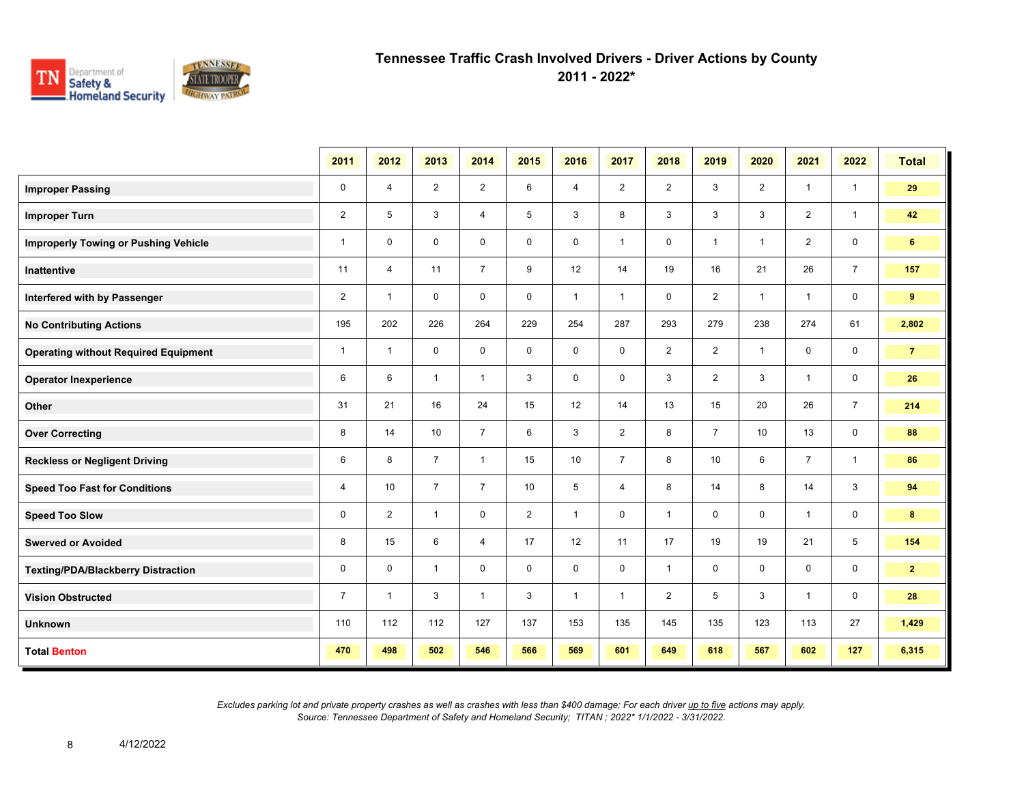

**2011 - 2022\***

|                                             | 2011           | 2012           | 2013           | 2014           | 2015           | 2016         | 2017           | 2018           | 2019           | 2020                    | 2021           | 2022           | <b>Total</b>   |
|---------------------------------------------|----------------|----------------|----------------|----------------|----------------|--------------|----------------|----------------|----------------|-------------------------|----------------|----------------|----------------|
| <b>Improper Passing</b>                     | $\pmb{0}$      | $\overline{4}$ | $\overline{2}$ | $\overline{2}$ | 6              | 4            | $\overline{2}$ | $\overline{2}$ | 3              | $\overline{2}$          | $\overline{1}$ | $\mathbf{1}$   | 29             |
| <b>Improper Turn</b>                        | $\overline{2}$ | 5              | 3              | $\overline{4}$ | 5              | 3            | 8              | 3              | 3              | 3                       | $\overline{2}$ | $\mathbf{1}$   | 42             |
| <b>Improperly Towing or Pushing Vehicle</b> | $\mathbf{1}$   | $\mathbf 0$    | $\mathbf 0$    | $\mathbf 0$    | 0              | 0            | $\mathbf{1}$   | 0              | $\mathbf{1}$   | $\overline{1}$          | $\overline{2}$ | $\mathbf 0$    | 6 <sup>1</sup> |
| Inattentive                                 | 11             | $\overline{4}$ | 11             | $\overline{7}$ | 9              | 12           | 14             | 19             | 16             | 21                      | 26             | $\overline{7}$ | 157            |
| Interfered with by Passenger                | $\overline{2}$ | $\mathbf{1}$   | $\mathbf 0$    | $\mathbf 0$    | $\mathbf 0$    | $\mathbf{1}$ | $\mathbf{1}$   | 0              | $\overline{2}$ | $\overline{1}$          | $\mathbf{1}$   | $\mathbf 0$    | 9              |
| <b>No Contributing Actions</b>              | 195            | 202            | 226            | 264            | 229            | 254          | 287            | 293            | 279            | 238                     | 274            | 61             | 2,802          |
| <b>Operating without Required Equipment</b> | $\mathbf{1}$   | $\mathbf{1}$   | $\mathbf 0$    | $\mathbf 0$    | 0              | $\mathbf 0$  | 0              | $\overline{2}$ | $\overline{2}$ | $\overline{\mathbf{1}}$ | 0              | $\mathbf 0$    | $\overline{7}$ |
| <b>Operator Inexperience</b>                | $\,6\,$        | 6              | $\mathbf{1}$   | $\mathbf{1}$   | 3              | $\mathbf 0$  | $\mathbf 0$    | 3              | $\overline{2}$ | 3                       | $\overline{1}$ | $\mathbf 0$    | 26             |
| Other                                       | 31             | 21             | 16             | 24             | 15             | 12           | 14             | 13             | 15             | 20                      | 26             | $\overline{7}$ | 214            |
| <b>Over Correcting</b>                      | 8              | 14             | 10             | $\overline{7}$ | 6              | 3            | $\overline{2}$ | 8              | $\overline{7}$ | 10                      | 13             | $\mathbf 0$    | 88             |
| <b>Reckless or Negligent Driving</b>        | 6              | 8              | $\overline{7}$ | $\mathbf{1}$   | 15             | 10           | $\overline{7}$ | 8              | 10             | 6                       | $\overline{7}$ | $\mathbf{1}$   | 86             |
| <b>Speed Too Fast for Conditions</b>        | 4              | 10             | $\overline{7}$ | $\overline{7}$ | 10             | 5            | $\overline{4}$ | 8              | 14             | 8                       | 14             | 3              | 94             |
| <b>Speed Too Slow</b>                       | 0              | $\overline{2}$ | $\mathbf{1}$   | $\mathbf 0$    | $\overline{2}$ | $\mathbf{1}$ | $\mathbf 0$    | $\mathbf{1}$   | 0              | 0                       | $\overline{1}$ | $\mathbf 0$    | 8              |
| <b>Swerved or Avoided</b>                   | 8              | 15             | 6              | $\overline{4}$ | 17             | 12           | 11             | 17             | 19             | 19                      | 21             | 5              | 154            |
| <b>Texting/PDA/Blackberry Distraction</b>   | $\pmb{0}$      | $\mathbf 0$    | $\mathbf{1}$   | $\mathbf 0$    | $\mathbf 0$    | $\mathbf 0$  | $\mathbf 0$    | $\mathbf{1}$   | 0              | $\mathbf 0$             | $\mathbf 0$    | $\mathbf 0$    | $\mathbf{2}$   |
| <b>Vision Obstructed</b>                    | $\overline{7}$ | -1             | 3              | $\mathbf{1}$   | 3              | $\mathbf{1}$ | $\mathbf{1}$   | $\overline{2}$ | 5              | 3                       | 1              | $\mathbf 0$    | 28             |
| <b>Unknown</b>                              | 110            | 112            | 112            | 127            | 137            | 153          | 135            | 145            | 135            | 123                     | 113            | 27             | 1,429          |
| <b>Total Benton</b>                         | 470            | 498            | 502            | 546            | 566            | 569          | 601            | 649            | 618            | 567                     | 602            | 127            | 6,315          |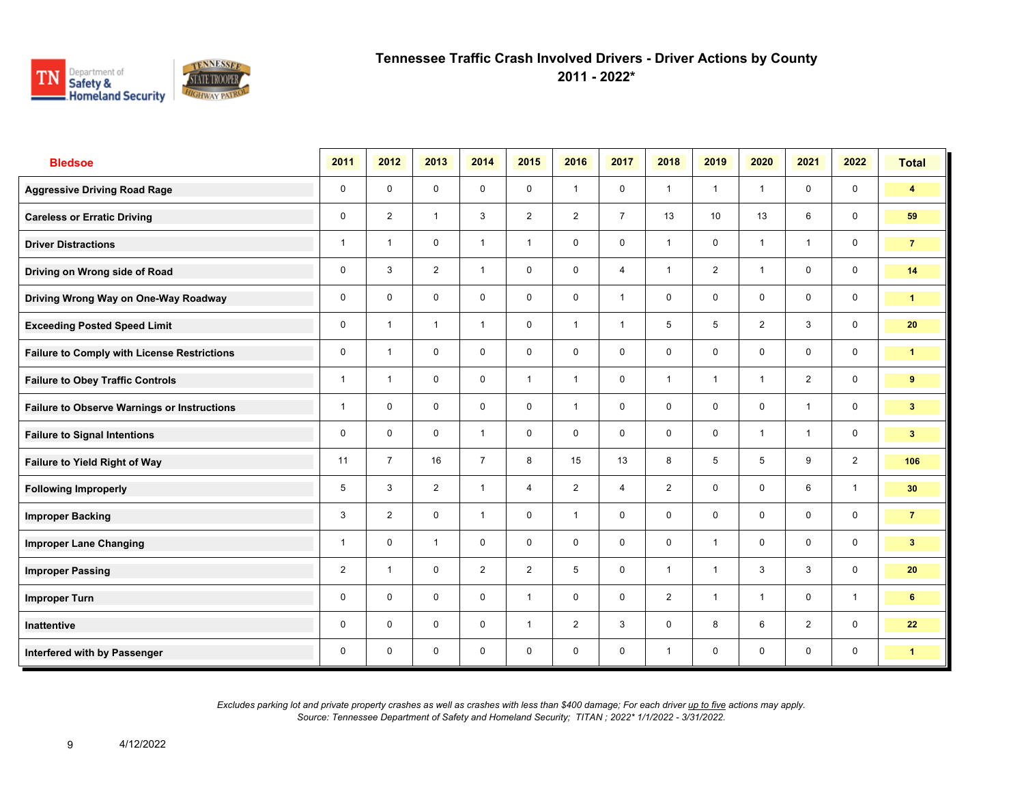

**2011 - 2022\***

| <b>Bledsoe</b>                                     | 2011           | 2012           | 2013           | 2014           | 2015           | 2016           | 2017           | 2018           | 2019            | 2020           | 2021         | 2022         | <b>Total</b>            |
|----------------------------------------------------|----------------|----------------|----------------|----------------|----------------|----------------|----------------|----------------|-----------------|----------------|--------------|--------------|-------------------------|
| <b>Aggressive Driving Road Rage</b>                | $\mathbf 0$    | $\mathbf 0$    | $\mathbf 0$    | $\mathbf 0$    | $\mathbf 0$    | $\mathbf{1}$   | $\mathbf 0$    | $\mathbf{1}$   | $\mathbf{1}$    | $\overline{1}$ | $\mathbf 0$  | $\mathbf 0$  | $\overline{\mathbf{4}}$ |
| <b>Careless or Erratic Driving</b>                 | 0              | $\overline{2}$ | $\mathbf{1}$   | 3              | $\overline{2}$ | $\overline{2}$ | $\overline{7}$ | 13             | 10 <sup>°</sup> | 13             | 6            | $\mathbf 0$  | 59                      |
| <b>Driver Distractions</b>                         | 1              | $\overline{1}$ | $\mathbf 0$    | $\mathbf{1}$   | $\mathbf{1}$   | $\mathbf 0$    | $\mathbf 0$    | $\mathbf{1}$   | 0               | $\overline{1}$ | $\mathbf{1}$ | $\mathbf 0$  | $\overline{7}$          |
| Driving on Wrong side of Road                      | 0              | 3              | $\overline{2}$ | $\mathbf{1}$   | $\mathbf 0$    | $\mathbf 0$    | $\overline{4}$ | $\mathbf{1}$   | $\overline{2}$  | $\overline{1}$ | $\mathbf 0$  | $\mathbf 0$  | 14                      |
| Driving Wrong Way on One-Way Roadway               | 0              | $\mathbf 0$    | $\mathbf 0$    | $\mathbf 0$    | $\mathbf 0$    | $\mathbf 0$    | $\mathbf{1}$   | $\mathbf 0$    | $\mathbf 0$     | $\mathbf 0$    | $\mathbf 0$  | $\mathbf 0$  | $\mathbf{1}$            |
| <b>Exceeding Posted Speed Limit</b>                | $\mathbf 0$    | $\overline{1}$ | $\mathbf{1}$   | $\mathbf{1}$   | $\mathbf 0$    | $\mathbf{1}$   | $\mathbf{1}$   | 5              | 5               | 2              | 3            | $\mathbf 0$  | 20                      |
| <b>Failure to Comply with License Restrictions</b> | $\mathbf 0$    | $\overline{1}$ | $\mathbf 0$    | $\mathbf 0$    | $\mathbf 0$    | $\mathbf 0$    | $\mathbf 0$    | $\mathbf 0$    | 0               | $\mathbf 0$    | $\mathbf 0$  | $\mathbf 0$  | 1                       |
| <b>Failure to Obey Traffic Controls</b>            | $\mathbf{1}$   | $\overline{1}$ | $\mathbf 0$    | $\mathbf 0$    | $\mathbf{1}$   | $\overline{1}$ | $\mathbf 0$    | $\mathbf{1}$   | 1               | $\overline{1}$ | 2            | $\mathbf 0$  | 9                       |
| <b>Failure to Observe Warnings or Instructions</b> | $\mathbf{1}$   | $\Omega$       | $\Omega$       | $\mathbf 0$    | $\mathbf 0$    | $\overline{1}$ | $\mathbf 0$    | $\mathbf 0$    | $\mathbf 0$     | $\mathbf 0$    | $\mathbf{1}$ | $\mathbf 0$  | 3 <sup>2</sup>          |
| <b>Failure to Signal Intentions</b>                | 0              | $\mathbf 0$    | $\mathbf 0$    | $\mathbf{1}$   | $\mathbf 0$    | $\mathbf 0$    | $\mathbf 0$    | $\mathbf 0$    | $\mathbf 0$     | $\overline{1}$ | $\mathbf{1}$ | $\mathbf 0$  | 3 <sup>2</sup>          |
| <b>Failure to Yield Right of Way</b>               | 11             | $\overline{7}$ | 16             | $\overline{7}$ | 8              | 15             | 13             | 8              | 5               | 5              | 9            | 2            | 106                     |
| <b>Following Improperly</b>                        | 5              | 3              | 2              | $\mathbf{1}$   | $\overline{4}$ | $\overline{2}$ | $\overline{4}$ | $\overline{2}$ | $\mathbf 0$     | $\mathbf 0$    | 6            | $\mathbf{1}$ | 30 <sub>o</sub>         |
| <b>Improper Backing</b>                            | 3              | 2              | $\mathbf 0$    | $\overline{1}$ | $\mathbf 0$    | $\mathbf{1}$   | $\mathbf 0$    | $\mathbf 0$    | $\mathbf 0$     | $\mathbf 0$    | $\mathbf 0$  | $\mathsf{O}$ | $\overline{7}$          |
| <b>Improper Lane Changing</b>                      | 1              | $\Omega$       | $\mathbf{1}$   | $\mathbf 0$    | $\mathbf 0$    | $\Omega$       | $\mathbf 0$    | $\mathbf 0$    | $\mathbf{1}$    | $\mathbf 0$    | $\mathbf 0$  | $\mathsf{O}$ | 3 <sup>2</sup>          |
| <b>Improper Passing</b>                            | $\overline{2}$ | $\overline{1}$ | $\mathbf 0$    | $\overline{2}$ | $\overline{2}$ | 5              | $\mathbf 0$    | $\mathbf{1}$   | $\mathbf{1}$    | 3              | 3            | $\mathbf 0$  | 20                      |
| <b>Improper Turn</b>                               | 0              | $\mathbf 0$    | $\mathbf 0$    | $\mathbf 0$    | $\mathbf{1}$   | $\mathbf 0$    | $\mathbf 0$    | $\overline{2}$ | $\mathbf{1}$    | $\overline{1}$ | $\mathbf 0$  | $\mathbf{1}$ | 6                       |
| Inattentive                                        | 0              | $\mathbf 0$    | $\mathbf 0$    | $\mathbf 0$    | $\mathbf{1}$   | 2              | $\mathbf{3}$   | $\mathbf 0$    | 8               | 6              | 2            | $\mathsf{O}$ | 22                      |
| Interfered with by Passenger                       | $\mathbf 0$    | $\mathbf 0$    | $\mathbf 0$    | $\mathbf 0$    | $\mathbf 0$    | $\mathbf 0$    | $\mathbf 0$    | $\mathbf{1}$   | 0               | $\mathbf 0$    | $\mathbf 0$  | $\mathbf 0$  | $\mathbf{1}$            |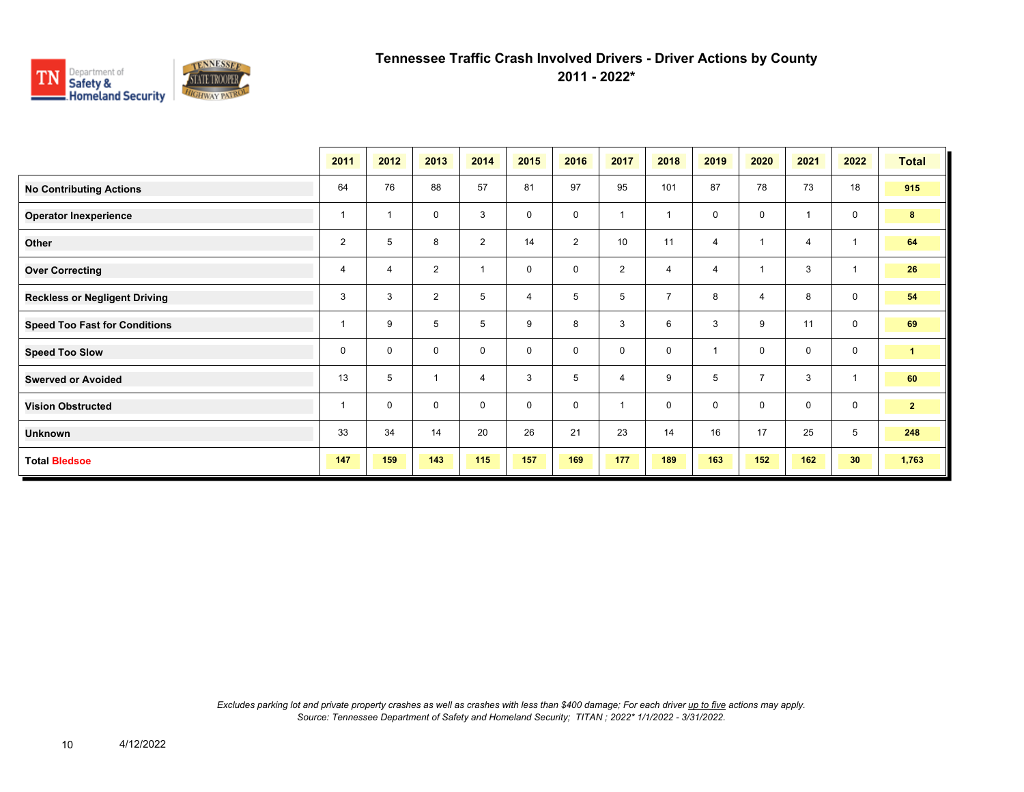

**2011 - 2022\***

|                                      | 2011           | 2012           | 2013           | 2014           | 2015        | 2016           | 2017           | 2018           | 2019 | 2020           | 2021           | 2022            | <b>Total</b>   |
|--------------------------------------|----------------|----------------|----------------|----------------|-------------|----------------|----------------|----------------|------|----------------|----------------|-----------------|----------------|
| <b>No Contributing Actions</b>       | 64             | 76             | 88             | 57             | 81          | 97             | 95             | 101            | 87   | 78             | 73             | 18              | 915            |
| <b>Operator Inexperience</b>         | 1              | $\overline{1}$ | 0              | 3              | 0           | $\mathbf 0$    | $\overline{ }$ | $\overline{ }$ | 0    | $\mathbf 0$    |                | $\mathbf 0$     | 8              |
| Other                                | $\overline{2}$ | 5              | 8              | $\overline{2}$ | 14          | $\overline{2}$ | 10             | 11             | 4    | 1              | $\overline{4}$ |                 | 64             |
| <b>Over Correcting</b>               | 4              | 4              | $\overline{2}$ | $\overline{1}$ | $\mathbf 0$ | 0              | $\overline{2}$ | $\overline{4}$ | 4    |                | 3              |                 | 26             |
| <b>Reckless or Negligent Driving</b> | 3              | 3              | $\overline{2}$ | 5              | 4           | 5              | 5              | $\overline{7}$ | 8    | $\overline{4}$ | 8              | $\mathbf 0$     | 54             |
| <b>Speed Too Fast for Conditions</b> | 1              | 9              | 5              | 5              | 9           | 8              | 3              | 6              | 3    | 9              | 11             | $\mathbf 0$     | 69             |
| <b>Speed Too Slow</b>                | 0              | $\mathbf 0$    | 0              | $\mathbf 0$    | 0           | 0              | $\mathbf 0$    | $\mathbf 0$    |      | $\mathbf 0$    | 0              | $\mathbf 0$     | $\mathbf{1}$   |
| <b>Swerved or Avoided</b>            | 13             | 5              | $\mathbf{1}$   | $\overline{4}$ | 3           | 5              | $\overline{4}$ | 9              | 5    | $\overline{7}$ | 3              | $\mathbf{1}$    | 60             |
| <b>Vision Obstructed</b>             | 1              | $\mathbf 0$    | $\mathbf 0$    | $\mathbf 0$    | $\mathbf 0$ | $\mathbf 0$    |                | $\mathbf 0$    | 0    | $\mathbf 0$    | $\mathbf 0$    | $\mathbf 0$     | 2 <sup>2</sup> |
| Unknown                              | 33             | 34             | 14             | 20             | 26          | 21             | 23             | 14             | 16   | 17             | 25             | 5               | 248            |
| <b>Total Bledsoe</b>                 | 147            | 159            | 143            | 115            | 157         | 169            | 177            | 189            | 163  | 152            | 162            | 30 <sub>o</sub> | 1,763          |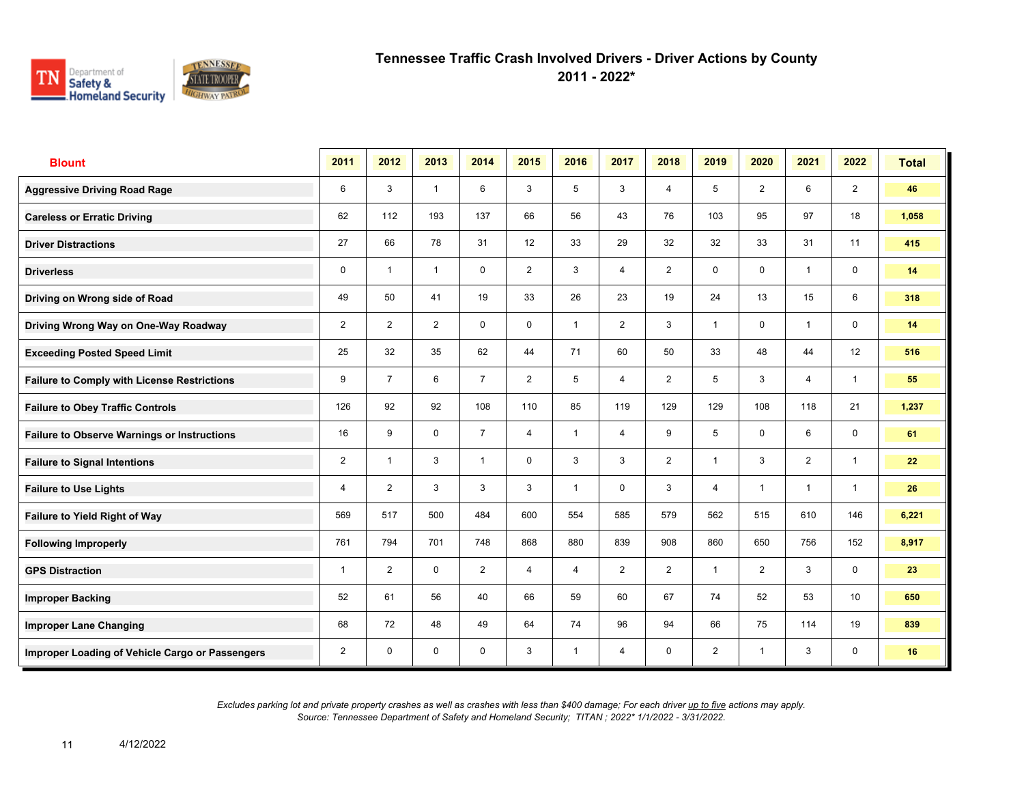

**2011 - 2022\***

| <b>Blount</b>                                      | 2011           | 2012           | 2013         | 2014           | 2015           | 2016           | 2017           | 2018           | 2019           | 2020           | 2021         | 2022            | <b>Total</b> |
|----------------------------------------------------|----------------|----------------|--------------|----------------|----------------|----------------|----------------|----------------|----------------|----------------|--------------|-----------------|--------------|
| <b>Aggressive Driving Road Rage</b>                | 6              | 3              | $\mathbf{1}$ | 6              | 3              | 5              | 3              | $\overline{4}$ | 5              | 2              | 6            | $\overline{2}$  | 46           |
| <b>Careless or Erratic Driving</b>                 | 62             | 112            | 193          | 137            | 66             | 56             | 43             | 76             | 103            | 95             | 97           | 18              | 1,058        |
| <b>Driver Distractions</b>                         | 27             | 66             | 78           | 31             | 12             | 33             | 29             | 32             | 32             | 33             | 31           | 11              | 415          |
| <b>Driverless</b>                                  | 0              | $\overline{1}$ | $\mathbf{1}$ | $\mathsf{O}$   | $\overline{2}$ | 3              | 4              | $\overline{2}$ | 0              | 0              | $\mathbf{1}$ | $\mathsf{O}$    | 14           |
| Driving on Wrong side of Road                      | 49             | 50             | 41           | 19             | 33             | 26             | 23             | 19             | 24             | 13             | 15           | 6               | 318          |
| Driving Wrong Way on One-Way Roadway               | $\overline{2}$ | 2              | 2            | $\mathbf 0$    | $\mathbf 0$    | $\overline{1}$ | $\overline{2}$ | 3              | 1              | $\mathbf 0$    | $\mathbf{1}$ | $\mathbf 0$     | 14           |
| <b>Exceeding Posted Speed Limit</b>                | 25             | 32             | 35           | 62             | 44             | 71             | 60             | 50             | 33             | 48             | 44           | 12              | 516          |
| <b>Failure to Comply with License Restrictions</b> | 9              | $\overline{7}$ | 6            | $\overline{7}$ | $\overline{2}$ | 5              | $\overline{4}$ | $\overline{2}$ | 5              | 3              | 4            | $\mathbf{1}$    | 55           |
| <b>Failure to Obey Traffic Controls</b>            | 126            | 92             | 92           | 108            | 110            | 85             | 119            | 129            | 129            | 108            | 118          | 21              | 1,237        |
| <b>Failure to Observe Warnings or Instructions</b> | 16             | 9              | $\mathbf 0$  | $\overline{7}$ | 4              | $\overline{1}$ | 4              | 9              | 5              | $\mathbf 0$    | 6            | $\mathbf 0$     | 61           |
| <b>Failure to Signal Intentions</b>                | $\overline{2}$ | $\overline{1}$ | 3            | $\mathbf{1}$   | $\Omega$       | 3              | 3              | $\overline{2}$ | 1              | 3              | 2            | $\overline{1}$  | 22           |
| <b>Failure to Use Lights</b>                       | 4              | $\overline{2}$ | 3            | 3              | 3              | $\overline{1}$ | $\mathbf 0$    | 3              | $\overline{4}$ | $\overline{1}$ | $\mathbf{1}$ | $\overline{1}$  | 26           |
| Failure to Yield Right of Way                      | 569            | 517            | 500          | 484            | 600            | 554            | 585            | 579            | 562            | 515            | 610          | 146             | 6,221        |
| <b>Following Improperly</b>                        | 761            | 794            | 701          | 748            | 868            | 880            | 839            | 908            | 860            | 650            | 756          | 152             | 8,917        |
| <b>GPS Distraction</b>                             | 1              | 2              | $\mathbf 0$  | 2              | 4              | $\overline{4}$ | 2              | 2              | $\mathbf{1}$   | 2              | 3            | $\mathbf 0$     | 23           |
| <b>Improper Backing</b>                            | 52             | 61             | 56           | 40             | 66             | 59             | 60             | 67             | 74             | 52             | 53           | 10 <sup>1</sup> | 650          |
| <b>Improper Lane Changing</b>                      | 68             | 72             | 48           | 49             | 64             | 74             | 96             | 94             | 66             | 75             | 114          | 19              | 839          |
| Improper Loading of Vehicle Cargo or Passengers    | $\overline{2}$ | $\mathbf 0$    | $\mathbf 0$  | $\mathbf 0$    | 3              | $\overline{1}$ | $\overline{4}$ | $\mathbf 0$    | $\overline{2}$ | $\overline{1}$ | 3            | $\mathbf 0$     | 16           |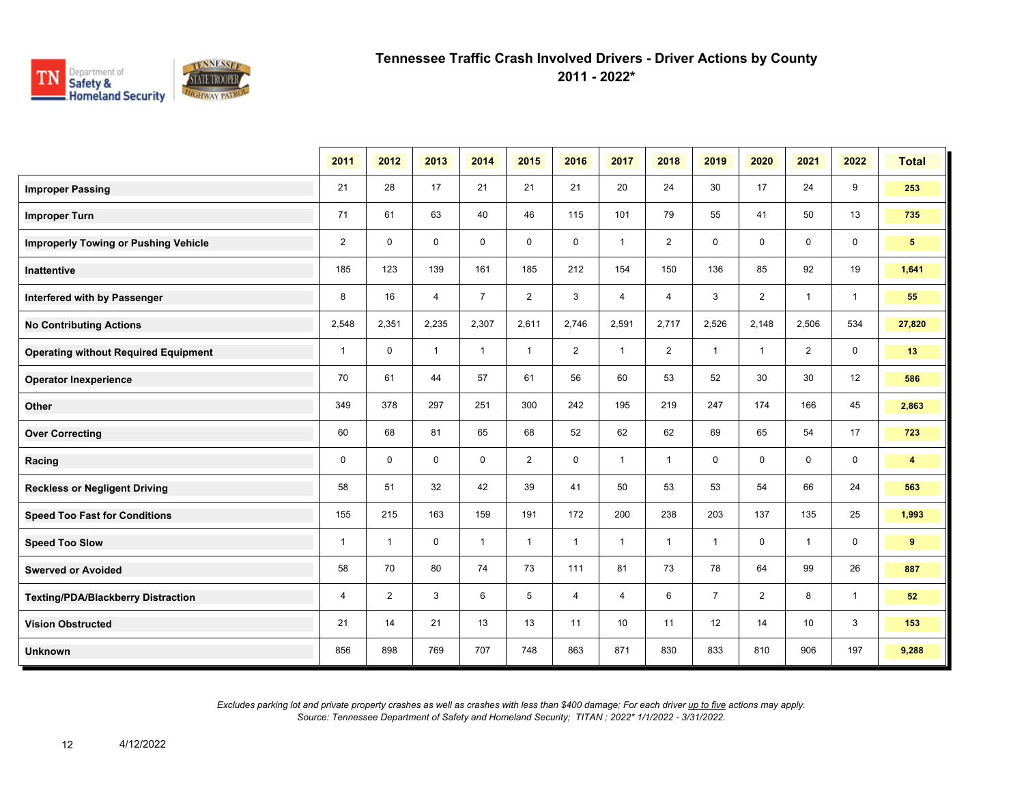

**2011 - 2022\***

|                                             | 2011         | 2012           | 2013         | 2014           | 2015           | 2016           | 2017         | 2018           | 2019           | 2020           | 2021           | 2022         | <b>Total</b>   |
|---------------------------------------------|--------------|----------------|--------------|----------------|----------------|----------------|--------------|----------------|----------------|----------------|----------------|--------------|----------------|
| <b>Improper Passing</b>                     | 21           | 28             | 17           | 21             | 21             | 21             | 20           | 24             | 30             | 17             | 24             | 9            | 253            |
| <b>Improper Turn</b>                        | 71           | 61             | 63           | 40             | 46             | 115            | 101          | 79             | 55             | 41             | 50             | 13           | 735            |
| <b>Improperly Towing or Pushing Vehicle</b> | 2            | $\mathbf 0$    | 0            | $\mathbf 0$    | $\mathbf 0$    | 0              | $\mathbf{1}$ | $\overline{2}$ | 0              | $\mathbf 0$    | $\mathbf 0$    | 0            | 5 <sup>5</sup> |
| Inattentive                                 | 185          | 123            | 139          | 161            | 185            | 212            | 154          | 150            | 136            | 85             | 92             | 19           | 1,641          |
| Interfered with by Passenger                | 8            | 16             | 4            | $\overline{7}$ | $\overline{2}$ | 3              | 4            | $\overline{4}$ | 3              | $\overline{2}$ | $\mathbf{1}$   | $\mathbf{1}$ | 55             |
| <b>No Contributing Actions</b>              | 2,548        | 2,351          | 2,235        | 2,307          | 2,611          | 2,746          | 2,591        | 2,717          | 2,526          | 2,148          | 2,506          | 534          | 27,820         |
| <b>Operating without Required Equipment</b> | $\mathbf{1}$ | $\mathbf 0$    | $\mathbf{1}$ | $\mathbf{1}$   | $\mathbf{1}$   | $\overline{2}$ | $\mathbf{1}$ | $\overline{2}$ | $\mathbf{1}$   | $\mathbf{1}$   | $\overline{2}$ | $\mathbf 0$  | 13             |
| <b>Operator Inexperience</b>                | 70           | 61             | 44           | 57             | 61             | 56             | 60           | 53             | 52             | 30             | 30             | 12           | 586            |
| Other                                       | 349          | 378            | 297          | 251            | 300            | 242            | 195          | 219            | 247            | 174            | 166            | 45           | 2,863          |
| <b>Over Correcting</b>                      | 60           | 68             | 81           | 65             | 68             | 52             | 62           | 62             | 69             | 65             | 54             | 17           | 723            |
| Racing                                      | $\mathbf 0$  | $\mathbf 0$    | $\mathbf 0$  | $\mathbf 0$    | $\overline{2}$ | $\mathbf 0$    | $\mathbf{1}$ | $\mathbf{1}$   | $\mathbf 0$    | $\mathbf 0$    | $\mathbf 0$    | $\mathbf 0$  | 4              |
| <b>Reckless or Negligent Driving</b>        | 58           | 51             | 32           | 42             | 39             | 41             | 50           | 53             | 53             | 54             | 66             | 24           | 563            |
| <b>Speed Too Fast for Conditions</b>        | 155          | 215            | 163          | 159            | 191            | 172            | 200          | 238            | 203            | 137            | 135            | 25           | 1,993          |
| <b>Speed Too Slow</b>                       | $\mathbf{1}$ | $\mathbf{1}$   | $\mathbf 0$  | $\mathbf{1}$   | $\mathbf{1}$   | $\mathbf{1}$   | $\mathbf{1}$ | $\mathbf{1}$   | $\mathbf{1}$   | $\mathbf 0$    | $\mathbf{1}$   | 0            | 9              |
| <b>Swerved or Avoided</b>                   | 58           | 70             | 80           | 74             | 73             | 111            | 81           | 73             | 78             | 64             | 99             | 26           | 887            |
| <b>Texting/PDA/Blackberry Distraction</b>   | 4            | $\overline{2}$ | 3            | 6              | 5              | 4              | 4            | 6              | $\overline{7}$ | $\overline{2}$ | 8              | $\mathbf{1}$ | 52             |
| <b>Vision Obstructed</b>                    | 21           | 14             | 21           | 13             | 13             | 11             | 10           | 11             | 12             | 14             | 10             | 3            | 153            |
| <b>Unknown</b>                              | 856          | 898            | 769          | 707            | 748            | 863            | 871          | 830            | 833            | 810            | 906            | 197          | 9,288          |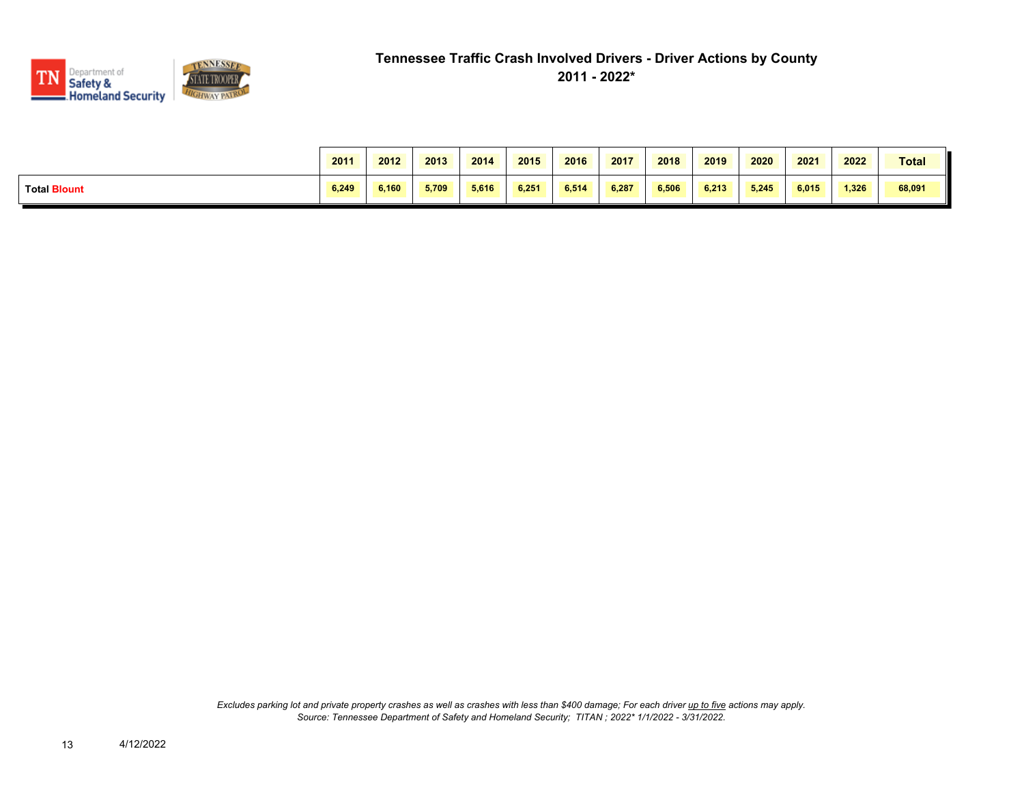

|                     | 2011  | 2012  | 2013  | 2014  | 2015  | 2016  | 2017  | 2018  | 2019  | 2020  | 2021  | 2022  | Total  |
|---------------------|-------|-------|-------|-------|-------|-------|-------|-------|-------|-------|-------|-------|--------|
| <b>Total Blount</b> | 6.249 | 6.160 | 5.709 | 5.616 | 6.251 | 6.514 | 6.287 | 6.506 | 6.213 | 5.245 | 6.015 | 1.326 | 68,091 |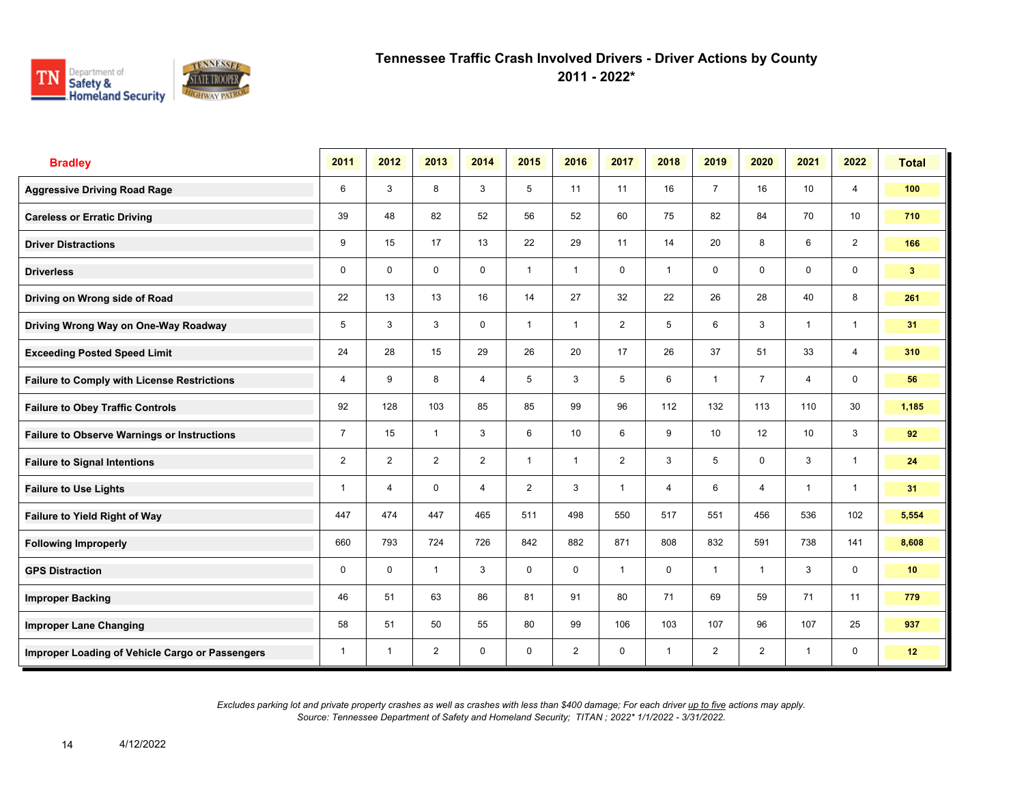

**2011 - 2022\***

| <b>Bradley</b>                                     | 2011           | 2012           | 2013           | 2014           | 2015           | 2016           | 2017           | 2018           | 2019            | 2020           | 2021         | 2022           | <b>Total</b>   |
|----------------------------------------------------|----------------|----------------|----------------|----------------|----------------|----------------|----------------|----------------|-----------------|----------------|--------------|----------------|----------------|
| <b>Aggressive Driving Road Rage</b>                | 6              | 3              | 8              | 3              | 5              | 11             | 11             | 16             | $\overline{7}$  | 16             | 10           | $\overline{4}$ | 100            |
| <b>Careless or Erratic Driving</b>                 | 39             | 48             | 82             | 52             | 56             | 52             | 60             | 75             | 82              | 84             | 70           | 10             | 710            |
| <b>Driver Distractions</b>                         | 9              | 15             | 17             | 13             | 22             | 29             | 11             | 14             | 20              | 8              | 6            | $\overline{2}$ | 166            |
| <b>Driverless</b>                                  | $\mathbf 0$    | $\mathbf 0$    | $\mathbf 0$    | $\mathbf 0$    | $\mathbf{1}$   | $\mathbf{1}$   | $\mathbf 0$    | $\mathbf{1}$   | $\mathbf 0$     | $\mathbf 0$    | $\mathbf 0$  | $\mathbf 0$    | 3 <sup>2</sup> |
| Driving on Wrong side of Road                      | 22             | 13             | 13             | 16             | 14             | 27             | 32             | 22             | 26              | 28             | 40           | 8              | 261            |
| Driving Wrong Way on One-Way Roadway               | 5              | 3              | 3              | 0              | $\mathbf{1}$   | $\mathbf 1$    | $\overline{2}$ | 5              | 6               | 3              | $\mathbf{1}$ | $\mathbf{1}$   | 31             |
| <b>Exceeding Posted Speed Limit</b>                | 24             | 28             | 15             | 29             | 26             | 20             | 17             | 26             | 37              | 51             | 33           | $\overline{4}$ | 310            |
| <b>Failure to Comply with License Restrictions</b> | 4              | 9              | 8              | 4              | 5              | 3              | 5              | 6              | $\mathbf{1}$    | $\overline{7}$ | 4            | $\mathbf 0$    | 56             |
| <b>Failure to Obey Traffic Controls</b>            | 92             | 128            | 103            | 85             | 85             | 99             | 96             | 112            | 132             | 113            | 110          | 30             | 1,185          |
| <b>Failure to Observe Warnings or Instructions</b> | $\overline{7}$ | 15             | $\mathbf{1}$   | 3              | 6              | 10             | 6              | 9              | 10 <sup>1</sup> | 12             | 10           | 3              | 92             |
| <b>Failure to Signal Intentions</b>                | $\overline{2}$ | $\overline{2}$ | $\overline{2}$ | $\overline{2}$ | $\mathbf{1}$   | $\mathbf{1}$   | $\overline{2}$ | 3              | 5               | $\mathbf 0$    | 3            | $\mathbf{1}$   | 24             |
| <b>Failure to Use Lights</b>                       | 1              | 4              | $\mathbf 0$    | $\overline{4}$ | $\overline{2}$ | 3              | $\mathbf{1}$   | $\overline{4}$ | 6               | 4              | $\mathbf{1}$ | $\mathbf{1}$   | 31             |
| Failure to Yield Right of Way                      | 447            | 474            | 447            | 465            | 511            | 498            | 550            | 517            | 551             | 456            | 536          | 102            | 5,554          |
| <b>Following Improperly</b>                        | 660            | 793            | 724            | 726            | 842            | 882            | 871            | 808            | 832             | 591            | 738          | 141            | 8,608          |
| <b>GPS Distraction</b>                             | 0              | 0              | $\mathbf{1}$   | 3              | $\mathbf 0$    | $\mathbf 0$    | $\mathbf{1}$   | 0              | $\mathbf{1}$    | $\mathbf 1$    | 3            | $\mathbf 0$    | 10             |
| <b>Improper Backing</b>                            | 46             | 51             | 63             | 86             | 81             | 91             | 80             | 71             | 69              | 59             | 71           | 11             | 779            |
| <b>Improper Lane Changing</b>                      | 58             | 51             | 50             | 55             | 80             | 99             | 106            | 103            | 107             | 96             | 107          | 25             | 937            |
| Improper Loading of Vehicle Cargo or Passengers    | $\mathbf{1}$   | $\mathbf{1}$   | $\overline{2}$ | 0              | 0              | $\overline{2}$ | 0              | $\mathbf{1}$   | $\overline{2}$  | $\overline{2}$ | $\mathbf{1}$ | 0              | 12             |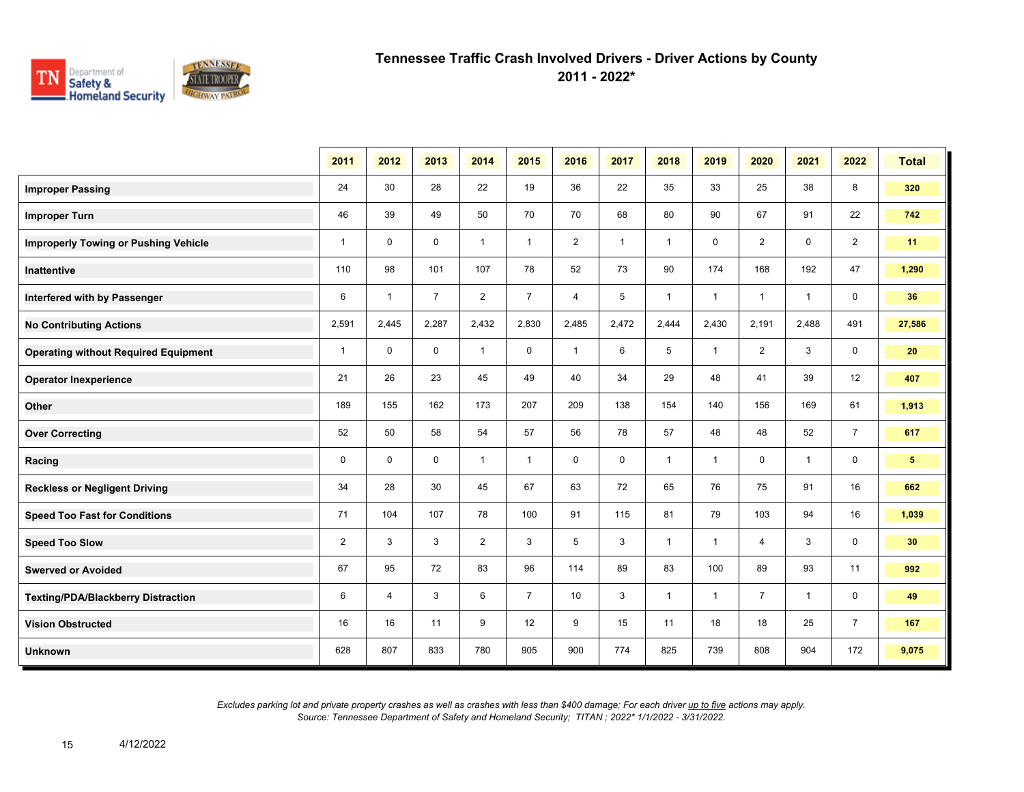

**2011 - 2022\***

|                                             | 2011           | 2012         | 2013           | 2014           | 2015           | 2016           | 2017         | 2018         | 2019         | 2020           | 2021         | 2022           | <b>Total</b>   |
|---------------------------------------------|----------------|--------------|----------------|----------------|----------------|----------------|--------------|--------------|--------------|----------------|--------------|----------------|----------------|
| <b>Improper Passing</b>                     | 24             | 30           | 28             | 22             | 19             | 36             | 22           | 35           | 33           | 25             | 38           | 8              | 320            |
| <b>Improper Turn</b>                        | 46             | 39           | 49             | 50             | 70             | 70             | 68           | 80           | 90           | 67             | 91           | 22             | 742            |
| <b>Improperly Towing or Pushing Vehicle</b> | $\mathbf{1}$   | $\mathbf 0$  | $\mathbf 0$    | $\mathbf{1}$   | $\mathbf{1}$   | $\overline{2}$ | $\mathbf{1}$ | $\mathbf{1}$ | $\mathbf 0$  | $\overline{2}$ | $\mathbf 0$  | $\overline{2}$ | 11             |
| <b>Inattentive</b>                          | 110            | 98           | 101            | 107            | 78             | 52             | 73           | 90           | 174          | 168            | 192          | 47             | 1,290          |
| Interfered with by Passenger                | 6              | $\mathbf{1}$ | $\overline{7}$ | $\overline{2}$ | $\overline{7}$ | 4              | 5            | $\mathbf{1}$ | $\mathbf{1}$ | $\mathbf{1}$   | $\mathbf{1}$ | $\mathbf 0$    | 36             |
| <b>No Contributing Actions</b>              | 2,591          | 2,445        | 2,287          | 2,432          | 2,830          | 2,485          | 2,472        | 2,444        | 2,430        | 2,191          | 2,488        | 491            | 27,586         |
| <b>Operating without Required Equipment</b> | $\mathbf{1}$   | $\mathbf 0$  | $\mathbf 0$    | $\mathbf{1}$   | $\mathbf 0$    | $\mathbf{1}$   | 6            | 5            | $\mathbf{1}$ | $\overline{2}$ | 3            | $\mathbf 0$    | 20             |
| <b>Operator Inexperience</b>                | 21             | 26           | 23             | 45             | 49             | 40             | 34           | 29           | 48           | 41             | 39           | 12             | 407            |
| Other                                       | 189            | 155          | 162            | 173            | 207            | 209            | 138          | 154          | 140          | 156            | 169          | 61             | 1,913          |
| <b>Over Correcting</b>                      | 52             | 50           | 58             | 54             | 57             | 56             | 78           | 57           | 48           | 48             | 52           | $\overline{7}$ | 617            |
| Racing                                      | 0              | $\mathbf 0$  | $\mathbf 0$    | $\mathbf{1}$   | $\mathbf{1}$   | $\mathbf 0$    | $\mathbf 0$  | $\mathbf{1}$ | $\mathbf{1}$ | $\mathbf 0$    | $\mathbf{1}$ | 0              | 5 <sup>5</sup> |
| <b>Reckless or Negligent Driving</b>        | 34             | 28           | 30             | 45             | 67             | 63             | 72           | 65           | 76           | 75             | 91           | 16             | 662            |
| <b>Speed Too Fast for Conditions</b>        | 71             | 104          | 107            | 78             | 100            | 91             | 115          | 81           | 79           | 103            | 94           | 16             | 1,039          |
| <b>Speed Too Slow</b>                       | $\overline{2}$ | 3            | 3              | $\overline{2}$ | 3              | 5              | 3            | $\mathbf{1}$ | $\mathbf{1}$ | 4              | 3            | 0              | 30             |
| <b>Swerved or Avoided</b>                   | 67             | 95           | 72             | 83             | 96             | 114            | 89           | 83           | 100          | 89             | 93           | 11             | 992            |
| <b>Texting/PDA/Blackberry Distraction</b>   | 6              | 4            | 3              | 6              | $\overline{7}$ | 10             | 3            | $\mathbf{1}$ | $\mathbf{1}$ | $\overline{7}$ | $\mathbf{1}$ | 0              | 49             |
| <b>Vision Obstructed</b>                    | 16             | 16           | 11             | 9              | 12             | 9              | 15           | 11           | 18           | 18             | 25           | $\overline{7}$ | 167            |
| <b>Unknown</b>                              | 628            | 807          | 833            | 780            | 905            | 900            | 774          | 825          | 739          | 808            | 904          | 172            | 9,075          |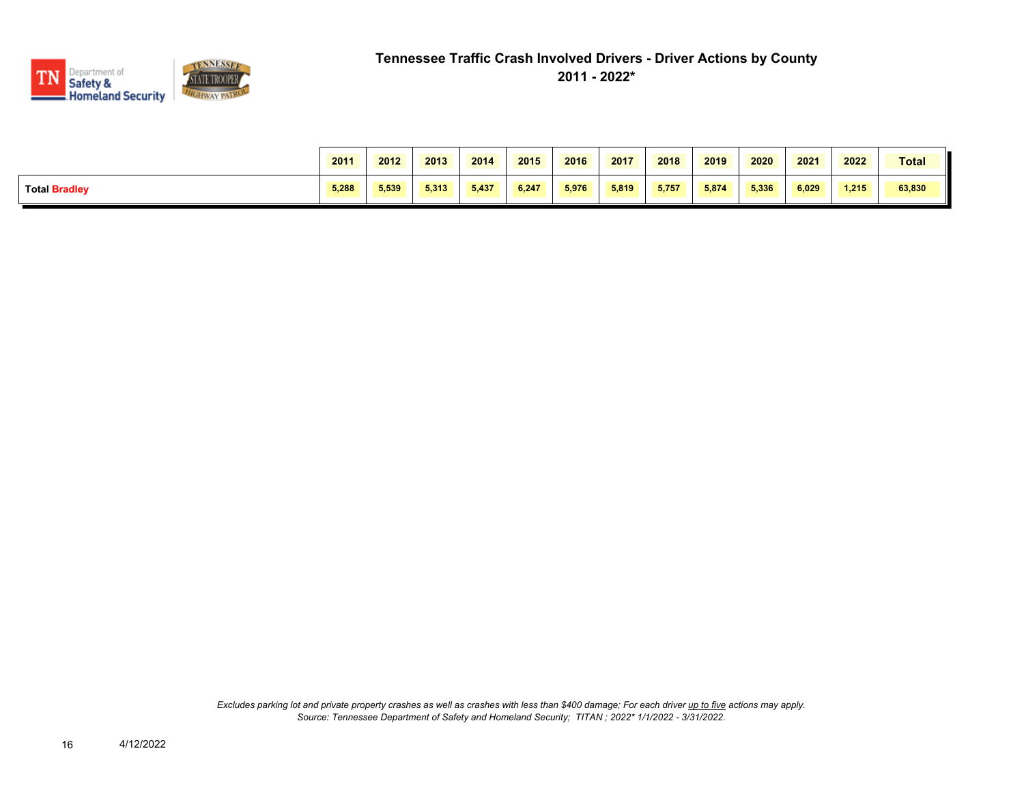

|                      | 2011  | 2012  | 2013  | 2014  | 2015  | 2016  | 2017  | 2018  | 2019  | 2020  | 2021  | 2022  | <b>Total</b> |
|----------------------|-------|-------|-------|-------|-------|-------|-------|-------|-------|-------|-------|-------|--------------|
| <b>Total Bradley</b> | 5.288 | 5,539 | 5.313 | 5.437 | 6.247 | 5.976 | 5.819 | 5.757 | 5.874 | 5.336 | 6.029 | 1.215 | 63,830       |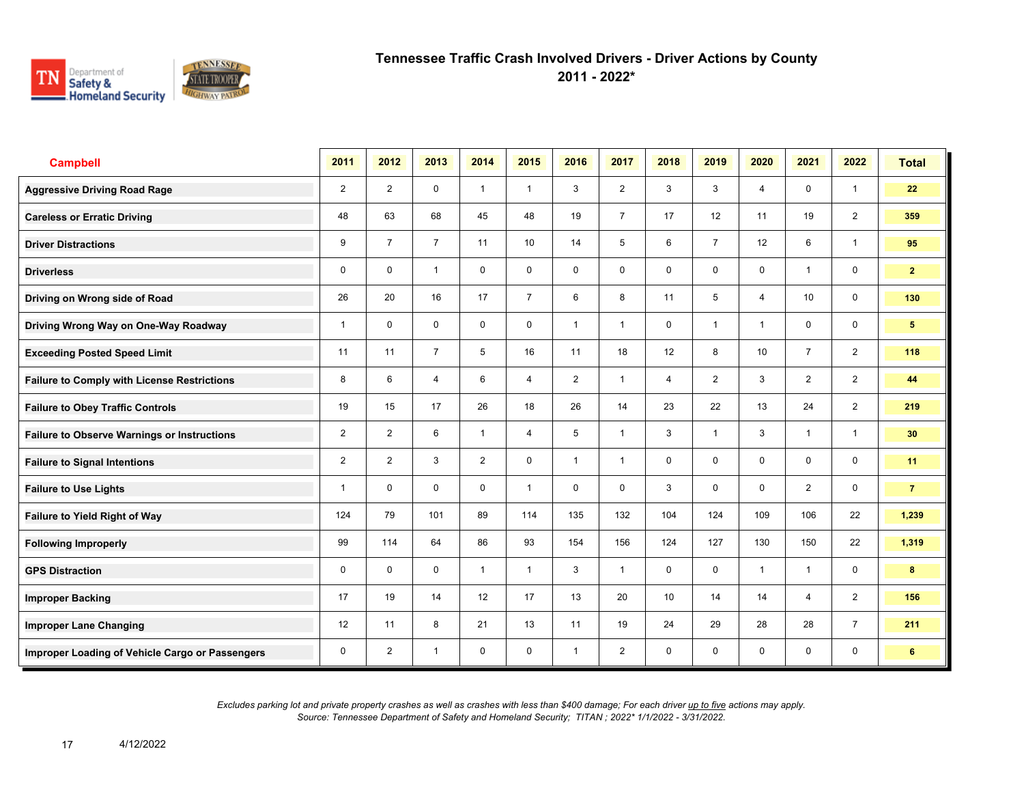

**2011 - 2022\***

| <b>Campbell</b>                                    | 2011           | 2012           | 2013           | 2014           | 2015           | 2016                    | 2017           | 2018           | 2019           | 2020           | 2021           | 2022           | <b>Total</b>   |
|----------------------------------------------------|----------------|----------------|----------------|----------------|----------------|-------------------------|----------------|----------------|----------------|----------------|----------------|----------------|----------------|
| <b>Aggressive Driving Road Rage</b>                | $\overline{2}$ | $\overline{2}$ | $\mathbf 0$    | $\mathbf{1}$   | $\mathbf{1}$   | 3                       | $\overline{2}$ | 3              | 3              | $\overline{4}$ | $\mathbf 0$    | $\mathbf{1}$   | 22             |
| <b>Careless or Erratic Driving</b>                 | 48             | 63             | 68             | 45             | 48             | 19                      | $\overline{7}$ | 17             | 12             | 11             | 19             | $\overline{2}$ | 359            |
| <b>Driver Distractions</b>                         | 9              | $\overline{7}$ | $\overline{7}$ | 11             | 10             | 14                      | 5              | 6              | $\overline{7}$ | 12             | 6              | $\mathbf{1}$   | 95             |
| <b>Driverless</b>                                  | 0              | $\mathbf 0$    | $\mathbf{1}$   | $\mathbf 0$    | 0              | $\mathbf 0$             | 0              | $\mathbf 0$    | 0              | $\mathbf 0$    | $\mathbf{1}$   | $\mathbf 0$    | $\mathbf{2}$   |
| Driving on Wrong side of Road                      | 26             | 20             | 16             | 17             | $\overline{7}$ | 6                       | 8              | 11             | 5              | 4              | 10             | $\mathbf 0$    | 130            |
| Driving Wrong Way on One-Way Roadway               | $\mathbf{1}$   | $\mathbf 0$    | $\mathbf 0$    | $\mathbf 0$    | $\mathbf 0$    | $\overline{1}$          | 1              | $\mathbf 0$    | $\mathbf 1$    | $\overline{1}$ | $\mathbf 0$    | $\mathbf 0$    | 5 <sup>5</sup> |
| <b>Exceeding Posted Speed Limit</b>                | 11             | 11             | $\overline{7}$ | 5              | 16             | 11                      | 18             | 12             | 8              | 10             | $\overline{7}$ | $\overline{2}$ | 118            |
| <b>Failure to Comply with License Restrictions</b> | 8              | 6              | $\overline{4}$ | 6              | $\overline{4}$ | $\overline{2}$          | $\mathbf{1}$   | $\overline{4}$ | $\overline{2}$ | 3              | $\overline{2}$ | $\overline{2}$ | 44             |
| <b>Failure to Obey Traffic Controls</b>            | 19             | 15             | 17             | 26             | 18             | 26                      | 14             | 23             | 22             | 13             | 24             | $\overline{2}$ | 219            |
| <b>Failure to Observe Warnings or Instructions</b> | $\overline{2}$ | $\overline{2}$ | 6              | $\mathbf{1}$   | $\overline{4}$ | 5                       | $\overline{1}$ | 3              | 1              | 3              | $\mathbf{1}$   | $\mathbf{1}$   | 30             |
| <b>Failure to Signal Intentions</b>                | 2              | $\overline{2}$ | 3              | $\overline{2}$ | $\mathbf 0$    | $\overline{\mathbf{1}}$ | $\overline{1}$ | $\mathbf 0$    | 0              | 0              | 0              | $\mathbf 0$    | 11             |
| <b>Failure to Use Lights</b>                       | $\mathbf 1$    | $\mathbf 0$    | $\mathbf 0$    | $\mathbf 0$    | $\mathbf{1}$   | 0                       | 0              | 3              | 0              | $\Omega$       | $\overline{2}$ | $\mathbf 0$    | $\overline{7}$ |
| <b>Failure to Yield Right of Way</b>               | 124            | 79             | 101            | 89             | 114            | 135                     | 132            | 104            | 124            | 109            | 106            | 22             | 1,239          |
| <b>Following Improperly</b>                        | 99             | 114            | 64             | 86             | 93             | 154                     | 156            | 124            | 127            | 130            | 150            | 22             | 1,319          |
| <b>GPS Distraction</b>                             | 0              | $\mathbf 0$    | $\mathbf 0$    | $\mathbf{1}$   | $\mathbf{1}$   | 3                       | $\overline{1}$ | $\mathbf 0$    | 0              | $\overline{1}$ | $\overline{1}$ | $\mathbf 0$    | 8              |
| <b>Improper Backing</b>                            | 17             | 19             | 14             | 12             | 17             | 13                      | 20             | 10             | 14             | 14             | 4              | $\overline{2}$ | 156            |
| <b>Improper Lane Changing</b>                      | 12             | 11             | 8              | 21             | 13             | 11                      | 19             | 24             | 29             | 28             | 28             | $\overline{7}$ | 211            |
| Improper Loading of Vehicle Cargo or Passengers    | $\mathbf 0$    | $\overline{2}$ | $\overline{1}$ | $\mathbf 0$    | $\mathbf 0$    | $\overline{1}$          | $\overline{2}$ | $\mathbf 0$    | 0              | $\mathbf 0$    | $\mathbf 0$    | $\mathbf 0$    | 6              |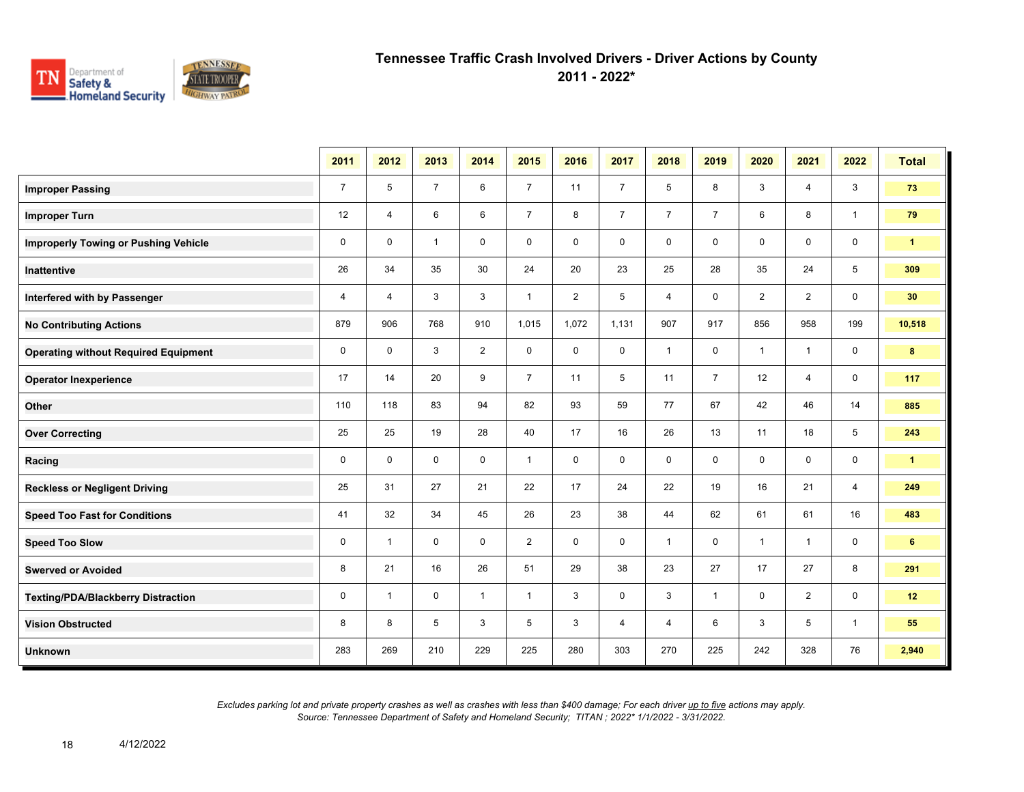

**2011 - 2022\***

|                                             | 2011           | 2012           | 2013           | 2014           | 2015           | 2016           | 2017           | 2018           | 2019           | 2020           | 2021           | 2022           | <b>Total</b>    |
|---------------------------------------------|----------------|----------------|----------------|----------------|----------------|----------------|----------------|----------------|----------------|----------------|----------------|----------------|-----------------|
| <b>Improper Passing</b>                     | $\overline{7}$ | 5              | $\overline{7}$ | 6              | $\overline{7}$ | 11             | $\overline{7}$ | 5              | 8              | 3              | $\overline{4}$ | 3              | 73              |
| <b>Improper Turn</b>                        | 12             | $\overline{4}$ | 6              | 6              | $\overline{7}$ | 8              | $\overline{7}$ | $\overline{7}$ | $\overline{7}$ | 6              | 8              | $\overline{1}$ | 79              |
| <b>Improperly Towing or Pushing Vehicle</b> | $\mathbf 0$    | $\mathbf 0$    | $\mathbf{1}$   | $\mathbf 0$    | $\mathbf 0$    | $\mathbf 0$    | $\mathbf 0$    | $\mathbf 0$    | $\mathbf 0$    | $\mathbf 0$    | 0              | $\mathbf 0$    | $\mathbf{1}$    |
| <b>Inattentive</b>                          | 26             | 34             | 35             | 30             | 24             | 20             | 23             | 25             | 28             | 35             | 24             | 5              | 309             |
| Interfered with by Passenger                | 4              | $\overline{4}$ | 3              | 3              | $\mathbf{1}$   | $\overline{2}$ | 5              | $\overline{4}$ | 0              | $\overline{2}$ | $\overline{2}$ | $\mathbf 0$    | 30 <sub>o</sub> |
| <b>No Contributing Actions</b>              | 879            | 906            | 768            | 910            | 1,015          | 1,072          | 1,131          | 907            | 917            | 856            | 958            | 199            | 10,518          |
| <b>Operating without Required Equipment</b> | $\mathbf 0$    | $\mathbf 0$    | 3              | $\overline{2}$ | $\mathbf 0$    | $\mathbf 0$    | 0              | $\mathbf{1}$   | 0              | $\mathbf{1}$   | $\mathbf{1}$   | $\mathbf 0$    | $\bf{8}$        |
| <b>Operator Inexperience</b>                | 17             | 14             | 20             | 9              | $\overline{7}$ | 11             | 5              | 11             | $\overline{7}$ | 12             | $\overline{4}$ | $\mathbf 0$    | 117             |
| Other                                       | 110            | 118            | 83             | 94             | 82             | 93             | 59             | 77             | 67             | 42             | 46             | 14             | 885             |
| <b>Over Correcting</b>                      | 25             | 25             | 19             | 28             | 40             | 17             | 16             | 26             | 13             | 11             | 18             | 5              | 243             |
| Racing                                      | $\mathbf 0$    | $\mathbf 0$    | $\mathbf 0$    | $\mathbf 0$    | $\mathbf{1}$   | $\mathbf 0$    | $\mathbf 0$    | $\mathbf 0$    | $\mathbf 0$    | $\mathbf 0$    | $\mathbf 0$    | $\mathbf 0$    | $\mathbf{1}$    |
| <b>Reckless or Negligent Driving</b>        | 25             | 31             | 27             | 21             | 22             | 17             | 24             | 22             | 19             | 16             | 21             | $\overline{4}$ | 249             |
| <b>Speed Too Fast for Conditions</b>        | 41             | 32             | 34             | 45             | 26             | 23             | 38             | 44             | 62             | 61             | 61             | 16             | 483             |
| <b>Speed Too Slow</b>                       | 0              | $\mathbf{1}$   | $\mathbf 0$    | $\mathbf 0$    | $\overline{2}$ | $\mathbf 0$    | $\mathbf 0$    | $\mathbf{1}$   | 0              | $\mathbf{1}$   | $\mathbf{1}$   | $\mathbf 0$    | $6\phantom{.}$  |
| <b>Swerved or Avoided</b>                   | 8              | 21             | 16             | 26             | 51             | 29             | 38             | 23             | 27             | 17             | 27             | 8              | 291             |
| <b>Texting/PDA/Blackberry Distraction</b>   | $\mathbf 0$    | $\mathbf{1}$   | $\mathbf 0$    | $\mathbf{1}$   | $\mathbf{1}$   | 3              | 0              | 3              | $\mathbf{1}$   | $\mathbf 0$    | $\overline{2}$ | 0              | 12              |
| <b>Vision Obstructed</b>                    | 8              | 8              | 5              | 3              | 5              | 3              | 4              | 4              | 6              | 3              | 5              | $\mathbf{1}$   | 55              |
| <b>Unknown</b>                              | 283            | 269            | 210            | 229            | 225            | 280            | 303            | 270            | 225            | 242            | 328            | 76             | 2,940           |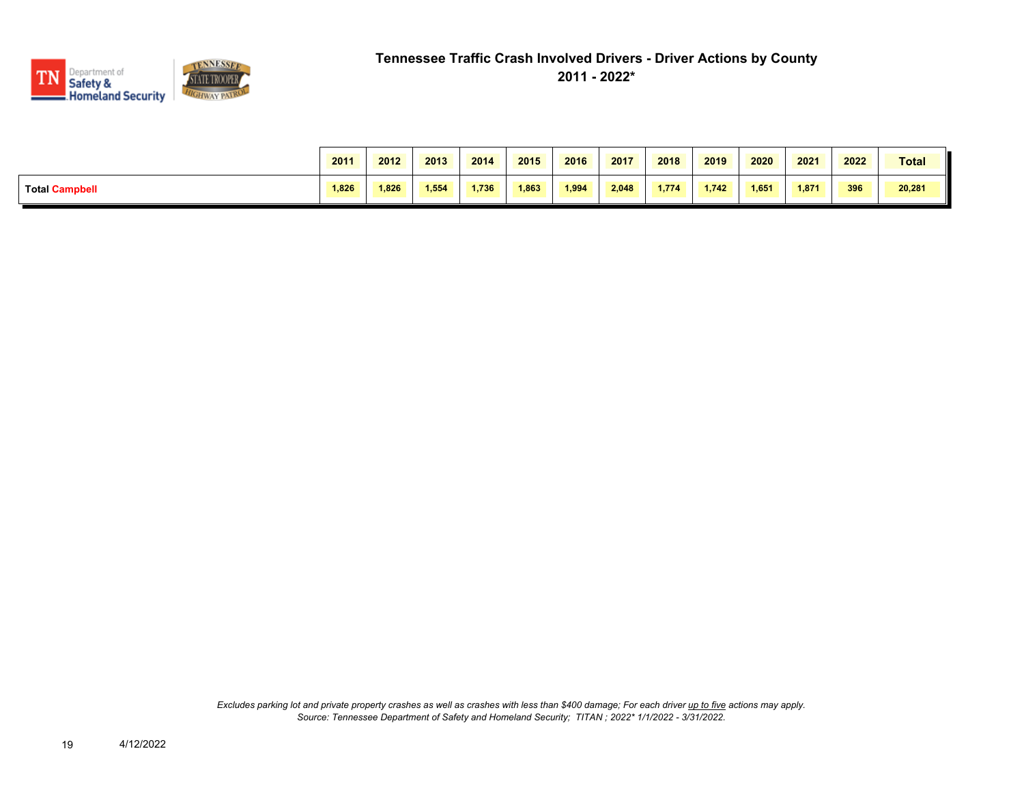

|                       | 2011  | 2012  | 2013  | 2014  | 2015  | 2016  | 2017  | 2018  | 2019  | 2020  | 2021  | 2022 | <b>Total</b> |
|-----------------------|-------|-------|-------|-------|-------|-------|-------|-------|-------|-------|-------|------|--------------|
| <b>Total Campbell</b> | 1,826 | 1,826 | 1,554 | 1,736 | 1.863 | 1,994 | 2,048 | 1,774 | 1.742 | 1,651 | 1,871 | 396  | 20,281       |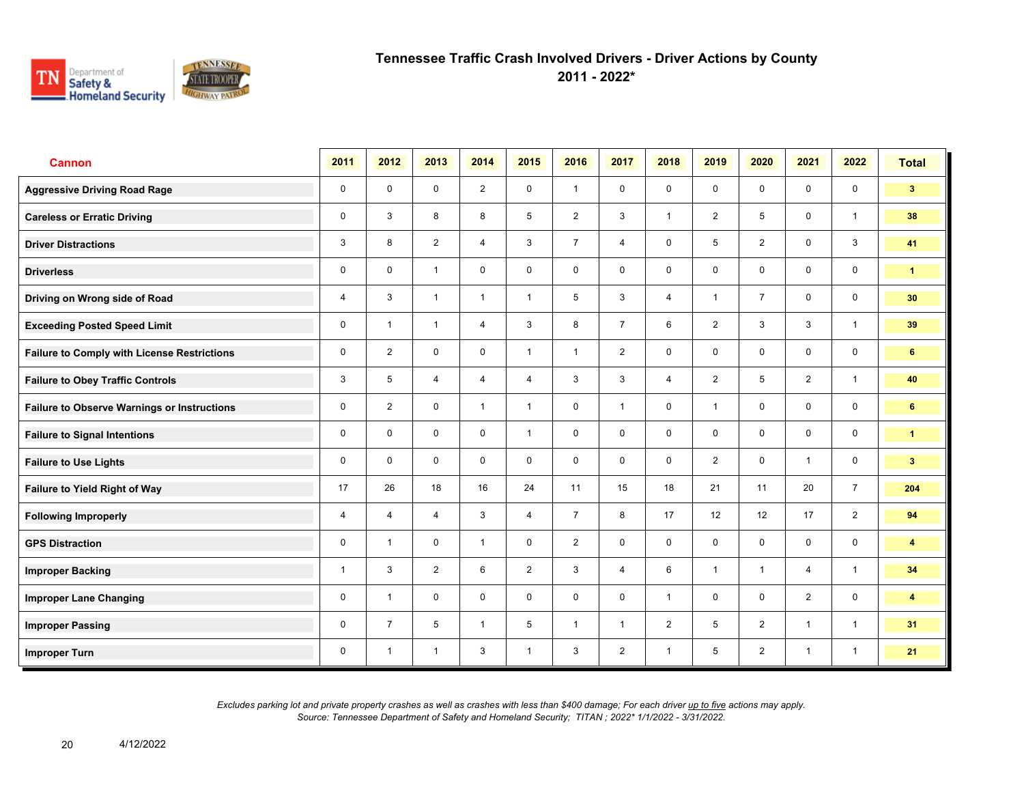

**2011 - 2022\***

| <b>Cannon</b>                                      | 2011 | 2012                    | 2013           | 2014           | 2015           | 2016           | 2017           | 2018           | 2019           | 2020           | 2021           | 2022           | <b>Total</b>            |
|----------------------------------------------------|------|-------------------------|----------------|----------------|----------------|----------------|----------------|----------------|----------------|----------------|----------------|----------------|-------------------------|
| <b>Aggressive Driving Road Rage</b>                | 0    | $\mathbf 0$             | $\mathbf 0$    | 2              | $\mathbf 0$    | $\overline{1}$ | $\mathbf 0$    | $\mathbf 0$    | $\mathbf 0$    | $\mathbf 0$    | $\mathbf 0$    | $\mathbf 0$    | 3 <sup>1</sup>          |
| <b>Careless or Erratic Driving</b>                 | 0    | 3                       | 8              | 8              | 5              | 2              | $\mathbf{3}$   | $\mathbf{1}$   | $\overline{2}$ | 5              | $\mathbf 0$    | $\mathbf{1}$   | 38                      |
| <b>Driver Distractions</b>                         | 3    | 8                       | 2              | $\overline{4}$ | 3              | $\overline{7}$ | $\overline{4}$ | $\mathbf 0$    | 5              | $\overline{2}$ | $\mathbf 0$    | $\mathbf{3}$   | 41                      |
| <b>Driverless</b>                                  | 0    | $\mathbf 0$             | $\overline{1}$ | $\mathbf 0$    | 0              | $\mathbf 0$    | $\mathbf 0$    | $\mathbf 0$    | $\mathbf 0$    | $\mathbf 0$    | $\mathbf 0$    | $\mathbf 0$    | $\mathbf{1}$            |
| Driving on Wrong side of Road                      | 4    | 3                       | $\overline{1}$ | $\overline{1}$ | $\mathbf{1}$   | 5              | 3              | $\overline{4}$ | 1              | $\overline{7}$ | $\mathbf 0$    | $\mathbf 0$    | 30                      |
| <b>Exceeding Posted Speed Limit</b>                | 0    | $\overline{\mathbf{1}}$ | $\mathbf{1}$   | $\overline{4}$ | 3              | 8              | $\overline{7}$ | 6              | $\overline{2}$ | 3              | $\mathbf{3}$   | $\mathbf{1}$   | 39                      |
| <b>Failure to Comply with License Restrictions</b> | 0    | $\overline{2}$          | $\mathbf 0$    | $\mathbf 0$    | $\mathbf{1}$   | $\mathbf{1}$   | 2              | $\mathbf 0$    | $\mathbf 0$    | $\mathbf 0$    | $\mathbf 0$    | $\mathbf 0$    | 6                       |
| <b>Failure to Obey Traffic Controls</b>            | 3    | 5                       | $\overline{4}$ | $\overline{4}$ | $\overline{4}$ | 3              | 3              | $\overline{4}$ | $\overline{2}$ | 5              | $\overline{2}$ | $\mathbf{1}$   | 40                      |
| <b>Failure to Observe Warnings or Instructions</b> | 0    | $\overline{2}$          | $\mathbf 0$    | $\mathbf{1}$   | $\mathbf{1}$   | $\mathbf 0$    | $\mathbf{1}$   | $\mathbf 0$    | $\mathbf{1}$   | $\mathbf 0$    | $\mathbf 0$    | $\mathbf 0$    | 6                       |
| <b>Failure to Signal Intentions</b>                | 0    | $\Omega$                | $\Omega$       | $\mathbf 0$    | $\mathbf{1}$   | $\mathbf 0$    | $\mathbf 0$    | $\mathbf 0$    | $\mathbf 0$    | $\mathbf 0$    | $\mathbf 0$    | $\mathbf 0$    | $\blacktriangleleft$    |
| <b>Failure to Use Lights</b>                       | 0    | $\mathbf 0$             | $\mathbf 0$    | $\mathbf 0$    | 0              | $\mathbf 0$    | $\mathbf 0$    | $\mathbf 0$    | $\overline{2}$ | $\mathbf 0$    | $\mathbf{1}$   | $\mathbf 0$    | 3 <sup>1</sup>          |
| <b>Failure to Yield Right of Way</b>               | 17   | 26                      | 18             | 16             | 24             | 11             | 15             | 18             | 21             | 11             | 20             | $\overline{7}$ | 204                     |
| <b>Following Improperly</b>                        | 4    | 4                       | $\overline{4}$ | 3              | $\overline{4}$ | $\overline{7}$ | 8              | 17             | 12             | 12             | 17             | $\overline{2}$ | 94                      |
| <b>GPS Distraction</b>                             | 0    | $\overline{1}$          | $\mathbf 0$    | $\mathbf{1}$   | $\mathbf 0$    | $\overline{2}$ | $\mathbf 0$    | $\mathbf 0$    | $\mathbf 0$    | $\mathbf 0$    | $\mathbf 0$    | $\mathbf 0$    | $\overline{\mathbf{4}}$ |
| <b>Improper Backing</b>                            | 1    | 3                       | $\overline{2}$ | 6              | $\overline{2}$ | 3              | $\overline{4}$ | 6              | $\mathbf{1}$   | $\overline{1}$ | $\overline{4}$ | $\mathbf{1}$   | 34                      |
| <b>Improper Lane Changing</b>                      | 0    | $\overline{1}$          | $\mathbf 0$    | $\mathbf 0$    | $\mathbf 0$    | $\mathbf 0$    | $\mathbf 0$    | $\mathbf{1}$   | $\mathbf 0$    | $\mathbf 0$    | $\overline{2}$ | $\mathbf 0$    | 4                       |
| <b>Improper Passing</b>                            | 0    | $\overline{7}$          | 5              | $\mathbf{1}$   | 5              | $\overline{1}$ | $\mathbf{1}$   | $\overline{2}$ | 5              | 2              | $\mathbf{1}$   | $\mathbf{1}$   | 31                      |
| <b>Improper Turn</b>                               | 0    | $\overline{1}$          | $\overline{1}$ | 3              | $\mathbf{1}$   | 3              | $\overline{2}$ | $\mathbf{1}$   | 5              | $\overline{2}$ | $\mathbf{1}$   | $\mathbf{1}$   | 21                      |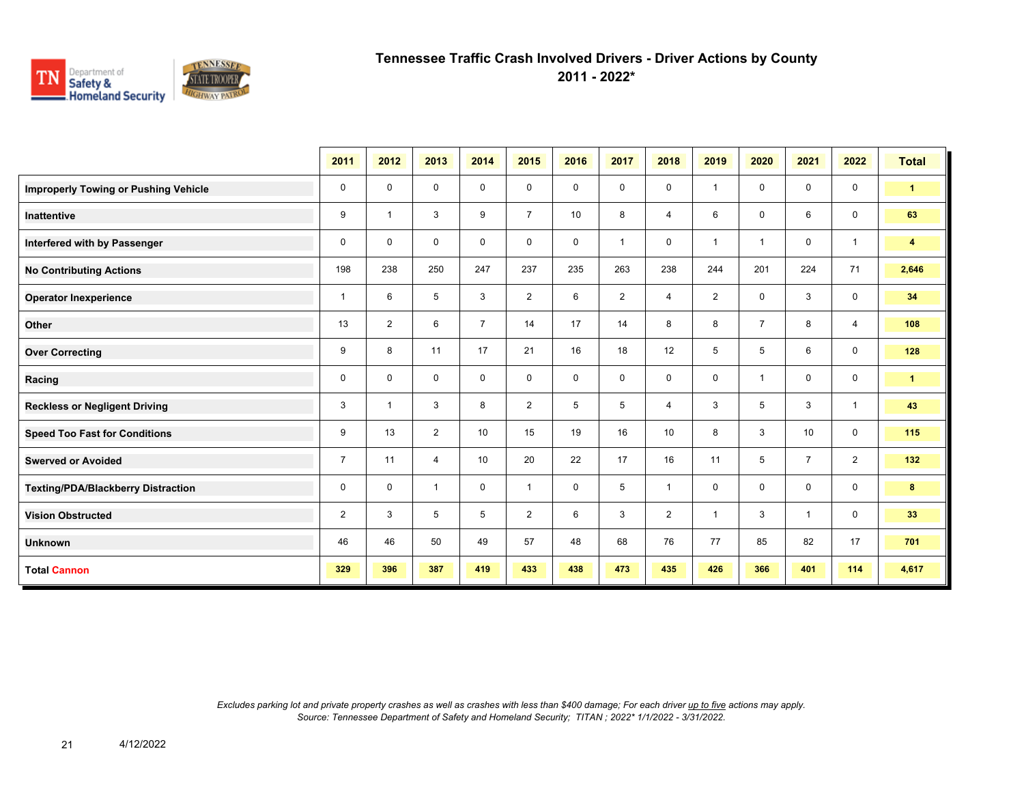

**2011 - 2022\***

|                                             | 2011           | 2012           | 2013           | 2014           | 2015           | 2016        | 2017           | 2018           | 2019           | 2020           | 2021           | 2022           | <b>Total</b>         |
|---------------------------------------------|----------------|----------------|----------------|----------------|----------------|-------------|----------------|----------------|----------------|----------------|----------------|----------------|----------------------|
| <b>Improperly Towing or Pushing Vehicle</b> | 0              | 0              | 0              | 0              | 0              | $\mathbf 0$ | $\mathbf 0$    | $\mathbf 0$    | 1              | $\mathbf 0$    | 0              | $\mathbf 0$    | $\blacktriangleleft$ |
| Inattentive                                 | 9              | $\overline{1}$ | 3              | 9              | $\overline{7}$ | 10          | 8              | $\overline{4}$ | 6              | $\mathbf 0$    | 6              | $\mathbf 0$    | 63                   |
| Interfered with by Passenger                | 0              | $\mathbf 0$    | 0              | $\mathbf 0$    | 0              | $\mathbf 0$ | $\overline{1}$ | $\mathbf 0$    | 1              | $\overline{1}$ | $\mathbf 0$    | $\mathbf{1}$   | $\overline{4}$       |
| <b>No Contributing Actions</b>              | 198            | 238            | 250            | 247            | 237            | 235         | 263            | 238            | 244            | 201            | 224            | 71             | 2,646                |
| <b>Operator Inexperience</b>                | $\overline{1}$ | 6              | 5              | 3              | $\overline{2}$ | 6           | $\overline{2}$ | $\overline{4}$ | $\overline{2}$ | $\mathbf 0$    | 3              | $\mathbf 0$    | 34                   |
| Other                                       | 13             | 2              | 6              | $\overline{7}$ | 14             | 17          | 14             | 8              | 8              | $\overline{7}$ | 8              | 4              | 108                  |
| <b>Over Correcting</b>                      | 9              | 8              | 11             | 17             | 21             | 16          | 18             | 12             | 5              | 5              | 6              | $\mathbf 0$    | 128                  |
| Racing                                      | 0              | 0              | 0              | 0              | 0              | $\mathbf 0$ | $\mathbf 0$    | $\mathbf 0$    | 0              | $\overline{1}$ | $\mathbf 0$    | $\mathbf 0$    | $\mathbf{1}$         |
| <b>Reckless or Negligent Driving</b>        | 3              | $\overline{1}$ | 3              | 8              | $\overline{2}$ | 5           | 5              | $\overline{4}$ | 3              | 5              | 3              | $\mathbf{1}$   | 43                   |
| <b>Speed Too Fast for Conditions</b>        | 9              | 13             | $\overline{2}$ | 10             | 15             | 19          | 16             | 10             | 8              | 3              | 10             | $\mathsf{O}$   | 115                  |
| <b>Swerved or Avoided</b>                   | $\overline{7}$ | 11             | $\overline{4}$ | 10             | 20             | 22          | 17             | 16             | 11             | 5              | $\overline{7}$ | $\overline{2}$ | 132                  |
| <b>Texting/PDA/Blackberry Distraction</b>   | 0              | $\mathbf 0$    | $\overline{1}$ | $\mathbf 0$    | 1              | $\mathbf 0$ | 5              | $\overline{1}$ | 0              | $\mathbf 0$    | $\mathbf 0$    | $\mathbf 0$    | 8                    |
| <b>Vision Obstructed</b>                    | $\overline{2}$ | 3              | 5              | 5              | $\overline{2}$ | 6           | 3              | $\overline{2}$ | 1              | $\mathbf{3}$   | $\mathbf{1}$   | 0              | 33                   |
| <b>Unknown</b>                              | 46             | 46             | 50             | 49             | 57             | 48          | 68             | 76             | 77             | 85             | 82             | 17             | 701                  |
| <b>Total Cannon</b>                         | 329            | 396            | 387            | 419            | 433            | 438         | 473            | 435            | 426            | 366            | 401            | 114            | 4,617                |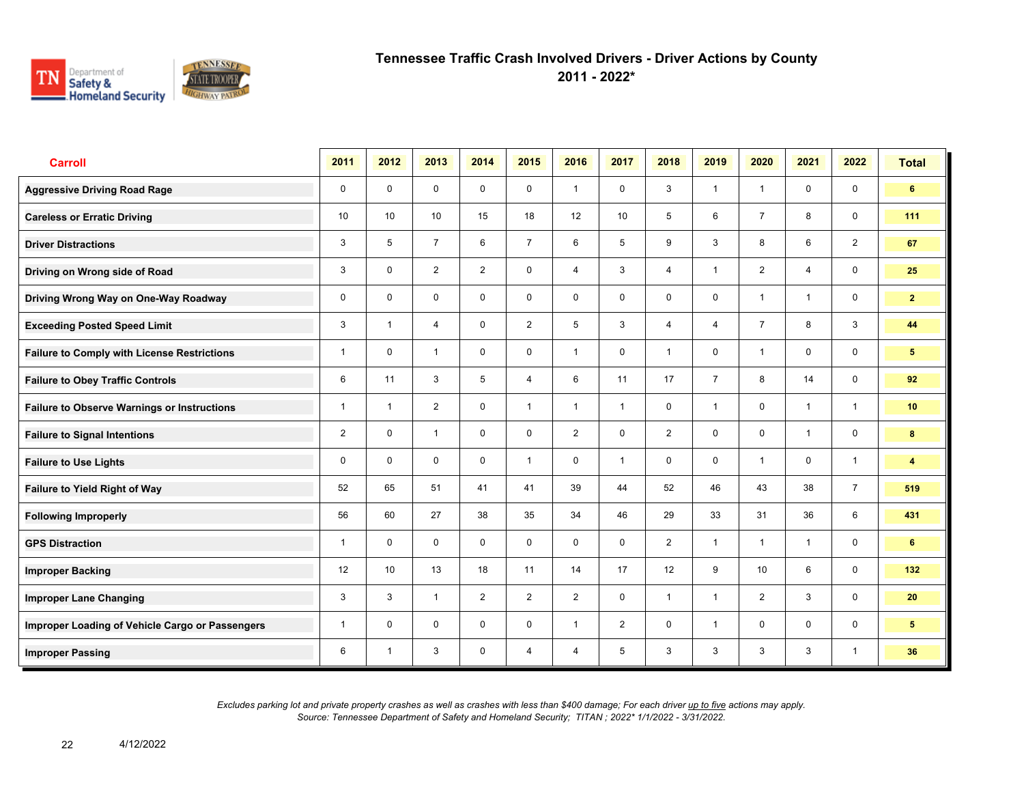

**2011 - 2022\***

| <b>Carroll</b>                                     | 2011           | 2012           | 2013           | 2014           | 2015           | 2016           | 2017         | 2018           | 2019           | 2020           | 2021           | 2022           | <b>Total</b>            |
|----------------------------------------------------|----------------|----------------|----------------|----------------|----------------|----------------|--------------|----------------|----------------|----------------|----------------|----------------|-------------------------|
| <b>Aggressive Driving Road Rage</b>                | $\mathbf 0$    | $\mathbf 0$    | $\mathbf 0$    | $\mathbf 0$    | $\mathbf 0$    | $\overline{1}$ | $\mathbf 0$  | 3              | $\mathbf{1}$   | $\overline{1}$ | $\mathbf 0$    | $\mathbf 0$    | 6                       |
| <b>Careless or Erratic Driving</b>                 | 10             | 10             | 10             | 15             | 18             | 12             | 10           | 5              | 6              | $\overline{7}$ | 8              | $\mathbf 0$    | 111                     |
| <b>Driver Distractions</b>                         | 3              | 5              | $\overline{7}$ | 6              | $\overline{7}$ | 6              | 5            | 9              | 3              | 8              | 6              | 2              | 67                      |
| Driving on Wrong side of Road                      | 3              | $\mathbf 0$    | $\overline{2}$ | $\overline{2}$ | 0              | 4              | 3            | 4              | $\mathbf{1}$   | $\overline{2}$ | 4              | $\mathsf{O}$   | 25                      |
| Driving Wrong Way on One-Way Roadway               | $\mathbf 0$    | $\mathbf 0$    | $\mathbf 0$    | $\mathbf 0$    | $\mathbf 0$    | $\mathbf 0$    | $\mathbf 0$  | $\mathbf 0$    | $\mathbf 0$    | $\overline{1}$ | $\mathbf{1}$   | $\mathbf 0$    | $\mathbf{2}$            |
| <b>Exceeding Posted Speed Limit</b>                | 3              | $\overline{1}$ | $\overline{4}$ | $\mathbf 0$    | $\overline{2}$ | 5              | 3            | $\overline{4}$ | $\overline{4}$ | $\overline{7}$ | 8              | 3              | 44                      |
| <b>Failure to Comply with License Restrictions</b> | $\mathbf{1}$   | $\mathbf 0$    | $\mathbf{1}$   | $\mathbf 0$    | $\mathbf 0$    | $\overline{1}$ | $\mathbf 0$  | $\mathbf{1}$   | $\mathbf 0$    | $\overline{1}$ | $\mathbf 0$    | $\mathbf 0$    | $5\phantom{.0}$         |
| <b>Failure to Obey Traffic Controls</b>            | 6              | 11             | 3              | 5              | 4              | 6              | 11           | 17             | $\overline{7}$ | 8              | 14             | $\mathbf 0$    | 92                      |
| <b>Failure to Observe Warnings or Instructions</b> | 1              | $\overline{1}$ | 2              | $\mathbf 0$    | $\mathbf{1}$   | $\overline{1}$ | $\mathbf{1}$ | $\mathbf 0$    | 1              | $\mathbf 0$    | $\mathbf{1}$   | $\mathbf{1}$   | 10 <sup>°</sup>         |
| <b>Failure to Signal Intentions</b>                | $\overline{2}$ | $\mathbf 0$    | $\mathbf{1}$   | $\mathbf 0$    | $\mathbf 0$    | $\overline{2}$ | $\mathbf 0$  | $\overline{2}$ | 0              | $\mathbf 0$    | $\overline{1}$ | $\mathbf 0$    | 8                       |
| <b>Failure to Use Lights</b>                       | 0              | $\mathbf{0}$   | $\Omega$       | $\mathbf 0$    | $\mathbf{1}$   | $\mathbf{0}$   | $\mathbf{1}$ | $\mathbf 0$    | $\mathbf 0$    | $\overline{1}$ | $\mathbf 0$    | $\overline{1}$ | $\overline{\mathbf{4}}$ |
| Failure to Yield Right of Way                      | 52             | 65             | 51             | 41             | 41             | 39             | 44           | 52             | 46             | 43             | 38             | $\overline{7}$ | 519                     |
| <b>Following Improperly</b>                        | 56             | 60             | 27             | 38             | 35             | 34             | 46           | 29             | 33             | 31             | 36             | 6              | 431                     |
| <b>GPS Distraction</b>                             | 1              | $\Omega$       | $\mathbf 0$    | $\mathbf 0$    | $\mathbf 0$    | $\mathbf 0$    | $\mathbf 0$  | $\overline{2}$ | $\mathbf{1}$   | $\overline{1}$ | $\mathbf{1}$   | $\mathbf 0$    | 6                       |
| <b>Improper Backing</b>                            | 12             | 10             | 13             | 18             | 11             | 14             | 17           | 12             | 9              | 10             | 6              | $\mathbf 0$    | 132                     |
| <b>Improper Lane Changing</b>                      | 3              | 3              | $\mathbf{1}$   | $\overline{2}$ | $\overline{2}$ | $\overline{2}$ | $\mathbf 0$  | $\mathbf{1}$   | $\mathbf{1}$   | 2              | 3              | $\mathbf 0$    | 20                      |
| Improper Loading of Vehicle Cargo or Passengers    | 1              | $\mathbf 0$    | $\mathbf 0$    | $\mathbf 0$    | $\mathbf 0$    | $\overline{1}$ | 2            | $\mathbf 0$    | $\mathbf{1}$   | $\mathbf 0$    | $\mathbf 0$    | $\mathbf 0$    | $5\phantom{.0}$         |
| <b>Improper Passing</b>                            | 6              | $\mathbf{1}$   | 3              | $\mathbf 0$    | 4              | $\overline{4}$ | 5            | 3              | 3              | 3              | 3              | $\mathbf{1}$   | 36                      |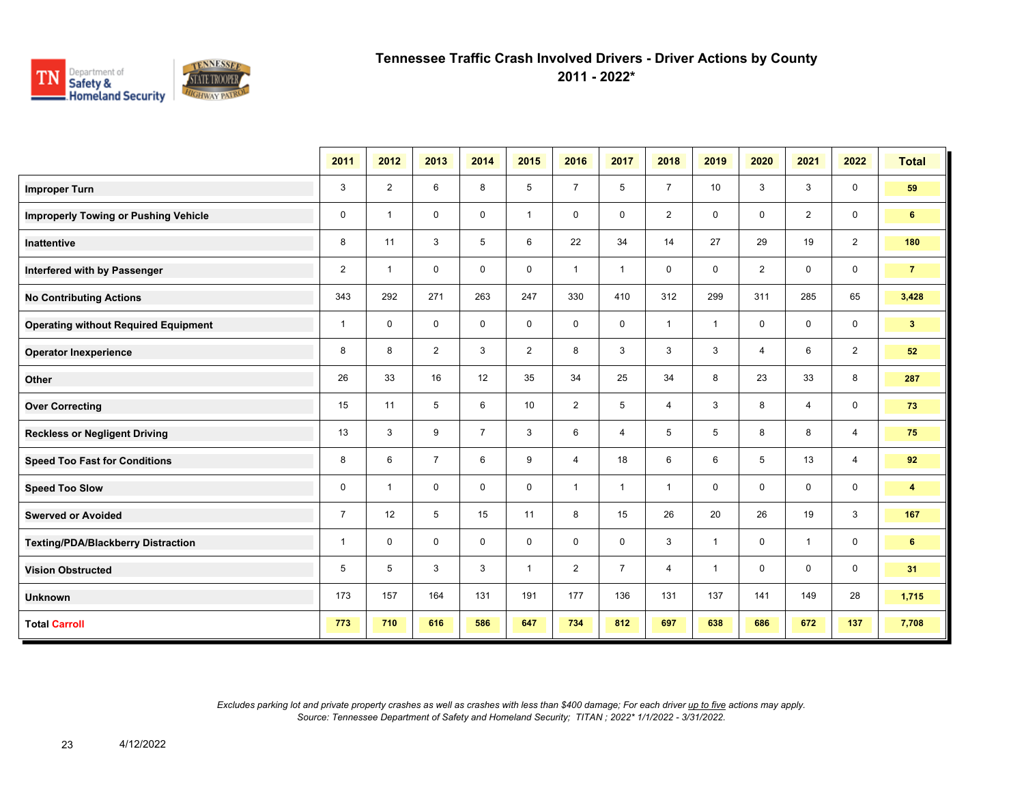

**2011 - 2022\***

|                                             | 2011           | 2012           | 2013           | 2014           | 2015           | 2016           | 2017           | 2018           | 2019         | 2020           | 2021           | 2022           | <b>Total</b>            |
|---------------------------------------------|----------------|----------------|----------------|----------------|----------------|----------------|----------------|----------------|--------------|----------------|----------------|----------------|-------------------------|
| <b>Improper Turn</b>                        | 3              | $\overline{2}$ | 6              | 8              | 5              | $\overline{7}$ | 5              | $\overline{7}$ | 10           | 3              | 3              | $\mathbf 0$    | 59                      |
| <b>Improperly Towing or Pushing Vehicle</b> | $\mathbf 0$    | $\mathbf{1}$   | $\mathbf 0$    | $\mathbf 0$    | $\mathbf{1}$   | $\mathbf 0$    | $\mathbf 0$    | $\overline{2}$ | $\mathbf 0$  | $\mathbf 0$    | $\overline{2}$ | $\mathbf 0$    | $6\phantom{.}$          |
| Inattentive                                 | 8              | 11             | 3              | 5              | 6              | 22             | 34             | 14             | 27           | 29             | 19             | $\overline{2}$ | 180                     |
| Interfered with by Passenger                | $\overline{2}$ | $\mathbf{1}$   | $\mathbf 0$    | $\mathbf 0$    | $\mathbf 0$    | $\mathbf{1}$   | $\mathbf{1}$   | 0              | 0            | $\overline{2}$ | 0              | $\mathbf 0$    | $\overline{7}$          |
| <b>No Contributing Actions</b>              | 343            | 292            | 271            | 263            | 247            | 330            | 410            | 312            | 299          | 311            | 285            | 65             | 3,428                   |
| <b>Operating without Required Equipment</b> | $\mathbf{1}$   | $\mathbf 0$    | $\mathbf 0$    | $\mathbf 0$    | 0              | $\mathbf 0$    | 0              | $\mathbf{1}$   | $\mathbf{1}$ | $\mathbf 0$    | 0              | $\mathbf 0$    | 3 <sup>2</sup>          |
| <b>Operator Inexperience</b>                | 8              | 8              | $\overline{2}$ | 3              | $\overline{2}$ | 8              | 3              | 3              | 3            | 4              | 6              | $\overline{2}$ | 52                      |
| Other                                       | 26             | 33             | 16             | 12             | 35             | 34             | 25             | 34             | 8            | 23             | 33             | 8              | 287                     |
| <b>Over Correcting</b>                      | 15             | 11             | 5              | 6              | 10             | $\overline{2}$ | 5              | $\overline{4}$ | 3            | 8              | $\overline{4}$ | $\mathbf 0$    | 73                      |
| <b>Reckless or Negligent Driving</b>        | 13             | 3              | 9              | $\overline{7}$ | 3              | 6              | 4              | 5              | 5            | 8              | 8              | 4              | 75                      |
| <b>Speed Too Fast for Conditions</b>        | 8              | 6              | $\overline{7}$ | 6              | 9              | 4              | 18             | 6              | 6            | 5              | 13             | $\overline{4}$ | 92                      |
| <b>Speed Too Slow</b>                       | $\mathbf 0$    | $\mathbf{1}$   | $\mathbf 0$    | $\mathbf 0$    | $\mathbf 0$    | $\mathbf{1}$   | $\mathbf{1}$   | $\mathbf{1}$   | 0            | $\mathbf 0$    | 0              | 0              | $\overline{\mathbf{4}}$ |
| <b>Swerved or Avoided</b>                   | $\overline{7}$ | 12             | 5              | 15             | 11             | 8              | 15             | 26             | 20           | 26             | 19             | 3              | 167                     |
| <b>Texting/PDA/Blackberry Distraction</b>   | $\mathbf{1}$   | $\mathbf 0$    | $\mathbf 0$    | $\mathbf 0$    | $\mathbf 0$    | $\mathbf 0$    | $\mathbf 0$    | 3              | $\mathbf{1}$ | $\mathbf 0$    | $\mathbf{1}$   | $\mathbf 0$    | 6                       |
| <b>Vision Obstructed</b>                    | 5              | 5              | 3              | 3              | $\mathbf{1}$   | $\overline{2}$ | $\overline{7}$ | $\overline{4}$ | $\mathbf{1}$ | $\mathbf 0$    | $\mathbf 0$    | $\mathbf 0$    | 31                      |
| <b>Unknown</b>                              | 173            | 157            | 164            | 131            | 191            | 177            | 136            | 131            | 137          | 141            | 149            | 28             | 1,715                   |
| <b>Total Carroll</b>                        | 773            | 710            | 616            | 586            | 647            | 734            | 812            | 697            | 638          | 686            | 672            | 137            | 7,708                   |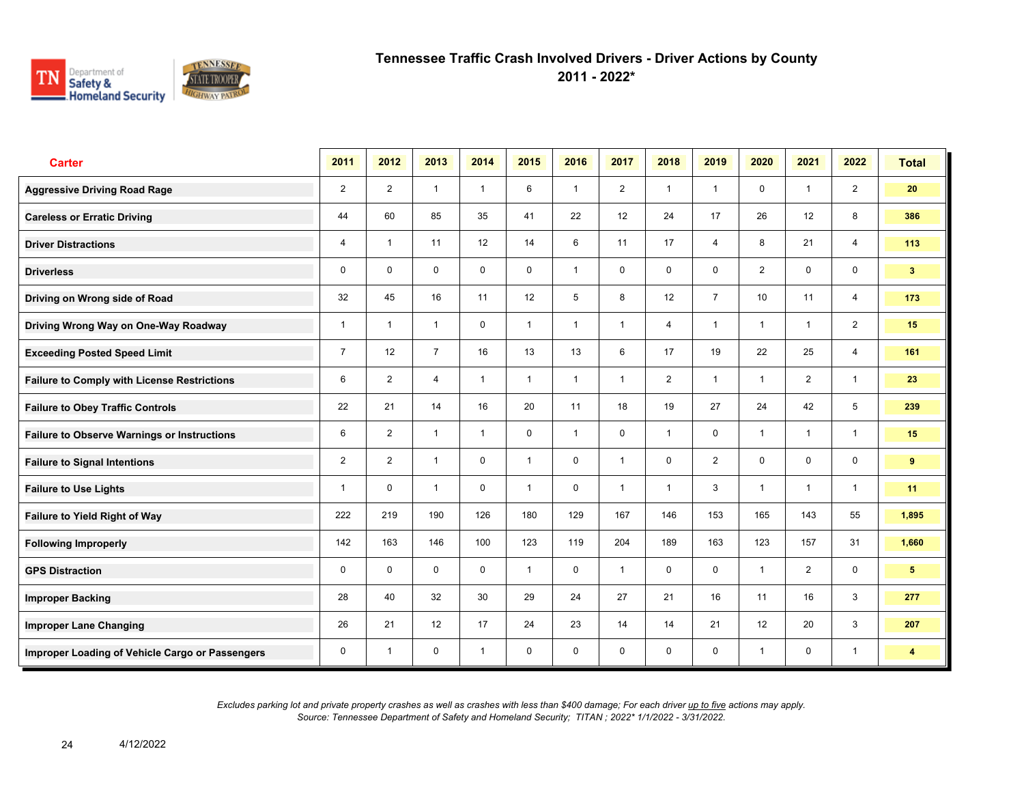

**2011 - 2022\***

| <b>Carter</b>                                      | 2011           | 2012           | 2013           | 2014         | 2015         | 2016           | 2017           | 2018           | 2019           | 2020           | 2021           | 2022           | <b>Total</b>            |
|----------------------------------------------------|----------------|----------------|----------------|--------------|--------------|----------------|----------------|----------------|----------------|----------------|----------------|----------------|-------------------------|
| <b>Aggressive Driving Road Rage</b>                | $\overline{2}$ | $\overline{2}$ | $\mathbf{1}$   | $\mathbf{1}$ | 6            | $\overline{1}$ | $\overline{2}$ | $\mathbf{1}$   | $\mathbf{1}$   | $\mathbf 0$    | $\mathbf{1}$   | $\overline{2}$ | 20                      |
| <b>Careless or Erratic Driving</b>                 | 44             | 60             | 85             | 35           | 41           | 22             | 12             | 24             | 17             | 26             | 12             | 8              | 386                     |
| <b>Driver Distractions</b>                         | 4              | $\overline{1}$ | 11             | 12           | 14           | 6              | 11             | 17             | $\overline{4}$ | 8              | 21             | $\overline{4}$ | 113                     |
| <b>Driverless</b>                                  | 0              | $\mathbf 0$    | $\mathsf{O}$   | $\mathbf 0$  | 0            | $\overline{1}$ | $\mathbf 0$    | $\mathbf 0$    | 0              | $\overline{2}$ | $\mathsf{O}$   | $\mathbf 0$    | 3 <sup>1</sup>          |
| Driving on Wrong side of Road                      | 32             | 45             | 16             | 11           | 12           | 5              | 8              | 12             | $\overline{7}$ | 10             | 11             | $\overline{4}$ | 173                     |
| Driving Wrong Way on One-Way Roadway               | 1              | $\overline{1}$ | $\mathbf{1}$   | $\mathbf 0$  | $\mathbf{1}$ | $\overline{1}$ | $\mathbf{1}$   | $\overline{4}$ | 1              | $\overline{1}$ | $\mathbf{1}$   | $\overline{2}$ | 15                      |
| <b>Exceeding Posted Speed Limit</b>                | $\overline{7}$ | 12             | $\overline{7}$ | 16           | 13           | 13             | 6              | 17             | 19             | 22             | 25             | $\overline{4}$ | 161                     |
| <b>Failure to Comply with License Restrictions</b> | 6              | $\overline{2}$ | $\overline{4}$ | $\mathbf{1}$ | $\mathbf{1}$ | $\overline{1}$ | $\mathbf{1}$   | $\overline{2}$ | 1              | $\overline{1}$ | 2              | $\mathbf{1}$   | 23                      |
| <b>Failure to Obey Traffic Controls</b>            | 22             | 21             | 14             | 16           | 20           | 11             | 18             | 19             | 27             | 24             | 42             | 5              | 239                     |
| <b>Failure to Observe Warnings or Instructions</b> | 6              | $\overline{2}$ | $\mathbf{1}$   | $\mathbf{1}$ | 0            | $\overline{1}$ | $\mathbf 0$    | $\mathbf{1}$   | 0              | $\overline{1}$ | $\overline{1}$ | $\mathbf{1}$   | 15                      |
| <b>Failure to Signal Intentions</b>                | $\overline{2}$ | $\overline{2}$ | $\mathbf{1}$   | $\mathbf 0$  | $\mathbf{1}$ | $\mathbf{0}$   | $\mathbf{1}$   | $\mathbf 0$    | $\overline{2}$ | $\mathbf{0}$   | $\mathbf 0$    | $\mathbf 0$    | 9                       |
| <b>Failure to Use Lights</b>                       | 1              | $\mathbf 0$    | $\mathbf{1}$   | $\mathbf 0$  | $\mathbf{1}$ | $\mathbf 0$    | $\mathbf{1}$   | $\mathbf{1}$   | 3              | $\overline{1}$ | $\mathbf{1}$   | $\mathbf{1}$   | 11                      |
| Failure to Yield Right of Way                      | 222            | 219            | 190            | 126          | 180          | 129            | 167            | 146            | 153            | 165            | 143            | 55             | 1,895                   |
| <b>Following Improperly</b>                        | 142            | 163            | 146            | 100          | 123          | 119            | 204            | 189            | 163            | 123            | 157            | 31             | 1,660                   |
| <b>GPS Distraction</b>                             | 0              | $\mathbf 0$    | $\mathbf 0$    | $\mathbf 0$  | $\mathbf{1}$ | $\mathbf 0$    | $\mathbf{1}$   | $\mathbf 0$    | $\mathbf 0$    | $\overline{1}$ | 2              | $\mathbf 0$    | 5 <sub>5</sub>          |
| <b>Improper Backing</b>                            | 28             | 40             | 32             | 30           | 29           | 24             | 27             | 21             | 16             | 11             | 16             | $\mathbf{3}$   | 277                     |
| <b>Improper Lane Changing</b>                      | 26             | 21             | 12             | 17           | 24           | 23             | 14             | 14             | 21             | 12             | 20             | 3              | 207                     |
| Improper Loading of Vehicle Cargo or Passengers    | 0              | $\overline{1}$ | $\mathbf 0$    | $\mathbf{1}$ | $\mathbf 0$  | $\mathbf 0$    | $\mathbf 0$    | $\mathbf 0$    | 0              | $\overline{1}$ | 0              | $\overline{1}$ | $\overline{\mathbf{4}}$ |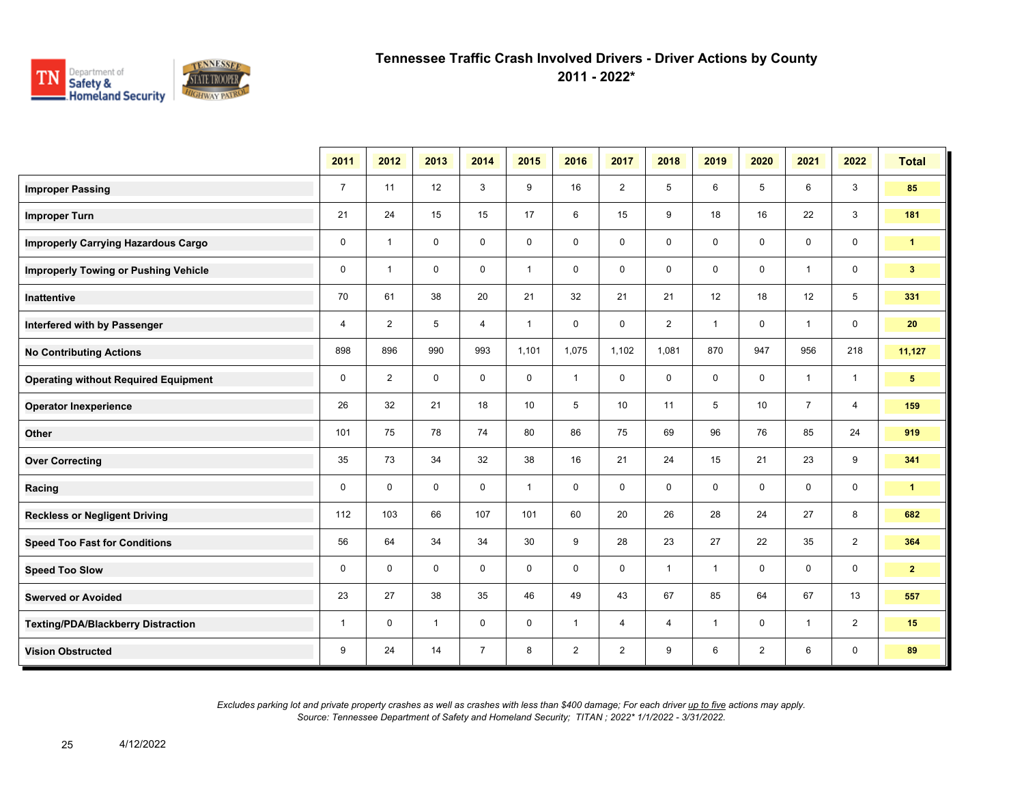

**2011 - 2022\***

|                                             | 2011           | 2012           | 2013         | 2014           | 2015         | 2016           | 2017           | 2018           | 2019         | 2020           | 2021           | 2022           | <b>Total</b>    |
|---------------------------------------------|----------------|----------------|--------------|----------------|--------------|----------------|----------------|----------------|--------------|----------------|----------------|----------------|-----------------|
| <b>Improper Passing</b>                     | $\overline{7}$ | 11             | 12           | 3              | 9            | 16             | $\overline{2}$ | 5              | 6            | 5              | 6              | 3              | 85              |
| <b>Improper Turn</b>                        | 21             | 24             | 15           | 15             | 17           | 6              | 15             | 9              | 18           | 16             | 22             | 3              | 181             |
| <b>Improperly Carrying Hazardous Cargo</b>  | $\mathbf 0$    | $\overline{1}$ | $\mathbf 0$  | $\mathbf 0$    | 0            | 0              | 0              | 0              | 0            | 0              | 0              | 0              | $\mathbf{1}$    |
| <b>Improperly Towing or Pushing Vehicle</b> | $\mathbf 0$    | $\mathbf{1}$   | $\mathbf 0$  | $\mathbf 0$    | $\mathbf{1}$ | 0              | 0              | $\mathbf 0$    | 0            | $\mathbf 0$    | $\mathbf{1}$   | $\mathbf 0$    | 3 <sup>2</sup>  |
| <b>Inattentive</b>                          | 70             | 61             | 38           | 20             | 21           | 32             | 21             | 21             | 12           | 18             | 12             | 5              | 331             |
| Interfered with by Passenger                | $\overline{4}$ | $\overline{2}$ | 5            | 4              | $\mathbf{1}$ | $\mathbf 0$    | 0              | $\overline{2}$ | $\mathbf{1}$ | $\mathbf 0$    | $\mathbf{1}$   | $\mathbf 0$    | 20              |
| <b>No Contributing Actions</b>              | 898            | 896            | 990          | 993            | 1,101        | 1,075          | 1,102          | 1,081          | 870          | 947            | 956            | 218            | 11,127          |
| <b>Operating without Required Equipment</b> | 0              | $\overline{2}$ | $\mathbf 0$  | $\mathbf 0$    | 0            | $\mathbf{1}$   | 0              | $\mathbf 0$    | 0            | 0              | $\overline{1}$ | $\overline{1}$ | $5\phantom{.0}$ |
| <b>Operator Inexperience</b>                | 26             | 32             | 21           | 18             | 10           | 5              | 10             | 11             | 5            | 10             | $\overline{7}$ | $\overline{4}$ | 159             |
| Other                                       | 101            | 75             | 78           | 74             | 80           | 86             | 75             | 69             | 96           | 76             | 85             | 24             | 919             |
| <b>Over Correcting</b>                      | 35             | 73             | 34           | 32             | 38           | 16             | 21             | 24             | 15           | 21             | 23             | 9              | 341             |
| Racing                                      | $\mathbf 0$    | $\mathbf 0$    | $\mathbf 0$  | $\mathbf 0$    | $\mathbf{1}$ | $\mathbf 0$    | $\mathbf 0$    | $\mathbf 0$    | $\mathbf 0$  | 0              | 0              | 0              | $\mathbf{1}$    |
| <b>Reckless or Negligent Driving</b>        | 112            | 103            | 66           | 107            | 101          | 60             | 20             | 26             | 28           | 24             | 27             | 8              | 682             |
| <b>Speed Too Fast for Conditions</b>        | 56             | 64             | 34           | 34             | 30           | 9              | 28             | 23             | 27           | 22             | 35             | $\overline{2}$ | 364             |
| <b>Speed Too Slow</b>                       | 0              | $\mathbf 0$    | $\mathbf 0$  | $\mathbf 0$    | $\mathbf 0$  | $\mathbf 0$    | 0              | $\mathbf{1}$   | $\mathbf{1}$ | $\mathbf 0$    | 0              | $\mathbf 0$    | $\mathbf{2}$    |
| <b>Swerved or Avoided</b>                   | 23             | 27             | 38           | 35             | 46           | 49             | 43             | 67             | 85           | 64             | 67             | 13             | 557             |
| <b>Texting/PDA/Blackberry Distraction</b>   | $\mathbf{1}$   | $\mathbf 0$    | $\mathbf{1}$ | $\mathbf 0$    | 0            | $\mathbf{1}$   | 4              | 4              | $\mathbf{1}$ | 0              | $\mathbf{1}$   | $\overline{2}$ | 15              |
| <b>Vision Obstructed</b>                    | 9              | 24             | 14           | $\overline{7}$ | 8            | $\overline{2}$ | $\overline{2}$ | 9              | 6            | $\overline{2}$ | 6              | 0              | 89              |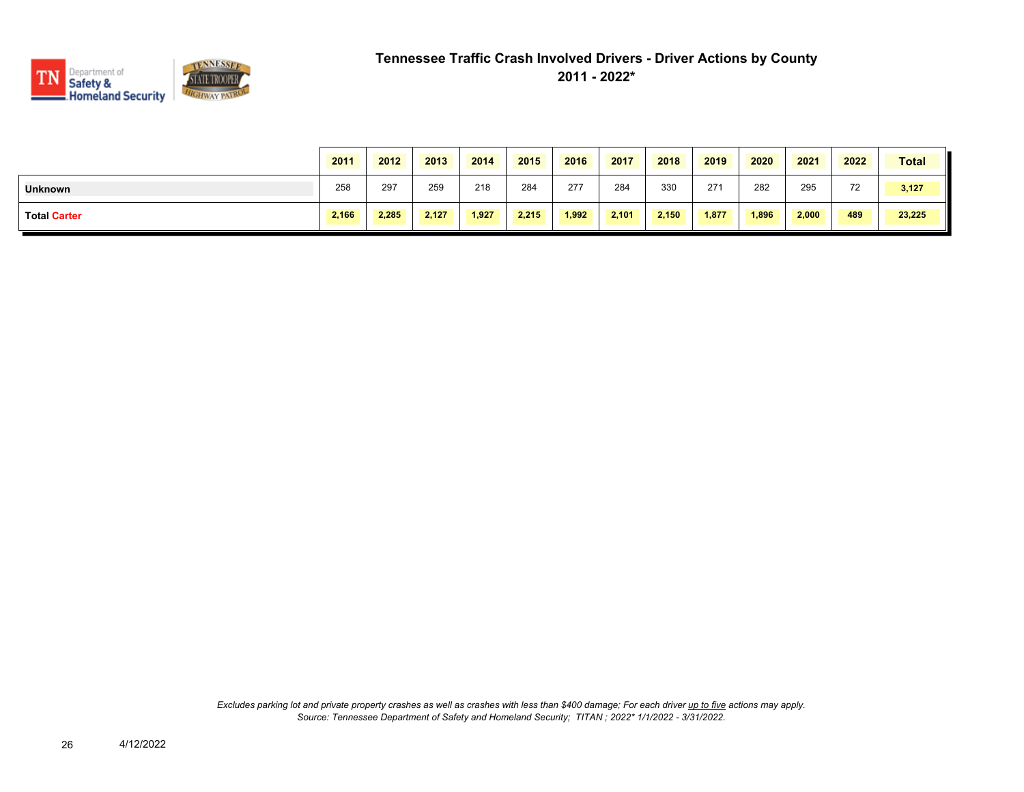

|                     | 2011  | 2012  | 2013  | 2014  | 2015  | 2016  | 2017  | 2018  | 2019  | 2020  | 2021  | 2022 | <b>Total</b> |
|---------------------|-------|-------|-------|-------|-------|-------|-------|-------|-------|-------|-------|------|--------------|
| <b>Unknown</b>      | 258   | 297   | 259   | 218   | 284   | 277   | 284   | 330   | 271   | 282   | 295   | 72   | 3,127        |
| <b>Total Carter</b> | 2,166 | 2.285 | 2.127 | 1.927 | 2.215 | 1.992 | 2,101 | 2,150 | 1,877 | 1,896 | 2,000 | 489  | 23,225       |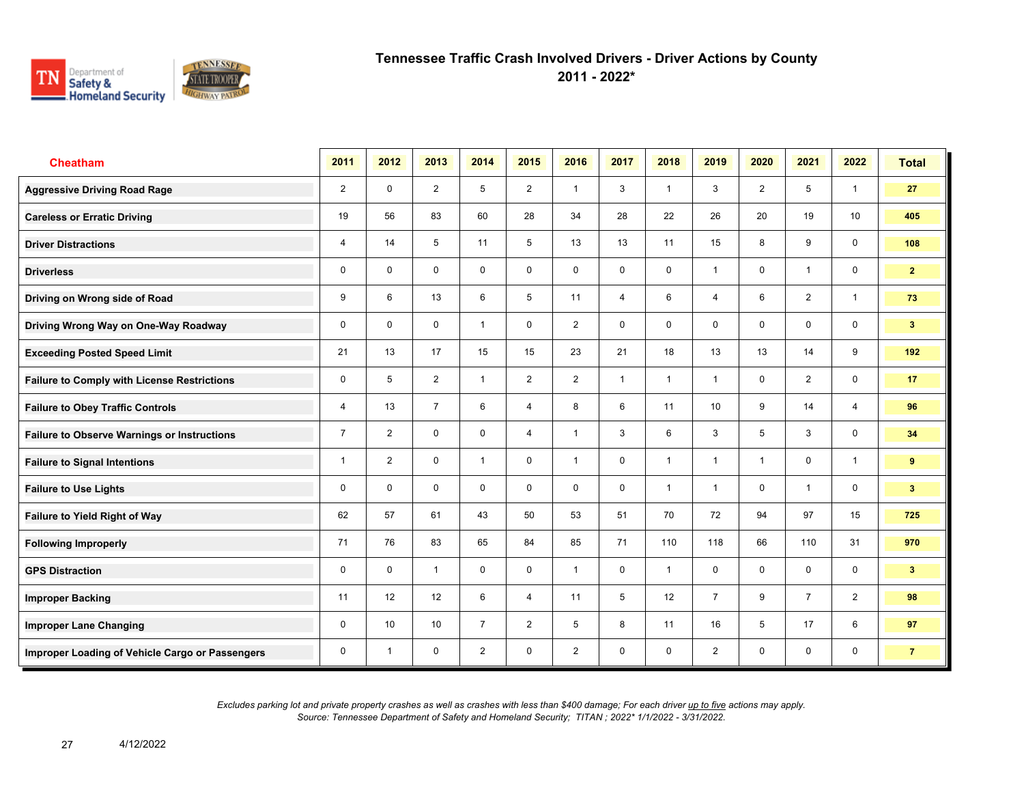

**2011 - 2022\***

| <b>Cheatham</b>                                    | 2011           | 2012           | 2013           | 2014           | 2015           | 2016                    | 2017           | 2018           | 2019            | 2020                    | 2021           | 2022           | <b>Total</b>   |
|----------------------------------------------------|----------------|----------------|----------------|----------------|----------------|-------------------------|----------------|----------------|-----------------|-------------------------|----------------|----------------|----------------|
| <b>Aggressive Driving Road Rage</b>                | $\overline{2}$ | $\mathbf 0$    | $\overline{2}$ | 5              | $\overline{2}$ | $\overline{1}$          | 3              | $\mathbf{1}$   | 3               | $\overline{2}$          | 5              | $\mathbf{1}$   | 27             |
| <b>Careless or Erratic Driving</b>                 | 19             | 56             | 83             | 60             | 28             | 34                      | 28             | 22             | 26              | 20                      | 19             | 10             | 405            |
| <b>Driver Distractions</b>                         | 4              | 14             | 5              | 11             | 5              | 13                      | 13             | 11             | 15              | 8                       | 9              | 0              | 108            |
| <b>Driverless</b>                                  | 0              | $\mathbf 0$    | $\mathbf 0$    | $\mathbf 0$    | 0              | $\mathbf 0$             | 0              | $\mathbf 0$    | 1               | $\mathbf 0$             | $\mathbf{1}$   | $\mathbf 0$    | $\mathbf{2}$   |
| Driving on Wrong side of Road                      | 9              | 6              | 13             | 6              | 5              | 11                      | $\overline{4}$ | 6              | 4               | 6                       | $\overline{2}$ | $\overline{1}$ | 73             |
| Driving Wrong Way on One-Way Roadway               | $\mathbf 0$    | $\mathbf 0$    | $\mathbf 0$    | $\mathbf{1}$   | $\mathbf 0$    | $\overline{2}$          | 0              | $\mathbf 0$    | 0               | $\mathbf 0$             | $\mathbf 0$    | $\mathbf 0$    | 3 <sup>2</sup> |
| <b>Exceeding Posted Speed Limit</b>                | 21             | 13             | 17             | 15             | 15             | 23                      | 21             | 18             | 13              | 13                      | 14             | 9              | 192            |
| <b>Failure to Comply with License Restrictions</b> | 0              | 5              | $\overline{2}$ | $\mathbf{1}$   | $\overline{2}$ | $\overline{2}$          | $\overline{1}$ | $\mathbf{1}$   | $\mathbf{1}$    | $\Omega$                | $\overline{2}$ | $\mathbf 0$    | 17             |
| <b>Failure to Obey Traffic Controls</b>            | $\overline{4}$ | 13             | $\overline{7}$ | 6              | $\overline{4}$ | 8                       | 6              | 11             | 10 <sup>1</sup> | 9                       | 14             | $\overline{4}$ | 96             |
| <b>Failure to Observe Warnings or Instructions</b> | $\overline{7}$ | $\overline{2}$ | $\mathbf 0$    | $\mathbf 0$    | $\overline{4}$ | $\overline{1}$          | 3              | 6              | 3               | 5                       | 3              | $\mathbf 0$    | 34             |
| <b>Failure to Signal Intentions</b>                | $\mathbf{1}$   | $\overline{2}$ | 0              | $\overline{1}$ | 0              | $\overline{\mathbf{1}}$ | 0              | $\overline{1}$ | $\mathbf{1}$    | $\overline{\mathbf{1}}$ | 0              | $\overline{1}$ | 9              |
| <b>Failure to Use Lights</b>                       | 0              | $\mathbf 0$    | $\mathbf 0$    | $\mathbf 0$    | $\mathbf 0$    | $\mathbf 0$             | 0              | $\overline{1}$ | 1               | $\mathbf 0$             | $\overline{1}$ | $\mathbf 0$    | 3 <sup>2</sup> |
| <b>Failure to Yield Right of Way</b>               | 62             | 57             | 61             | 43             | 50             | 53                      | 51             | 70             | 72              | 94                      | 97             | 15             | 725            |
| <b>Following Improperly</b>                        | 71             | 76             | 83             | 65             | 84             | 85                      | 71             | 110            | 118             | 66                      | 110            | 31             | 970            |
| <b>GPS Distraction</b>                             | 0              | $\mathbf 0$    | $\mathbf{1}$   | $\mathbf 0$    | 0              | $\overline{1}$          | $\mathbf 0$    | $\mathbf{1}$   | 0               | $\mathbf 0$             | $\mathbf 0$    | $\mathbf 0$    | 3 <sub>1</sub> |
| <b>Improper Backing</b>                            | 11             | 12             | 12             | 6              | $\overline{4}$ | 11                      | 5              | 12             | $\overline{7}$  | 9                       | $\overline{7}$ | $\overline{2}$ | 98             |
| <b>Improper Lane Changing</b>                      | 0              | 10             | 10             | $\overline{7}$ | $\overline{2}$ | 5                       | 8              | 11             | 16              | 5                       | 17             | 6              | 97             |
| Improper Loading of Vehicle Cargo or Passengers    | $\mathbf 0$    | $\overline{1}$ | $\mathbf 0$    | $\overline{2}$ | $\mathbf 0$    | $\overline{2}$          | $\mathbf 0$    | $\mathbf 0$    | $\overline{2}$  | $\mathbf 0$             | $\mathbf 0$    | $\mathbf 0$    | $\overline{7}$ |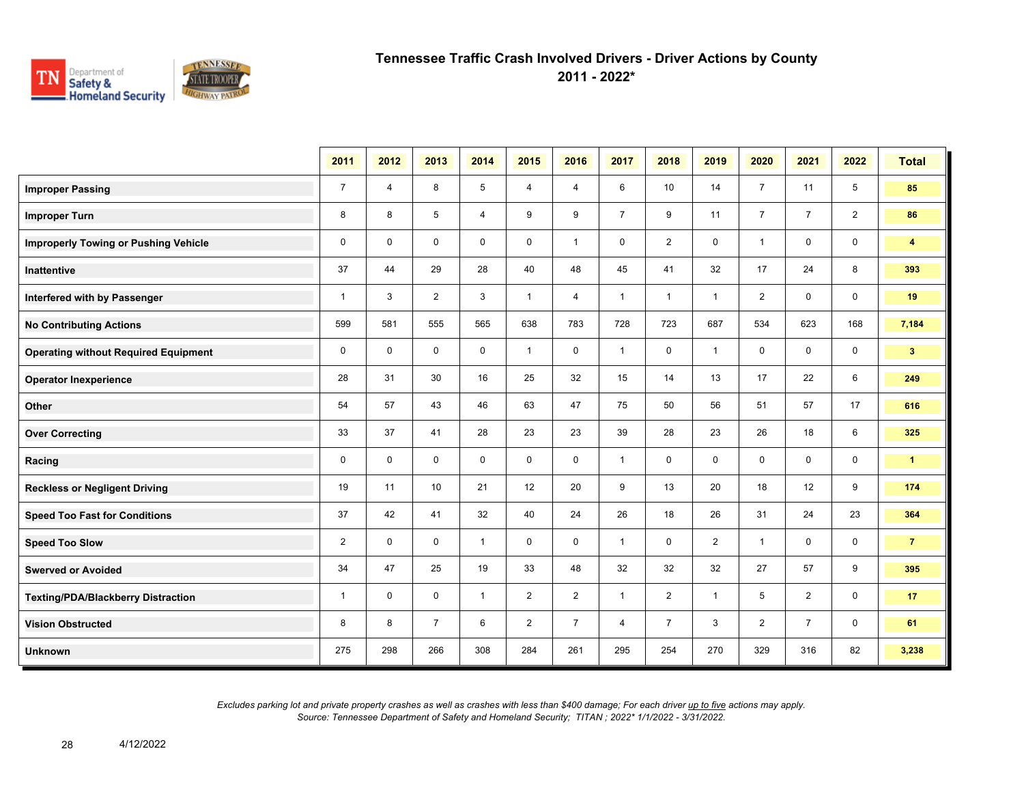

**2011 - 2022\***

|                                             | 2011           | 2012           | 2013           | 2014           | 2015           | 2016           | 2017           | 2018           | 2019           | 2020           | 2021           | 2022           | <b>Total</b>   |
|---------------------------------------------|----------------|----------------|----------------|----------------|----------------|----------------|----------------|----------------|----------------|----------------|----------------|----------------|----------------|
| <b>Improper Passing</b>                     | $\overline{7}$ | $\overline{4}$ | 8              | 5              | 4              | 4              | 6              | 10             | 14             | $\overline{7}$ | 11             | 5              | 85             |
| <b>Improper Turn</b>                        | 8              | 8              | 5              | $\overline{4}$ | 9              | 9              | $\overline{7}$ | 9              | 11             | $\overline{7}$ | $\overline{7}$ | $\overline{2}$ | 86             |
| <b>Improperly Towing or Pushing Vehicle</b> | $\mathbf 0$    | $\mathbf{0}$   | $\mathbf 0$    | $\mathbf 0$    | $\mathbf 0$    | $\mathbf{1}$   | $\mathbf 0$    | $\overline{c}$ | 0              | $\overline{1}$ | $\mathbf 0$    | $\mathbf 0$    | $\overline{4}$ |
| Inattentive                                 | 37             | 44             | 29             | 28             | 40             | 48             | 45             | 41             | 32             | 17             | 24             | 8              | 393            |
| Interfered with by Passenger                | $\mathbf{1}$   | 3              | 2              | 3              | $\mathbf{1}$   | $\overline{4}$ | $\mathbf{1}$   | $\mathbf{1}$   | $\mathbf{1}$   | $\overline{2}$ | $\mathbf 0$    | $\mathbf 0$    | 19             |
| <b>No Contributing Actions</b>              | 599            | 581            | 555            | 565            | 638            | 783            | 728            | 723            | 687            | 534            | 623            | 168            | 7,184          |
| <b>Operating without Required Equipment</b> | $\mathbf 0$    | $\mathbf 0$    | $\mathbf 0$    | 0              | $\mathbf{1}$   | 0              | $\mathbf{1}$   | $\mathbf 0$    | $\mathbf{1}$   | 0              | 0              | $\mathbf 0$    | 3 <sup>2</sup> |
| <b>Operator Inexperience</b>                | 28             | 31             | 30             | 16             | 25             | 32             | 15             | 14             | 13             | 17             | 22             | 6              | 249            |
| Other                                       | 54             | 57             | 43             | 46             | 63             | 47             | 75             | 50             | 56             | 51             | 57             | 17             | 616            |
| <b>Over Correcting</b>                      | 33             | 37             | 41             | 28             | 23             | 23             | 39             | 28             | 23             | 26             | 18             | 6              | 325            |
| Racing                                      | $\mathbf 0$    | $\mathbf 0$    | $\Omega$       | $\mathbf 0$    | $\mathbf 0$    | $\mathbf 0$    | $\mathbf{1}$   | 0              | 0              | $\mathbf 0$    | $\mathbf 0$    | $\mathbf 0$    | $\mathbf{1}$   |
| <b>Reckless or Negligent Driving</b>        | 19             | 11             | 10             | 21             | 12             | 20             | 9              | 13             | 20             | 18             | 12             | 9              | 174            |
| <b>Speed Too Fast for Conditions</b>        | 37             | 42             | 41             | 32             | 40             | 24             | 26             | 18             | 26             | 31             | 24             | 23             | 364            |
| <b>Speed Too Slow</b>                       | $\overline{2}$ | $\mathbf 0$    | $\mathbf 0$    | $\mathbf{1}$   | $\mathbf 0$    | $\mathbf 0$    | $\mathbf{1}$   | 0              | $\overline{2}$ | $\overline{1}$ | $\mathbf 0$    | $\mathbf 0$    | 7 <sup>7</sup> |
| <b>Swerved or Avoided</b>                   | 34             | 47             | 25             | 19             | 33             | 48             | 32             | 32             | 32             | 27             | 57             | 9              | 395            |
| <b>Texting/PDA/Blackberry Distraction</b>   | $\mathbf{1}$   | $\mathbf 0$    | $\mathbf 0$    | $\mathbf{1}$   | $\overline{2}$ | $\overline{2}$ | $\mathbf{1}$   | $\overline{2}$ | $\mathbf{1}$   | 5              | $\overline{2}$ | $\mathbf 0$    | 17             |
| <b>Vision Obstructed</b>                    | 8              | 8              | $\overline{7}$ | 6              | $\overline{2}$ | $\overline{7}$ | $\overline{4}$ | $\overline{7}$ | 3              | $\overline{2}$ | $\overline{7}$ | $\mathbf 0$    | 61             |
| <b>Unknown</b>                              | 275            | 298            | 266            | 308            | 284            | 261            | 295            | 254            | 270            | 329            | 316            | 82             | 3,238          |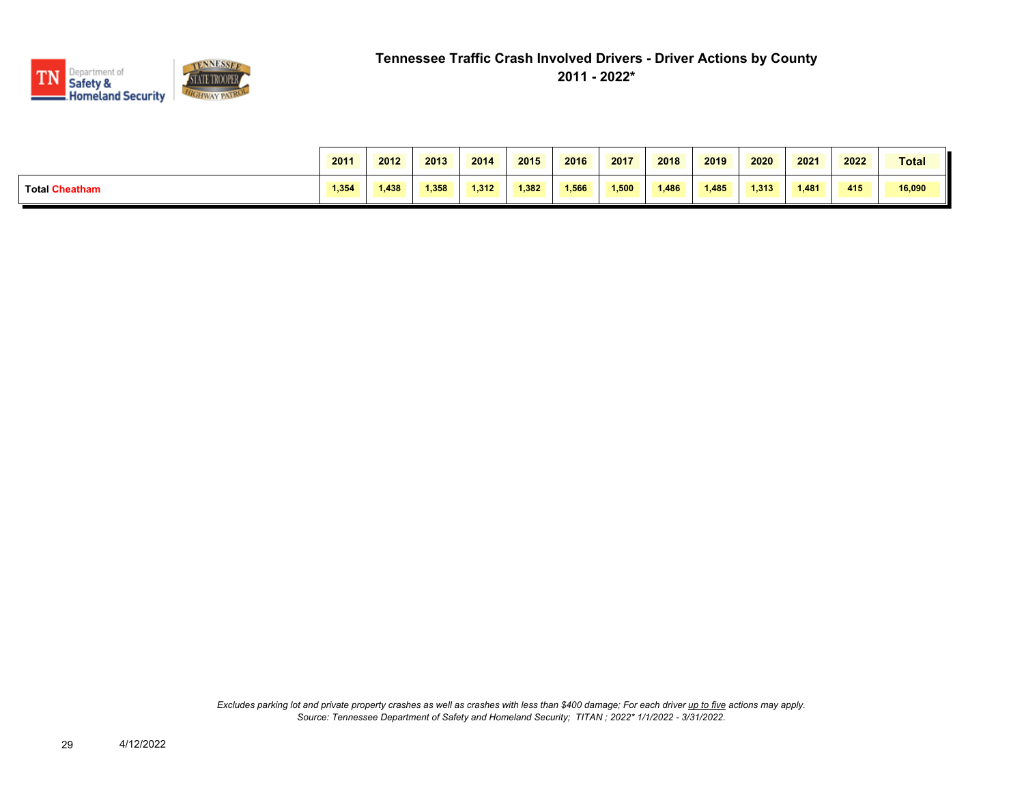

|                       | 2011  | 2012  | 2013  | 2014  | 2015  | 2016  | 2017  | 2018  | 2019  | 2020  | 2021  | 2022 | <b>Total</b> |
|-----------------------|-------|-------|-------|-------|-------|-------|-------|-------|-------|-------|-------|------|--------------|
| <b>Total Cheatham</b> | 1.354 | 1,438 | 1.358 | 1.312 | 1,382 | 1,566 | 1.500 | 1,486 | 1.485 | 1.313 | 1,481 | 415  | 16,090       |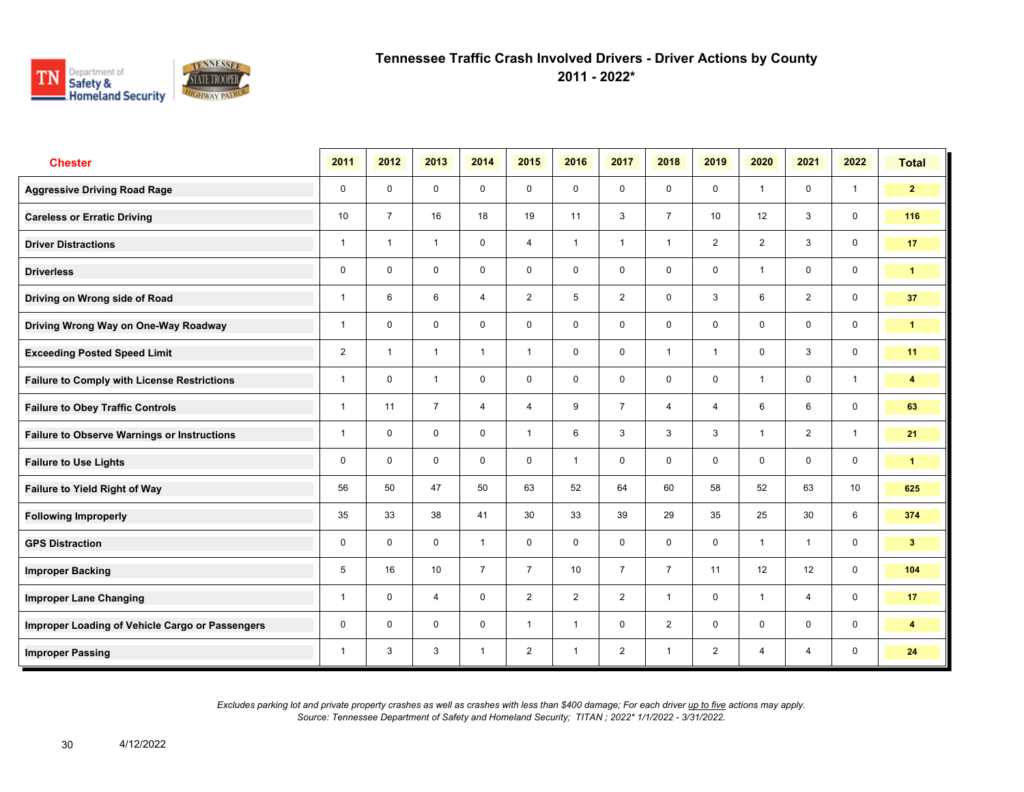

**2011 - 2022\***

| <b>Chester</b>                                     | 2011           | 2012           | 2013           | 2014           | 2015           | 2016           | 2017           | 2018           | 2019           | 2020           | 2021           | 2022            | <b>Total</b>            |
|----------------------------------------------------|----------------|----------------|----------------|----------------|----------------|----------------|----------------|----------------|----------------|----------------|----------------|-----------------|-------------------------|
| <b>Aggressive Driving Road Rage</b>                | 0              | $\mathbf 0$    | $\mathbf 0$    | $\mathbf 0$    | $\mathbf 0$    | $\mathbf 0$    | $\mathbf 0$    | $\mathbf{0}$   | $\mathbf 0$    | $\overline{1}$ | $\mathbf 0$    | $\mathbf{1}$    | $\overline{2}$          |
| <b>Careless or Erratic Driving</b>                 | 10             | $\overline{7}$ | 16             | 18             | 19             | 11             | 3              | $\overline{7}$ | 10             | 12             | 3              | $\mathbf 0$     | 116                     |
| <b>Driver Distractions</b>                         | 1              | $\overline{1}$ | $\mathbf{1}$   | $\mathbf 0$    | 4              | $\overline{1}$ | $\mathbf{1}$   | $\mathbf{1}$   | $\overline{2}$ | $\overline{2}$ | 3              | $\mathbf 0$     | 17                      |
| <b>Driverless</b>                                  | 0              | $\mathbf 0$    | 0              | 0              | 0              | $\mathbf 0$    | $\mathbf 0$    | $\mathsf{O}$   | 0              | $\overline{1}$ | $\mathsf{O}$   | $\mathbf 0$     | $\mathbf{1}$            |
| Driving on Wrong side of Road                      | 1              | 6              | 6              | $\overline{4}$ | $\overline{2}$ | 5              | 2              | $\mathbf 0$    | 3              | 6              | $\overline{2}$ | $\mathbf 0$     | 37                      |
| Driving Wrong Way on One-Way Roadway               | 1              | $\mathbf 0$    | $\mathbf 0$    | $\mathbf 0$    | 0              | $\Omega$       | $\mathbf 0$    | $\mathbf 0$    | $\mathbf 0$    | $\mathbf 0$    | $\mathbf 0$    | $\mathbf 0$     | $\mathbf{1}$            |
| <b>Exceeding Posted Speed Limit</b>                | $\overline{2}$ | $\overline{1}$ | $\overline{1}$ | $\mathbf{1}$   | $\mathbf{1}$   | $\mathbf 0$    | $\mathbf 0$    | $\mathbf{1}$   | $\mathbf{1}$   | $\mathbf 0$    | 3              | $\mathbf 0$     | 11                      |
| <b>Failure to Comply with License Restrictions</b> | 1              | $\Omega$       | $\overline{1}$ | $\mathbf 0$    | 0              | $\mathbf 0$    | $\mathbf 0$    | $\mathbf 0$    | $\Omega$       | $\overline{1}$ | $\mathbf 0$    | $\mathbf{1}$    | 4                       |
| <b>Failure to Obey Traffic Controls</b>            | 1              | 11             | $\overline{7}$ | $\overline{4}$ | 4              | 9              | $\overline{7}$ | $\overline{4}$ | 4              | 6              | 6              | $\mathbf 0$     | 63                      |
| <b>Failure to Observe Warnings or Instructions</b> | $\overline{1}$ | $\mathbf 0$    | $\mathbf 0$    | $\mathbf 0$    | $\mathbf{1}$   | 6              | 3              | 3              | 3              | $\overline{1}$ | $\overline{2}$ | $\mathbf{1}$    | 21                      |
| <b>Failure to Use Lights</b>                       | 0              | $\Omega$       | $\Omega$       | $\Omega$       | 0              | $\overline{1}$ | $\mathbf 0$    | $\mathbf 0$    | $\Omega$       | $\mathbf{0}$   | $\Omega$       | $\mathbf 0$     | $\mathbf{1}$            |
| Failure to Yield Right of Way                      | 56             | 50             | 47             | 50             | 63             | 52             | 64             | 60             | 58             | 52             | 63             | 10 <sup>°</sup> | 625                     |
| <b>Following Improperly</b>                        | 35             | 33             | 38             | 41             | 30             | 33             | 39             | 29             | 35             | 25             | 30             | 6               | 374                     |
| <b>GPS Distraction</b>                             | 0              | $\Omega$       | $\mathbf 0$    | $\mathbf{1}$   | $\mathbf 0$    | $\Omega$       | $\mathbf 0$    | $\mathbf 0$    | $\mathbf 0$    | $\overline{1}$ | $\mathbf{1}$   | $\mathbf 0$     | 3 <sup>2</sup>          |
| <b>Improper Backing</b>                            | 5              | 16             | 10             | $\overline{7}$ | $\overline{7}$ | 10             | $\overline{7}$ | $\overline{7}$ | 11             | 12             | 12             | $\mathbf 0$     | 104                     |
| <b>Improper Lane Changing</b>                      | 1              | $\mathbf 0$    | $\overline{4}$ | $\mathbf 0$    | $\overline{2}$ | 2              | 2              | $\mathbf{1}$   | 0              | $\overline{1}$ | $\overline{4}$ | $\mathbf 0$     | 17                      |
| Improper Loading of Vehicle Cargo or Passengers    | 0              | $\Omega$       | $\mathbf 0$    | $\mathbf 0$    | $\mathbf{1}$   | $\overline{1}$ | $\mathbf 0$    | $\overline{2}$ | $\mathbf 0$    | $\mathbf 0$    | $\mathbf 0$    | $\mathbf 0$     | $\overline{\mathbf{4}}$ |
| <b>Improper Passing</b>                            | 1              | 3              | 3              | $\overline{1}$ | $\overline{2}$ | $\overline{1}$ | 2              | $\mathbf{1}$   | $\overline{2}$ | $\overline{4}$ | $\overline{4}$ | $\mathbf 0$     | 24                      |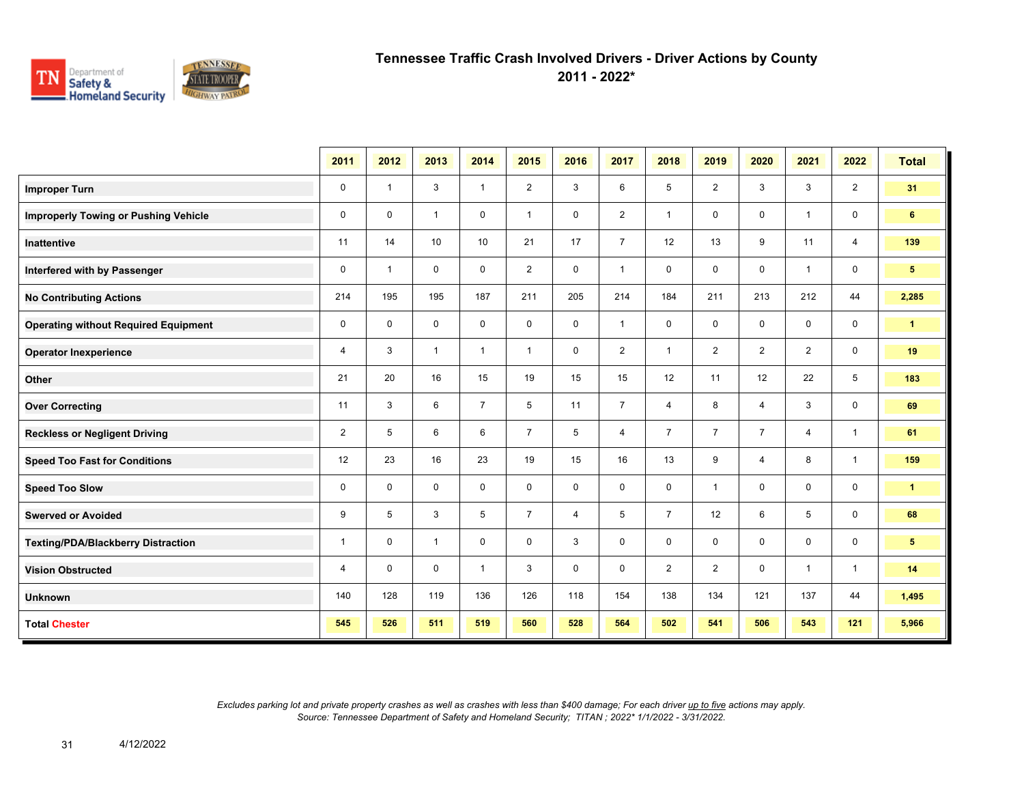

**2011 - 2022\***

|                                             | 2011           | 2012         | 2013         | 2014                    | 2015           | 2016        | 2017           | 2018           | 2019           | 2020           | 2021           | 2022           | <b>Total</b>   |
|---------------------------------------------|----------------|--------------|--------------|-------------------------|----------------|-------------|----------------|----------------|----------------|----------------|----------------|----------------|----------------|
| <b>Improper Turn</b>                        | $\mathbf 0$    | $\mathbf{1}$ | 3            | $\mathbf{1}$            | $\overline{2}$ | 3           | 6              | 5              | $\overline{2}$ | 3              | 3              | $\overline{2}$ | 31             |
| <b>Improperly Towing or Pushing Vehicle</b> | $\mathbf 0$    | $\mathbf 0$  | $\mathbf{1}$ | $\mathbf 0$             | $\mathbf{1}$   | $\mathbf 0$ | $\overline{2}$ | $\mathbf{1}$   | 0              | $\mathbf 0$    | $\mathbf{1}$   | $\mathbf 0$    | $6\phantom{.}$ |
| Inattentive                                 | 11             | 14           | 10           | 10                      | 21             | 17          | $\overline{7}$ | 12             | 13             | 9              | 11             | $\overline{4}$ | 139            |
| Interfered with by Passenger                | $\mathbf 0$    | $\mathbf{1}$ | $\mathbf 0$  | $\mathbf 0$             | $\overline{2}$ | $\mathbf 0$ | $\mathbf{1}$   | 0              | 0              | $\mathbf 0$    | $\mathbf{1}$   | $\mathbf 0$    | $5^{\circ}$    |
| <b>No Contributing Actions</b>              | 214            | 195          | 195          | 187                     | 211            | 205         | 214            | 184            | 211            | 213            | 212            | 44             | 2,285          |
| <b>Operating without Required Equipment</b> | $\mathbf 0$    | $\mathbf 0$  | 0            | $\mathbf 0$             | $\mathbf 0$    | $\mathbf 0$ | $\mathbf{1}$   | 0              | 0              | $\mathbf 0$    | $\mathbf 0$    | $\mathbf 0$    | $\mathbf{1}$   |
| <b>Operator Inexperience</b>                | 4              | 3            | $\mathbf{1}$ | $\mathbf{1}$            | $\mathbf{1}$   | 0           | $\overline{2}$ | $\mathbf{1}$   | $\overline{2}$ | $\overline{2}$ | $\overline{2}$ | 0              | 19             |
| Other                                       | 21             | 20           | 16           | 15                      | 19             | 15          | 15             | 12             | 11             | 12             | 22             | 5              | 183            |
| <b>Over Correcting</b>                      | 11             | 3            | 6            | $\overline{7}$          | 5              | 11          | $\overline{7}$ | 4              | 8              | 4              | 3              | $\mathbf 0$    | 69             |
| <b>Reckless or Negligent Driving</b>        | $\overline{2}$ | 5            | 6            | 6                       | $\overline{7}$ | 5           | $\overline{4}$ | $\overline{7}$ | $\overline{7}$ | $\overline{7}$ | $\overline{4}$ | $\overline{1}$ | 61             |
| <b>Speed Too Fast for Conditions</b>        | 12             | 23           | 16           | 23                      | 19             | 15          | 16             | 13             | 9              | 4              | 8              | $\overline{1}$ | 159            |
| <b>Speed Too Slow</b>                       | $\mathbf 0$    | $\mathbf 0$  | $\mathbf 0$  | $\mathsf{O}\phantom{0}$ | $\mathsf{O}$   | $\mathbf 0$ | $\mathbf 0$    | 0              | $\mathbf{1}$   | $\mathbf 0$    | 0              | $\mathbf 0$    | $\mathbf{1}$   |
| <b>Swerved or Avoided</b>                   | 9              | 5            | 3            | 5                       | $\overline{7}$ | 4           | 5              | $\overline{7}$ | 12             | 6              | 5              | $\mathbf 0$    | 68             |
| <b>Texting/PDA/Blackberry Distraction</b>   | $\mathbf{1}$   | $\mathbf 0$  | $\mathbf{1}$ | $\mathbf 0$             | $\mathbf 0$    | 3           | $\mathbf 0$    | 0              | $\mathbf 0$    | $\mathbf 0$    | $\mathbf 0$    | $\mathbf 0$    | $5^{\circ}$    |
| <b>Vision Obstructed</b>                    | $\overline{4}$ | $\mathbf 0$  | $\mathbf 0$  | $\mathbf{1}$            | 3              | $\mathbf 0$ | $\mathbf 0$    | $\overline{2}$ | $\overline{2}$ | $\mathbf 0$    | $\overline{1}$ | $\overline{1}$ | 14             |
| <b>Unknown</b>                              | 140            | 128          | 119          | 136                     | 126            | 118         | 154            | 138            | 134            | 121            | 137            | 44             | 1,495          |
| <b>Total Chester</b>                        | 545            | 526          | 511          | 519                     | 560            | 528         | 564            | 502            | 541            | 506            | 543            | 121            | 5,966          |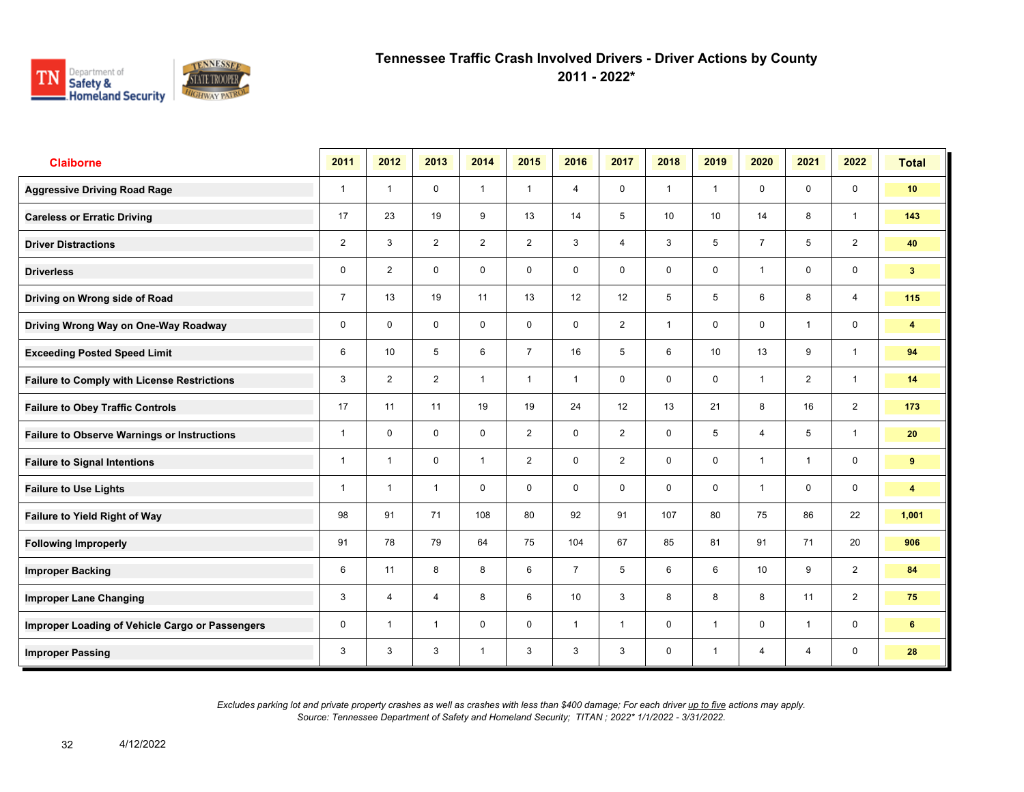

**2011 - 2022\***

| <b>Claiborne</b>                                   | 2011           | 2012           | 2013           | 2014           | 2015           | 2016            | 2017           | 2018         | 2019            | 2020            | 2021           | 2022           | <b>Total</b>            |
|----------------------------------------------------|----------------|----------------|----------------|----------------|----------------|-----------------|----------------|--------------|-----------------|-----------------|----------------|----------------|-------------------------|
| <b>Aggressive Driving Road Rage</b>                | $\mathbf{1}$   | $\mathbf{1}$   | $\mathbf 0$    | $\mathbf{1}$   | $\mathbf{1}$   | $\overline{4}$  | $\mathbf 0$    | $\mathbf{1}$ | $\mathbf{1}$    | $\mathbf 0$     | $\mathbf 0$    | $\mathbf 0$    | 10                      |
| <b>Careless or Erratic Driving</b>                 | 17             | 23             | 19             | 9              | 13             | 14              | 5              | 10           | 10              | 14              | 8              | $\mathbf{1}$   | 143                     |
| <b>Driver Distractions</b>                         | $\overline{2}$ | 3              | $\overline{2}$ | $\overline{2}$ | $\overline{2}$ | 3               | 4              | 3            | 5               | $\overline{7}$  | 5              | $\overline{2}$ | 40                      |
| <b>Driverless</b>                                  | 0              | $\overline{2}$ | $\mathbf 0$    | $\mathbf 0$    | $\mathbf 0$    | $\mathbf 0$     | 0              | 0            | 0               | $\mathbf{1}$    | 0              | 0              | 3 <sup>2</sup>          |
| Driving on Wrong side of Road                      | $\overline{7}$ | 13             | 19             | 11             | 13             | 12              | 12             | 5            | 5               | 6               | 8              | $\overline{4}$ | 115                     |
| Driving Wrong Way on One-Way Roadway               | $\mathbf 0$    | $\mathbf 0$    | $\mathbf 0$    | $\mathbf 0$    | $\mathbf 0$    | $\mathbf 0$     | $\overline{2}$ | $\mathbf{1}$ | $\mathbf 0$     | $\mathbf 0$     | $\mathbf{1}$   | 0              | $\overline{\mathbf{4}}$ |
| <b>Exceeding Posted Speed Limit</b>                | 6              | 10             | 5              | 6              | $\overline{7}$ | 16              | 5              | 6            | 10 <sup>°</sup> | 13              | 9              | $\mathbf{1}$   | 94                      |
| <b>Failure to Comply with License Restrictions</b> | 3              | $\overline{2}$ | $\overline{2}$ | $\mathbf{1}$   | $\mathbf{1}$   | $\mathbf{1}$    | $\mathbf 0$    | $\mathbf 0$  | $\mathbf 0$     | $\overline{1}$  | $\overline{2}$ | $\mathbf{1}$   | 14                      |
| <b>Failure to Obey Traffic Controls</b>            | 17             | 11             | 11             | 19             | 19             | 24              | 12             | 13           | 21              | 8               | 16             | $\overline{2}$ | 173                     |
| <b>Failure to Observe Warnings or Instructions</b> | $\mathbf{1}$   | $\mathbf 0$    | $\mathbf 0$    | $\mathbf 0$    | $\overline{2}$ | $\mathbf 0$     | $\overline{2}$ | $\mathbf 0$  | 5               | $\overline{4}$  | 5              | $\mathbf{1}$   | 20                      |
| <b>Failure to Signal Intentions</b>                | $\mathbf{1}$   | $\mathbf{1}$   | 0              | $\mathbf{1}$   | $\overline{2}$ | 0               | $\overline{2}$ | 0            | 0               | $\mathbf{1}$    | $\mathbf{1}$   | 0              | 9                       |
| <b>Failure to Use Lights</b>                       | $\mathbf{1}$   | $\mathbf 1$    | $\mathbf{1}$   | $\mathbf 0$    | $\mathbf 0$    | $\mathbf 0$     | $\mathbf 0$    | $\mathbf 0$  | 0               | $\mathbf 1$     | $\mathbf 0$    | 0              | $\overline{\mathbf{4}}$ |
| <b>Failure to Yield Right of Way</b>               | 98             | 91             | 71             | 108            | 80             | 92              | 91             | 107          | 80              | 75              | 86             | 22             | 1,001                   |
| <b>Following Improperly</b>                        | 91             | 78             | 79             | 64             | 75             | 104             | 67             | 85           | 81              | 91              | 71             | 20             | 906                     |
| <b>Improper Backing</b>                            | 6              | 11             | 8              | 8              | 6              | $\overline{7}$  | 5              | 6            | 6               | 10 <sup>1</sup> | 9              | $\overline{2}$ | 84                      |
| <b>Improper Lane Changing</b>                      | 3              | 4              | $\overline{4}$ | 8              | 6              | 10 <sup>1</sup> | 3              | 8            | 8               | 8               | 11             | $\overline{2}$ | 75                      |
| Improper Loading of Vehicle Cargo or Passengers    | $\mathbf 0$    | $\mathbf{1}$   | $\mathbf{1}$   | $\mathbf 0$    | $\mathbf 0$    | $\mathbf{1}$    | $\mathbf{1}$   | 0            | $\mathbf{1}$    | $\mathbf 0$     | $\mathbf{1}$   | 0              | 6                       |
| <b>Improper Passing</b>                            | 3              | 3              | 3              | $\mathbf{1}$   | 3              | 3               | 3              | $\mathbf 0$  | $\mathbf{1}$    | 4               | $\overline{4}$ | $\mathbf 0$    | 28                      |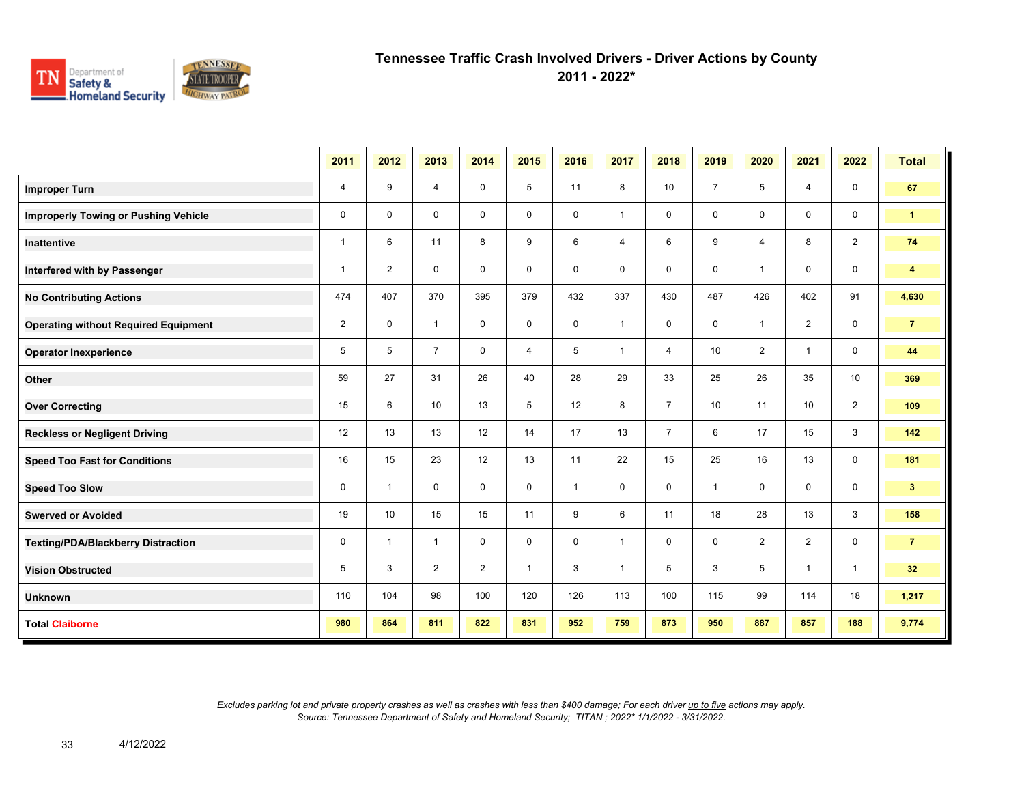

**2011 - 2022\***

|                                             | 2011           | 2012           | 2013           | 2014           | 2015         | 2016         | 2017           | 2018           | 2019           | 2020                    | 2021           | 2022           | <b>Total</b>   |
|---------------------------------------------|----------------|----------------|----------------|----------------|--------------|--------------|----------------|----------------|----------------|-------------------------|----------------|----------------|----------------|
| <b>Improper Turn</b>                        | 4              | 9              | 4              | $\mathbf 0$    | 5            | 11           | 8              | 10             | $\overline{7}$ | 5                       | 4              | $\mathbf 0$    | 67             |
| <b>Improperly Towing or Pushing Vehicle</b> | 0              | $\mathbf 0$    | $\mathbf 0$    | $\mathbf 0$    | 0            | 0            | $\mathbf{1}$   | $\mathbf 0$    | 0              | $\mathbf 0$             | $\mathbf 0$    | $\mathbf 0$    | $\mathbf{1}$   |
| <b>Inattentive</b>                          | $\mathbf{1}$   | 6              | 11             | 8              | 9            | 6            | $\overline{4}$ | 6              | 9              | $\overline{4}$          | 8              | $\overline{2}$ | 74             |
| Interfered with by Passenger                | $\mathbf{1}$   | $\overline{2}$ | $\mathbf 0$    | $\mathbf 0$    | 0            | $\mathbf 0$  | 0              | $\mathbf 0$    | 0              | $\overline{1}$          | $\mathbf 0$    | $\mathbf 0$    | 4              |
| <b>No Contributing Actions</b>              | 474            | 407            | 370            | 395            | 379          | 432          | 337            | 430            | 487            | 426                     | 402            | 91             | 4,630          |
| <b>Operating without Required Equipment</b> | $\overline{2}$ | $\mathbf 0$    | $\mathbf{1}$   | $\mathbf 0$    | 0            | $\mathbf 0$  | $\mathbf{1}$   | 0              | 0              | $\overline{\mathbf{1}}$ | $\overline{2}$ | $\mathbf 0$    | $\overline{7}$ |
| <b>Operator Inexperience</b>                | 5              | 5              | $\overline{7}$ | 0              | 4            | 5            | $\mathbf{1}$   | 4              | 10             | $\overline{2}$          | $\mathbf{1}$   | $\mathbf 0$    | 44             |
| Other                                       | 59             | 27             | 31             | 26             | 40           | 28           | 29             | 33             | 25             | 26                      | 35             | 10             | 369            |
| <b>Over Correcting</b>                      | 15             | 6              | 10             | 13             | 5            | 12           | 8              | $\overline{7}$ | 10             | 11                      | 10             | 2              | 109            |
| <b>Reckless or Negligent Driving</b>        | 12             | 13             | 13             | 12             | 14           | 17           | 13             | $\overline{7}$ | 6              | 17                      | 15             | 3              | 142            |
| <b>Speed Too Fast for Conditions</b>        | 16             | 15             | 23             | 12             | 13           | 11           | 22             | 15             | 25             | 16                      | 13             | $\mathbf 0$    | 181            |
| <b>Speed Too Slow</b>                       | $\mathbf 0$    | $\overline{1}$ | $\mathbf 0$    | $\mathbf 0$    | $\mathbf 0$  | $\mathbf{1}$ | $\mathbf 0$    | $\mathbf 0$    | $\mathbf 1$    | $\Omega$                | $\mathbf 0$    | $\mathbf 0$    | 3 <sup>2</sup> |
| <b>Swerved or Avoided</b>                   | 19             | 10             | 15             | 15             | 11           | 9            | 6              | 11             | 18             | 28                      | 13             | $\mathbf{3}$   | 158            |
| <b>Texting/PDA/Blackberry Distraction</b>   | 0              | $\mathbf{1}$   | $\mathbf{1}$   | $\mathbf 0$    | $\mathbf 0$  | $\mathbf 0$  | $\mathbf{1}$   | $\mathbf 0$    | 0              | $\overline{2}$          | $\overline{2}$ | $\mathbf 0$    | $\overline{7}$ |
| <b>Vision Obstructed</b>                    | 5              | 3              | 2              | $\overline{2}$ | $\mathbf{1}$ | 3            | $\mathbf{1}$   | 5              | 3              | 5                       | $\mathbf{1}$   | $\mathbf{1}$   | 32             |
| <b>Unknown</b>                              | 110            | 104            | 98             | 100            | 120          | 126          | 113            | 100            | 115            | 99                      | 114            | 18             | 1,217          |
| <b>Total Claiborne</b>                      | 980            | 864            | 811            | 822            | 831          | 952          | 759            | 873            | 950            | 887                     | 857            | 188            | 9,774          |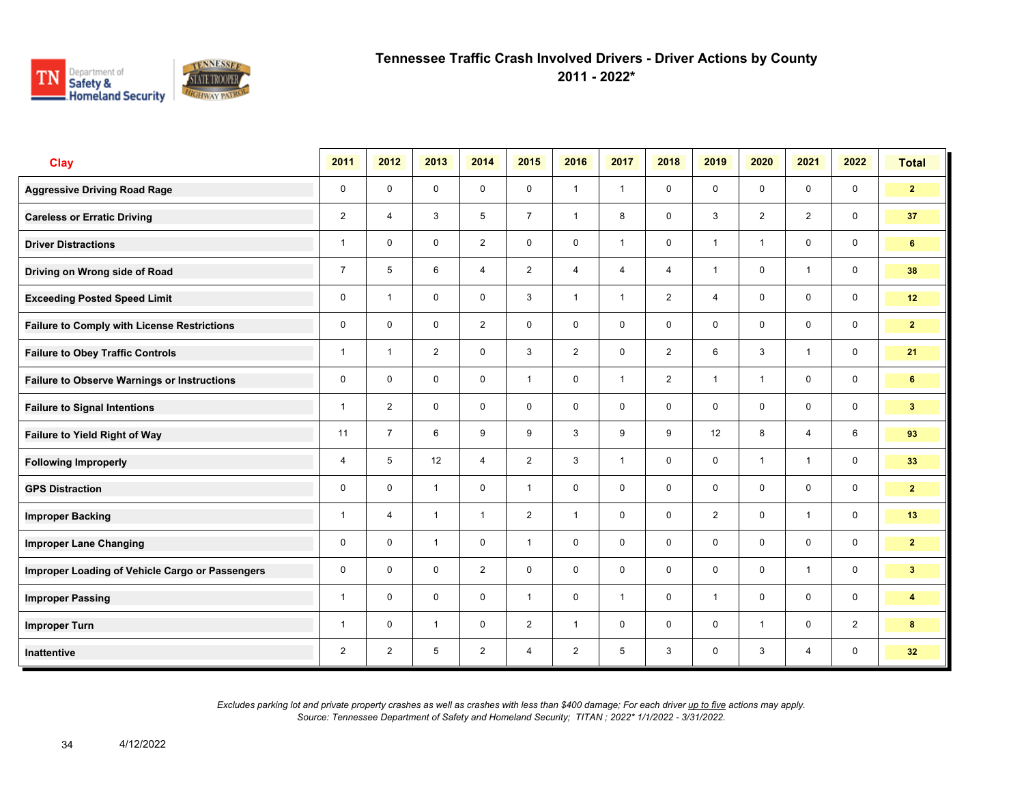

**2011 - 2022\***

| <b>Clay</b>                                        | 2011           | 2012           | 2013           | 2014           | 2015           | 2016           | 2017           | 2018           | 2019           | 2020           | 2021           | 2022                    | <b>Total</b>    |
|----------------------------------------------------|----------------|----------------|----------------|----------------|----------------|----------------|----------------|----------------|----------------|----------------|----------------|-------------------------|-----------------|
| <b>Aggressive Driving Road Rage</b>                | $\mathbf 0$    | $\mathbf 0$    | $\mathbf 0$    | $\mathbf 0$    | $\mathbf 0$    | $\mathbf{1}$   | $\mathbf{1}$   | $\mathbf 0$    | $\mathbf 0$    | $\mathbf 0$    | $\mathbf 0$    | $\mathbf 0$             | 2 <sub>2</sub>  |
| <b>Careless or Erratic Driving</b>                 | $\overline{2}$ | $\overline{4}$ | 3              | 5              | $\overline{7}$ | $\mathbf{1}$   | 8              | $\mathbf 0$    | 3              | 2              | 2              | $\mathbf 0$             | 37              |
| <b>Driver Distractions</b>                         | 1              | $\mathbf 0$    | $\mathbf 0$    | $\overline{2}$ | $\mathbf 0$    | $\mathbf 0$    | $\mathbf{1}$   | $\mathbf 0$    | $\mathbf{1}$   | $\overline{1}$ | $\mathbf 0$    | $\mathbf 0$             | 6               |
| Driving on Wrong side of Road                      | $\overline{7}$ | 5              | 6              | $\overline{4}$ | $\overline{2}$ | $\overline{4}$ | $\overline{4}$ | $\overline{4}$ | $\mathbf{1}$   | $\mathbf 0$    | $\mathbf{1}$   | $\mathbf 0$             | 38              |
| <b>Exceeding Posted Speed Limit</b>                | 0              | $\overline{1}$ | $\mathbf 0$    | $\mathbf 0$    | 3              | $\mathbf{1}$   | $\mathbf{1}$   | $\overline{2}$ | 4              | $\mathbf 0$    | $\mathbf 0$    | $\mathbf 0$             | 12              |
| <b>Failure to Comply with License Restrictions</b> | $\mathbf 0$    | $\mathbf 0$    | $\mathbf 0$    | $\overline{2}$ | $\mathbf 0$    | $\mathbf 0$    | $\mathbf 0$    | $\mathbf 0$    | $\mathbf 0$    | $\mathbf 0$    | $\mathbf 0$    | $\mathbf 0$             | $\overline{2}$  |
| <b>Failure to Obey Traffic Controls</b>            | 1              | $\overline{1}$ | $\overline{2}$ | $\mathbf 0$    | 3              | $\overline{2}$ | $\mathbf 0$    | $\overline{2}$ | 6              | $\mathbf{3}$   | $\overline{1}$ | $\mathbf 0$             | 21              |
| <b>Failure to Observe Warnings or Instructions</b> | $\mathbf 0$    | $\mathbf 0$    | $\mathbf 0$    | $\mathbf 0$    | $\mathbf{1}$   | $\mathbf 0$    | $\mathbf{1}$   | $\overline{2}$ | $\mathbf{1}$   | $\overline{1}$ | $\mathbf 0$    | $\mathbf 0$             | 6               |
| <b>Failure to Signal Intentions</b>                | 1              | 2              | $\Omega$       | $\mathbf 0$    | $\Omega$       | $\Omega$       | $\mathbf 0$    | $\mathbf 0$    | $\mathbf 0$    | $\Omega$       | $\mathbf 0$    | $\mathbf 0$             | 3 <sup>2</sup>  |
| Failure to Yield Right of Way                      | 11             | $\overline{7}$ | 6              | 9              | 9              | 3              | 9              | 9              | 12             | 8              | $\overline{4}$ | 6                       | 93              |
| <b>Following Improperly</b>                        | 4              | 5              | 12             | $\overline{4}$ | $\overline{2}$ | $\mathbf{3}$   | $\mathbf{1}$   | $\mathbf 0$    | 0              | $\overline{1}$ | $\overline{1}$ | $\mathbf 0$             | 33              |
| <b>GPS Distraction</b>                             | $\mathbf 0$    | $\Omega$       | $\mathbf{1}$   | $\mathbf 0$    | $\mathbf{1}$   | $\mathbf 0$    | $\mathbf 0$    | $\mathbf 0$    | $\mathbf 0$    | $\mathbf 0$    | $\mathbf 0$    | $\mathsf{O}\phantom{0}$ | 2 <sub>2</sub>  |
| <b>Improper Backing</b>                            | 1              | $\overline{4}$ | $\mathbf{1}$   | $\mathbf{1}$   | $\overline{2}$ | $\overline{1}$ | $\mathbf 0$    | $\mathbf 0$    | $\overline{2}$ | $\mathbf 0$    | $\mathbf{1}$   | $\mathbf 0$             | 13              |
| <b>Improper Lane Changing</b>                      | $\mathbf 0$    | $\Omega$       | $\mathbf{1}$   | $\mathbf 0$    | $\mathbf{1}$   | $\Omega$       | $\mathbf 0$    | $\mathbf 0$    | $\mathbf 0$    | $\Omega$       | $\mathbf 0$    | $\mathbf 0$             | $\overline{2}$  |
| Improper Loading of Vehicle Cargo or Passengers    | 0              | $\mathbf 0$    | $\mathbf 0$    | $\overline{2}$ | $\mathbf 0$    | $\mathbf 0$    | $\mathbf 0$    | $\mathbf 0$    | 0              | $\mathbf 0$    | $\mathbf{1}$   | $\mathbf 0$             | 3 <sub>1</sub>  |
| <b>Improper Passing</b>                            | 1              | $\mathbf 0$    | $\mathbf 0$    | $\mathbf 0$    | $\mathbf{1}$   | $\mathbf 0$    | $\mathbf{1}$   | $\mathbf 0$    | $\mathbf{1}$   | $\mathbf 0$    | $\mathbf 0$    | $\mathbf 0$             | 4               |
| <b>Improper Turn</b>                               | 1              | $\mathbf 0$    | $\mathbf{1}$   | $\mathbf 0$    | $\overline{2}$ | $\mathbf{1}$   | $\mathbf 0$    | $\mathbf 0$    | $\mathbf 0$    | $\overline{1}$ | $\mathbf 0$    | 2                       | 8               |
| Inattentive                                        | $\overline{2}$ | 2              | 5              | 2              | 4              | 2              | 5              | $\mathbf{3}$   | 0              | 3              | $\overline{4}$ | $\mathbf 0$             | 32 <sup>°</sup> |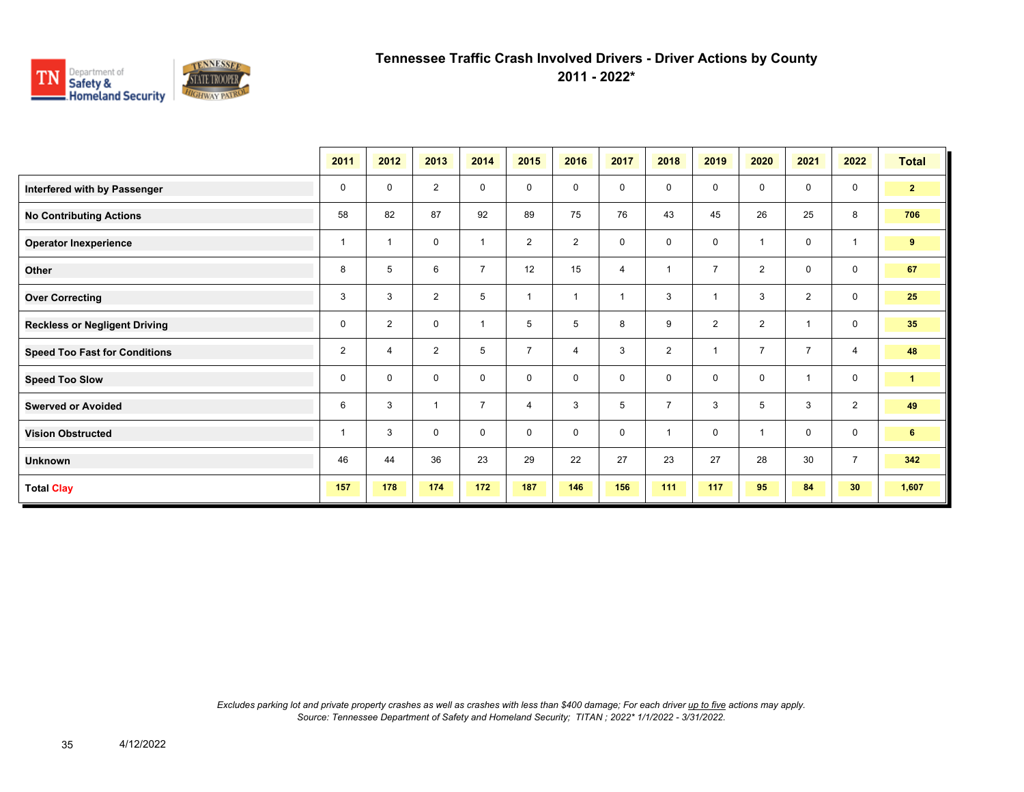

**2011 - 2022\***

|                                      | 2011           | 2012           | 2013           | 2014                    | 2015           | 2016           | 2017           | 2018           | 2019           | 2020           | 2021           | 2022                    | <b>Total</b>         |
|--------------------------------------|----------------|----------------|----------------|-------------------------|----------------|----------------|----------------|----------------|----------------|----------------|----------------|-------------------------|----------------------|
| Interfered with by Passenger         | 0              | 0              | 2              | 0                       | 0              | 0              | $\mathbf 0$    | $\mathbf 0$    | 0              | $\mathbf 0$    | 0              | 0                       | 2 <sub>1</sub>       |
| <b>No Contributing Actions</b>       | 58             | 82             | 87             | 92                      | 89             | 75             | 76             | 43             | 45             | 26             | 25             | 8                       | 706                  |
| <b>Operator Inexperience</b>         | -1             |                | $\mathbf 0$    | $\overline{\mathbf{1}}$ | $\overline{2}$ | $\overline{2}$ | 0              | $\mathbf 0$    | $\mathbf 0$    | -1             | 0              | $\overline{\mathbf{1}}$ | 9                    |
| Other                                | 8              | 5              | 6              | $\overline{7}$          | 12             | 15             | $\overline{4}$ | 1              | $\overline{7}$ | $\overline{2}$ | 0              | $\mathbf 0$             | 67                   |
| <b>Over Correcting</b>               | 3              | 3              | 2              | 5                       | $\mathbf{1}$   | $\overline{1}$ | $\overline{1}$ | 3              | 1              | 3              | $\overline{2}$ | $\mathbf 0$             | 25                   |
| <b>Reckless or Negligent Driving</b> | $\mathbf 0$    | $\overline{2}$ | 0              | $\overline{1}$          | 5              | 5              | 8              | 9              | $\overline{2}$ | $\overline{2}$ |                | $\mathbf 0$             | 35                   |
| <b>Speed Too Fast for Conditions</b> | $\overline{2}$ | 4              | $\overline{2}$ | 5                       | $\overline{7}$ | 4              | 3              | $\overline{2}$ | $\mathbf{1}$   | $\overline{7}$ | $\overline{7}$ | $\overline{4}$          | 48                   |
| <b>Speed Too Slow</b>                | $\mathbf 0$    | $\mathbf 0$    | $\mathbf 0$    | $\mathbf 0$             | $\mathbf 0$    | $\mathbf 0$    | 0              | $\mathbf 0$    | 0              | $\mathbf 0$    | $\overline{1}$ | $\mathbf 0$             | $\blacktriangleleft$ |
| <b>Swerved or Avoided</b>            | 6              | 3              | $\overline{1}$ | $\overline{7}$          | 4              | 3              | 5              | $\overline{7}$ | 3              | 5              | 3              | 2                       | 49                   |
| <b>Vision Obstructed</b>             |                | 3              | $\Omega$       | $\mathbf 0$             | 0              | $\mathbf 0$    | $\mathbf 0$    | $\overline{1}$ | $\Omega$       |                | 0              | $\mathbf 0$             | 6                    |
| <b>Unknown</b>                       | 46             | 44             | 36             | 23                      | 29             | 22             | 27             | 23             | 27             | 28             | 30             | $\overline{7}$          | 342                  |
| <b>Total Clay</b>                    | 157            | 178            | 174            | 172                     | 187            | 146            | 156            | 111            | 117            | 95             | 84             | 30 <sub>2</sub>         | 1,607                |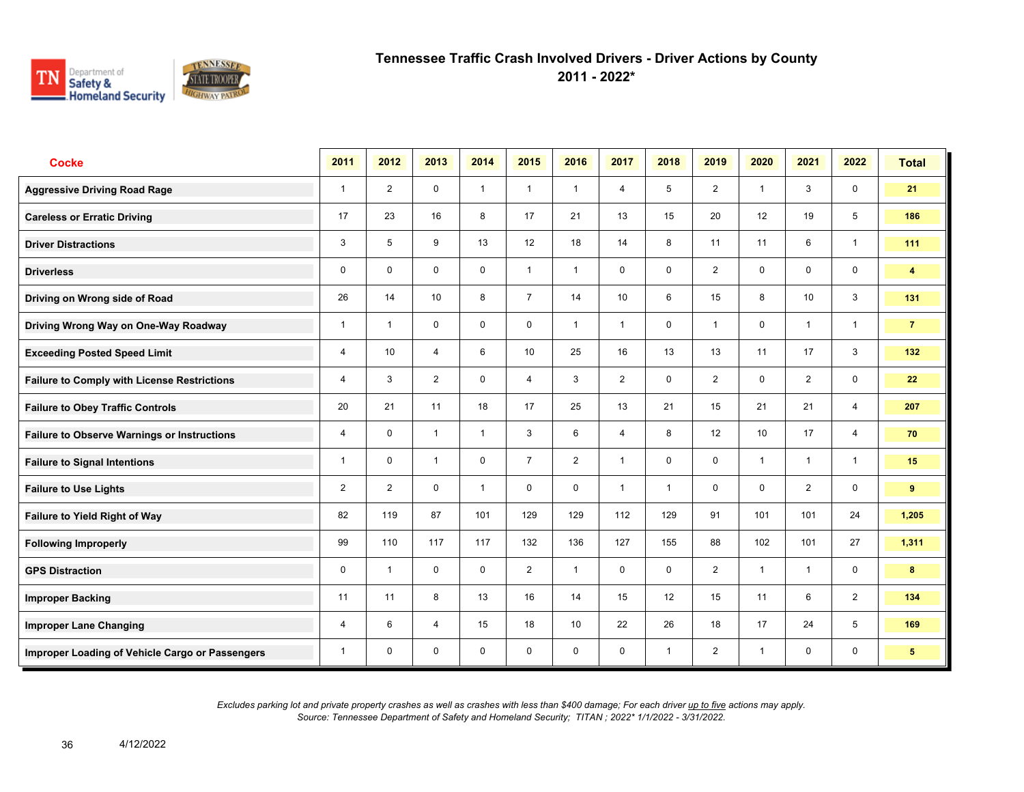

**2011 - 2022\***

| <b>Cocke</b>                                       | 2011           | 2012           | 2013           | 2014         | 2015           | 2016           | 2017           | 2018         | 2019           | 2020           | 2021           | 2022                    | <b>Total</b>    |
|----------------------------------------------------|----------------|----------------|----------------|--------------|----------------|----------------|----------------|--------------|----------------|----------------|----------------|-------------------------|-----------------|
| <b>Aggressive Driving Road Rage</b>                | $\mathbf{1}$   | $\overline{2}$ | $\mathbf 0$    | $\mathbf{1}$ | $\mathbf{1}$   | $\overline{1}$ | $\overline{4}$ | 5            | $\overline{2}$ | $\overline{1}$ | 3              | $\mathbf 0$             | 21              |
| <b>Careless or Erratic Driving</b>                 | 17             | 23             | 16             | 8            | 17             | 21             | 13             | 15           | 20             | 12             | 19             | 5                       | 186             |
| <b>Driver Distractions</b>                         | 3              | 5              | 9              | 13           | 12             | 18             | 14             | 8            | 11             | 11             | 6              | $\mathbf{1}$            | 111             |
| <b>Driverless</b>                                  | 0              | $\mathbf 0$    | $\mathbf 0$    | $\mathbf 0$  | $\mathbf{1}$   | $\overline{1}$ | $\mathbf 0$    | $\mathbf 0$  | $\overline{2}$ | $\mathbf 0$    | $\mathbf 0$    | $\mathbf 0$             | 4               |
| Driving on Wrong side of Road                      | 26             | 14             | 10             | 8            | $\overline{7}$ | 14             | 10             | 6            | 15             | 8              | 10             | 3                       | 131             |
| Driving Wrong Way on One-Way Roadway               | 1              | $\overline{1}$ | $\mathbf 0$    | $\mathbf 0$  | $\mathbf 0$    | $\mathbf{1}$   | $\mathbf{1}$   | $\mathbf 0$  | 1              | $\mathbf 0$    | $\mathbf{1}$   | $\mathbf{1}$            | $\overline{7}$  |
| <b>Exceeding Posted Speed Limit</b>                | 4              | 10             | 4              | 6            | 10             | 25             | 16             | 13           | 13             | 11             | 17             | $\mathbf{3}$            | 132             |
| <b>Failure to Comply with License Restrictions</b> | 4              | 3              | $\overline{2}$ | $\mathbf 0$  | 4              | 3              | $\overline{2}$ | $\mathbf 0$  | $\overline{2}$ | $\mathbf 0$    | $\overline{2}$ | $\mathbf 0$             | 22              |
| <b>Failure to Obey Traffic Controls</b>            | 20             | 21             | 11             | 18           | 17             | 25             | 13             | 21           | 15             | 21             | 21             | $\overline{4}$          | 207             |
| <b>Failure to Observe Warnings or Instructions</b> | 4              | $\mathbf 0$    | $\mathbf{1}$   | $\mathbf{1}$ | 3              | 6              | $\overline{4}$ | 8            | 12             | 10             | 17             | $\overline{4}$          | 70              |
| <b>Failure to Signal Intentions</b>                | 1              | $\mathbf 0$    | $\mathbf{1}$   | $\mathbf 0$  | $\overline{7}$ | 2              | $\mathbf{1}$   | $\mathbf 0$  | 0              | $\overline{1}$ | $\overline{1}$ | $\mathbf{1}$            | 15              |
| <b>Failure to Use Lights</b>                       | $\overline{2}$ | $\overline{2}$ | $\Omega$       | $\mathbf{1}$ | $\mathbf 0$    | $\mathbf{0}$   | $\mathbf{1}$   | $\mathbf{1}$ | $\mathbf 0$    | $\mathbf{0}$   | 2              | $\mathsf{O}\phantom{0}$ | 9               |
| <b>Failure to Yield Right of Way</b>               | 82             | 119            | 87             | 101          | 129            | 129            | 112            | 129          | 91             | 101            | 101            | 24                      | 1,205           |
| <b>Following Improperly</b>                        | 99             | 110            | 117            | 117          | 132            | 136            | 127            | 155          | 88             | 102            | 101            | 27                      | 1,311           |
| <b>GPS Distraction</b>                             | 0              | $\overline{1}$ | $\mathbf 0$    | $\mathbf 0$  | $\overline{2}$ | $\overline{1}$ | $\mathbf 0$    | $\mathbf 0$  | $\overline{2}$ | $\overline{1}$ | $\mathbf{1}$   | $\mathbf 0$             | 8               |
| <b>Improper Backing</b>                            | 11             | 11             | 8              | 13           | 16             | 14             | 15             | 12           | 15             | 11             | 6              | 2                       | 134             |
| <b>Improper Lane Changing</b>                      | 4              | 6              | $\overline{4}$ | 15           | 18             | 10             | 22             | 26           | 18             | 17             | 24             | 5                       | 169             |
| Improper Loading of Vehicle Cargo or Passengers    | 1              | $\mathbf 0$    | $\mathbf 0$    | $\mathbf 0$  | $\mathbf 0$    | $\mathbf 0$    | $\mathbf 0$    | $\mathbf{1}$ | $\overline{2}$ | $\overline{1}$ | $\mathbf 0$    | 0                       | $5\phantom{.0}$ |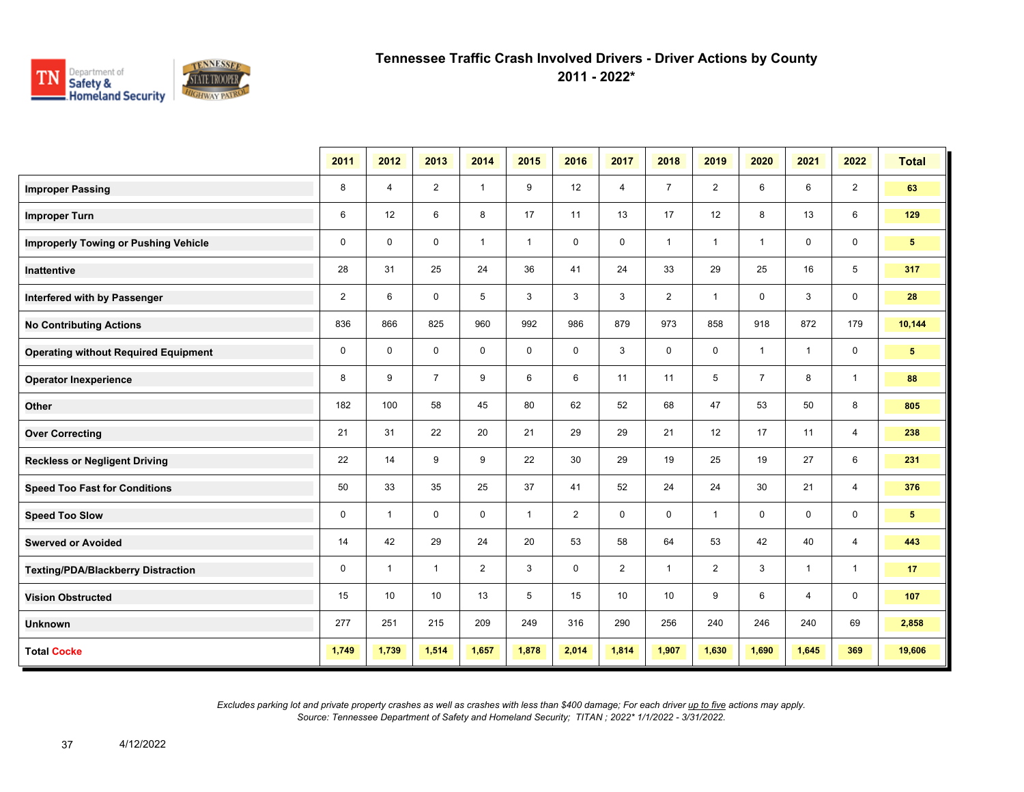

**2011 - 2022\***

|                                             | 2011           | 2012           | 2013           | 2014         | 2015         | 2016           | 2017           | 2018           | 2019           | 2020           | 2021         | 2022           | <b>Total</b>   |
|---------------------------------------------|----------------|----------------|----------------|--------------|--------------|----------------|----------------|----------------|----------------|----------------|--------------|----------------|----------------|
| <b>Improper Passing</b>                     | 8              | $\overline{4}$ | $\overline{2}$ | $\mathbf{1}$ | 9            | 12             | 4              | $\overline{7}$ | $\overline{2}$ | 6              | 6            | $\overline{2}$ | 63             |
| <b>Improper Turn</b>                        | 6              | 12             | 6              | 8            | 17           | 11             | 13             | 17             | 12             | 8              | 13           | 6              | 129            |
| <b>Improperly Towing or Pushing Vehicle</b> | $\mathbf 0$    | $\Omega$       | $\Omega$       | $\mathbf{1}$ | $\mathbf{1}$ | $\mathbf 0$    | 0              | $\mathbf{1}$   | $\mathbf{1}$   | $\mathbf{1}$   | $\mathbf 0$  | 0              | 5 <sup>1</sup> |
| <b>Inattentive</b>                          | 28             | 31             | 25             | 24           | 36           | 41             | 24             | 33             | 29             | 25             | 16           | 5              | 317            |
| Interfered with by Passenger                | $\overline{2}$ | 6              | $\mathbf 0$    | 5            | 3            | 3              | 3              | $\overline{2}$ | $\mathbf{1}$   | 0              | 3            | $\mathbf 0$    | 28             |
| <b>No Contributing Actions</b>              | 836            | 866            | 825            | 960          | 992          | 986            | 879            | 973            | 858            | 918            | 872          | 179            | 10,144         |
| <b>Operating without Required Equipment</b> | 0              | 0              | $\mathbf 0$    | $\mathbf 0$  | $\mathbf 0$  | $\mathbf 0$    | 3              | $\mathbf 0$    | $\mathbf 0$    | $\mathbf{1}$   | $\mathbf{1}$ | 0              | 5 <sub>5</sub> |
| <b>Operator Inexperience</b>                | 8              | 9              | $\overline{7}$ | 9            | 6            | 6              | 11             | 11             | 5              | $\overline{7}$ | 8            | $\mathbf{1}$   | 88             |
| Other                                       | 182            | 100            | 58             | 45           | 80           | 62             | 52             | 68             | 47             | 53             | 50           | 8              | 805            |
| <b>Over Correcting</b>                      | 21             | 31             | 22             | 20           | 21           | 29             | 29             | 21             | 12             | 17             | 11           | 4              | 238            |
| <b>Reckless or Negligent Driving</b>        | 22             | 14             | 9              | 9            | 22           | 30             | 29             | 19             | 25             | 19             | 27           | 6              | 231            |
| <b>Speed Too Fast for Conditions</b>        | 50             | 33             | 35             | 25           | 37           | 41             | 52             | 24             | 24             | 30             | 21           | $\overline{4}$ | 376            |
| <b>Speed Too Slow</b>                       | 0              | -1             | $\mathbf 0$    | $\mathbf 0$  | $\mathbf{1}$ | $\overline{2}$ | $\mathbf 0$    | $\mathbf 0$    | $\mathbf{1}$   | $\mathbf 0$    | 0            | 0              | 5 <sup>5</sup> |
| <b>Swerved or Avoided</b>                   | 14             | 42             | 29             | 24           | 20           | 53             | 58             | 64             | 53             | 42             | 40           | $\overline{4}$ | 443            |
| <b>Texting/PDA/Blackberry Distraction</b>   | 0              | $\overline{1}$ | $\mathbf{1}$   | 2            | 3            | $\mathbf 0$    | $\overline{2}$ | $\mathbf{1}$   | $\overline{2}$ | 3              | $\mathbf{1}$ | $\mathbf{1}$   | 17             |
| <b>Vision Obstructed</b>                    | 15             | 10             | 10             | 13           | 5            | 15             | 10             | 10             | 9              | 6              | 4            | 0              | 107            |
| <b>Unknown</b>                              | 277            | 251            | 215            | 209          | 249          | 316            | 290            | 256            | 240            | 246            | 240          | 69             | 2,858          |
| <b>Total Cocke</b>                          | 1,749          | 1,739          | 1,514          | 1,657        | 1,878        | 2,014          | 1,814          | 1,907          | 1,630          | 1,690          | 1,645        | 369            | 19,606         |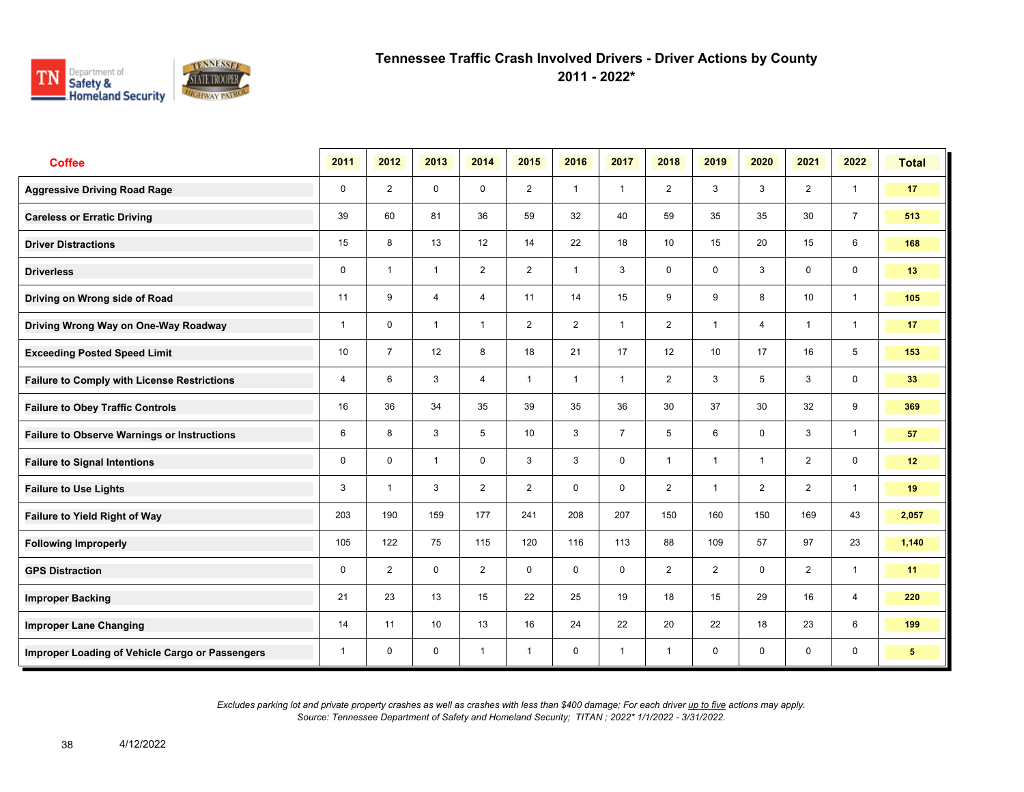

**2011 - 2022\***

| <b>Coffee</b>                                      | 2011        | 2012           | 2013           | 2014           | 2015           | 2016           | 2017           | 2018            | 2019            | 2020           | 2021         | 2022           | <b>Total</b>    |
|----------------------------------------------------|-------------|----------------|----------------|----------------|----------------|----------------|----------------|-----------------|-----------------|----------------|--------------|----------------|-----------------|
| <b>Aggressive Driving Road Rage</b>                | $\mathbf 0$ | $\overline{2}$ | $\mathbf 0$    | $\mathbf 0$    | $\overline{2}$ | $\overline{1}$ | $\mathbf{1}$   | $\overline{2}$  | 3               | 3              | 2            | $\mathbf{1}$   | 17              |
| <b>Careless or Erratic Driving</b>                 | 39          | 60             | 81             | 36             | 59             | 32             | 40             | 59              | 35              | 35             | 30           | $\overline{7}$ | 513             |
| <b>Driver Distractions</b>                         | 15          | 8              | 13             | 12             | 14             | 22             | 18             | 10 <sup>1</sup> | 15              | 20             | 15           | 6              | 168             |
| <b>Driverless</b>                                  | 0           | $\overline{1}$ | $\mathbf{1}$   | $\overline{2}$ | $\overline{2}$ | $\mathbf{1}$   | 3              | $\mathbf 0$     | 0               | 3              | $\mathsf{O}$ | $\mathbf 0$    | 13              |
| Driving on Wrong side of Road                      | 11          | 9              | $\overline{4}$ | $\overline{4}$ | 11             | 14             | 15             | 9               | 9               | 8              | 10           | $\mathbf{1}$   | 105             |
| Driving Wrong Way on One-Way Roadway               | 1           | $\Omega$       | $\mathbf{1}$   | $\mathbf{1}$   | $\overline{2}$ | 2              | $\mathbf{1}$   | 2               | 1               | $\overline{4}$ | $\mathbf{1}$ | $\overline{1}$ | 17              |
| <b>Exceeding Posted Speed Limit</b>                | 10          | $\overline{7}$ | 12             | 8              | 18             | 21             | 17             | 12              | 10 <sup>1</sup> | 17             | 16           | 5              | 153             |
| <b>Failure to Comply with License Restrictions</b> | 4           | 6              | 3              | $\overline{4}$ | $\mathbf{1}$   | $\overline{1}$ | $\mathbf{1}$   | $\overline{2}$  | 3               | 5              | 3            | $\mathbf 0$    | 33              |
| <b>Failure to Obey Traffic Controls</b>            | 16          | 36             | 34             | 35             | 39             | 35             | 36             | 30              | 37              | 30             | 32           | 9              | 369             |
| <b>Failure to Observe Warnings or Instructions</b> | 6           | 8              | 3              | 5              | 10             | 3              | $\overline{7}$ | 5               | 6               | $\mathbf 0$    | 3            | $\mathbf{1}$   | 57              |
| <b>Failure to Signal Intentions</b>                | 0           | $\mathbf{0}$   | $\mathbf{1}$   | $\Omega$       | 3              | 3              | $\mathbf 0$    | $\mathbf{1}$    | 1               | $\overline{1}$ | 2            | $\mathsf{O}$   | 12              |
| <b>Failure to Use Lights</b>                       | 3           | $\overline{1}$ | 3              | 2              | $\overline{2}$ | $\mathbf 0$    | $\mathbf 0$    | 2               | $\mathbf{1}$    | 2              | 2            | $\mathbf{1}$   | 19              |
| Failure to Yield Right of Way                      | 203         | 190            | 159            | 177            | 241            | 208            | 207            | 150             | 160             | 150            | 169          | 43             | 2,057           |
| <b>Following Improperly</b>                        | 105         | 122            | 75             | 115            | 120            | 116            | 113            | 88              | 109             | 57             | 97           | 23             | 1,140           |
| <b>GPS Distraction</b>                             | 0           | 2              | $\mathbf 0$    | 2              | $\mathbf 0$    | $\mathbf 0$    | $\mathbf 0$    | 2               | 2               | $\mathbf 0$    | 2            | $\mathbf{1}$   | 11              |
| <b>Improper Backing</b>                            | 21          | 23             | 13             | 15             | 22             | 25             | 19             | 18              | 15              | 29             | 16           | $\overline{4}$ | 220             |
| <b>Improper Lane Changing</b>                      | 14          | 11             | 10             | 13             | 16             | 24             | 22             | 20              | 22              | 18             | 23           | 6              | 199             |
| Improper Loading of Vehicle Cargo or Passengers    | 1           | $\mathbf 0$    | $\mathbf 0$    | $\mathbf{1}$   | $\mathbf{1}$   | $\mathbf 0$    | $\mathbf{1}$   | $\mathbf{1}$    | 0               | $\mathbf 0$    | 0            | 0              | $5\phantom{.0}$ |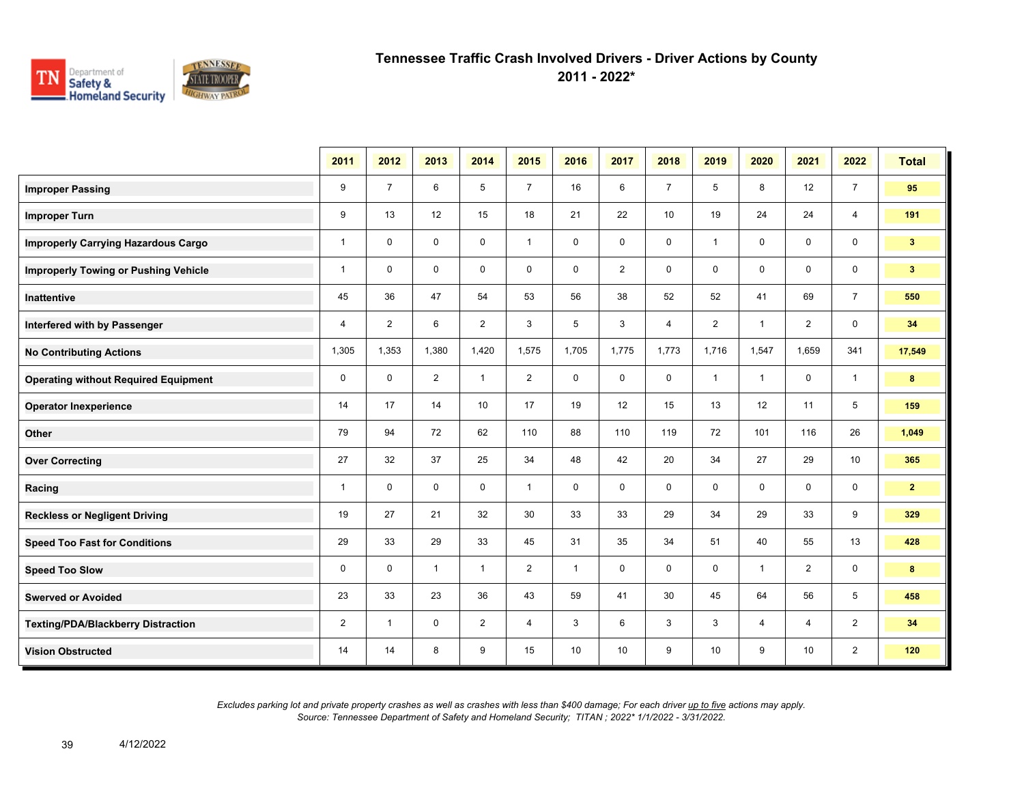

**2011 - 2022\***

|                                             | 2011           | 2012           | 2013           | 2014           | 2015           | 2016         | 2017           | 2018           | 2019            | 2020           | 2021           | 2022           | <b>Total</b>   |
|---------------------------------------------|----------------|----------------|----------------|----------------|----------------|--------------|----------------|----------------|-----------------|----------------|----------------|----------------|----------------|
| <b>Improper Passing</b>                     | 9              | $\overline{7}$ | 6              | 5              | $\overline{7}$ | 16           | 6              | $\overline{7}$ | 5               | 8              | 12             | $\overline{7}$ | 95             |
| <b>Improper Turn</b>                        | 9              | 13             | 12             | 15             | 18             | 21           | 22             | 10             | 19              | 24             | 24             | $\overline{4}$ | 191            |
| <b>Improperly Carrying Hazardous Cargo</b>  | $\mathbf{1}$   | $\Omega$       | $\mathbf 0$    | $\mathbf 0$    | $\mathbf{1}$   | $\mathbf 0$  | $\mathbf 0$    | 0              | $\mathbf{1}$    | 0              | $\mathbf 0$    | $\mathbf 0$    | 3 <sup>2</sup> |
| <b>Improperly Towing or Pushing Vehicle</b> | $\overline{1}$ | $\Omega$       | $\mathbf 0$    | $\mathbf 0$    | $\mathbf 0$    | $\mathbf 0$  | $\overline{2}$ | $\mathbf 0$    | $\mathbf 0$     | 0              | $\mathbf 0$    | $\mathbf 0$    | 3 <sup>2</sup> |
| Inattentive                                 | 45             | 36             | 47             | 54             | 53             | 56           | 38             | 52             | 52              | 41             | 69             | $\overline{7}$ | 550            |
| Interfered with by Passenger                | $\overline{4}$ | $\overline{2}$ | 6              | 2              | 3              | 5            | 3              | $\overline{4}$ | $\overline{2}$  | $\overline{1}$ | $\overline{2}$ | $\mathbf 0$    | 34             |
| <b>No Contributing Actions</b>              | 1,305          | 1,353          | 1,380          | 1,420          | 1,575          | 1,705        | 1,775          | 1,773          | 1,716           | 1,547          | 1,659          | 341            | 17,549         |
| <b>Operating without Required Equipment</b> | 0              | $\mathbf 0$    | $\overline{2}$ | $\mathbf{1}$   | $\overline{2}$ | $\mathbf 0$  | $\mathbf 0$    | 0              | $\mathbf{1}$    | -1             | 0              | $\mathbf{1}$   | 8              |
| <b>Operator Inexperience</b>                | 14             | 17             | 14             | 10             | 17             | 19           | 12             | 15             | 13              | 12             | 11             | 5              | 159            |
| Other                                       | 79             | 94             | 72             | 62             | 110            | 88           | 110            | 119            | 72              | 101            | 116            | 26             | 1,049          |
| <b>Over Correcting</b>                      | 27             | 32             | 37             | 25             | 34             | 48           | 42             | 20             | 34              | 27             | 29             | 10             | 365            |
| Racing                                      | $\mathbf{1}$   | $\mathbf{0}$   | $\Omega$       | $\mathbf 0$    | $\mathbf{1}$   | $\mathbf 0$  | $\mathbf 0$    | $\mathbf 0$    | $\mathbf 0$     | $\mathbf 0$    | $\mathbf 0$    | $\mathbf 0$    | $\mathbf{2}$   |
| <b>Reckless or Negligent Driving</b>        | 19             | 27             | 21             | 32             | 30             | 33           | 33             | 29             | 34              | 29             | 33             | 9              | 329            |
| <b>Speed Too Fast for Conditions</b>        | 29             | 33             | 29             | 33             | 45             | 31           | 35             | 34             | 51              | 40             | 55             | 13             | 428            |
| <b>Speed Too Slow</b>                       | 0              | $\mathbf 0$    | $\mathbf{1}$   | $\mathbf{1}$   | $\overline{2}$ | $\mathbf{1}$ | 0              | 0              | 0               | $\overline{1}$ | $\overline{2}$ | $\mathbf 0$    | 8              |
| <b>Swerved or Avoided</b>                   | 23             | 33             | 23             | 36             | 43             | 59           | 41             | 30             | 45              | 64             | 56             | 5              | 458            |
| <b>Texting/PDA/Blackberry Distraction</b>   | 2              | -1             | $\mathbf 0$    | $\overline{2}$ | 4              | 3            | 6              | 3              | 3               | 4              | 4              | $\overline{2}$ | 34             |
| <b>Vision Obstructed</b>                    | 14             | 14             | 8              | 9              | 15             | 10           | 10             | 9              | 10 <sup>°</sup> | 9              | 10             | $\overline{2}$ | 120            |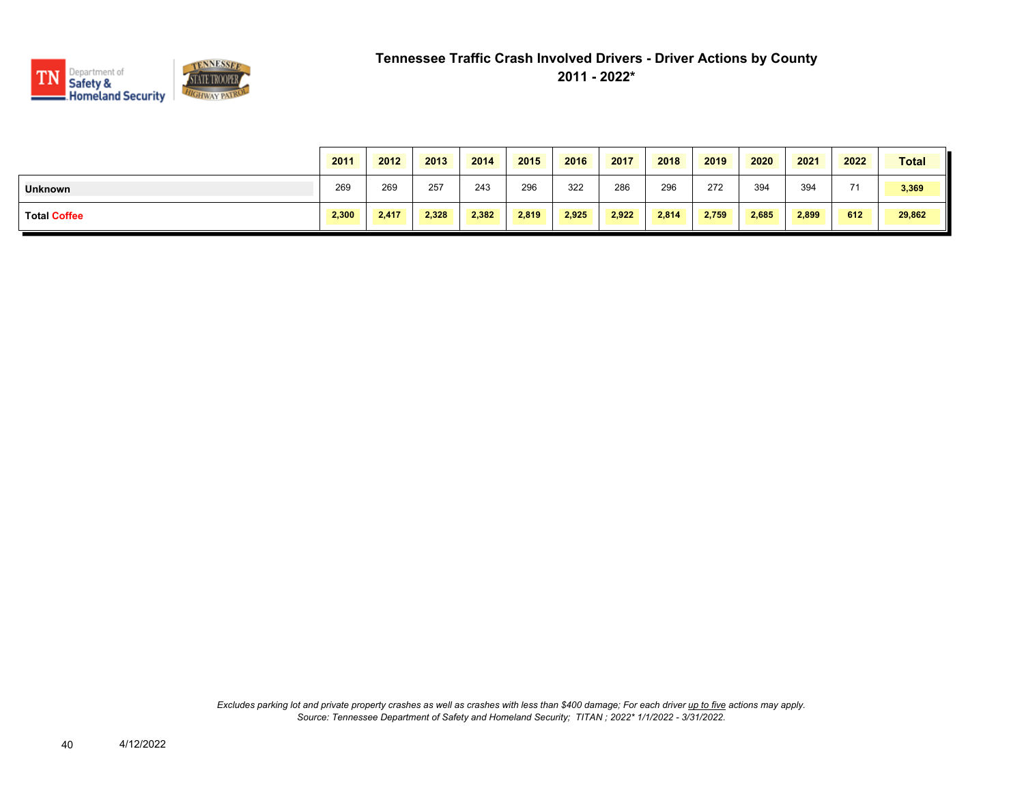

|                     | 2011  | 2012  | 2013  | 2014  | 2015  | 2016  | 2017  | 2018  | 2019  | 2020  | 2021  | 2022 | <b>Total</b> |
|---------------------|-------|-------|-------|-------|-------|-------|-------|-------|-------|-------|-------|------|--------------|
| <b>Unknown</b>      | 269   | 269   | 257   | 243   | 296   | 322   | 286   | 296   | 272   | 394   | 394   | 74   | 3,369        |
| <b>Total Coffee</b> | 2,300 | 2.417 | 2,328 | 2,382 | 2,819 | 2,925 | 2,922 | 2,814 | 2,759 | 2,685 | 2,899 | 612  | 29,862       |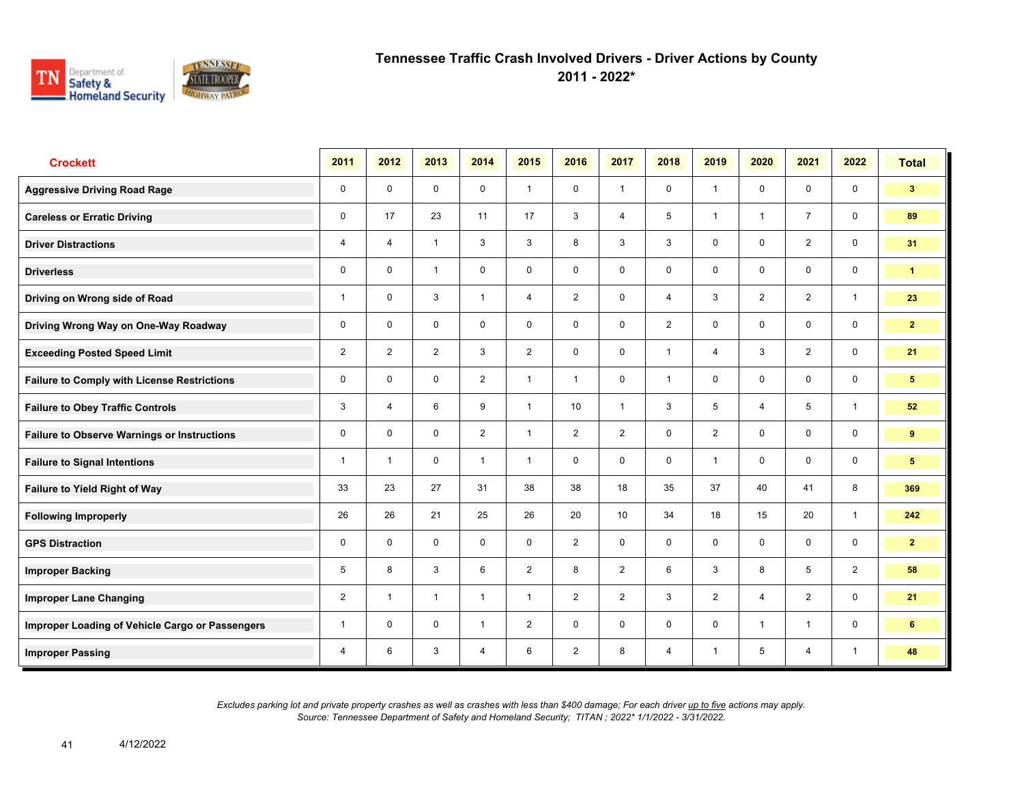

**2011 - 2022\***

| <b>Crockett</b>                                    | 2011           | 2012                    | 2013           | 2014           | 2015           | 2016           | 2017           | 2018           | 2019           | 2020           | 2021           | 2022         | <b>Total</b>    |
|----------------------------------------------------|----------------|-------------------------|----------------|----------------|----------------|----------------|----------------|----------------|----------------|----------------|----------------|--------------|-----------------|
| <b>Aggressive Driving Road Rage</b>                | 0              | $\mathbf 0$             | $\mathbf 0$    | $\mathbf 0$    | $\mathbf{1}$   | $\mathbf 0$    | $\mathbf{1}$   | $\mathbf{0}$   | $\mathbf{1}$   | $\mathbf 0$    | $\mathbf 0$    | $\mathbf 0$  | 3 <sup>1</sup>  |
| <b>Careless or Erratic Driving</b>                 | 0              | 17                      | 23             | 11             | 17             | 3              | $\overline{4}$ | 5              | $\mathbf{1}$   | $\overline{1}$ | $\overline{7}$ | $\mathbf 0$  | 89              |
| <b>Driver Distractions</b>                         | 4              | $\overline{4}$          | $\overline{1}$ | 3              | 3              | 8              | 3              | 3              | $\mathbf 0$    | $\mathbf 0$    | 2              | $\mathbf 0$  | 31              |
| <b>Driverless</b>                                  | 0              | $\mathbf 0$             | $\overline{1}$ | $\mathbf 0$    | 0              | $\mathbf 0$    | $\mathbf 0$    | $\mathbf 0$    | $\mathbf 0$    | $\mathbf 0$    | $\mathbf 0$    | $\mathbf 0$  | $\mathbf{1}$    |
| Driving on Wrong side of Road                      | 1              | $\mathbf 0$             | 3              | $\mathbf{1}$   | 4              | 2              | $\mathbf 0$    | $\overline{4}$ | 3              | $\overline{2}$ | $\overline{2}$ | $\mathbf{1}$ | 23              |
| Driving Wrong Way on One-Way Roadway               | 0              | $\mathbf 0$             | $\mathbf 0$    | $\mathbf 0$    | 0              | $\mathbf 0$    | $\mathbf 0$    | $\overline{2}$ | $\mathbf 0$    | $\mathbf 0$    | $\mathbf 0$    | $\mathbf 0$  | $\overline{2}$  |
| <b>Exceeding Posted Speed Limit</b>                | $\overline{2}$ | $\overline{2}$          | $\overline{2}$ | 3              | $\overline{2}$ | $\mathbf 0$    | $\mathbf 0$    | $\mathbf{1}$   | 4              | 3              | $\overline{2}$ | $\mathbf 0$  | 21              |
| <b>Failure to Comply with License Restrictions</b> | 0              | $\mathbf 0$             | 0              | $\overline{2}$ | $\mathbf{1}$   | $\mathbf{1}$   | $\mathbf 0$    | $\mathbf{1}$   | $\mathbf 0$    | $\mathbf 0$    | $\mathbf 0$    | $\mathbf 0$  | 5 <sub>5</sub>  |
| <b>Failure to Obey Traffic Controls</b>            | 3              | $\overline{4}$          | 6              | 9              | $\mathbf{1}$   | 10             | $\mathbf{1}$   | 3              | 5              | $\overline{4}$ | 5              | $\mathbf{1}$ | 52              |
| <b>Failure to Observe Warnings or Instructions</b> | 0              | $\Omega$                | $\Omega$       | $\overline{2}$ | $\mathbf{1}$   | $\overline{2}$ | 2              | $\mathbf 0$    | $\overline{2}$ | $\mathbf 0$    | $\mathbf 0$    | $\mathbf 0$  | 9               |
| <b>Failure to Signal Intentions</b>                | 1              | $\overline{\mathbf{1}}$ | $\mathbf 0$    | $\mathbf{1}$   | $\mathbf{1}$   | $\mathbf 0$    | $\mathbf 0$    | $\mathbf 0$    | $\mathbf{1}$   | $\mathbf 0$    | $\mathbf 0$    | $\mathbf 0$  | $5\phantom{.0}$ |
| <b>Failure to Yield Right of Way</b>               | 33             | 23                      | 27             | 31             | 38             | 38             | 18             | 35             | 37             | 40             | 41             | 8            | 369             |
| <b>Following Improperly</b>                        | 26             | 26                      | 21             | 25             | 26             | 20             | 10             | 34             | 18             | 15             | 20             | $\mathbf{1}$ | 242             |
| <b>GPS Distraction</b>                             | 0              | $\Omega$                | $\Omega$       | $\mathbf 0$    | $\mathbf 0$    | 2              | $\mathbf 0$    | $\mathbf 0$    | $\mathbf 0$    | $\mathbf 0$    | $\mathbf 0$    | $\mathbf 0$  | $\overline{2}$  |
| <b>Improper Backing</b>                            | 5              | 8                       | 3              | 6              | $\overline{2}$ | 8              | 2              | 6              | 3              | 8              | 5              | 2            | 58              |
| <b>Improper Lane Changing</b>                      | $\overline{2}$ | $\overline{1}$          | $\mathbf{1}$   | $\mathbf{1}$   | $\mathbf{1}$   | 2              | 2              | 3              | $\overline{2}$ | $\overline{4}$ | 2              | $\mathbf 0$  | 21              |
| Improper Loading of Vehicle Cargo or Passengers    | 1              | $\Omega$                | $\mathbf 0$    | $\mathbf{1}$   | $\overline{2}$ | $\mathbf 0$    | $\mathbf 0$    | $\mathbf 0$    | $\mathbf 0$    | $\overline{1}$ | $\mathbf{1}$   | $\mathbf 0$  | 6               |
| <b>Improper Passing</b>                            | 4              | 6                       | 3              | $\overline{4}$ | 6              | $\overline{2}$ | 8              | $\overline{4}$ | 1              | 5              | 4              | $\mathbf{1}$ | 48              |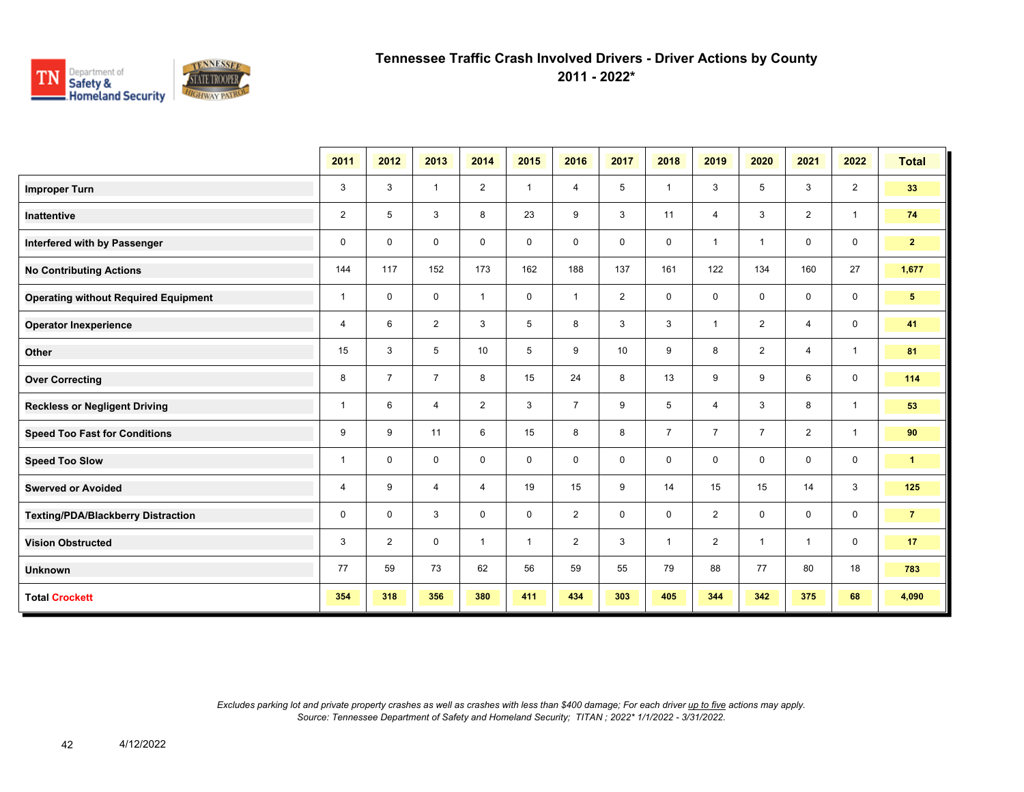

**2011 - 2022\***

|                                             | 2011           | 2012           | 2013           | 2014           | 2015 | 2016           | 2017           | 2018           | 2019           | 2020           | 2021           | 2022           | <b>Total</b>   |
|---------------------------------------------|----------------|----------------|----------------|----------------|------|----------------|----------------|----------------|----------------|----------------|----------------|----------------|----------------|
| <b>Improper Turn</b>                        | 3              | 3              | $\overline{1}$ | $\overline{2}$ | 1    | $\overline{4}$ | 5              | $\overline{1}$ | 3              | 5              | 3              | $\overline{2}$ | 33             |
| Inattentive                                 | $\overline{2}$ | 5              | 3              | 8              | 23   | 9              | 3              | 11             | 4              | 3              | $\overline{2}$ | $\mathbf{1}$   | 74             |
| Interfered with by Passenger                | 0              | 0              | 0              | $\mathbf 0$    | 0    | $\mathbf 0$    | $\mathbf 0$    | $\mathbf 0$    | 1              | $\overline{1}$ | $\mathbf 0$    | $\mathsf 0$    | 2 <sub>1</sub> |
| <b>No Contributing Actions</b>              | 144            | 117            | 152            | 173            | 162  | 188            | 137            | 161            | 122            | 134            | 160            | 27             | 1,677          |
| <b>Operating without Required Equipment</b> | $\mathbf{1}$   | 0              | 0              | $\overline{1}$ | 0    | -1             | $\overline{2}$ | $\mathbf 0$    | 0              | $\mathbf 0$    | $\mathbf 0$    | $\mathbf 0$    | 5 <sub>5</sub> |
| <b>Operator Inexperience</b>                | 4              | 6              | $\overline{2}$ | 3              | 5    | 8              | 3              | 3              | $\mathbf{1}$   | $\overline{2}$ | $\overline{4}$ | $\mathbf 0$    | 41             |
| Other                                       | 15             | 3              | 5              | 10             | 5    | 9              | 10             | 9              | 8              | $\overline{2}$ | $\overline{4}$ | $\mathbf{1}$   | 81             |
| <b>Over Correcting</b>                      | 8              | $\overline{7}$ | $\overline{7}$ | 8              | 15   | 24             | 8              | 13             | 9              | 9              | 6              | $\mathbf 0$    | 114            |
| <b>Reckless or Negligent Driving</b>        | $\overline{1}$ | 6              | $\overline{4}$ | $\overline{2}$ | 3    | $\overline{7}$ | 9              | 5              | 4              | 3              | 8              | $\mathbf{1}$   | 53             |
| <b>Speed Too Fast for Conditions</b>        | 9              | 9              | 11             | 6              | 15   | 8              | 8              | $\overline{7}$ | $\overline{7}$ | $\overline{7}$ | 2              | $\mathbf{1}$   | 90             |
| <b>Speed Too Slow</b>                       | $\mathbf{1}$   | $\mathbf 0$    | $\mathbf 0$    | $\mathbf 0$    | 0    | $\mathbf 0$    | $\mathbf 0$    | $\mathbf 0$    | $\mathbf 0$    | $\mathbf 0$    | $\mathbf 0$    | $\mathbf 0$    | $\mathbf{1}$   |
| <b>Swerved or Avoided</b>                   | 4              | 9              | $\overline{4}$ | $\overline{4}$ | 19   | 15             | 9              | 14             | 15             | 15             | 14             | 3              | 125            |
| <b>Texting/PDA/Blackberry Distraction</b>   | 0              | 0              | 3              | $\mathbf 0$    | 0    | $\overline{2}$ | $\mathbf 0$    | $\mathbf 0$    | $\overline{2}$ | $\mathbf 0$    | $\mathbf 0$    | $\mathbf 0$    | 7 <sup>7</sup> |
| <b>Vision Obstructed</b>                    | 3              | $\overline{2}$ | 0              | $\overline{1}$ | 1    | $\overline{2}$ | 3              | $\mathbf{1}$   | $\overline{2}$ | $\overline{1}$ | $\mathbf{1}$   | $\mathbf 0$    | 17             |
| <b>Unknown</b>                              | 77             | 59             | 73             | 62             | 56   | 59             | 55             | 79             | 88             | 77             | 80             | 18             | 783            |
| <b>Total Crockett</b>                       | 354            | 318            | 356            | 380            | 411  | 434            | 303            | 405            | 344            | 342            | 375            | 68             | 4,090          |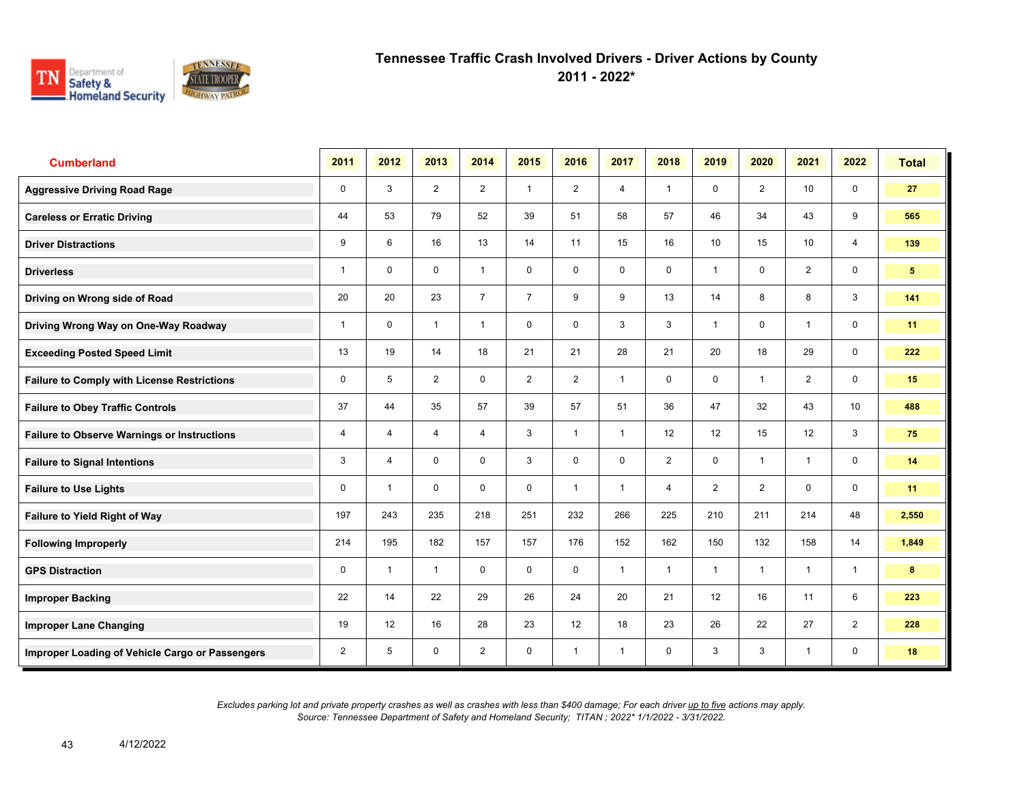

**2011 - 2022\***

| <b>Cumberland</b>                                  | 2011        | 2012           | 2013           | 2014           | 2015           | 2016           | 2017           | 2018           | 2019           | 2020           | 2021         | 2022           | <b>Total</b>    |
|----------------------------------------------------|-------------|----------------|----------------|----------------|----------------|----------------|----------------|----------------|----------------|----------------|--------------|----------------|-----------------|
| <b>Aggressive Driving Road Rage</b>                | $\mathbf 0$ | 3              | 2              | 2              | $\mathbf{1}$   | 2              | $\overline{4}$ | $\mathbf{1}$   | $\mathbf 0$    | 2              | 10           | 0              | 27              |
| <b>Careless or Erratic Driving</b>                 | 44          | 53             | 79             | 52             | 39             | 51             | 58             | 57             | 46             | 34             | 43           | 9              | 565             |
| <b>Driver Distractions</b>                         | 9           | 6              | 16             | 13             | 14             | 11             | 15             | 16             | 10             | 15             | 10           | $\overline{4}$ | 139             |
| <b>Driverless</b>                                  | 1           | $\mathbf 0$    | $\mathbf 0$    | $\mathbf{1}$   | $\mathbf 0$    | $\mathbf 0$    | $\mathbf 0$    | $\mathbf 0$    | 1              | $\mathbf 0$    | 2            | $\mathbf 0$    | $5\phantom{.0}$ |
| Driving on Wrong side of Road                      | 20          | 20             | 23             | $\overline{7}$ | $\overline{7}$ | 9              | 9              | 13             | 14             | 8              | 8            | 3              | 141             |
| Driving Wrong Way on One-Way Roadway               | 1           | $\mathbf 0$    | $\mathbf{1}$   | $\mathbf{1}$   | $\mathbf 0$    | $\mathbf 0$    | 3              | 3              | 1              | $\mathbf 0$    | $\mathbf 1$  | $\mathbf 0$    | 11              |
| <b>Exceeding Posted Speed Limit</b>                | 13          | 19             | 14             | 18             | 21             | 21             | 28             | 21             | 20             | 18             | 29           | $\mathbf 0$    | 222             |
| <b>Failure to Comply with License Restrictions</b> | 0           | 5              | $\overline{2}$ | $\mathbf 0$    | $\overline{2}$ | $\overline{2}$ | $\mathbf{1}$   | $\mathbf 0$    | $\mathbf 0$    | $\overline{1}$ | 2            | $\mathbf 0$    | 15              |
| <b>Failure to Obey Traffic Controls</b>            | 37          | 44             | 35             | 57             | 39             | 57             | 51             | 36             | 47             | 32             | 43           | 10             | 488             |
| <b>Failure to Observe Warnings or Instructions</b> | 4           | $\overline{4}$ | 4              | $\overline{4}$ | 3              | $\overline{1}$ | $\mathbf{1}$   | 12             | 12             | 15             | 12           | 3              | 75              |
| <b>Failure to Signal Intentions</b>                | 3           | $\overline{4}$ | $\mathbf 0$    | $\mathbf 0$    | 3              | $\mathbf 0$    | $\mathbf 0$    | $\overline{2}$ | 0              | $\overline{1}$ | $\mathbf{1}$ | $\mathbf 0$    | 14              |
| <b>Failure to Use Lights</b>                       | 0           | $\overline{1}$ | $\mathbf 0$    | $\mathbf 0$    | $\mathbf 0$    | $\overline{1}$ | 1              | $\overline{4}$ | $\overline{2}$ | $\overline{2}$ | $\mathbf 0$  | $\mathbf 0$    | 11              |
| <b>Failure to Yield Right of Way</b>               | 197         | 243            | 235            | 218            | 251            | 232            | 266            | 225            | 210            | 211            | 214          | 48             | 2,550           |
| <b>Following Improperly</b>                        | 214         | 195            | 182            | 157            | 157            | 176            | 152            | 162            | 150            | 132            | 158          | 14             | 1,849           |
| <b>GPS Distraction</b>                             | 0           | $\overline{1}$ | $\mathbf{1}$   | $\mathbf 0$    | $\mathbf 0$    | $\mathbf 0$    | $\mathbf{1}$   | $\mathbf{1}$   | $\mathbf{1}$   | $\overline{1}$ | $\mathbf{1}$ | $\mathbf{1}$   | 8               |
| <b>Improper Backing</b>                            | 22          | 14             | 22             | 29             | 26             | 24             | 20             | 21             | 12             | 16             | 11           | 6              | 223             |
| <b>Improper Lane Changing</b>                      | 19          | 12             | 16             | 28             | 23             | 12             | 18             | 23             | 26             | 22             | 27           | $\overline{2}$ | 228             |
| Improper Loading of Vehicle Cargo or Passengers    | 2           | 5              | $\mathbf 0$    | $\overline{2}$ | 0              | $\overline{1}$ | $\mathbf{1}$   | $\mathbf 0$    | 3              | 3              | $\mathbf{1}$ | $\mathbf 0$    | 18              |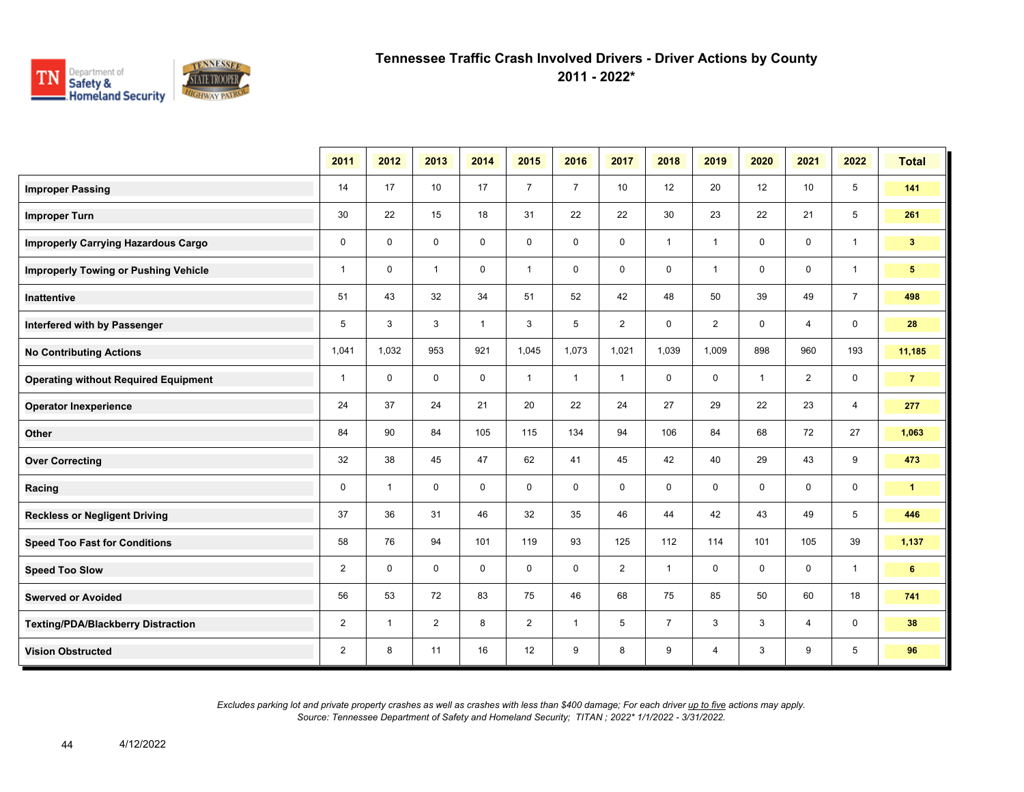

**2011 - 2022\***

|                                             | 2011           | 2012         | 2013           | 2014         | 2015           | 2016           | 2017           | 2018           | 2019           | 2020        | 2021           | 2022           | <b>Total</b>   |
|---------------------------------------------|----------------|--------------|----------------|--------------|----------------|----------------|----------------|----------------|----------------|-------------|----------------|----------------|----------------|
| <b>Improper Passing</b>                     | 14             | 17           | 10             | 17           | $\overline{7}$ | $\overline{7}$ | 10             | 12             | 20             | 12          | 10             | 5              | 141            |
| <b>Improper Turn</b>                        | 30             | 22           | 15             | 18           | 31             | 22             | 22             | 30             | 23             | 22          | 21             | 5              | 261            |
| <b>Improperly Carrying Hazardous Cargo</b>  | $\mathbf 0$    | $\mathbf{0}$ | $\mathbf 0$    | $\mathbf 0$  | 0              | $\mathbf 0$    | $\mathbf 0$    | $\mathbf{1}$   | $\mathbf{1}$   | $\mathbf 0$ | 0              | $\mathbf{1}$   | 3 <sup>2</sup> |
| <b>Improperly Towing or Pushing Vehicle</b> | $\mathbf{1}$   | $\mathbf{0}$ | $\mathbf{1}$   | $\mathbf 0$  | $\mathbf{1}$   | $\mathbf 0$    | $\mathbf 0$    | $\mathbf 0$    | $\mathbf{1}$   | $\mathbf 0$ | $\mathbf 0$    | $\mathbf{1}$   | 5 <sup>1</sup> |
| Inattentive                                 | 51             | 43           | 32             | 34           | 51             | 52             | 42             | 48             | 50             | 39          | 49             | $\overline{7}$ | 498            |
| Interfered with by Passenger                | 5              | 3            | 3              | $\mathbf{1}$ | 3              | 5              | $\overline{2}$ | $\mathbf 0$    | $\overline{2}$ | $\mathbf 0$ | $\overline{4}$ | $\mathbf 0$    | 28             |
| <b>No Contributing Actions</b>              | 1,041          | 1,032        | 953            | 921          | 1,045          | 1,073          | 1,021          | 1,039          | 1,009          | 898         | 960            | 193            | 11,185         |
| <b>Operating without Required Equipment</b> | $\mathbf{1}$   | $\mathbf 0$  | $\mathbf 0$    | $\mathbf 0$  | $\mathbf{1}$   | $\mathbf{1}$   | $\mathbf{1}$   | $\mathbf 0$    | 0              | $\mathbf 1$ | $\overline{2}$ | 0              | $\overline{7}$ |
| <b>Operator Inexperience</b>                | 24             | 37           | 24             | 21           | 20             | 22             | 24             | 27             | 29             | 22          | 23             | $\overline{4}$ | 277            |
| Other                                       | 84             | 90           | 84             | 105          | 115            | 134            | 94             | 106            | 84             | 68          | 72             | 27             | 1,063          |
| <b>Over Correcting</b>                      | 32             | 38           | 45             | 47           | 62             | 41             | 45             | 42             | 40             | 29          | 43             | 9              | 473            |
| Racing                                      | $\mathbf 0$    | $\mathbf{1}$ | $\Omega$       | $\mathbf 0$  | $\mathbf 0$    | $\mathbf 0$    | $\mathbf 0$    | $\mathbf 0$    | $\mathbf 0$    | $\mathbf 0$ | $\mathbf 0$    | $\mathbf 0$    | $\mathbf{1}$   |
| <b>Reckless or Negligent Driving</b>        | 37             | 36           | 31             | 46           | 32             | 35             | 46             | 44             | 42             | 43          | 49             | 5              | 446            |
| <b>Speed Too Fast for Conditions</b>        | 58             | 76           | 94             | 101          | 119            | 93             | 125            | 112            | 114            | 101         | 105            | 39             | 1,137          |
| <b>Speed Too Slow</b>                       | $\overline{2}$ | $\mathbf 0$  | $\mathbf 0$    | $\mathbf 0$  | $\mathbf 0$    | $\mathbf 0$    | 2              | $\mathbf{1}$   | 0              | $\mathbf 0$ | 0              | $\overline{1}$ | 6              |
| <b>Swerved or Avoided</b>                   | 56             | 53           | 72             | 83           | 75             | 46             | 68             | 75             | 85             | 50          | 60             | 18             | 741            |
| <b>Texting/PDA/Blackberry Distraction</b>   | $\overline{2}$ | $\mathbf 1$  | $\overline{2}$ | 8            | $\overline{2}$ | -1             | 5              | $\overline{7}$ | 3              | 3           | 4              | 0              | 38             |
| <b>Vision Obstructed</b>                    | $\overline{2}$ | 8            | 11             | 16           | 12             | 9              | 8              | 9              | $\overline{4}$ | 3           | 9              | 5              | 96             |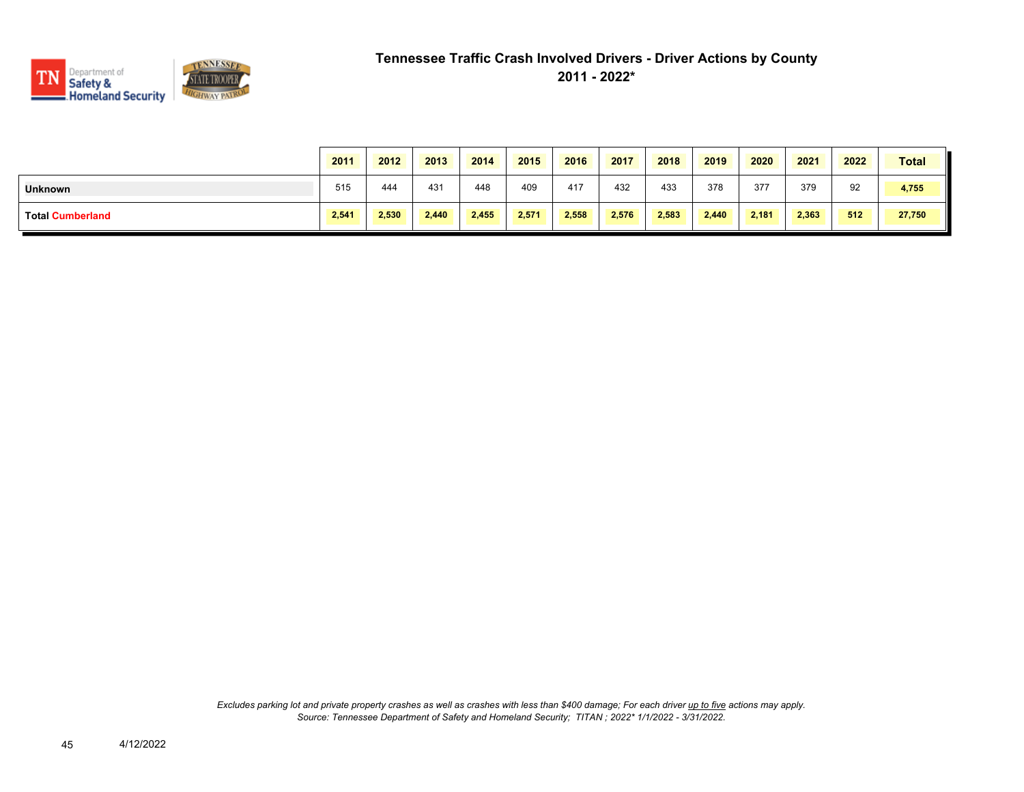

|                         | 2011  | 2012  | 2013  | 2014  | 2015  | 2016  | 2017  | 2018  | 2019  | 2020  | 2021  | 2022 | <b>Total</b> |
|-------------------------|-------|-------|-------|-------|-------|-------|-------|-------|-------|-------|-------|------|--------------|
| <b>Unknown</b>          | 515   | 444   | 431   | 448   | 409   | 417   | 432   | 433   | 378   | 377   | 379   | 92   | 4,755        |
| <b>Total Cumberland</b> | 2,541 | 2,530 | 2,440 | 2,455 | 2,571 | 2,558 | 2,576 | 2,583 | 2,440 | 2,181 | 2,363 | 512  | 27,750       |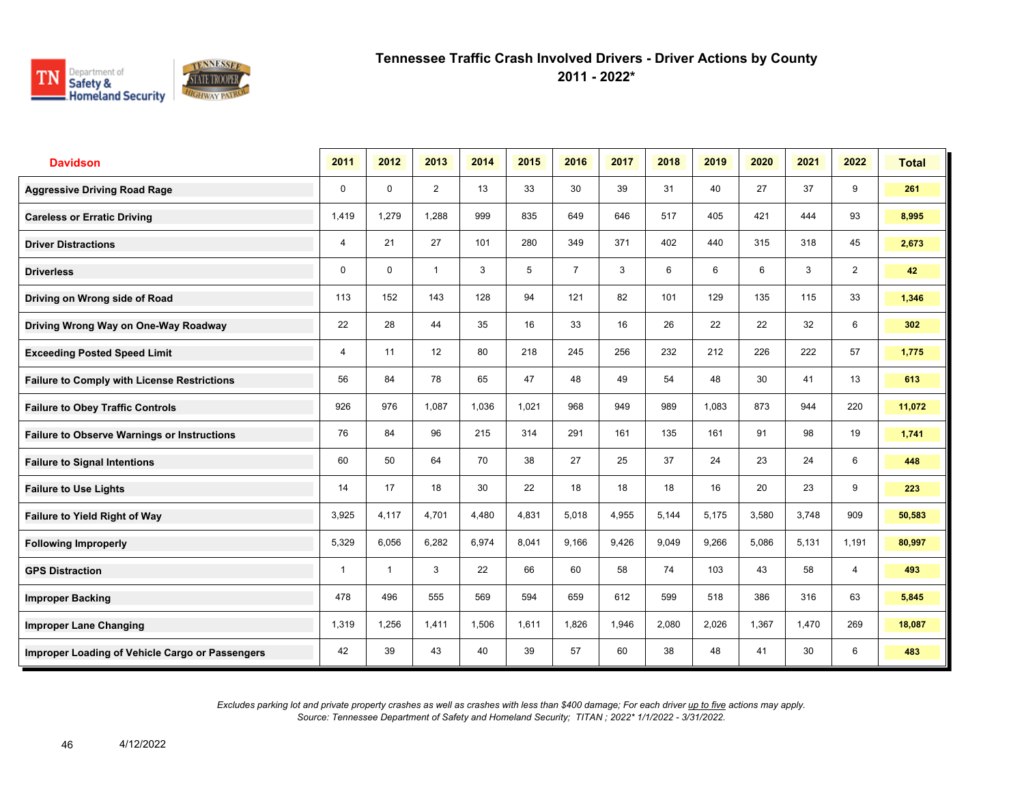

**2011 - 2022\***

| <b>Davidson</b>                                    | 2011  | 2012           | 2013           | 2014  | 2015  | 2016           | 2017  | 2018  | 2019  | 2020  | 2021  | 2022           | <b>Total</b> |
|----------------------------------------------------|-------|----------------|----------------|-------|-------|----------------|-------|-------|-------|-------|-------|----------------|--------------|
| <b>Aggressive Driving Road Rage</b>                | 0     | $\Omega$       | $\overline{2}$ | 13    | 33    | 30             | 39    | 31    | 40    | 27    | 37    | 9              | 261          |
| <b>Careless or Erratic Driving</b>                 | 1,419 | 1.279          | 1.288          | 999   | 835   | 649            | 646   | 517   | 405   | 421   | 444   | 93             | 8,995        |
| <b>Driver Distractions</b>                         | 4     | 21             | 27             | 101   | 280   | 349            | 371   | 402   | 440   | 315   | 318   | 45             | 2,673        |
| <b>Driverless</b>                                  | 0     | 0              | $\mathbf{1}$   | 3     | 5     | $\overline{7}$ | 3     | 6     | 6     | 6     | 3     | $\overline{2}$ | 42           |
| Driving on Wrong side of Road                      | 113   | 152            | 143            | 128   | 94    | 121            | 82    | 101   | 129   | 135   | 115   | 33             | 1,346        |
| Driving Wrong Way on One-Way Roadway               | 22    | 28             | 44             | 35    | 16    | 33             | 16    | 26    | 22    | 22    | 32    | 6              | 302          |
| <b>Exceeding Posted Speed Limit</b>                | 4     | 11             | 12             | 80    | 218   | 245            | 256   | 232   | 212   | 226   | 222   | 57             | 1,775        |
| <b>Failure to Comply with License Restrictions</b> | 56    | 84             | 78             | 65    | 47    | 48             | 49    | 54    | 48    | 30    | 41    | 13             | 613          |
| <b>Failure to Obey Traffic Controls</b>            | 926   | 976            | 1,087          | 1,036 | 1.021 | 968            | 949   | 989   | 1,083 | 873   | 944   | 220            | 11,072       |
| <b>Failure to Observe Warnings or Instructions</b> | 76    | 84             | 96             | 215   | 314   | 291            | 161   | 135   | 161   | 91    | 98    | 19             | 1,741        |
| <b>Failure to Signal Intentions</b>                | 60    | 50             | 64             | 70    | 38    | 27             | 25    | 37    | 24    | 23    | 24    | 6              | 448          |
| <b>Failure to Use Lights</b>                       | 14    | 17             | 18             | 30    | 22    | 18             | 18    | 18    | 16    | 20    | 23    | 9              | 223          |
| Failure to Yield Right of Way                      | 3,925 | 4,117          | 4,701          | 4,480 | 4,831 | 5,018          | 4,955 | 5,144 | 5,175 | 3,580 | 3,748 | 909            | 50,583       |
| <b>Following Improperly</b>                        | 5,329 | 6,056          | 6,282          | 6,974 | 8,041 | 9,166          | 9,426 | 9,049 | 9,266 | 5,086 | 5,131 | 1,191          | 80,997       |
| <b>GPS Distraction</b>                             | 1     | $\overline{1}$ | 3              | 22    | 66    | 60             | 58    | 74    | 103   | 43    | 58    | 4              | 493          |
| <b>Improper Backing</b>                            | 478   | 496            | 555            | 569   | 594   | 659            | 612   | 599   | 518   | 386   | 316   | 63             | 5,845        |
| <b>Improper Lane Changing</b>                      | 1,319 | 1,256          | 1.411          | 1,506 | 1,611 | 1,826          | 1,946 | 2,080 | 2,026 | 1,367 | 1,470 | 269            | 18,087       |
| Improper Loading of Vehicle Cargo or Passengers    | 42    | 39             | 43             | 40    | 39    | 57             | 60    | 38    | 48    | 41    | 30    | 6              | 483          |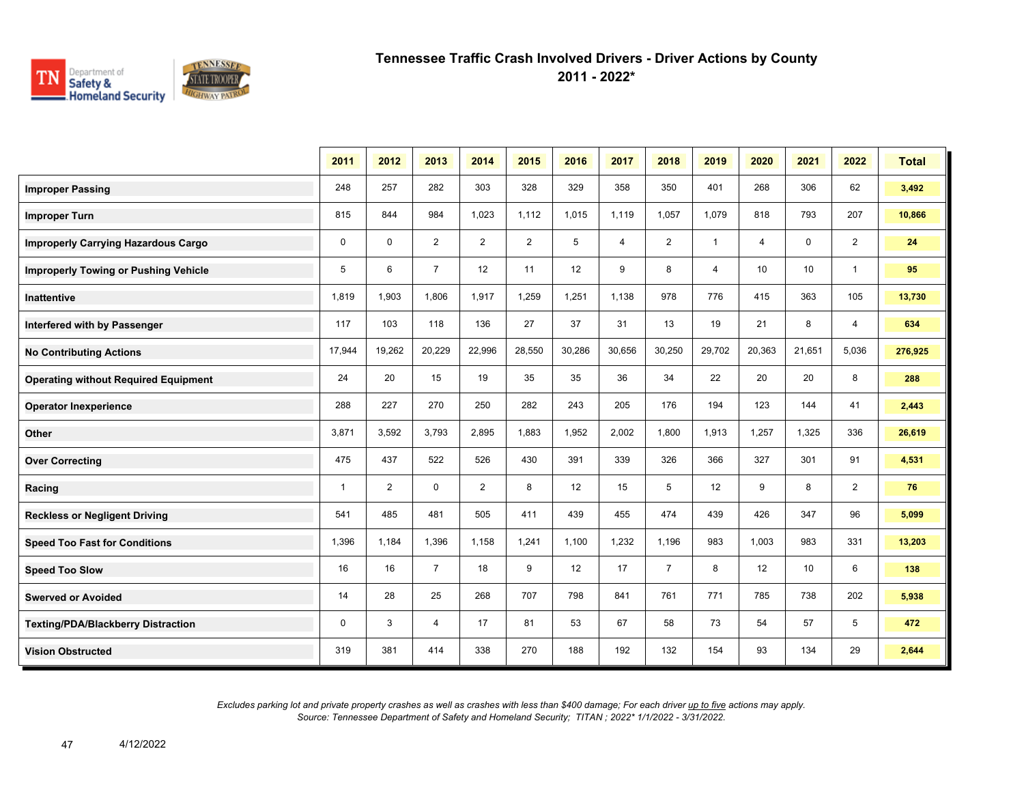

**2011 - 2022\***

|                                             | 2011         | 2012           | 2013           | 2014           | 2015   | 2016   | 2017           | 2018           | 2019         | 2020   | 2021   | 2022           | <b>Total</b> |
|---------------------------------------------|--------------|----------------|----------------|----------------|--------|--------|----------------|----------------|--------------|--------|--------|----------------|--------------|
| <b>Improper Passing</b>                     | 248          | 257            | 282            | 303            | 328    | 329    | 358            | 350            | 401          | 268    | 306    | 62             | 3,492        |
| <b>Improper Turn</b>                        | 815          | 844            | 984            | 1,023          | 1,112  | 1,015  | 1,119          | 1,057          | 1,079        | 818    | 793    | 207            | 10,866       |
| <b>Improperly Carrying Hazardous Cargo</b>  | 0            | $\mathbf 0$    | 2              | $\overline{2}$ | 2      | 5      | $\overline{4}$ | $\overline{2}$ | $\mathbf{1}$ | 4      | 0      | $\overline{2}$ | 24           |
| <b>Improperly Towing or Pushing Vehicle</b> | 5            | 6              | $\overline{7}$ | 12             | 11     | 12     | 9              | 8              | 4            | 10     | 10     | $\overline{1}$ | 95           |
| Inattentive                                 | 1,819        | 1,903          | 1,806          | 1,917          | 1,259  | 1,251  | 1,138          | 978            | 776          | 415    | 363    | 105            | 13,730       |
| Interfered with by Passenger                | 117          | 103            | 118            | 136            | 27     | 37     | 31             | 13             | 19           | 21     | 8      | 4              | 634          |
| <b>No Contributing Actions</b>              | 17,944       | 19,262         | 20,229         | 22,996         | 28,550 | 30,286 | 30,656         | 30,250         | 29,702       | 20,363 | 21,651 | 5,036          | 276,925      |
| <b>Operating without Required Equipment</b> | 24           | 20             | 15             | 19             | 35     | 35     | 36             | 34             | 22           | 20     | 20     | 8              | 288          |
| <b>Operator Inexperience</b>                | 288          | 227            | 270            | 250            | 282    | 243    | 205            | 176            | 194          | 123    | 144    | 41             | 2,443        |
| Other                                       | 3,871        | 3,592          | 3,793          | 2,895          | 1,883  | 1,952  | 2,002          | 1,800          | 1,913        | 1,257  | 1,325  | 336            | 26,619       |
| <b>Over Correcting</b>                      | 475          | 437            | 522            | 526            | 430    | 391    | 339            | 326            | 366          | 327    | 301    | 91             | 4,531        |
| Racing                                      | $\mathbf{1}$ | $\overline{2}$ | $\mathbf 0$    | $\overline{2}$ | 8      | 12     | 15             | 5              | 12           | 9      | 8      | $\overline{2}$ | 76           |
| <b>Reckless or Negligent Driving</b>        | 541          | 485            | 481            | 505            | 411    | 439    | 455            | 474            | 439          | 426    | 347    | 96             | 5,099        |
| <b>Speed Too Fast for Conditions</b>        | 1,396        | 1,184          | 1,396          | 1,158          | 1,241  | 1,100  | 1,232          | 1,196          | 983          | 1,003  | 983    | 331            | 13,203       |
| <b>Speed Too Slow</b>                       | 16           | 16             | $\overline{7}$ | 18             | 9      | 12     | 17             | $\overline{7}$ | 8            | 12     | 10     | 6              | 138          |
| <b>Swerved or Avoided</b>                   | 14           | 28             | 25             | 268            | 707    | 798    | 841            | 761            | 771          | 785    | 738    | 202            | 5,938        |
| <b>Texting/PDA/Blackberry Distraction</b>   | 0            | 3              | 4              | 17             | 81     | 53     | 67             | 58             | 73           | 54     | 57     | 5              | 472          |
| <b>Vision Obstructed</b>                    | 319          | 381            | 414            | 338            | 270    | 188    | 192            | 132            | 154          | 93     | 134    | 29             | 2,644        |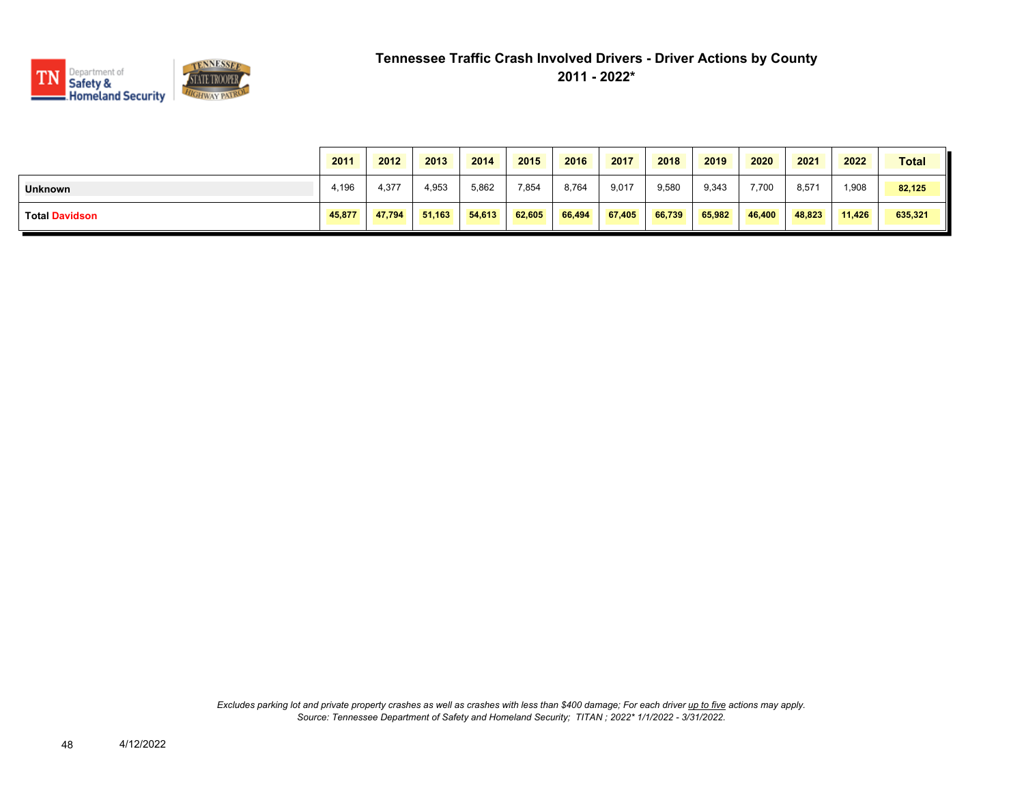

|                       | 2011   | 2012   | 2013   | 2014   | 2015   | 2016   | 2017   | 2018   | 2019   | 2020   | 2021   | 2022   | <b>Total</b> |
|-----------------------|--------|--------|--------|--------|--------|--------|--------|--------|--------|--------|--------|--------|--------------|
| <b>Unknown</b>        | 4,196  | 4,377  | 4,953  | 5,862  | 7,854  | 8,764  | 9,017  | 9,580  | 9,343  | 7,700  | 8,571  | .908   | 82,125       |
| <b>Total Davidson</b> | 45,877 | 47,794 | 51,163 | 54.613 | 62,605 | 66,494 | 67,405 | 66,739 | 65,982 | 46,400 | 48,823 | 11,426 | 635,321      |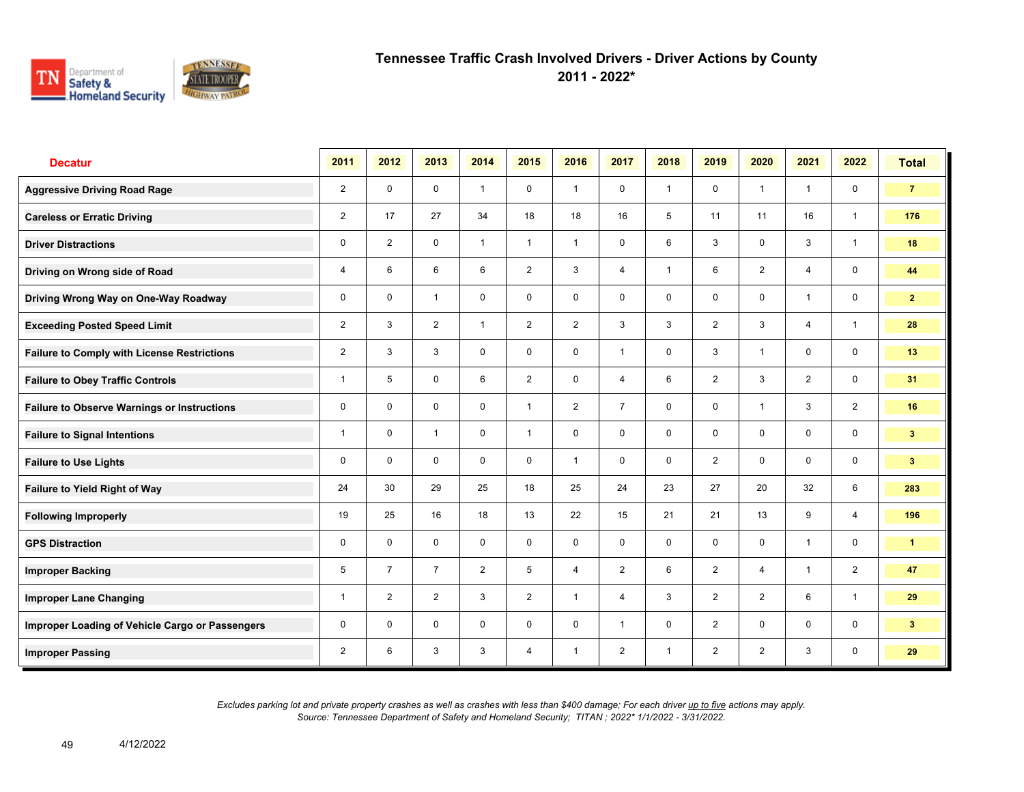

**2011 - 2022\***

| <b>Decatur</b>                                     | 2011           | 2012           | 2013           | 2014           | 2015           | 2016           | 2017           | 2018           | 2019           | 2020                    | 2021           | 2022           | <b>Total</b>   |
|----------------------------------------------------|----------------|----------------|----------------|----------------|----------------|----------------|----------------|----------------|----------------|-------------------------|----------------|----------------|----------------|
| <b>Aggressive Driving Road Rage</b>                | $\overline{2}$ | $\mathbf 0$    | $\mathbf 0$    | $\mathbf{1}$   | $\mathbf 0$    | $\overline{1}$ | $\mathbf 0$    | $\mathbf{1}$   | 0              | $\overline{1}$          | $\mathbf{1}$   | $\mathbf 0$    | $\overline{7}$ |
| <b>Careless or Erratic Driving</b>                 | $\overline{2}$ | 17             | 27             | 34             | 18             | 18             | 16             | 5              | 11             | 11                      | 16             | $\mathbf{1}$   | 176            |
| <b>Driver Distractions</b>                         | $\mathbf 0$    | $\overline{2}$ | $\mathbf 0$    | $\mathbf{1}$   | $\mathbf{1}$   | $\mathbf{1}$   | $\mathbf 0$    | 6              | 3              | $\mathbf 0$             | 3              | $\mathbf{1}$   | 18             |
| Driving on Wrong side of Road                      | 4              | 6              | 6              | 6              | $\overline{2}$ | 3              | 4              | $\mathbf{1}$   | 6              | 2                       | 4              | 0              | 44             |
| Driving Wrong Way on One-Way Roadway               | 0              | $\mathbf 0$    | $\mathbf{1}$   | $\mathbf 0$    | $\mathbf 0$    | $\mathbf 0$    | 0              | $\mathbf 0$    | 0              | $\mathbf 0$             | $\overline{1}$ | $\mathbf 0$    | $\mathbf{2}$   |
| <b>Exceeding Posted Speed Limit</b>                | $\overline{2}$ | 3              | $\overline{2}$ | $\mathbf{1}$   | $\overline{2}$ | $\overline{2}$ | 3              | 3              | $\overline{2}$ | 3                       | $\overline{4}$ | $\overline{1}$ | 28             |
| <b>Failure to Comply with License Restrictions</b> | $\overline{2}$ | 3              | 3              | $\mathbf 0$    | $\mathbf 0$    | $\mathbf 0$    | $\overline{1}$ | $\mathbf 0$    | 3              | $\overline{1}$          | $\mathbf 0$    | $\mathbf 0$    | 13             |
| <b>Failure to Obey Traffic Controls</b>            | $\mathbf{1}$   | 5              | $\mathbf 0$    | 6              | $\overline{2}$ | $\mathbf 0$    | $\overline{4}$ | 6              | $\overline{2}$ | 3                       | $\overline{2}$ | $\mathbf 0$    | 31             |
| <b>Failure to Observe Warnings or Instructions</b> | $\mathbf 0$    | $\Omega$       | $\mathbf 0$    | $\mathbf 0$    | $\mathbf{1}$   | $\overline{2}$ | $\overline{7}$ | $\mathbf 0$    | 0              | $\overline{\mathbf{1}}$ | 3              | $\overline{2}$ | 16             |
| <b>Failure to Signal Intentions</b>                | $\mathbf{1}$   | 0              | $\overline{1}$ | $\mathbf 0$    | $\mathbf{1}$   | 0              | $\mathbf 0$    | $\mathbf 0$    | 0              | $\mathbf 0$             | $\mathbf 0$    | $\mathbf 0$    | 3 <sup>2</sup> |
| <b>Failure to Use Lights</b>                       | 0              | $\Omega$       | $\Omega$       | $\Omega$       | $\mathbf 0$    | $\overline{1}$ | 0              | $\mathbf 0$    | $\overline{2}$ | $\Omega$                | $\Omega$       | $\mathbf 0$    | 3 <sup>1</sup> |
| Failure to Yield Right of Way                      | 24             | 30             | 29             | 25             | 18             | 25             | 24             | 23             | 27             | 20                      | 32             | 6              | 283            |
| <b>Following Improperly</b>                        | 19             | 25             | 16             | 18             | 13             | 22             | 15             | 21             | 21             | 13                      | 9              | $\overline{4}$ | 196            |
| <b>GPS Distraction</b>                             | 0              | $\mathbf 0$    | $\mathbf 0$    | $\mathbf 0$    | $\mathbf 0$    | $\mathbf 0$    | $\mathbf 0$    | $\mathbf 0$    | 0              | $\Omega$                | $\mathbf{1}$   | $\mathbf 0$    | $\mathbf{1}$   |
| <b>Improper Backing</b>                            | 5              | $\overline{7}$ | $\overline{7}$ | $\overline{2}$ | 5              | $\overline{4}$ | $\overline{2}$ | 6              | $\overline{2}$ | $\overline{4}$          | $\mathbf{1}$   | $\overline{2}$ | 47             |
| <b>Improper Lane Changing</b>                      | $\mathbf{1}$   | $\overline{2}$ | $\overline{2}$ | 3              | $\overline{2}$ | $\overline{1}$ | $\overline{4}$ | 3              | $\overline{2}$ | $\overline{2}$          | 6              | $\mathbf{1}$   | 29             |
| Improper Loading of Vehicle Cargo or Passengers    | 0              | $\mathbf 0$    | $\mathbf 0$    | $\mathbf 0$    | $\mathbf 0$    | $\mathbf 0$    | $\mathbf{1}$   | $\mathbf 0$    | $\overline{2}$ | 0                       | $\mathbf 0$    | $\mathbf 0$    | 3 <sup>1</sup> |
| <b>Improper Passing</b>                            | $\overline{2}$ | 6              | 3              | 3              | $\overline{4}$ | $\overline{1}$ | $\overline{2}$ | $\overline{1}$ | $\overline{2}$ | 2                       | 3              | $\mathbf 0$    | 29             |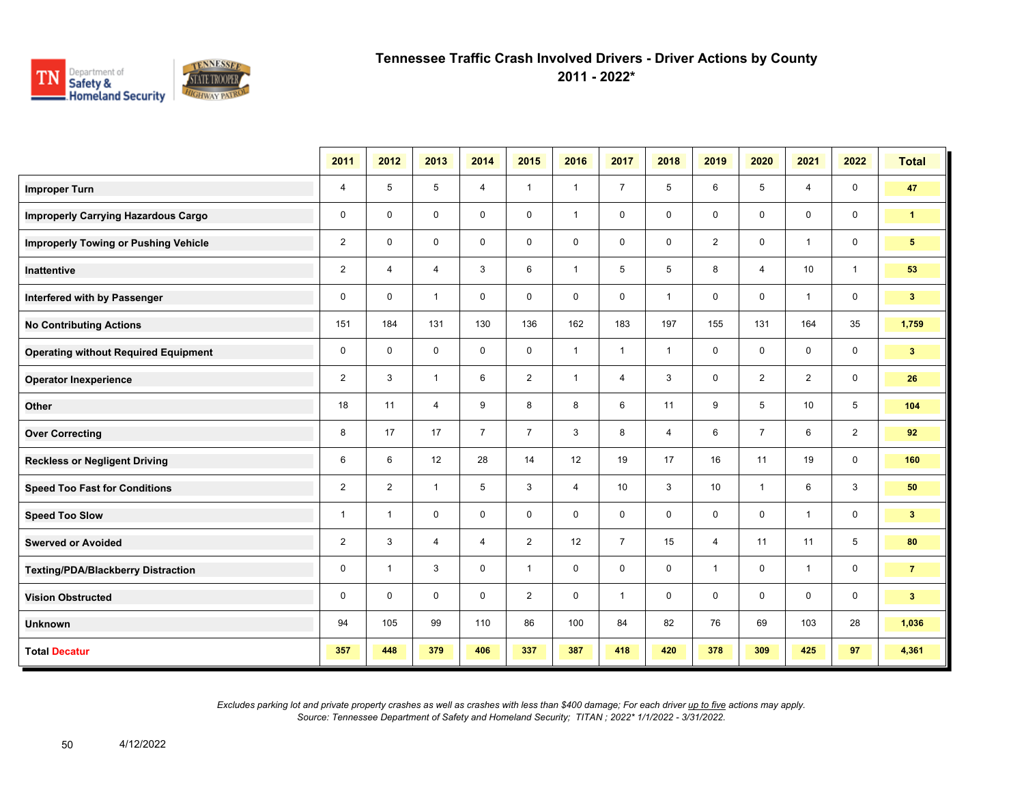

**2011 - 2022\***

|                                             | 2011           | 2012           | 2013           | 2014           | 2015           | 2016           | 2017           | 2018           | 2019           | 2020           | 2021           | 2022           | <b>Total</b>    |
|---------------------------------------------|----------------|----------------|----------------|----------------|----------------|----------------|----------------|----------------|----------------|----------------|----------------|----------------|-----------------|
| <b>Improper Turn</b>                        | 4              | 5              | 5              | $\overline{4}$ | $\mathbf{1}$   | $\mathbf{1}$   | $\overline{7}$ | 5              | 6              | 5              | 4              | $\mathbf 0$    | 47              |
| <b>Improperly Carrying Hazardous Cargo</b>  | 0              | $\mathbf 0$    | $\mathbf 0$    | $\mathbf 0$    | $\mathbf 0$    | $\mathbf{1}$   | $\mathbf 0$    | $\mathbf 0$    | 0              | $\mathbf 0$    | $\mathbf 0$    | $\mathbf 0$    | $\mathbf{1}$    |
| <b>Improperly Towing or Pushing Vehicle</b> | $\overline{2}$ | 0              | $\mathbf 0$    | 0              | $\mathbf 0$    | $\mathbf 0$    | 0              | $\mathbf 0$    | $\overline{2}$ | $\mathbf 0$    | 1              | $\mathbf 0$    | $5\phantom{.0}$ |
| Inattentive                                 | $\overline{2}$ | 4              | 4              | 3              | 6              | $\mathbf{1}$   | 5              | 5              | 8              | $\overline{4}$ | 10             | $\mathbf{1}$   | 53              |
| Interfered with by Passenger                | $\mathbf 0$    | $\mathbf 0$    | $\mathbf{1}$   | $\mathbf 0$    | $\mathbf 0$    | $\mathbf 0$    | $\mathbf 0$    | $\mathbf{1}$   | 0              | $\mathbf 0$    | $\mathbf{1}$   | $\mathbf 0$    | 3 <sup>2</sup>  |
| <b>No Contributing Actions</b>              | 151            | 184            | 131            | 130            | 136            | 162            | 183            | 197            | 155            | 131            | 164            | 35             | 1,759           |
| <b>Operating without Required Equipment</b> | 0              | $\mathbf 0$    | $\mathbf 0$    | $\mathbf 0$    | 0              | $\mathbf{1}$   | $\mathbf{1}$   | $\overline{1}$ | 0              | $\mathbf 0$    | $\mathbf 0$    | $\mathbf 0$    | 3 <sup>2</sup>  |
| <b>Operator Inexperience</b>                | $\overline{2}$ | 3              | $\mathbf{1}$   | 6              | $\overline{2}$ | $\mathbf{1}$   | 4              | 3              | 0              | $\overline{2}$ | $\overline{2}$ | $\mathbf 0$    | 26              |
| Other                                       | 18             | 11             | $\overline{4}$ | 9              | 8              | 8              | 6              | 11             | 9              | 5              | 10             | 5              | 104             |
| <b>Over Correcting</b>                      | 8              | 17             | 17             | $\overline{7}$ | $\overline{7}$ | 3              | 8              | $\overline{4}$ | 6              | $\overline{7}$ | 6              | $\overline{2}$ | 92              |
| <b>Reckless or Negligent Driving</b>        | 6              | 6              | 12             | 28             | 14             | 12             | 19             | 17             | 16             | 11             | 19             | $\mathbf 0$    | 160             |
| <b>Speed Too Fast for Conditions</b>        | $\overline{2}$ | $\overline{2}$ | $\mathbf{1}$   | 5              | 3              | $\overline{4}$ | 10             | 3              | 10             | $\overline{1}$ | 6              | $\mathbf{3}$   | 50              |
| <b>Speed Too Slow</b>                       | $\mathbf{1}$   | $\mathbf{1}$   | $\mathbf 0$    | $\mathbf 0$    | $\mathbf 0$    | $\mathbf 0$    | 0              | $\mathbf 0$    | 0              | $\mathbf 0$    | $\mathbf{1}$   | $\mathbf 0$    | 3 <sup>7</sup>  |
| <b>Swerved or Avoided</b>                   | 2              | 3              | 4              | $\overline{4}$ | $\overline{2}$ | 12             | $\overline{7}$ | 15             | 4              | 11             | 11             | 5              | 80              |
| <b>Texting/PDA/Blackberry Distraction</b>   | 0              | $\overline{1}$ | 3              | $\mathbf 0$    | $\mathbf{1}$   | $\mathbf 0$    | 0              | $\mathbf 0$    | 1              | $\mathbf 0$    | $\mathbf{1}$   | $\mathbf 0$    | $\overline{7}$  |
| <b>Vision Obstructed</b>                    | 0              | $\mathbf 0$    | $\mathbf 0$    | $\mathbf 0$    | $\overline{2}$ | $\mathbf 0$    | $\mathbf{1}$   | 0              | 0              | $\mathbf 0$    | $\mathbf 0$    | $\mathbf 0$    | 3 <sup>2</sup>  |
| <b>Unknown</b>                              | 94             | 105            | 99             | 110            | 86             | 100            | 84             | 82             | 76             | 69             | 103            | 28             | 1,036           |
| <b>Total Decatur</b>                        | 357            | 448            | 379            | 406            | 337            | 387            | 418            | 420            | 378            | 309            | 425            | 97             | 4,361           |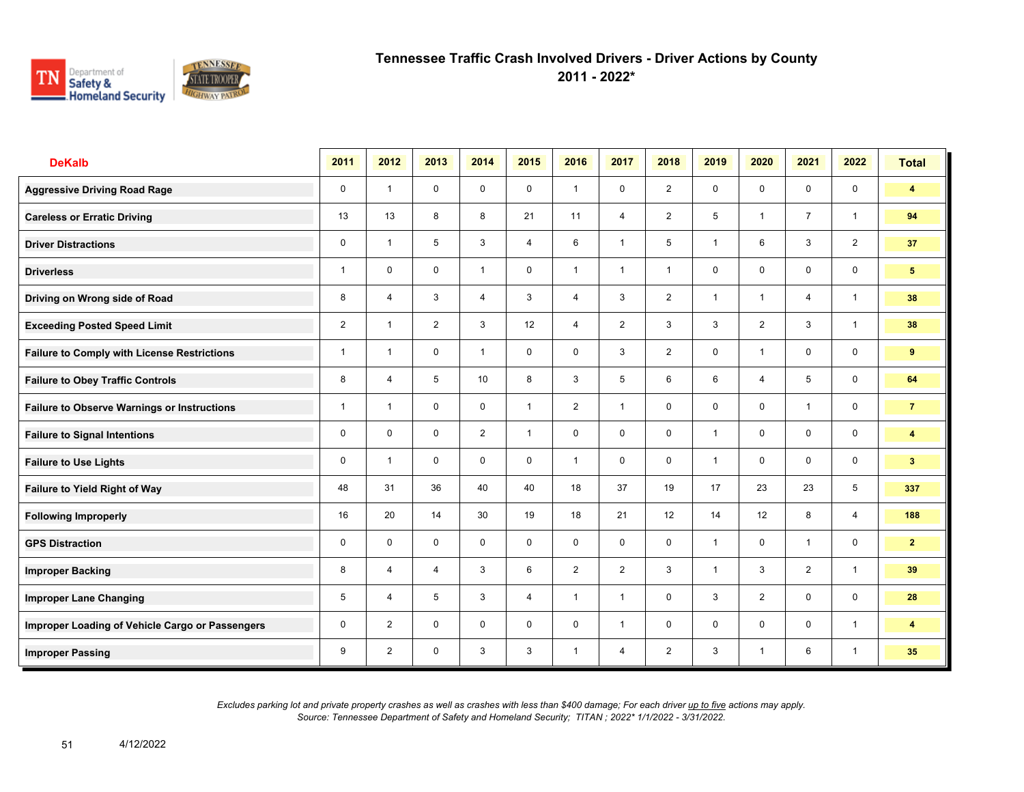

**2011 - 2022\***

| <b>DeKalb</b>                                      | 2011           | 2012           | 2013           | 2014           | 2015           | 2016           | 2017           | 2018           | 2019         | 2020                    | 2021           | 2022           | <b>Total</b>            |
|----------------------------------------------------|----------------|----------------|----------------|----------------|----------------|----------------|----------------|----------------|--------------|-------------------------|----------------|----------------|-------------------------|
| <b>Aggressive Driving Road Rage</b>                | 0              | $\overline{1}$ | $\mathbf 0$    | $\mathbf 0$    | 0              | $\overline{1}$ | $\mathbf 0$    | $\overline{2}$ | 0            | $\mathbf 0$             | $\mathbf 0$    | $\mathbf 0$    | $\blacktriangleleft$    |
| <b>Careless or Erratic Driving</b>                 | 13             | 13             | 8              | 8              | 21             | 11             | $\overline{4}$ | $\overline{2}$ | 5            | $\overline{\mathbf{1}}$ | $\overline{7}$ | $\mathbf{1}$   | 94                      |
| <b>Driver Distractions</b>                         | 0              | $\overline{1}$ | 5              | 3              | $\overline{4}$ | 6              | $\mathbf{1}$   | 5              | $\mathbf{1}$ | 6                       | 3              | $\overline{2}$ | 37                      |
| <b>Driverless</b>                                  | $\mathbf{1}$   | $\mathbf 0$    | $\mathbf 0$    | $\mathbf{1}$   | $\mathbf 0$    | $\overline{1}$ | $\mathbf{1}$   | $\overline{1}$ | 0            | $\mathbf 0$             | 0              | $\mathbf 0$    | 5 <sup>5</sup>          |
| Driving on Wrong side of Road                      | 8              | 4              | 3              | $\overline{4}$ | 3              | $\overline{4}$ | 3              | $\overline{2}$ | 1            | -1                      | $\overline{4}$ | $\overline{1}$ | 38                      |
| <b>Exceeding Posted Speed Limit</b>                | $\overline{2}$ | $\overline{1}$ | $\overline{2}$ | 3              | 12             | $\overline{4}$ | $\overline{2}$ | 3              | 3            | $\overline{2}$          | 3              | $\overline{1}$ | 38                      |
| <b>Failure to Comply with License Restrictions</b> | $\mathbf{1}$   | $\overline{1}$ | $\mathbf 0$    | $\mathbf{1}$   | $\mathbf 0$    | $\mathbf 0$    | 3              | $\overline{2}$ | 0            | $\overline{1}$          | $\mathbf 0$    | $\mathbf 0$    | 9                       |
| <b>Failure to Obey Traffic Controls</b>            | 8              | 4              | 5              | 10             | 8              | 3              | 5              | 6              | 6            | 4                       | 5              | $\mathbf 0$    | 64                      |
| <b>Failure to Observe Warnings or Instructions</b> | $\mathbf{1}$   | $\overline{1}$ | $\mathbf 0$    | $\mathbf 0$    | $\mathbf{1}$   | $\overline{2}$ | $\overline{1}$ | $\mathbf 0$    | 0            | $\mathbf 0$             | $\overline{1}$ | $\mathbf 0$    | $\overline{7}$          |
| <b>Failure to Signal Intentions</b>                | 0              | $\mathbf 0$    | $\mathbf 0$    | $\overline{2}$ | $\mathbf{1}$   | $\mathbf 0$    | $\mathbf 0$    | $\mathbf 0$    | $\mathbf{1}$ | $\Omega$                | $\mathbf 0$    | $\mathbf 0$    | $\overline{4}$          |
| <b>Failure to Use Lights</b>                       | 0              | $\overline{1}$ | $\mathbf 0$    | $\mathbf 0$    | 0              | $\overline{1}$ | 0              | $\mathbf 0$    | $\mathbf{1}$ | $\mathbf 0$             | 0              | $\mathbf 0$    | 3 <sup>1</sup>          |
| <b>Failure to Yield Right of Way</b>               | 48             | 31             | 36             | 40             | 40             | 18             | 37             | 19             | 17           | 23                      | 23             | 5              | 337                     |
| <b>Following Improperly</b>                        | 16             | 20             | 14             | 30             | 19             | 18             | 21             | 12             | 14           | 12                      | 8              | $\overline{4}$ | 188                     |
| <b>GPS Distraction</b>                             | $\mathbf 0$    | $\Omega$       | $\Omega$       | $\mathbf 0$    | $\mathbf 0$    | $\Omega$       | $\mathbf 0$    | $\mathbf 0$    | $\mathbf{1}$ | $\Omega$                | $\overline{1}$ | $\mathbf 0$    | 2 <sup>1</sup>          |
| <b>Improper Backing</b>                            | 8              | 4              | $\overline{4}$ | 3              | 6              | $\overline{2}$ | $\overline{2}$ | 3              | $\mathbf{1}$ | 3                       | $\overline{2}$ | $\mathbf{1}$   | 39                      |
| <b>Improper Lane Changing</b>                      | 5              | 4              | 5              | 3              | $\overline{4}$ | $\overline{1}$ | $\mathbf{1}$   | $\mathbf 0$    | 3            | $\overline{2}$          | $\mathbf 0$    | $\mathbf 0$    | 28                      |
| Improper Loading of Vehicle Cargo or Passengers    | 0              | $\overline{2}$ | $\mathbf 0$    | $\mathbf 0$    | $\mathbf 0$    | $\mathbf 0$    | $\mathbf{1}$   | $\mathbf 0$    | 0            | $\mathbf 0$             | $\mathbf 0$    | $\mathbf{1}$   | $\overline{\mathbf{4}}$ |
| <b>Improper Passing</b>                            | 9              | $\overline{2}$ | $\mathbf 0$    | 3              | 3              | $\overline{1}$ | 4              | $\overline{2}$ | 3            | $\overline{1}$          | 6              | $\overline{1}$ | 35                      |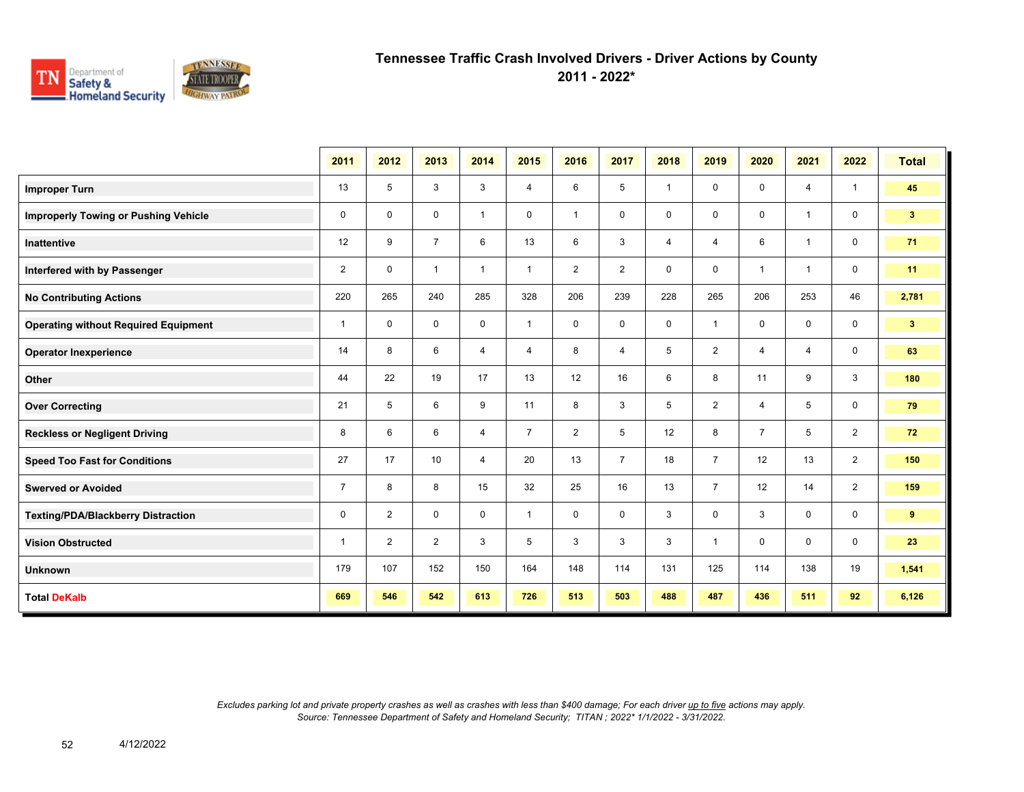

**2011 - 2022\***

|                                             | 2011           | 2012           | 2013           | 2014           | 2015           | 2016           | 2017           | 2018           | 2019           | 2020           | 2021           | 2022           | <b>Total</b>    |
|---------------------------------------------|----------------|----------------|----------------|----------------|----------------|----------------|----------------|----------------|----------------|----------------|----------------|----------------|-----------------|
| <b>Improper Turn</b>                        | 13             | 5              | 3              | 3              | 4              | 6              | 5              | $\overline{1}$ | 0              | $\mathbf 0$    | 4              | $\mathbf{1}$   | 45              |
| <b>Improperly Towing or Pushing Vehicle</b> | 0              | 0              | 0              | $\mathbf{1}$   | 0              | $\overline{1}$ | $\mathbf 0$    | $\mathbf 0$    | 0              | $\mathbf 0$    | $\overline{1}$ | $\mathbf 0$    | 3 <sup>2</sup>  |
| <b>Inattentive</b>                          | 12             | 9              | $\overline{7}$ | 6              | 13             | 6              | 3              | 4              | 4              | 6              | $\mathbf{1}$   | $\mathbf 0$    | 71              |
| Interfered with by Passenger                | $\overline{2}$ | $\mathbf{0}$   | $\mathbf{1}$   | $\mathbf{1}$   | $\mathbf{1}$   | $\overline{2}$ | $\overline{2}$ | $\mathbf 0$    | 0              | $\overline{1}$ | $\mathbf{1}$   | $\mathbf 0$    | 11              |
| <b>No Contributing Actions</b>              | 220            | 265            | 240            | 285            | 328            | 206            | 239            | 228            | 265            | 206            | 253            | 46             | 2,781           |
| <b>Operating without Required Equipment</b> | $\mathbf{1}$   | $\mathbf 0$    | $\mathbf 0$    | $\mathbf 0$    | $\mathbf{1}$   | $\mathbf 0$    | $\mathbf 0$    | $\mathbf 0$    | 1              | $\mathbf 0$    | $\mathbf 0$    | $\mathbf 0$    | $3\phantom{.0}$ |
| <b>Operator Inexperience</b>                | 14             | 8              | 6              | 4              | 4              | 8              | 4              | 5              | $\overline{2}$ | $\overline{4}$ | $\overline{4}$ | $\mathsf{O}$   | 63              |
| Other                                       | 44             | 22             | 19             | 17             | 13             | 12             | 16             | 6              | 8              | 11             | 9              | $\mathbf{3}$   | 180             |
| <b>Over Correcting</b>                      | 21             | 5              | 6              | 9              | 11             | 8              | 3              | 5              | $\overline{2}$ | $\overline{4}$ | 5              | $\mathbf 0$    | 79              |
| <b>Reckless or Negligent Driving</b>        | 8              | 6              | 6              | $\overline{4}$ | $\overline{7}$ | $\overline{2}$ | 5              | 12             | 8              | $\overline{7}$ | 5              | $\overline{2}$ | 72              |
| <b>Speed Too Fast for Conditions</b>        | 27             | 17             | 10             | $\overline{4}$ | 20             | 13             | $\overline{7}$ | 18             | $\overline{7}$ | 12             | 13             | 2              | 150             |
| <b>Swerved or Avoided</b>                   | $\overline{7}$ | 8              | 8              | 15             | 32             | 25             | 16             | 13             | $\overline{7}$ | 12             | 14             | 2              | 159             |
| <b>Texting/PDA/Blackberry Distraction</b>   | 0              | $\overline{2}$ | $\mathbf 0$    | $\mathbf 0$    | $\mathbf{1}$   | 0              | $\mathbf 0$    | 3              | 0              | 3              | $\mathbf{0}$   | $\mathbf 0$    | 9               |
| <b>Vision Obstructed</b>                    | $\mathbf{1}$   | $\overline{2}$ | $\overline{2}$ | 3              | 5              | 3              | 3              | 3              | 1              | $\mathbf 0$    | $\mathbf 0$    | $\mathbf 0$    | 23              |
| <b>Unknown</b>                              | 179            | 107            | 152            | 150            | 164            | 148            | 114            | 131            | 125            | 114            | 138            | 19             | 1,541           |
| <b>Total DeKalb</b>                         | 669            | 546            | 542            | 613            | 726            | 513            | 503            | 488            | 487            | 436            | 511            | 92             | 6,126           |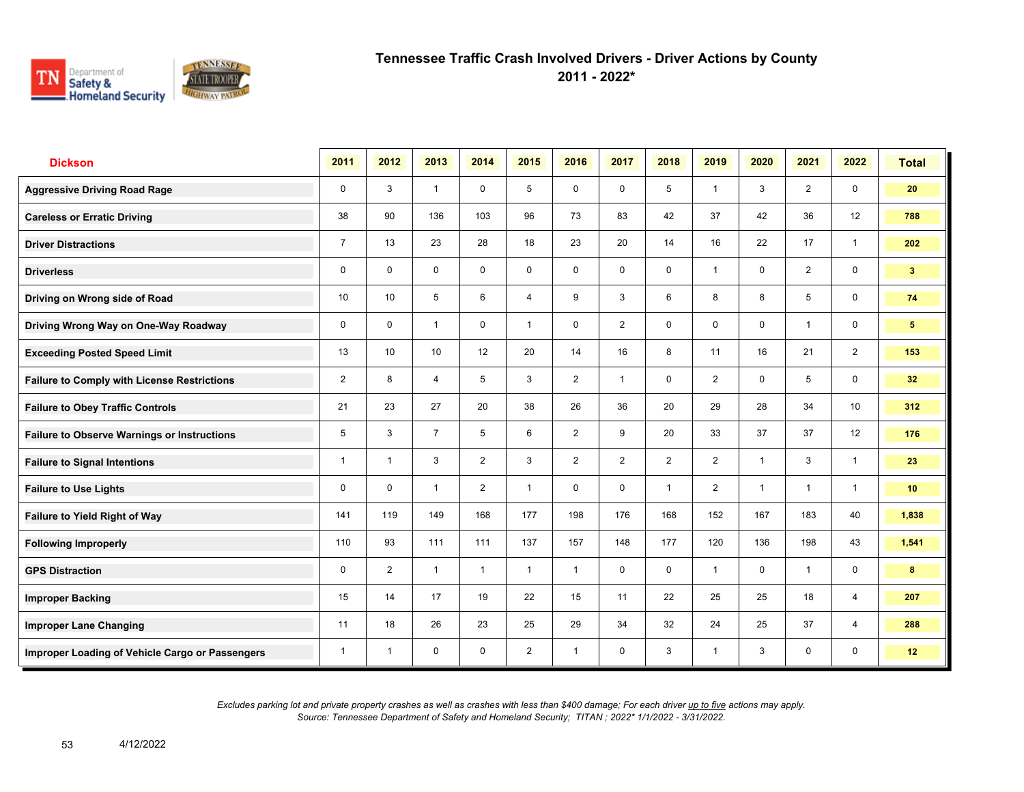

**2011 - 2022\***

| <b>Dickson</b>                                     | 2011           | 2012           | 2013           | 2014           | 2015           | 2016           | 2017        | 2018           | 2019           | 2020           | 2021           | 2022            | <b>Total</b>    |
|----------------------------------------------------|----------------|----------------|----------------|----------------|----------------|----------------|-------------|----------------|----------------|----------------|----------------|-----------------|-----------------|
| <b>Aggressive Driving Road Rage</b>                | $\mathbf 0$    | 3              | $\mathbf{1}$   | $\mathbf 0$    | 5              | $\mathbf 0$    | $\mathbf 0$ | 5              | $\mathbf{1}$   | 3              | $\overline{2}$ | $\mathbf 0$     | 20              |
| <b>Careless or Erratic Driving</b>                 | 38             | 90             | 136            | 103            | 96             | 73             | 83          | 42             | 37             | 42             | 36             | 12              | 788             |
| <b>Driver Distractions</b>                         | $\overline{7}$ | 13             | 23             | 28             | 18             | 23             | 20          | 14             | 16             | 22             | 17             | $\mathbf{1}$    | 202             |
| <b>Driverless</b>                                  | 0              | $\mathbf 0$    | $\mathsf{O}$   | $\mathsf{O}$   | 0              | $\mathsf{O}$   | $\mathbf 0$ | $\mathbf 0$    | $\mathbf{1}$   | 0              | 2              | $\mathbf 0$     | 3 <sup>1</sup>  |
| Driving on Wrong side of Road                      | 10             | 10             | 5              | 6              | 4              | 9              | 3           | 6              | 8              | 8              | 5              | $\mathbf 0$     | 74              |
| Driving Wrong Way on One-Way Roadway               | $\mathbf 0$    | $\Omega$       | $\mathbf{1}$   | $\mathbf 0$    | $\mathbf{1}$   | $\mathbf 0$    | 2           | $\mathbf 0$    | 0              | $\mathbf 0$    | $\mathbf{1}$   | $\mathbf 0$     | 5 <sup>5</sup>  |
| <b>Exceeding Posted Speed Limit</b>                | 13             | 10             | 10             | 12             | 20             | 14             | 16          | 8              | 11             | 16             | 21             | $\overline{2}$  | 153             |
| <b>Failure to Comply with License Restrictions</b> | $\overline{2}$ | 8              | $\overline{4}$ | 5              | 3              | $\overline{2}$ | 1           | $\mathbf 0$    | $\overline{2}$ | $\mathbf 0$    | 5              | $\mathbf 0$     | 32 <sub>2</sub> |
| <b>Failure to Obey Traffic Controls</b>            | 21             | 23             | 27             | 20             | 38             | 26             | 36          | 20             | 29             | 28             | 34             | 10 <sup>°</sup> | 312             |
| <b>Failure to Observe Warnings or Instructions</b> | 5              | 3              | $\overline{7}$ | 5              | 6              | $\overline{2}$ | 9           | 20             | 33             | 37             | 37             | 12              | 176             |
| <b>Failure to Signal Intentions</b>                | 1              | $\overline{1}$ | 3              | $\overline{2}$ | 3              | 2              | 2           | $\overline{2}$ | $\overline{2}$ | $\overline{1}$ | 3              | $\overline{1}$  | 23              |
| <b>Failure to Use Lights</b>                       | 0              | $\mathbf 0$    | $\mathbf{1}$   | 2              | $\mathbf{1}$   | $\mathbf 0$    | $\mathbf 0$ | $\mathbf{1}$   | $\overline{2}$ | $\overline{1}$ | $\mathbf{1}$   | $\overline{1}$  | 10 <sup>°</sup> |
| Failure to Yield Right of Way                      | 141            | 119            | 149            | 168            | 177            | 198            | 176         | 168            | 152            | 167            | 183            | 40              | 1,838           |
| <b>Following Improperly</b>                        | 110            | 93             | 111            | 111            | 137            | 157            | 148         | 177            | 120            | 136            | 198            | 43              | 1,541           |
| <b>GPS Distraction</b>                             | 0              | 2              | $\mathbf{1}$   | $\mathbf{1}$   | $\mathbf{1}$   | $\mathbf{1}$   | $\mathbf 0$ | $\mathbf 0$    | $\mathbf{1}$   | $\mathbf 0$    | $\mathbf{1}$   | $\mathbf 0$     | 8               |
| <b>Improper Backing</b>                            | 15             | 14             | 17             | 19             | 22             | 15             | 11          | 22             | 25             | 25             | 18             | $\overline{4}$  | 207             |
| <b>Improper Lane Changing</b>                      | 11             | 18             | 26             | 23             | 25             | 29             | 34          | 32             | 24             | 25             | 37             | $\overline{4}$  | 288             |
| Improper Loading of Vehicle Cargo or Passengers    | 1              | $\overline{1}$ | $\mathbf 0$    | $\mathbf 0$    | $\overline{2}$ | $\overline{1}$ | $\mathbf 0$ | 3              | $\mathbf{1}$   | 3              | 0              | $\mathbf 0$     | 12              |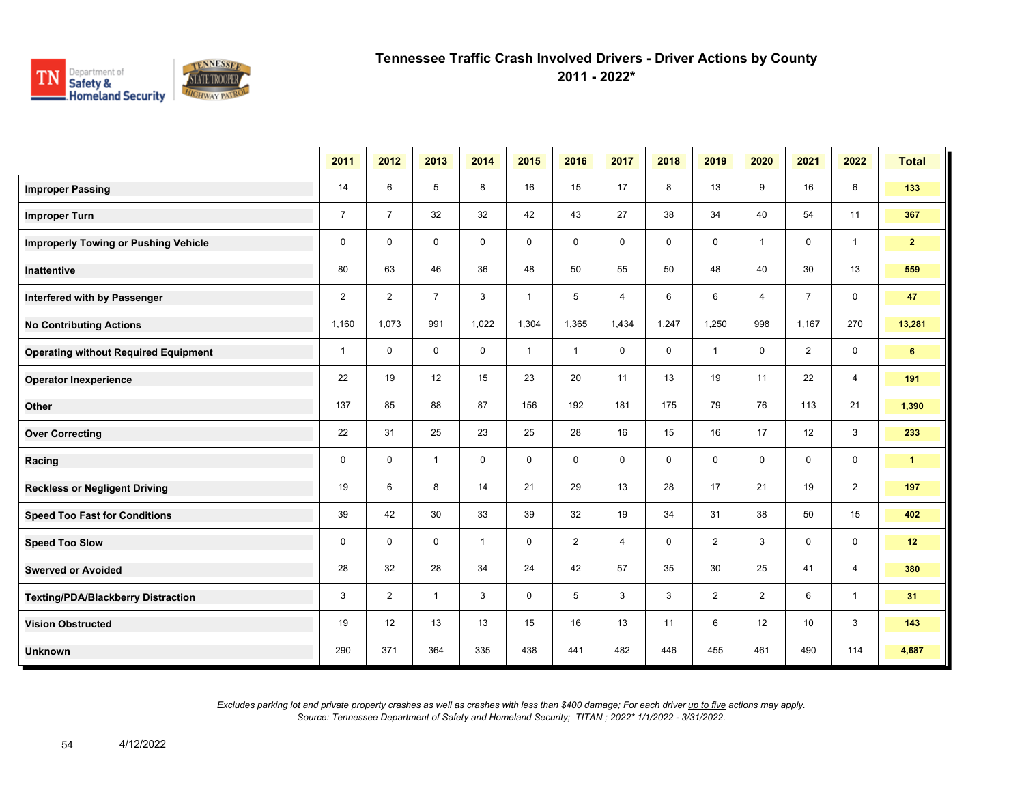

**2011 - 2022\***

|                                             | 2011           | 2012           | 2013           | 2014         | 2015         | 2016           | 2017        | 2018        | 2019           | 2020           | 2021           | 2022           | <b>Total</b>   |
|---------------------------------------------|----------------|----------------|----------------|--------------|--------------|----------------|-------------|-------------|----------------|----------------|----------------|----------------|----------------|
| <b>Improper Passing</b>                     | 14             | 6              | 5              | 8            | 16           | 15             | 17          | 8           | 13             | 9              | 16             | 6              | 133            |
| <b>Improper Turn</b>                        | $\overline{7}$ | $\overline{7}$ | 32             | 32           | 42           | 43             | 27          | 38          | 34             | 40             | 54             | 11             | 367            |
| <b>Improperly Towing or Pushing Vehicle</b> | $\mathbf 0$    | $\mathbf{0}$   | $\mathbf 0$    | $\mathbf 0$  | $\mathbf 0$  | $\mathbf 0$    | $\mathbf 0$ | $\mathbf 0$ | $\mathbf 0$    | $\mathbf{1}$   | $\mathbf 0$    | $\mathbf{1}$   | 2 <sup>7</sup> |
| <b>Inattentive</b>                          | 80             | 63             | 46             | 36           | 48           | 50             | 55          | 50          | 48             | 40             | 30             | 13             | 559            |
| Interfered with by Passenger                | $\overline{2}$ | $\overline{2}$ | $\overline{7}$ | 3            | $\mathbf{1}$ | 5              | 4           | 6           | 6              | 4              | $\overline{7}$ | $\mathbf 0$    | 47             |
| <b>No Contributing Actions</b>              | 1,160          | 1,073          | 991            | 1,022        | 1,304        | 1,365          | 1,434       | 1,247       | 1,250          | 998            | 1,167          | 270            | 13,281         |
| <b>Operating without Required Equipment</b> | $\mathbf{1}$   | $\mathbf 0$    | $\mathbf 0$    | $\mathbf 0$  | $\mathbf{1}$ | $\mathbf{1}$   | 0           | $\mathbf 0$ | $\mathbf{1}$   | $\mathbf 0$    | $\overline{2}$ | $\mathbf 0$    | 6              |
| <b>Operator Inexperience</b>                | 22             | 19             | 12             | 15           | 23           | 20             | 11          | 13          | 19             | 11             | 22             | $\overline{4}$ | 191            |
| Other                                       | 137            | 85             | 88             | 87           | 156          | 192            | 181         | 175         | 79             | 76             | 113            | 21             | 1,390          |
| <b>Over Correcting</b>                      | 22             | 31             | 25             | 23           | 25           | 28             | 16          | 15          | 16             | 17             | 12             | 3              | 233            |
| Racing                                      | 0              | $\mathbf 0$    | $\mathbf{1}$   | $\mathbf 0$  | 0            | $\mathbf 0$    | $\mathbf 0$ | $\mathbf 0$ | 0              | 0              | 0              | 0              | $\mathbf{1}$   |
| <b>Reckless or Negligent Driving</b>        | 19             | 6              | 8              | 14           | 21           | 29             | 13          | 28          | 17             | 21             | 19             | $\overline{2}$ | 197            |
| <b>Speed Too Fast for Conditions</b>        | 39             | 42             | 30             | 33           | 39           | 32             | 19          | 34          | 31             | 38             | 50             | 15             | 402            |
| <b>Speed Too Slow</b>                       | $\mathbf 0$    | $\mathbf 0$    | $\mathbf 0$    | $\mathbf{1}$ | 0            | $\overline{2}$ | 4           | $\mathbf 0$ | $\overline{2}$ | 3              | 0              | $\mathbf 0$    | 12             |
| <b>Swerved or Avoided</b>                   | 28             | 32             | 28             | 34           | 24           | 42             | 57          | 35          | 30             | 25             | 41             | $\overline{4}$ | 380            |
| <b>Texting/PDA/Blackberry Distraction</b>   | 3              | $\overline{2}$ | $\mathbf{1}$   | 3            | 0            | 5              | 3           | 3           | $\overline{2}$ | $\overline{2}$ | 6              | $\overline{1}$ | 31             |
| <b>Vision Obstructed</b>                    | 19             | 12             | 13             | 13           | 15           | 16             | 13          | 11          | 6              | 12             | 10             | 3              | 143            |
| <b>Unknown</b>                              | 290            | 371            | 364            | 335          | 438          | 441            | 482         | 446         | 455            | 461            | 490            | 114            | 4,687          |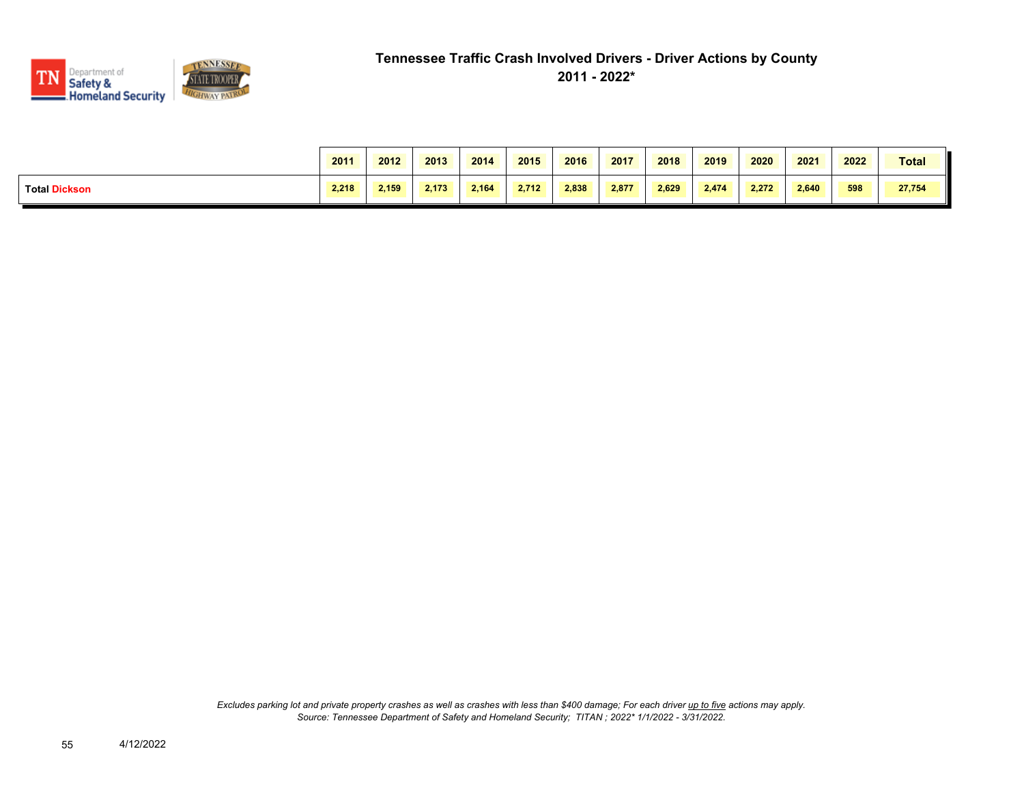

|                      | 2011  | 2012  | 2013  | 2014  | 2015  | 2016  | 2017  | 2018  | 2019  | 2020  | 2021  | 2022 | <b>Total</b> |
|----------------------|-------|-------|-------|-------|-------|-------|-------|-------|-------|-------|-------|------|--------------|
| <b>Total Dickson</b> | 2.218 | 2,159 | 2.173 | 2.164 | 2.712 | 2,838 | 2,877 | 2.629 | 2,474 | 2,272 | 2.640 | 598  | 27,754       |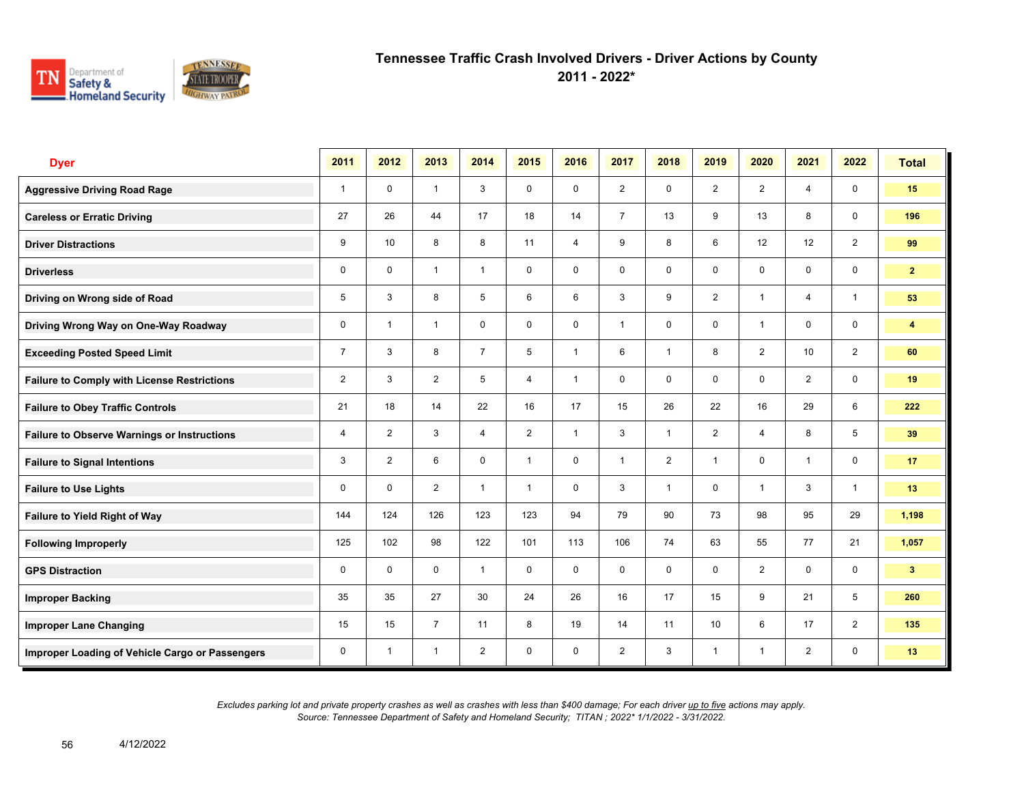

**2011 - 2022\***

| <b>Dyer</b>                                        | 2011           | 2012           | 2013           | 2014           | 2015           | 2016           | 2017           | 2018           | 2019            | 2020           | 2021           | 2022                    | <b>Total</b>   |
|----------------------------------------------------|----------------|----------------|----------------|----------------|----------------|----------------|----------------|----------------|-----------------|----------------|----------------|-------------------------|----------------|
| <b>Aggressive Driving Road Rage</b>                | $\mathbf{1}$   | $\mathbf 0$    | $\mathbf{1}$   | 3              | $\mathbf 0$    | $\mathbf 0$    | $\overline{2}$ | $\mathbf 0$    | $\overline{2}$  | $\overline{2}$ | $\overline{4}$ | $\mathbf 0$             | 15             |
| <b>Careless or Erratic Driving</b>                 | 27             | 26             | 44             | 17             | 18             | 14             | $\overline{7}$ | 13             | 9               | 13             | 8              | $\mathbf 0$             | 196            |
| <b>Driver Distractions</b>                         | 9              | 10             | 8              | 8              | 11             | $\overline{4}$ | 9              | 8              | 6               | 12             | 12             | 2                       | 99             |
| <b>Driverless</b>                                  | 0              | $\mathbf 0$    | $\mathbf{1}$   | $\mathbf{1}$   | 0              | 0              | $\mathbf 0$    | $\mathbf 0$    | 0               | 0              | $\mathsf{O}$   | $\mathbf 0$             | 2 <sup>1</sup> |
| Driving on Wrong side of Road                      | 5              | 3              | 8              | 5              | 6              | 6              | 3              | 9              | $\overline{2}$  | $\overline{1}$ | 4              | $\overline{1}$          | 53             |
| Driving Wrong Way on One-Way Roadway               | $\mathbf 0$    | $\overline{1}$ | $\mathbf{1}$   | $\mathbf 0$    | $\mathbf 0$    | $\mathbf 0$    | 1              | $\mathbf 0$    | $\mathbf 0$     | $\overline{1}$ | $\mathbf 0$    | $\mathbf 0$             | 4              |
| <b>Exceeding Posted Speed Limit</b>                | $\overline{7}$ | 3              | 8              | $\overline{7}$ | 5              | $\overline{1}$ | 6              | $\mathbf{1}$   | 8               | 2              | 10             | $\overline{2}$          | 60             |
| <b>Failure to Comply with License Restrictions</b> | $\overline{2}$ | 3              | $\overline{2}$ | 5              | 4              | $\mathbf{1}$   | $\mathbf 0$    | $\mathbf 0$    | $\mathbf 0$     | $\mathbf 0$    | $\overline{2}$ | $\mathbf 0$             | 19             |
| <b>Failure to Obey Traffic Controls</b>            | 21             | 18             | 14             | 22             | 16             | 17             | 15             | 26             | 22              | 16             | 29             | 6                       | 222            |
| <b>Failure to Observe Warnings or Instructions</b> | 4              | $\overline{2}$ | 3              | $\overline{4}$ | $\overline{2}$ | $\overline{1}$ | 3              | $\mathbf{1}$   | $\overline{2}$  | $\overline{4}$ | 8              | 5                       | 39             |
| <b>Failure to Signal Intentions</b>                | 3              | $\overline{2}$ | 6              | $\mathbf 0$    | $\mathbf{1}$   | $\mathbf{0}$   | $\mathbf{1}$   | $\overline{2}$ | $\mathbf{1}$    | $\mathbf{0}$   | $\overline{1}$ | $\mathsf{O}\phantom{0}$ | 17             |
| <b>Failure to Use Lights</b>                       | 0              | $\mathbf 0$    | $\overline{2}$ | $\mathbf{1}$   | $\mathbf{1}$   | $\mathbf 0$    | 3              | $\mathbf{1}$   | $\mathbf 0$     | $\overline{1}$ | 3              | $\mathbf{1}$            | 13             |
| Failure to Yield Right of Way                      | 144            | 124            | 126            | 123            | 123            | 94             | 79             | 90             | 73              | 98             | 95             | 29                      | 1,198          |
| <b>Following Improperly</b>                        | 125            | 102            | 98             | 122            | 101            | 113            | 106            | 74             | 63              | 55             | 77             | 21                      | 1,057          |
| <b>GPS Distraction</b>                             | 0              | $\mathbf 0$    | $\mathbf 0$    | $\mathbf{1}$   | $\mathbf 0$    | $\mathbf 0$    | $\mathbf 0$    | $\mathbf 0$    | $\mathbf 0$     | 2              | $\mathbf 0$    | $\mathbf 0$             | 3 <sup>2</sup> |
| <b>Improper Backing</b>                            | 35             | 35             | 27             | 30             | 24             | 26             | 16             | 17             | 15              | 9              | 21             | 5                       | 260            |
| <b>Improper Lane Changing</b>                      | 15             | 15             | $\overline{7}$ | 11             | 8              | 19             | 14             | 11             | 10 <sup>1</sup> | 6              | 17             | $\overline{2}$          | 135            |
| Improper Loading of Vehicle Cargo or Passengers    | 0              | $\overline{1}$ | $\mathbf{1}$   | $\overline{2}$ | $\mathbf 0$    | $\mathbf 0$    | $\overline{2}$ | 3              | $\mathbf{1}$    | $\overline{1}$ | $\overline{2}$ | $\mathbf 0$             | 13             |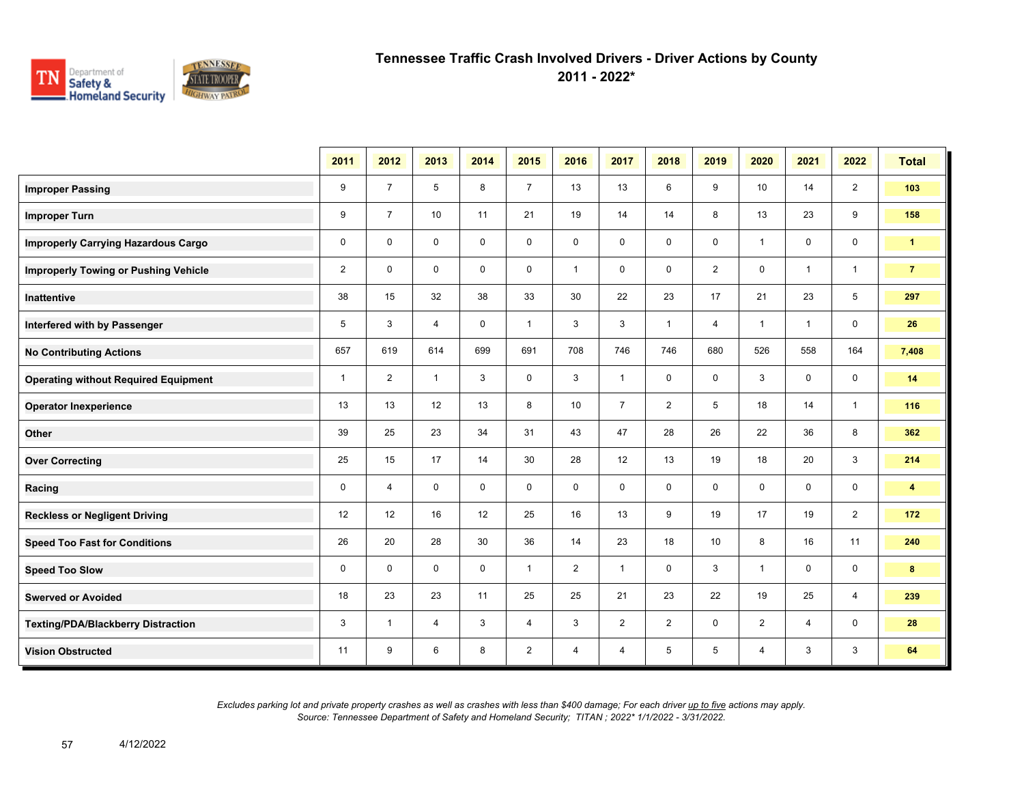

**2011 - 2022\***

|                                             | 2011           | 2012           | 2013           | 2014        | 2015           | 2016           | 2017           | 2018           | 2019           | 2020           | 2021         | 2022           | <b>Total</b>            |
|---------------------------------------------|----------------|----------------|----------------|-------------|----------------|----------------|----------------|----------------|----------------|----------------|--------------|----------------|-------------------------|
| <b>Improper Passing</b>                     | 9              | $\overline{7}$ | 5              | 8           | $\overline{7}$ | 13             | 13             | 6              | 9              | 10             | 14           | $\overline{2}$ | 103                     |
| <b>Improper Turn</b>                        | 9              | $\overline{7}$ | 10             | 11          | 21             | 19             | 14             | 14             | 8              | 13             | 23           | 9              | 158                     |
| <b>Improperly Carrying Hazardous Cargo</b>  | $\mathbf 0$    | $\mathbf{0}$   | $\mathbf 0$    | $\mathbf 0$ | 0              | $\mathbf 0$    | $\mathbf 0$    | $\mathbf 0$    | $\mathbf 0$    | $\mathbf{1}$   | 0            | $\mathbf 0$    | $\blacktriangleleft$    |
| <b>Improperly Towing or Pushing Vehicle</b> | $\overline{2}$ | $\mathbf{0}$   | $\mathbf 0$    | $\mathbf 0$ | $\mathbf 0$    | $\mathbf{1}$   | $\mathbf 0$    | $\mathbf 0$    | $\overline{2}$ | $\mathbf 0$    | $\mathbf{1}$ | $\mathbf{1}$   | $\overline{7}$          |
| Inattentive                                 | 38             | 15             | 32             | 38          | 33             | 30             | 22             | 23             | 17             | 21             | 23           | 5              | 297                     |
| Interfered with by Passenger                | 5              | 3              | $\overline{4}$ | $\mathbf 0$ | $\mathbf{1}$   | 3              | 3              | $\mathbf{1}$   | $\overline{4}$ | $\mathbf{1}$   | $\mathbf{1}$ | $\mathbf 0$    | 26                      |
| <b>No Contributing Actions</b>              | 657            | 619            | 614            | 699         | 691            | 708            | 746            | 746            | 680            | 526            | 558          | 164            | 7,408                   |
| <b>Operating without Required Equipment</b> | $\mathbf{1}$   | $\overline{2}$ | $\mathbf{1}$   | 3           | $\mathbf 0$    | 3              | $\mathbf{1}$   | $\mathbf 0$    | 0              | 3              | 0            | $\mathbf 0$    | 14                      |
| <b>Operator Inexperience</b>                | 13             | 13             | 12             | 13          | 8              | 10             | $\overline{7}$ | $\overline{2}$ | 5              | 18             | 14           | $\mathbf{1}$   | 116                     |
| Other                                       | 39             | 25             | 23             | 34          | 31             | 43             | 47             | 28             | 26             | 22             | 36           | 8              | 362                     |
| <b>Over Correcting</b>                      | 25             | 15             | 17             | 14          | 30             | 28             | 12             | 13             | 19             | 18             | 20           | 3              | 214                     |
| Racing                                      | $\mathbf 0$    | $\overline{4}$ | $\Omega$       | $\mathbf 0$ | $\mathbf 0$    | $\mathbf 0$    | $\mathbf 0$    | $\mathbf 0$    | $\mathbf 0$    | $\mathbf 0$    | $\mathbf 0$  | $\mathbf 0$    | $\overline{\mathbf{4}}$ |
| <b>Reckless or Negligent Driving</b>        | 12             | 12             | 16             | 12          | 25             | 16             | 13             | 9              | 19             | 17             | 19           | $\overline{2}$ | 172                     |
| <b>Speed Too Fast for Conditions</b>        | 26             | 20             | 28             | 30          | 36             | 14             | 23             | 18             | 10             | 8              | 16           | 11             | 240                     |
| <b>Speed Too Slow</b>                       | 0              | $\mathbf 0$    | $\mathbf 0$    | $\mathbf 0$ | $\mathbf{1}$   | $\overline{2}$ | $\mathbf{1}$   | 0              | 3              | $\mathbf{1}$   | 0            | $\mathbf 0$    | 8                       |
| <b>Swerved or Avoided</b>                   | 18             | 23             | 23             | 11          | 25             | 25             | 21             | 23             | 22             | 19             | 25           | 4              | 239                     |
| <b>Texting/PDA/Blackberry Distraction</b>   | 3              | $\mathbf 1$    | $\overline{4}$ | 3           | 4              | 3              | $\overline{2}$ | $\overline{2}$ | 0              | $\overline{2}$ | 4            | 0              | 28                      |
| <b>Vision Obstructed</b>                    | 11             | 9              | 6              | 8           | $\overline{2}$ | 4              | 4              | 5              | 5              | 4              | 3            | 3              | 64                      |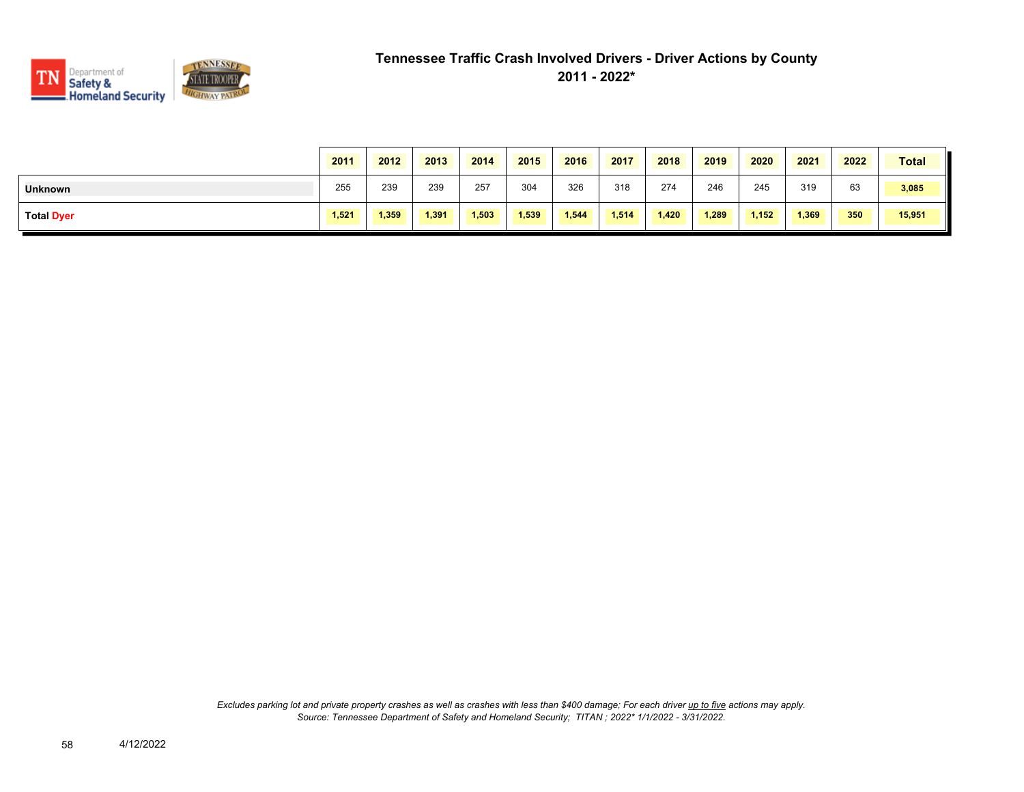

|                   | 2011  | 2012  | 2013  | 2014  | 2015  | 2016  | 2017  | 2018  | 2019  | 2020  | 2021  | 2022 | <b>Total</b> |
|-------------------|-------|-------|-------|-------|-------|-------|-------|-------|-------|-------|-------|------|--------------|
| <b>Unknown</b>    | 255   | 239   | 239   | 257   | 304   | 326   | 318   | 274   | 246   | 245   | 319   | 63   | 3,085        |
| <b>Total Dyer</b> | 1,521 | 1,359 | 1,391 | 1,503 | 1,539 | 1,544 | 1,514 | 1,420 | 1,289 | 1,152 | 1,369 | 350  | 15,951       |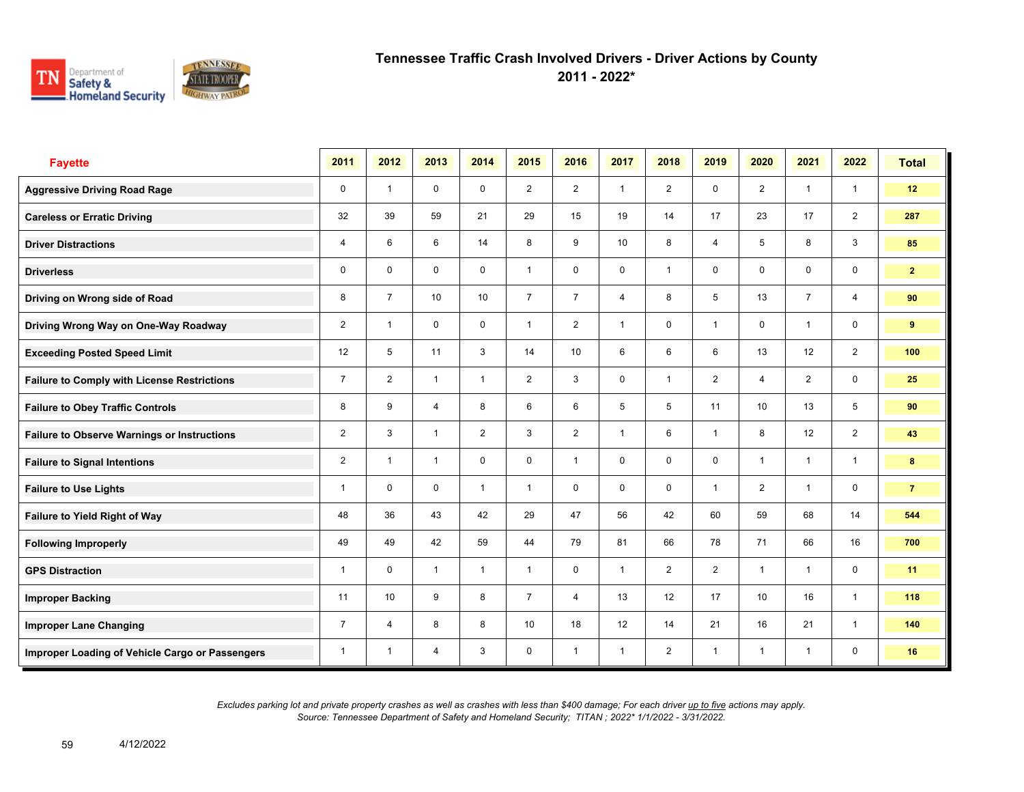

**2011 - 2022\***

| <b>Fayette</b>                                     | 2011           | 2012                    | 2013           | 2014           | 2015           | 2016           | 2017           | 2018           | 2019           | 2020           | 2021           | 2022           | <b>Total</b>   |
|----------------------------------------------------|----------------|-------------------------|----------------|----------------|----------------|----------------|----------------|----------------|----------------|----------------|----------------|----------------|----------------|
| <b>Aggressive Driving Road Rage</b>                | 0              | $\overline{1}$          | $\mathbf 0$    | $\mathbf 0$    | $\overline{2}$ | $\overline{2}$ | $\mathbf{1}$   | $\overline{2}$ | $\mathbf 0$    | $\overline{2}$ | $\mathbf{1}$   | $\mathbf{1}$   | 12             |
| <b>Careless or Erratic Driving</b>                 | 32             | 39                      | 59             | 21             | 29             | 15             | 19             | 14             | 17             | 23             | 17             | $\overline{2}$ | 287            |
| <b>Driver Distractions</b>                         | 4              | 6                       | 6              | 14             | 8              | 9              | 10             | 8              | 4              | 5              | 8              | 3              | 85             |
| <b>Driverless</b>                                  | 0              | $\mathbf 0$             | $\mathbf 0$    | $\mathbf 0$    | $\mathbf{1}$   | $\mathbf 0$    | 0              | $\mathbf{1}$   | $\mathbf 0$    | $\mathbf 0$    | $\mathbf 0$    | 0              | 2 <sup>7</sup> |
| Driving on Wrong side of Road                      | 8              | $\overline{7}$          | 10             | 10             | $\overline{7}$ | $\overline{7}$ | $\overline{4}$ | 8              | 5              | 13             | $\overline{7}$ | $\overline{4}$ | 90             |
| Driving Wrong Way on One-Way Roadway               | $\overline{2}$ | $\overline{1}$          | $\mathbf 0$    | $\mathbf 0$    | $\mathbf{1}$   | $\overline{2}$ | $\mathbf{1}$   | $\mathbf 0$    | $\mathbf{1}$   | $\mathbf 0$    | $\mathbf{1}$   | $\mathbf 0$    | 9              |
| <b>Exceeding Posted Speed Limit</b>                | 12             | 5                       | 11             | 3              | 14             | 10             | 6              | 6              | 6              | 13             | 12             | $\overline{2}$ | 100            |
| <b>Failure to Comply with License Restrictions</b> | $\overline{7}$ | $\overline{2}$          | $\overline{1}$ | $\mathbf{1}$   | $\overline{2}$ | 3              | 0              | $\mathbf{1}$   | $\overline{2}$ | 4              | $\overline{2}$ | 0              | 25             |
| <b>Failure to Obey Traffic Controls</b>            | 8              | 9                       | $\overline{4}$ | 8              | 6              | 6              | 5              | 5              | 11             | 10             | 13             | 5              | 90             |
| <b>Failure to Observe Warnings or Instructions</b> | $\overline{2}$ | 3                       | $\overline{1}$ | $\overline{2}$ | 3              | $\overline{2}$ | $\overline{1}$ | 6              | $\mathbf{1}$   | 8              | 12             | $\overline{2}$ | 43             |
| <b>Failure to Signal Intentions</b>                | $\overline{2}$ | $\overline{\mathbf{1}}$ | $\overline{1}$ | $\mathbf 0$    | 0              | $\overline{1}$ | 0              | 0              | 0              | $\overline{1}$ | $\mathbf{1}$   | $\mathbf{1}$   | 8              |
| <b>Failure to Use Lights</b>                       | 1              | $\Omega$                | $\mathbf 0$    | $\overline{1}$ | $\mathbf{1}$   | 0              | $\mathbf 0$    | 0              | $\mathbf{1}$   | $\overline{2}$ | $\mathbf{1}$   | 0              | $\overline{7}$ |
| Failure to Yield Right of Way                      | 48             | 36                      | 43             | 42             | 29             | 47             | 56             | 42             | 60             | 59             | 68             | 14             | 544            |
| <b>Following Improperly</b>                        | 49             | 49                      | 42             | 59             | 44             | 79             | 81             | 66             | 78             | 71             | 66             | 16             | 700            |
| <b>GPS Distraction</b>                             | 1              | 0                       | $\mathbf{1}$   | $\mathbf{1}$   | $\mathbf{1}$   | 0              | $\mathbf{1}$   | $\overline{2}$ | $\overline{2}$ | $\overline{1}$ | $\mathbf{1}$   | 0              | 11             |
| <b>Improper Backing</b>                            | 11             | 10                      | 9              | 8              | $\overline{7}$ | 4              | 13             | 12             | 17             | 10             | 16             | $\mathbf{1}$   | 118            |
| <b>Improper Lane Changing</b>                      | $\overline{7}$ | 4                       | 8              | 8              | 10             | 18             | 12             | 14             | 21             | 16             | 21             | $\mathbf{1}$   | 140            |
| Improper Loading of Vehicle Cargo or Passengers    | $\overline{1}$ | $\overline{1}$          | $\overline{4}$ | 3              | $\mathbf 0$    | $\overline{1}$ | $\mathbf{1}$   | $\overline{2}$ | $\mathbf{1}$   | $\overline{1}$ | $\mathbf{1}$   | $\mathbf 0$    | 16             |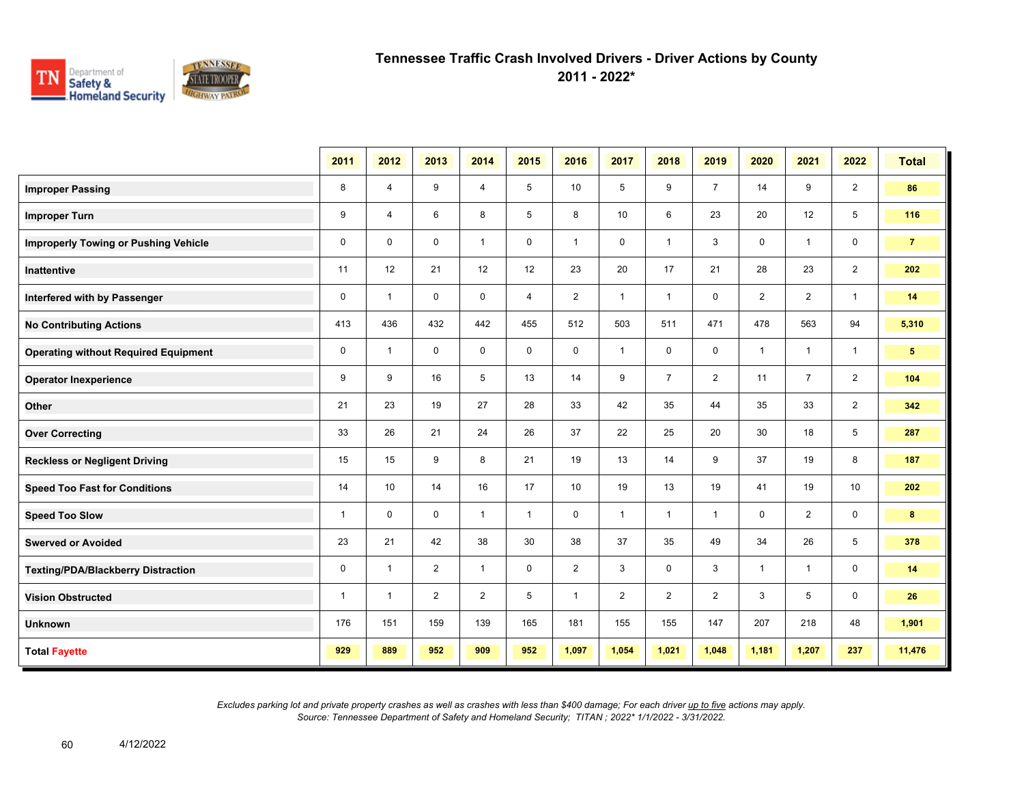

**2011 - 2022\***

|                                             | 2011         | 2012           | 2013           | 2014           | 2015         | 2016           | 2017           | 2018           | 2019           | 2020           | 2021           | 2022           | <b>Total</b>    |
|---------------------------------------------|--------------|----------------|----------------|----------------|--------------|----------------|----------------|----------------|----------------|----------------|----------------|----------------|-----------------|
| <b>Improper Passing</b>                     | 8            | $\overline{4}$ | 9              | $\overline{4}$ | 5            | 10             | 5              | 9              | $\overline{7}$ | 14             | 9              | $\overline{2}$ | 86              |
| <b>Improper Turn</b>                        | 9            | $\overline{4}$ | 6              | 8              | 5            | 8              | 10             | 6              | 23             | 20             | 12             | 5              | 116             |
| <b>Improperly Towing or Pushing Vehicle</b> | $\mathbf 0$  | $\Omega$       | $\mathbf 0$    | $\overline{1}$ | $\mathbf 0$  | $\mathbf{1}$   | $\mathbf 0$    | $\mathbf{1}$   | 3              | $\mathbf 0$    | $\mathbf{1}$   | 0              | $\overline{7}$  |
| <b>Inattentive</b>                          | 11           | 12             | 21             | 12             | 12           | 23             | 20             | 17             | 21             | 28             | 23             | $\overline{2}$ | 202             |
| Interfered with by Passenger                | $\mathbf 0$  | $\overline{1}$ | $\mathbf 0$    | $\mathbf 0$    | 4            | $\overline{2}$ | $\mathbf{1}$   | $\mathbf{1}$   | 0              | $\overline{2}$ | 2              | $\mathbf{1}$   | 14              |
| <b>No Contributing Actions</b>              | 413          | 436            | 432            | 442            | 455          | 512            | 503            | 511            | 471            | 478            | 563            | 94             | 5,310           |
| <b>Operating without Required Equipment</b> | $\mathbf 0$  | $\overline{1}$ | $\mathbf 0$    | $\mathbf 0$    | $\mathbf 0$  | $\mathbf 0$    | $\mathbf{1}$   | $\mathbf 0$    | 0              | $\mathbf{1}$   | $\mathbf{1}$   | $\mathbf{1}$   | $5\phantom{.0}$ |
| <b>Operator Inexperience</b>                | 9            | 9              | 16             | 5              | 13           | 14             | 9              | $\overline{7}$ | $\overline{2}$ | 11             | $\overline{7}$ | $\overline{2}$ | 104             |
| Other                                       | 21           | 23             | 19             | 27             | 28           | 33             | 42             | 35             | 44             | 35             | 33             | $\overline{2}$ | 342             |
| <b>Over Correcting</b>                      | 33           | 26             | 21             | 24             | 26           | 37             | 22             | 25             | 20             | 30             | 18             | 5              | 287             |
| <b>Reckless or Negligent Driving</b>        | 15           | 15             | 9              | 8              | 21           | 19             | 13             | 14             | 9              | 37             | 19             | 8              | 187             |
| <b>Speed Too Fast for Conditions</b>        | 14           | 10             | 14             | 16             | 17           | 10             | 19             | 13             | 19             | 41             | 19             | 10             | 202             |
| <b>Speed Too Slow</b>                       | $\mathbf{1}$ | $\mathbf 0$    | $\mathbf 0$    | $\mathbf{1}$   | $\mathbf{1}$ | $\mathbf 0$    | $\mathbf{1}$   | $\mathbf{1}$   | $\mathbf{1}$   | $\mathbf 0$    | $\overline{2}$ | 0              | 8               |
| <b>Swerved or Avoided</b>                   | 23           | 21             | 42             | 38             | 30           | 38             | 37             | 35             | 49             | 34             | 26             | 5              | 378             |
| <b>Texting/PDA/Blackberry Distraction</b>   | $\mathbf 0$  | $\mathbf{1}$   | 2              | $\mathbf{1}$   | $\mathbf 0$  | $\overline{2}$ | 3              | $\mathbf 0$    | 3              | $\mathbf{1}$   | $\mathbf{1}$   | $\mathbf 0$    | 14              |
| <b>Vision Obstructed</b>                    | $\mathbf{1}$ | $\mathbf{1}$   | $\overline{2}$ | 2              | 5            | $\mathbf{1}$   | $\overline{2}$ | $\overline{2}$ | $\overline{2}$ | 3              | 5              | 0              | 26              |
| <b>Unknown</b>                              | 176          | 151            | 159            | 139            | 165          | 181            | 155            | 155            | 147            | 207            | 218            | 48             | 1,901           |
| <b>Total Fayette</b>                        | 929          | 889            | 952            | 909            | 952          | 1,097          | 1,054          | 1,021          | 1,048          | 1,181          | 1,207          | 237            | 11,476          |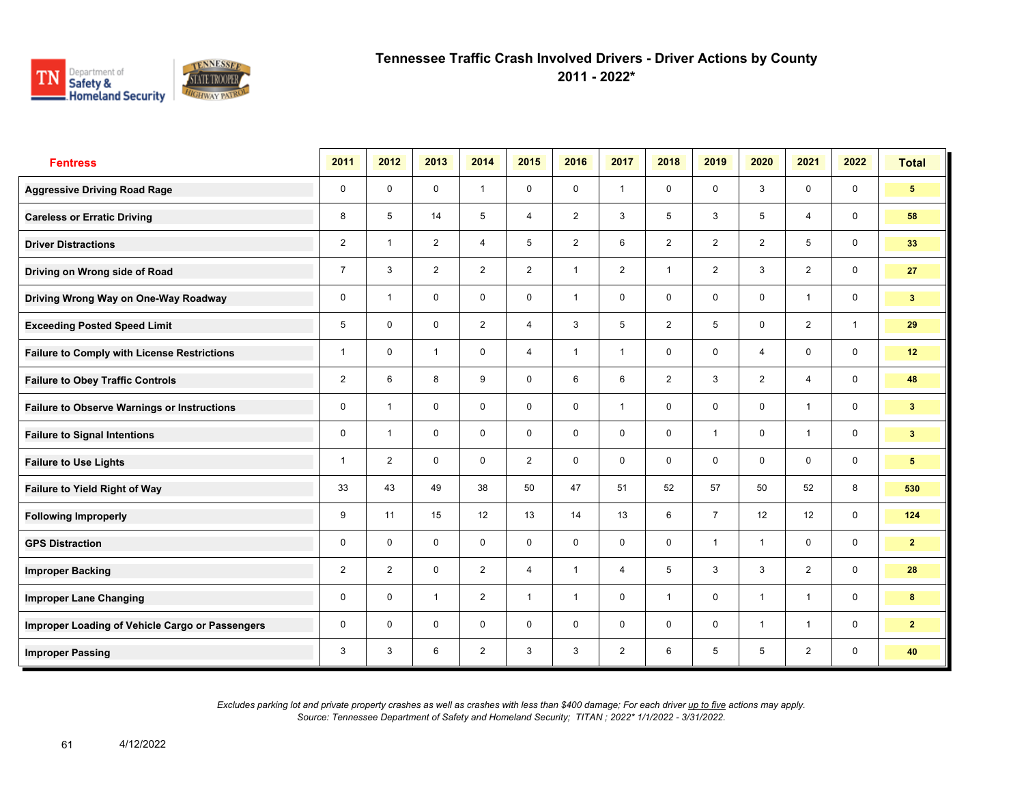

**2011 - 2022\***

| <b>Fentress</b>                                    | 2011           | 2012           | 2013           | 2014           | 2015           | 2016           | 2017           | 2018           | 2019           | 2020           | 2021           | 2022         | <b>Total</b>    |
|----------------------------------------------------|----------------|----------------|----------------|----------------|----------------|----------------|----------------|----------------|----------------|----------------|----------------|--------------|-----------------|
| <b>Aggressive Driving Road Rage</b>                | $\mathbf 0$    | $\mathbf 0$    | $\mathbf 0$    | $\mathbf{1}$   | $\mathbf 0$    | $\mathbf 0$    | $\mathbf{1}$   | $\mathbf 0$    | 0              | 3              | $\mathbf 0$    | 0            | 5 <sup>5</sup>  |
| <b>Careless or Erratic Driving</b>                 | 8              | 5              | 14             | 5              | $\overline{4}$ | 2              | $\mathbf{3}$   | 5              | 3              | 5              | $\overline{4}$ | $\mathbf 0$  | 58              |
| <b>Driver Distractions</b>                         | $\overline{2}$ | $\overline{1}$ | 2              | $\overline{4}$ | 5              | $\overline{2}$ | 6              | $\overline{2}$ | $\overline{2}$ | 2              | 5              | $\mathbf 0$  | 33              |
| Driving on Wrong side of Road                      | $\overline{7}$ | 3              | $\overline{2}$ | 2              | $\overline{2}$ | $\overline{1}$ | 2              | $\mathbf{1}$   | $\overline{2}$ | 3              | $\overline{2}$ | $\mathbf 0$  | 27              |
| Driving Wrong Way on One-Way Roadway               | $\mathbf 0$    | $\overline{1}$ | $\mathbf 0$    | $\mathbf 0$    | $\mathbf 0$    | $\overline{1}$ | $\mathbf 0$    | $\mathbf 0$    | 0              | $\mathbf 0$    | $\overline{1}$ | $\mathbf 0$  | 3 <sub>1</sub>  |
| <b>Exceeding Posted Speed Limit</b>                | 5              | $\mathbf 0$    | $\mathbf 0$    | $\overline{2}$ | 4              | 3              | 5              | $\overline{2}$ | 5              | $\mathbf 0$    | 2              | $\mathbf{1}$ | 29              |
| <b>Failure to Comply with License Restrictions</b> | 1              | $\mathbf 0$    | $\mathbf{1}$   | $\mathbf 0$    | $\overline{4}$ | $\overline{1}$ | 1              | $\mathbf 0$    | $\mathbf 0$    | $\overline{4}$ | $\mathbf 0$    | $\mathbf 0$  | 12              |
| <b>Failure to Obey Traffic Controls</b>            | $\overline{2}$ | 6              | 8              | 9              | 0              | 6              | 6              | $\overline{2}$ | 3              | $\overline{2}$ | 4              | $\mathbf 0$  | 48              |
| <b>Failure to Observe Warnings or Instructions</b> | 0              | $\overline{1}$ | $\mathbf 0$    | $\mathbf 0$    | $\mathbf 0$    | $\mathbf 0$    | $\mathbf{1}$   | $\mathbf 0$    | 0              | $\mathbf 0$    | $\mathbf{1}$   | $\mathbf 0$  | 3 <sup>2</sup>  |
| <b>Failure to Signal Intentions</b>                | $\mathbf 0$    | $\overline{1}$ | $\mathbf 0$    | $\mathbf 0$    | $\mathbf 0$    | $\mathbf 0$    | $\mathbf 0$    | $\mathbf 0$    | $\mathbf{1}$   | $\mathbf 0$    | $\overline{1}$ | $\mathbf 0$  | 3 <sup>2</sup>  |
| <b>Failure to Use Lights</b>                       | 1              | $\overline{2}$ | $\mathbf 0$    | $\mathbf 0$    | $\overline{2}$ | $\mathbf 0$    | $\mathbf 0$    | $\mathbf 0$    | 0              | $\mathbf 0$    | $\mathbf 0$    | $\mathbf 0$  | $5\phantom{.0}$ |
| <b>Failure to Yield Right of Way</b>               | 33             | 43             | 49             | 38             | 50             | 47             | 51             | 52             | 57             | 50             | 52             | 8            | 530             |
| <b>Following Improperly</b>                        | 9              | 11             | 15             | 12             | 13             | 14             | 13             | 6              | $\overline{7}$ | 12             | 12             | $\mathbf 0$  | 124             |
| <b>GPS Distraction</b>                             | $\mathbf 0$    | $\Omega$       | $\Omega$       | $\mathbf 0$    | $\mathbf 0$    | $\Omega$       | $\mathbf 0$    | $\mathbf 0$    | $\mathbf{1}$   | $\overline{1}$ | $\mathbf 0$    | $\mathbf 0$  | $\overline{2}$  |
| <b>Improper Backing</b>                            | $\overline{2}$ | 2              | $\mathbf 0$    | $\overline{2}$ | $\overline{4}$ | $\overline{1}$ | $\overline{4}$ | 5              | 3              | 3              | 2              | $\mathbf 0$  | 28              |
| <b>Improper Lane Changing</b>                      | 0              | $\mathbf 0$    | $\mathbf{1}$   | 2              | $\mathbf{1}$   | $\overline{1}$ | $\mathbf 0$    | $\mathbf{1}$   | 0              | $\overline{1}$ | $\mathbf{1}$   | $\mathbf 0$  | 8               |
| Improper Loading of Vehicle Cargo or Passengers    | 0              | $\mathbf 0$    | $\mathbf 0$    | $\mathbf 0$    | $\mathbf 0$    | $\mathbf 0$    | $\mathbf 0$    | $\mathbf 0$    | $\mathbf 0$    | $\overline{1}$ | $\overline{1}$ | $\mathbf 0$  | $\overline{2}$  |
| <b>Improper Passing</b>                            | 3              | 3              | 6              | $\overline{2}$ | 3              | 3              | $\overline{2}$ | 6              | 5              | 5              | $\overline{2}$ | $\mathbf 0$  | 40              |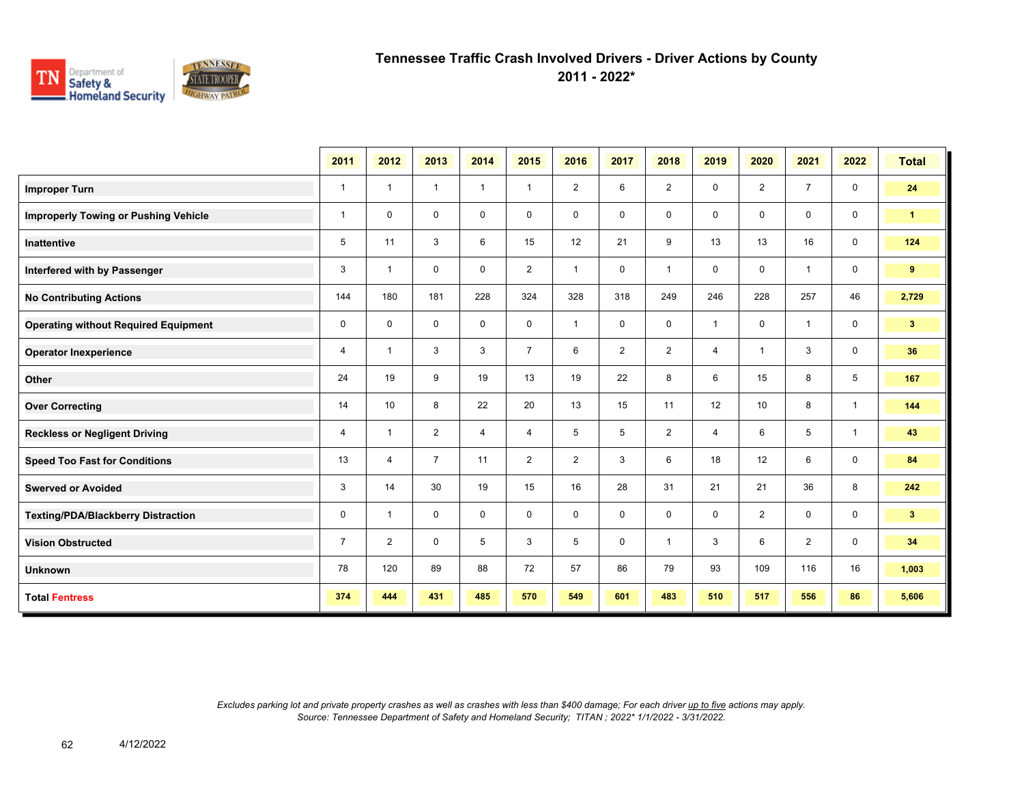

**2011 - 2022\***

|                                             | 2011           | 2012                    | 2013           | 2014           | 2015           | 2016                    | 2017           | 2018           | 2019           | 2020           | 2021           | 2022           | <b>Total</b>    |
|---------------------------------------------|----------------|-------------------------|----------------|----------------|----------------|-------------------------|----------------|----------------|----------------|----------------|----------------|----------------|-----------------|
| <b>Improper Turn</b>                        | $\mathbf{1}$   | $\mathbf{1}$            | $\mathbf{1}$   | $\mathbf{1}$   | $\mathbf{1}$   | $\overline{2}$          | 6              | $\overline{2}$ | 0              | $\overline{2}$ | $\overline{7}$ | $\mathbf 0$    | 24              |
| <b>Improperly Towing or Pushing Vehicle</b> | $\mathbf{1}$   | $\mathbf 0$             | 0              | 0              | 0              | 0                       | 0              | $\mathbf 0$    | 0              | $\mathbf 0$    | $\mathbf 0$    | $\mathbf 0$    | $\mathbf{1}$    |
| <b>Inattentive</b>                          | 5              | 11                      | 3              | 6              | 15             | 12                      | 21             | 9              | 13             | 13             | 16             | $\mathbf 0$    | 124             |
| Interfered with by Passenger                | 3              | $\overline{1}$          | $\mathbf 0$    | $\mathbf 0$    | $\overline{2}$ | $\overline{1}$          | $\mathbf 0$    | $\overline{1}$ | 0              | $\mathbf 0$    | $\mathbf{1}$   | $\mathbf 0$    | 9               |
| <b>No Contributing Actions</b>              | 144            | 180                     | 181            | 228            | 324            | 328                     | 318            | 249            | 246            | 228            | 257            | 46             | 2,729           |
| <b>Operating without Required Equipment</b> | 0              | $\mathbf 0$             | $\mathbf 0$    | $\mathbf 0$    | 0              | $\overline{\mathbf{1}}$ | $\mathbf 0$    | $\mathbf 0$    | 1              | $\mathbf 0$    | $\mathbf{1}$   | $\mathbf 0$    | $3\phantom{.0}$ |
| <b>Operator Inexperience</b>                | 4              | $\overline{\mathbf{1}}$ | 3              | 3              | $\overline{7}$ | 6                       | $\overline{2}$ | $\overline{2}$ | 4              | $\overline{1}$ | 3              | $\mathbf 0$    | 36              |
| Other                                       | 24             | 19                      | 9              | 19             | 13             | 19                      | 22             | 8              | 6              | 15             | 8              | 5              | 167             |
| <b>Over Correcting</b>                      | 14             | 10                      | 8              | 22             | 20             | 13                      | 15             | 11             | 12             | 10             | 8              | $\overline{1}$ | 144             |
| <b>Reckless or Negligent Driving</b>        | $\overline{4}$ | $\overline{1}$          | $\overline{2}$ | $\overline{4}$ | $\overline{4}$ | 5                       | 5              | $\overline{2}$ | $\overline{4}$ | 6              | 5              | $\mathbf{1}$   | 43              |
| <b>Speed Too Fast for Conditions</b>        | 13             | $\overline{4}$          | $\overline{7}$ | 11             | $\overline{2}$ | $\overline{2}$          | 3              | 6              | 18             | 12             | 6              | $\mathbf 0$    | 84              |
| <b>Swerved or Avoided</b>                   | 3              | 14                      | 30             | 19             | 15             | 16                      | 28             | 31             | 21             | 21             | 36             | 8              | 242             |
| <b>Texting/PDA/Blackberry Distraction</b>   | 0              | $\mathbf{1}$            | $\mathbf 0$    | $\mathbf 0$    | 0              | 0                       | 0              | $\mathbf 0$    | 0              | 2              | $\mathbf{0}$   | $\mathbf 0$    | 3 <sup>7</sup>  |
| <b>Vision Obstructed</b>                    | $\overline{7}$ | $\overline{2}$          | $\mathbf 0$    | 5              | 3              | 5                       | 0              | $\overline{1}$ | 3              | 6              | $\overline{2}$ | $\mathbf 0$    | 34              |
| <b>Unknown</b>                              | 78             | 120                     | 89             | 88             | 72             | 57                      | 86             | 79             | 93             | 109            | 116            | 16             | 1,003           |
| <b>Total Fentress</b>                       | 374            | 444                     | 431            | 485            | 570            | 549                     | 601            | 483            | 510            | 517            | 556            | 86             | 5,606           |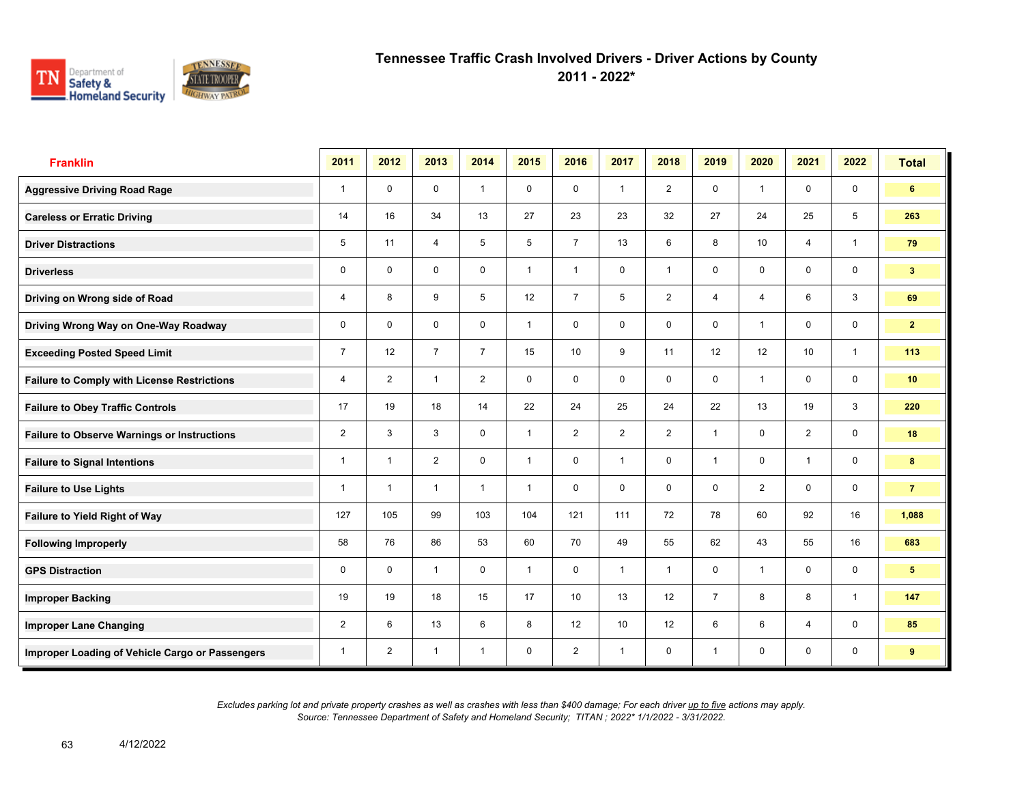

**2011 - 2022\***

| <b>Franklin</b>                                    | 2011           | 2012           | 2013           | 2014           | 2015         | 2016           | 2017           | 2018           | 2019           | 2020           | 2021           | 2022         | <b>Total</b>   |
|----------------------------------------------------|----------------|----------------|----------------|----------------|--------------|----------------|----------------|----------------|----------------|----------------|----------------|--------------|----------------|
| <b>Aggressive Driving Road Rage</b>                | $\mathbf{1}$   | $\mathbf 0$    | $\mathbf 0$    | $\mathbf{1}$   | $\mathbf 0$  | $\mathbf 0$    | $\mathbf{1}$   | $\overline{2}$ | 0              | $\overline{1}$ | $\mathbf 0$    | $\mathbf 0$  | 6              |
| <b>Careless or Erratic Driving</b>                 | 14             | 16             | 34             | 13             | 27           | 23             | 23             | 32             | 27             | 24             | 25             | 5            | 263            |
| <b>Driver Distractions</b>                         | 5              | 11             | $\overline{4}$ | 5              | 5            | $\overline{7}$ | 13             | 6              | 8              | 10             | $\overline{4}$ | $\mathbf{1}$ | 79             |
| <b>Driverless</b>                                  | 0              | $\mathbf 0$    | $\mathbf 0$    | $\mathbf 0$    | $\mathbf{1}$ | $\overline{1}$ | $\mathbf 0$    | $\mathbf{1}$   | 0              | $\mathbf 0$    | 0              | 0            | 3 <sup>2</sup> |
| Driving on Wrong side of Road                      | 4              | 8              | 9              | 5              | 12           | $\overline{7}$ | 5              | $\overline{2}$ | $\overline{4}$ | $\overline{4}$ | 6              | 3            | 69             |
| Driving Wrong Way on One-Way Roadway               | 0              | $\mathbf 0$    | $\mathbf 0$    | $\mathbf 0$    | $\mathbf{1}$ | $\mathbf 0$    | $\mathbf 0$    | $\mathbf 0$    | 0              | $\overline{1}$ | $\mathbf 0$    | $\mathbf 0$  | $\mathbf{2}$   |
| <b>Exceeding Posted Speed Limit</b>                | $\overline{7}$ | 12             | $\overline{7}$ | $\overline{7}$ | 15           | 10             | 9              | 11             | 12             | 12             | 10             | $\mathbf{1}$ | 113            |
| <b>Failure to Comply with License Restrictions</b> | 4              | 2              | $\mathbf{1}$   | $\overline{2}$ | 0            | $\mathbf 0$    | $\mathbf 0$    | $\mathbf 0$    | 0              | $\overline{1}$ | $\mathbf 0$    | $\mathbf 0$  | 10             |
| <b>Failure to Obey Traffic Controls</b>            | 17             | 19             | 18             | 14             | 22           | 24             | 25             | 24             | 22             | 13             | 19             | 3            | 220            |
| <b>Failure to Observe Warnings or Instructions</b> | $\overline{2}$ | 3              | 3              | $\Omega$       | $\mathbf{1}$ | $\overline{2}$ | $\overline{2}$ | $\overline{2}$ | $\mathbf{1}$   | $\mathbf{0}$   | $\overline{2}$ | $\mathbf 0$  | 18             |
| <b>Failure to Signal Intentions</b>                | 1              | $\overline{1}$ | $\overline{2}$ | $\mathbf 0$    | 1            | $\mathbf 0$    | $\overline{1}$ | $\mathbf 0$    | 1              | $\mathbf 0$    | $\overline{1}$ | $\mathbf 0$  | $\bf{8}$       |
| <b>Failure to Use Lights</b>                       | 1              | $\overline{1}$ | $\overline{1}$ | $\overline{1}$ | $\mathbf{1}$ | $\Omega$       | $\mathbf 0$    | $\mathbf 0$    | 0              | $\overline{2}$ | $\Omega$       | $\mathbf 0$  | $\overline{7}$ |
| Failure to Yield Right of Way                      | 127            | 105            | 99             | 103            | 104          | 121            | 111            | 72             | 78             | 60             | 92             | 16           | 1,088          |
| <b>Following Improperly</b>                        | 58             | 76             | 86             | 53             | 60           | 70             | 49             | 55             | 62             | 43             | 55             | 16           | 683            |
| <b>GPS Distraction</b>                             | 0              | $\Omega$       | $\overline{1}$ | $\mathbf 0$    | $\mathbf{1}$ | $\mathbf 0$    | $\mathbf{1}$   | $\mathbf{1}$   | 0              | $\overline{1}$ | $\mathbf 0$    | $\mathbf 0$  | 5 <sub>5</sub> |
| <b>Improper Backing</b>                            | 19             | 19             | 18             | 15             | 17           | 10             | 13             | 12             | $\overline{7}$ | 8              | 8              | $\mathbf{1}$ | 147            |
| <b>Improper Lane Changing</b>                      | $\overline{2}$ | 6              | 13             | 6              | 8            | 12             | 10             | 12             | 6              | 6              | $\overline{4}$ | $\mathbf 0$  | 85             |
| Improper Loading of Vehicle Cargo or Passengers    | 1              | $\overline{2}$ | 1              | $\overline{1}$ | 0            | $\overline{2}$ | $\mathbf{1}$   | $\mathbf 0$    | 1              | $\mathbf 0$    | 0              | 0            | 9              |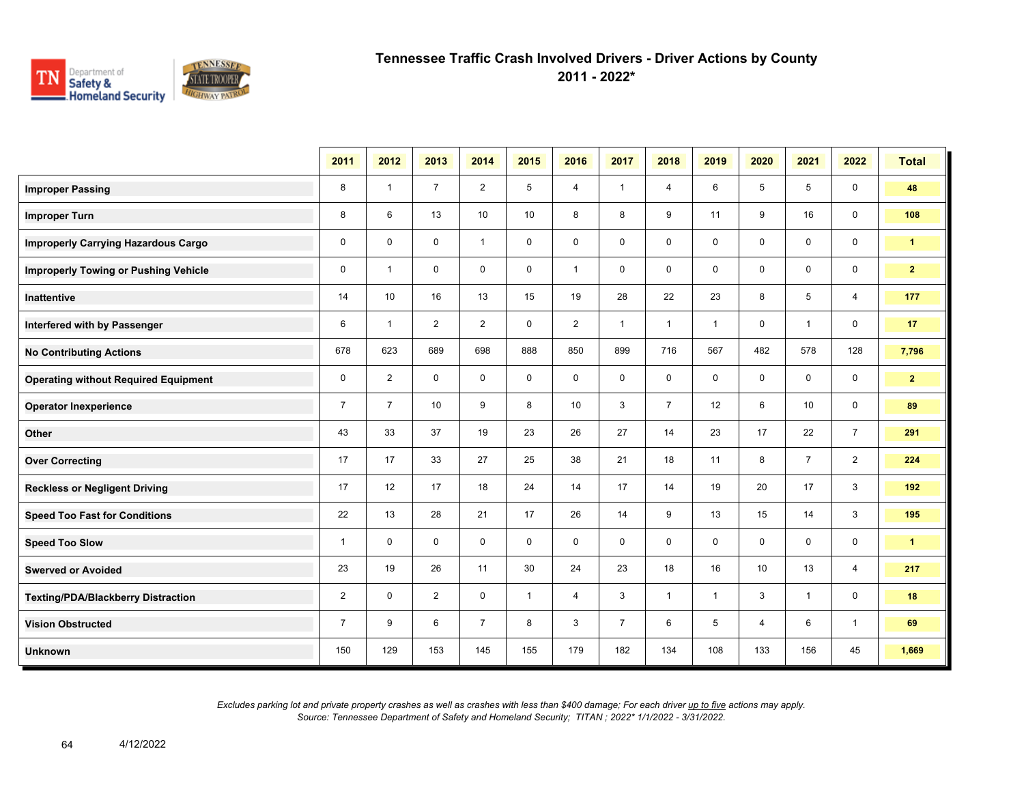

**2011 - 2022\***

|                                             | 2011           | 2012           | 2013           | 2014           | 2015         | 2016           | 2017           | 2018           | 2019         | 2020        | 2021           | 2022           | <b>Total</b> |
|---------------------------------------------|----------------|----------------|----------------|----------------|--------------|----------------|----------------|----------------|--------------|-------------|----------------|----------------|--------------|
| <b>Improper Passing</b>                     | 8              | -1             | $\overline{7}$ | $\overline{2}$ | 5            | 4              | $\mathbf{1}$   | 4              | 6            | 5           | 5              | $\mathbf 0$    | 48           |
| <b>Improper Turn</b>                        | 8              | 6              | 13             | 10             | 10           | 8              | 8              | 9              | 11           | 9           | 16             | $\mathbf 0$    | 108          |
| <b>Improperly Carrying Hazardous Cargo</b>  | $\mathbf 0$    | $\mathbf{0}$   | $\mathbf 0$    | $\overline{1}$ | $\mathbf 0$  | $\mathbf 0$    | $\mathbf 0$    | 0              | 0            | 0           | $\mathbf 0$    | $\mathbf 0$    | $\mathbf{1}$ |
| <b>Improperly Towing or Pushing Vehicle</b> | $\mathbf 0$    | $\overline{1}$ | $\mathbf 0$    | $\mathbf 0$    | $\mathbf 0$  | $\mathbf{1}$   | $\mathbf 0$    | 0              | $\mathbf 0$  | 0           | $\mathbf 0$    | $\mathbf 0$    | $\mathbf{2}$ |
| Inattentive                                 | 14             | 10             | 16             | 13             | 15           | 19             | 28             | 22             | 23           | 8           | 5              | $\overline{4}$ | 177          |
| Interfered with by Passenger                | 6              | $\mathbf{1}$   | 2              | $\overline{2}$ | $\mathbf 0$  | $\overline{2}$ | $\mathbf{1}$   | $\mathbf{1}$   | $\mathbf{1}$ | $\mathbf 0$ | $\mathbf{1}$   | $\mathbf 0$    | 17           |
| <b>No Contributing Actions</b>              | 678            | 623            | 689            | 698            | 888          | 850            | 899            | 716            | 567          | 482         | 578            | 128            | 7,796        |
| <b>Operating without Required Equipment</b> | 0              | $\overline{2}$ | $\mathbf 0$    | $\mathbf 0$    | $\mathbf 0$  | $\mathbf 0$    | $\mathbf 0$    | 0              | 0            | 0           | 0              | $\mathbf 0$    | $\mathbf{2}$ |
| <b>Operator Inexperience</b>                | $\overline{7}$ | $\overline{7}$ | 10             | 9              | 8            | 10             | 3              | $\overline{7}$ | 12           | 6           | 10             | $\mathbf 0$    | 89           |
| Other                                       | 43             | 33             | 37             | 19             | 23           | 26             | 27             | 14             | 23           | 17          | 22             | $\overline{7}$ | 291          |
| <b>Over Correcting</b>                      | 17             | 17             | 33             | 27             | 25           | 38             | 21             | 18             | 11           | 8           | $\overline{7}$ | $\overline{2}$ | 224          |
| <b>Reckless or Negligent Driving</b>        | 17             | 12             | 17             | 18             | 24           | 14             | 17             | 14             | 19           | 20          | 17             | 3              | 192          |
| <b>Speed Too Fast for Conditions</b>        | 22             | 13             | 28             | 21             | 17           | 26             | 14             | 9              | 13           | 15          | 14             | 3              | 195          |
| <b>Speed Too Slow</b>                       | $\mathbf{1}$   | $\mathbf 0$    | $\mathbf 0$    | $\mathbf 0$    | $\mathbf 0$  | $\mathbf 0$    | $\mathbf 0$    | 0              | 0            | $\mathbf 0$ | $\mathbf 0$    | $\mathbf 0$    | $\mathbf{1}$ |
| <b>Swerved or Avoided</b>                   | 23             | 19             | 26             | 11             | 30           | 24             | 23             | 18             | 16           | 10          | 13             | 4              | 217          |
| <b>Texting/PDA/Blackberry Distraction</b>   | $\overline{2}$ | $\mathbf 0$    | $\overline{2}$ | $\mathbf 0$    | $\mathbf{1}$ | 4              | 3              | $\mathbf{1}$   | $\mathbf{1}$ | 3           | $\mathbf{1}$   | $\mathbf 0$    | 18           |
| <b>Vision Obstructed</b>                    | $\overline{7}$ | 9              | 6              | $\overline{7}$ | 8            | 3              | $\overline{7}$ | 6              | 5            | 4           | 6              | $\mathbf{1}$   | 69           |
| <b>Unknown</b>                              | 150            | 129            | 153            | 145            | 155          | 179            | 182            | 134            | 108          | 133         | 156            | 45             | 1,669        |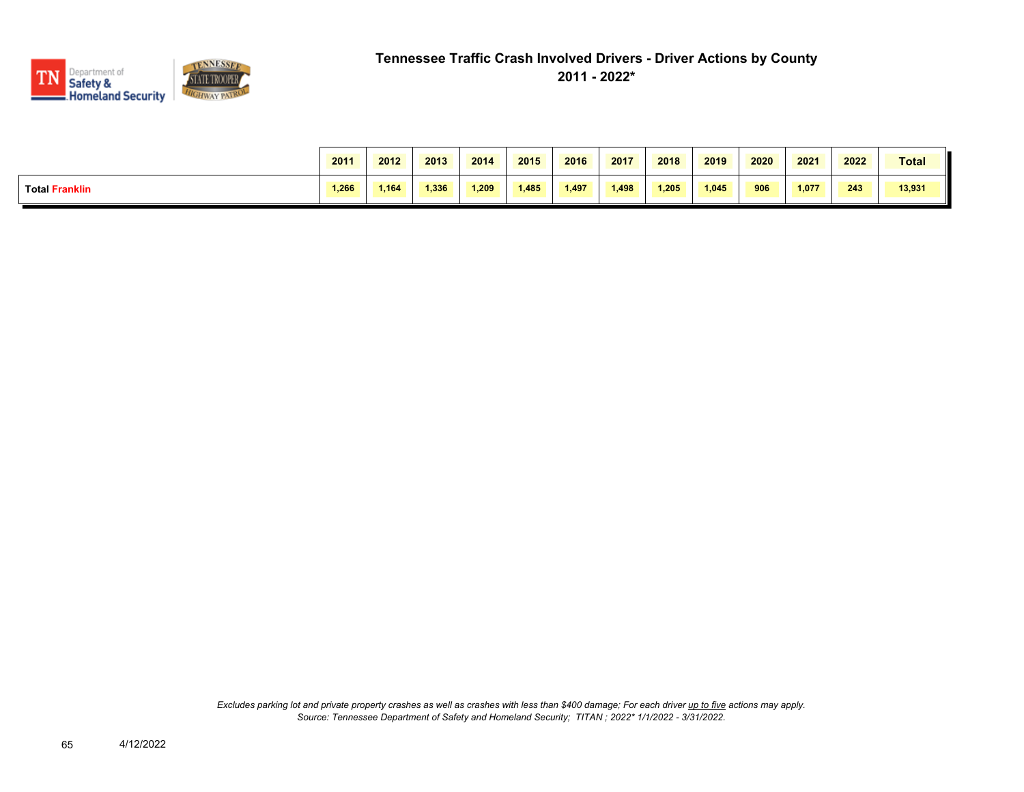

|                       | 2011  | 2012  | 2013  | 2014  | 2015  | 2016  | 2017  | 2018  | 2019  | 2020 | 2021  | 2022 | <b>Total</b> |
|-----------------------|-------|-------|-------|-------|-------|-------|-------|-------|-------|------|-------|------|--------------|
| <b>Total Franklin</b> | 1.266 | 1.164 | 1,336 | 1.209 | 1.485 | 1.497 | 1,498 | 1.205 | 1.045 | 906  | 1.077 | 243  | 13,931       |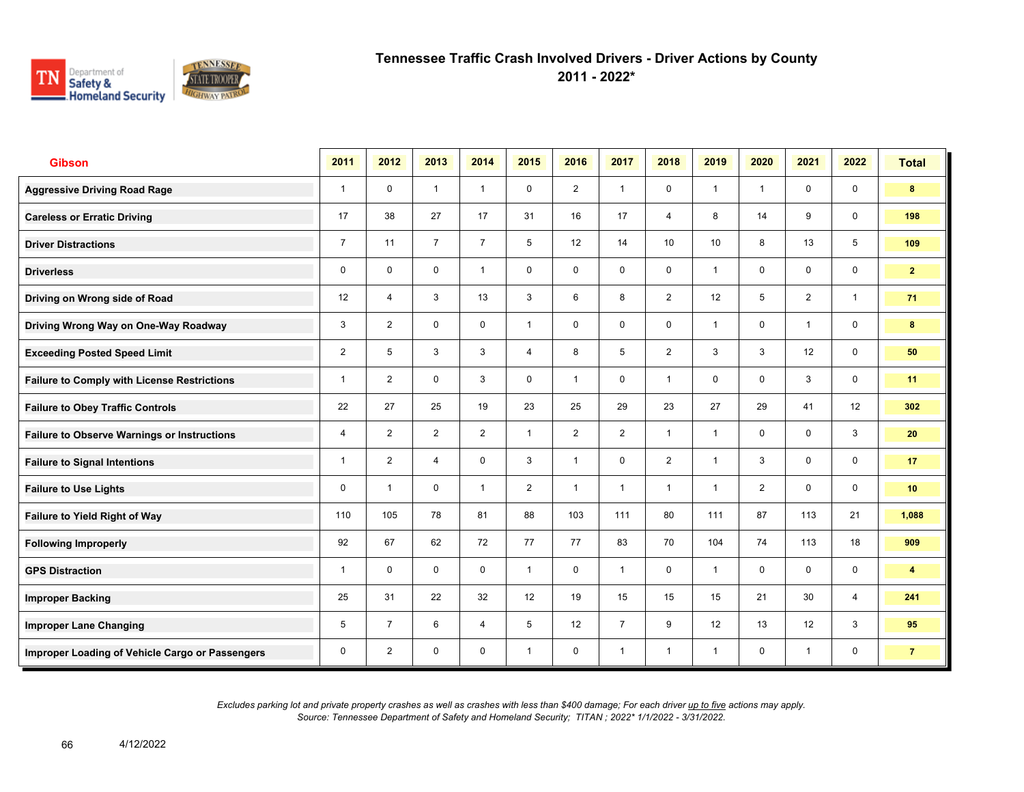

**2011 - 2022\***

| <b>Gibson</b>                                      | 2011           | 2012           | 2013           | 2014           | 2015           | 2016           | 2017           | 2018            | 2019            | 2020           | 2021           | 2022                    | <b>Total</b>            |
|----------------------------------------------------|----------------|----------------|----------------|----------------|----------------|----------------|----------------|-----------------|-----------------|----------------|----------------|-------------------------|-------------------------|
| <b>Aggressive Driving Road Rage</b>                | $\mathbf{1}$   | $\mathbf 0$    | $\mathbf{1}$   | $\mathbf{1}$   | $\mathbf 0$    | $\overline{2}$ | $\mathbf{1}$   | $\mathbf 0$     | $\mathbf{1}$    | $\overline{1}$ | $\mathbf 0$    | $\mathbf 0$             | 8                       |
| <b>Careless or Erratic Driving</b>                 | 17             | 38             | 27             | 17             | 31             | 16             | 17             | $\overline{4}$  | 8               | 14             | 9              | $\mathbf 0$             | 198                     |
| <b>Driver Distractions</b>                         | $\overline{7}$ | 11             | $\overline{7}$ | $\overline{7}$ | 5              | 12             | 14             | 10 <sup>1</sup> | 10 <sup>1</sup> | 8              | 13             | 5                       | 109                     |
| <b>Driverless</b>                                  | 0              | $\mathbf 0$    | $\mathbf 0$    | $\mathbf{1}$   | $\mathbf 0$    | $\mathbf 0$    | $\mathbf 0$    | $\mathbf 0$     | $\mathbf{1}$    | $\mathbf 0$    | $\mathbf 0$    | $\mathbf 0$             | 2 <sup>1</sup>          |
| Driving on Wrong side of Road                      | 12             | $\overline{4}$ | 3              | 13             | 3              | 6              | 8              | $\overline{2}$  | 12              | 5              | $\overline{2}$ | $\mathbf{1}$            | 71                      |
| Driving Wrong Way on One-Way Roadway               | 3              | 2              | $\mathbf 0$    | $\mathbf 0$    | $\mathbf{1}$   | $\mathbf 0$    | $\mathbf 0$    | $\mathbf 0$     | $\mathbf{1}$    | $\mathbf 0$    | $\mathbf{1}$   | $\mathbf 0$             | 8                       |
| <b>Exceeding Posted Speed Limit</b>                | $\overline{2}$ | 5              | 3              | 3              | 4              | 8              | 5              | $\overline{2}$  | 3               | 3              | 12             | $\mathbf 0$             | 50                      |
| <b>Failure to Comply with License Restrictions</b> | $\overline{1}$ | 2              | $\mathbf 0$    | 3              | $\mathbf 0$    | $\overline{1}$ | $\mathbf 0$    | $\mathbf{1}$    | $\mathbf 0$     | $\mathbf 0$    | 3              | $\mathbf 0$             | 11                      |
| <b>Failure to Obey Traffic Controls</b>            | 22             | 27             | 25             | 19             | 23             | 25             | 29             | 23              | 27              | 29             | 41             | 12                      | 302                     |
| <b>Failure to Observe Warnings or Instructions</b> | 4              | 2              | 2              | 2              | $\mathbf{1}$   | 2              | 2              | $\mathbf{1}$    | 1               | $\mathbf 0$    | $\mathbf 0$    | $\mathbf{3}$            | 20                      |
| <b>Failure to Signal Intentions</b>                | 1              | $\overline{2}$ | $\overline{4}$ | $\mathbf 0$    | 3              | $\overline{1}$ | $\mathbf 0$    | $\overline{2}$  | $\mathbf{1}$    | 3              | $\mathbf 0$    | $\mathsf{O}\phantom{0}$ | 17                      |
| <b>Failure to Use Lights</b>                       | 0              | $\overline{1}$ | $\mathbf 0$    | $\mathbf{1}$   | $\overline{2}$ | $\overline{1}$ | $\mathbf{1}$   | $\mathbf{1}$    | $\mathbf{1}$    | 2              | $\mathbf 0$    | $\mathbf 0$             | 10 <sub>1</sub>         |
| <b>Failure to Yield Right of Way</b>               | 110            | 105            | 78             | 81             | 88             | 103            | 111            | 80              | 111             | 87             | 113            | 21                      | 1,088                   |
| <b>Following Improperly</b>                        | 92             | 67             | 62             | 72             | 77             | 77             | 83             | 70              | 104             | 74             | 113            | 18                      | 909                     |
| <b>GPS Distraction</b>                             | $\mathbf{1}$   | $\mathbf 0$    | $\mathbf 0$    | $\mathbf 0$    | $\mathbf{1}$   | $\mathbf 0$    | $\mathbf{1}$   | $\mathbf 0$     | $\mathbf{1}$    | $\mathbf 0$    | $\mathbf 0$    | $\mathbf 0$             | $\overline{\mathbf{4}}$ |
| <b>Improper Backing</b>                            | 25             | 31             | 22             | 32             | 12             | 19             | 15             | 15              | 15              | 21             | 30             | $\overline{4}$          | 241                     |
| <b>Improper Lane Changing</b>                      | 5              | $\overline{7}$ | 6              | $\overline{4}$ | 5              | 12             | $\overline{7}$ | 9               | 12              | 13             | 12             | 3                       | 95                      |
| Improper Loading of Vehicle Cargo or Passengers    | 0              | $\overline{2}$ | $\mathbf 0$    | $\mathbf 0$    | $\mathbf{1}$   | $\mathbf 0$    | $\mathbf{1}$   | $\mathbf{1}$    | $\mathbf{1}$    | $\mathbf 0$    | $\mathbf{1}$   | 0                       | $\overline{7}$          |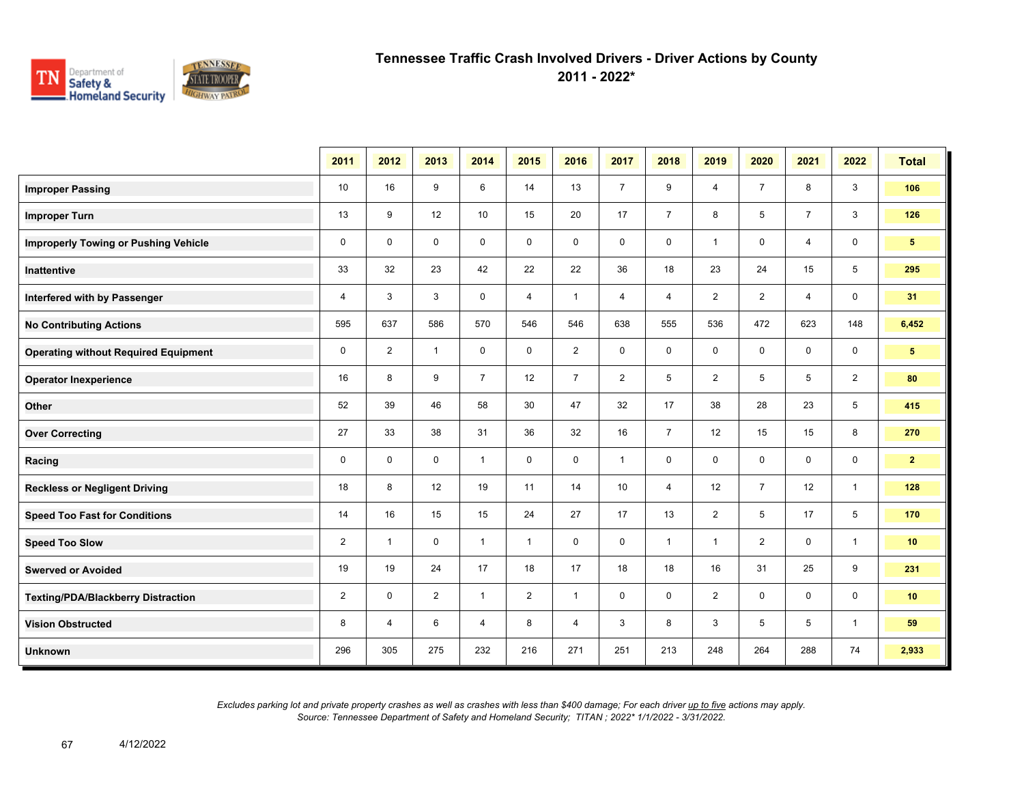

**2011 - 2022\***

|                                             | 2011           | 2012           | 2013           | 2014           | 2015           | 2016           | 2017           | 2018                | 2019           | 2020           | 2021           | 2022           | <b>Total</b>    |
|---------------------------------------------|----------------|----------------|----------------|----------------|----------------|----------------|----------------|---------------------|----------------|----------------|----------------|----------------|-----------------|
| <b>Improper Passing</b>                     | 10             | 16             | 9              | 6              | 14             | 13             | $\overline{7}$ | 9                   | 4              | $\overline{7}$ | 8              | 3              | 106             |
| <b>Improper Turn</b>                        | 13             | 9              | 12             | 10             | 15             | 20             | 17             | $\overline{7}$      | 8              | 5              | $\overline{7}$ | 3              | 126             |
| <b>Improperly Towing or Pushing Vehicle</b> | $\mathbf 0$    | $\mathbf 0$    | $\mathbf 0$    | $\mathbf 0$    | $\mathbf 0$    | $\mathbf 0$    | $\mathbf 0$    | $\mathbf 0$         | $\mathbf{1}$   | 0              | 4              | $\mathbf 0$    | 5 <sub>1</sub>  |
| Inattentive                                 | 33             | 32             | 23             | 42             | 22             | 22             | 36             | 18                  | 23             | 24             | 15             | 5              | 295             |
| Interfered with by Passenger                | $\overline{4}$ | 3              | 3              | $\mathbf 0$    | $\overline{4}$ | $\mathbf{1}$   | $\overline{4}$ | $\overline{4}$      | $\overline{2}$ | $\overline{2}$ | $\overline{4}$ | $\mathbf 0$    | 31              |
| <b>No Contributing Actions</b>              | 595            | 637            | 586            | 570            | 546            | 546            | 638            | 555                 | 536            | 472            | 623            | 148            | 6,452           |
| <b>Operating without Required Equipment</b> | 0              | $\overline{2}$ | $\overline{1}$ | 0              | 0              | $\overline{2}$ | 0              | $\mathbf 0$         | $\mathbf 0$    | 0              | 0              | 0              | 5 <sup>5</sup>  |
| <b>Operator Inexperience</b>                | 16             | 8              | 9              | $\overline{7}$ | 12             | $\overline{7}$ | $\overline{2}$ | $\sqrt{5}$          | $\overline{2}$ | 5              | 5              | $\overline{2}$ | 80              |
| Other                                       | 52             | 39             | 46             | 58             | 30             | 47             | 32             | 17                  | 38             | 28             | 23             | 5              | 415             |
| <b>Over Correcting</b>                      | 27             | 33             | 38             | 31             | 36             | 32             | 16             | $\overline{7}$      | 12             | 15             | 15             | 8              | 270             |
| Racing                                      | $\mathbf 0$    | $\mathbf 0$    | $\mathbf 0$    | $\mathbf{1}$   | $\mathbf 0$    | $\mathbf 0$    | $\mathbf{1}$   | $\mathbf 0$         | $\mathbf 0$    | $\mathbf 0$    | $\mathbf 0$    | $\mathbf 0$    | 2 <sub>2</sub>  |
| <b>Reckless or Negligent Driving</b>        | 18             | 8              | 12             | 19             | 11             | 14             | 10             | $\overline{4}$      | 12             | $\overline{7}$ | 12             | $\mathbf{1}$   | 128             |
| <b>Speed Too Fast for Conditions</b>        | 14             | 16             | 15             | 15             | 24             | 27             | 17             | 13                  | $\overline{2}$ | 5              | 17             | 5              | 170             |
| <b>Speed Too Slow</b>                       | 2              | $\mathbf{1}$   | $\mathbf 0$    | $\mathbf{1}$   | $\mathbf{1}$   | $\mathbf{0}$   | $\mathbf 0$    | $\mathbf{1}$        | $\mathbf{1}$   | $\overline{2}$ | $\mathbf 0$    | $\mathbf{1}$   | 10              |
| <b>Swerved or Avoided</b>                   | 19             | 19             | 24             | 17             | 18             | 17             | 18             | 18                  | 16             | 31             | 25             | 9              | 231             |
| <b>Texting/PDA/Blackberry Distraction</b>   | $\overline{2}$ | 0              | 2              | $\mathbf{1}$   | $\overline{2}$ | $\mathbf{1}$   | $\mathbf 0$    | $\mathsf{O}\xspace$ | $\overline{2}$ | 0              | 0              | 0              | 10 <sub>1</sub> |
| <b>Vision Obstructed</b>                    | 8              | $\overline{4}$ | 6              | $\overline{4}$ | 8              | 4              | 3              | 8                   | 3              | 5              | 5              | $\mathbf{1}$   | 59              |
| <b>Unknown</b>                              | 296            | 305            | 275            | 232            | 216            | 271            | 251            | 213                 | 248            | 264            | 288            | 74             | 2,933           |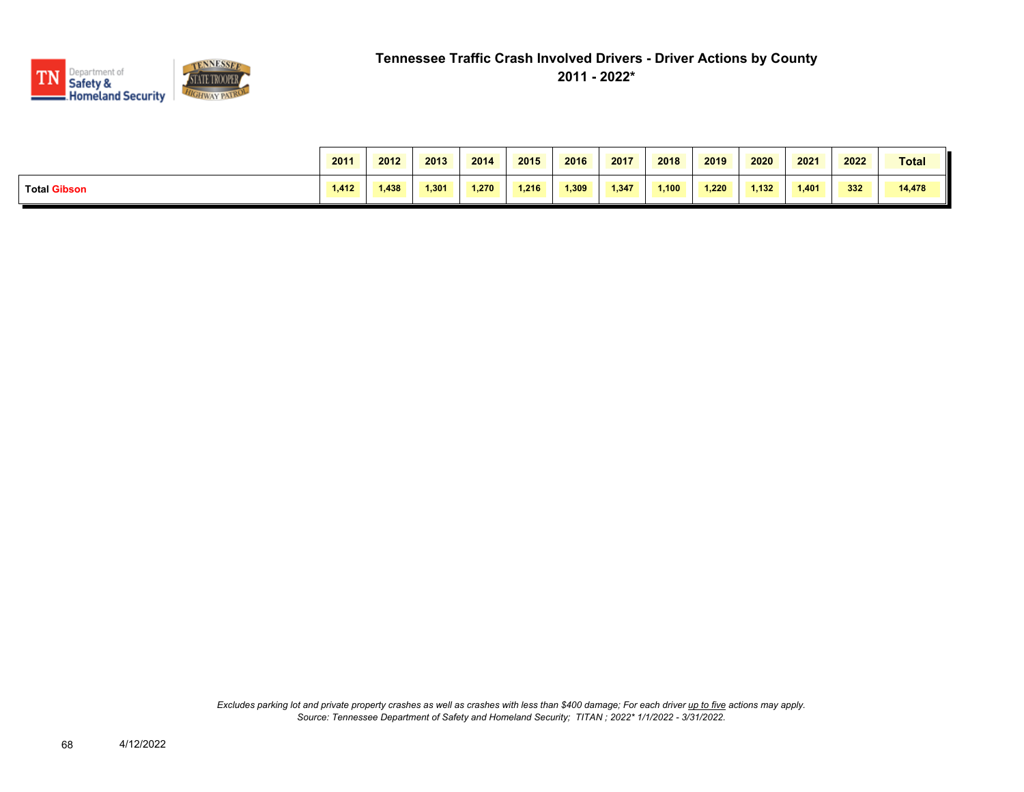

|                     | 2011  | 2012  | 2013  | 2014  | 2015  | 2016  | 2017  | 2018  | 2019  | 2020  | 2021  | 2022 | <b>Total</b> |
|---------------------|-------|-------|-------|-------|-------|-------|-------|-------|-------|-------|-------|------|--------------|
| <b>Total Gibson</b> | 1.412 | 1.438 | 1.301 | 1.270 | 1.216 | 1.309 | 1,347 | 1,100 | 1.220 | 1.132 | 1.401 | 332  | 14,478       |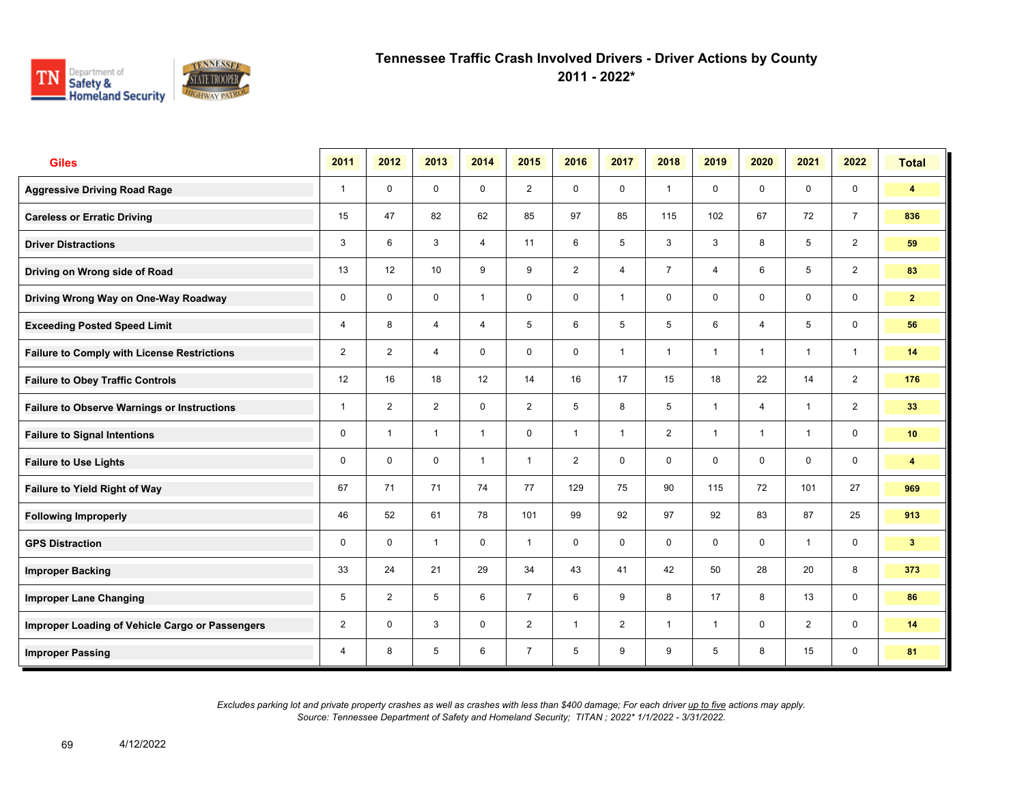

**2011 - 2022\***

| <b>Giles</b>                                       | 2011           | 2012           | 2013           | 2014           | 2015           | 2016           | 2017         | 2018           | 2019         | 2020           | 2021           | 2022                    | <b>Total</b>            |
|----------------------------------------------------|----------------|----------------|----------------|----------------|----------------|----------------|--------------|----------------|--------------|----------------|----------------|-------------------------|-------------------------|
| <b>Aggressive Driving Road Rage</b>                | $\mathbf{1}$   | $\mathbf 0$    | $\mathbf 0$    | $\mathbf 0$    | $\overline{2}$ | $\mathbf 0$    | $\mathbf 0$  | $\mathbf{1}$   | $\mathbf 0$  | $\mathbf 0$    | $\mathbf 0$    | $\mathbf 0$             | $\overline{4}$          |
| <b>Careless or Erratic Driving</b>                 | 15             | 47             | 82             | 62             | 85             | 97             | 85           | 115            | 102          | 67             | 72             | $\overline{7}$          | 836                     |
| <b>Driver Distractions</b>                         | 3              | 6              | 3              | $\overline{4}$ | 11             | 6              | 5            | $\mathbf{3}$   | 3            | 8              | 5              | 2                       | 59                      |
| Driving on Wrong side of Road                      | 13             | 12             | 10             | 9              | 9              | $\overline{2}$ | 4            | $\overline{7}$ | 4            | 6              | 5              | $\overline{2}$          | 83                      |
| Driving Wrong Way on One-Way Roadway               | 0              | $\mathbf 0$    | $\mathbf 0$    | $\mathbf{1}$   | $\mathbf 0$    | $\mathbf 0$    | 1            | $\mathbf 0$    | 0            | $\mathbf 0$    | $\mathbf 0$    | $\mathsf{O}\phantom{0}$ | $\mathbf{2}$            |
| <b>Exceeding Posted Speed Limit</b>                | 4              | 8              | $\overline{4}$ | $\overline{4}$ | 5              | 6              | 5            | 5              | 6            | $\overline{4}$ | 5              | $\mathbf 0$             | 56                      |
| <b>Failure to Comply with License Restrictions</b> | $\overline{2}$ | $\overline{2}$ | $\overline{4}$ | $\mathbf 0$    | $\mathbf 0$    | $\mathbf 0$    | $\mathbf{1}$ | $\mathbf{1}$   | 1            | $\overline{1}$ | $\overline{1}$ | $\mathbf{1}$            | 14                      |
| <b>Failure to Obey Traffic Controls</b>            | 12             | 16             | 18             | 12             | 14             | 16             | 17           | 15             | 18           | 22             | 14             | 2                       | 176                     |
| <b>Failure to Observe Warnings or Instructions</b> | 1              | 2              | 2              | $\mathbf 0$    | $\overline{2}$ | 5              | 8            | 5              | 1            | $\overline{4}$ | $\mathbf{1}$   | 2                       | 33                      |
| <b>Failure to Signal Intentions</b>                | 0              | $\overline{1}$ | $\mathbf{1}$   | $\mathbf{1}$   | $\mathbf 0$    | $\overline{1}$ | $\mathbf{1}$ | $\overline{2}$ | $\mathbf{1}$ | $\overline{1}$ | $\overline{1}$ | $\mathbf 0$             | 10 <sub>1</sub>         |
| <b>Failure to Use Lights</b>                       | 0              | $\Omega$       | $\Omega$       | $\mathbf{1}$   | $\mathbf{1}$   | 2              | $\mathbf 0$  | $\mathbf 0$    | $\mathbf 0$  | $\mathbf{0}$   | $\mathbf 0$    | $\mathsf{O}\phantom{0}$ | $\overline{\mathbf{4}}$ |
| Failure to Yield Right of Way                      | 67             | 71             | 71             | 74             | 77             | 129            | 75           | 90             | 115          | 72             | 101            | 27                      | 969                     |
| <b>Following Improperly</b>                        | 46             | 52             | 61             | 78             | 101            | 99             | 92           | 97             | 92           | 83             | 87             | 25                      | 913                     |
| <b>GPS Distraction</b>                             | 0              | $\Omega$       | $\mathbf{1}$   | $\mathbf 0$    | $\mathbf{1}$   | $\mathbf 0$    | $\mathbf 0$  | $\mathbf 0$    | $\mathbf 0$  | $\mathbf{0}$   | $\mathbf{1}$   | $\mathbf 0$             | 3 <sup>2</sup>          |
| <b>Improper Backing</b>                            | 33             | 24             | 21             | 29             | 34             | 43             | 41           | 42             | 50           | 28             | 20             | 8                       | 373                     |
| <b>Improper Lane Changing</b>                      | 5              | 2              | 5              | 6              | $\overline{7}$ | 6              | 9            | 8              | 17           | 8              | 13             | $\mathbf 0$             | 86                      |
| Improper Loading of Vehicle Cargo or Passengers    | $\overline{2}$ | $\mathbf 0$    | 3              | $\mathbf 0$    | $\overline{2}$ | $\overline{1}$ | 2            | $\mathbf{1}$   | $\mathbf{1}$ | $\mathbf 0$    | $\overline{2}$ | $\mathbf 0$             | 14                      |
| <b>Improper Passing</b>                            | 4              | 8              | 5              | 6              | $\overline{7}$ | 5              | 9            | 9              | 5            | 8              | 15             | $\mathbf 0$             | 81                      |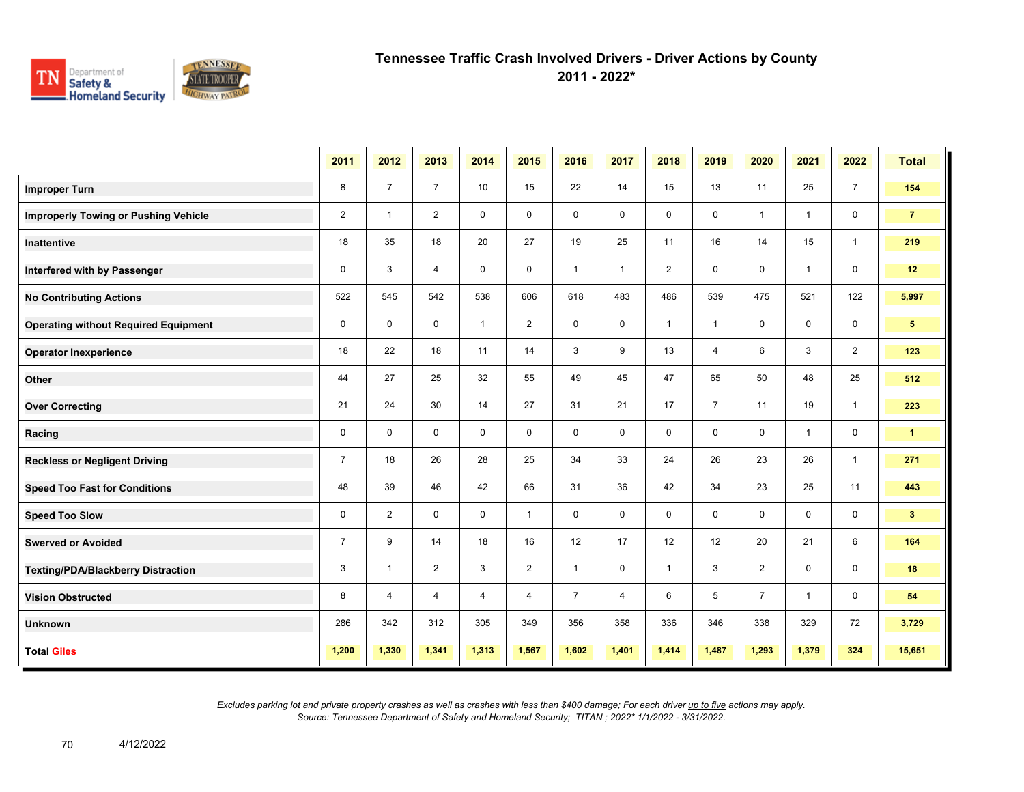

**2011 - 2022\***

|                                             | 2011           | 2012           | 2013           | 2014           | 2015           | 2016           | 2017         | 2018           | 2019           | 2020           | 2021           | 2022           | <b>Total</b>   |
|---------------------------------------------|----------------|----------------|----------------|----------------|----------------|----------------|--------------|----------------|----------------|----------------|----------------|----------------|----------------|
| <b>Improper Turn</b>                        | 8              | $\overline{7}$ | $\overline{7}$ | 10             | 15             | 22             | 14           | 15             | 13             | 11             | 25             | $\overline{7}$ | 154            |
| <b>Improperly Towing or Pushing Vehicle</b> | $\overline{2}$ | $\overline{1}$ | $\overline{2}$ | $\mathbf 0$    | $\mathbf 0$    | $\mathbf 0$    | $\mathbf 0$  | 0              | $\mathbf 0$    | $\mathbf{1}$   | $\mathbf{1}$   | $\mathbf 0$    | $\overline{7}$ |
| <b>Inattentive</b>                          | 18             | 35             | 18             | 20             | 27             | 19             | 25           | 11             | 16             | 14             | 15             | $\mathbf{1}$   | 219            |
| Interfered with by Passenger                | 0              | 3              | 4              | $\mathbf 0$    | 0              | $\mathbf{1}$   | $\mathbf{1}$ | $\overline{2}$ | 0              | $\mathbf 0$    | $\mathbf{1}$   | $\mathbf 0$    | 12             |
| <b>No Contributing Actions</b>              | 522            | 545            | 542            | 538            | 606            | 618            | 483          | 486            | 539            | 475            | 521            | 122            | 5,997          |
| <b>Operating without Required Equipment</b> | $\mathbf 0$    | $\mathbf{0}$   | $\mathbf 0$    | $\mathbf{1}$   | $\overline{2}$ | $\mathbf 0$    | $\mathbf 0$  | $\mathbf{1}$   | $\mathbf{1}$   | $\mathbf 0$    | $\mathbf 0$    | $\mathbf 0$    | 5 <sup>5</sup> |
| <b>Operator Inexperience</b>                | 18             | 22             | 18             | 11             | 14             | 3              | 9            | 13             | $\overline{4}$ | 6              | 3              | $\overline{2}$ | 123            |
| Other                                       | 44             | 27             | 25             | 32             | 55             | 49             | 45           | 47             | 65             | 50             | 48             | 25             | 512            |
| <b>Over Correcting</b>                      | 21             | 24             | 30             | 14             | 27             | 31             | 21           | 17             | $\overline{7}$ | 11             | 19             | $\mathbf{1}$   | 223            |
| Racing                                      | $\mathbf 0$    | $\mathbf 0$    | $\mathbf 0$    | $\mathbf 0$    | $\mathbf 0$    | $\mathbf 0$    | $\mathbf 0$  | $\mathbf 0$    | $\mathbf 0$    | $\mathbf 0$    | $\mathbf{1}$   | $\mathbf 0$    | $\mathbf{1}$   |
| <b>Reckless or Negligent Driving</b>        | $\overline{7}$ | 18             | 26             | 28             | 25             | 34             | 33           | 24             | 26             | 23             | 26             | $\overline{1}$ | 271            |
| <b>Speed Too Fast for Conditions</b>        | 48             | 39             | 46             | 42             | 66             | 31             | 36           | 42             | 34             | 23             | 25             | 11             | 443            |
| <b>Speed Too Slow</b>                       | 0              | 2              | $\mathbf 0$    | $\mathbf 0$    | $\mathbf{1}$   | 0              | 0            | 0              | 0              | 0              | 0              | 0              | 3 <sup>7</sup> |
| <b>Swerved or Avoided</b>                   | $\overline{7}$ | 9              | 14             | 18             | 16             | 12             | 17           | 12             | 12             | 20             | 21             | 6              | 164            |
| <b>Texting/PDA/Blackberry Distraction</b>   | 3              | $\mathbf{1}$   | $\overline{2}$ | 3              | $\overline{2}$ | $\mathbf{1}$   | $\mathbf 0$  | $\mathbf{1}$   | 3              | $\overline{2}$ | $\mathbf 0$    | $\mathbf 0$    | 18             |
| <b>Vision Obstructed</b>                    | 8              | $\overline{4}$ | 4              | $\overline{4}$ | 4              | $\overline{7}$ | 4            | 6              | 5              | $\overline{7}$ | $\overline{1}$ | 0              | 54             |
| <b>Unknown</b>                              | 286            | 342            | 312            | 305            | 349            | 356            | 358          | 336            | 346            | 338            | 329            | 72             | 3,729          |
| <b>Total Giles</b>                          | 1,200          | 1,330          | 1,341          | 1,313          | 1,567          | 1,602          | 1,401        | 1,414          | 1,487          | 1,293          | 1,379          | 324            | 15,651         |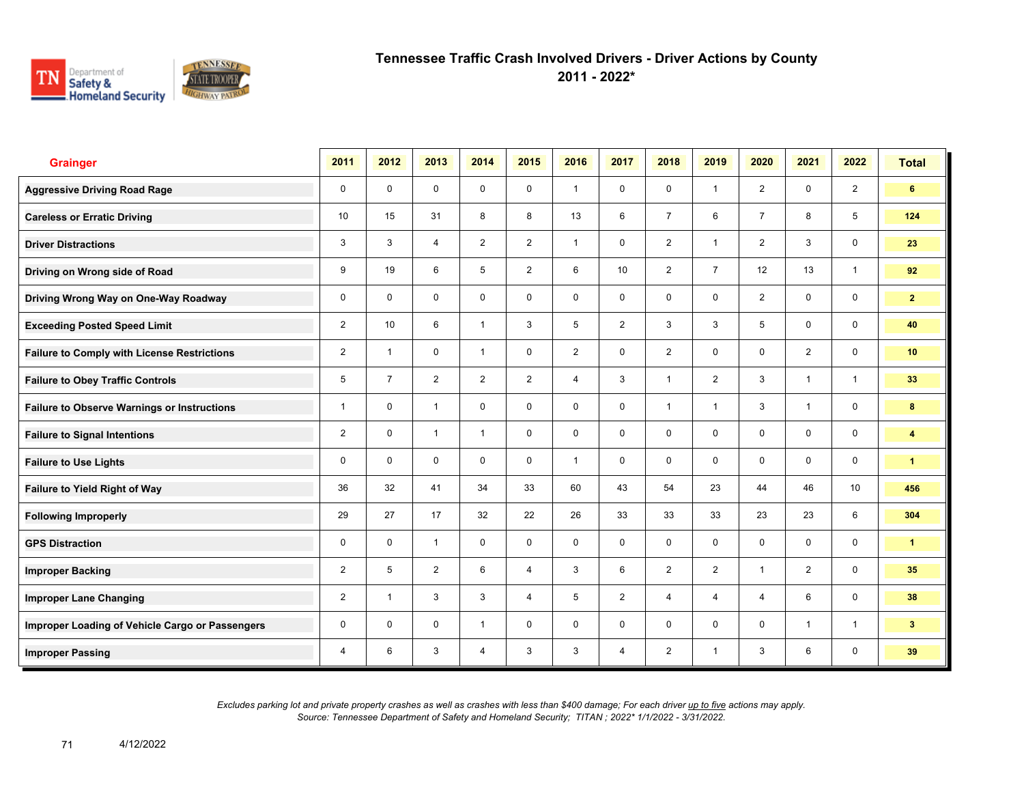

**2011 - 2022\***

| <b>Grainger</b>                                    | 2011           | 2012           | 2013           | 2014           | 2015           | 2016           | 2017            | 2018           | 2019           | 2020           | 2021           | 2022                    | <b>Total</b>         |
|----------------------------------------------------|----------------|----------------|----------------|----------------|----------------|----------------|-----------------|----------------|----------------|----------------|----------------|-------------------------|----------------------|
| <b>Aggressive Driving Road Rage</b>                | $\mathbf 0$    | $\mathbf 0$    | $\mathbf 0$    | $\mathbf 0$    | $\mathbf 0$    | $\overline{1}$ | $\mathbf 0$     | $\mathbf 0$    | $\mathbf{1}$   | 2              | $\mathbf 0$    | $\overline{2}$          | 6                    |
| <b>Careless or Erratic Driving</b>                 | 10             | 15             | 31             | 8              | 8              | 13             | 6               | $\overline{7}$ | 6              | $\overline{7}$ | 8              | 5                       | 124                  |
| <b>Driver Distractions</b>                         | 3              | 3              | $\overline{4}$ | $\overline{2}$ | $\overline{2}$ | $\overline{1}$ | $\mathbf 0$     | $\overline{2}$ | $\mathbf{1}$   | 2              | 3              | $\mathbf 0$             | 23                   |
| Driving on Wrong side of Road                      | 9              | 19             | 6              | 5              | $\overline{2}$ | 6              | 10 <sup>1</sup> | $\overline{2}$ | $\overline{7}$ | 12             | 13             | $\mathbf{1}$            | 92                   |
| Driving Wrong Way on One-Way Roadway               | $\mathbf 0$    | $\mathbf 0$    | $\mathbf 0$    | $\mathbf 0$    | $\mathbf 0$    | $\mathbf 0$    | $\mathbf 0$     | $\mathbf 0$    | $\mathbf 0$    | $\overline{2}$ | $\mathbf 0$    | $\mathsf{O}$            | $\mathbf{2}$         |
| <b>Exceeding Posted Speed Limit</b>                | $\overline{2}$ | 10             | 6              | $\mathbf{1}$   | 3              | 5              | $\overline{2}$  | 3              | 3              | 5              | $\mathbf 0$    | $\mathbf 0$             | 40                   |
| <b>Failure to Comply with License Restrictions</b> | $\overline{2}$ | $\overline{1}$ | $\mathbf 0$    | $\mathbf{1}$   | $\mathbf 0$    | $\overline{2}$ | $\mathbf 0$     | $\overline{2}$ | $\mathbf 0$    | $\mathbf 0$    | $\overline{2}$ | $\mathbf 0$             | 10 <sub>1</sub>      |
| <b>Failure to Obey Traffic Controls</b>            | 5              | $\overline{7}$ | $\overline{2}$ | $\overline{2}$ | $\overline{2}$ | $\overline{4}$ | $\mathbf{3}$    | $\mathbf{1}$   | $\overline{2}$ | 3              | $\mathbf{1}$   | $\mathbf{1}$            | 33                   |
| <b>Failure to Observe Warnings or Instructions</b> | 1              | $\Omega$       | $\mathbf{1}$   | $\mathbf 0$    | $\mathbf 0$    | $\Omega$       | $\mathbf 0$     | $\mathbf{1}$   | 1              | 3              | $\mathbf{1}$   | $\mathbf 0$             | 8                    |
| <b>Failure to Signal Intentions</b>                | $\overline{2}$ | $\mathbf 0$    | $\mathbf{1}$   | $\mathbf{1}$   | $\mathbf 0$    | $\mathbf 0$    | $\mathbf 0$     | $\mathbf 0$    | 0              | $\mathbf 0$    | $\mathbf 0$    | $\mathbf 0$             | 4                    |
| <b>Failure to Use Lights</b>                       | 0              | $\mathbf{0}$   | $\Omega$       | $\mathbf 0$    | $\mathbf 0$    | $\mathbf{1}$   | $\mathbf 0$     | $\mathbf 0$    | $\mathbf 0$    | $\mathbf{0}$   | $\mathbf 0$    | $\mathsf{O}\phantom{0}$ | $\mathbf{1}$         |
| Failure to Yield Right of Way                      | 36             | 32             | 41             | 34             | 33             | 60             | 43              | 54             | 23             | 44             | 46             | 10 <sup>°</sup>         | 456                  |
| <b>Following Improperly</b>                        | 29             | 27             | 17             | 32             | 22             | 26             | 33              | 33             | 33             | 23             | 23             | 6                       | 304                  |
| <b>GPS Distraction</b>                             | 0              | $\mathbf 0$    | $\mathbf{1}$   | $\mathbf 0$    | $\mathbf 0$    | $\mathbf 0$    | $\mathbf 0$     | $\mathbf 0$    | $\mathbf 0$    | $\mathbf 0$    | $\mathbf 0$    | $\mathbf 0$             | $\blacktriangleleft$ |
| <b>Improper Backing</b>                            | $\overline{2}$ | 5              | 2              | 6              | 4              | 3              | 6               | 2              | 2              | $\overline{1}$ | 2              | $\mathbf 0$             | 35                   |
| <b>Improper Lane Changing</b>                      | $\overline{2}$ | $\overline{1}$ | 3              | 3              | 4              | 5              | $\overline{2}$  | $\overline{4}$ | 4              | $\overline{4}$ | 6              | $\mathbf 0$             | 38                   |
| Improper Loading of Vehicle Cargo or Passengers    | $\mathbf 0$    | $\mathbf 0$    | $\mathbf 0$    | $\mathbf{1}$   | $\mathbf 0$    | $\mathbf 0$    | $\mathbf 0$     | $\mathbf 0$    | 0              | $\mathbf 0$    | $\overline{1}$ | $\mathbf{1}$            | 3 <sup>1</sup>       |
| <b>Improper Passing</b>                            | 4              | 6              | 3              | $\overline{4}$ | 3              | 3              | $\overline{4}$  | $\overline{2}$ | $\mathbf{1}$   | 3              | 6              | $\mathbf 0$             | 39                   |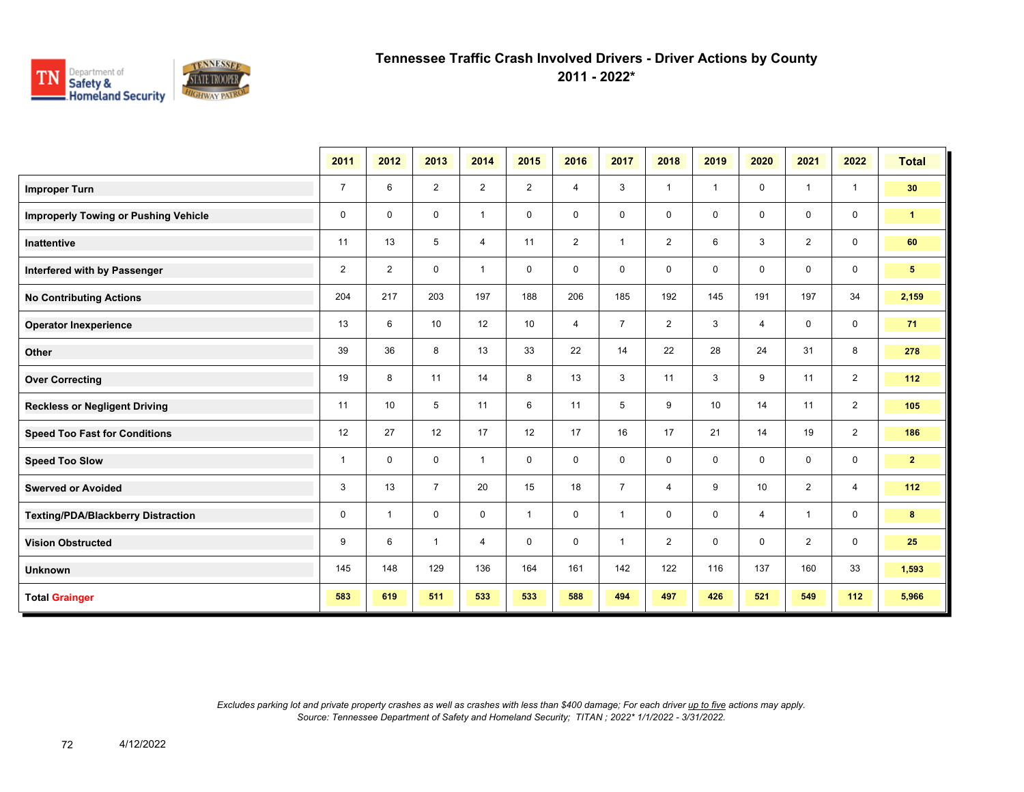

**2011 - 2022\***

|                                             | 2011           | 2012           | 2013           | 2014           | 2015           | 2016           | 2017           | 2018           | 2019 | 2020           | 2021           | 2022           | <b>Total</b>    |
|---------------------------------------------|----------------|----------------|----------------|----------------|----------------|----------------|----------------|----------------|------|----------------|----------------|----------------|-----------------|
| <b>Improper Turn</b>                        | $\overline{7}$ | 6              | 2              | $\overline{2}$ | $\overline{2}$ | $\overline{4}$ | 3              | $\overline{1}$ | 1    | $\mathbf 0$    | $\mathbf{1}$   | $\mathbf{1}$   | 30 <sub>o</sub> |
| <b>Improperly Towing or Pushing Vehicle</b> | 0              | $\mathbf 0$    | 0              | $\mathbf{1}$   | 0              | $\mathbf 0$    | 0              | 0              | 0    | $\mathbf 0$    | $\mathbf 0$    | $\mathbf 0$    | $\mathbf{1}$    |
| <b>Inattentive</b>                          | 11             | 13             | 5              | 4              | 11             | $\overline{2}$ | $\mathbf{1}$   | $\overline{2}$ | 6    | 3              | $\overline{2}$ | $\mathbf 0$    | 60              |
| Interfered with by Passenger                | $\overline{2}$ | $\overline{2}$ | $\mathbf 0$    | $\mathbf{1}$   | $\mathbf 0$    | $\mathbf 0$    | 0              | $\mathbf 0$    | 0    | $\mathbf 0$    | $\mathbf 0$    | $\mathbf 0$    | 5 <sup>5</sup>  |
| <b>No Contributing Actions</b>              | 204            | 217            | 203            | 197            | 188            | 206            | 185            | 192            | 145  | 191            | 197            | 34             | 2,159           |
| <b>Operator Inexperience</b>                | 13             | 6              | 10             | 12             | 10             | $\overline{4}$ | $\overline{7}$ | $\overline{2}$ | 3    | $\overline{4}$ | $\mathbf 0$    | $\mathbf 0$    | 71              |
| Other                                       | 39             | 36             | 8              | 13             | 33             | 22             | 14             | 22             | 28   | 24             | 31             | 8              | 278             |
| <b>Over Correcting</b>                      | 19             | 8              | 11             | 14             | 8              | 13             | 3              | 11             | 3    | 9              | 11             | $\overline{2}$ | 112             |
| <b>Reckless or Negligent Driving</b>        | 11             | 10             | 5              | 11             | 6              | 11             | 5              | 9              | 10   | 14             | 11             | $\overline{2}$ | 105             |
| <b>Speed Too Fast for Conditions</b>        | 12             | 27             | 12             | 17             | 12             | 17             | 16             | 17             | 21   | 14             | 19             | $\overline{2}$ | 186             |
| <b>Speed Too Slow</b>                       | $\mathbf{1}$   | $\mathbf 0$    | $\mathbf 0$    | $\mathbf{1}$   | $\mathbf 0$    | $\mathbf 0$    | 0              | $\mathbf 0$    | 0    | $\mathbf 0$    | $\mathbf 0$    | $\mathbf 0$    | $\mathbf{2}$    |
| <b>Swerved or Avoided</b>                   | 3              | 13             | $\overline{7}$ | 20             | 15             | 18             | $\overline{7}$ | $\overline{4}$ | 9    | 10             | $\overline{2}$ | $\overline{4}$ | 112             |
| <b>Texting/PDA/Blackberry Distraction</b>   | 0              | $\overline{1}$ | $\mathbf 0$    | $\mathbf 0$    | $\mathbf{1}$   | $\mathbf 0$    | $\mathbf{1}$   | $\mathbf 0$    | 0    | $\overline{4}$ | $\mathbf{1}$   | $\mathbf 0$    | 8               |
| <b>Vision Obstructed</b>                    | 9              | 6              | $\mathbf{1}$   | $\overline{4}$ | $\mathbf 0$    | $\mathbf 0$    | $\mathbf{1}$   | $\overline{2}$ | 0    | $\mathbf 0$    | 2              | $\mathbf 0$    | 25              |
| <b>Unknown</b>                              | 145            | 148            | 129            | 136            | 164            | 161            | 142            | 122            | 116  | 137            | 160            | 33             | 1,593           |
| <b>Total Grainger</b>                       | 583            | 619            | 511            | 533            | 533            | 588            | 494            | 497            | 426  | 521            | 549            | 112            | 5,966           |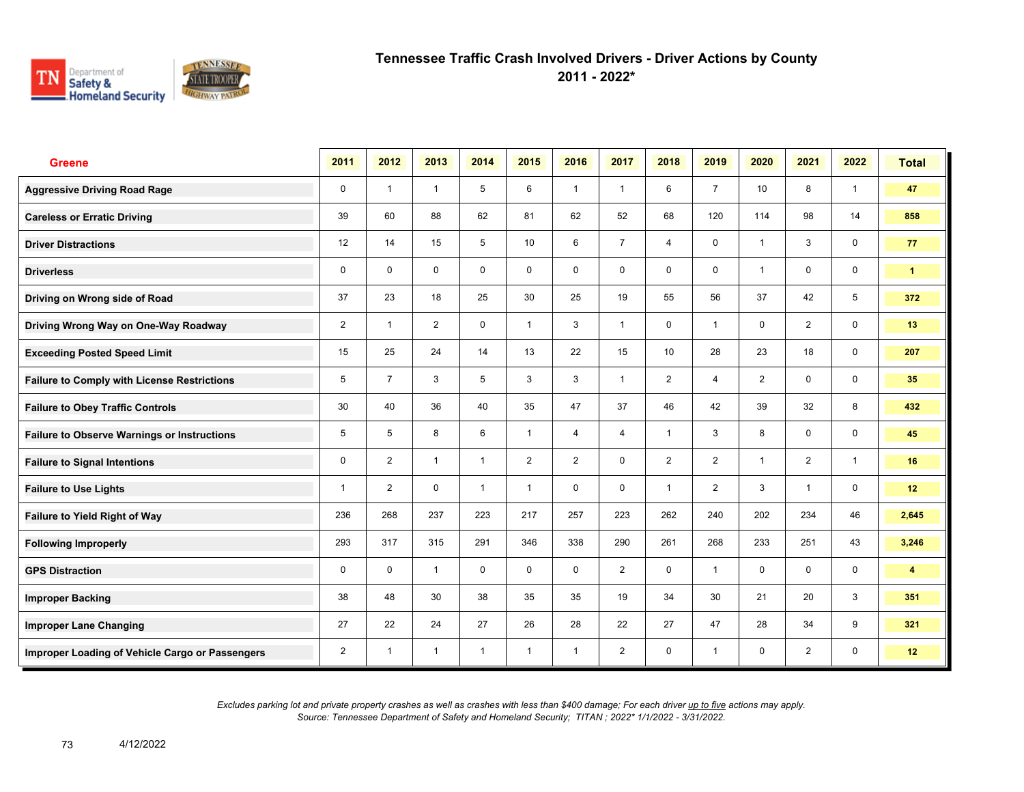

**2011 - 2022\***

| <b>Greene</b>                                      | 2011           | 2012           | 2013           | 2014           | 2015           | 2016           | 2017           | 2018           | 2019           | 2020                    | 2021           | 2022           | <b>Total</b> |
|----------------------------------------------------|----------------|----------------|----------------|----------------|----------------|----------------|----------------|----------------|----------------|-------------------------|----------------|----------------|--------------|
| <b>Aggressive Driving Road Rage</b>                | $\mathbf 0$    | $\overline{1}$ | $\mathbf{1}$   | 5              | 6              | $\overline{1}$ | $\overline{1}$ | 6              | $\overline{7}$ | 10                      | 8              | $\mathbf{1}$   | 47           |
| <b>Careless or Erratic Driving</b>                 | 39             | 60             | 88             | 62             | 81             | 62             | 52             | 68             | 120            | 114                     | 98             | 14             | 858          |
| <b>Driver Distractions</b>                         | 12             | 14             | 15             | 5              | 10             | 6              | $\overline{7}$ | $\overline{4}$ | 0              | $\overline{1}$          | 3              | $\mathbf 0$    | 77           |
| <b>Driverless</b>                                  | 0              | $\Omega$       | $\mathbf 0$    | $\mathbf 0$    | 0              | 0              | 0              | $\mathbf 0$    | 0              | $\overline{\mathbf{1}}$ | $\mathbf 0$    | $\mathbf 0$    | $\mathbf{1}$ |
| Driving on Wrong side of Road                      | 37             | 23             | 18             | 25             | 30             | 25             | 19             | 55             | 56             | 37                      | 42             | 5              | 372          |
| Driving Wrong Way on One-Way Roadway               | $\overline{2}$ | $\overline{1}$ | $\overline{2}$ | 0              | $\mathbf{1}$   | 3              | 1              | $\mathbf 0$    | 1              | $\mathbf 0$             | $\overline{2}$ | $\mathbf 0$    | 13           |
| <b>Exceeding Posted Speed Limit</b>                | 15             | 25             | 24             | 14             | 13             | 22             | 15             | 10             | 28             | 23                      | 18             | $\mathbf 0$    | 207          |
| <b>Failure to Comply with License Restrictions</b> | 5              | $\overline{7}$ | 3              | 5              | 3              | 3              | $\mathbf{1}$   | $\overline{c}$ | 4              | $\overline{2}$          | 0              | $\mathbf 0$    | 35           |
| <b>Failure to Obey Traffic Controls</b>            | 30             | 40             | 36             | 40             | 35             | 47             | 37             | 46             | 42             | 39                      | 32             | 8              | 432          |
| <b>Failure to Observe Warnings or Instructions</b> | 5              | 5              | 8              | 6              | $\mathbf{1}$   | 4              | 4              | $\mathbf{1}$   | 3              | 8                       | 0              | $\mathbf 0$    | 45           |
| <b>Failure to Signal Intentions</b>                | 0              | $\overline{2}$ | $\mathbf{1}$   | $\overline{1}$ | $\overline{2}$ | $\overline{2}$ | 0              | $\overline{2}$ | $\overline{2}$ | $\overline{\mathbf{1}}$ | $\overline{2}$ | $\overline{1}$ | 16           |
| <b>Failure to Use Lights</b>                       | $\mathbf{1}$   | $\overline{2}$ | $\mathbf 0$    | $\overline{1}$ | $\mathbf{1}$   | $\mathbf 0$    | 0              | $\overline{1}$ | $\overline{2}$ | 3                       | $\overline{1}$ | $\mathbf 0$    | 12           |
| Failure to Yield Right of Way                      | 236            | 268            | 237            | 223            | 217            | 257            | 223            | 262            | 240            | 202                     | 234            | 46             | 2,645        |
| <b>Following Improperly</b>                        | 293            | 317            | 315            | 291            | 346            | 338            | 290            | 261            | 268            | 233                     | 251            | 43             | 3,246        |
| <b>GPS Distraction</b>                             | 0              | $\mathbf 0$    | $\mathbf{1}$   | $\mathbf 0$    | $\mathbf 0$    | $\Omega$       | $\overline{2}$ | $\mathbf 0$    | 1              | $\Omega$                | $\mathbf 0$    | $\mathbf 0$    | 4            |
| <b>Improper Backing</b>                            | 38             | 48             | 30             | 38             | 35             | 35             | 19             | 34             | 30             | 21                      | 20             | 3              | 351          |
| <b>Improper Lane Changing</b>                      | 27             | 22             | 24             | 27             | 26             | 28             | 22             | 27             | 47             | 28                      | 34             | 9              | 321          |
| Improper Loading of Vehicle Cargo or Passengers    | $\overline{2}$ | $\overline{1}$ | $\mathbf{1}$   | $\mathbf{1}$   | $\mathbf{1}$   | $\overline{1}$ | $\overline{2}$ | $\mathbf 0$    | $\mathbf{1}$   | $\mathbf 0$             | 2              | $\mathbf 0$    | 12           |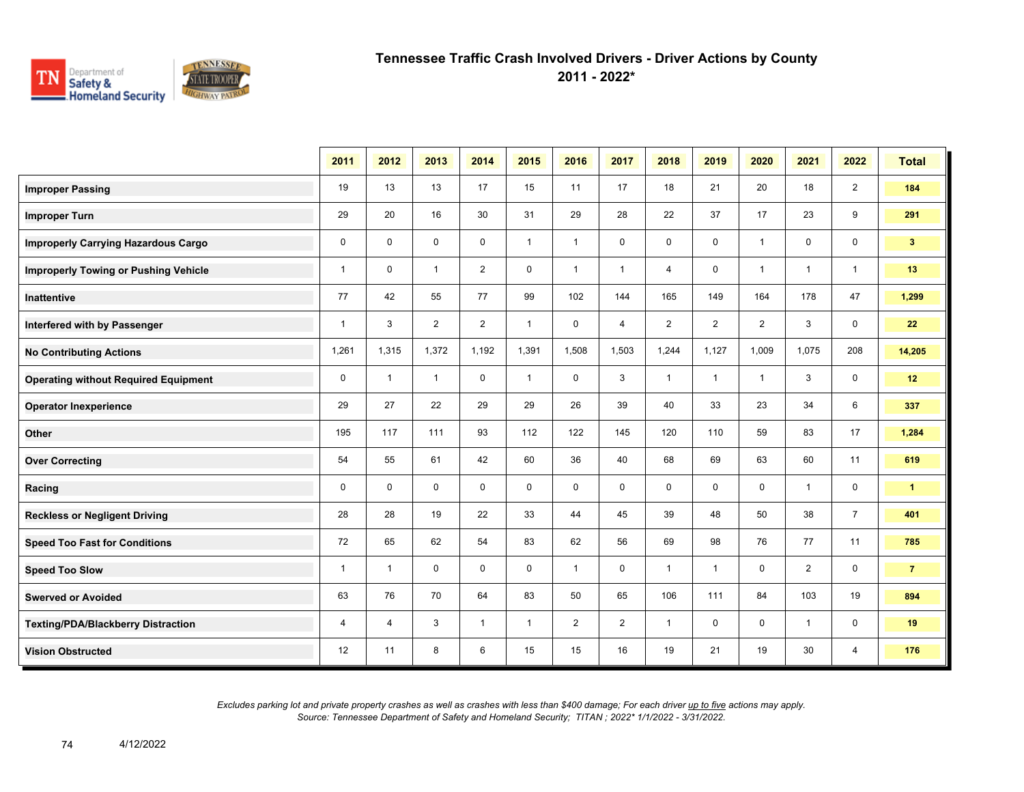

**2011 - 2022\***

|                                             | 2011         | 2012         | 2013           | 2014           | 2015         | 2016           | 2017           | 2018           | 2019           | 2020           | 2021           | 2022           | <b>Total</b>   |
|---------------------------------------------|--------------|--------------|----------------|----------------|--------------|----------------|----------------|----------------|----------------|----------------|----------------|----------------|----------------|
| <b>Improper Passing</b>                     | 19           | 13           | 13             | 17             | 15           | 11             | 17             | 18             | 21             | 20             | 18             | $\overline{2}$ | 184            |
| <b>Improper Turn</b>                        | 29           | 20           | 16             | 30             | 31           | 29             | 28             | 22             | 37             | 17             | 23             | 9              | 291            |
| <b>Improperly Carrying Hazardous Cargo</b>  | $\mathbf 0$  | $\mathbf 0$  | $\mathbf 0$    | $\mathbf 0$    | $\mathbf{1}$ | $\mathbf{1}$   | $\mathbf 0$    | 0              | $\mathbf 0$    | $\overline{1}$ | $\mathbf 0$    | $\mathbf 0$    | 3 <sup>2</sup> |
| <b>Improperly Towing or Pushing Vehicle</b> | $\mathbf{1}$ | $\mathbf 0$  | $\mathbf{1}$   | $\overline{2}$ | $\mathbf 0$  | $\mathbf{1}$   | $\mathbf{1}$   | 4              | 0              | $\overline{1}$ | $\overline{1}$ | $\mathbf{1}$   | 13             |
| <b>Inattentive</b>                          | 77           | 42           | 55             | 77             | 99           | 102            | 144            | 165            | 149            | 164            | 178            | 47             | 1,299          |
| Interfered with by Passenger                | $\mathbf{1}$ | 3            | $\overline{2}$ | $\overline{2}$ | $\mathbf{1}$ | $\mathbf 0$    | $\overline{4}$ | $\overline{2}$ | $\overline{2}$ | $\overline{2}$ | 3              | $\mathbf 0$    | 22             |
| <b>No Contributing Actions</b>              | 1,261        | 1,315        | 1,372          | 1,192          | 1,391        | 1,508          | 1,503          | 1,244          | 1,127          | 1,009          | 1,075          | 208            | 14,205         |
| <b>Operating without Required Equipment</b> | 0            | $\mathbf{1}$ | $\mathbf{1}$   | 0              | $\mathbf{1}$ | 0              | 3              | $\mathbf{1}$   | $\mathbf{1}$   | $\overline{1}$ | 3              | $\mathbf 0$    | 12             |
| <b>Operator Inexperience</b>                | 29           | 27           | 22             | 29             | 29           | 26             | 39             | 40             | 33             | 23             | 34             | 6              | 337            |
| Other                                       | 195          | 117          | 111            | 93             | 112          | 122            | 145            | 120            | 110            | 59             | 83             | 17             | 1,284          |
| <b>Over Correcting</b>                      | 54           | 55           | 61             | 42             | 60           | 36             | 40             | 68             | 69             | 63             | 60             | 11             | 619            |
| Racing                                      | 0            | $\mathbf 0$  | $\mathbf 0$    | 0              | 0            | $\mathbf 0$    | 0              | 0              | 0              | 0              | $\overline{1}$ | $\mathbf 0$    | $\mathbf{1}$   |
| <b>Reckless or Negligent Driving</b>        | 28           | 28           | 19             | 22             | 33           | 44             | 45             | 39             | 48             | 50             | 38             | $\overline{7}$ | 401            |
| <b>Speed Too Fast for Conditions</b>        | 72           | 65           | 62             | 54             | 83           | 62             | 56             | 69             | 98             | 76             | 77             | 11             | 785            |
| <b>Speed Too Slow</b>                       | $\mathbf{1}$ | $\mathbf{1}$ | $\mathbf 0$    | $\mathbf 0$    | $\mathbf 0$  | $\mathbf{1}$   | 0              | $\mathbf{1}$   | $\mathbf{1}$   | $\mathbf 0$    | $\overline{2}$ | $\mathbf 0$    | $\overline{7}$ |
| <b>Swerved or Avoided</b>                   | 63           | 76           | 70             | 64             | 83           | 50             | 65             | 106            | 111            | 84             | 103            | 19             | 894            |
| <b>Texting/PDA/Blackberry Distraction</b>   | 4            | 4            | 3              | $\mathbf{1}$   | $\mathbf{1}$ | $\overline{2}$ | $\overline{2}$ | $\mathbf{1}$   | 0              | 0              | $\mathbf 1$    | 0              | 19             |
| <b>Vision Obstructed</b>                    | 12           | 11           | 8              | 6              | 15           | 15             | 16             | 19             | 21             | 19             | 30             | 4              | 176            |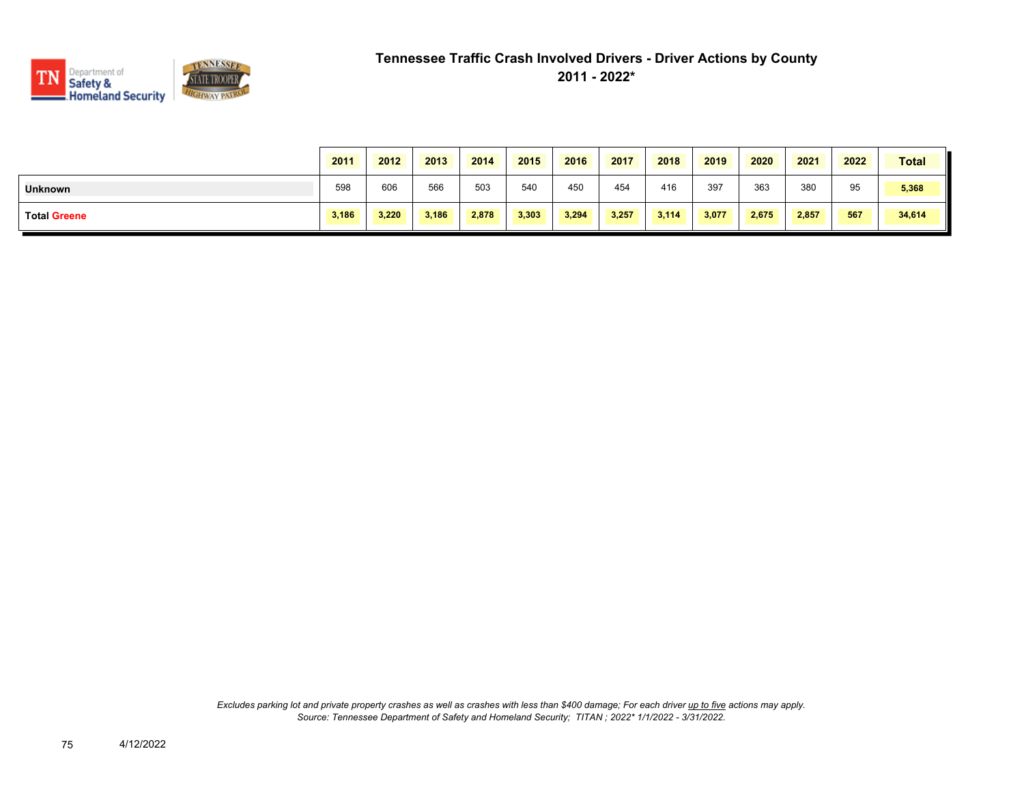

|                     | 2011  | 2012  | 2013  | 2014  | 2015  | 2016  | 2017  | 2018  | 2019  | 2020  | 2021  | 2022 | <b>Total</b> |
|---------------------|-------|-------|-------|-------|-------|-------|-------|-------|-------|-------|-------|------|--------------|
| <b>Unknown</b>      | 598   | 606   | 566   | 503   | 540   | 450   | 454   | 416   | 397   | 363   | 380   | 95   | 5,368        |
| <b>Total Greene</b> | 3,186 | 3.220 | 3.186 | 2,878 | 3,303 | 3,294 | 3,257 | 3,114 | 3,077 | 2.675 | 2,857 | 567  | 34,614       |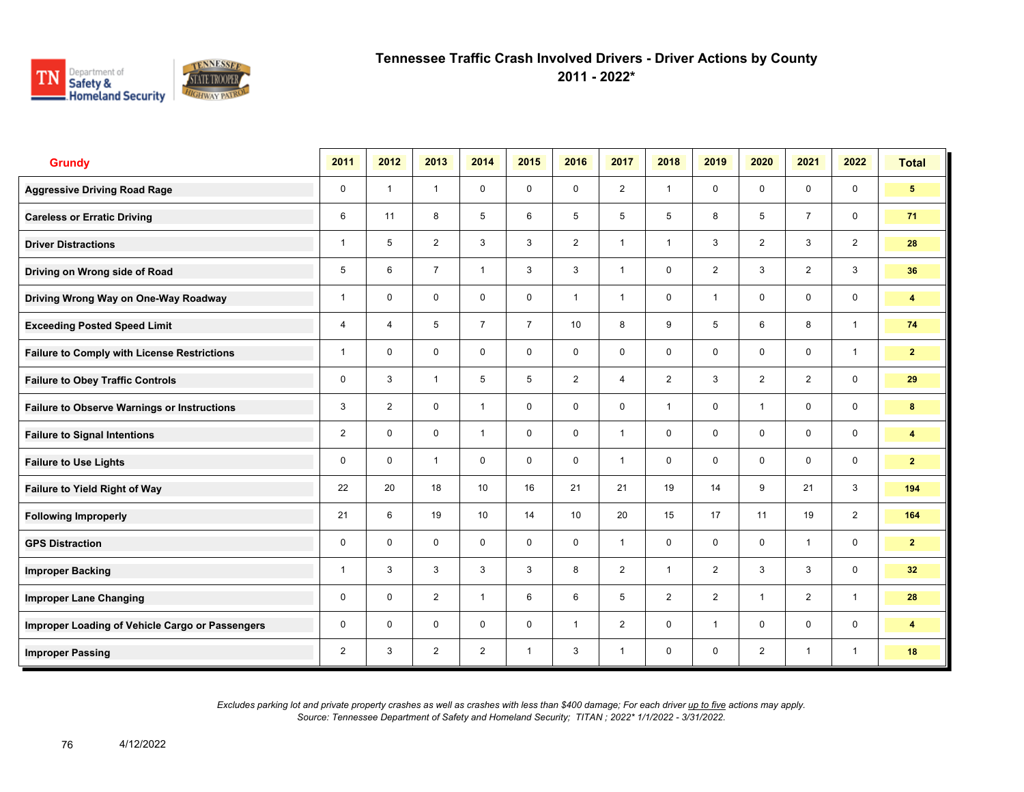

**2011 - 2022\***

| <b>Grundy</b>                                      | 2011           | 2012           | 2013           | 2014             | 2015           | 2016           | 2017         | 2018           | 2019           | 2020           | 2021           | 2022           | <b>Total</b>            |
|----------------------------------------------------|----------------|----------------|----------------|------------------|----------------|----------------|--------------|----------------|----------------|----------------|----------------|----------------|-------------------------|
| <b>Aggressive Driving Road Rage</b>                | 0              | $\overline{1}$ | $\mathbf{1}$   | $\mathbf 0$      | $\mathbf 0$    | $\mathbf 0$    | 2            | $\mathbf{1}$   | $\mathbf 0$    | $\mathbf 0$    | $\mathbf 0$    | $\mathbf 0$    | 5 <sup>5</sup>          |
| <b>Careless or Erratic Driving</b>                 | 6              | 11             | 8              | 5                | 6              | 5              | 5            | 5              | 8              | 5              | $\overline{7}$ | $\mathbf 0$    | 71                      |
| <b>Driver Distractions</b>                         | 1              | 5              | 2              | 3                | 3              | 2              | $\mathbf{1}$ | $\mathbf{1}$   | 3              | 2              | 3              | 2              | 28                      |
| Driving on Wrong side of Road                      | 5              | 6              | $\overline{7}$ | $\mathbf{1}$     | 3              | 3              | $\mathbf{1}$ | $\mathbf 0$    | $\overline{2}$ | 3              | $\overline{2}$ | 3              | 36                      |
| Driving Wrong Way on One-Way Roadway               | 1              | $\mathbf 0$    | $\mathbf 0$    | $\mathbf 0$      | 0              | $\overline{1}$ | $\mathbf{1}$ | $\mathbf 0$    | 1              | $\mathbf 0$    | $\mathbf 0$    | $\mathbf 0$    | $\overline{\mathbf{4}}$ |
| <b>Exceeding Posted Speed Limit</b>                | 4              | 4              | 5              | $\overline{7}$   | $\overline{7}$ | 10             | 8            | 9              | 5              | 6              | 8              | $\mathbf{1}$   | 74                      |
| <b>Failure to Comply with License Restrictions</b> | 1              | $\mathbf 0$    | $\mathbf 0$    | $\mathbf 0$      | 0              | $\mathbf 0$    | $\mathbf 0$  | $\mathsf{O}$   | $\mathbf 0$    | $\mathbf 0$    | $\mathbf 0$    | $\mathbf{1}$   | 2 <sup>1</sup>          |
| <b>Failure to Obey Traffic Controls</b>            | 0              | 3              | $\overline{1}$ | 5                | 5              | $\overline{2}$ | 4            | $\overline{2}$ | 3              | $\overline{2}$ | $\overline{2}$ | $\mathbf 0$    | 29                      |
| <b>Failure to Observe Warnings or Instructions</b> | 3              | $\overline{2}$ | $\Omega$       | $\mathbf{1}$     | 0              | $\Omega$       | $\mathbf 0$  | $\mathbf{1}$   | $\Omega$       | $\overline{1}$ | $\mathbf 0$    | $\mathbf 0$    | 8                       |
| <b>Failure to Signal Intentions</b>                | $\overline{2}$ | $\Omega$       | $\mathbf 0$    | $\mathbf{1}$     | 0              | $\mathbf 0$    | $\mathbf{1}$ | $\mathsf{O}$   | $\mathbf 0$    | $\mathbf 0$    | $\mathbf 0$    | $\mathbf 0$    | $\overline{\mathbf{4}}$ |
| <b>Failure to Use Lights</b>                       | 0              | $\Omega$       | $\overline{1}$ | $\Omega$         | $\Omega$       | $\mathbf{0}$   | $\mathbf{1}$ | $\mathbf 0$    | $\Omega$       | $\mathbf{0}$   | $\Omega$       | $\mathbf 0$    | $\overline{2}$          |
| <b>Failure to Yield Right of Way</b>               | 22             | 20             | 18             | 10 <sup>10</sup> | 16             | 21             | 21           | 19             | 14             | 9              | 21             | 3              | 194                     |
| <b>Following Improperly</b>                        | 21             | 6              | 19             | 10 <sup>10</sup> | 14             | 10             | 20           | 15             | 17             | 11             | 19             | $\overline{2}$ | 164                     |
| <b>GPS Distraction</b>                             | 0              | $\Omega$       | $\mathbf 0$    | $\mathbf 0$      | $\mathbf 0$    | $\Omega$       | $\mathbf{1}$ | $\mathbf 0$    | $\mathbf 0$    | $\Omega$       | $\mathbf{1}$   | $\mathbf 0$    | $\overline{2}$          |
| <b>Improper Backing</b>                            | 1              | 3              | 3              | 3                | 3              | 8              | 2            | $\mathbf{1}$   | $\overline{2}$ | 3              | 3              | $\mathbf 0$    | 32 <sub>2</sub>         |
| <b>Improper Lane Changing</b>                      | 0              | $\mathbf 0$    | $\overline{2}$ | $\mathbf{1}$     | 6              | 6              | 5            | $\overline{2}$ | $\overline{2}$ | $\overline{1}$ | 2              | $\mathbf{1}$   | 28                      |
| Improper Loading of Vehicle Cargo or Passengers    | 0              | $\Omega$       | $\mathbf 0$    | $\mathbf 0$      | 0              | $\overline{1}$ | 2            | $\mathbf 0$    | $\mathbf{1}$   | $\mathbf 0$    | $\mathbf 0$    | $\mathbf 0$    | $\overline{\mathbf{4}}$ |
| <b>Improper Passing</b>                            | $\overline{2}$ | 3              | $\overline{2}$ | $\overline{2}$   | $\mathbf{1}$   | 3              | $\mathbf{1}$ | $\mathbf 0$    | $\mathbf 0$    | $\overline{2}$ | $\mathbf{1}$   | $\mathbf{1}$   | 18                      |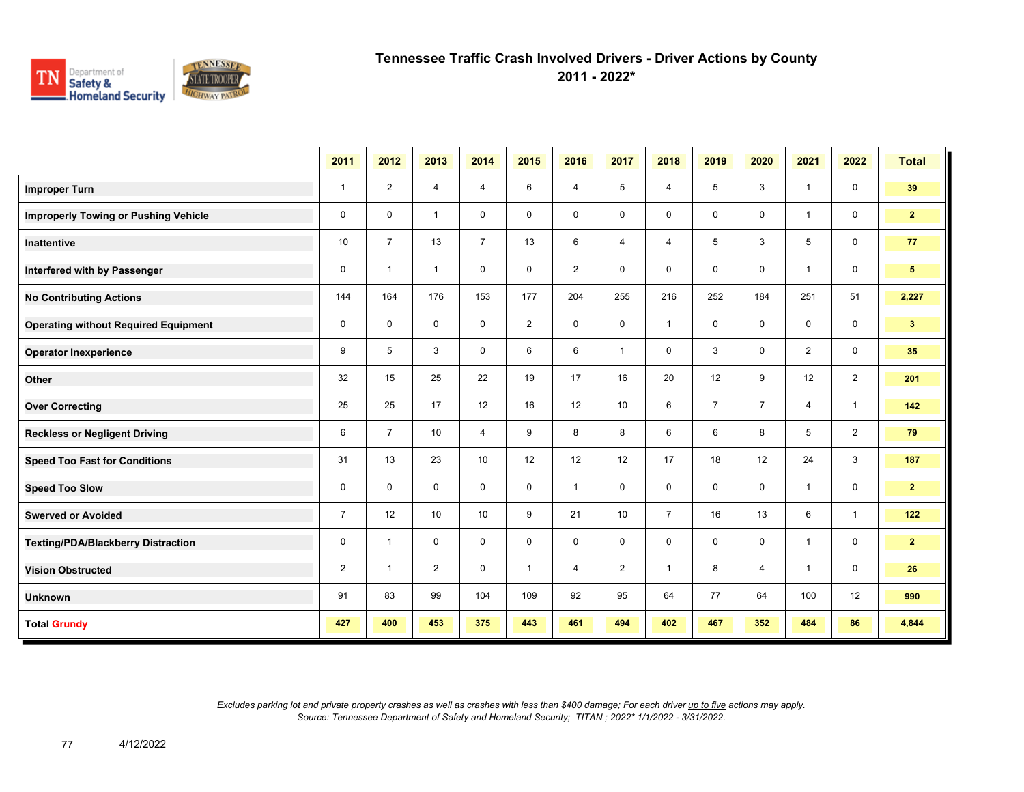

**2011 - 2022\***

|                                             | 2011           | 2012           | 2013           | 2014           | 2015           | 2016           | 2017           | 2018           | 2019           | 2020           | 2021           | 2022           | <b>Total</b>    |
|---------------------------------------------|----------------|----------------|----------------|----------------|----------------|----------------|----------------|----------------|----------------|----------------|----------------|----------------|-----------------|
| <b>Improper Turn</b>                        | $\mathbf{1}$   | $\overline{2}$ | 4              | 4              | 6              | 4              | 5              | 4              | 5              | 3              | $\mathbf{1}$   | $\mathbf 0$    | 39              |
| <b>Improperly Towing or Pushing Vehicle</b> | $\mathbf 0$    | $\mathbf 0$    | $\mathbf{1}$   | $\mathbf 0$    | $\mathbf 0$    | $\mathbf 0$    | $\mathbf 0$    | $\mathbf 0$    | 0              | $\mathbf 0$    | $\mathbf{1}$   | 0              | 2 <sub>2</sub>  |
| <b>Inattentive</b>                          | 10             | $\overline{7}$ | 13             | $\overline{7}$ | 13             | 6              | $\overline{4}$ | $\overline{4}$ | 5              | 3              | 5              | $\mathbf 0$    | 77              |
| Interfered with by Passenger                | $\mathbf 0$    | $\mathbf{1}$   | $\mathbf{1}$   | $\mathbf 0$    | $\mathbf 0$    | $\overline{2}$ | $\mathbf 0$    | 0              | $\mathbf 0$    | $\mathbf 0$    | $\mathbf{1}$   | $\mathbf 0$    | $5\phantom{.0}$ |
| <b>No Contributing Actions</b>              | 144            | 164            | 176            | 153            | 177            | 204            | 255            | 216            | 252            | 184            | 251            | 51             | 2,227           |
| <b>Operating without Required Equipment</b> | $\mathbf 0$    | $\mathbf 0$    | $\mathbf 0$    | $\mathbf 0$    | $\overline{2}$ | $\mathbf 0$    | 0              | $\mathbf{1}$   | 0              | $\mathbf 0$    | 0              | 0              | 3 <sub>1</sub>  |
| <b>Operator Inexperience</b>                | 9              | 5              | 3              | $\mathbf 0$    | 6              | 6              | $\mathbf{1}$   | 0              | 3              | 0              | $\overline{2}$ | 0              | 35              |
| Other                                       | 32             | 15             | 25             | 22             | 19             | 17             | 16             | 20             | 12             | 9              | 12             | $\overline{2}$ | 201             |
| <b>Over Correcting</b>                      | 25             | 25             | 17             | 12             | 16             | 12             | 10             | 6              | $\overline{7}$ | $\overline{7}$ | $\overline{4}$ | $\mathbf{1}$   | 142             |
| <b>Reckless or Negligent Driving</b>        | 6              | $\overline{7}$ | 10             | $\overline{4}$ | 9              | 8              | 8              | 6              | 6              | 8              | 5              | $\overline{2}$ | 79              |
| <b>Speed Too Fast for Conditions</b>        | 31             | 13             | 23             | 10             | 12             | 12             | 12             | 17             | 18             | 12             | 24             | 3              | 187             |
| <b>Speed Too Slow</b>                       | $\mathbf 0$    | $\mathbf{0}$   | $\mathbf 0$    | $\mathbf 0$    | $\mathbf 0$    | $\mathbf{1}$   | $\mathbf 0$    | $\mathbf 0$    | $\mathbf 0$    | $\mathbf 0$    | $\mathbf{1}$   | $\mathbf 0$    | $\mathbf{2}$    |
| <b>Swerved or Avoided</b>                   | $\overline{7}$ | 12             | 10             | 10             | 9              | 21             | 10             | $\overline{7}$ | 16             | 13             | 6              | $\mathbf{1}$   | 122             |
| <b>Texting/PDA/Blackberry Distraction</b>   | $\mathbf 0$    | $\mathbf{1}$   | $\mathbf 0$    | $\mathbf 0$    | $\mathbf 0$    | $\mathbf 0$    | $\mathsf 0$    | $\mathbf 0$    | $\mathbf 0$    | $\mathbf 0$    | $\mathbf{1}$   | $\mathbf 0$    | $\mathbf{2}$    |
| <b>Vision Obstructed</b>                    | $\overline{2}$ | $\mathbf{1}$   | $\overline{2}$ | $\mathbf 0$    | $\mathbf{1}$   | 4              | 2              | $\mathbf{1}$   | 8              | 4              | $\mathbf{1}$   | $\mathbf 0$    | 26              |
| <b>Unknown</b>                              | 91             | 83             | 99             | 104            | 109            | 92             | 95             | 64             | 77             | 64             | 100            | 12             | 990             |
| <b>Total Grundy</b>                         | 427            | 400            | 453            | 375            | 443            | 461            | 494            | 402            | 467            | 352            | 484            | 86             | 4,844           |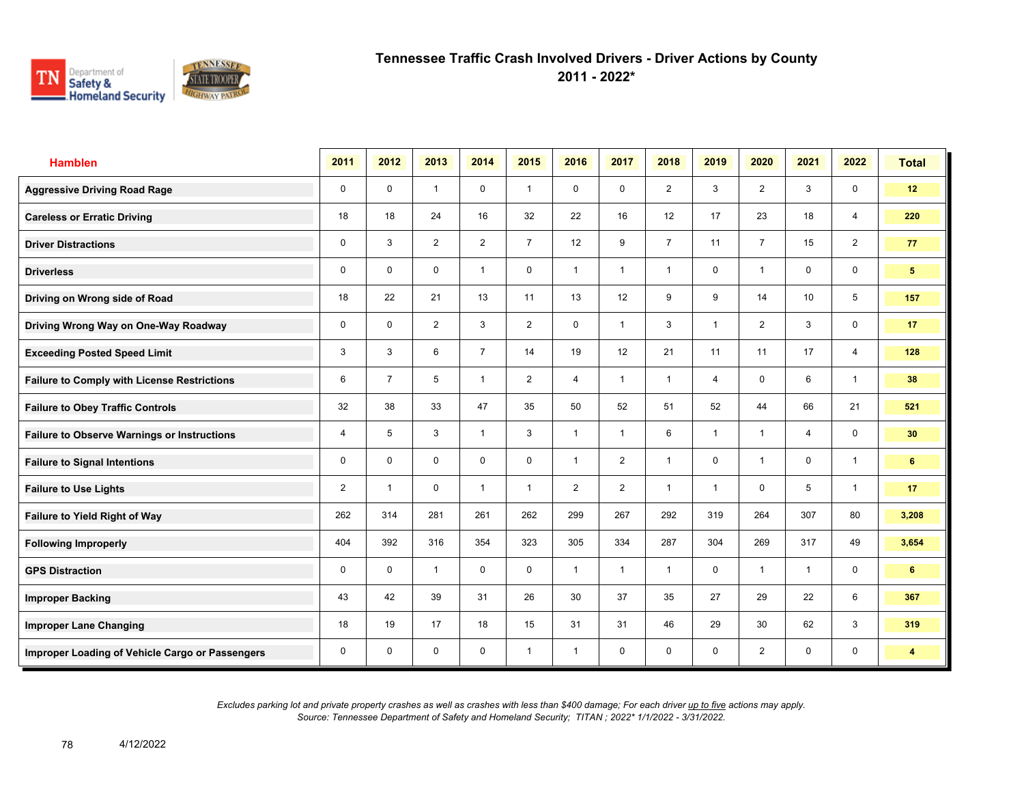

**2011 - 2022\***

| <b>Hamblen</b>                                     | 2011           | 2012           | 2013           | 2014           | 2015           | 2016                    | 2017           | 2018           | 2019 | 2020                    | 2021             | 2022           | <b>Total</b>    |
|----------------------------------------------------|----------------|----------------|----------------|----------------|----------------|-------------------------|----------------|----------------|------|-------------------------|------------------|----------------|-----------------|
| <b>Aggressive Driving Road Rage</b>                | $\mathbf 0$    | $\mathbf 0$    | $\mathbf{1}$   | $\mathbf 0$    | $\mathbf{1}$   | $\mathbf 0$             | $\mathbf 0$    | $\overline{2}$ | 3    | $\overline{2}$          | 3                | $\mathbf 0$    | 12              |
| <b>Careless or Erratic Driving</b>                 | 18             | 18             | 24             | 16             | 32             | 22                      | 16             | 12             | 17   | 23                      | 18               | 4              | 220             |
| <b>Driver Distractions</b>                         | 0              | 3              | $\overline{2}$ | $\overline{2}$ | $\overline{7}$ | 12                      | 9              | $\overline{7}$ | 11   | $\overline{7}$          | 15               | $\overline{2}$ | 77              |
| <b>Driverless</b>                                  | 0              | $\mathbf 0$    | $\mathbf 0$    | $\mathbf{1}$   | 0              | $\overline{1}$          | $\mathbf{1}$   | $\overline{1}$ | 0    | $\overline{\mathbf{1}}$ | $\mathbf 0$      | $\mathbf 0$    | 5 <sup>5</sup>  |
| Driving on Wrong side of Road                      | 18             | 22             | 21             | 13             | 11             | 13                      | 12             | 9              | 9    | 14                      | 10 <sup>10</sup> | 5              | 157             |
| Driving Wrong Way on One-Way Roadway               | 0              | 0              | $\overline{2}$ | 3              | $\overline{2}$ | 0                       | $\mathbf{1}$   | 3              | 1    | $\overline{2}$          | 3                | $\mathbf 0$    | 17              |
| <b>Exceeding Posted Speed Limit</b>                | 3              | 3              | 6              | $\overline{7}$ | 14             | 19                      | 12             | 21             | 11   | 11                      | 17               | 4              | 128             |
| <b>Failure to Comply with License Restrictions</b> | 6              | $\overline{7}$ | 5              | $\mathbf{1}$   | $\overline{2}$ | 4                       | $\mathbf{1}$   | $\mathbf{1}$   | 4    | $\Omega$                | 6                | $\mathbf{1}$   | 38              |
| <b>Failure to Obey Traffic Controls</b>            | 32             | 38             | 33             | 47             | 35             | 50                      | 52             | 51             | 52   | 44                      | 66               | 21             | 521             |
| <b>Failure to Observe Warnings or Instructions</b> | 4              | 5              | 3              | $\mathbf{1}$   | 3              | $\overline{\mathbf{1}}$ | $\overline{1}$ | 6              | 1    | $\overline{\mathbf{1}}$ | 4                | $\mathbf 0$    | 30 <sup>°</sup> |
| <b>Failure to Signal Intentions</b>                | 0              | 0              | $\mathbf 0$    | $\mathbf 0$    | 0              | $\overline{\mathbf{1}}$ | $\overline{2}$ | $\overline{1}$ | 0    | $\overline{\mathbf{1}}$ | 0                | $\overline{1}$ | 6               |
| <b>Failure to Use Lights</b>                       | $\overline{2}$ | $\overline{1}$ | $\mathbf 0$    | $\overline{1}$ | $\mathbf{1}$   | $\overline{2}$          | $\overline{2}$ | $\overline{1}$ | 1    | $\Omega$                | 5                | $\overline{1}$ | 17              |
| Failure to Yield Right of Way                      | 262            | 314            | 281            | 261            | 262            | 299                     | 267            | 292            | 319  | 264                     | 307              | 80             | 3,208           |
| <b>Following Improperly</b>                        | 404            | 392            | 316            | 354            | 323            | 305                     | 334            | 287            | 304  | 269                     | 317              | 49             | 3,654           |
| <b>GPS Distraction</b>                             | 0              | 0              | $\mathbf{1}$   | $\mathbf 0$    | $\mathbf 0$    | $\overline{1}$          | $\mathbf{1}$   | $\mathbf{1}$   | 0    | $\overline{\mathbf{1}}$ | $\overline{1}$   | $\mathbf 0$    | 6               |
| <b>Improper Backing</b>                            | 43             | 42             | 39             | 31             | 26             | 30                      | 37             | 35             | 27   | 29                      | 22               | 6              | 367             |
| <b>Improper Lane Changing</b>                      | 18             | 19             | 17             | 18             | 15             | 31                      | 31             | 46             | 29   | 30                      | 62               | 3              | 319             |
| Improper Loading of Vehicle Cargo or Passengers    | 0              | $\mathbf 0$    | 0              | 0              | $\mathbf{1}$   | $\overline{1}$          | $\mathbf 0$    | $\mathbf 0$    | 0    | 2                       | 0                | $\mathbf 0$    | 4               |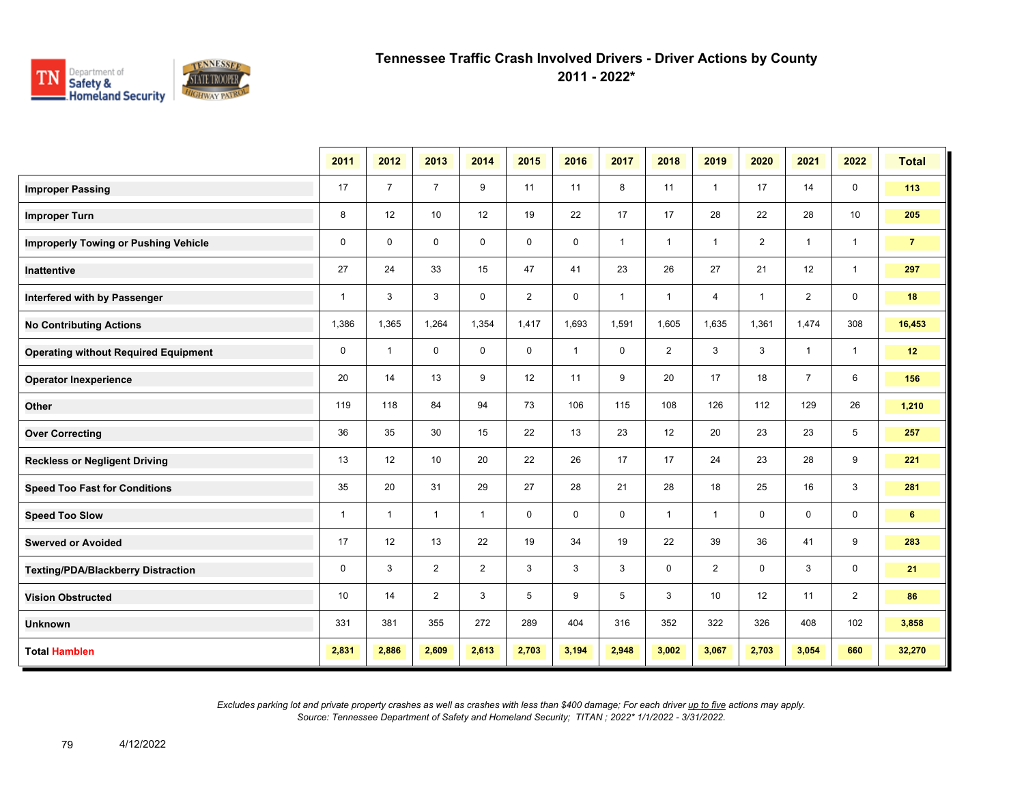

**2011 - 2022\***

|                                             | 2011         | 2012           | 2013           | 2014         | 2015           | 2016         | 2017         | 2018           | 2019           | 2020           | 2021           | 2022           | <b>Total</b>   |
|---------------------------------------------|--------------|----------------|----------------|--------------|----------------|--------------|--------------|----------------|----------------|----------------|----------------|----------------|----------------|
| <b>Improper Passing</b>                     | 17           | $\overline{7}$ | $\overline{7}$ | 9            | 11             | 11           | 8            | 11             | 1              | 17             | 14             | 0              | 113            |
| <b>Improper Turn</b>                        | 8            | 12             | 10             | 12           | 19             | 22           | 17           | 17             | 28             | 22             | 28             | 10             | 205            |
| <b>Improperly Towing or Pushing Vehicle</b> | $\mathbf 0$  | $\mathbf 0$    | $\mathbf 0$    | $\mathbf 0$  | $\mathbf 0$    | $\mathbf 0$  | $\mathbf{1}$ | $\overline{1}$ | $\mathbf{1}$   | $\overline{2}$ | $\mathbf{1}$   | $\mathbf{1}$   | $\overline{7}$ |
| Inattentive                                 | 27           | 24             | 33             | 15           | 47             | 41           | 23           | 26             | 27             | 21             | 12             | $\mathbf{1}$   | 297            |
| Interfered with by Passenger                | $\mathbf{1}$ | 3              | 3              | $\mathbf 0$  | $\overline{2}$ | $\mathbf 0$  | $\mathbf{1}$ | $\mathbf{1}$   | $\overline{4}$ | $\mathbf{1}$   | 2              | $\mathbf 0$    | 18             |
| <b>No Contributing Actions</b>              | 1,386        | 1,365          | 1,264          | 1,354        | 1,417          | 1,693        | 1,591        | 1,605          | 1,635          | 1,361          | 1,474          | 308            | 16,453         |
| <b>Operating without Required Equipment</b> | 0            | $\mathbf{1}$   | 0              | 0            | 0              | $\mathbf{1}$ | 0            | $\overline{2}$ | 3              | 3              | $\mathbf{1}$   | $\mathbf{1}$   | 12             |
| <b>Operator Inexperience</b>                | 20           | 14             | 13             | 9            | 12             | 11           | 9            | 20             | 17             | 18             | $\overline{7}$ | 6              | 156            |
| Other                                       | 119          | 118            | 84             | 94           | 73             | 106          | 115          | 108            | 126            | 112            | 129            | 26             | 1,210          |
| <b>Over Correcting</b>                      | 36           | 35             | 30             | 15           | 22             | 13           | 23           | 12             | 20             | 23             | 23             | 5              | 257            |
| <b>Reckless or Negligent Driving</b>        | 13           | 12             | 10             | 20           | 22             | 26           | 17           | 17             | 24             | 23             | 28             | 9              | 221            |
| <b>Speed Too Fast for Conditions</b>        | 35           | 20             | 31             | 29           | 27             | 28           | 21           | 28             | 18             | 25             | 16             | 3              | 281            |
| <b>Speed Too Slow</b>                       | $\mathbf{1}$ | $\mathbf{1}$   | $\overline{1}$ | $\mathbf{1}$ | $\mathbf 0$    | $\mathbf 0$  | $\mathbf 0$  | $\mathbf{1}$   | $\mathbf{1}$   | $\mathbf 0$    | $\mathbf 0$    | $\mathbf 0$    | $6^{\circ}$    |
| <b>Swerved or Avoided</b>                   | 17           | 12             | 13             | 22           | 19             | 34           | 19           | 22             | 39             | 36             | 41             | 9              | 283            |
| <b>Texting/PDA/Blackberry Distraction</b>   | $\mathbf 0$  | 3              | 2              | 2            | 3              | 3            | 3            | $\mathbf 0$    | $\overline{2}$ | $\mathbf 0$    | 3              | 0              | 21             |
| <b>Vision Obstructed</b>                    | 10           | 14             | 2              | 3            | 5              | 9            | 5            | 3              | 10             | 12             | 11             | $\overline{2}$ | 86             |
| <b>Unknown</b>                              | 331          | 381            | 355            | 272          | 289            | 404          | 316          | 352            | 322            | 326            | 408            | 102            | 3,858          |
| <b>Total Hamblen</b>                        | 2,831        | 2,886          | 2,609          | 2,613        | 2,703          | 3,194        | 2,948        | 3,002          | 3,067          | 2,703          | 3,054          | 660            | 32,270         |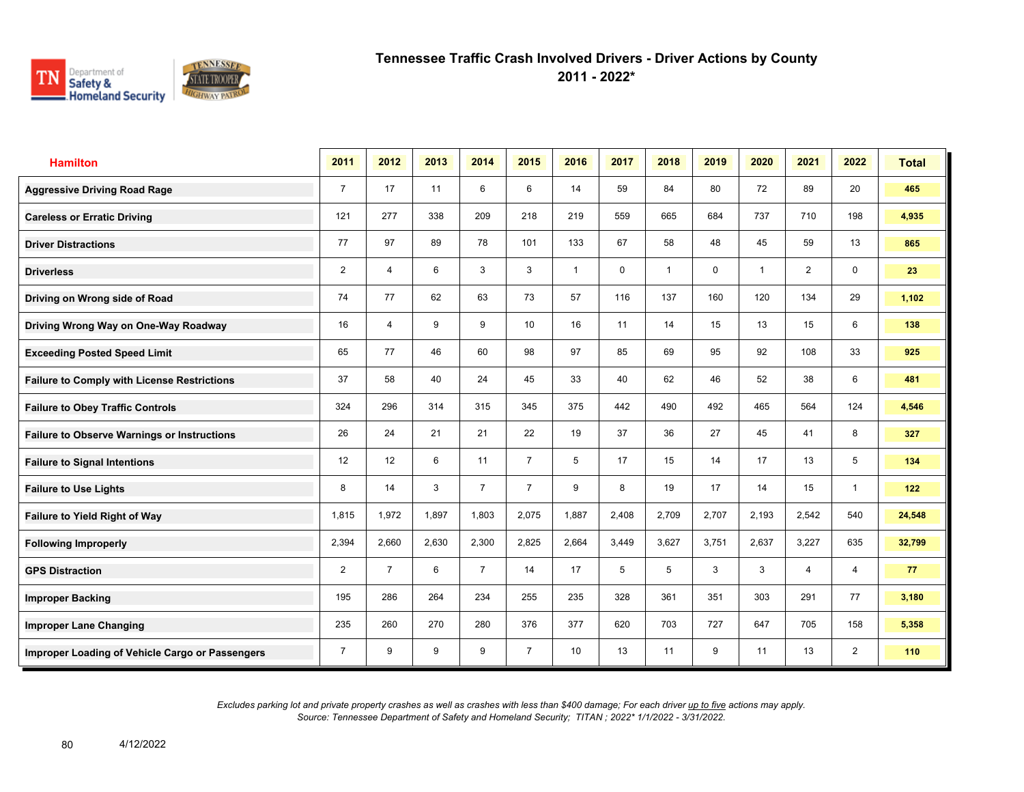

**2011 - 2022\***

| <b>Hamilton</b>                                    | 2011           | 2012           | 2013  | 2014           | 2015            | 2016           | 2017  | 2018         | 2019  | 2020                    | 2021           | 2022           | <b>Total</b> |
|----------------------------------------------------|----------------|----------------|-------|----------------|-----------------|----------------|-------|--------------|-------|-------------------------|----------------|----------------|--------------|
| <b>Aggressive Driving Road Rage</b>                | $\overline{7}$ | 17             | 11    | 6              | 6               | 14             | 59    | 84           | 80    | 72                      | 89             | 20             | 465          |
| <b>Careless or Erratic Driving</b>                 | 121            | 277            | 338   | 209            | 218             | 219            | 559   | 665          | 684   | 737                     | 710            | 198            | 4,935        |
| <b>Driver Distractions</b>                         | 77             | 97             | 89    | 78             | 101             | 133            | 67    | 58           | 48    | 45                      | 59             | 13             | 865          |
| <b>Driverless</b>                                  | 2              | $\overline{4}$ | 6     | 3              | 3               | $\overline{1}$ | 0     | $\mathbf{1}$ | 0     | $\overline{\mathbf{1}}$ | $\overline{2}$ | 0              | 23           |
| Driving on Wrong side of Road                      | 74             | 77             | 62    | 63             | 73              | 57             | 116   | 137          | 160   | 120                     | 134            | 29             | 1,102        |
| Driving Wrong Way on One-Way Roadway               | 16             | $\overline{4}$ | 9     | 9              | 10 <sup>1</sup> | 16             | 11    | 14           | 15    | 13                      | 15             | 6              | 138          |
| <b>Exceeding Posted Speed Limit</b>                | 65             | 77             | 46    | 60             | 98              | 97             | 85    | 69           | 95    | 92                      | 108            | 33             | 925          |
| <b>Failure to Comply with License Restrictions</b> | 37             | 58             | 40    | 24             | 45              | 33             | 40    | 62           | 46    | 52                      | 38             | 6              | 481          |
| <b>Failure to Obey Traffic Controls</b>            | 324            | 296            | 314   | 315            | 345             | 375            | 442   | 490          | 492   | 465                     | 564            | 124            | 4,546        |
| <b>Failure to Observe Warnings or Instructions</b> | 26             | 24             | 21    | 21             | 22              | 19             | 37    | 36           | 27    | 45                      | 41             | 8              | 327          |
| <b>Failure to Signal Intentions</b>                | 12             | 12             | 6     | 11             | $\overline{7}$  | 5              | 17    | 15           | 14    | 17                      | 13             | 5              | 134          |
| <b>Failure to Use Lights</b>                       | 8              | 14             | 3     | $\overline{7}$ | $\overline{7}$  | 9              | 8     | 19           | 17    | 14                      | 15             | $\mathbf{1}$   | 122          |
| <b>Failure to Yield Right of Way</b>               | 1,815          | 1,972          | 1,897 | 1,803          | 2,075           | 1,887          | 2,408 | 2,709        | 2,707 | 2,193                   | 2,542          | 540            | 24,548       |
| <b>Following Improperly</b>                        | 2,394          | 2,660          | 2,630 | 2,300          | 2,825           | 2,664          | 3,449 | 3,627        | 3,751 | 2,637                   | 3,227          | 635            | 32,799       |
| <b>GPS Distraction</b>                             | 2              | $\overline{7}$ | 6     | $\overline{7}$ | 14              | 17             | 5     | 5            | 3     | 3                       | $\overline{4}$ | 4              | 77           |
| <b>Improper Backing</b>                            | 195            | 286            | 264   | 234            | 255             | 235            | 328   | 361          | 351   | 303                     | 291            | 77             | 3,180        |
| <b>Improper Lane Changing</b>                      | 235            | 260            | 270   | 280            | 376             | 377            | 620   | 703          | 727   | 647                     | 705            | 158            | 5,358        |
| Improper Loading of Vehicle Cargo or Passengers    | $\overline{7}$ | 9              | 9     | 9              | $\overline{7}$  | 10             | 13    | 11           | 9     | 11                      | 13             | $\overline{2}$ | 110          |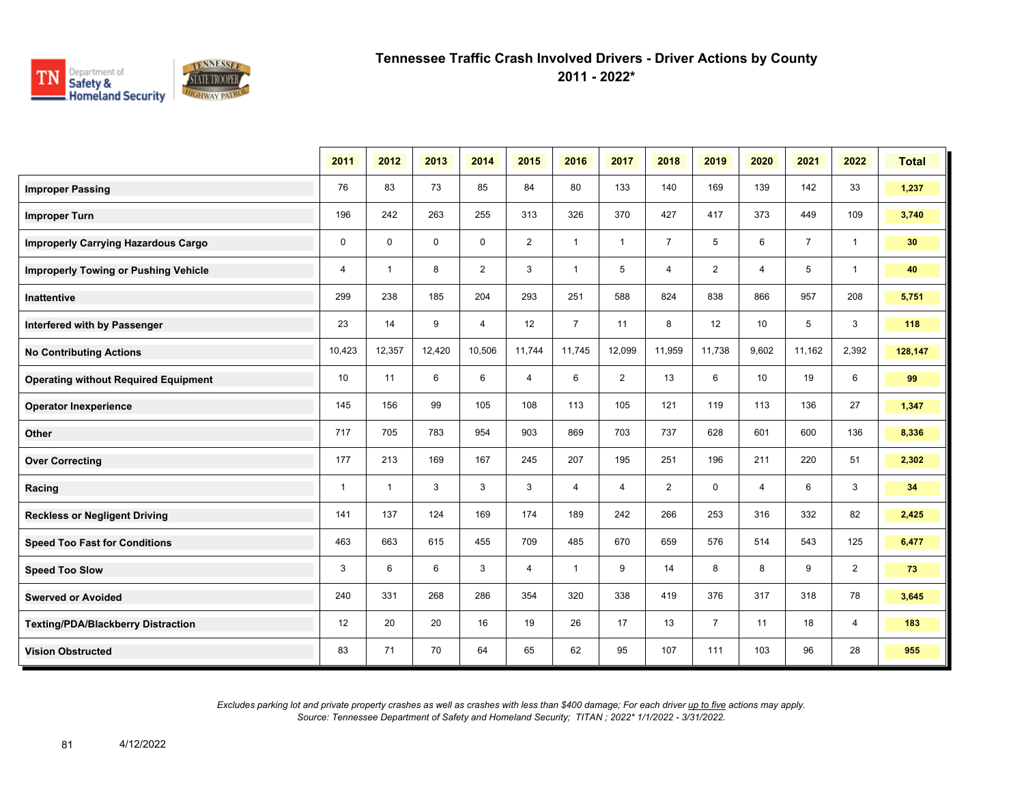

**2011 - 2022\***

|                                             | 2011           | 2012           | 2013        | 2014           | 2015           | 2016           | 2017           | 2018           | 2019           | 2020  | 2021           | 2022           | <b>Total</b> |
|---------------------------------------------|----------------|----------------|-------------|----------------|----------------|----------------|----------------|----------------|----------------|-------|----------------|----------------|--------------|
| <b>Improper Passing</b>                     | 76             | 83             | 73          | 85             | 84             | 80             | 133            | 140            | 169            | 139   | 142            | 33             | 1,237        |
| <b>Improper Turn</b>                        | 196            | 242            | 263         | 255            | 313            | 326            | 370            | 427            | 417            | 373   | 449            | 109            | 3,740        |
| <b>Improperly Carrying Hazardous Cargo</b>  | $\mathbf 0$    | $\mathbf 0$    | $\mathbf 0$ | $\mathbf 0$    | 2              | $\mathbf{1}$   | $\mathbf{1}$   | $\overline{7}$ | 5              | 6     | $\overline{7}$ | $\overline{1}$ | 30           |
| <b>Improperly Towing or Pushing Vehicle</b> | $\overline{4}$ | $\overline{1}$ | 8           | $\overline{2}$ | 3              | $\mathbf{1}$   | 5              | 4              | $\overline{2}$ | 4     | 5              | $\overline{1}$ | 40           |
| <b>Inattentive</b>                          | 299            | 238            | 185         | 204            | 293            | 251            | 588            | 824            | 838            | 866   | 957            | 208            | 5,751        |
| Interfered with by Passenger                | 23             | 14             | 9           | $\overline{4}$ | 12             | $\overline{7}$ | 11             | 8              | 12             | 10    | 5              | 3              | 118          |
| <b>No Contributing Actions</b>              | 10,423         | 12,357         | 12,420      | 10,506         | 11,744         | 11,745         | 12,099         | 11,959         | 11,738         | 9,602 | 11,162         | 2,392          | 128,147      |
| <b>Operating without Required Equipment</b> | 10             | 11             | 6           | 6              | $\overline{4}$ | 6              | 2              | 13             | 6              | 10    | 19             | 6              | 99           |
| <b>Operator Inexperience</b>                | 145            | 156            | 99          | 105            | 108            | 113            | 105            | 121            | 119            | 113   | 136            | 27             | 1,347        |
| Other                                       | 717            | 705            | 783         | 954            | 903            | 869            | 703            | 737            | 628            | 601   | 600            | 136            | 8,336        |
| <b>Over Correcting</b>                      | 177            | 213            | 169         | 167            | 245            | 207            | 195            | 251            | 196            | 211   | 220            | 51             | 2,302        |
| Racing                                      | $\mathbf 1$    | $\mathbf{1}$   | 3           | 3              | 3              | 4              | $\overline{4}$ | $\overline{2}$ | $\mathbf 0$    | 4     | 6              | 3              | 34           |
| <b>Reckless or Negligent Driving</b>        | 141            | 137            | 124         | 169            | 174            | 189            | 242            | 266            | 253            | 316   | 332            | 82             | 2,425        |
| <b>Speed Too Fast for Conditions</b>        | 463            | 663            | 615         | 455            | 709            | 485            | 670            | 659            | 576            | 514   | 543            | 125            | 6,477        |
| <b>Speed Too Slow</b>                       | 3              | 6              | 6           | 3              | 4              | $\mathbf{1}$   | 9              | 14             | 8              | 8     | 9              | $\overline{2}$ | 73           |
| <b>Swerved or Avoided</b>                   | 240            | 331            | 268         | 286            | 354            | 320            | 338            | 419            | 376            | 317   | 318            | 78             | 3,645        |
| <b>Texting/PDA/Blackberry Distraction</b>   | 12             | 20             | 20          | 16             | 19             | 26             | 17             | 13             | $\overline{7}$ | 11    | 18             | 4              | 183          |
| <b>Vision Obstructed</b>                    | 83             | 71             | 70          | 64             | 65             | 62             | 95             | 107            | 111            | 103   | 96             | 28             | 955          |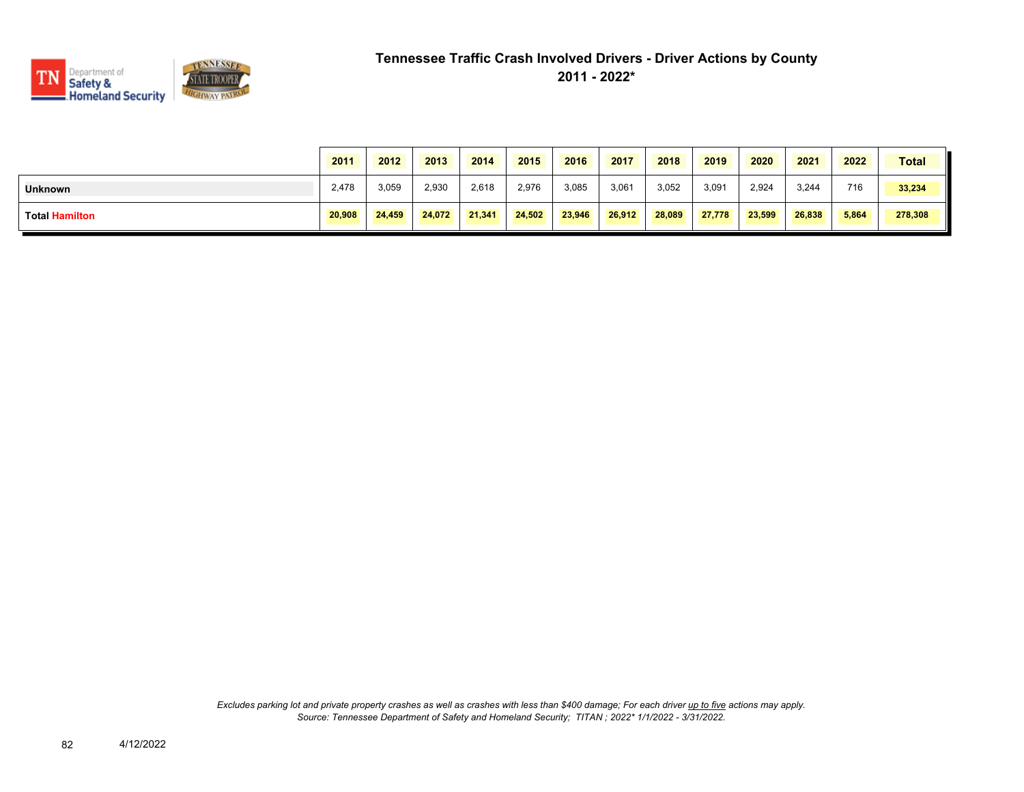

|                       | 2011   | 2012   | 2013   | 2014   | 2015   | 2016   | 2017   | 2018   | 2019   | 2020   | 2021   | 2022  | <b>Total</b> |
|-----------------------|--------|--------|--------|--------|--------|--------|--------|--------|--------|--------|--------|-------|--------------|
| <b>Unknown</b>        | 2,478  | 3,059  | 2,930  | 2,618  | 2,976  | 3,085  | 3,061  | 3,052  | 3,091  | 2,924  | 3,244  | 716   | 33,234       |
| <b>Total Hamilton</b> | 20,908 | 24.459 | 24.072 | 21.341 | 24,502 | 23.946 | 26,912 | 28,089 | 27,778 | 23.599 | 26.838 | 5,864 | 278,308      |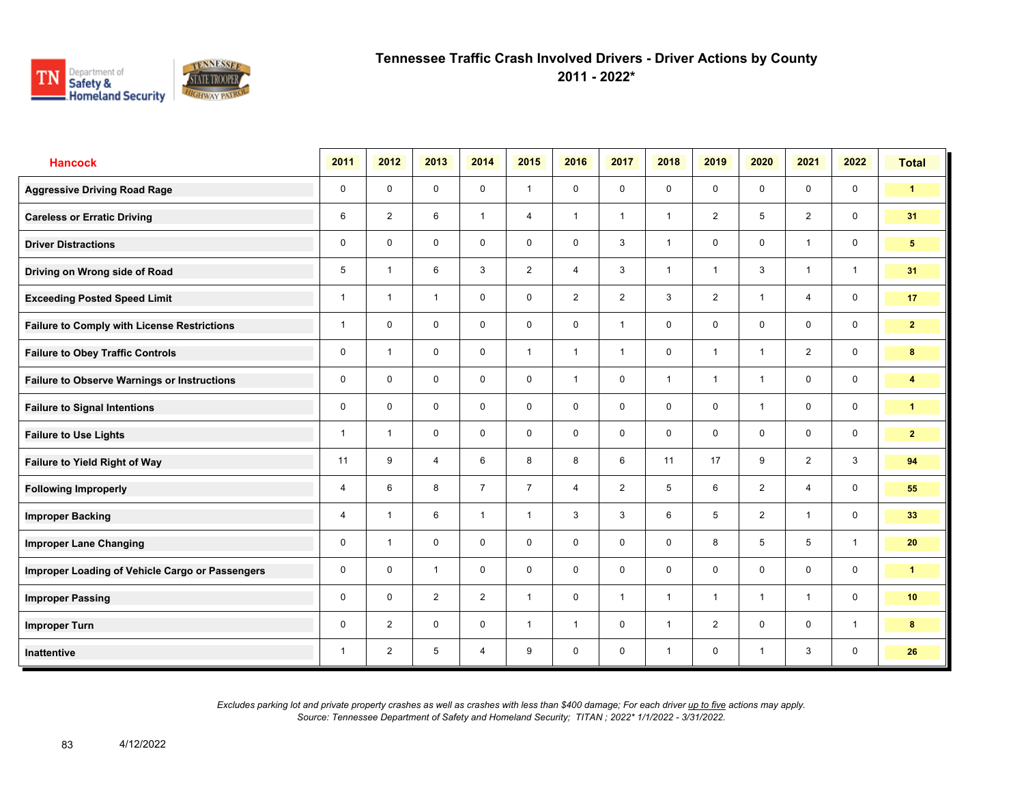

**2011 - 2022\***

| <b>Hancock</b>                                     | 2011         | 2012           | 2013           | 2014           | 2015           | 2016           | 2017           | 2018         | 2019           | 2020           | 2021           | 2022           | <b>Total</b>         |
|----------------------------------------------------|--------------|----------------|----------------|----------------|----------------|----------------|----------------|--------------|----------------|----------------|----------------|----------------|----------------------|
| <b>Aggressive Driving Road Rage</b>                | $\mathbf 0$  | $\mathbf 0$    | $\mathbf 0$    | $\mathbf 0$    | $\mathbf{1}$   | $\mathbf 0$    | $\mathbf 0$    | $\mathbf 0$  | $\mathbf 0$    | $\mathbf 0$    | $\mathbf 0$    | $\mathbf 0$    | $\blacktriangleleft$ |
| <b>Careless or Erratic Driving</b>                 | 6            | $\overline{2}$ | 6              | $\mathbf{1}$   | $\overline{4}$ | $\mathbf{1}$   | $\mathbf{1}$   | $\mathbf{1}$ | $\overline{2}$ | 5              | 2              | $\mathbf 0$    | 31                   |
| <b>Driver Distractions</b>                         | 0            | $\mathbf 0$    | $\mathbf 0$    | $\mathbf 0$    | $\mathbf 0$    | $\mathbf 0$    | $\mathbf{3}$   | $\mathbf{1}$ | 0              | $\mathbf 0$    | $\mathbf{1}$   | $\mathbf 0$    | 5 <sub>5</sub>       |
| Driving on Wrong side of Road                      | 5            | $\overline{1}$ | 6              | 3              | $\overline{2}$ | $\overline{4}$ | 3              | $\mathbf{1}$ | $\mathbf{1}$   | 3              | $\mathbf{1}$   | $\overline{1}$ | 31                   |
| <b>Exceeding Posted Speed Limit</b>                | 1            | $\overline{1}$ | $\mathbf{1}$   | $\mathbf 0$    | $\mathbf 0$    | $\overline{2}$ | $\overline{2}$ | $\mathbf{3}$ | $\overline{2}$ | $\overline{1}$ | $\overline{4}$ | $\mathbf 0$    | 17                   |
| <b>Failure to Comply with License Restrictions</b> | 1            | $\mathbf 0$    | $\mathbf 0$    | $\mathbf 0$    | $\mathbf 0$    | $\mathbf 0$    | $\mathbf{1}$   | $\mathbf 0$  | $\mathbf 0$    | $\mathbf 0$    | $\mathbf 0$    | $\mathbf 0$    | $\overline{2}$       |
| <b>Failure to Obey Traffic Controls</b>            | $\mathbf 0$  | $\overline{1}$ | $\mathbf 0$    | $\mathbf 0$    | $\mathbf{1}$   | $\overline{1}$ | 1              | $\mathbf 0$  | 1              | $\overline{1}$ | 2              | $\mathbf 0$    | 8                    |
| <b>Failure to Observe Warnings or Instructions</b> | $\mathbf 0$  | $\mathbf 0$    | $\mathbf 0$    | $\mathbf 0$    | $\mathbf 0$    | $\overline{1}$ | $\mathbf 0$    | $\mathbf{1}$ | 1              | $\overline{1}$ | $\mathbf 0$    | $\mathbf 0$    | 4                    |
| <b>Failure to Signal Intentions</b>                | $\Omega$     | $\Omega$       | $\Omega$       | $\mathbf 0$    | $\mathbf 0$    | $\Omega$       | $\mathbf 0$    | $\mathbf 0$  | $\Omega$       | $\overline{1}$ | $\mathbf 0$    | $\mathbf 0$    | $\mathbf{1}$         |
| <b>Failure to Use Lights</b>                       | 1            | $\overline{1}$ | $\mathbf 0$    | $\mathbf 0$    | $\mathbf 0$    | $\mathbf 0$    | $\mathbf 0$    | $\mathbf 0$  | $\mathbf 0$    | $\mathbf 0$    | $\mathbf 0$    | $\mathbf 0$    | $\mathbf{2}$         |
| <b>Failure to Yield Right of Way</b>               | 11           | 9              | $\overline{4}$ | 6              | 8              | 8              | 6              | 11           | 17             | 9              | 2              | $\mathbf{3}$   | 94                   |
| <b>Following Improperly</b>                        | 4            | 6              | 8              | $\overline{7}$ | $\overline{7}$ | $\overline{4}$ | 2              | 5            | 6              | 2              | $\overline{4}$ | $\mathsf{O}$   | 55                   |
| <b>Improper Backing</b>                            | 4            | $\overline{1}$ | 6              | $\overline{1}$ | $\mathbf{1}$   | 3              | $\mathbf{3}$   | 6            | 5              | $\overline{2}$ | $\mathbf{1}$   | $\mathsf{O}$   | 33                   |
| <b>Improper Lane Changing</b>                      | $\mathbf 0$  | $\overline{1}$ | $\mathbf 0$    | $\mathbf 0$    | $\mathbf 0$    | $\Omega$       | $\mathbf 0$    | $\mathbf 0$  | 8              | 5              | 5              | $\mathbf{1}$   | 20                   |
| Improper Loading of Vehicle Cargo or Passengers    | 0            | $\mathbf 0$    | $\mathbf{1}$   | $\mathbf 0$    | $\mathbf 0$    | $\mathbf 0$    | $\mathbf 0$    | $\mathbf 0$  | $\mathbf 0$    | $\mathbf 0$    | $\mathbf 0$    | $\mathbf 0$    | $\blacktriangleleft$ |
| <b>Improper Passing</b>                            | 0            | $\mathbf 0$    | $\overline{2}$ | $\overline{2}$ | $\mathbf{1}$   | $\mathbf 0$    | $\mathbf{1}$   | $\mathbf{1}$ | $\mathbf{1}$   | $\overline{1}$ | $\mathbf{1}$   | $\mathbf 0$    | 10 <sup>°</sup>      |
| <b>Improper Turn</b>                               | 0            | 2              | $\mathbf 0$    | $\mathbf 0$    | $\mathbf{1}$   | $\mathbf{1}$   | $\mathbf 0$    | $\mathbf{1}$ | $\overline{2}$ | $\mathbf 0$    | $\mathbf 0$    | $\mathbf{1}$   | 8                    |
| <b>Inattentive</b>                                 | $\mathbf{1}$ | 2              | 5              | $\overline{4}$ | 9              | $\mathbf 0$    | $\mathbf 0$    | $\mathbf{1}$ | $\mathbf 0$    | $\overline{1}$ | 3              | $\mathbf 0$    | 26                   |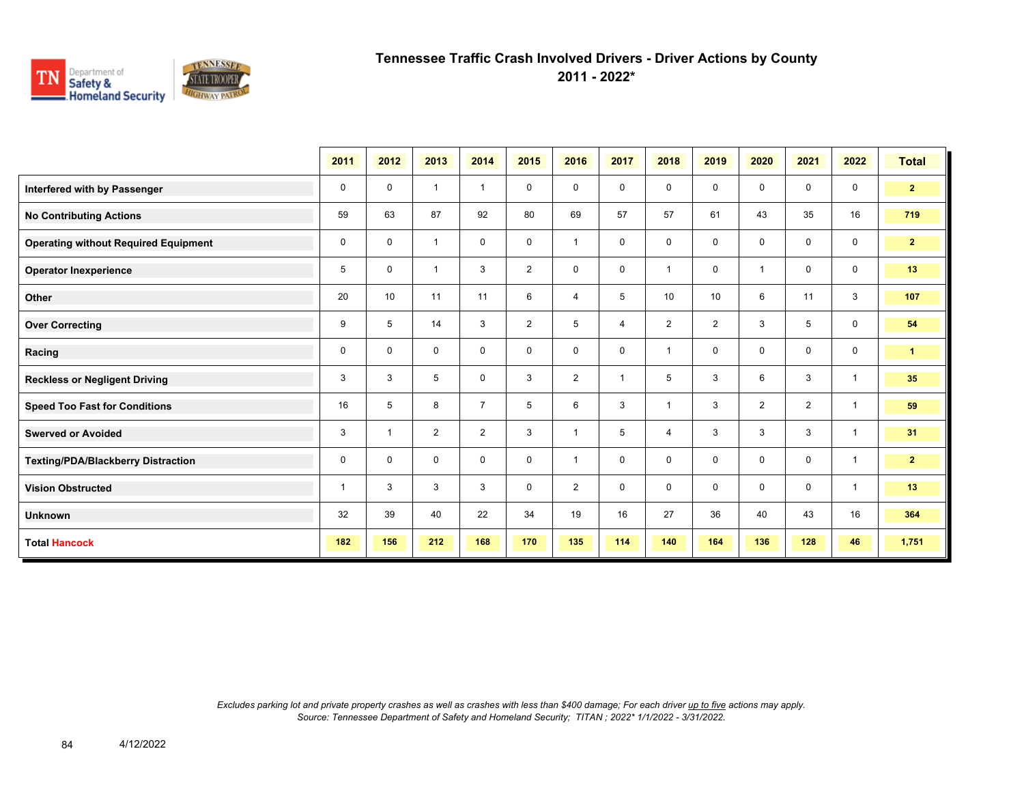

**2011 - 2022\***

|                                             | 2011 | 2012                    | 2013           | 2014           | 2015           | 2016                    | 2017           | 2018           | 2019           | 2020           | 2021           | 2022         | <b>Total</b>   |
|---------------------------------------------|------|-------------------------|----------------|----------------|----------------|-------------------------|----------------|----------------|----------------|----------------|----------------|--------------|----------------|
| Interfered with by Passenger                | 0    | 0                       | $\overline{1}$ | $\overline{1}$ | 0              | $\mathbf 0$             | $\mathbf 0$    | $\mathbf 0$    | 0              | $\mathbf 0$    | $\mathbf 0$    | $\mathbf 0$  | $\mathbf{2}$   |
| <b>No Contributing Actions</b>              | 59   | 63                      | 87             | 92             | 80             | 69                      | 57             | 57             | 61             | 43             | 35             | 16           | 719            |
| <b>Operating without Required Equipment</b> | 0    | 0                       | $\overline{1}$ | $\mathbf 0$    | 0              | $\overline{\mathbf{1}}$ | $\mathbf 0$    | $\mathbf 0$    | 0              | $\mathbf 0$    | $\mathbf 0$    | $\mathbf 0$  | 2 <sup>7</sup> |
| <b>Operator Inexperience</b>                | 5    | $\mathbf 0$             | $\overline{1}$ | 3              | $\overline{2}$ | $\mathbf 0$             | $\mathbf 0$    | $\overline{1}$ | 0              | $\overline{1}$ | $\mathbf 0$    | $\mathbf 0$  | 13             |
| Other                                       | 20   | 10                      | 11             | 11             | 6              | $\overline{4}$          | 5              | 10             | 10             | 6              | 11             | 3            | 107            |
| <b>Over Correcting</b>                      | 9    | 5                       | 14             | 3              | $\overline{2}$ | 5                       | $\overline{4}$ | $\overline{2}$ | $\overline{2}$ | 3              | 5              | $\mathbf 0$  | 54             |
| Racing                                      | 0    | 0                       | $\mathbf 0$    | $\mathbf 0$    | 0              | $\mathbf 0$             | $\mathbf 0$    | $\overline{1}$ | 0              | $\mathbf 0$    | $\mathbf 0$    | $\mathbf 0$  | $\mathbf{1}$   |
| <b>Reckless or Negligent Driving</b>        | 3    | 3                       | 5              | 0              | 3              | 2                       | $\overline{1}$ | 5              | 3              | 6              | 3              | $\mathbf{1}$ | 35             |
| <b>Speed Too Fast for Conditions</b>        | 16   | 5                       | 8              | $\overline{7}$ | 5              | 6                       | 3              | $\overline{1}$ | 3              | $\overline{2}$ | $\overline{2}$ | $\mathbf{1}$ | 59             |
| <b>Swerved or Avoided</b>                   | 3    | $\overline{\mathbf{1}}$ | $\overline{2}$ | $\overline{2}$ | 3              | $\overline{\mathbf{1}}$ | 5              | $\overline{4}$ | 3              | 3              | 3              | $\mathbf{1}$ | 31             |
| <b>Texting/PDA/Blackberry Distraction</b>   | 0    | 0                       | $\mathbf 0$    | $\mathbf 0$    | 0              | $\overline{\mathbf{1}}$ | $\mathbf 0$    | $\mathbf 0$    | 0              | $\mathbf 0$    | $\mathbf 0$    | $\mathbf{1}$ | 2 <sub>1</sub> |
| <b>Vision Obstructed</b>                    | 1    | 3                       | 3              | 3              | 0              | $\overline{2}$          | $\mathbf 0$    | $\mathbf 0$    | 0              | $\mathbf 0$    | $\mathbf 0$    | $\mathbf{1}$ | 13             |
| <b>Unknown</b>                              | 32   | 39                      | 40             | 22             | 34             | 19                      | 16             | 27             | 36             | 40             | 43             | 16           | 364            |
| <b>Total Hancock</b>                        | 182  | 156                     | 212            | 168            | 170            | 135                     | 114            | 140            | 164            | 136            | 128            | 46           | 1,751          |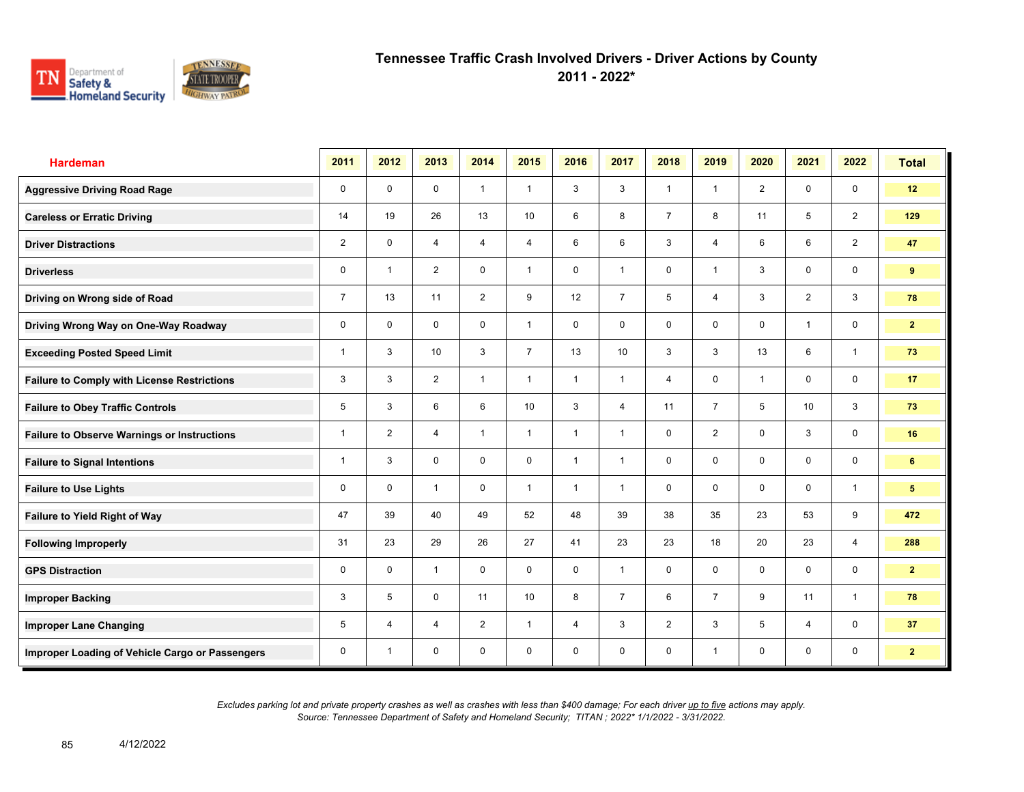

**2011 - 2022\***

| <b>Hardeman</b>                                    | 2011           | 2012                    | 2013           | 2014           | 2015           | 2016           | 2017           | 2018           | 2019           | 2020           | 2021           | 2022           | <b>Total</b>   |
|----------------------------------------------------|----------------|-------------------------|----------------|----------------|----------------|----------------|----------------|----------------|----------------|----------------|----------------|----------------|----------------|
| <b>Aggressive Driving Road Rage</b>                | 0              | $\mathbf 0$             | $\mathbf 0$    | $\mathbf{1}$   | $\mathbf{1}$   | 3              | 3              | $\mathbf{1}$   | $\mathbf{1}$   | $\overline{2}$ | $\mathbf 0$    | $\mathbf 0$    | 12             |
| <b>Careless or Erratic Driving</b>                 | 14             | 19                      | 26             | 13             | 10             | 6              | 8              | $\overline{7}$ | 8              | 11             | 5              | $\overline{2}$ | 129            |
| <b>Driver Distractions</b>                         | $\overline{2}$ | $\mathbf 0$             | $\overline{4}$ | $\overline{4}$ | $\overline{4}$ | 6              | 6              | 3              | $\overline{4}$ | 6              | 6              | $\overline{2}$ | 47             |
| <b>Driverless</b>                                  | 0              | $\overline{\mathbf{1}}$ | 2              | 0              | $\mathbf{1}$   | 0              | $\mathbf{1}$   | 0              | $\mathbf{1}$   | 3              | 0              | 0              | 9              |
| Driving on Wrong side of Road                      | $\overline{7}$ | 13                      | 11             | $\overline{2}$ | 9              | 12             | $\overline{7}$ | 5              | $\overline{4}$ | 3              | $\overline{2}$ | 3              | 78             |
| Driving Wrong Way on One-Way Roadway               | 0              | $\mathbf 0$             | $\mathbf 0$    | $\mathbf 0$    | $\mathbf{1}$   | $\mathbf 0$    | 0              | 0              | $\mathbf 0$    | $\mathbf 0$    | $\mathbf{1}$   | 0              | $\mathbf{2}$   |
| <b>Exceeding Posted Speed Limit</b>                | 1              | 3                       | 10             | 3              | $\overline{7}$ | 13             | 10             | 3              | 3              | 13             | 6              | $\mathbf{1}$   | 73             |
| <b>Failure to Comply with License Restrictions</b> | 3              | 3                       | $\overline{2}$ | $\mathbf{1}$   | $\mathbf{1}$   | $\overline{1}$ | $\mathbf{1}$   | 4              | $\mathbf 0$    | $\overline{1}$ | $\mathbf 0$    | 0              | 17             |
| <b>Failure to Obey Traffic Controls</b>            | 5              | 3                       | 6              | 6              | 10             | 3              | $\overline{4}$ | 11             | $\overline{7}$ | 5              | 10             | 3              | 73             |
| <b>Failure to Observe Warnings or Instructions</b> | $\overline{1}$ | $\overline{2}$          | 4              | $\mathbf{1}$   | $\mathbf{1}$   | $\overline{1}$ | $\mathbf{1}$   | 0              | $\overline{2}$ | 0              | 3              | 0              | 16             |
| <b>Failure to Signal Intentions</b>                | 1              | 3                       | $\mathbf 0$    | $\mathbf 0$    | 0              | $\overline{1}$ | $\mathbf{1}$   | 0              | 0              | $\mathbf 0$    | $\mathbf 0$    | 0              | 6              |
| <b>Failure to Use Lights</b>                       | 0              | $\mathbf 0$             | $\overline{1}$ | $\mathbf 0$    | $\mathbf{1}$   | $\overline{1}$ | $\mathbf{1}$   | $\mathbf 0$    | $\mathbf 0$    | $\mathbf 0$    | $\mathbf 0$    | $\mathbf{1}$   | 5              |
| Failure to Yield Right of Way                      | 47             | 39                      | 40             | 49             | 52             | 48             | 39             | 38             | 35             | 23             | 53             | 9              | 472            |
| <b>Following Improperly</b>                        | 31             | 23                      | 29             | 26             | 27             | 41             | 23             | 23             | 18             | 20             | 23             | $\overline{4}$ | 288            |
| <b>GPS Distraction</b>                             | 0              | $\mathbf 0$             | $\mathbf{1}$   | $\mathbf 0$    | $\mathbf 0$    | $\mathbf 0$    | $\mathbf{1}$   | $\mathbf 0$    | $\mathbf 0$    | $\mathbf 0$    | $\mathbf 0$    | $\mathbf 0$    | $\mathbf{2}$   |
| <b>Improper Backing</b>                            | 3              | 5                       | $\mathbf 0$    | 11             | 10             | 8              | $\overline{7}$ | 6              | $\overline{7}$ | 9              | 11             | $\mathbf{1}$   | 78             |
| <b>Improper Lane Changing</b>                      | 5              | 4                       | $\overline{4}$ | $\overline{2}$ | $\mathbf{1}$   | $\overline{4}$ | 3              | $\overline{2}$ | 3              | 5              | $\overline{4}$ | $\mathbf 0$    | 37             |
| Improper Loading of Vehicle Cargo or Passengers    | 0              | $\overline{1}$          | $\mathbf 0$    | $\mathbf 0$    | $\mathbf 0$    | $\mathbf 0$    | 0              | 0              | $\mathbf{1}$   | $\mathbf 0$    | $\mathbf 0$    | 0              | 2 <sup>7</sup> |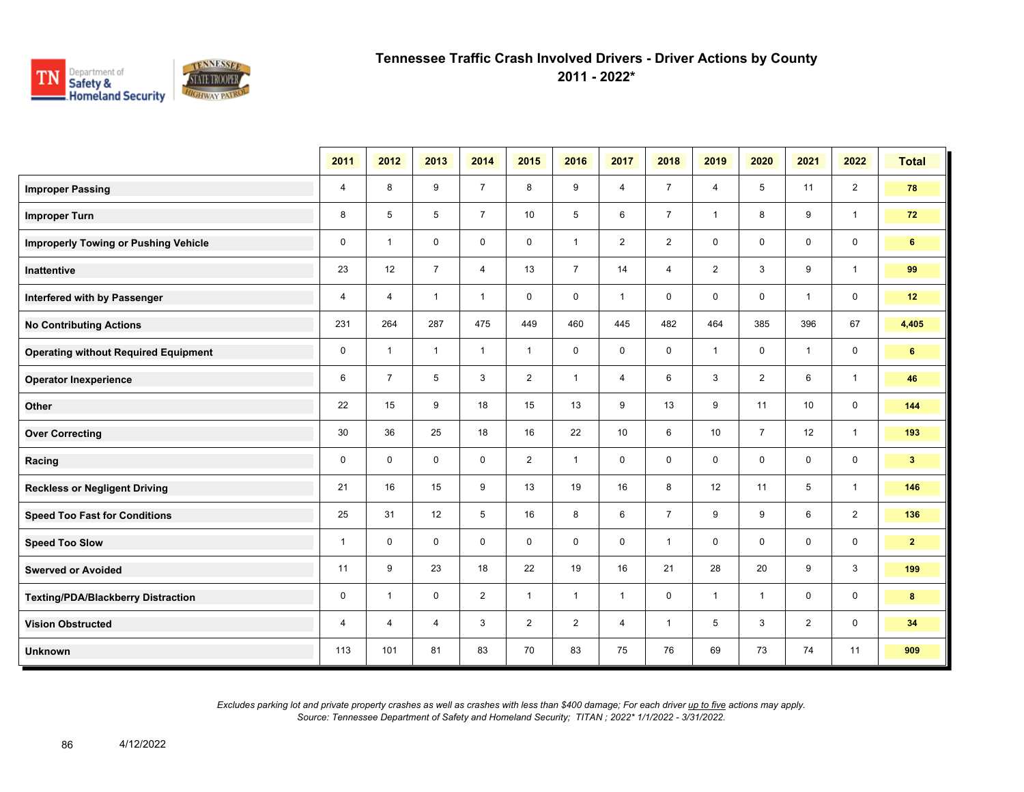

**2011 - 2022\***

|                                             | 2011           | 2012           | 2013           | 2014           | 2015           | 2016           | 2017           | 2018           | 2019           | 2020           | 2021           | 2022           | <b>Total</b>   |
|---------------------------------------------|----------------|----------------|----------------|----------------|----------------|----------------|----------------|----------------|----------------|----------------|----------------|----------------|----------------|
| <b>Improper Passing</b>                     | $\overline{4}$ | 8              | 9              | $\overline{7}$ | 8              | 9              | 4              | $\overline{7}$ | $\overline{4}$ | 5              | 11             | $\overline{2}$ | 78             |
| <b>Improper Turn</b>                        | 8              | 5              | 5              | $\overline{7}$ | 10             | 5              | 6              | $\overline{7}$ | $\mathbf{1}$   | 8              | 9              | $\mathbf{1}$   | 72             |
| <b>Improperly Towing or Pushing Vehicle</b> | $\mathbf 0$    | $\overline{1}$ | $\mathbf 0$    | $\mathbf 0$    | $\mathbf 0$    | $\overline{1}$ | $\overline{2}$ | $\overline{c}$ | $\mathbf 0$    | $\mathbf 0$    | 0              | $\mathbf 0$    | 6              |
| Inattentive                                 | 23             | 12             | $\overline{7}$ | $\overline{4}$ | 13             | $\overline{7}$ | 14             | $\overline{4}$ | $\overline{2}$ | 3              | 9              | $\mathbf{1}$   | 99             |
| Interfered with by Passenger                | $\overline{4}$ | $\overline{4}$ | $\mathbf{1}$   | $\mathbf{1}$   | $\mathbf 0$    | $\mathbf 0$    | $\mathbf{1}$   | $\mathsf 0$    | $\mathbf 0$    | $\mathbf 0$    | $\mathbf{1}$   | $\mathbf 0$    | 12             |
| <b>No Contributing Actions</b>              | 231            | 264            | 287            | 475            | 449            | 460            | 445            | 482            | 464            | 385            | 396            | 67             | 4,405          |
| <b>Operating without Required Equipment</b> | 0              | $\overline{1}$ | $\mathbf{1}$   | $\mathbf{1}$   | $\mathbf{1}$   | 0              | $\mathbf 0$    | $\mathbf 0$    | $\mathbf{1}$   | 0              | $\mathbf{1}$   | 0              | 6              |
| <b>Operator Inexperience</b>                | 6              | $\overline{7}$ | 5              | 3              | $\overline{2}$ | $\mathbf{1}$   | 4              | 6              | 3              | $\overline{2}$ | 6              | $\mathbf{1}$   | 46             |
| Other                                       | 22             | 15             | 9              | 18             | 15             | 13             | 9              | 13             | 9              | 11             | 10             | $\mathbf 0$    | 144            |
| <b>Over Correcting</b>                      | 30             | 36             | 25             | 18             | 16             | 22             | 10             | 6              | 10             | $\overline{7}$ | 12             | $\mathbf{1}$   | 193            |
| Racing                                      | 0              | $\mathbf 0$    | $\Omega$       | $\mathbf 0$    | $\overline{2}$ | $\mathbf{1}$   | $\mathbf 0$    | $\mathbf 0$    | $\mathbf 0$    | $\mathbf 0$    | $\mathbf 0$    | 0              | 3 <sup>1</sup> |
| <b>Reckless or Negligent Driving</b>        | 21             | 16             | 15             | 9              | 13             | 19             | 16             | 8              | 12             | 11             | 5              | $\mathbf{1}$   | 146            |
| <b>Speed Too Fast for Conditions</b>        | 25             | 31             | 12             | 5              | 16             | 8              | 6              | $\overline{7}$ | 9              | 9              | 6              | $\overline{2}$ | 136            |
| <b>Speed Too Slow</b>                       | $\mathbf{1}$   | $\mathbf 0$    | $\mathbf 0$    | $\mathbf 0$    | $\mathbf 0$    | $\mathbf 0$    | $\mathbf 0$    | $\mathbf{1}$   | $\mathbf 0$    | $\mathbf 0$    | $\mathbf 0$    | $\mathbf 0$    | 2 <sup>7</sup> |
| <b>Swerved or Avoided</b>                   | 11             | 9              | 23             | 18             | 22             | 19             | 16             | 21             | 28             | 20             | 9              | 3              | 199            |
| <b>Texting/PDA/Blackberry Distraction</b>   | 0              | $\overline{1}$ | $\mathbf 0$    | $\overline{2}$ | $\mathbf{1}$   | $\mathbf{1}$   | $\mathbf{1}$   | $\mathbf 0$    | $\mathbf{1}$   | $\mathbf{1}$   | 0              | 0              | $\bf{8}$       |
| <b>Vision Obstructed</b>                    | 4              | 4              | $\overline{4}$ | 3              | $\overline{2}$ | $\overline{2}$ | 4              | -1             | 5              | 3              | $\overline{2}$ | 0              | 34             |
| <b>Unknown</b>                              | 113            | 101            | 81             | 83             | 70             | 83             | 75             | 76             | 69             | 73             | 74             | 11             | 909            |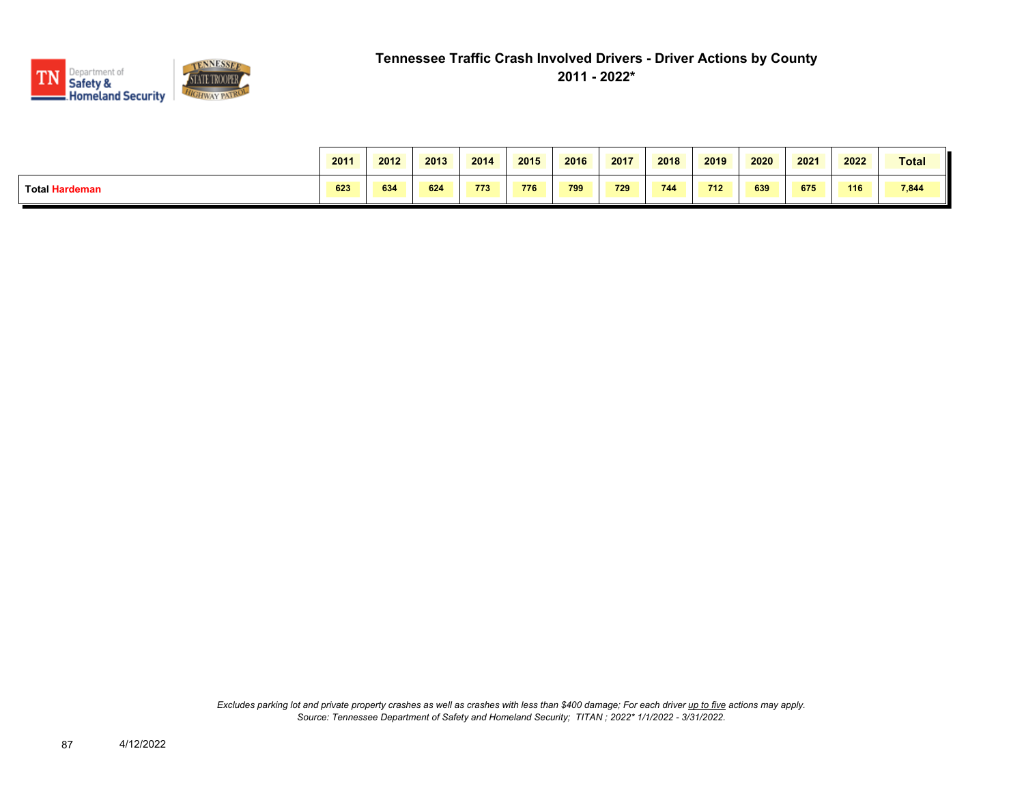

|                       | 2011 | 2012 | 2013 | 2014 | 2015 | 2016 | 2017 | 2018 | 2019 | 2020 | 2021 | 2022 | Total |
|-----------------------|------|------|------|------|------|------|------|------|------|------|------|------|-------|
| <b>Total Hardeman</b> | 623  | 634  | 624  | 773  | 776  | 799  | 729  | 744  | 712  | 639  | 675  | 116  | 7,844 |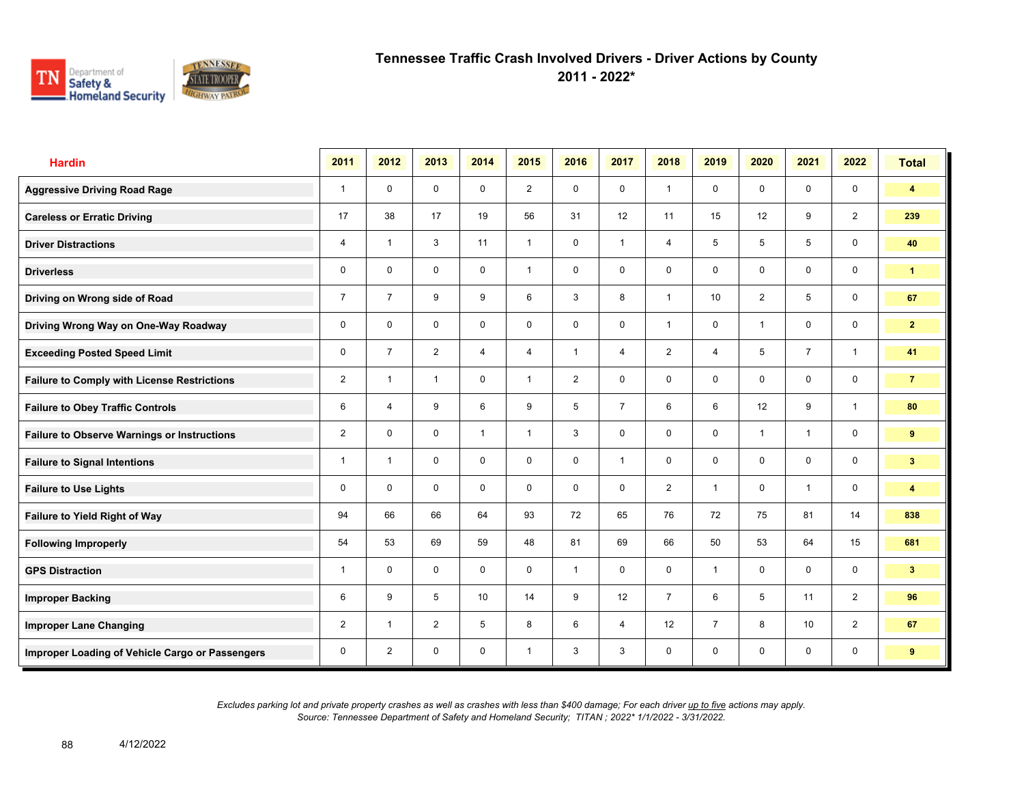

**2011 - 2022\***

| <b>Hardin</b>                                      | 2011           | 2012                    | 2013           | 2014           | 2015           | 2016           | 2017           | 2018           | 2019           | 2020           | 2021           | 2022           | <b>Total</b>            |
|----------------------------------------------------|----------------|-------------------------|----------------|----------------|----------------|----------------|----------------|----------------|----------------|----------------|----------------|----------------|-------------------------|
| <b>Aggressive Driving Road Rage</b>                | $\mathbf{1}$   | $\mathbf 0$             | $\mathbf 0$    | $\mathbf 0$    | $\overline{2}$ | $\mathbf 0$    | $\mathbf 0$    | $\mathbf{1}$   | $\mathbf 0$    | $\mathbf 0$    | $\mathbf 0$    | $\mathbf 0$    | $\overline{\mathbf{4}}$ |
| <b>Careless or Erratic Driving</b>                 | 17             | 38                      | 17             | 19             | 56             | 31             | 12             | 11             | 15             | 12             | 9              | $\overline{2}$ | 239                     |
| <b>Driver Distractions</b>                         | 4              | $\overline{\mathbf{1}}$ | 3              | 11             | $\mathbf{1}$   | $\mathbf 0$    | $\mathbf{1}$   | $\overline{4}$ | 5              | 5              | 5              | $\mathbf 0$    | 40                      |
| <b>Driverless</b>                                  | 0              | $\mathbf 0$             | $\mathbf 0$    | $\mathbf 0$    | $\mathbf{1}$   | $\mathbf 0$    | $\mathbf 0$    | $\mathbf 0$    | 0              | $\mathbf 0$    | $\mathbf 0$    | $\mathbf 0$    | $\mathbf{1}$            |
| Driving on Wrong side of Road                      | $\overline{7}$ | $\overline{7}$          | 9              | 9              | 6              | 3              | 8              | $\mathbf{1}$   | 10             | $\overline{2}$ | 5              | $\mathbf 0$    | 67                      |
| Driving Wrong Way on One-Way Roadway               | 0              | $\mathbf 0$             | $\mathbf 0$    | $\mathbf 0$    | 0              | $\mathbf 0$    | $\mathbf 0$    | $\mathbf{1}$   | $\mathbf 0$    | $\overline{1}$ | $\mathbf 0$    | $\mathbf 0$    | $\mathbf{2}$            |
| <b>Exceeding Posted Speed Limit</b>                | 0              | $\overline{7}$          | $\overline{2}$ | $\overline{4}$ | 4              | $\overline{1}$ | $\overline{4}$ | $\overline{2}$ | 4              | 5              | $\overline{7}$ | $\mathbf{1}$   | 41                      |
| <b>Failure to Comply with License Restrictions</b> | $\overline{2}$ | $\overline{\mathbf{1}}$ | $\mathbf{1}$   | $\mathbf 0$    | $\mathbf{1}$   | $\overline{2}$ | $\mathbf 0$    | $\mathbf{0}$   | $\mathbf 0$    | $\mathbf 0$    | $\mathbf 0$    | $\mathbf 0$    | $\overline{7}$          |
| <b>Failure to Obey Traffic Controls</b>            | 6              | $\overline{4}$          | 9              | 6              | 9              | 5              | $\overline{7}$ | 6              | 6              | 12             | 9              | $\overline{1}$ | 80                      |
| <b>Failure to Observe Warnings or Instructions</b> | $\overline{2}$ | $\Omega$                | $\mathbf 0$    | $\mathbf{1}$   | $\mathbf{1}$   | 3              | $\mathbf 0$    | $\mathbf 0$    | $\mathbf 0$    | $\overline{1}$ | $\mathbf{1}$   | $\mathbf 0$    | 9                       |
| <b>Failure to Signal Intentions</b>                | $\mathbf{1}$   | $\overline{\mathbf{1}}$ | $\mathbf 0$    | $\mathbf 0$    | 0              | $\mathbf 0$    | $\mathbf{1}$   | $\mathbf 0$    | $\mathbf 0$    | $\mathbf 0$    | $\mathbf 0$    | $\mathbf 0$    | 3 <sup>2</sup>          |
| <b>Failure to Use Lights</b>                       | 0              | $\Omega$                | $\mathbf 0$    | $\mathbf 0$    | 0              | $\mathbf 0$    | $\mathbf 0$    | $\overline{2}$ | $\mathbf{1}$   | $\mathbf 0$    | $\mathbf{1}$   | $\mathbf 0$    | $\overline{\mathbf{4}}$ |
| <b>Failure to Yield Right of Way</b>               | 94             | 66                      | 66             | 64             | 93             | 72             | 65             | 76             | 72             | 75             | 81             | 14             | 838                     |
| <b>Following Improperly</b>                        | 54             | 53                      | 69             | 59             | 48             | 81             | 69             | 66             | 50             | 53             | 64             | 15             | 681                     |
| <b>GPS Distraction</b>                             | $\mathbf{1}$   | $\mathbf 0$             | $\mathbf 0$    | $\mathbf 0$    | $\mathbf 0$    | $\overline{1}$ | $\mathbf 0$    | $\mathbf 0$    | $\mathbf{1}$   | $\mathbf 0$    | $\mathbf 0$    | $\mathbf 0$    | 3 <sup>1</sup>          |
| <b>Improper Backing</b>                            | 6              | 9                       | 5              | 10             | 14             | 9              | 12             | $\overline{7}$ | 6              | 5              | 11             | 2              | 96                      |
| <b>Improper Lane Changing</b>                      | $\overline{2}$ | $\overline{\mathbf{1}}$ | 2              | 5              | 8              | 6              | $\overline{4}$ | 12             | $\overline{7}$ | 8              | 10             | 2              | 67                      |
| Improper Loading of Vehicle Cargo or Passengers    | 0              | 2                       | 0              | $\mathbf 0$    | $\mathbf{1}$   | 3              | 3              | $\mathsf{O}$   | $\mathbf 0$    | $\mathbf 0$    | $\mathbf 0$    | $\mathbf 0$    | 9                       |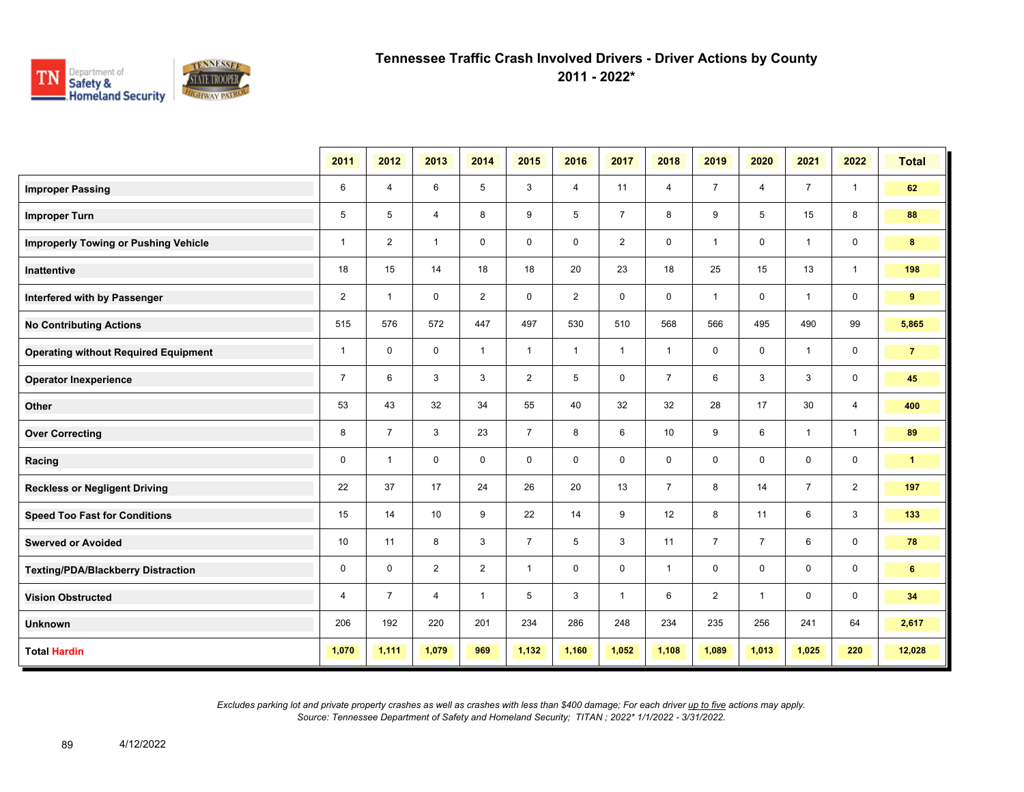

**2011 - 2022\***

|                                             | 2011           | 2012           | 2013           | 2014           | 2015           | 2016           | 2017           | 2018           | 2019           | 2020           | 2021           | 2022           | <b>Total</b>   |
|---------------------------------------------|----------------|----------------|----------------|----------------|----------------|----------------|----------------|----------------|----------------|----------------|----------------|----------------|----------------|
| <b>Improper Passing</b>                     | 6              | $\overline{4}$ | 6              | 5              | 3              | 4              | 11             | 4              | $\overline{7}$ | 4              | $\overline{7}$ | $\mathbf{1}$   | 62             |
| <b>Improper Turn</b>                        | 5              | 5              | $\overline{4}$ | 8              | 9              | 5              | $\overline{7}$ | 8              | 9              | 5              | 15             | 8              | 88             |
| <b>Improperly Towing or Pushing Vehicle</b> | $\mathbf{1}$   | $\overline{2}$ | $\mathbf{1}$   | $\mathbf 0$    | $\mathbf 0$    | $\mathbf 0$    | $\overline{2}$ | 0              | $\mathbf{1}$   | $\mathbf 0$    | $\mathbf{1}$   | $\mathbf 0$    | 8              |
| <b>Inattentive</b>                          | 18             | 15             | 14             | 18             | 18             | 20             | 23             | 18             | 25             | 15             | 13             | $\mathbf{1}$   | 198            |
| Interfered with by Passenger                | $\overline{2}$ | $\mathbf{1}$   | $\mathbf 0$    | $\overline{2}$ | $\mathbf 0$    | $\overline{2}$ | 0              | 0              | $\mathbf{1}$   | 0              | $\overline{1}$ | $\mathbf 0$    | 9              |
| <b>No Contributing Actions</b>              | 515            | 576            | 572            | 447            | 497            | 530            | 510            | 568            | 566            | 495            | 490            | 99             | 5,865          |
| <b>Operating without Required Equipment</b> | $\mathbf{1}$   | $\mathbf 0$    | $\mathbf 0$    | $\mathbf{1}$   | $\mathbf{1}$   | $\mathbf{1}$   | $\mathbf{1}$   | $\mathbf{1}$   | 0              | 0              | $\overline{1}$ | $\mathbf 0$    | $\overline{7}$ |
| <b>Operator Inexperience</b>                | $\overline{7}$ | 6              | 3              | 3              | $\overline{2}$ | 5              | $\mathbf 0$    | $\overline{7}$ | 6              | 3              | 3              | $\mathbf 0$    | 45             |
| Other                                       | 53             | 43             | 32             | 34             | 55             | 40             | 32             | 32             | 28             | 17             | 30             | $\overline{4}$ | 400            |
| <b>Over Correcting</b>                      | 8              | $\overline{7}$ | 3              | 23             | $\overline{7}$ | 8              | 6              | 10             | 9              | 6              | $\mathbf{1}$   | $\mathbf{1}$   | 89             |
| Racing                                      | 0              | $\overline{1}$ | $\mathbf 0$    | $\mathbf 0$    | $\mathbf 0$    | $\mathbf 0$    | $\mathbf 0$    | 0              | 0              | 0              | $\mathbf 0$    | $\mathbf 0$    | $\mathbf{1}$   |
| <b>Reckless or Negligent Driving</b>        | 22             | 37             | 17             | 24             | 26             | 20             | 13             | $\overline{7}$ | 8              | 14             | $\overline{7}$ | 2              | 197            |
| <b>Speed Too Fast for Conditions</b>        | 15             | 14             | 10             | 9              | 22             | 14             | 9              | 12             | 8              | 11             | 6              | 3              | 133            |
| <b>Swerved or Avoided</b>                   | 10             | 11             | 8              | 3              | $\overline{7}$ | 5              | 3              | 11             | $\overline{7}$ | $\overline{7}$ | 6              | $\mathbf 0$    | 78             |
| <b>Texting/PDA/Blackberry Distraction</b>   | $\pmb{0}$      | $\mathbf 0$    | $\overline{2}$ | $\overline{2}$ | $\mathbf{1}$   | $\mathbf 0$    | $\mathbf 0$    | $\mathbf{1}$   | $\mathbf 0$    | $\mathbf 0$    | $\mathbf 0$    | $\mathbf 0$    | 6              |
| <b>Vision Obstructed</b>                    | 4              | $\overline{7}$ | 4              | $\mathbf{1}$   | 5              | 3              | $\mathbf{1}$   | 6              | $\overline{2}$ | $\mathbf 1$    | $\mathbf 0$    | $\mathbf 0$    | 34             |
| <b>Unknown</b>                              | 206            | 192            | 220            | 201            | 234            | 286            | 248            | 234            | 235            | 256            | 241            | 64             | 2,617          |
| <b>Total Hardin</b>                         | 1,070          | 1,111          | 1,079          | 969            | 1,132          | 1,160          | 1,052          | 1,108          | 1,089          | 1,013          | 1,025          | 220            | 12,028         |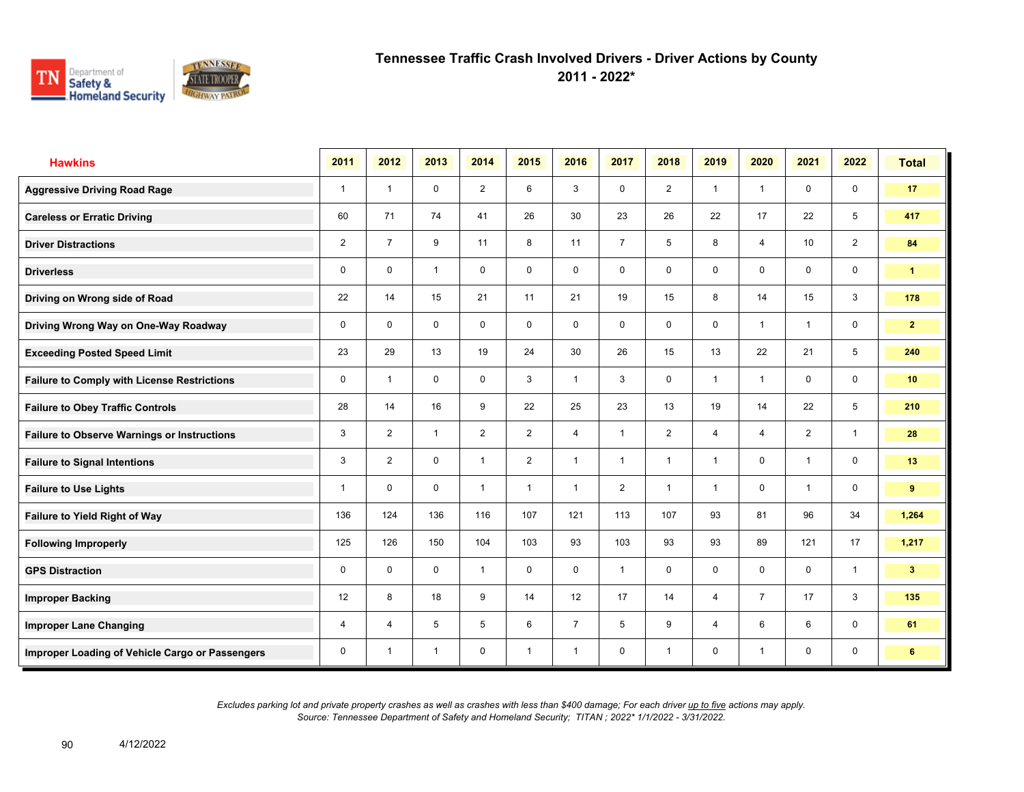

**2011 - 2022\***

| <b>Hawkins</b>                                     | 2011           | 2012           | 2013           | 2014           | 2015           | 2016           | 2017           | 2018           | 2019           | 2020           | 2021           | 2022                    | <b>Total</b>    |
|----------------------------------------------------|----------------|----------------|----------------|----------------|----------------|----------------|----------------|----------------|----------------|----------------|----------------|-------------------------|-----------------|
| <b>Aggressive Driving Road Rage</b>                | $\mathbf{1}$   | $\overline{1}$ | $\mathbf 0$    | 2              | 6              | 3              | $\mathbf 0$    | 2              | $\mathbf{1}$   | $\overline{1}$ | $\mathbf 0$    | $\mathbf 0$             | 17              |
| <b>Careless or Erratic Driving</b>                 | 60             | 71             | 74             | 41             | 26             | 30             | 23             | 26             | 22             | 17             | 22             | 5                       | 417             |
| <b>Driver Distractions</b>                         | $\overline{2}$ | $\overline{7}$ | 9              | 11             | 8              | 11             | $\overline{7}$ | 5              | 8              | $\overline{4}$ | 10             | 2                       | 84              |
| <b>Driverless</b>                                  | 0              | $\mathbf 0$    | $\overline{1}$ | $\mathbf 0$    | 0              | $\mathbf 0$    | $\mathbf 0$    | $\mathbf 0$    | 0              | $\mathbf 0$    | $\mathbf 0$    | $\mathbf 0$             | $\mathbf{1}$    |
| Driving on Wrong side of Road                      | 22             | 14             | 15             | 21             | 11             | 21             | 19             | 15             | 8              | 14             | 15             | 3                       | 178             |
| Driving Wrong Way on One-Way Roadway               | $\mathbf 0$    | $\mathbf 0$    | $\mathbf 0$    | $\mathbf 0$    | $\mathbf 0$    | $\mathbf 0$    | $\mathbf 0$    | $\mathbf 0$    | 0              | $\overline{1}$ | $\mathbf{1}$   | $\mathbf 0$             | $\overline{2}$  |
| <b>Exceeding Posted Speed Limit</b>                | 23             | 29             | 13             | 19             | 24             | 30             | 26             | 15             | 13             | 22             | 21             | 5                       | 240             |
| <b>Failure to Comply with License Restrictions</b> | $\Omega$       | $\overline{1}$ | $\Omega$       | $\mathbf 0$    | 3              | $\overline{1}$ | 3              | $\mathbf 0$    | $\mathbf{1}$   | $\overline{1}$ | $\mathbf 0$    | $\mathbf 0$             | 10 <sup>°</sup> |
| <b>Failure to Obey Traffic Controls</b>            | 28             | 14             | 16             | 9              | 22             | 25             | 23             | 13             | 19             | 14             | 22             | 5                       | 210             |
| <b>Failure to Observe Warnings or Instructions</b> | 3              | 2              | $\mathbf{1}$   | $\overline{2}$ | $\overline{2}$ | $\overline{4}$ | $\mathbf{1}$   | $\overline{2}$ | $\overline{4}$ | $\overline{4}$ | 2              | $\mathbf{1}$            | 28              |
| <b>Failure to Signal Intentions</b>                | 3              | $\overline{2}$ | $\mathbf 0$    | $\mathbf{1}$   | $\overline{2}$ | $\overline{1}$ | $\mathbf{1}$   | $\mathbf{1}$   | $\mathbf{1}$   | 0              | $\overline{1}$ | $\mathbf 0$             | 13              |
| <b>Failure to Use Lights</b>                       | 1              | $\mathbf{0}$   | $\Omega$       | $\mathbf{1}$   | $\mathbf{1}$   | $\overline{1}$ | $\overline{2}$ | $\mathbf{1}$   | $\mathbf{1}$   | $\mathbf 0$    | $\mathbf{1}$   | $\mathsf{O}\phantom{0}$ | 9               |
| Failure to Yield Right of Way                      | 136            | 124            | 136            | 116            | 107            | 121            | 113            | 107            | 93             | 81             | 96             | 34                      | 1,264           |
| <b>Following Improperly</b>                        | 125            | 126            | 150            | 104            | 103            | 93             | 103            | 93             | 93             | 89             | 121            | 17                      | 1,217           |
| <b>GPS Distraction</b>                             | 0              | $\Omega$       | $\Omega$       | $\mathbf{1}$   | $\mathbf 0$    | $\Omega$       | $\mathbf{1}$   | $\mathbf 0$    | $\mathbf 0$    | $\Omega$       | $\Omega$       | $\mathbf{1}$            | 3 <sup>2</sup>  |
| <b>Improper Backing</b>                            | 12             | 8              | 18             | 9              | 14             | 12             | 17             | 14             | 4              | $\overline{7}$ | 17             | 3                       | 135             |
| <b>Improper Lane Changing</b>                      | 4              | $\overline{4}$ | 5              | 5              | 6              | $\overline{7}$ | 5              | 9              | 4              | 6              | 6              | $\mathbf 0$             | 61              |
| Improper Loading of Vehicle Cargo or Passengers    | 0              | $\overline{1}$ | $\mathbf{1}$   | $\mathbf 0$    | $\mathbf{1}$   | $\overline{1}$ | $\mathbf 0$    | $\mathbf{1}$   | 0              | $\overline{1}$ | 0              | 0                       | 6               |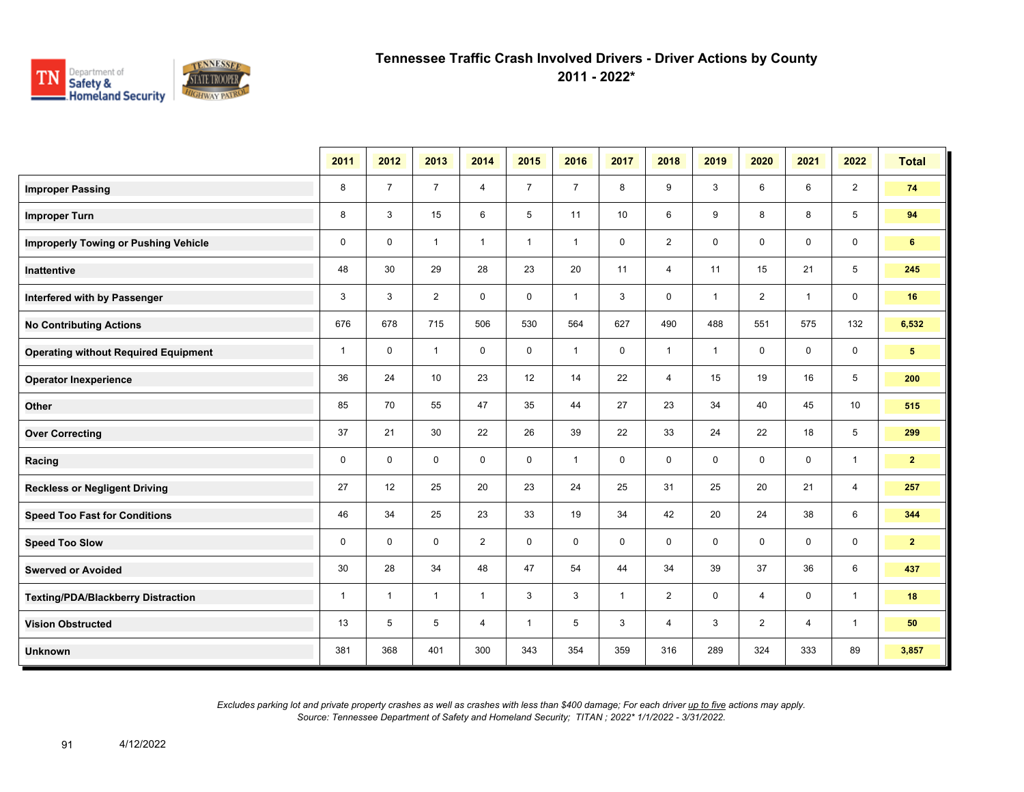

**2011 - 2022\***

|                                             | 2011         | 2012           | 2013           | 2014           | 2015           | 2016           | 2017         | 2018           | 2019         | 2020           | 2021           | 2022           | <b>Total</b>   |
|---------------------------------------------|--------------|----------------|----------------|----------------|----------------|----------------|--------------|----------------|--------------|----------------|----------------|----------------|----------------|
| <b>Improper Passing</b>                     | 8            | $\overline{7}$ | $\overline{7}$ | 4              | $\overline{7}$ | $\overline{7}$ | 8            | 9              | 3            | 6              | 6              | $\overline{2}$ | 74             |
| <b>Improper Turn</b>                        | 8            | 3              | 15             | 6              | 5              | 11             | 10           | 6              | 9            | 8              | 8              | 5              | 94             |
| <b>Improperly Towing or Pushing Vehicle</b> | $\mathbf 0$  | $\mathbf 0$    | $\mathbf{1}$   | $\mathbf{1}$   | $\mathbf{1}$   | $\mathbf{1}$   | 0            | $\overline{2}$ | 0            | $\mathbf 0$    | $\mathbf 0$    | $\mathsf{O}$   | 6              |
| <b>Inattentive</b>                          | 48           | 30             | 29             | 28             | 23             | 20             | 11           | $\overline{4}$ | 11           | 15             | 21             | 5              | 245            |
| Interfered with by Passenger                | 3            | 3              | $\overline{2}$ | $\mathbf 0$    | $\mathbf 0$    | $\mathbf{1}$   | 3            | $\mathbf 0$    | $\mathbf{1}$ | $\overline{2}$ | $\mathbf{1}$   | $\mathsf{O}$   | 16             |
| <b>No Contributing Actions</b>              | 676          | 678            | 715            | 506            | 530            | 564            | 627          | 490            | 488          | 551            | 575            | 132            | 6,532          |
| <b>Operating without Required Equipment</b> | $\mathbf{1}$ | $\mathbf 0$    | $\mathbf{1}$   | $\mathbf 0$    | $\mathbf 0$    | $\mathbf{1}$   | 0            | $\mathbf{1}$   | $\mathbf{1}$ | $\mathbf 0$    | $\mathbf 0$    | $\mathbf 0$    | 5 <sub>5</sub> |
| <b>Operator Inexperience</b>                | 36           | 24             | 10             | 23             | 12             | 14             | 22           | $\overline{4}$ | 15           | 19             | 16             | 5              | 200            |
| Other                                       | 85           | 70             | 55             | 47             | 35             | 44             | 27           | 23             | 34           | 40             | 45             | 10             | 515            |
| <b>Over Correcting</b>                      | 37           | 21             | 30             | 22             | 26             | 39             | 22           | 33             | 24           | 22             | 18             | 5              | 299            |
| Racing                                      | $\mathbf 0$  | $\mathbf 0$    | $\mathbf 0$    | $\mathbf 0$    | $\mathbf 0$    | $\mathbf{1}$   | $\mathbf 0$  | 0              | $\mathbf 0$  | $\mathbf 0$    | $\mathbf 0$    | $\mathbf{1}$   | $\mathbf{2}$   |
| <b>Reckless or Negligent Driving</b>        | 27           | 12             | 25             | 20             | 23             | 24             | 25           | 31             | 25           | 20             | 21             | $\overline{4}$ | 257            |
| <b>Speed Too Fast for Conditions</b>        | 46           | 34             | 25             | 23             | 33             | 19             | 34           | 42             | 20           | 24             | 38             | 6              | 344            |
| <b>Speed Too Slow</b>                       | 0            | $\mathbf 0$    | $\mathbf 0$    | $\overline{2}$ | $\mathbf 0$    | $\mathbf 0$    | 0            | 0              | 0            | $\mathbf 0$    | $\mathbf 0$    | $\mathsf{O}$   | $\overline{2}$ |
| <b>Swerved or Avoided</b>                   | 30           | 28             | 34             | 48             | 47             | 54             | 44           | 34             | 39           | 37             | 36             | 6              | 437            |
| <b>Texting/PDA/Blackberry Distraction</b>   | $\mathbf{1}$ | $\mathbf 1$    | $\mathbf{1}$   | $\mathbf{1}$   | 3              | 3              | $\mathbf{1}$ | $\overline{2}$ | 0            | $\overline{4}$ | $\mathbf 0$    | $\mathbf{1}$   | 18             |
| <b>Vision Obstructed</b>                    | 13           | 5              | 5              | 4              | $\mathbf{1}$   | 5              | 3            | 4              | 3            | $\overline{2}$ | $\overline{4}$ | $\mathbf{1}$   | 50             |
| <b>Unknown</b>                              | 381          | 368            | 401            | 300            | 343            | 354            | 359          | 316            | 289          | 324            | 333            | 89             | 3,857          |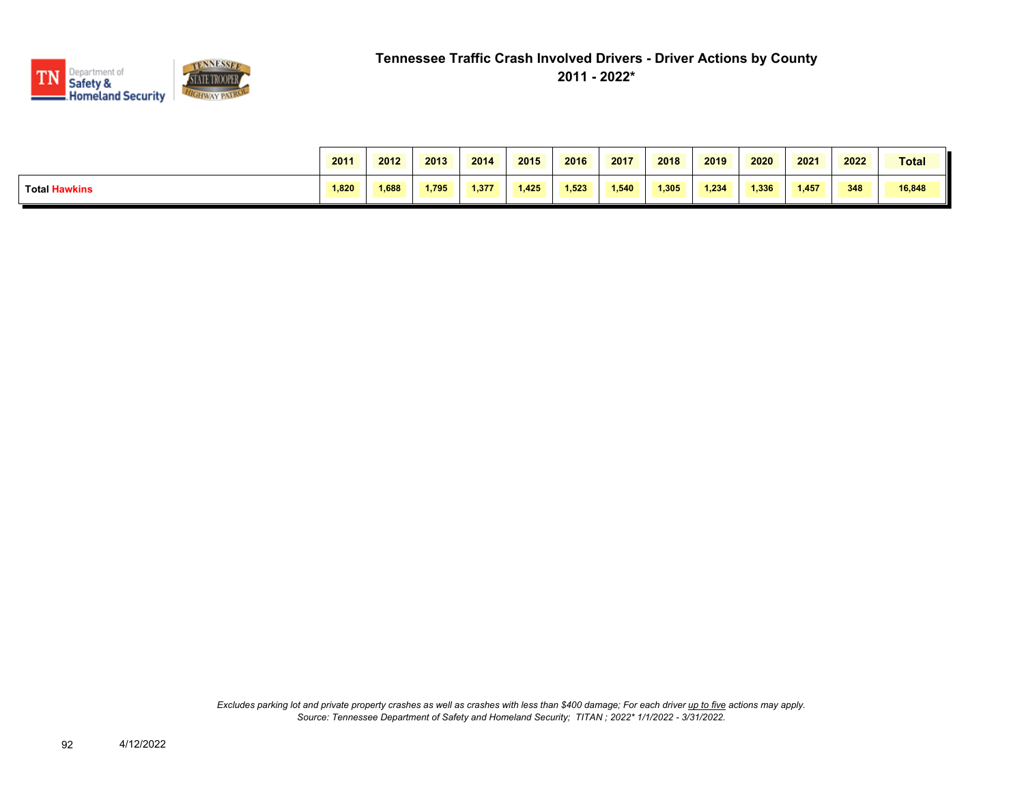

|                      | 2011  | 2012  | 2013  | 2014  | 2015  | 2016  | 2017  | 2018  | 2019  | 2020  | 2021  | 2022 | <b>Total</b> |
|----------------------|-------|-------|-------|-------|-------|-------|-------|-------|-------|-------|-------|------|--------------|
| <b>Total Hawkins</b> | 1,820 | 1.688 | 1.795 | 1.377 | 1.425 | 1.523 | 1,540 | 1,305 | 1.234 | 1,336 | 1,457 | 348  | 16,848       |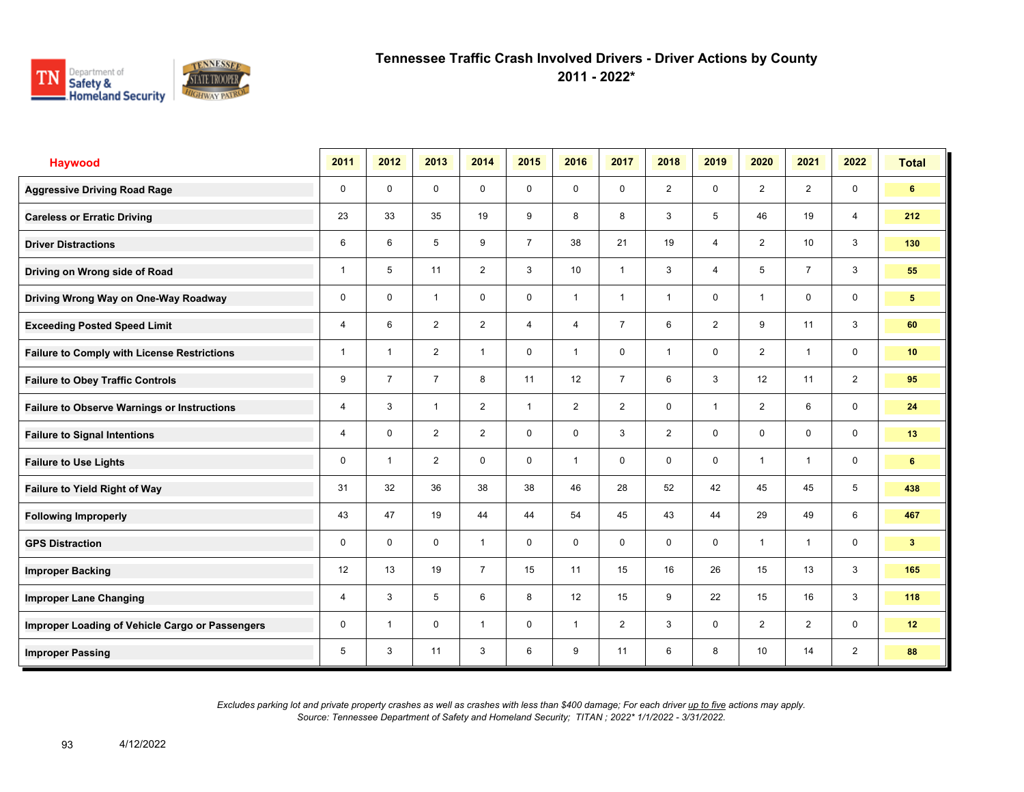

**2011 - 2022\***

| <b>Haywood</b>                                     | 2011           | 2012           | 2013           | 2014           | 2015           | 2016           | 2017           | 2018           | 2019           | 2020                    | 2021           | 2022           | <b>Total</b>   |
|----------------------------------------------------|----------------|----------------|----------------|----------------|----------------|----------------|----------------|----------------|----------------|-------------------------|----------------|----------------|----------------|
| <b>Aggressive Driving Road Rage</b>                | 0              | 0              | $\mathbf 0$    | $\mathbf 0$    | 0              | 0              | $\mathbf 0$    | $\overline{2}$ | 0              | $\overline{2}$          | $\overline{2}$ | $\mathbf 0$    | 6              |
| <b>Careless or Erratic Driving</b>                 | 23             | 33             | 35             | 19             | 9              | 8              | 8              | 3              | 5              | 46                      | 19             | $\overline{4}$ | 212            |
| <b>Driver Distractions</b>                         | 6              | 6              | 5              | 9              | $\overline{7}$ | 38             | 21             | 19             | 4              | $\overline{2}$          | 10             | 3              | 130            |
| Driving on Wrong side of Road                      | $\mathbf{1}$   | 5              | 11             | $\overline{2}$ | 3              | 10             | $\mathbf{1}$   | 3              | 4              | 5                       | $\overline{7}$ | 3              | 55             |
| Driving Wrong Way on One-Way Roadway               | $\mathbf 0$    | $\mathbf 0$    | $\overline{1}$ | $\mathbf 0$    | $\mathbf 0$    | $\mathbf 1$    | $\mathbf{1}$   | $\mathbf{1}$   | 0              | $\overline{1}$          | $\mathbf 0$    | $\mathbf 0$    | 5              |
| <b>Exceeding Posted Speed Limit</b>                | 4              | 6              | $\overline{2}$ | $\overline{2}$ | $\overline{4}$ | 4              | $\overline{7}$ | 6              | $\overline{2}$ | 9                       | 11             | 3              | 60             |
| <b>Failure to Comply with License Restrictions</b> | $\mathbf{1}$   | $\overline{1}$ | $\overline{2}$ | $\mathbf{1}$   | 0              | $\overline{1}$ | 0              | $\mathbf{1}$   | 0              | $\overline{2}$          | $\overline{1}$ | $\mathbf 0$    | 10             |
| <b>Failure to Obey Traffic Controls</b>            | 9              | $\overline{7}$ | $\overline{7}$ | 8              | 11             | 12             | $\overline{7}$ | 6              | 3              | 12                      | 11             | $\overline{2}$ | 95             |
| <b>Failure to Observe Warnings or Instructions</b> | $\overline{4}$ | 3              | $\overline{1}$ | $\overline{2}$ | $\mathbf{1}$   | $\overline{2}$ | $\overline{2}$ | $\mathbf 0$    | 1              | $\overline{2}$          | 6              | $\mathbf 0$    | 24             |
| <b>Failure to Signal Intentions</b>                | 4              | $\mathbf 0$    | $\overline{2}$ | $\overline{2}$ | $\mathbf 0$    | $\mathbf 0$    | 3              | $\overline{2}$ | 0              | $\Omega$                | 0              | $\mathbf 0$    | 13             |
| <b>Failure to Use Lights</b>                       | $\mathbf 0$    | $\overline{1}$ | $\overline{2}$ | $\mathbf 0$    | $\mathbf 0$    | $\overline{1}$ | 0              | $\mathbf 0$    | 0              | $\overline{\mathbf{1}}$ | $\overline{1}$ | $\mathbf 0$    | 6              |
| Failure to Yield Right of Way                      | 31             | 32             | 36             | 38             | 38             | 46             | 28             | 52             | 42             | 45                      | 45             | 5              | 438            |
| <b>Following Improperly</b>                        | 43             | 47             | 19             | 44             | 44             | 54             | 45             | 43             | 44             | 29                      | 49             | 6              | 467            |
| <b>GPS Distraction</b>                             | 0              | $\Omega$       | $\Omega$       | $\mathbf{1}$   | $\mathbf 0$    | $\Omega$       | $\mathbf 0$    | $\mathbf 0$    | 0              | $\overline{\mathbf{1}}$ | $\overline{1}$ | $\mathbf 0$    | 3 <sup>2</sup> |
| <b>Improper Backing</b>                            | 12             | 13             | 19             | $\overline{7}$ | 15             | 11             | 15             | 16             | 26             | 15                      | 13             | 3              | 165            |
| <b>Improper Lane Changing</b>                      | 4              | 3              | 5              | 6              | 8              | 12             | 15             | 9              | 22             | 15                      | 16             | 3              | 118            |
| Improper Loading of Vehicle Cargo or Passengers    | 0              | $\overline{1}$ | $\mathbf 0$    | $\overline{1}$ | $\mathbf 0$    | $\overline{1}$ | $\overline{2}$ | 3              | 0              | 2                       | $\overline{2}$ | $\mathbf 0$    | 12             |
| <b>Improper Passing</b>                            | 5              | 3              | 11             | 3              | 6              | 9              | 11             | 6              | 8              | 10                      | 14             | $\overline{2}$ | 88             |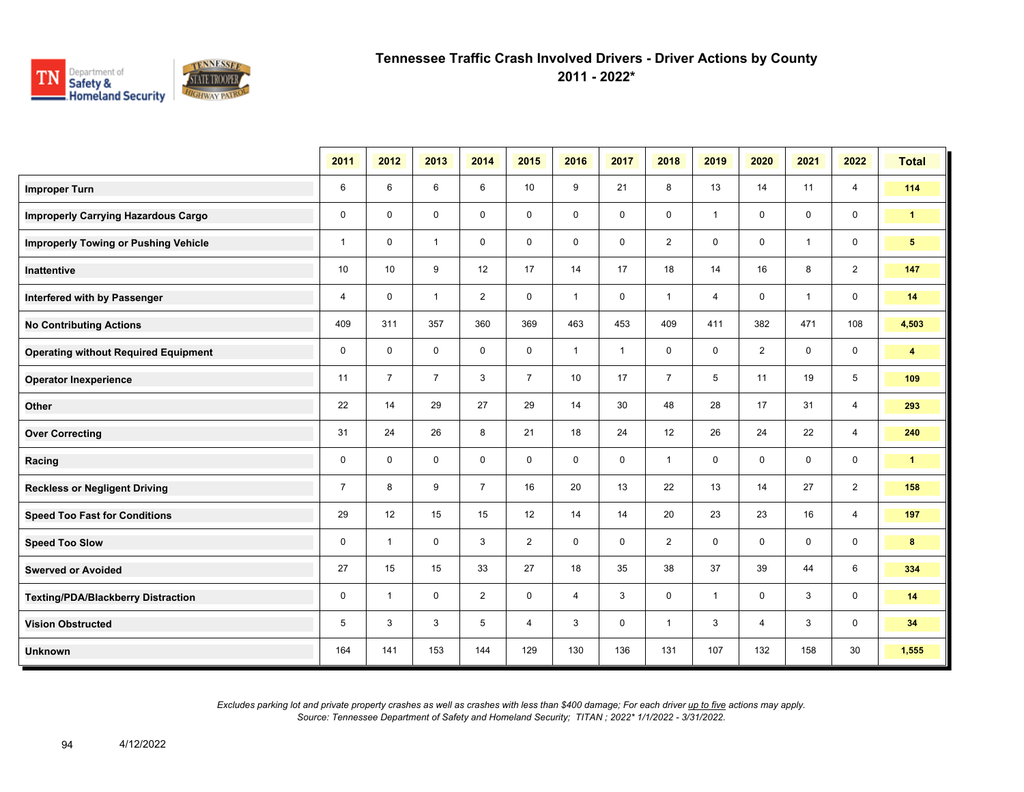

**2011 - 2022\***

|                                             | 2011           | 2012           | 2013           | 2014           | 2015           | 2016         | 2017         | 2018           | 2019         | 2020             | 2021         | 2022           | <b>Total</b>            |
|---------------------------------------------|----------------|----------------|----------------|----------------|----------------|--------------|--------------|----------------|--------------|------------------|--------------|----------------|-------------------------|
| <b>Improper Turn</b>                        | 6              | 6              | 6              | 6              | 10             | 9            | 21           | 8              | 13           | 14               | 11           | $\overline{4}$ | 114                     |
| <b>Improperly Carrying Hazardous Cargo</b>  | $\mathbf 0$    | $\Omega$       | $\mathbf 0$    | $\mathbf 0$    | $\mathbf 0$    | $\mathbf 0$  | $\mathbf 0$  | $\mathbf 0$    | $\mathbf{1}$ | $\mathbf 0$      | 0            | $\mathbf 0$    | $\blacktriangleleft$    |
| <b>Improperly Towing or Pushing Vehicle</b> | $\mathbf{1}$   | $\mathbf 0$    | $\mathbf{1}$   | $\mathbf 0$    | 0              | $\mathbf 0$  | 0            | $\overline{2}$ | 0            | 0                | $\mathbf{1}$ | 0              | 5 <sup>1</sup>          |
| <b>Inattentive</b>                          | 10             | 10             | 9              | 12             | 17             | 14           | 17           | 18             | 14           | 16               | 8            | $\overline{2}$ | 147                     |
| Interfered with by Passenger                | 4              | $\mathbf 0$    | $\mathbf{1}$   | $\overline{2}$ | $\mathbf 0$    | $\mathbf{1}$ | 0            | $\mathbf{1}$   | 4            | $\mathbf 0$      | $\mathbf{1}$ | $\mathbf 0$    | 14                      |
| <b>No Contributing Actions</b>              | 409            | 311            | 357            | 360            | 369            | 463          | 453          | 409            | 411          | 382              | 471          | 108            | 4,503                   |
| <b>Operating without Required Equipment</b> | $\mathbf 0$    | $\mathbf 0$    | $\mathbf 0$    | $\mathbf 0$    | $\mathbf 0$    | $\mathbf{1}$ | $\mathbf{1}$ | $\mathbf 0$    | $\mathbf 0$  | $\overline{2}$   | $\mathbf 0$  | 0              | $\overline{\mathbf{4}}$ |
| <b>Operator Inexperience</b>                | 11             | $\overline{7}$ | $\overline{7}$ | 3              | $\overline{7}$ | 10           | 17           | $\overline{7}$ | 5            | 11               | 19           | 5              | 109                     |
| Other                                       | 22             | 14             | 29             | 27             | 29             | 14           | 30           | 48             | 28           | 17               | 31           | $\overline{4}$ | 293                     |
| <b>Over Correcting</b>                      | 31             | 24             | 26             | 8              | 21             | 18           | 24           | 12             | 26           | 24               | 22           | $\overline{4}$ | 240                     |
| Racing                                      | $\mathbf 0$    | $\mathbf 0$    | $\mathbf 0$    | $\mathbf 0$    | $\mathbf 0$    | $\mathbf 0$  | $\mathbf 0$  | $\mathbf{1}$   | $\mathbf 0$  | $\mathbf 0$      | $\mathbf 0$  | $\mathbf 0$    | $\mathbf{1}$            |
| <b>Reckless or Negligent Driving</b>        | $\overline{7}$ | 8              | 9              | $\overline{7}$ | 16             | 20           | 13           | 22             | 13           | 14               | 27           | $\overline{2}$ | 158                     |
| <b>Speed Too Fast for Conditions</b>        | 29             | 12             | 15             | 15             | 12             | 14           | 14           | 20             | 23           | 23               | 16           | 4              | 197                     |
| <b>Speed Too Slow</b>                       | 0              | $\mathbf{1}$   | $\mathbf 0$    | 3              | $\overline{2}$ | $\mathbf 0$  | $\mathbf 0$  | $\overline{2}$ | $\mathbf 0$  | $\mathbf 0$      | $\mathbf 0$  | 0              | 8                       |
| <b>Swerved or Avoided</b>                   | 27             | 15             | 15             | 33             | 27             | 18           | 35           | 38             | 37           | 39               | 44           | 6              | 334                     |
| <b>Texting/PDA/Blackberry Distraction</b>   | $\mathbf 0$    | $\overline{1}$ | $\mathbf 0$    | $\overline{2}$ | 0              | 4            | 3            | 0              | $\mathbf{1}$ | 0                | 3            | 0              | 14                      |
| <b>Vision Obstructed</b>                    | 5              | 3              | 3              | 5              | 4              | 3            | 0            | $\mathbf{1}$   | 3            | $\boldsymbol{4}$ | 3            | 0              | 34                      |
| <b>Unknown</b>                              | 164            | 141            | 153            | 144            | 129            | 130          | 136          | 131            | 107          | 132              | 158          | 30             | 1,555                   |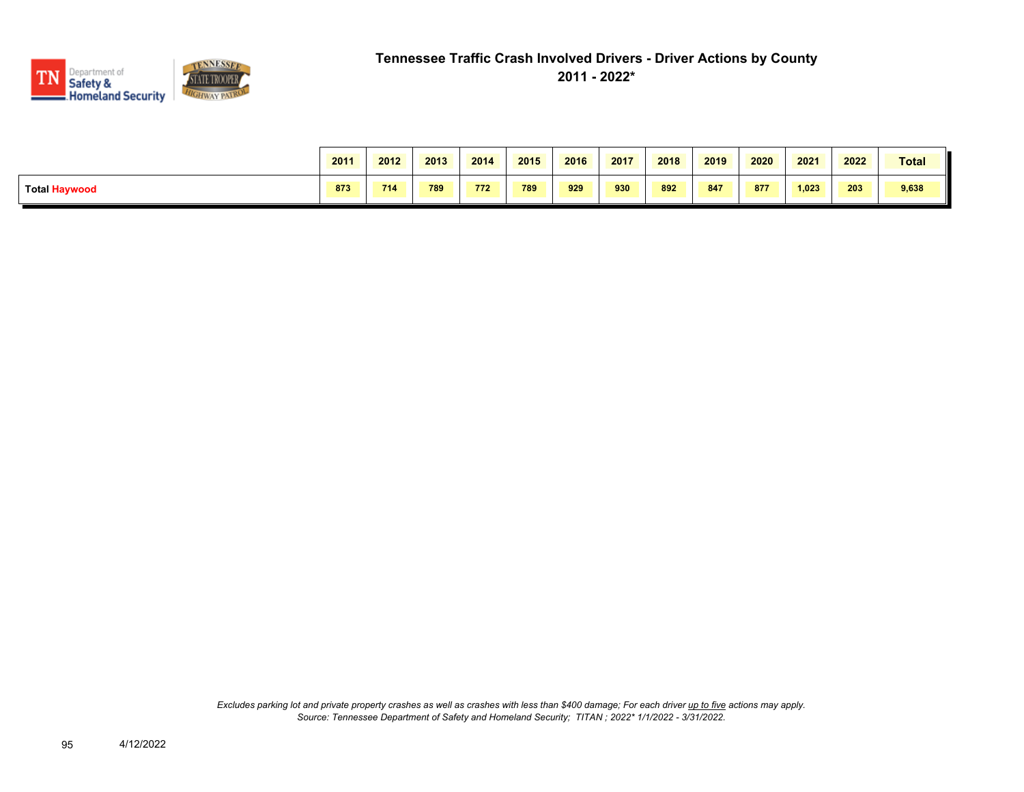

|               | 2011 | 2012 | 2013 | 2014 | 2015 | 2016 | 2017 | 2018 | 2019 | 2020 | 2021  | 2022 | Total |
|---------------|------|------|------|------|------|------|------|------|------|------|-------|------|-------|
| Total Haywood | 873  | 714  | 789  | 772  | 789  | 929  | 930  | 892  | 847  | 877  | 1,023 | 203  | 9,638 |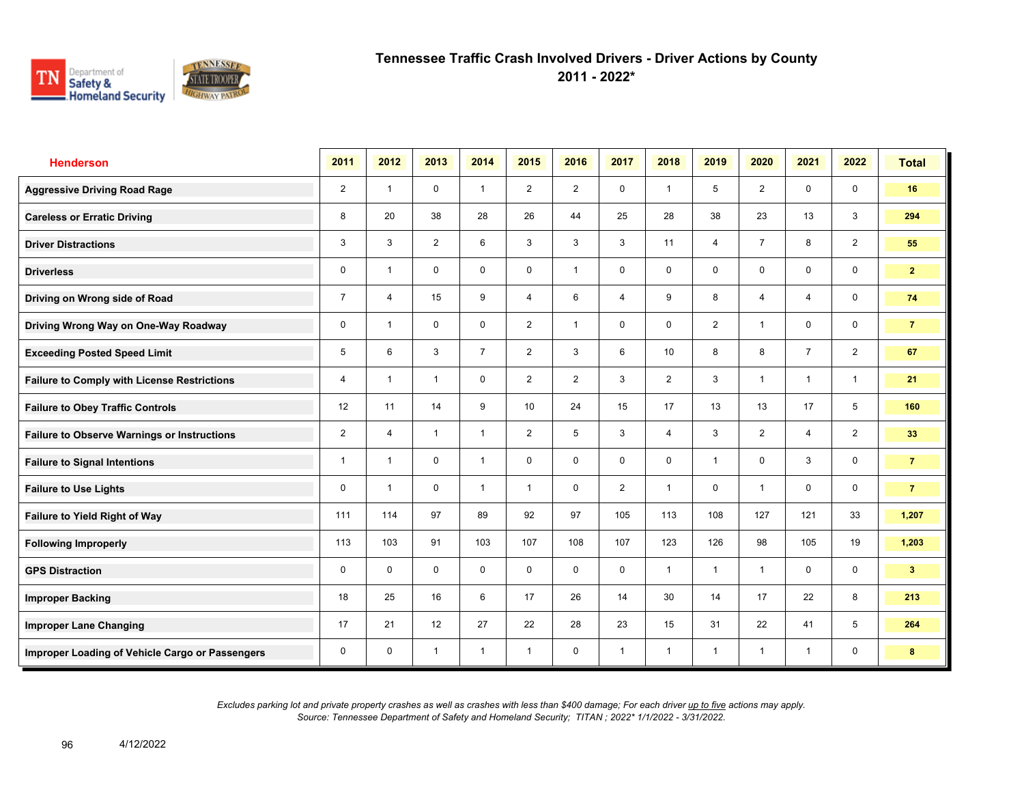

**2011 - 2022\***

| <b>Henderson</b>                                   | 2011           | 2012           | 2013           | 2014           | 2015            | 2016           | 2017           | 2018           | 2019           | 2020           | 2021           | 2022           | <b>Total</b>   |
|----------------------------------------------------|----------------|----------------|----------------|----------------|-----------------|----------------|----------------|----------------|----------------|----------------|----------------|----------------|----------------|
| <b>Aggressive Driving Road Rage</b>                | $\overline{2}$ | $\overline{1}$ | $\mathbf 0$    | $\mathbf{1}$   | $\overline{2}$  | $\overline{2}$ | $\mathbf 0$    | $\mathbf{1}$   | 5              | $\overline{2}$ | $\mathbf 0$    | 0              | 16             |
| <b>Careless or Erratic Driving</b>                 | 8              | 20             | 38             | 28             | 26              | 44             | 25             | 28             | 38             | 23             | 13             | 3              | 294            |
| <b>Driver Distractions</b>                         | 3              | 3              | $\overline{2}$ | 6              | 3               | 3              | 3              | 11             | $\overline{4}$ | $\overline{7}$ | 8              | $\overline{2}$ | 55             |
| <b>Driverless</b>                                  | 0              | $\overline{1}$ | 0              | 0              | 0               | $\overline{1}$ | 0              | 0              | 0              | 0              | 0              | 0              | 2 <sup>1</sup> |
| Driving on Wrong side of Road                      | $\overline{7}$ | $\overline{4}$ | 15             | 9              | 4               | 6              | 4              | 9              | 8              | $\overline{4}$ | $\overline{4}$ | 0              | 74             |
| Driving Wrong Way on One-Way Roadway               | $\mathbf 0$    | $\overline{1}$ | $\mathbf 0$    | $\mathbf 0$    | $\overline{2}$  | $\overline{1}$ | 0              | 0              | $\overline{2}$ | 1              | $\mathbf 0$    | 0              | $\overline{7}$ |
| <b>Exceeding Posted Speed Limit</b>                | 5              | 6              | 3              | $\overline{7}$ | $\overline{2}$  | 3              | 6              | 10             | 8              | 8              | $\overline{7}$ | $\overline{2}$ | 67             |
| <b>Failure to Comply with License Restrictions</b> | 4              | $\overline{1}$ | $\overline{1}$ | $\mathbf 0$    | $\overline{2}$  | $\overline{2}$ | 3              | $\overline{c}$ | 3              | $\overline{1}$ | $\mathbf{1}$   | $\mathbf{1}$   | 21             |
| <b>Failure to Obey Traffic Controls</b>            | 12             | 11             | 14             | 9              | 10 <sup>1</sup> | 24             | 15             | 17             | 13             | 13             | 17             | 5              | 160            |
| <b>Failure to Observe Warnings or Instructions</b> | $\overline{2}$ | $\overline{4}$ | $\overline{1}$ | $\overline{1}$ | $\overline{2}$  | 5              | 3              | 4              | 3              | $\overline{2}$ | 4              | $\overline{2}$ | 33             |
| <b>Failure to Signal Intentions</b>                | 1              | $\overline{1}$ | $\mathbf 0$    | $\overline{1}$ | 0               | $\Omega$       | 0              | 0              | $\mathbf{1}$   | 0              | 3              | 0              | $\overline{7}$ |
| <b>Failure to Use Lights</b>                       | 0              | $\overline{1}$ | $\mathbf 0$    | $\overline{1}$ | $\mathbf{1}$    | $\mathbf 0$    | $\overline{2}$ | $\overline{1}$ | $\mathbf 0$    | $\overline{1}$ | $\mathbf 0$    | $\mathbf 0$    | $\overline{7}$ |
| Failure to Yield Right of Way                      | 111            | 114            | 97             | 89             | 92              | 97             | 105            | 113            | 108            | 127            | 121            | 33             | 1,207          |
| <b>Following Improperly</b>                        | 113            | 103            | 91             | 103            | 107             | 108            | 107            | 123            | 126            | 98             | 105            | 19             | 1,203          |
| <b>GPS Distraction</b>                             | 0              | $\mathbf 0$    | $\mathbf 0$    | $\mathbf 0$    | 0               | $\mathbf 0$    | $\mathbf 0$    | $\mathbf{1}$   | $\overline{1}$ | $\overline{1}$ | $\mathbf 0$    | $\mathbf 0$    | 3 <sup>2</sup> |
| <b>Improper Backing</b>                            | 18             | 25             | 16             | 6              | 17              | 26             | 14             | 30             | 14             | 17             | 22             | 8              | 213            |
| <b>Improper Lane Changing</b>                      | 17             | 21             | 12             | 27             | 22              | 28             | 23             | 15             | 31             | 22             | 41             | 5              | 264            |
| Improper Loading of Vehicle Cargo or Passengers    | 0              | $\mathbf 0$    | $\overline{1}$ | $\overline{1}$ | 1               | $\mathbf 0$    | $\overline{1}$ | $\overline{1}$ | $\mathbf{1}$   | -1             | $\mathbf{1}$   | 0              | 8              |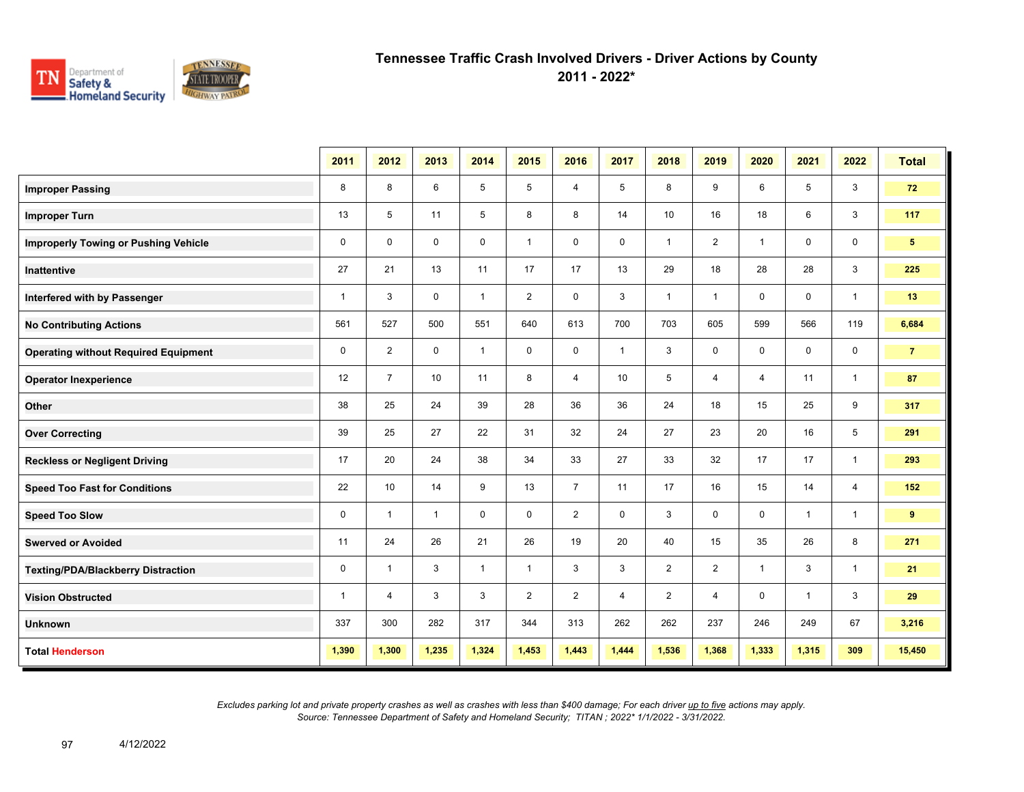

**2011 - 2022\***

|                                             | 2011         | 2012           | 2013         | 2014         | 2015           | 2016           | 2017         | 2018           | 2019           | 2020         | 2021         | 2022           | <b>Total</b>   |
|---------------------------------------------|--------------|----------------|--------------|--------------|----------------|----------------|--------------|----------------|----------------|--------------|--------------|----------------|----------------|
| <b>Improper Passing</b>                     | 8            | 8              | 6            | 5            | 5              | 4              | 5            | 8              | 9              | 6            | 5            | 3              | 72             |
| <b>Improper Turn</b>                        | 13           | 5              | 11           | 5            | 8              | 8              | 14           | 10             | 16             | 18           | 6            | 3              | 117            |
| <b>Improperly Towing or Pushing Vehicle</b> | $\mathbf 0$  | $\Omega$       | $\mathbf 0$  | $\mathbf 0$  | $\mathbf{1}$   | $\mathbf 0$    | 0            | $\mathbf{1}$   | $\overline{2}$ | $\mathbf{1}$ | $\mathbf 0$  | 0              | 5 <sup>1</sup> |
| <b>Inattentive</b>                          | 27           | 21             | 13           | 11           | 17             | 17             | 13           | 29             | 18             | 28           | 28           | 3              | 225            |
| Interfered with by Passenger                | $\mathbf{1}$ | 3              | $\mathbf 0$  | $\mathbf{1}$ | $\overline{2}$ | $\mathbf 0$    | 3            | $\mathbf{1}$   | $\mathbf{1}$   | 0            | 0            | $\overline{1}$ | 13             |
| <b>No Contributing Actions</b>              | 561          | 527            | 500          | 551          | 640            | 613            | 700          | 703            | 605            | 599          | 566          | 119            | 6,684          |
| <b>Operating without Required Equipment</b> | 0            | $\overline{2}$ | $\mathbf 0$  | $\mathbf{1}$ | $\mathbf 0$    | $\mathbf 0$    | $\mathbf{1}$ | $\mathsf 3$    | $\mathbf 0$    | $\mathbf 0$  | $\mathbf 0$  | 0              | $\overline{7}$ |
| <b>Operator Inexperience</b>                | 12           | $\overline{7}$ | 10           | 11           | 8              | $\overline{4}$ | 10           | 5              | $\overline{4}$ | 4            | 11           | $\mathbf{1}$   | 87             |
| Other                                       | 38           | 25             | 24           | 39           | 28             | 36             | 36           | 24             | 18             | 15           | 25           | 9              | 317            |
| <b>Over Correcting</b>                      | 39           | 25             | 27           | 22           | 31             | 32             | 24           | 27             | 23             | 20           | 16           | 5              | 291            |
| <b>Reckless or Negligent Driving</b>        | 17           | 20             | 24           | 38           | 34             | 33             | 27           | 33             | 32             | 17           | 17           | $\mathbf{1}$   | 293            |
| <b>Speed Too Fast for Conditions</b>        | 22           | 10             | 14           | 9            | 13             | $\overline{7}$ | 11           | 17             | 16             | 15           | 14           | $\overline{4}$ | 152            |
| <b>Speed Too Slow</b>                       | 0            | $\mathbf{1}$   | $\mathbf{1}$ | $\mathbf 0$  | $\mathbf 0$    | $\overline{2}$ | $\mathbf 0$  | 3              | 0              | $\mathbf 0$  | $\mathbf{1}$ | $\mathbf{1}$   | 9              |
| <b>Swerved or Avoided</b>                   | 11           | 24             | 26           | 21           | 26             | 19             | 20           | 40             | 15             | 35           | 26           | 8              | 271            |
| <b>Texting/PDA/Blackberry Distraction</b>   | 0            | $\overline{1}$ | 3            | $\mathbf{1}$ | $\mathbf{1}$   | 3              | 3            | $\overline{2}$ | $\overline{2}$ | $\mathbf{1}$ | 3            | $\mathbf{1}$   | 21             |
| <b>Vision Obstructed</b>                    | $\mathbf{1}$ | 4              | 3            | 3            | $\overline{2}$ | $\overline{2}$ | 4            | $\overline{2}$ | 4              | 0            | $\mathbf{1}$ | 3              | 29             |
| <b>Unknown</b>                              | 337          | 300            | 282          | 317          | 344            | 313            | 262          | 262            | 237            | 246          | 249          | 67             | 3,216          |
| <b>Total Henderson</b>                      | 1,390        | 1,300          | 1,235        | 1,324        | 1,453          | 1,443          | 1,444        | 1,536          | 1,368          | 1,333        | 1,315        | 309            | 15,450         |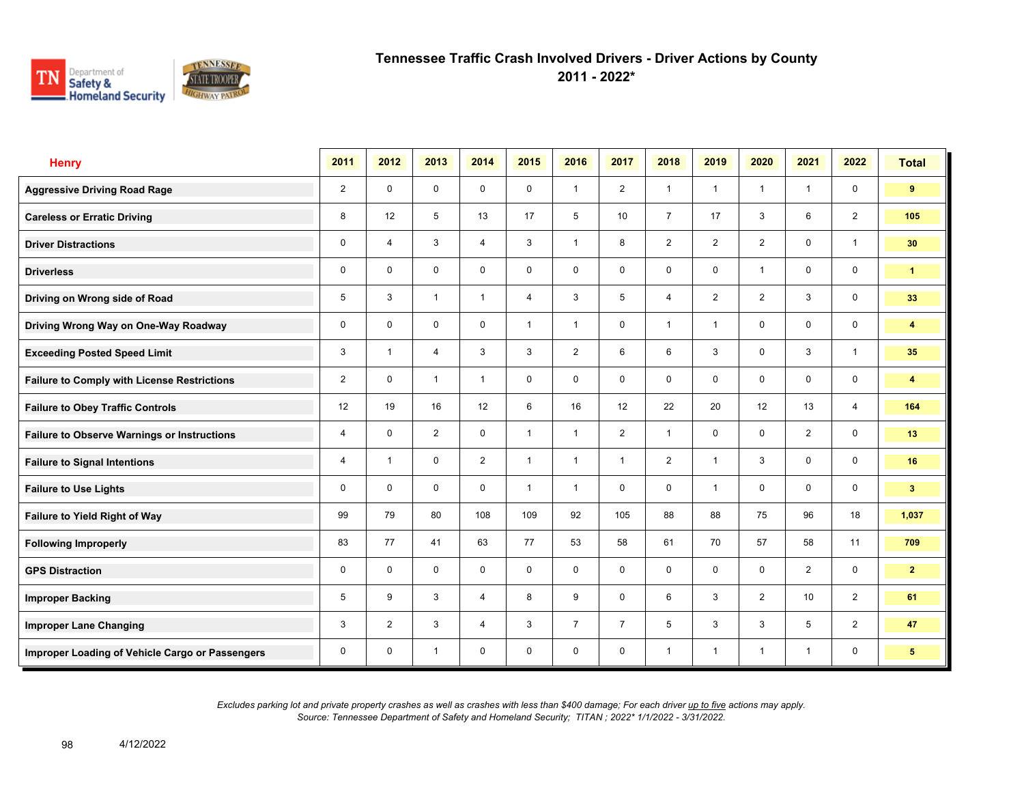

**2011 - 2022\***

| <b>Henry</b>                                       | 2011           | 2012           | 2013           | 2014           | 2015           | 2016           | 2017           | 2018           | 2019           | 2020           | 2021         | 2022                    | <b>Total</b>    |
|----------------------------------------------------|----------------|----------------|----------------|----------------|----------------|----------------|----------------|----------------|----------------|----------------|--------------|-------------------------|-----------------|
| <b>Aggressive Driving Road Rage</b>                | $\overline{2}$ | $\mathbf 0$    | $\mathbf 0$    | $\mathbf 0$    | $\mathbf 0$    | $\overline{1}$ | 2              | $\mathbf{1}$   | $\mathbf{1}$   | $\overline{1}$ | $\mathbf{1}$ | $\mathbf 0$             | 9               |
| <b>Careless or Erratic Driving</b>                 | 8              | 12             | 5              | 13             | 17             | 5              | 10             | $\overline{7}$ | 17             | 3              | 6            | 2                       | 105             |
| <b>Driver Distractions</b>                         | $\mathbf 0$    | $\overline{4}$ | 3              | $\overline{4}$ | 3              | $\overline{1}$ | 8              | $\overline{2}$ | $\overline{2}$ | 2              | $\mathbf 0$  | $\mathbf{1}$            | 30              |
| <b>Driverless</b>                                  | 0              | $\mathbf 0$    | $\mathsf{O}$   | $\mathbf 0$    | 0              | 0              | $\mathbf 0$    | $\mathbf 0$    | 0              | $\overline{1}$ | $\mathsf{O}$ | $\mathbf 0$             | $\mathbf{1}$    |
| Driving on Wrong side of Road                      | 5              | 3              | $\mathbf{1}$   | $\mathbf{1}$   | $\overline{4}$ | 3              | 5              | $\overline{4}$ | $\overline{2}$ | $\overline{2}$ | 3            | $\mathbf 0$             | 33              |
| Driving Wrong Way on One-Way Roadway               | $\mathbf 0$    | $\Omega$       | $\mathbf 0$    | $\mathbf 0$    | $\mathbf{1}$   | $\overline{1}$ | $\mathbf 0$    | $\mathbf{1}$   | 1              | $\mathbf 0$    | $\mathbf 0$  | $\mathbf 0$             | 4               |
| <b>Exceeding Posted Speed Limit</b>                | 3              | $\overline{1}$ | $\overline{4}$ | 3              | 3              | 2              | 6              | 6              | 3              | $\mathbf 0$    | 3            | $\mathbf{1}$            | 35              |
| <b>Failure to Comply with License Restrictions</b> | $\overline{2}$ | $\Omega$       | $\mathbf{1}$   | $\mathbf{1}$   | $\mathbf 0$    | $\mathbf 0$    | $\mathbf 0$    | $\mathbf 0$    | $\mathbf 0$    | $\mathbf 0$    | $\mathbf 0$  | $\mathsf 0$             | 4               |
| <b>Failure to Obey Traffic Controls</b>            | 12             | 19             | 16             | 12             | 6              | 16             | 12             | 22             | 20             | 12             | 13           | $\overline{4}$          | 164             |
| <b>Failure to Observe Warnings or Instructions</b> | 4              | $\mathbf 0$    | $\overline{2}$ | $\mathbf 0$    | $\mathbf{1}$   | $\overline{1}$ | 2              | $\mathbf{1}$   | 0              | $\mathbf 0$    | 2            | $\mathbf 0$             | 13              |
| <b>Failure to Signal Intentions</b>                | 4              | $\overline{1}$ | $\mathbf{0}$   | 2              | $\mathbf{1}$   | $\overline{1}$ | $\mathbf{1}$   | $\overline{2}$ | 1              | 3              | $\mathbf 0$  | $\mathsf{O}\phantom{0}$ | 16              |
| <b>Failure to Use Lights</b>                       | $\mathbf 0$    | $\mathbf 0$    | $\mathbf 0$    | $\mathbf 0$    | $\mathbf{1}$   | $\overline{1}$ | $\mathbf 0$    | $\mathbf 0$    | $\mathbf{1}$   | $\mathbf 0$    | $\mathbf 0$  | $\mathbf 0$             | 3 <sup>2</sup>  |
| Failure to Yield Right of Way                      | 99             | 79             | 80             | 108            | 109            | 92             | 105            | 88             | 88             | 75             | 96           | 18                      | 1,037           |
| <b>Following Improperly</b>                        | 83             | 77             | 41             | 63             | 77             | 53             | 58             | 61             | 70             | 57             | 58           | 11                      | 709             |
| <b>GPS Distraction</b>                             | 0              | $\mathbf 0$    | $\mathbf 0$    | $\mathbf 0$    | $\mathbf 0$    | $\mathbf 0$    | $\mathbf 0$    | $\mathbf 0$    | $\mathbf 0$    | $\mathbf 0$    | 2            | $\mathbf 0$             | $\overline{2}$  |
| <b>Improper Backing</b>                            | 5              | 9              | $\mathbf{3}$   | $\overline{4}$ | 8              | 9              | $\mathbf 0$    | 6              | 3              | 2              | 10           | 2                       | 61              |
| <b>Improper Lane Changing</b>                      | 3              | 2              | 3              | $\overline{4}$ | 3              | $\overline{7}$ | $\overline{7}$ | 5              | 3              | 3              | 5            | $\overline{2}$          | 47              |
| Improper Loading of Vehicle Cargo or Passengers    | 0              | $\mathbf 0$    | $\mathbf{1}$   | $\mathbf 0$    | $\mathbf 0$    | $\mathbf 0$    | $\mathbf 0$    | $\mathbf{1}$   | $\mathbf{1}$   | $\overline{1}$ | $\mathbf{1}$ | 0                       | $5\phantom{.0}$ |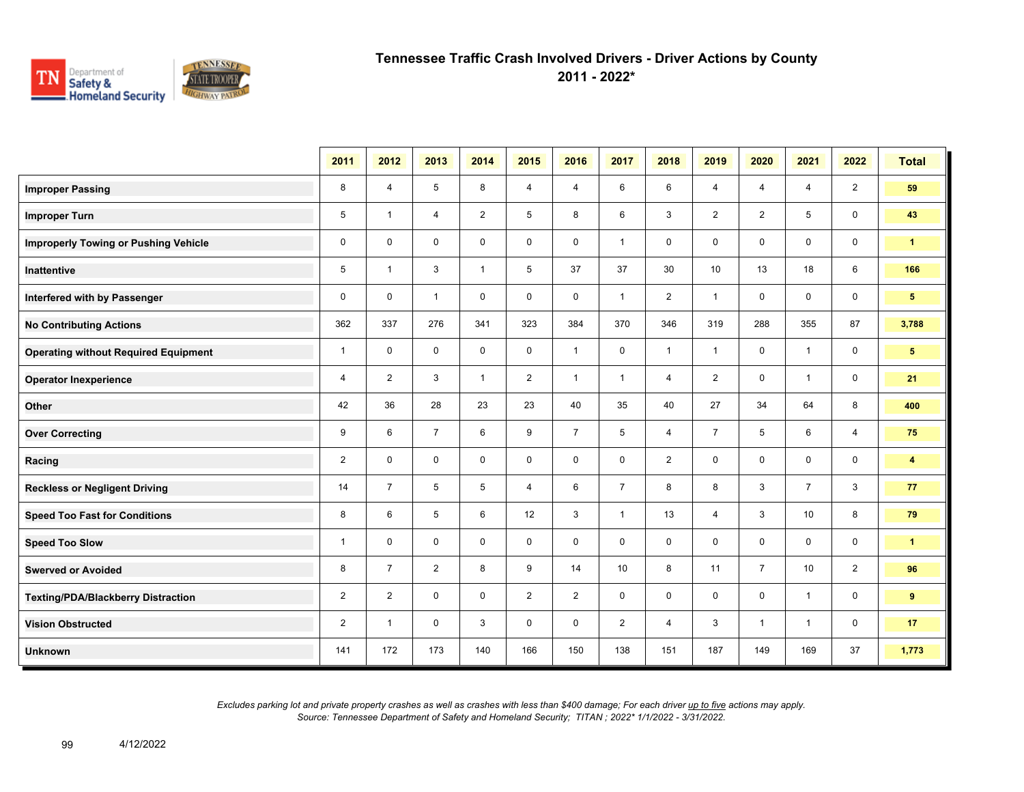

**2011 - 2022\***

|                                             | 2011           | 2012           | 2013           | 2014           | 2015                    | 2016           | 2017           | 2018           | 2019           | 2020           | 2021           | 2022           | <b>Total</b>            |
|---------------------------------------------|----------------|----------------|----------------|----------------|-------------------------|----------------|----------------|----------------|----------------|----------------|----------------|----------------|-------------------------|
| <b>Improper Passing</b>                     | 8              | $\overline{4}$ | 5              | 8              | 4                       | 4              | 6              | 6              | $\overline{4}$ | 4              | $\overline{4}$ | $\overline{2}$ | 59                      |
| <b>Improper Turn</b>                        | 5              | $\overline{1}$ | $\overline{4}$ | $\overline{2}$ | 5                       | 8              | 6              | 3              | $\overline{2}$ | $\overline{2}$ | 5              | $\mathbf 0$    | 43                      |
| <b>Improperly Towing or Pushing Vehicle</b> | $\mathbf 0$    | $\mathbf 0$    | $\mathbf 0$    | $\mathbf 0$    | 0                       | $\mathbf 0$    | $\mathbf{1}$   | 0              | 0              | 0              | 0              | 0              | $\blacktriangleleft$    |
| <b>Inattentive</b>                          | 5              | $\mathbf{1}$   | 3              | $\overline{1}$ | 5                       | 37             | 37             | 30             | 10             | 13             | 18             | 6              | 166                     |
| Interfered with by Passenger                | $\mathbf 0$    | $\mathbf 0$    | $\mathbf{1}$   | $\mathbf 0$    | $\mathbf 0$             | $\mathbf 0$    | $\mathbf{1}$   | $\overline{2}$ | $\mathbf{1}$   | $\mathbf 0$    | 0              | $\mathbf 0$    | 5 <sub>5</sub>          |
| <b>No Contributing Actions</b>              | 362            | 337            | 276            | 341            | 323                     | 384            | 370            | 346            | 319            | 288            | 355            | 87             | 3,788                   |
| <b>Operating without Required Equipment</b> | $\mathbf{1}$   | $\mathbf 0$    | $\mathbf 0$    | $\mathbf 0$    | $\mathsf{O}\phantom{0}$ | $\mathbf{1}$   | $\mathbf 0$    | $\mathbf{1}$   | $\mathbf{1}$   | $\mathbf 0$    | $\mathbf{1}$   | 0              | $5\phantom{.0}$         |
| <b>Operator Inexperience</b>                | 4              | 2              | 3              | $\mathbf{1}$   | $\overline{2}$          | $\overline{1}$ | $\mathbf{1}$   | $\overline{4}$ | $\overline{2}$ | 0              | $\mathbf{1}$   | 0              | 21                      |
| Other                                       | 42             | 36             | 28             | 23             | 23                      | 40             | 35             | 40             | 27             | 34             | 64             | 8              | 400                     |
| <b>Over Correcting</b>                      | 9              | 6              | $\overline{7}$ | 6              | 9                       | $\overline{7}$ | 5              | $\overline{4}$ | $\overline{7}$ | 5              | 6              | $\overline{4}$ | 75                      |
| Racing                                      | $\overline{2}$ | $\mathbf 0$    | $\mathbf 0$    | $\mathbf 0$    | $\mathbf 0$             | $\mathbf 0$    | $\mathbf 0$    | $\overline{2}$ | $\mathbf 0$    | $\mathbf 0$    | $\mathbf 0$    | $\mathbf 0$    | $\overline{\mathbf{4}}$ |
| <b>Reckless or Negligent Driving</b>        | 14             | $\overline{7}$ | 5              | 5              | 4                       | 6              | $\overline{7}$ | 8              | 8              | 3              | $\overline{7}$ | 3              | 77                      |
| <b>Speed Too Fast for Conditions</b>        | 8              | 6              | 5              | 6              | 12                      | 3              | $\mathbf{1}$   | 13             | 4              | 3              | 10             | 8              | 79                      |
| <b>Speed Too Slow</b>                       | $\mathbf{1}$   | $\mathbf 0$    | $\mathbf 0$    | $\mathbf 0$    | $\mathbf 0$             | $\mathbf 0$    | $\mathbf 0$    | $\mathbf 0$    | 0              | $\mathbf 0$    | 0              | 0              | $\mathbf{1}$            |
| <b>Swerved or Avoided</b>                   | 8              | $\overline{7}$ | $\overline{2}$ | 8              | 9                       | 14             | 10             | 8              | 11             | $\overline{7}$ | 10             | $\overline{2}$ | 96                      |
| <b>Texting/PDA/Blackberry Distraction</b>   | $\overline{2}$ | $\overline{2}$ | $\mathbf 0$    | $\mathbf 0$    | $\overline{2}$          | $\overline{2}$ | 0              | 0              | 0              | $\mathbf 0$    | $\overline{1}$ | 0              | 9                       |
| <b>Vision Obstructed</b>                    | $\overline{2}$ | -1             | $\mathbf 0$    | 3              | 0                       | 0              | $\overline{2}$ | 4              | 3              | $\mathbf 1$    | $\overline{1}$ | 0              | 17                      |
| <b>Unknown</b>                              | 141            | 172            | 173            | 140            | 166                     | 150            | 138            | 151            | 187            | 149            | 169            | 37             | 1,773                   |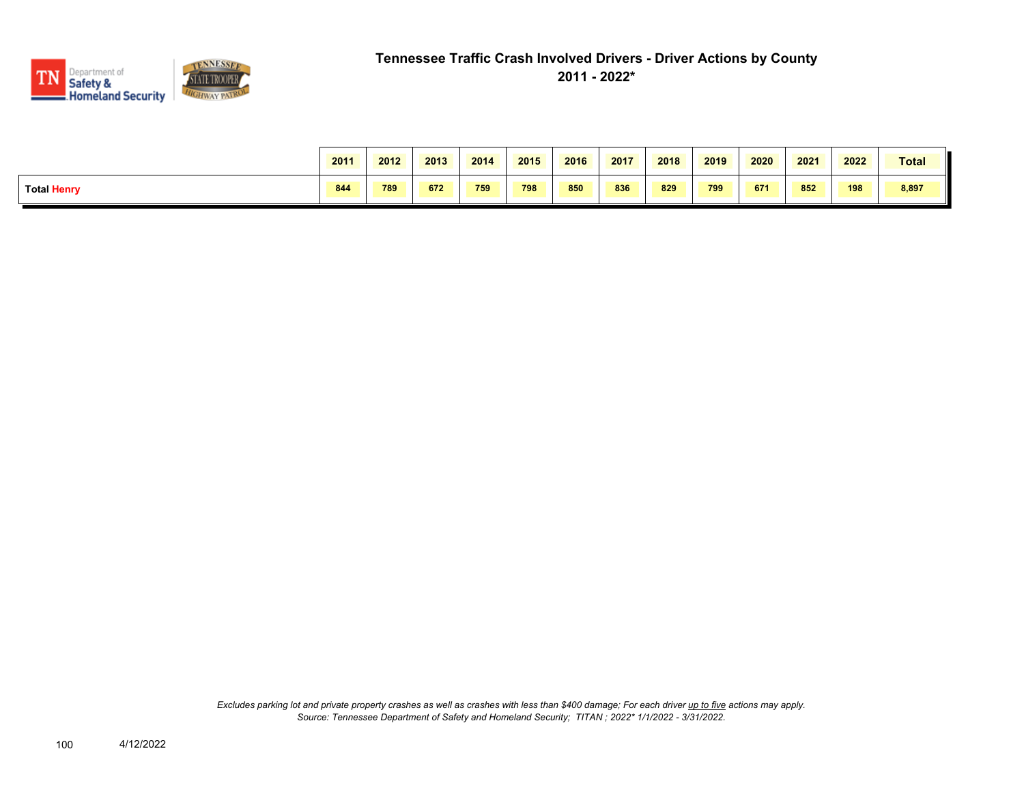

|                    | 2011 | 2012 | 2013 | 2014 | 2015 | 2016 | 2017 | 2018 | 2019 | 2020 | 2021 | 2022 | Total |
|--------------------|------|------|------|------|------|------|------|------|------|------|------|------|-------|
| <b>Total Henry</b> | 844  | 789  | 672  | 759  | 798  | 850  | 836  | 829  | 799  | 671  | 852  | 198  | 8,897 |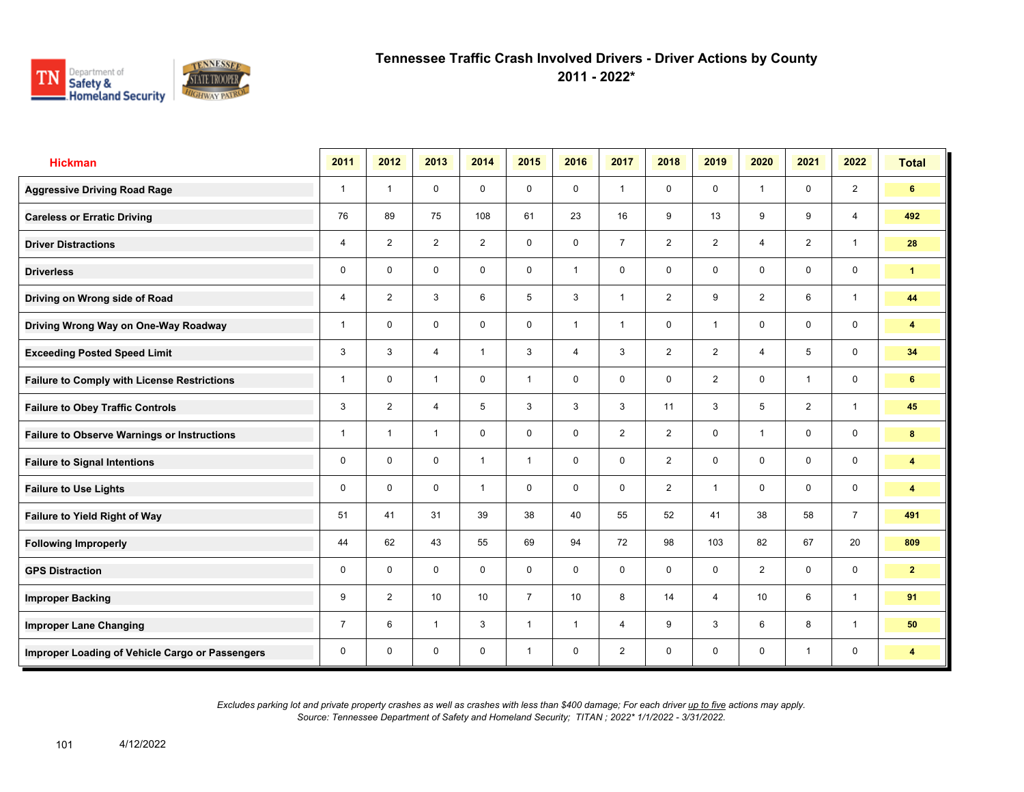

**2011 - 2022\***

| <b>Hickman</b>                                     | 2011           | 2012           | 2013           | 2014         | 2015           | 2016           | 2017           | 2018           | 2019           | 2020           | 2021           | 2022                    | <b>Total</b>            |
|----------------------------------------------------|----------------|----------------|----------------|--------------|----------------|----------------|----------------|----------------|----------------|----------------|----------------|-------------------------|-------------------------|
| <b>Aggressive Driving Road Rage</b>                | $\mathbf{1}$   | $\overline{1}$ | $\mathbf 0$    | $\mathbf 0$  | $\mathbf 0$    | $\mathbf 0$    | $\mathbf{1}$   | $\mathbf 0$    | $\mathbf 0$    | $\overline{1}$ | $\mathbf 0$    | 2                       | 6                       |
| <b>Careless or Erratic Driving</b>                 | 76             | 89             | 75             | 108          | 61             | 23             | 16             | 9              | 13             | 9              | 9              | $\overline{4}$          | 492                     |
| <b>Driver Distractions</b>                         | 4              | 2              | 2              | 2            | $\mathbf 0$    | $\mathbf 0$    | $\overline{7}$ | $\overline{2}$ | 2              | $\overline{4}$ | 2              | $\mathbf{1}$            | 28                      |
| <b>Driverless</b>                                  | 0              | $\mathbf 0$    | $\mathbf 0$    | $\mathbf 0$  | $\mathbf 0$    | $\overline{1}$ | $\mathbf 0$    | $\mathbf 0$    | 0              | $\mathbf 0$    | $\mathbf 0$    | $\mathbf 0$             | $\mathbf{1}$            |
| Driving on Wrong side of Road                      | 4              | $\overline{2}$ | 3              | 6            | 5              | 3              | $\mathbf{1}$   | $\overline{2}$ | 9              | $\overline{2}$ | 6              | $\mathbf{1}$            | 44                      |
| Driving Wrong Way on One-Way Roadway               | 1              | $\mathbf 0$    | $\mathbf 0$    | $\mathbf 0$  | $\mathbf 0$    | $\mathbf{1}$   | $\mathbf{1}$   | $\mathbf 0$    | $\mathbf{1}$   | $\mathbf 0$    | $\mathbf 0$    | $\mathbf 0$             | $\overline{\mathbf{4}}$ |
| <b>Exceeding Posted Speed Limit</b>                | 3              | 3              | $\overline{4}$ | $\mathbf{1}$ | 3              | $\overline{4}$ | $\mathbf{3}$   | $\overline{2}$ | $\overline{2}$ | $\overline{4}$ | 5              | $\mathbf 0$             | 34                      |
| <b>Failure to Comply with License Restrictions</b> | $\mathbf{1}$   | $\mathbf 0$    | $\mathbf{1}$   | $\mathbf 0$  | $\mathbf{1}$   | $\mathbf 0$    | $\mathbf 0$    | $\mathbf 0$    | $\overline{2}$ | $\mathbf 0$    | $\mathbf{1}$   | $\mathbf 0$             | 6                       |
| <b>Failure to Obey Traffic Controls</b>            | 3              | $\overline{2}$ | $\overline{4}$ | 5            | 3              | 3              | $\mathbf{3}$   | 11             | 3              | 5              | $\overline{2}$ | $\mathbf{1}$            | 45                      |
| <b>Failure to Observe Warnings or Instructions</b> | 1              | $\overline{1}$ | $\mathbf{1}$   | $\mathbf 0$  | $\mathbf 0$    | $\mathbf 0$    | 2              | $\overline{2}$ | $\mathbf 0$    | $\overline{1}$ | $\mathbf 0$    | $\mathbf 0$             | 8                       |
| <b>Failure to Signal Intentions</b>                | 0              | $\mathbf 0$    | $\mathbf 0$    | $\mathbf{1}$ | $\mathbf{1}$   | $\mathbf 0$    | $\mathbf 0$    | $\overline{2}$ | 0              | $\mathbf 0$    | $\mathbf 0$    | $\mathbf 0$             | $\overline{\mathbf{4}}$ |
| <b>Failure to Use Lights</b>                       | 0              | $\Omega$       | $\mathbf 0$    | $\mathbf{1}$ | $\mathbf 0$    | $\mathbf 0$    | $\mathbf 0$    | $\overline{2}$ | $\mathbf{1}$   | $\mathbf 0$    | $\mathbf 0$    | $\mathsf{O}\phantom{0}$ | 4                       |
| Failure to Yield Right of Way                      | 51             | 41             | 31             | 39           | 38             | 40             | 55             | 52             | 41             | 38             | 58             | $\overline{7}$          | 491                     |
| <b>Following Improperly</b>                        | 44             | 62             | 43             | 55           | 69             | 94             | 72             | 98             | 103            | 82             | 67             | 20                      | 809                     |
| <b>GPS Distraction</b>                             | 0              | $\Omega$       | $\Omega$       | $\mathbf 0$  | $\mathbf 0$    | $\Omega$       | $\mathbf 0$    | $\mathbf 0$    | $\mathbf 0$    | 2              | $\mathbf 0$    | $\mathbf 0$             | $\mathbf{2}$            |
| <b>Improper Backing</b>                            | 9              | $\overline{2}$ | 10             | 10           | $\overline{7}$ | 10             | 8              | 14             | 4              | 10             | 6              | $\mathbf{1}$            | 91                      |
| <b>Improper Lane Changing</b>                      | $\overline{7}$ | 6              | $\mathbf{1}$   | 3            | $\mathbf{1}$   | $\overline{1}$ | $\overline{4}$ | 9              | 3              | 6              | 8              | $\overline{1}$          | 50                      |
| Improper Loading of Vehicle Cargo or Passengers    | 0              | $\mathbf 0$    | $\mathbf 0$    | $\mathbf 0$  | $\mathbf{1}$   | $\mathbf 0$    | $\overline{2}$ | $\mathbf 0$    | 0              | $\mathbf 0$    | $\mathbf{1}$   | 0                       | $\overline{\mathbf{4}}$ |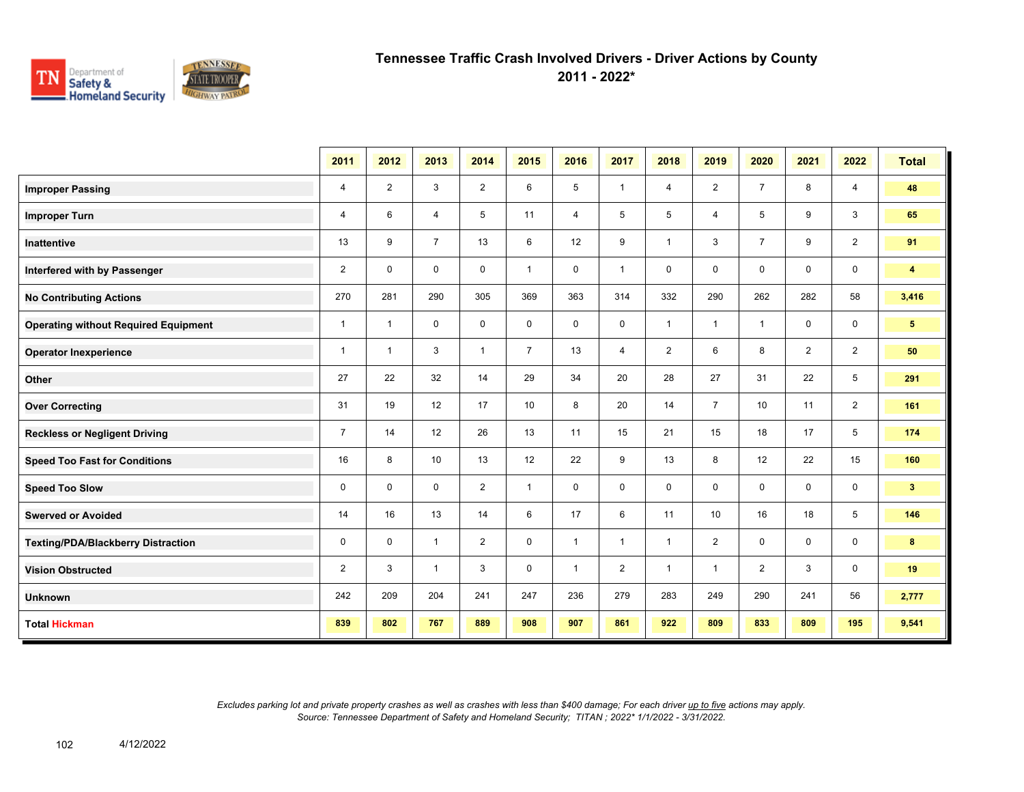

**2011 - 2022\***

|                                             | 2011           | 2012                     | 2013           | 2014           | 2015           | 2016         | 2017           | 2018            | 2019           | 2020           | 2021           | 2022            | <b>Total</b>            |
|---------------------------------------------|----------------|--------------------------|----------------|----------------|----------------|--------------|----------------|-----------------|----------------|----------------|----------------|-----------------|-------------------------|
| <b>Improper Passing</b>                     | 4              | $\overline{2}$           | 3              | $\overline{2}$ | 6              | 5            | $\mathbf{1}$   | $\overline{4}$  | $\overline{2}$ | $\overline{7}$ | 8              | $\overline{4}$  | 48                      |
| <b>Improper Turn</b>                        | 4              | 6                        | 4              | 5              | 11             | 4            | 5              | $5\overline{)}$ | 4              | 5              | 9              | 3               | 65                      |
| Inattentive                                 | 13             | 9                        | $\overline{7}$ | 13             | 6              | 12           | 9              | $\mathbf{1}$    | 3              | $\overline{7}$ | 9              | $\overline{2}$  | 91                      |
| Interfered with by Passenger                | $\overline{2}$ | $\mathbf 0$              | $\mathbf 0$    | $\mathbf 0$    | $\mathbf{1}$   | $\mathbf 0$  | $\mathbf{1}$   | $\mathbf 0$     | 0              | $\mathbf 0$    | $\mathbf 0$    | $\mathbf 0$     | $\overline{\mathbf{4}}$ |
| <b>No Contributing Actions</b>              | 270            | 281                      | 290            | 305            | 369            | 363          | 314            | 332             | 290            | 262            | 282            | 58              | 3,416                   |
| <b>Operating without Required Equipment</b> | $\mathbf{1}$   | $\overline{1}$           | 0              | 0              | 0              | $\mathbf 0$  | 0              | $\mathbf{1}$    | $\overline{1}$ | $\overline{1}$ | $\mathbf 0$    | $\mathbf 0$     | 5 <sup>5</sup>          |
| <b>Operator Inexperience</b>                | $\mathbf{1}$   | $\overline{\phantom{a}}$ | 3              | $\mathbf{1}$   | $\overline{7}$ | 13           | 4              | $\overline{2}$  | 6              | 8              | $\overline{2}$ | $\overline{2}$  | 50                      |
| Other                                       | 27             | 22                       | 32             | 14             | 29             | 34           | 20             | 28              | 27             | 31             | 22             | $5\phantom{.0}$ | 291                     |
| <b>Over Correcting</b>                      | 31             | 19                       | 12             | 17             | 10             | 8            | 20             | 14              | $\overline{7}$ | 10             | 11             | $\overline{2}$  | 161                     |
| <b>Reckless or Negligent Driving</b>        | $\overline{7}$ | 14                       | 12             | 26             | 13             | 11           | 15             | 21              | 15             | 18             | 17             | 5               | 174                     |
| <b>Speed Too Fast for Conditions</b>        | 16             | 8                        | 10             | 13             | 12             | 22           | 9              | 13              | 8              | 12             | 22             | 15              | 160                     |
| <b>Speed Too Slow</b>                       | 0              | $\mathbf 0$              | $\mathbf 0$    | $\overline{2}$ | $\mathbf{1}$   | $\mathbf 0$  | 0              | $\mathbf 0$     | 0              | $\mathbf 0$    | $\mathbf 0$    | $\mathbf 0$     | 3 <sup>2</sup>          |
| <b>Swerved or Avoided</b>                   | 14             | 16                       | 13             | 14             | 6              | 17           | 6              | 11              | 10             | 16             | 18             | 5               | 146                     |
| <b>Texting/PDA/Blackberry Distraction</b>   | 0              | $\mathbf 0$              | $\mathbf{1}$   | $\overline{2}$ | $\mathbf 0$    | $\mathbf{1}$ | $\mathbf{1}$   | $\mathbf{1}$    | $\overline{2}$ | $\mathbf 0$    | $\mathbf 0$    | $\mathbf 0$     | 8                       |
| <b>Vision Obstructed</b>                    | $\overline{2}$ | 3                        | $\mathbf{1}$   | 3              | $\mathbf 0$    | $\mathbf{1}$ | $\overline{2}$ | $\mathbf{1}$    | 1              | 2              | 3              | $\mathbf 0$     | 19                      |
| <b>Unknown</b>                              | 242            | 209                      | 204            | 241            | 247            | 236          | 279            | 283             | 249            | 290            | 241            | 56              | 2,777                   |
| <b>Total Hickman</b>                        | 839            | 802                      | 767            | 889            | 908            | 907          | 861            | 922             | 809            | 833            | 809            | 195             | 9,541                   |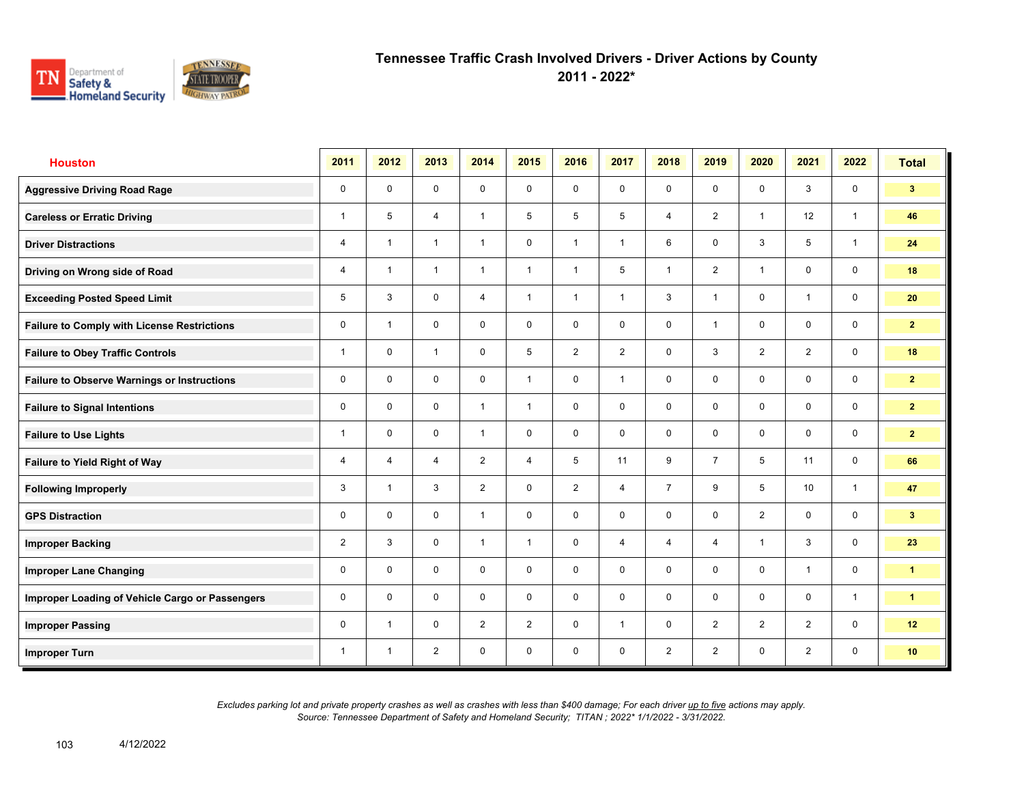

**2011 - 2022\***

| <b>Houston</b>                                     | 2011           | 2012           | 2013           | 2014           | 2015           | 2016           | 2017           | 2018           | 2019           | 2020           | 2021           | 2022         | <b>Total</b>   |
|----------------------------------------------------|----------------|----------------|----------------|----------------|----------------|----------------|----------------|----------------|----------------|----------------|----------------|--------------|----------------|
| <b>Aggressive Driving Road Rage</b>                | 0              | $\mathbf 0$    | $\mathbf 0$    | $\mathbf 0$    | 0              | $\mathbf 0$    | $\mathbf 0$    | $\mathbf 0$    | 0              | $\mathbf 0$    | 3              | $\mathbf 0$  | 3 <sup>1</sup> |
| <b>Careless or Erratic Driving</b>                 | $\mathbf{1}$   | 5              | $\overline{4}$ | $\overline{1}$ | 5              | 5              | 5              | $\overline{4}$ | $\overline{2}$ | $\overline{1}$ | 12             | $\mathbf{1}$ | 46             |
| <b>Driver Distractions</b>                         | $\overline{4}$ | $\overline{1}$ | $\overline{1}$ | $\mathbf{1}$   | $\mathbf 0$    | $\overline{1}$ | $\mathbf{1}$   | 6              | 0              | 3              | 5              | $\mathbf{1}$ | 24             |
| Driving on Wrong side of Road                      | $\overline{4}$ | $\overline{1}$ | $\mathbf{1}$   | $\overline{1}$ | $\mathbf{1}$   | $\overline{1}$ | 5              | $\overline{1}$ | $\overline{2}$ | $\overline{1}$ | $\mathbf 0$    | $\mathbf 0$  | 18             |
| <b>Exceeding Posted Speed Limit</b>                | 5              | 3              | $\mathbf 0$    | $\overline{4}$ | $\mathbf{1}$   | $\overline{1}$ | $\overline{1}$ | 3              | 1              | $\mathbf 0$    | $\mathbf{1}$   | $\mathbf 0$  | 20             |
| <b>Failure to Comply with License Restrictions</b> | 0              | $\overline{1}$ | $\mathbf 0$    | $\mathbf 0$    | 0              | $\mathbf 0$    | $\mathbf 0$    | $\mathbf 0$    | $\mathbf 1$    | $\mathbf 0$    | $\mathbf 0$    | $\mathbf 0$  | 2 <sup>1</sup> |
| <b>Failure to Obey Traffic Controls</b>            | $\mathbf{1}$   | $\mathbf 0$    | $\mathbf{1}$   | $\mathbf 0$    | 5              | $\overline{2}$ | $\overline{2}$ | $\mathbf 0$    | 3              | $\overline{2}$ | $\overline{2}$ | $\mathbf 0$  | 18             |
| <b>Failure to Observe Warnings or Instructions</b> | 0              | 0              | 0              | $\mathbf 0$    | $\mathbf{1}$   | 0              | $\mathbf{1}$   | $\mathbf 0$    | 0              | $\mathbf 0$    | 0              | $\mathbf 0$  | $\mathbf{2}$   |
| <b>Failure to Signal Intentions</b>                | 0              | $\mathbf 0$    | $\mathbf 0$    | $\overline{1}$ | $\mathbf{1}$   | $\mathbf 0$    | $\mathbf 0$    | $\mathbf 0$    | 0              | $\mathbf 0$    | $\mathbf 0$    | $\mathbf 0$  | $\mathbf{2}$   |
| <b>Failure to Use Lights</b>                       | $\mathbf{1}$   | $\mathbf 0$    | $\mathbf 0$    | $\mathbf{1}$   | 0              | $\mathbf 0$    | 0              | $\mathbf 0$    | 0              | $\mathbf 0$    | $\mathbf 0$    | $\mathbf 0$  | 2 <sup>1</sup> |
| Failure to Yield Right of Way                      | 4              | $\overline{4}$ | $\overline{4}$ | $\overline{2}$ | $\overline{4}$ | 5              | 11             | 9              | $\overline{7}$ | 5              | 11             | $\mathbf 0$  | 66             |
| <b>Following Improperly</b>                        | 3              | $\overline{1}$ | 3              | $\overline{2}$ | 0              | $\overline{2}$ | $\overline{4}$ | $\overline{7}$ | 9              | 5              | 10             | $\mathbf{1}$ | 47             |
| <b>GPS Distraction</b>                             | 0              | $\mathbf 0$    | $\mathbf 0$    | $\mathbf{1}$   | $\mathbf 0$    | $\mathbf 0$    | $\mathbf 0$    | $\mathbf 0$    | 0              | $\overline{2}$ | $\mathbf 0$    | $\mathbf 0$  | 3 <sup>1</sup> |
| <b>Improper Backing</b>                            | $\overline{2}$ | 3              | $\Omega$       | $\mathbf{1}$   | $\mathbf{1}$   | $\Omega$       | $\overline{4}$ | $\overline{4}$ | $\overline{4}$ | $\overline{1}$ | 3              | $\mathbf 0$  | 23             |
| <b>Improper Lane Changing</b>                      | 0              | $\mathbf 0$    | $\mathbf 0$    | $\mathbf 0$    | $\mathbf 0$    | $\mathbf 0$    | $\mathbf 0$    | $\mathbf 0$    | 0              | $\mathbf 0$    | $\overline{1}$ | $\mathbf 0$  | $\mathbf{1}$   |
| Improper Loading of Vehicle Cargo or Passengers    | 0              | $\mathbf 0$    | $\mathbf 0$    | $\mathbf 0$    | 0              | $\mathbf 0$    | $\mathbf 0$    | $\mathbf 0$    | 0              | $\mathbf 0$    | $\mathbf 0$    | $\mathbf{1}$ | $\mathbf{1}$   |
| <b>Improper Passing</b>                            | 0              | $\overline{1}$ | $\mathbf 0$    | $\overline{2}$ | $\overline{2}$ | $\mathbf 0$    | $\mathbf{1}$   | $\mathbf 0$    | $\overline{2}$ | $\overline{2}$ | $\overline{2}$ | $\mathbf 0$  | 12             |
| <b>Improper Turn</b>                               | $\mathbf{1}$   | $\overline{1}$ | $\overline{2}$ | $\mathbf 0$    | $\mathbf 0$    | 0              | 0              | $\overline{2}$ | $\overline{2}$ | $\mathbf 0$    | $\overline{2}$ | 0            | 10             |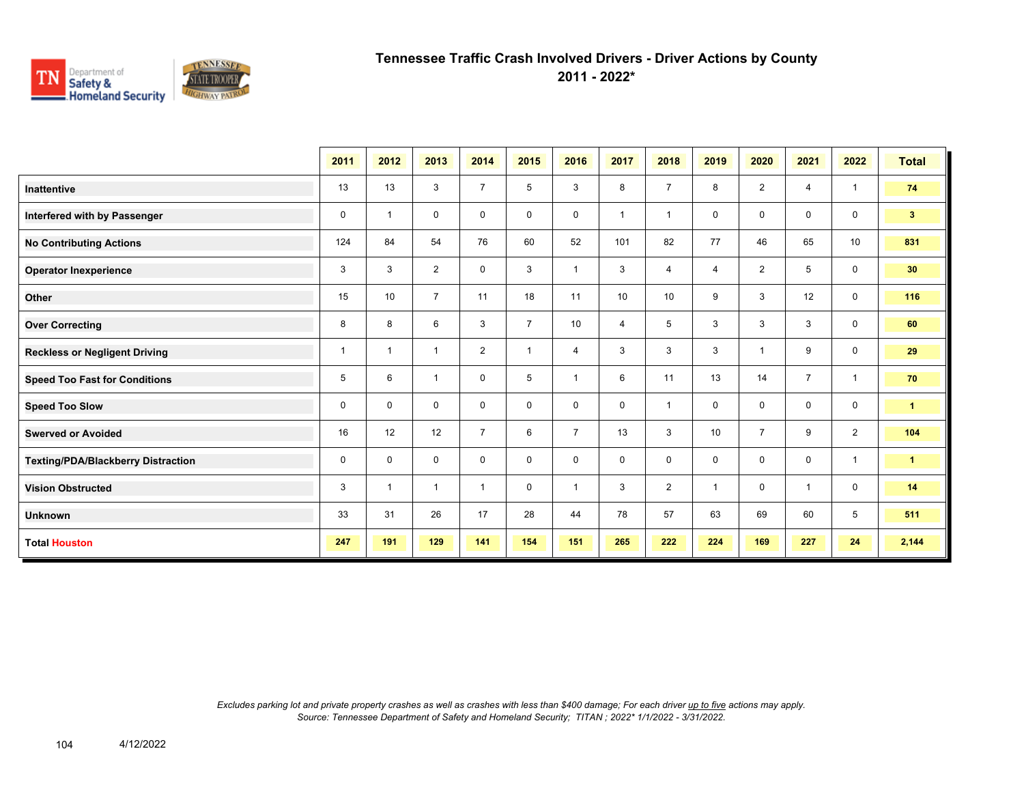

**2011 - 2022\***

|                                           | 2011 | 2012           | 2013           | 2014           | 2015           | 2016           | 2017           | 2018           | 2019 | 2020           | 2021           | 2022         | <b>Total</b>         |
|-------------------------------------------|------|----------------|----------------|----------------|----------------|----------------|----------------|----------------|------|----------------|----------------|--------------|----------------------|
| <b>Inattentive</b>                        | 13   | 13             | 3              | $\overline{7}$ | 5              | 3              | 8              | $\overline{7}$ | 8    | $\overline{2}$ | $\overline{4}$ | $\mathbf{1}$ | 74                   |
| Interfered with by Passenger              | 0    | $\overline{1}$ | 0              | 0              | 0              | $\mathbf 0$    | $\overline{1}$ | $\overline{1}$ | 0    | $\mathbf 0$    | $\mathbf 0$    | $\mathbf 0$  | 3 <sup>2</sup>       |
| <b>No Contributing Actions</b>            | 124  | 84             | 54             | 76             | 60             | 52             | 101            | 82             | 77   | 46             | 65             | 10           | 831                  |
| <b>Operator Inexperience</b>              | 3    | 3              | $\overline{2}$ | $\mathbf 0$    | 3              | $\overline{1}$ | 3              | $\overline{4}$ | 4    | 2              | 5              | $\mathbf 0$  | 30                   |
| Other                                     | 15   | 10             | $\overline{7}$ | 11             | 18             | 11             | 10             | 10             | 9    | 3              | 12             | $\mathbf 0$  | 116                  |
| <b>Over Correcting</b>                    | 8    | 8              | 6              | 3              | $\overline{7}$ | 10             | $\overline{4}$ | 5              | 3    | 3              | 3              | $\mathbf 0$  | 60                   |
| <b>Reckless or Negligent Driving</b>      | 1    | $\overline{1}$ | $\mathbf{1}$   | 2              | $\overline{1}$ | 4              | 3              | 3              | 3    | $\overline{1}$ | 9              | $\mathbf 0$  | 29                   |
| <b>Speed Too Fast for Conditions</b>      | 5    | 6              | $\mathbf{1}$   | $\mathbf 0$    | 5              | $\overline{1}$ | 6              | 11             | 13   | 14             | $\overline{7}$ | $\mathbf{1}$ | 70                   |
| <b>Speed Too Slow</b>                     | 0    | $\mathbf 0$    | 0              | $\mathbf 0$    | 0              | 0              | 0              | $\overline{1}$ | 0    | $\mathbf 0$    | $\mathbf 0$    | $\mathbf 0$  | $\mathbf{1}$         |
| <b>Swerved or Avoided</b>                 | 16   | 12             | 12             | $\overline{7}$ | 6              | $\overline{7}$ | 13             | 3              | 10   | $\overline{7}$ | 9              | 2            | 104                  |
| <b>Texting/PDA/Blackberry Distraction</b> | 0    | 0              | 0              | $\mathbf 0$    | 0              | 0              | 0              | 0              | 0    | $\mathbf 0$    | $\mathbf{0}$   | $\mathbf{1}$ | $\blacktriangleleft$ |
| <b>Vision Obstructed</b>                  | 3    | $\overline{1}$ | $\mathbf{1}$   | $\mathbf{1}$   | 0              | $\overline{1}$ | 3              | $\overline{2}$ | 1    | $\mathbf 0$    | $\mathbf{1}$   | $\mathbf 0$  | 14                   |
| <b>Unknown</b>                            | 33   | 31             | 26             | 17             | 28             | 44             | 78             | 57             | 63   | 69             | 60             | 5            | 511                  |
| <b>Total Houston</b>                      | 247  | 191            | 129            | 141            | 154            | 151            | 265            | 222            | 224  | 169            | 227            | 24           | 2,144                |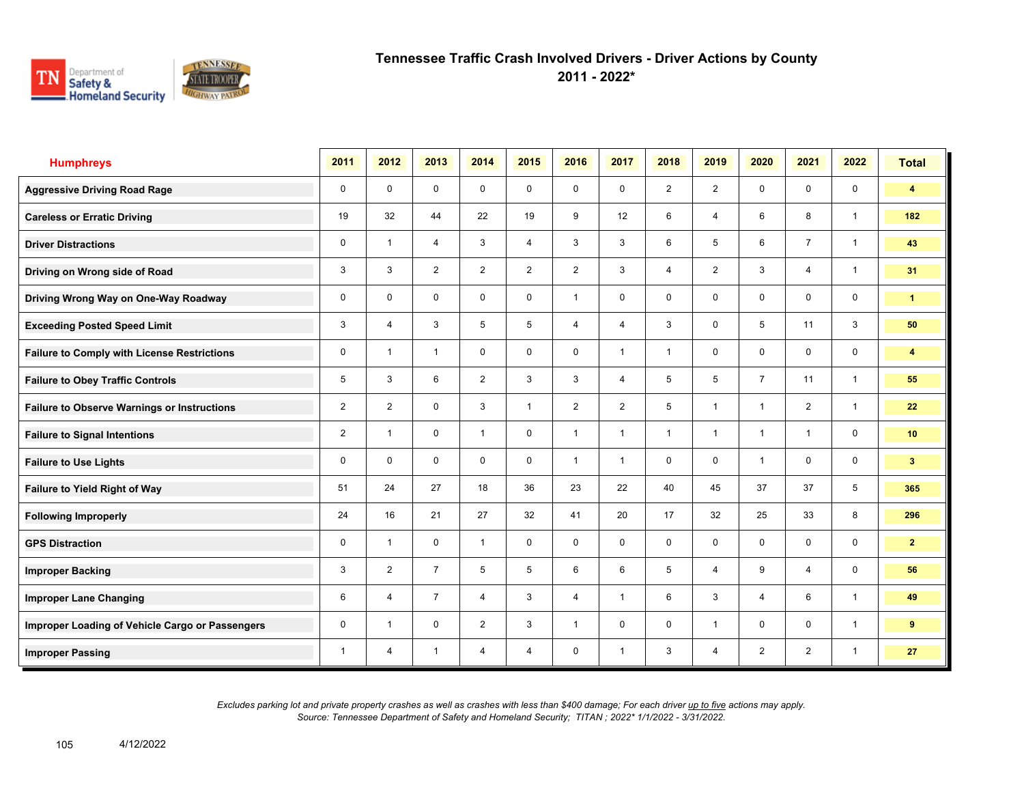

**2011 - 2022\***

| <b>Humphreys</b>                                   | 2011           | 2012           | 2013           | 2014           | 2015           | 2016           | 2017           | 2018           | 2019           | 2020           | 2021           | 2022                    | <b>Total</b>            |
|----------------------------------------------------|----------------|----------------|----------------|----------------|----------------|----------------|----------------|----------------|----------------|----------------|----------------|-------------------------|-------------------------|
| <b>Aggressive Driving Road Rage</b>                | 0              | $\mathbf 0$    | $\mathbf 0$    | $\mathbf 0$    | 0              | $\mathbf 0$    | $\mathbf 0$    | 2              | $\overline{2}$ | $\mathbf 0$    | $\mathbf 0$    | $\mathbf 0$             | 4                       |
| <b>Careless or Erratic Driving</b>                 | 19             | 32             | 44             | 22             | 19             | 9              | 12             | 6              | 4              | 6              | 8              | $\mathbf{1}$            | 182                     |
| <b>Driver Distractions</b>                         | 0              | $\overline{1}$ | $\overline{4}$ | 3              | 4              | 3              | 3              | 6              | 5              | 6              | $\overline{7}$ | $\overline{1}$          | 43                      |
| Driving on Wrong side of Road                      | 3              | 3              | $\overline{2}$ | $\overline{2}$ | $\overline{2}$ | $\overline{2}$ | 3              | $\overline{4}$ | $\overline{2}$ | 3              | 4              | $\overline{1}$          | 31                      |
| Driving Wrong Way on One-Way Roadway               | $\mathbf 0$    | $\mathbf 0$    | $\mathbf 0$    | $\mathbf 0$    | $\mathbf 0$    | $\overline{1}$ | $\mathbf 0$    | $\mathbf 0$    | $\mathbf 0$    | $\mathbf 0$    | $\mathbf 0$    | $\mathbf 0$             | $\mathbf{1}$            |
| <b>Exceeding Posted Speed Limit</b>                | 3              | $\overline{4}$ | 3              | 5              | 5              | $\overline{4}$ | $\overline{4}$ | $\mathbf{3}$   | $\mathbf 0$    | 5              | 11             | $\mathbf{3}$            | 50                      |
| <b>Failure to Comply with License Restrictions</b> | 0              | $\overline{1}$ | $\mathbf{1}$   | $\mathbf 0$    | $\mathbf 0$    | $\mathbf 0$    | $\mathbf{1}$   | $\mathbf{1}$   | 0              | $\mathbf 0$    | 0              | $\mathsf 0$             | $\overline{\mathbf{4}}$ |
| <b>Failure to Obey Traffic Controls</b>            | 5              | 3              | 6              | $\overline{2}$ | 3              | 3              | $\overline{4}$ | 5              | 5              | $\overline{7}$ | 11             | $\overline{1}$          | 55                      |
| <b>Failure to Observe Warnings or Instructions</b> | $\overline{2}$ | 2              | $\mathbf 0$    | 3              | $\mathbf{1}$   | 2              | $\overline{2}$ | 5              | $\mathbf{1}$   | $\overline{1}$ | 2              | $\mathbf{1}$            | 22                      |
| <b>Failure to Signal Intentions</b>                | $\overline{2}$ | $\overline{1}$ | $\mathbf 0$    | $\mathbf{1}$   | $\mathbf 0$    | $\overline{1}$ | $\mathbf{1}$   | $\mathbf{1}$   | $\mathbf{1}$   | $\overline{1}$ | $\overline{1}$ | $\mathbf 0$             | 10 <sub>1</sub>         |
| <b>Failure to Use Lights</b>                       | 0              | $\mathbf{0}$   | $\mathbf 0$    | $\mathbf 0$    | $\mathbf 0$    | $\overline{1}$ | $\mathbf{1}$   | $\mathbf 0$    | $\mathbf 0$    | $\overline{1}$ | $\mathbf 0$    | $\mathsf{O}\phantom{0}$ | 3 <sup>2</sup>          |
| Failure to Yield Right of Way                      | 51             | 24             | 27             | 18             | 36             | 23             | 22             | 40             | 45             | 37             | 37             | 5                       | 365                     |
| <b>Following Improperly</b>                        | 24             | 16             | 21             | 27             | 32             | 41             | 20             | 17             | 32             | 25             | 33             | 8                       | 296                     |
| <b>GPS Distraction</b>                             | 0              | $\overline{1}$ | $\mathbf 0$    | $\mathbf{1}$   | $\mathbf 0$    | $\mathbf 0$    | $\mathbf 0$    | $\mathbf 0$    | $\mathbf 0$    | $\mathbf 0$    | $\mathbf 0$    | $\mathsf 0$             | $\mathbf{2}$            |
| <b>Improper Backing</b>                            | 3              | 2              | $\overline{7}$ | 5              | 5              | 6              | 6              | 5              | 4              | 9              | $\overline{4}$ | $\mathbf 0$             | 56                      |
| <b>Improper Lane Changing</b>                      | 6              | $\overline{4}$ | $\overline{7}$ | 4              | 3              | $\overline{4}$ | $\mathbf{1}$   | 6              | 3              | $\overline{4}$ | 6              | $\mathbf{1}$            | 49                      |
| Improper Loading of Vehicle Cargo or Passengers    | 0              | $\overline{1}$ | $\mathbf 0$    | $\overline{2}$ | 3              | $\mathbf{1}$   | $\mathbf 0$    | $\mathbf 0$    | 1              | $\mathbf 0$    | $\mathbf 0$    | $\mathbf{1}$            | 9                       |
| <b>Improper Passing</b>                            | 1              | $\overline{4}$ | 1              | $\overline{4}$ | 4              | 0              | 1              | 3              | 4              | $\overline{2}$ | $\overline{2}$ | $\mathbf{1}$            | 27                      |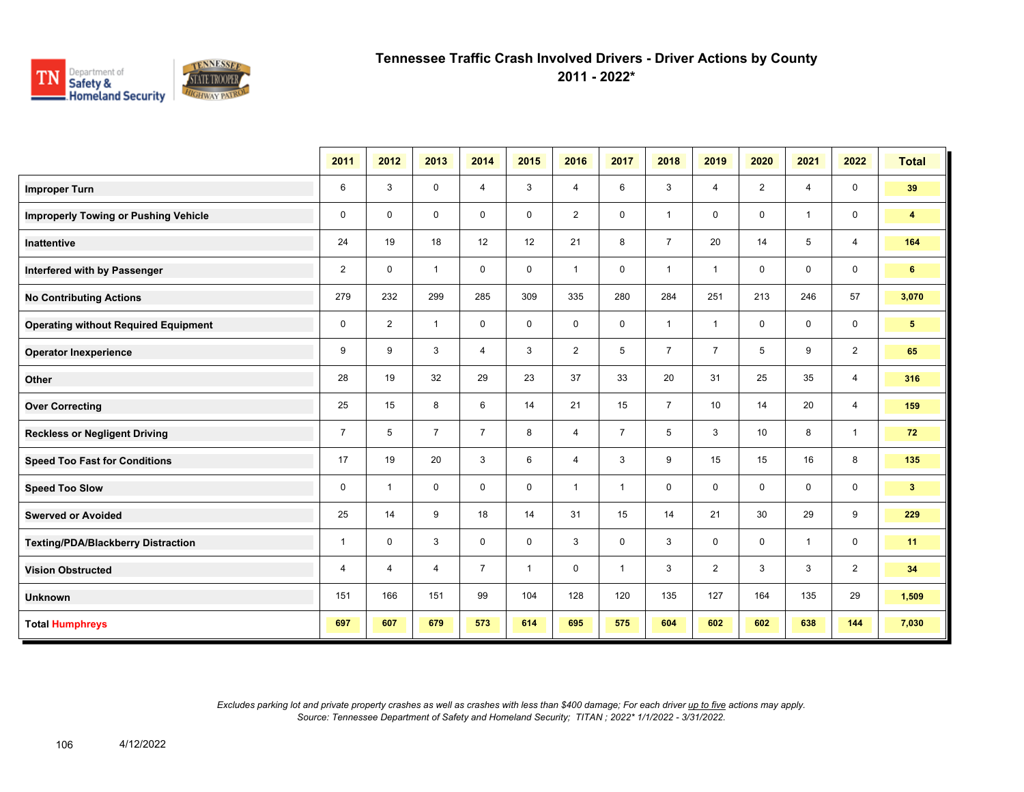

**2011 - 2022\***

|                                             | 2011           | 2012           | 2013           | 2014           | 2015         | 2016           | 2017           | 2018           | 2019           | 2020           | 2021           | 2022           | <b>Total</b>            |
|---------------------------------------------|----------------|----------------|----------------|----------------|--------------|----------------|----------------|----------------|----------------|----------------|----------------|----------------|-------------------------|
| <b>Improper Turn</b>                        | 6              | 3              | $\mathbf 0$    | $\overline{4}$ | 3            | 4              | 6              | 3              | 4              | $\overline{2}$ | $\overline{4}$ | $\mathbf 0$    | 39                      |
| <b>Improperly Towing or Pushing Vehicle</b> | $\mathbf 0$    | $\mathbf 0$    | $\mathbf 0$    | $\mathbf 0$    | $\mathbf 0$  | $\overline{2}$ | $\mathbf 0$    | $\mathbf{1}$   | $\mathbf 0$    | $\mathbf 0$    | $\mathbf{1}$   | $\mathbf 0$    | $\overline{\mathbf{4}}$ |
| Inattentive                                 | 24             | 19             | 18             | 12             | 12           | 21             | 8              | $\overline{7}$ | 20             | 14             | 5              | $\overline{4}$ | 164                     |
| Interfered with by Passenger                | 2              | $\mathbf 0$    | $\mathbf{1}$   | $\mathbf 0$    | $\mathbf 0$  | $\mathbf{1}$   | 0              | $\mathbf{1}$   | $\mathbf{1}$   | $\mathbf 0$    | 0              | $\mathbf 0$    | 6                       |
| <b>No Contributing Actions</b>              | 279            | 232            | 299            | 285            | 309          | 335            | 280            | 284            | 251            | 213            | 246            | 57             | 3,070                   |
| <b>Operating without Required Equipment</b> | $\mathbf 0$    | 2              | $\mathbf{1}$   | $\mathbf 0$    | 0            | $\mathbf 0$    | 0              | $\mathbf{1}$   | $\mathbf{1}$   | $\mathbf 0$    | 0              | $\mathbf 0$    | $5^{\circ}$             |
| <b>Operator Inexperience</b>                | 9              | 9              | 3              | $\overline{4}$ | 3            | $\overline{2}$ | 5              | $\overline{7}$ | $\overline{7}$ | 5              | 9              | $\overline{2}$ | 65                      |
| Other                                       | 28             | 19             | 32             | 29             | 23           | 37             | 33             | 20             | 31             | 25             | 35             | 4              | 316                     |
| <b>Over Correcting</b>                      | 25             | 15             | 8              | 6              | 14           | 21             | 15             | $\overline{7}$ | 10             | 14             | 20             | $\overline{4}$ | 159                     |
| <b>Reckless or Negligent Driving</b>        | $\overline{7}$ | 5              | $\overline{7}$ | $\overline{7}$ | 8            | 4              | $\overline{7}$ | 5              | 3              | 10             | 8              | $\mathbf{1}$   | 72                      |
| <b>Speed Too Fast for Conditions</b>        | 17             | 19             | 20             | 3              | 6            | 4              | 3              | 9              | 15             | 15             | 16             | 8              | 135                     |
| <b>Speed Too Slow</b>                       | $\mathbf 0$    | $\mathbf{1}$   | $\mathbf 0$    | $\mathbf 0$    | $\mathbf 0$  | $\mathbf{1}$   | $\mathbf{1}$   | $\mathbf 0$    | 0              | $\mathbf 0$    | 0              | 0              | 3 <sup>2</sup>          |
| <b>Swerved or Avoided</b>                   | 25             | 14             | 9              | 18             | 14           | 31             | 15             | 14             | 21             | 30             | 29             | 9              | 229                     |
| <b>Texting/PDA/Blackberry Distraction</b>   | $\mathbf{1}$   | $\mathbf 0$    | 3              | $\mathbf 0$    | $\mathbf 0$  | 3              | $\mathbf 0$    | 3              | $\mathbf 0$    | $\mathbf 0$    | $\mathbf{1}$   | $\mathbf 0$    | 11                      |
| <b>Vision Obstructed</b>                    | $\overline{4}$ | $\overline{4}$ | $\overline{4}$ | $\overline{7}$ | $\mathbf{1}$ | $\mathbf 0$    | $\mathbf{1}$   | 3              | $\overline{2}$ | 3              | 3              | $\overline{2}$ | 34                      |
| <b>Unknown</b>                              | 151            | 166            | 151            | 99             | 104          | 128            | 120            | 135            | 127            | 164            | 135            | 29             | 1,509                   |
| <b>Total Humphreys</b>                      | 697            | 607            | 679            | 573            | 614          | 695            | 575            | 604            | 602            | 602            | 638            | 144            | 7,030                   |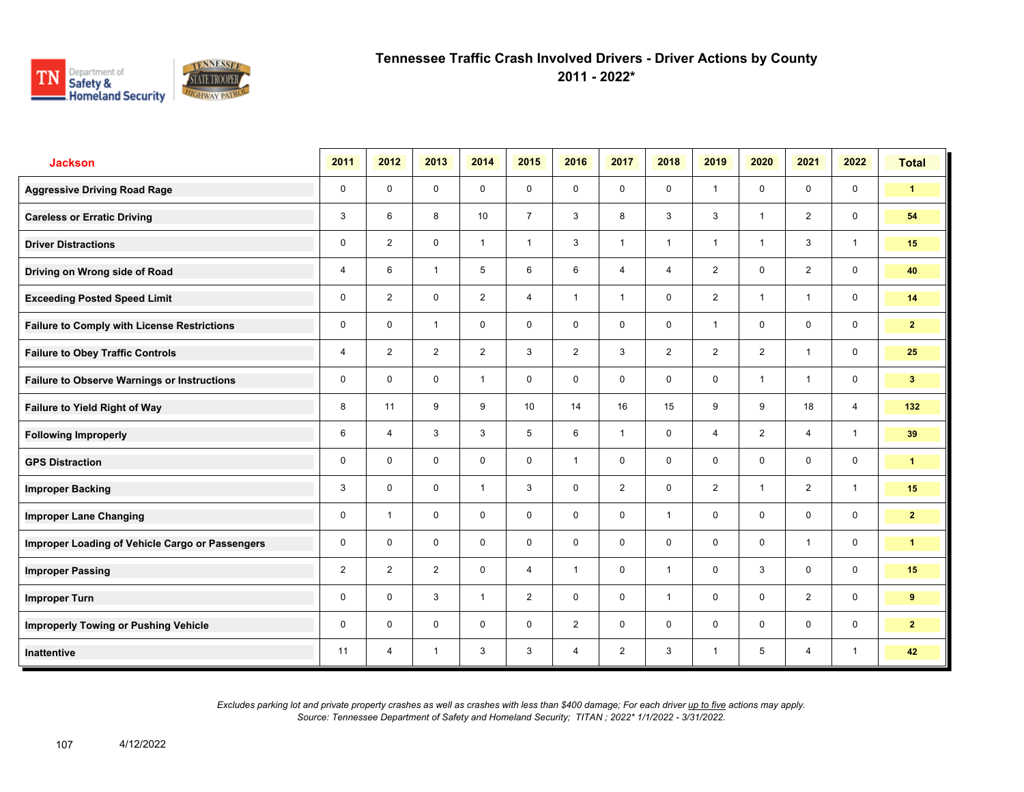

**2011 - 2022\***

| <b>Jackson</b>                                     | 2011           | 2012                    | 2013           | 2014           | 2015           | 2016           | 2017           | 2018           | 2019           | 2020           | 2021           | 2022           | <b>Total</b>   |
|----------------------------------------------------|----------------|-------------------------|----------------|----------------|----------------|----------------|----------------|----------------|----------------|----------------|----------------|----------------|----------------|
| <b>Aggressive Driving Road Rage</b>                | 0              | $\mathbf 0$             | $\mathbf 0$    | $\mathbf 0$    | 0              | $\mathbf 0$    | $\mathbf 0$    | $\mathbf 0$    | $\mathbf{1}$   | $\mathbf 0$    | $\mathbf 0$    | $\mathbf 0$    | $\mathbf{1}$   |
| <b>Careless or Erratic Driving</b>                 | 3              | 6                       | 8              | 10             | $\overline{7}$ | $\mathbf{3}$   | 8              | 3              | 3              | $\overline{1}$ | 2              | $\mathbf 0$    | 54             |
| <b>Driver Distractions</b>                         | 0              | $\overline{2}$          | $\mathbf 0$    | $\mathbf{1}$   | $\mathbf{1}$   | 3              | $\mathbf{1}$   | $\mathbf{1}$   | 1              | $\overline{1}$ | 3              | $\mathbf{1}$   | 15             |
| Driving on Wrong side of Road                      | 4              | 6                       | $\mathbf{1}$   | 5              | 6              | 6              | $\overline{4}$ | 4              | $\overline{2}$ | $\mathbf 0$    | $\overline{2}$ | $\mathbf 0$    | 40             |
| <b>Exceeding Posted Speed Limit</b>                | 0              | $\overline{2}$          | $\mathbf 0$    | $\overline{2}$ | 4              | $\overline{1}$ | $\mathbf{1}$   | $\mathbf 0$    | $\overline{2}$ | $\overline{1}$ | $\mathbf{1}$   | $\mathbf 0$    | 14             |
| <b>Failure to Comply with License Restrictions</b> | 0              | $\mathbf 0$             | $\mathbf{1}$   | $\mathbf 0$    | $\mathbf 0$    | $\mathbf 0$    | $\mathbf 0$    | $\mathbf 0$    | $\mathbf{1}$   | $\mathbf 0$    | $\mathbf 0$    | $\mathbf 0$    | $\overline{2}$ |
| <b>Failure to Obey Traffic Controls</b>            | 4              | $\overline{2}$          | $\overline{2}$ | $\overline{2}$ | 3              | $\overline{2}$ | 3              | $\overline{2}$ | $\overline{2}$ | $\overline{2}$ | $\mathbf{1}$   | $\mathbf 0$    | 25             |
| <b>Failure to Observe Warnings or Instructions</b> | 0              | $\mathbf 0$             | $\mathbf 0$    | $\mathbf{1}$   | 0              | $\mathbf 0$    | $\mathbf 0$    | $\mathbf 0$    | $\mathbf 0$    | $\overline{1}$ | $\mathbf{1}$   | $\mathbf 0$    | 3 <sup>2</sup> |
| Failure to Yield Right of Way                      | 8              | 11                      | 9              | 9              | 10             | 14             | 16             | 15             | 9              | 9              | 18             | $\overline{4}$ | 132            |
| <b>Following Improperly</b>                        | 6              | $\overline{4}$          | 3              | 3              | 5              | 6              | $\mathbf{1}$   | $\mathbf 0$    | $\overline{4}$ | $\overline{2}$ | $\overline{4}$ | $\mathbf{1}$   | 39             |
| <b>GPS Distraction</b>                             | 0              | $\Omega$                | $\mathbf 0$    | $\mathbf 0$    | 0              | $\overline{1}$ | $\mathbf 0$    | $\mathbf 0$    | $\mathbf 0$    | $\mathbf 0$    | $\mathbf 0$    | $\mathbf 0$    | $\mathbf{1}$   |
| <b>Improper Backing</b>                            | 3              | $\mathbf 0$             | $\mathbf 0$    | $\mathbf{1}$   | 3              | $\mathbf 0$    | $\overline{2}$ | $\mathsf{O}$   | $\overline{2}$ | $\overline{1}$ | 2              | $\mathbf{1}$   | 15             |
| <b>Improper Lane Changing</b>                      | 0              | $\overline{\mathbf{1}}$ | $\mathbf 0$    | $\mathbf 0$    | $\mathbf 0$    | $\mathbf 0$    | $\mathbf 0$    | $\mathbf{1}$   | $\mathbf 0$    | $\Omega$       | $\mathbf 0$    | $\mathbf 0$    | $\overline{2}$ |
| Improper Loading of Vehicle Cargo or Passengers    | 0              | $\Omega$                | $\Omega$       | $\mathbf 0$    | $\mathbf 0$    | $\Omega$       | $\mathbf 0$    | $\mathbf 0$    | $\mathbf 0$    | $\Omega$       | $\mathbf{1}$   | $\mathbf 0$    | $\mathbf{1}$   |
| <b>Improper Passing</b>                            | $\overline{2}$ | $\overline{2}$          | $\overline{2}$ | $\mathbf 0$    | 4              | $\overline{1}$ | $\mathbf 0$    | $\mathbf{1}$   | 0              | 3              | $\mathbf 0$    | $\mathbf 0$    | 15             |
| <b>Improper Turn</b>                               | 0              | $\mathbf 0$             | 3              | $\mathbf{1}$   | $\overline{2}$ | $\mathbf 0$    | $\mathbf 0$    | $\mathbf{1}$   | 0              | $\mathbf 0$    | 2              | $\mathbf 0$    | 9              |
| <b>Improperly Towing or Pushing Vehicle</b>        | 0              | $\Omega$                | $\mathbf 0$    | $\mathbf 0$    | 0              | $\overline{2}$ | $\mathbf 0$    | $\mathbf{0}$   | $\mathbf 0$    | $\mathbf 0$    | $\mathbf 0$    | $\mathbf 0$    | $\overline{2}$ |
| Inattentive                                        | 11             | $\overline{4}$          | 1              | 3              | 3              | $\overline{4}$ | $\overline{2}$ | 3              | 1              | 5              | $\overline{4}$ | $\mathbf{1}$   | 42             |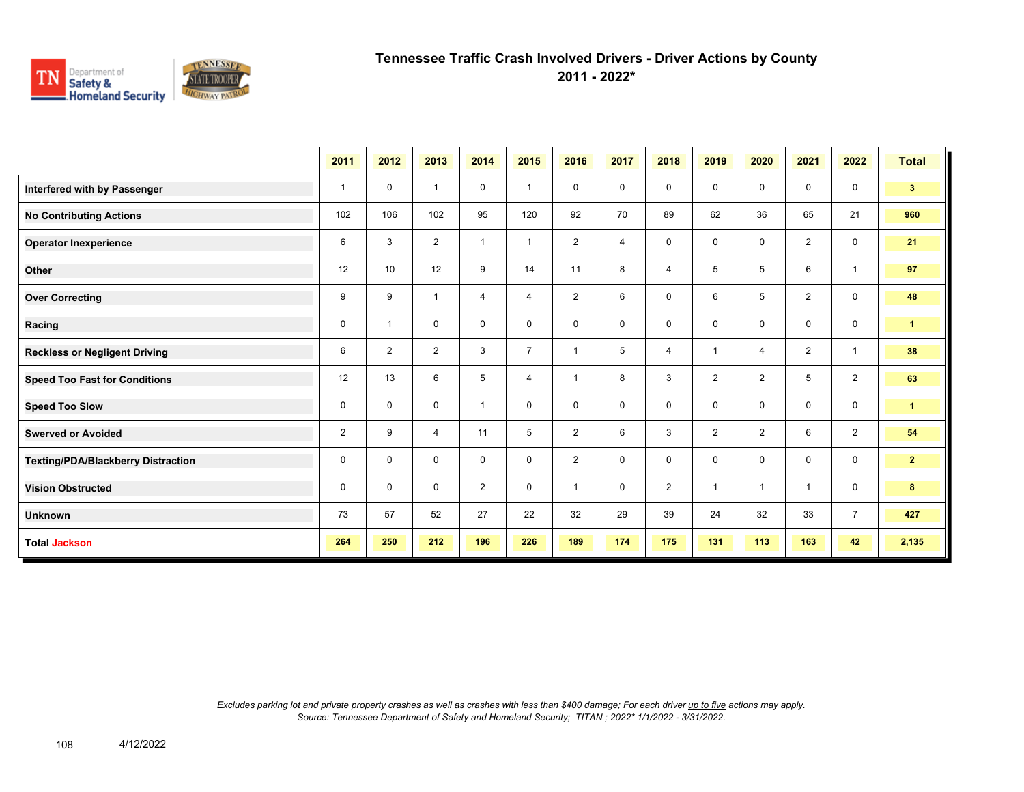

**2011 - 2022\***

|                                           | 2011           | 2012           | 2013           | 2014           | 2015                    | 2016           | 2017           | 2018           | 2019           | 2020           | 2021           | 2022           | <b>Total</b>         |
|-------------------------------------------|----------------|----------------|----------------|----------------|-------------------------|----------------|----------------|----------------|----------------|----------------|----------------|----------------|----------------------|
| Interfered with by Passenger              | $\mathbf{1}$   | $\mathbf 0$    | $\overline{1}$ | 0              | $\overline{\mathbf{1}}$ | $\mathbf 0$    | $\mathbf 0$    | $\mathbf 0$    | 0              | $\mathbf 0$    | $\mathbf 0$    | $\mathbf 0$    | 3 <sup>2</sup>       |
| <b>No Contributing Actions</b>            | 102            | 106            | 102            | 95             | 120                     | 92             | 70             | 89             | 62             | 36             | 65             | 21             | 960                  |
| <b>Operator Inexperience</b>              | 6              | 3              | 2              | $\overline{1}$ | $\overline{1}$          | $\overline{2}$ | $\overline{4}$ | $\mathsf 0$    | 0              | $\mathbf 0$    | 2              | $\mathbf 0$    | 21                   |
| Other                                     | 12             | 10             | 12             | 9              | 14                      | 11             | 8              | $\overline{4}$ | 5              | 5              | 6              | $\mathbf{1}$   | 97                   |
| <b>Over Correcting</b>                    | 9              | 9              | $\overline{1}$ | $\overline{4}$ | 4                       | 2              | 6              | $\mathbf 0$    | 6              | 5              | 2              | $\mathbf 0$    | 48                   |
| Racing                                    | 0              | $\overline{1}$ | 0              | $\mathbf 0$    | 0                       | $\mathbf 0$    | $\mathbf 0$    | $\mathbf 0$    | 0              | $\mathbf 0$    | $\mathbf 0$    | $\mathbf 0$    | $\blacktriangleleft$ |
| <b>Reckless or Negligent Driving</b>      | 6              | $\overline{2}$ | $\overline{2}$ | 3              | $\overline{7}$          | $\overline{1}$ | 5              | $\overline{4}$ |                | $\overline{4}$ | $\overline{2}$ | $\overline{1}$ | 38                   |
| <b>Speed Too Fast for Conditions</b>      | 12             | 13             | 6              | 5              | 4                       | $\overline{1}$ | 8              | $\mathbf{3}$   | $\overline{2}$ | 2              | 5              | $\overline{2}$ | 63                   |
| <b>Speed Too Slow</b>                     | 0              | 0              | $\mathbf 0$    | $\overline{1}$ | 0                       | $\mathbf 0$    | $\mathbf 0$    | $\mathbf 0$    | 0              | $\mathbf 0$    | $\mathbf 0$    | $\mathbf 0$    | $\blacktriangleleft$ |
| <b>Swerved or Avoided</b>                 | $\overline{2}$ | 9              | $\overline{4}$ | 11             | 5                       | 2              | 6              | $\mathbf{3}$   | $\overline{2}$ | 2              | 6              | 2              | 54                   |
| <b>Texting/PDA/Blackberry Distraction</b> | 0              | $\Omega$       | $\Omega$       | 0              | 0                       | 2              | $\mathbf 0$    | $\mathbf 0$    | 0              | $\Omega$       | $\mathbf 0$    | $\mathbf 0$    | 2 <sup>7</sup>       |
| <b>Vision Obstructed</b>                  | 0              | 0              | 0              | $\overline{2}$ | 0                       | $\overline{1}$ | $\mathbf 0$    | 2              | 1              | $\overline{1}$ | $\overline{1}$ | $\mathbf 0$    | 8                    |
| <b>Unknown</b>                            | 73             | 57             | 52             | 27             | 22                      | 32             | 29             | 39             | 24             | 32             | 33             | $\overline{7}$ | 427                  |
| <b>Total Jackson</b>                      | 264            | 250            | 212            | 196            | 226                     | 189            | 174            | 175            | 131            | 113            | 163            | 42             | 2,135                |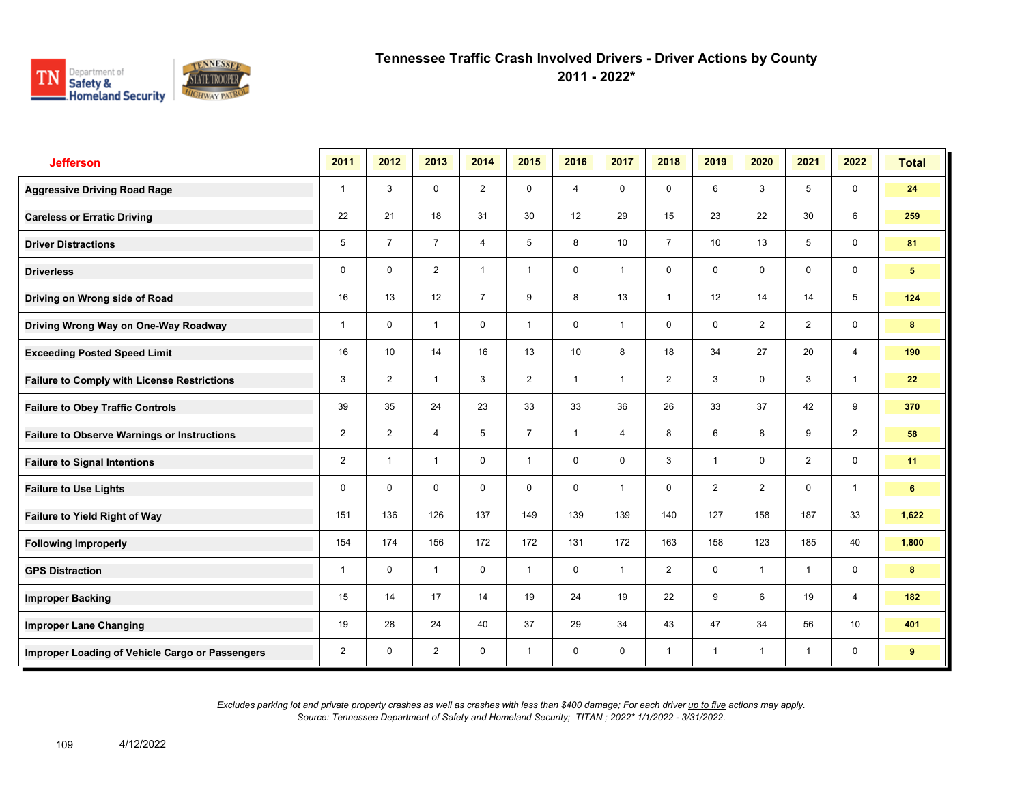

**2011 - 2022\***

| <b>Jefferson</b>                                   | 2011           | 2012           | 2013           | 2014           | 2015           | 2016           | 2017         | 2018           | 2019            | 2020           | 2021           | 2022            | <b>Total</b>   |
|----------------------------------------------------|----------------|----------------|----------------|----------------|----------------|----------------|--------------|----------------|-----------------|----------------|----------------|-----------------|----------------|
| <b>Aggressive Driving Road Rage</b>                | $\mathbf{1}$   | 3              | $\mathbf 0$    | $\overline{2}$ | $\mathbf 0$    | $\overline{4}$ | $\mathbf 0$  | $\mathbf 0$    | 6               | 3              | 5              | $\mathbf 0$     | 24             |
| <b>Careless or Erratic Driving</b>                 | 22             | 21             | 18             | 31             | 30             | 12             | 29           | 15             | 23              | 22             | 30             | 6               | 259            |
| <b>Driver Distractions</b>                         | 5              | $\overline{7}$ | $\overline{7}$ | $\overline{4}$ | 5              | 8              | 10           | $\overline{7}$ | 10 <sup>1</sup> | 13             | 5              | $\mathbf 0$     | 81             |
| <b>Driverless</b>                                  | 0              | $\mathbf 0$    | $\overline{2}$ | $\mathbf{1}$   | $\mathbf{1}$   | 0              | $\mathbf{1}$ | $\mathbf 0$    | 0               | 0              | $\mathsf{O}$   | $\mathbf 0$     | 5 <sup>5</sup> |
| Driving on Wrong side of Road                      | 16             | 13             | 12             | $\overline{7}$ | 9              | 8              | 13           | $\mathbf{1}$   | 12              | 14             | 14             | 5               | 124            |
| Driving Wrong Way on One-Way Roadway               | 1              | $\Omega$       | $\mathbf{1}$   | $\mathbf 0$    | $\mathbf{1}$   | $\mathbf 0$    | $\mathbf{1}$ | $\mathbf 0$    | 0               | 2              | $\overline{2}$ | $\mathbf 0$     | 8              |
| <b>Exceeding Posted Speed Limit</b>                | 16             | 10             | 14             | 16             | 13             | 10             | 8            | 18             | 34              | 27             | 20             | $\overline{4}$  | 190            |
| <b>Failure to Comply with License Restrictions</b> | 3              | $\overline{2}$ | $\mathbf{1}$   | 3              | $\overline{2}$ | $\overline{1}$ | $\mathbf{1}$ | $\overline{2}$ | 3               | $\mathbf 0$    | 3              | $\mathbf{1}$    | 22             |
| <b>Failure to Obey Traffic Controls</b>            | 39             | 35             | 24             | 23             | 33             | 33             | 36           | 26             | 33              | 37             | 42             | 9               | 370            |
| <b>Failure to Observe Warnings or Instructions</b> | $\overline{2}$ | $\overline{2}$ | 4              | 5              | $\overline{7}$ | $\overline{1}$ | 4            | 8              | 6               | 8              | 9              | $\overline{2}$  | 58             |
| <b>Failure to Signal Intentions</b>                | $\overline{2}$ | $\overline{1}$ | $\mathbf{1}$   | $\mathbf 0$    | $\mathbf{1}$   | $\mathbf{0}$   | $\mathbf 0$  | 3              | 1               | $\mathbf{0}$   | 2              | $\mathsf{O}$    | 11             |
| <b>Failure to Use Lights</b>                       | 0              | $\Omega$       | $\mathbf 0$    | $\mathbf 0$    | $\mathbf 0$    | $\mathbf 0$    | $\mathbf{1}$ | $\mathbf 0$    | $\overline{2}$  | 2              | $\mathbf 0$    | $\overline{1}$  | 6              |
| Failure to Yield Right of Way                      | 151            | 136            | 126            | 137            | 149            | 139            | 139          | 140            | 127             | 158            | 187            | 33              | 1,622          |
| <b>Following Improperly</b>                        | 154            | 174            | 156            | 172            | 172            | 131            | 172          | 163            | 158             | 123            | 185            | 40              | 1,800          |
| <b>GPS Distraction</b>                             | 1              | $\mathbf 0$    | $\mathbf{1}$   | $\mathbf 0$    | $\mathbf{1}$   | $\mathbf 0$    | $\mathbf{1}$ | 2              | $\mathbf 0$     | $\overline{1}$ | $\mathbf{1}$   | $\mathbf 0$     | 8              |
| <b>Improper Backing</b>                            | 15             | 14             | 17             | 14             | 19             | 24             | 19           | 22             | 9               | 6              | 19             | $\overline{4}$  | 182            |
| <b>Improper Lane Changing</b>                      | 19             | 28             | 24             | 40             | 37             | 29             | 34           | 43             | 47              | 34             | 56             | 10 <sup>°</sup> | 401            |
| Improper Loading of Vehicle Cargo or Passengers    | $\overline{2}$ | $\mathbf 0$    | $\overline{2}$ | $\mathbf 0$    | $\mathbf{1}$   | $\mathbf 0$    | $\mathbf 0$  | $\mathbf{1}$   | $\mathbf{1}$    | $\overline{1}$ | $\mathbf{1}$   | 0               | 9              |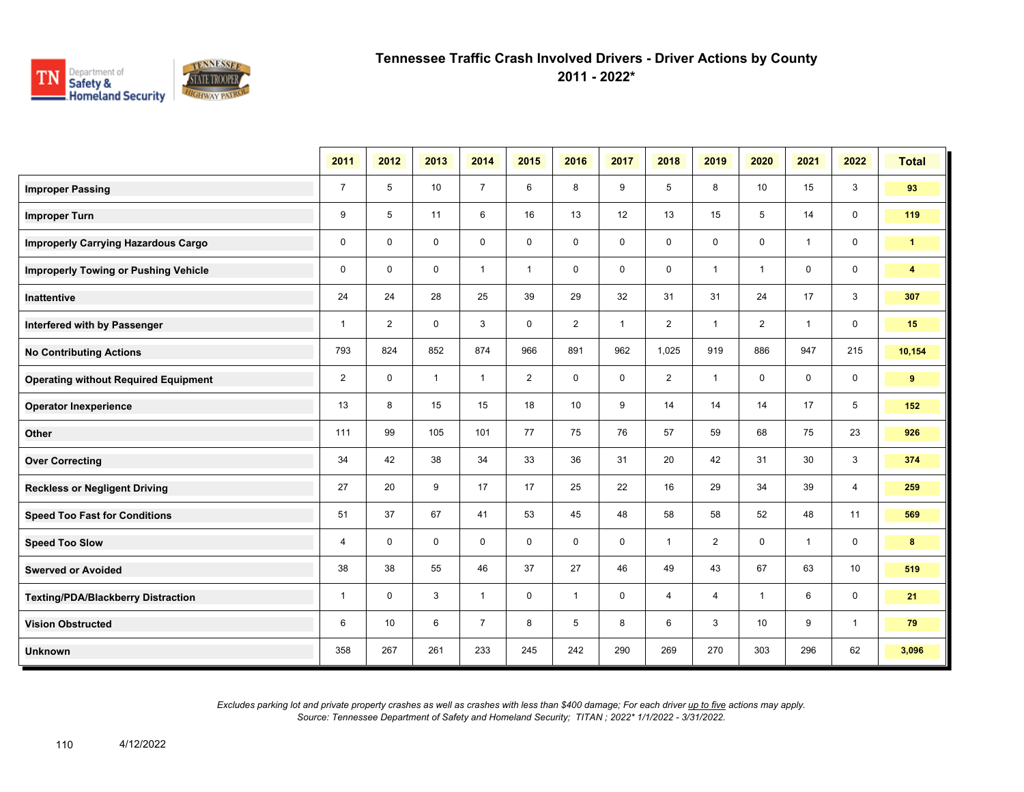

**2011 - 2022\***

|                                             | 2011           | 2012           | 2013         | 2014           | 2015           | 2016           | 2017         | 2018           | 2019           | 2020           | 2021           | 2022           | <b>Total</b>            |
|---------------------------------------------|----------------|----------------|--------------|----------------|----------------|----------------|--------------|----------------|----------------|----------------|----------------|----------------|-------------------------|
| <b>Improper Passing</b>                     | $\overline{7}$ | 5              | 10           | $\overline{7}$ | 6              | 8              | 9            | 5              | 8              | 10             | 15             | 3              | 93                      |
| <b>Improper Turn</b>                        | 9              | 5              | 11           | 6              | 16             | 13             | 12           | 13             | 15             | 5              | 14             | $\mathbf 0$    | 119                     |
| <b>Improperly Carrying Hazardous Cargo</b>  | $\mathbf 0$    | $\mathbf{0}$   | $\mathbf 0$  | $\mathbf 0$    | $\mathbf 0$    | $\mathbf 0$    | $\mathbf 0$  | 0              | $\mathbf 0$    | $\mathbf 0$    | $\overline{1}$ | $\mathbf 0$    | $\mathbf{1}$            |
| <b>Improperly Towing or Pushing Vehicle</b> | $\mathbf 0$    | $\mathbf 0$    | $\mathbf 0$  | $\mathbf{1}$   | $\mathbf{1}$   | $\mathbf 0$    | $\mathbf 0$  | 0              | $\mathbf{1}$   | $\overline{1}$ | $\mathbf 0$    | $\mathbf 0$    | $\overline{\mathbf{4}}$ |
| Inattentive                                 | 24             | 24             | 28           | 25             | 39             | 29             | 32           | 31             | 31             | 24             | 17             | 3              | 307                     |
| Interfered with by Passenger                | $\mathbf{1}$   | $\overline{2}$ | $\mathbf 0$  | 3              | $\mathbf 0$    | $\overline{2}$ | $\mathbf{1}$ | $\overline{2}$ | $\mathbf{1}$   | $\overline{2}$ | $\overline{1}$ | $\mathbf 0$    | 15                      |
| <b>No Contributing Actions</b>              | 793            | 824            | 852          | 874            | 966            | 891            | 962          | 1,025          | 919            | 886            | 947            | 215            | 10,154                  |
| <b>Operating without Required Equipment</b> | $\overline{2}$ | $\mathbf 0$    | $\mathbf{1}$ | $\mathbf{1}$   | $\overline{2}$ | $\mathbf 0$    | $\mathbf 0$  | $\overline{2}$ | $\mathbf{1}$   | 0              | $\mathbf 0$    | $\mathbf 0$    | 9                       |
| <b>Operator Inexperience</b>                | 13             | 8              | 15           | 15             | 18             | 10             | 9            | 14             | 14             | 14             | 17             | 5              | 152                     |
| Other                                       | 111            | 99             | 105          | 101            | 77             | 75             | 76           | 57             | 59             | 68             | 75             | 23             | 926                     |
| <b>Over Correcting</b>                      | 34             | 42             | 38           | 34             | 33             | 36             | 31           | 20             | 42             | 31             | 30             | 3              | 374                     |
| <b>Reckless or Negligent Driving</b>        | 27             | 20             | 9            | 17             | 17             | 25             | 22           | 16             | 29             | 34             | 39             | $\overline{4}$ | 259                     |
| <b>Speed Too Fast for Conditions</b>        | 51             | 37             | 67           | 41             | 53             | 45             | 48           | 58             | 58             | 52             | 48             | 11             | 569                     |
| <b>Speed Too Slow</b>                       | 4              | $\mathbf 0$    | $\mathbf 0$  | $\mathbf 0$    | $\mathbf 0$    | $\mathbf 0$    | $\mathbf 0$  | $\mathbf{1}$   | $\overline{2}$ | $\mathbf 0$    | $\overline{1}$ | $\mathbf 0$    | 8                       |
| <b>Swerved or Avoided</b>                   | 38             | 38             | 55           | 46             | 37             | 27             | 46           | 49             | 43             | 67             | 63             | 10             | 519                     |
| <b>Texting/PDA/Blackberry Distraction</b>   | $\mathbf{1}$   | $\mathbf 0$    | 3            | $\mathbf{1}$   | $\mathbf 0$    | $\mathbf{1}$   | 0            | $\overline{4}$ | 4              | $\overline{1}$ | 6              | $\mathbf 0$    | 21                      |
| <b>Vision Obstructed</b>                    | 6              | 10             | 6            | $\overline{7}$ | 8              | 5              | 8            | 6              | 3              | 10             | 9              | $\mathbf{1}$   | 79                      |
| <b>Unknown</b>                              | 358            | 267            | 261          | 233            | 245            | 242            | 290          | 269            | 270            | 303            | 296            | 62             | 3,096                   |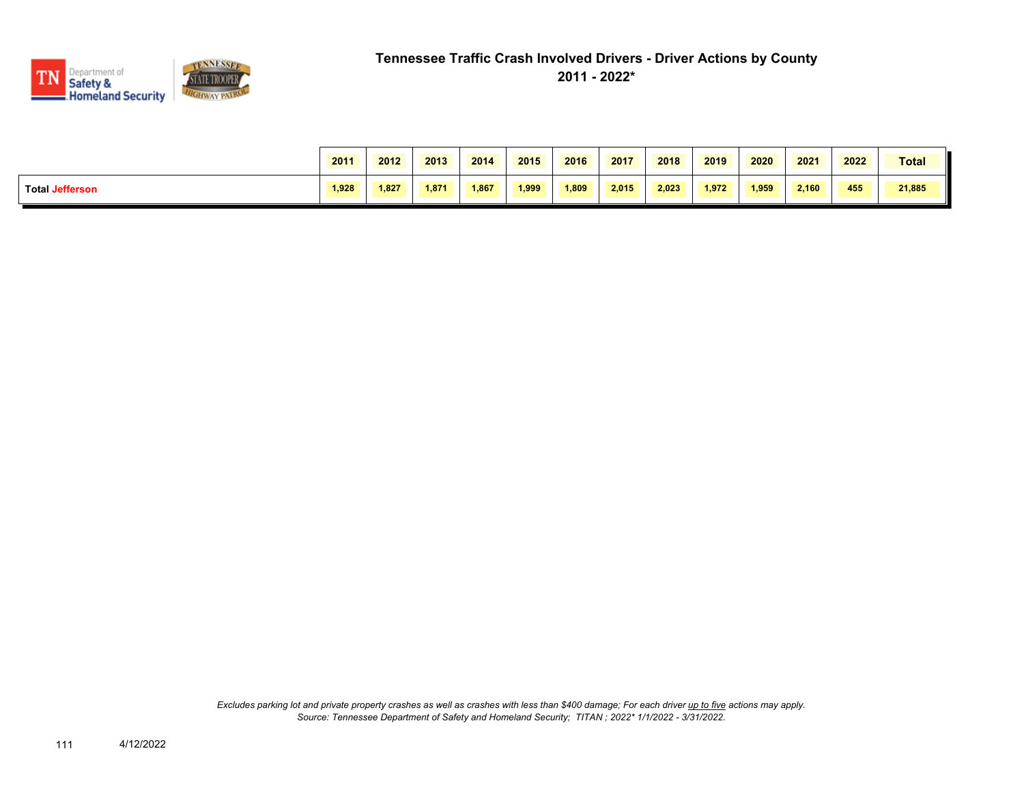

|                        | 2011  | 2012  | 2013  | 2014  | 2015  | 2016  | 2017  | 2018  | 2019  | 2020  | 2021  | 2022 | <b>Total</b> |
|------------------------|-------|-------|-------|-------|-------|-------|-------|-------|-------|-------|-------|------|--------------|
| <b>Total Jefferson</b> | 1.928 | 1.827 | 1.871 | 1.867 | 1.999 | 1,809 | 2.015 | 2.023 | 1.972 | 1,959 | 2,160 | 455  | 21,885       |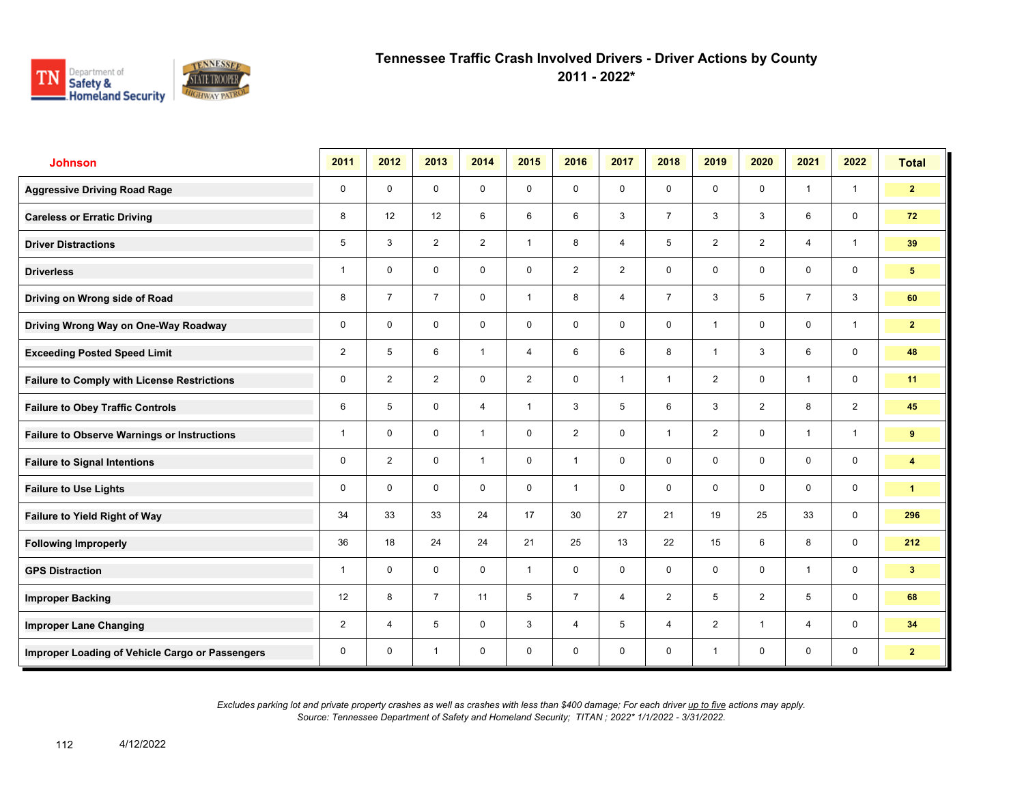

**2011 - 2022\***

| <b>Johnson</b>                                     | 2011           | 2012           | 2013           | 2014           | 2015           | 2016           | 2017           | 2018           | 2019           | 2020           | 2021           | 2022         | <b>Total</b>            |
|----------------------------------------------------|----------------|----------------|----------------|----------------|----------------|----------------|----------------|----------------|----------------|----------------|----------------|--------------|-------------------------|
| <b>Aggressive Driving Road Rage</b>                | 0              | $\mathbf 0$    | $\mathbf 0$    | $\mathbf 0$    | $\mathbf 0$    | $\mathbf 0$    | $\mathbf 0$    | $\mathbf{0}$   | $\mathbf 0$    | $\mathbf 0$    | $\mathbf{1}$   | $\mathbf{1}$ | $\overline{2}$          |
| <b>Careless or Erratic Driving</b>                 | 8              | 12             | 12             | 6              | 6              | 6              | 3              | $\overline{7}$ | 3              | 3              | 6              | $\mathbf 0$  | 72                      |
| <b>Driver Distractions</b>                         | 5              | 3              | $\overline{2}$ | $\overline{2}$ | $\mathbf{1}$   | 8              | $\overline{4}$ | 5              | $\overline{2}$ | 2              | $\overline{4}$ | $\mathbf{1}$ | 39                      |
| <b>Driverless</b>                                  | 1              | $\mathbf 0$    | 0              | 0              | 0              | 2              | $\overline{2}$ | $\mathsf{O}$   | 0              | 0              | $\mathsf{O}$   | $\mathbf 0$  | 5 <sup>5</sup>          |
| Driving on Wrong side of Road                      | 8              | $\overline{7}$ | $\overline{7}$ | $\mathbf 0$    | $\mathbf{1}$   | 8              | $\overline{4}$ | $\overline{7}$ | 3              | 5              | $\overline{7}$ | $\mathbf{3}$ | 60                      |
| Driving Wrong Way on One-Way Roadway               | 0              | $\mathbf 0$    | $\mathbf 0$    | $\mathbf 0$    | 0              | $\mathbf 0$    | $\mathbf 0$    | $\mathbf 0$    | 1              | $\mathbf 0$    | $\mathbf 0$    | $\mathbf{1}$ | $\overline{2}$          |
| <b>Exceeding Posted Speed Limit</b>                | $\overline{2}$ | 5              | 6              | $\mathbf{1}$   | $\overline{4}$ | 6              | 6              | 8              | $\mathbf{1}$   | 3              | 6              | $\mathbf 0$  | 48                      |
| <b>Failure to Comply with License Restrictions</b> | 0              | $\overline{2}$ | $\overline{2}$ | $\mathbf 0$    | $\overline{2}$ | $\mathbf 0$    | $\mathbf{1}$   | $\mathbf{1}$   | $\overline{2}$ | $\mathbf 0$    | $\mathbf{1}$   | $\mathbf 0$  | 11                      |
| <b>Failure to Obey Traffic Controls</b>            | 6              | 5              | $\mathbf 0$    | $\overline{4}$ | $\mathbf{1}$   | 3              | 5              | 6              | 3              | 2              | 8              | 2            | 45                      |
| <b>Failure to Observe Warnings or Instructions</b> | $\overline{1}$ | $\mathbf 0$    | $\mathbf 0$    | $\mathbf{1}$   | 0              | $\overline{2}$ | $\mathbf 0$    | $\mathbf{1}$   | $\overline{2}$ | $\mathbf 0$    | $\overline{1}$ | $\mathbf{1}$ | 9                       |
| <b>Failure to Signal Intentions</b>                | 0              | $\overline{2}$ | $\Omega$       | $\mathbf{1}$   | 0              | $\mathbf{1}$   | $\mathbf 0$    | $\mathbf 0$    | $\mathbf 0$    | $\mathbf{0}$   | $\mathbf 0$    | $\mathbf 0$  | $\overline{\mathbf{4}}$ |
| <b>Failure to Use Lights</b>                       | 0              | $\mathbf 0$    | $\mathbf 0$    | $\mathbf 0$    | 0              | $\overline{1}$ | $\mathbf 0$    | $\mathbf 0$    | $\mathbf 0$    | $\mathbf 0$    | $\mathbf 0$    | $\mathbf 0$  | $\blacktriangleleft$    |
| Failure to Yield Right of Way                      | 34             | 33             | 33             | 24             | 17             | 30             | 27             | 21             | 19             | 25             | 33             | $\mathbf 0$  | 296                     |
| <b>Following Improperly</b>                        | 36             | 18             | 24             | 24             | 21             | 25             | 13             | 22             | 15             | 6              | 8              | $\mathbf 0$  | 212                     |
| <b>GPS Distraction</b>                             | 1              | $\mathbf 0$    | $\mathbf 0$    | $\mathbf 0$    | $\mathbf{1}$   | $\mathbf 0$    | $\mathbf 0$    | $\mathbf 0$    | $\mathbf 0$    | $\mathbf 0$    | $\mathbf{1}$   | $\mathbf 0$  | 3 <sup>2</sup>          |
| <b>Improper Backing</b>                            | 12             | 8              | $\overline{7}$ | 11             | 5              | $\overline{7}$ | $\overline{4}$ | $\overline{2}$ | 5              | 2              | 5              | $\mathbf 0$  | 68                      |
| <b>Improper Lane Changing</b>                      | $\overline{2}$ | $\overline{4}$ | 5              | $\mathbf 0$    | 3              | $\overline{4}$ | 5              | $\overline{4}$ | $\overline{2}$ | $\overline{1}$ | $\overline{4}$ | $\mathbf 0$  | 34                      |
| Improper Loading of Vehicle Cargo or Passengers    | 0              | $\mathbf 0$    | $\overline{1}$ | $\mathbf 0$    | 0              | $\mathbf 0$    | $\mathbf 0$    | $\mathsf{O}$   | 1              | $\mathbf 0$    | 0              | $\mathbf 0$  | $\overline{2}$          |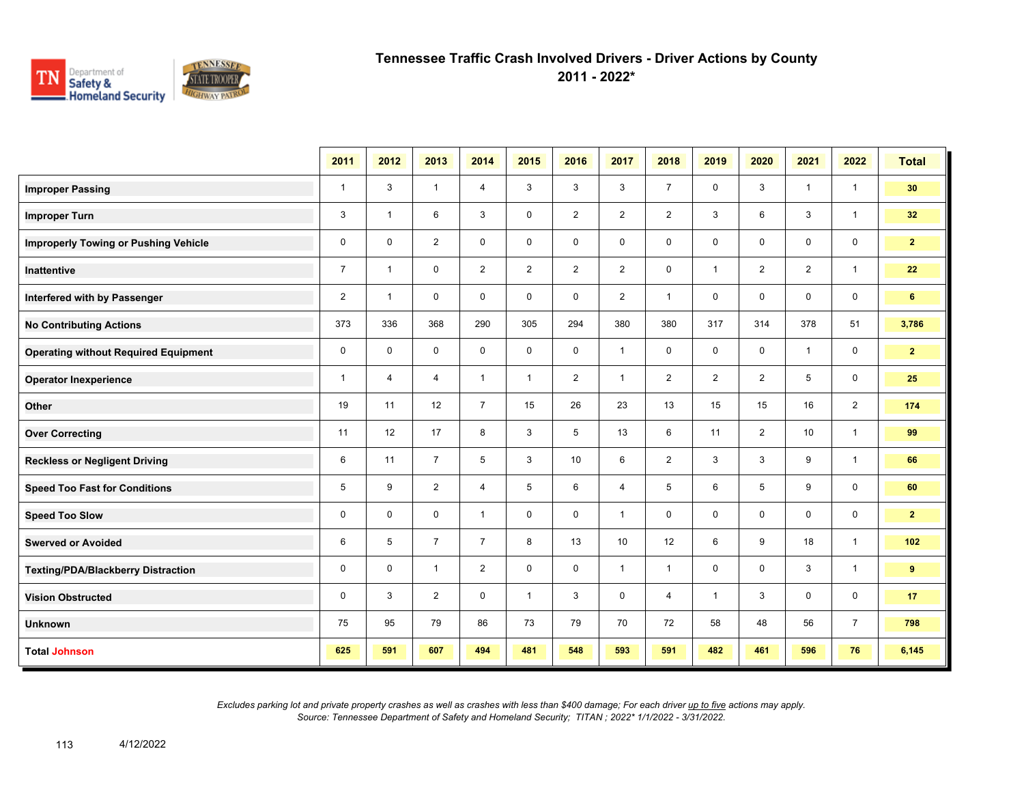

**2011 - 2022\***

|                                             | 2011           | 2012           | 2013           | 2014           | 2015           | 2016           | 2017           | 2018           | 2019           | 2020           | 2021           | 2022           | <b>Total</b>   |
|---------------------------------------------|----------------|----------------|----------------|----------------|----------------|----------------|----------------|----------------|----------------|----------------|----------------|----------------|----------------|
| <b>Improper Passing</b>                     | $\mathbf{1}$   | 3              | $\mathbf{1}$   | $\overline{4}$ | 3              | 3              | 3              | $\overline{7}$ | 0              | 3              | $\mathbf{1}$   | $\overline{1}$ | 30             |
| <b>Improper Turn</b>                        | 3              | $\overline{1}$ | 6              | 3              | $\mathbf 0$    | $\overline{2}$ | $\overline{2}$ | $\overline{2}$ | 3              | 6              | 3              | $\mathbf{1}$   | 32             |
| <b>Improperly Towing or Pushing Vehicle</b> | $\mathbf 0$    | $\mathbf 0$    | $\overline{2}$ | $\mathbf 0$    | 0              | $\mathbf 0$    | 0              | $\mathbf 0$    | 0              | 0              | 0              | $\mathbf 0$    | 2 <sup>7</sup> |
| <b>Inattentive</b>                          | $\overline{7}$ | $\mathbf{1}$   | $\mathbf 0$    | $\overline{2}$ | $\overline{2}$ | $\overline{2}$ | $\overline{2}$ | $\mathbf 0$    | $\mathbf{1}$   | $\overline{2}$ | $\overline{2}$ | $\mathbf{1}$   | 22             |
| Interfered with by Passenger                | $\overline{2}$ | $\mathbf{1}$   | $\mathbf 0$    | $\mathbf 0$    | $\mathbf 0$    | $\mathbf 0$    | 2              | $\mathbf{1}$   | 0              | $\mathbf 0$    | 0              | $\mathbf 0$    | 6              |
| <b>No Contributing Actions</b>              | 373            | 336            | 368            | 290            | 305            | 294            | 380            | 380            | 317            | 314            | 378            | 51             | 3,786          |
| <b>Operating without Required Equipment</b> | $\mathbf 0$    | $\mathbf 0$    | $\mathbf 0$    | $\mathbf 0$    | $\mathbf 0$    | $\mathbf 0$    | $\mathbf{1}$   | $\mathbf 0$    | 0              | $\mathbf 0$    | $\mathbf{1}$   | 0              | 2 <sub>2</sub> |
| <b>Operator Inexperience</b>                | $\mathbf{1}$   | $\overline{4}$ | 4              | $\mathbf{1}$   | $\mathbf{1}$   | $\overline{2}$ | $\mathbf{1}$   | $\overline{2}$ | $\overline{2}$ | $\overline{2}$ | 5              | 0              | 25             |
| Other                                       | 19             | 11             | 12             | $\overline{7}$ | 15             | 26             | 23             | 13             | 15             | 15             | 16             | $\overline{2}$ | 174            |
| <b>Over Correcting</b>                      | 11             | 12             | 17             | 8              | 3              | 5              | 13             | 6              | 11             | $\overline{2}$ | 10             | $\mathbf{1}$   | 99             |
| <b>Reckless or Negligent Driving</b>        | 6              | 11             | $\overline{7}$ | 5              | 3              | 10             | 6              | $\overline{2}$ | 3              | 3              | 9              | $\mathbf{1}$   | 66             |
| <b>Speed Too Fast for Conditions</b>        | 5              | 9              | $\overline{2}$ | 4              | 5              | 6              | 4              | 5              | 6              | 5              | 9              | $\mathbf 0$    | 60             |
| <b>Speed Too Slow</b>                       | 0              | $\mathbf 0$    | 0              | $\mathbf{1}$   | 0              | 0              | $\mathbf{1}$   | 0              | 0              | 0              | 0              | 0              | 2 <sup>7</sup> |
| <b>Swerved or Avoided</b>                   | 6              | 5              | $\overline{7}$ | $\overline{7}$ | 8              | 13             | 10             | 12             | 6              | 9              | 18             | $\mathbf{1}$   | 102            |
| <b>Texting/PDA/Blackberry Distraction</b>   | $\mathbf 0$    | $\mathbf 0$    | $\mathbf{1}$   | 2              | $\mathbf 0$    | $\mathbf 0$    | $\mathbf{1}$   | $\mathbf{1}$   | $\mathbf 0$    | $\mathbf 0$    | 3              | $\overline{1}$ | 9              |
| <b>Vision Obstructed</b>                    | 0              | 3              | $\overline{2}$ | $\mathbf 0$    | $\mathbf{1}$   | 3              | 0              | 4              | $\mathbf{1}$   | 3              | 0              | 0              | 17             |
| <b>Unknown</b>                              | 75             | 95             | 79             | 86             | 73             | 79             | 70             | 72             | 58             | 48             | 56             | $\overline{7}$ | 798            |
| <b>Total Johnson</b>                        | 625            | 591            | 607            | 494            | 481            | 548            | 593            | 591            | 482            | 461            | 596            | 76             | 6,145          |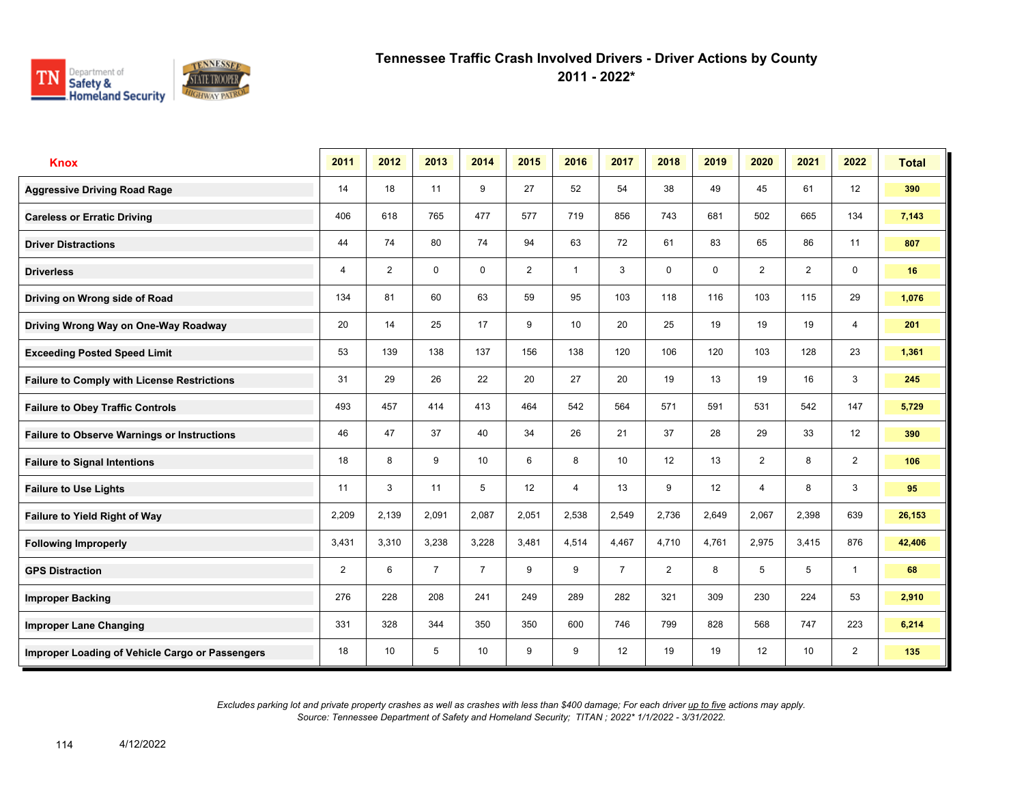

**2011 - 2022\***

| <b>Knox</b>                                        | 2011           | 2012            | 2013           | 2014            | 2015           | 2016            | 2017            | 2018           | 2019  | 2020           | 2021            | 2022           | <b>Total</b> |
|----------------------------------------------------|----------------|-----------------|----------------|-----------------|----------------|-----------------|-----------------|----------------|-------|----------------|-----------------|----------------|--------------|
| <b>Aggressive Driving Road Rage</b>                | 14             | 18              | 11             | 9               | 27             | 52              | 54              | 38             | 49    | 45             | 61              | 12             | 390          |
| <b>Careless or Erratic Driving</b>                 | 406            | 618             | 765            | 477             | 577            | 719             | 856             | 743            | 681   | 502            | 665             | 134            | 7,143        |
| <b>Driver Distractions</b>                         | 44             | 74              | 80             | 74              | 94             | 63              | 72              | 61             | 83    | 65             | 86              | 11             | 807          |
| <b>Driverless</b>                                  | 4              | 2               | 0              | $\mathbf 0$     | $\overline{2}$ | $\overline{1}$  | 3               | 0              | 0     | 2              | 2               | 0              | 16           |
| Driving on Wrong side of Road                      | 134            | 81              | 60             | 63              | 59             | 95              | 103             | 118            | 116   | 103            | 115             | 29             | 1,076        |
| Driving Wrong Way on One-Way Roadway               | 20             | 14              | 25             | 17              | 9              | 10 <sup>1</sup> | 20              | 25             | 19    | 19             | 19              | $\overline{4}$ | 201          |
| <b>Exceeding Posted Speed Limit</b>                | 53             | 139             | 138            | 137             | 156            | 138             | 120             | 106            | 120   | 103            | 128             | 23             | 1,361        |
| <b>Failure to Comply with License Restrictions</b> | 31             | 29              | 26             | 22              | 20             | 27              | 20              | 19             | 13    | 19             | 16              | 3              | 245          |
| <b>Failure to Obey Traffic Controls</b>            | 493            | 457             | 414            | 413             | 464            | 542             | 564             | 571            | 591   | 531            | 542             | 147            | 5,729        |
| <b>Failure to Observe Warnings or Instructions</b> | 46             | 47              | 37             | 40              | 34             | 26              | 21              | 37             | 28    | 29             | 33              | 12             | 390          |
| <b>Failure to Signal Intentions</b>                | 18             | 8               | 9              | 10 <sup>1</sup> | 6              | 8               | 10 <sup>1</sup> | 12             | 13    | $\overline{2}$ | 8               | $\overline{2}$ | 106          |
| <b>Failure to Use Lights</b>                       | 11             | 3               | 11             | 5               | 12             | $\overline{4}$  | 13              | 9              | 12    | $\overline{4}$ | 8               | 3              | 95           |
| Failure to Yield Right of Way                      | 2,209          | 2,139           | 2,091          | 2,087           | 2,051          | 2,538           | 2,549           | 2,736          | 2,649 | 2,067          | 2,398           | 639            | 26,153       |
| <b>Following Improperly</b>                        | 3,431          | 3,310           | 3,238          | 3,228           | 3,481          | 4,514           | 4,467           | 4,710          | 4,761 | 2,975          | 3,415           | 876            | 42,406       |
| <b>GPS Distraction</b>                             | $\overline{2}$ | 6               | $\overline{7}$ | $\overline{7}$  | 9              | 9               | $\overline{7}$  | $\overline{2}$ | 8     | 5              | 5               | $\mathbf{1}$   | 68           |
| <b>Improper Backing</b>                            | 276            | 228             | 208            | 241             | 249            | 289             | 282             | 321            | 309   | 230            | 224             | 53             | 2,910        |
| <b>Improper Lane Changing</b>                      | 331            | 328             | 344            | 350             | 350            | 600             | 746             | 799            | 828   | 568            | 747             | 223            | 6,214        |
| Improper Loading of Vehicle Cargo or Passengers    | 18             | 10 <sup>1</sup> | 5              | 10 <sup>°</sup> | 9              | 9               | 12              | 19             | 19    | 12             | 10 <sup>1</sup> | $\overline{2}$ | 135          |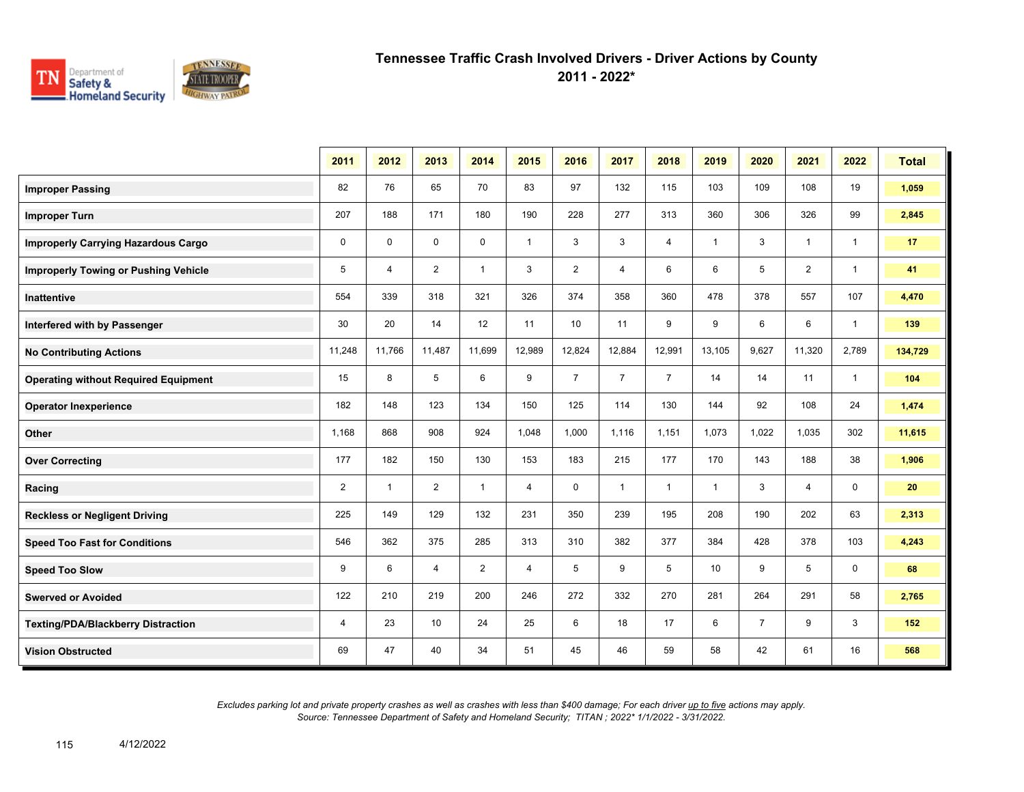

**2011 - 2022\***

|                                             | 2011           | 2012         | 2013           | 2014           | 2015           | 2016           | 2017           | 2018           | 2019         | 2020           | 2021           | 2022         | <b>Total</b> |
|---------------------------------------------|----------------|--------------|----------------|----------------|----------------|----------------|----------------|----------------|--------------|----------------|----------------|--------------|--------------|
| <b>Improper Passing</b>                     | 82             | 76           | 65             | 70             | 83             | 97             | 132            | 115            | 103          | 109            | 108            | 19           | 1,059        |
| <b>Improper Turn</b>                        | 207            | 188          | 171            | 180            | 190            | 228            | 277            | 313            | 360          | 306            | 326            | 99           | 2,845        |
| <b>Improperly Carrying Hazardous Cargo</b>  | $\mathbf 0$    | $\mathbf 0$  | $\mathbf 0$    | $\mathbf 0$    | $\mathbf{1}$   | 3              | 3              | 4              | $\mathbf{1}$ | 3              | $\mathbf{1}$   | $\mathbf{1}$ | 17           |
| <b>Improperly Towing or Pushing Vehicle</b> | 5              | 4            | $\overline{2}$ | $\mathbf{1}$   | 3              | $\overline{2}$ | 4              | 6              | 6            | 5              | $\overline{2}$ | $\mathbf{1}$ | 41           |
| Inattentive                                 | 554            | 339          | 318            | 321            | 326            | 374            | 358            | 360            | 478          | 378            | 557            | 107          | 4,470        |
| Interfered with by Passenger                | 30             | 20           | 14             | 12             | 11             | 10             | 11             | 9              | 9            | 6              | 6              | $\mathbf{1}$ | 139          |
| <b>No Contributing Actions</b>              | 11,248         | 11,766       | 11,487         | 11,699         | 12,989         | 12,824         | 12,884         | 12,991         | 13,105       | 9,627          | 11,320         | 2,789        | 134,729      |
| <b>Operating without Required Equipment</b> | 15             | 8            | 5              | 6              | 9              | $\overline{7}$ | $\overline{7}$ | $\overline{7}$ | 14           | 14             | 11             | $\mathbf{1}$ | 104          |
| <b>Operator Inexperience</b>                | 182            | 148          | 123            | 134            | 150            | 125            | 114            | 130            | 144          | 92             | 108            | 24           | 1,474        |
| Other                                       | 1,168          | 868          | 908            | 924            | 1,048          | 1,000          | 1,116          | 1,151          | 1,073        | 1,022          | 1,035          | 302          | 11,615       |
| <b>Over Correcting</b>                      | 177            | 182          | 150            | 130            | 153            | 183            | 215            | 177            | 170          | 143            | 188            | 38           | 1,906        |
| Racing                                      | $\overline{2}$ | $\mathbf{1}$ | $\overline{2}$ | $\mathbf{1}$   | $\overline{4}$ | $\mathbf 0$    | $\mathbf{1}$   | $\mathbf{1}$   | $\mathbf{1}$ | 3              | $\overline{4}$ | $\mathbf 0$  | 20           |
| <b>Reckless or Negligent Driving</b>        | 225            | 149          | 129            | 132            | 231            | 350            | 239            | 195            | 208          | 190            | 202            | 63           | 2,313        |
| <b>Speed Too Fast for Conditions</b>        | 546            | 362          | 375            | 285            | 313            | 310            | 382            | 377            | 384          | 428            | 378            | 103          | 4,243        |
| <b>Speed Too Slow</b>                       | 9              | 6            | 4              | $\overline{2}$ | 4              | 5              | 9              | 5              | 10           | 9              | 5              | 0            | 68           |
| <b>Swerved or Avoided</b>                   | 122            | 210          | 219            | 200            | 246            | 272            | 332            | 270            | 281          | 264            | 291            | 58           | 2,765        |
| <b>Texting/PDA/Blackberry Distraction</b>   | 4              | 23           | 10             | 24             | 25             | 6              | 18             | 17             | 6            | $\overline{7}$ | 9              | 3            | 152          |
| <b>Vision Obstructed</b>                    | 69             | 47           | 40             | 34             | 51             | 45             | 46             | 59             | 58           | 42             | 61             | 16           | 568          |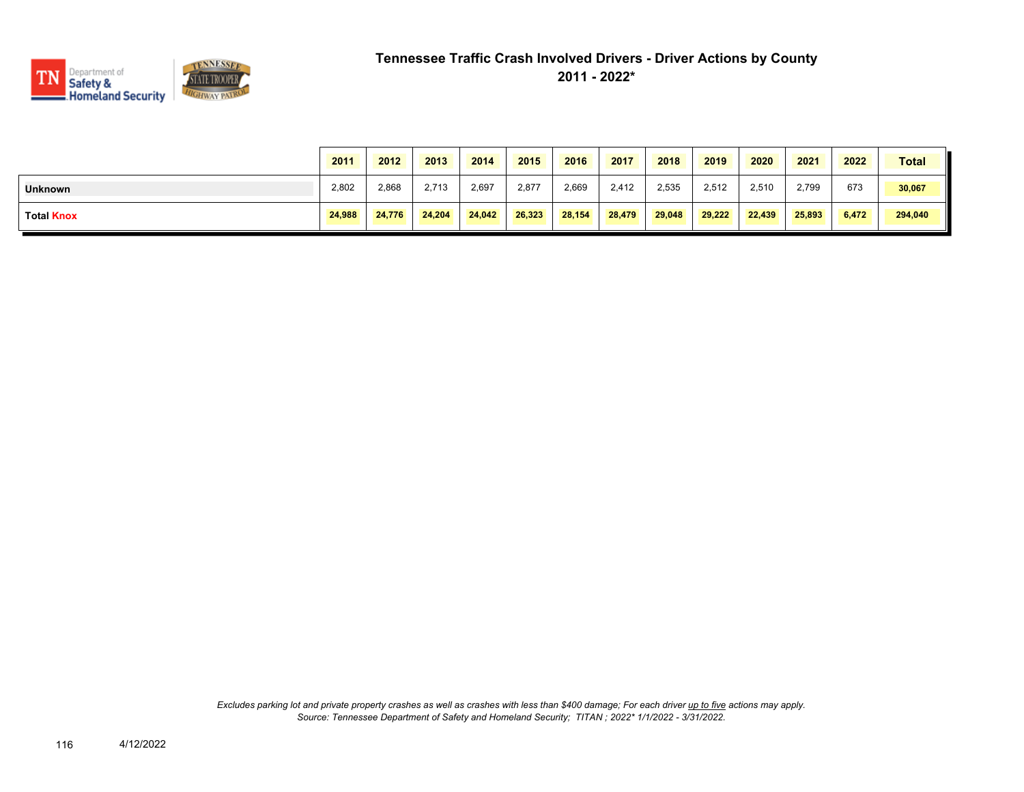

|                   | 2011   | 2012   | 2013   | 2014   | 2015   | 2016   | 2017   | 2018   | 2019   | 2020   | 2021   | 2022  | <b>Total</b> |
|-------------------|--------|--------|--------|--------|--------|--------|--------|--------|--------|--------|--------|-------|--------------|
| <b>Unknown</b>    | 2,802  | 2,868  | 2.713  | 2,697  | 2,877  | 2.669  | 2,412  | 2,535  | 2,512  | 2,510  | 2,799  | 673   | 30,067       |
| <b>Total Knox</b> | 24,988 | 24.776 | 24.204 | 24.042 | 26,323 | 28,154 | 28,479 | 29.048 | 29,222 | 22.439 | 25.893 | 6,472 | 294,040      |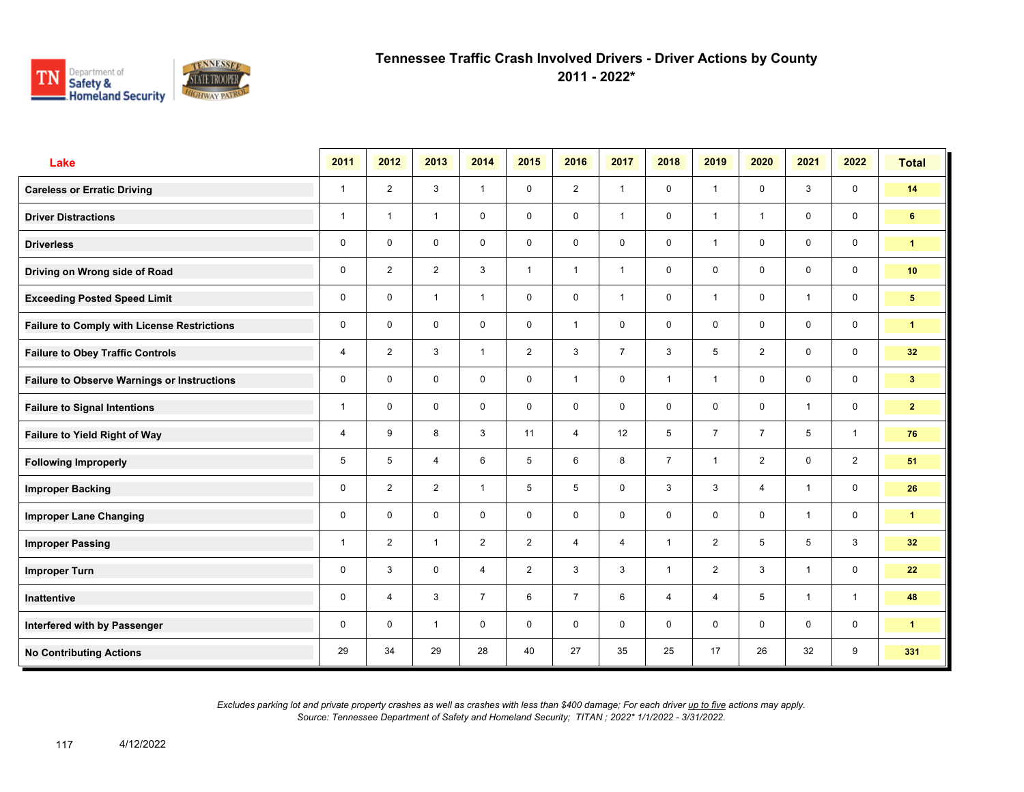

**2011 - 2022\***

| Lake                                               | 2011         | 2012           | 2013           | 2014           | 2015           | 2016           | 2017           | 2018           | 2019           | 2020           | 2021         | 2022                    | <b>Total</b>         |
|----------------------------------------------------|--------------|----------------|----------------|----------------|----------------|----------------|----------------|----------------|----------------|----------------|--------------|-------------------------|----------------------|
| <b>Careless or Erratic Driving</b>                 | $\mathbf{1}$ | $\overline{2}$ | 3              | $\mathbf{1}$   | $\mathbf 0$    | 2              | $\mathbf{1}$   | $\mathbf 0$    | $\mathbf{1}$   | $\mathbf 0$    | 3            | $\mathbf 0$             | 14                   |
| <b>Driver Distractions</b>                         | $\mathbf{1}$ | $\overline{1}$ | $\mathbf{1}$   | $\mathbf 0$    | $\mathbf 0$    | $\mathbf 0$    | $\mathbf{1}$   | $\mathbf 0$    | $\mathbf{1}$   | $\overline{1}$ | $\mathbf 0$  | $\mathbf 0$             | 6                    |
| <b>Driverless</b>                                  | 0            | $\mathbf 0$    | $\mathbf 0$    | $\mathbf 0$    | $\mathbf 0$    | $\mathbf 0$    | $\mathbf 0$    | $\mathbf 0$    | $\mathbf{1}$   | $\mathbf 0$    | $\mathbf 0$  | $\mathbf 0$             | $\mathbf{1}$         |
| Driving on Wrong side of Road                      | 0            | $\overline{2}$ | 2              | 3              | $\mathbf{1}$   | $\overline{1}$ | $\mathbf{1}$   | $\mathbf 0$    | 0              | $\mathbf 0$    | $\mathbf 0$  | $\mathbf 0$             | 10                   |
| <b>Exceeding Posted Speed Limit</b>                | 0            | $\mathbf 0$    | $\mathbf{1}$   | $\mathbf{1}$   | $\mathbf 0$    | $\mathbf 0$    | $\mathbf{1}$   | $\mathbf 0$    | $\mathbf{1}$   | $\mathbf 0$    | $\mathbf{1}$ | $\mathbf 0$             | $5\phantom{.0}$      |
| <b>Failure to Comply with License Restrictions</b> | $\mathbf 0$  | $\mathbf 0$    | $\mathbf 0$    | $\mathbf 0$    | $\mathbf 0$    | $\overline{1}$ | $\mathbf 0$    | $\mathbf 0$    | 0              | $\mathbf 0$    | $\mathbf 0$  | $\mathbf 0$             | $\mathbf{1}$         |
| <b>Failure to Obey Traffic Controls</b>            | 4            | 2              | 3              | $\mathbf{1}$   | $\overline{2}$ | 3              | $\overline{7}$ | $\mathbf{3}$   | 5              | 2              | $\mathbf 0$  | $\mathbf 0$             | 32 <sub>2</sub>      |
| <b>Failure to Observe Warnings or Instructions</b> | $\mathbf 0$  | $\mathbf 0$    | $\mathbf 0$    | $\mathbf 0$    | $\mathbf 0$    | $\overline{1}$ | $\mathbf 0$    | $\mathbf{1}$   | $\mathbf{1}$   | $\mathbf 0$    | $\mathbf 0$  | $\mathbf 0$             | 3 <sup>7</sup>       |
| <b>Failure to Signal Intentions</b>                | 1            | $\mathbf 0$    | $\mathbf 0$    | $\mathbf 0$    | $\mathbf 0$    | $\mathbf 0$    | $\mathbf 0$    | $\mathbf 0$    | $\mathsf{O}$   | $\mathbf 0$    | $\mathbf{1}$ | $\mathbf 0$             | $\mathbf{2}$         |
| Failure to Yield Right of Way                      | 4            | 9              | 8              | $\mathbf{3}$   | 11             | $\overline{4}$ | 12             | 5              | $\overline{7}$ | $\overline{7}$ | 5            | $\mathbf{1}$            | 76                   |
| <b>Following Improperly</b>                        | 5            | 5              | $\overline{4}$ | 6              | 5              | 6              | 8              | $\overline{7}$ | $\mathbf{1}$   | $\overline{2}$ | $\mathbf 0$  | $\overline{2}$          | 51                   |
| <b>Improper Backing</b>                            | 0            | 2              | $\overline{2}$ | $\mathbf{1}$   | 5              | 5              | $\mathbf 0$    | $\mathbf{3}$   | 3              | $\overline{4}$ | $\mathbf{1}$ | $\mathsf{O}\phantom{0}$ | 26                   |
| <b>Improper Lane Changing</b>                      | 0            | $\Omega$       | $\mathbf 0$    | $\mathbf 0$    | $\mathbf 0$    | $\mathbf 0$    | $\mathbf 0$    | $\mathbf 0$    | $\mathsf{O}$   | $\mathbf 0$    | $\mathbf{1}$ | $\mathbf 0$             | $\mathbf{1}$         |
| <b>Improper Passing</b>                            | 1            | $\overline{2}$ | $\mathbf{1}$   | $\overline{2}$ | $\overline{2}$ | $\overline{4}$ | $\overline{4}$ | $\mathbf{1}$   | $\overline{2}$ | 5              | 5            | 3                       | 32 <sub>2</sub>      |
| <b>Improper Turn</b>                               | 0            | 3              | $\mathbf 0$    | $\overline{4}$ | $\overline{2}$ | 3              | $\mathbf{3}$   | $\mathbf{1}$   | $\overline{2}$ | 3              | $\mathbf{1}$ | $\mathbf 0$             | 22                   |
| Inattentive                                        | 0            | $\overline{4}$ | 3              | $\overline{7}$ | 6              | $\overline{7}$ | 6              | $\overline{4}$ | 4              | 5              | $\mathbf{1}$ | $\mathbf{1}$            | 48                   |
| Interfered with by Passenger                       | 0            | $\mathbf 0$    | $\mathbf{1}$   | $\mathbf 0$    | $\mathbf 0$    | $\mathbf 0$    | $\mathbf 0$    | $\mathbf 0$    | 0              | $\mathbf 0$    | $\mathbf 0$  | $\mathbf 0$             | $\blacktriangleleft$ |
| <b>No Contributing Actions</b>                     | 29           | 34             | 29             | 28             | 40             | 27             | 35             | 25             | 17             | 26             | 32           | 9                       | 331                  |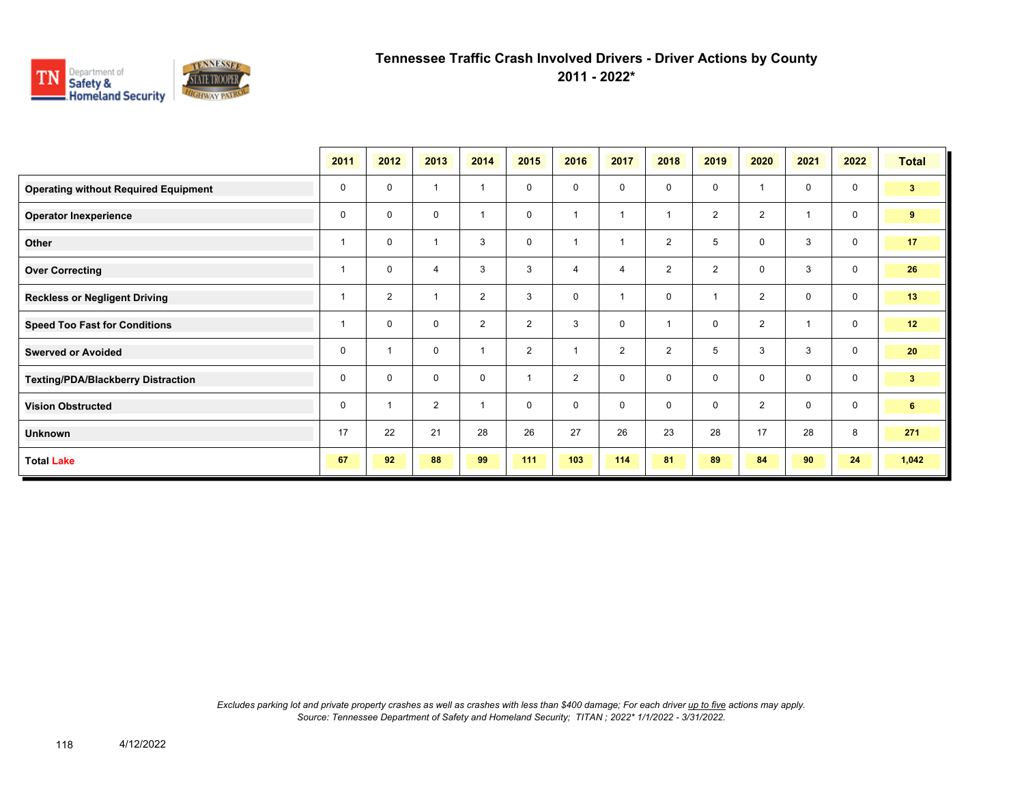

**2011 - 2022\***

|                                             | 2011 | 2012                    | 2013           | 2014           | 2015           | 2016           | 2017           | 2018           | 2019           | 2020           | 2021        | 2022        | <b>Total</b>   |
|---------------------------------------------|------|-------------------------|----------------|----------------|----------------|----------------|----------------|----------------|----------------|----------------|-------------|-------------|----------------|
| <b>Operating without Required Equipment</b> | 0    | $\mathbf 0$             | $\overline{1}$ | 1              | 0              | 0              | 0              | $\mathbf 0$    | 0              |                | 0           | $\mathbf 0$ | 3 <sup>2</sup> |
| <b>Operator Inexperience</b>                | 0    | $\mathbf 0$             | 0              | $\overline{1}$ | 0              |                |                | $\overline{1}$ | $\overline{2}$ | $\overline{2}$ |             | 0           | 9              |
| Other                                       |      | 0                       | 1              | 3              | $\mathbf 0$    | ٠              |                | $\overline{2}$ | 5              | $\mathbf 0$    | 3           | $\mathbf 0$ | 17             |
| <b>Over Correcting</b>                      |      | $\Omega$                | 4              | 3              | 3              | 4              | $\overline{4}$ | $\overline{2}$ | $\overline{2}$ | $\mathbf 0$    | 3           | $\mathbf 0$ | 26             |
| <b>Reckless or Negligent Driving</b>        |      | $\overline{2}$          | $\overline{1}$ | $\overline{2}$ | 3              | $\mathbf 0$    |                | $\mathbf 0$    |                | 2              | $\mathbf 0$ | $\mathbf 0$ | 13             |
| <b>Speed Too Fast for Conditions</b>        |      | 0                       | 0              | $\overline{2}$ | $\overline{2}$ | 3              | 0              | 1              | 0              | $\overline{2}$ |             | 0           | 12             |
| <b>Swerved or Avoided</b>                   | 0    | $\overline{\mathbf{1}}$ | 0              | $\overline{1}$ | $\overline{2}$ | $\overline{ }$ | 2              | $\overline{2}$ | 5              | 3              | 3           | 0           | 20             |
| <b>Texting/PDA/Blackberry Distraction</b>   | 0    | $\mathbf 0$             | $\mathbf 0$    | $\mathbf 0$    |                | $\overline{2}$ | $\mathbf 0$    | $\mathbf 0$    | 0              | $\mathbf 0$    | $\mathbf 0$ | $\mathbf 0$ | 3 <sup>2</sup> |
| <b>Vision Obstructed</b>                    | 0    | $\overline{1}$          | $\overline{2}$ | $\overline{1}$ | 0              | 0              | $\mathbf 0$    | $\mathbf 0$    | 0              | 2              | $\mathbf 0$ | $\mathbf 0$ | $6^{\circ}$    |
| <b>Unknown</b>                              | 17   | 22                      | 21             | 28             | 26             | 27             | 26             | 23             | 28             | 17             | 28          | 8           | 271            |
| <b>Total Lake</b>                           | 67   | 92                      | 88             | 99             | 111            | 103            | 114            | 81             | 89             | 84             | 90          | 24          | 1,042          |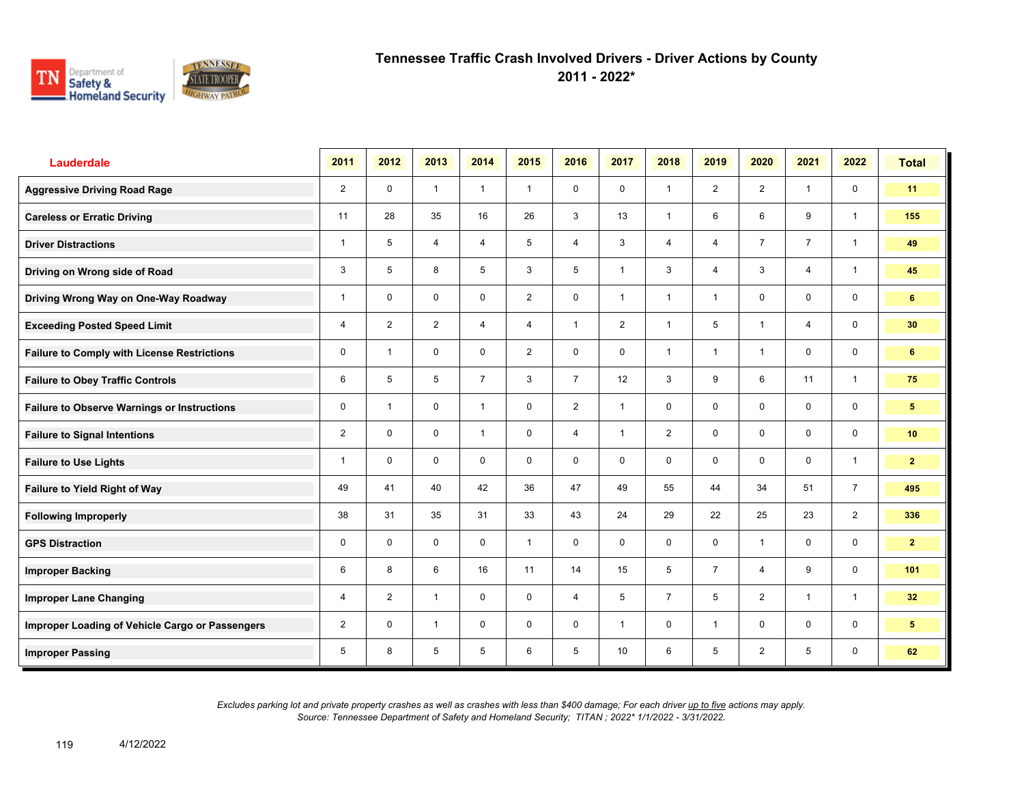

**2011 - 2022\***

| <b>Lauderdale</b>                                  | 2011           | 2012           | 2013           | 2014           | 2015           | 2016           | 2017           | 2018           | 2019           | 2020           | 2021           | 2022           | <b>Total</b>    |
|----------------------------------------------------|----------------|----------------|----------------|----------------|----------------|----------------|----------------|----------------|----------------|----------------|----------------|----------------|-----------------|
| <b>Aggressive Driving Road Rage</b>                | $\overline{2}$ | $\mathbf 0$    | $\mathbf{1}$   | $\mathbf{1}$   | $\mathbf{1}$   | $\mathbf 0$    | $\mathbf 0$    | $\mathbf{1}$   | 2              | 2              | $\mathbf{1}$   | $\mathbf 0$    | 11              |
| <b>Careless or Erratic Driving</b>                 | 11             | 28             | 35             | 16             | 26             | 3              | 13             | $\mathbf{1}$   | 6              | 6              | 9              | $\mathbf{1}$   | 155             |
| <b>Driver Distractions</b>                         | $\mathbf{1}$   | 5              | $\overline{4}$ | $\overline{4}$ | 5              | $\overline{4}$ | 3              | $\overline{4}$ | $\overline{4}$ | $\overline{7}$ | $\overline{7}$ | $\mathbf{1}$   | 49              |
| Driving on Wrong side of Road                      | 3              | 5              | 8              | 5              | 3              | 5              | $\mathbf{1}$   | 3              | 4              | 3              | 4              | $\mathbf{1}$   | 45              |
| Driving Wrong Way on One-Way Roadway               | 1              | $\mathbf 0$    | $\mathbf 0$    | $\mathbf 0$    | $\overline{2}$ | $\mathbf 0$    | $\mathbf{1}$   | $\mathbf{1}$   | 1              | $\mathbf 0$    | $\mathbf 0$    | $\mathsf{O}$   | 6               |
| <b>Exceeding Posted Speed Limit</b>                | 4              | $\overline{2}$ | $\overline{2}$ | $\overline{4}$ | $\overline{4}$ | $\mathbf{1}$   | 2              | $\mathbf{1}$   | 5              | $\overline{1}$ | $\overline{4}$ | $\mathbf 0$    | 30              |
| <b>Failure to Comply with License Restrictions</b> | $\mathbf 0$    | $\overline{1}$ | $\mathbf 0$    | $\mathbf 0$    | $\overline{2}$ | $\mathbf 0$    | $\mathbf 0$    | $\mathbf{1}$   | 1              | $\overline{1}$ | $\mathbf 0$    | $\mathbf 0$    | 6               |
| <b>Failure to Obey Traffic Controls</b>            | 6              | 5              | 5              | $\overline{7}$ | 3              | $\overline{7}$ | 12             | 3              | 9              | 6              | 11             | $\mathbf{1}$   | 75              |
| <b>Failure to Observe Warnings or Instructions</b> | 0              | $\overline{1}$ | $\mathbf 0$    | $\mathbf{1}$   | $\mathbf 0$    | 2              | $\mathbf{1}$   | $\mathbf 0$    | $\mathbf 0$    | $\mathbf 0$    | $\mathbf 0$    | 0              | 5               |
| <b>Failure to Signal Intentions</b>                | $\overline{2}$ | $\Omega$       | $\mathbf 0$    | $\mathbf{1}$   | $\mathbf 0$    | $\overline{4}$ | $\overline{1}$ | $\overline{2}$ | $\mathbf 0$    | $\mathbf 0$    | $\mathbf 0$    | $\mathbf 0$    | 10 <sup>1</sup> |
| <b>Failure to Use Lights</b>                       | 1              | $\mathbf 0$    | $\mathbf 0$    | $\mathbf 0$    | 0              | $\mathbf 0$    | $\mathbf 0$    | $\mathbf 0$    | 0              | $\mathbf 0$    | $\mathbf 0$    | $\mathbf{1}$   | $\overline{2}$  |
| <b>Failure to Yield Right of Way</b>               | 49             | 41             | 40             | 42             | 36             | 47             | 49             | 55             | 44             | 34             | 51             | $\overline{7}$ | 495             |
| <b>Following Improperly</b>                        | 38             | 31             | 35             | 31             | 33             | 43             | 24             | 29             | 22             | 25             | 23             | 2              | 336             |
| <b>GPS Distraction</b>                             | 0              | $\mathbf 0$    | $\mathbf 0$    | $\mathbf 0$    | $\mathbf{1}$   | $\mathbf 0$    | $\mathbf 0$    | $\mathbf 0$    | 0              | $\overline{1}$ | $\mathbf 0$    | $\mathbf 0$    | $\mathbf{2}$    |
| <b>Improper Backing</b>                            | 6              | 8              | 6              | 16             | 11             | 14             | 15             | 5              | $\overline{7}$ | $\overline{4}$ | 9              | $\mathbf 0$    | 101             |
| <b>Improper Lane Changing</b>                      | 4              | $\overline{2}$ | $\mathbf{1}$   | $\mathbf 0$    | 0              | $\overline{4}$ | 5              | $\overline{7}$ | 5              | 2              | $\mathbf{1}$   | $\mathbf{1}$   | 32 <sub>2</sub> |
| Improper Loading of Vehicle Cargo or Passengers    | $\overline{2}$ | $\mathbf 0$    | $\mathbf{1}$   | $\mathbf 0$    | $\mathbf 0$    | $\mathbf 0$    | $\mathbf{1}$   | $\mathbf 0$    | $\mathbf{1}$   | $\mathbf 0$    | $\mathbf 0$    | $\mathbf 0$    | $5\phantom{.0}$ |
| <b>Improper Passing</b>                            | 5              | 8              | 5              | 5              | 6              | 5              | 10             | 6              | 5              | $\overline{2}$ | 5              | $\mathbf 0$    | 62              |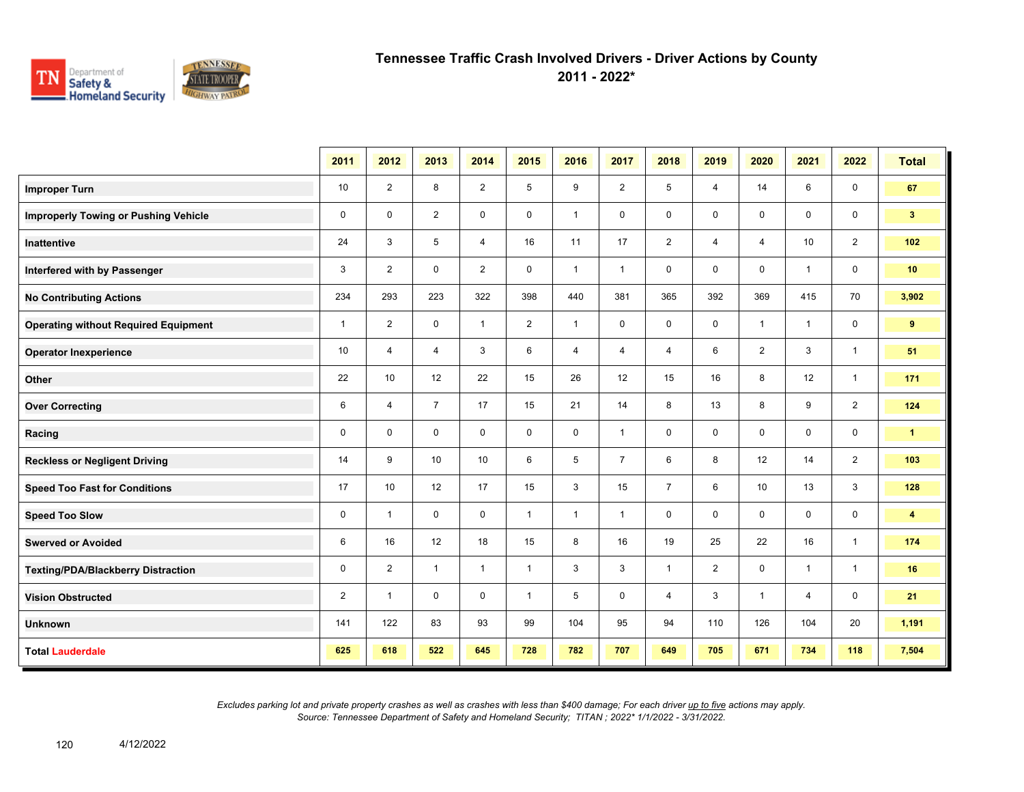

**2011 - 2022\***

|                                             | 2011           | 2012           | 2013           | 2014           | 2015           | 2016         | 2017           | 2018           | 2019           | 2020           | 2021           | 2022           | <b>Total</b>         |
|---------------------------------------------|----------------|----------------|----------------|----------------|----------------|--------------|----------------|----------------|----------------|----------------|----------------|----------------|----------------------|
| <b>Improper Turn</b>                        | 10             | $\overline{2}$ | 8              | $\overline{2}$ | 5              | 9            | $\overline{2}$ | 5              | $\overline{4}$ | 14             | 6              | 0              | 67                   |
| <b>Improperly Towing or Pushing Vehicle</b> | $\mathbf 0$    | $\mathbf 0$    | $\overline{2}$ | $\mathbf 0$    | 0              | $\mathbf{1}$ | 0              | 0              | $\mathbf 0$    | 0              | 0              | $\mathbf 0$    | 3 <sup>2</sup>       |
| Inattentive                                 | 24             | 3              | 5              | $\overline{4}$ | 16             | 11           | 17             | $\overline{2}$ | $\overline{4}$ | 4              | 10             | $\overline{2}$ | 102                  |
| Interfered with by Passenger                | 3              | 2              | $\mathbf 0$    | $\overline{2}$ | $\mathbf 0$    | $\mathbf{1}$ | $\mathbf{1}$   | $\mathbf 0$    | $\mathbf 0$    | $\mathbf 0$    | $\mathbf{1}$   | $\mathbf 0$    | 10                   |
| <b>No Contributing Actions</b>              | 234            | 293            | 223            | 322            | 398            | 440          | 381            | 365            | 392            | 369            | 415            | 70             | 3,902                |
| <b>Operating without Required Equipment</b> | $\mathbf{1}$   | $\overline{2}$ | $\mathbf 0$    | $\mathbf{1}$   | $\overline{2}$ | $\mathbf{1}$ | $\mathbf 0$    | $\mathbf 0$    | 0              | $\mathbf{1}$   | $\mathbf{1}$   | $\mathbf 0$    | 9                    |
| <b>Operator Inexperience</b>                | 10             | $\overline{4}$ | 4              | 3              | 6              | 4            | 4              | 4              | 6              | $\overline{2}$ | 3              | $\overline{1}$ | 51                   |
| <b>Other</b>                                | 22             | 10             | 12             | 22             | 15             | 26           | 12             | 15             | 16             | 8              | 12             | $\overline{1}$ | 171                  |
| <b>Over Correcting</b>                      | 6              | $\overline{4}$ | $\overline{7}$ | 17             | 15             | 21           | 14             | 8              | 13             | 8              | 9              | $\overline{2}$ | 124                  |
| Racing                                      | $\mathbf 0$    | $\mathbf 0$    | $\mathbf 0$    | $\mathbf 0$    | $\mathbf 0$    | $\mathbf 0$  | $\mathbf{1}$   | 0              | 0              | $\mathbf 0$    | 0              | $\mathbf 0$    | $\mathbf{1}$         |
| <b>Reckless or Negligent Driving</b>        | 14             | 9              | 10             | 10             | 6              | 5            | $\overline{7}$ | 6              | 8              | 12             | 14             | $\overline{2}$ | 103                  |
| <b>Speed Too Fast for Conditions</b>        | 17             | 10             | 12             | 17             | 15             | 3            | 15             | $\overline{7}$ | 6              | 10             | 13             | 3              | 128                  |
| <b>Speed Too Slow</b>                       | $\mathbf 0$    | $\mathbf{1}$   | $\mathbf 0$    | $\mathbf 0$    | $\mathbf{1}$   | $\mathbf{1}$ | $\mathbf{1}$   | $\mathbf 0$    | $\mathbf 0$    | $\mathbf 0$    | $\mathbf 0$    | $\mathbf 0$    | $\blacktriangleleft$ |
| <b>Swerved or Avoided</b>                   | 6              | 16             | 12             | 18             | 15             | 8            | 16             | 19             | 25             | 22             | 16             | $\overline{1}$ | 174                  |
| <b>Texting/PDA/Blackberry Distraction</b>   | $\mathbf 0$    | 2              | $\mathbf{1}$   | $\mathbf{1}$   | $\mathbf{1}$   | 3            | 3              | $\mathbf{1}$   | $\overline{2}$ | $\mathbf 0$    | $\mathbf{1}$   | $\mathbf{1}$   | 16                   |
| <b>Vision Obstructed</b>                    | $\overline{2}$ | $\mathbf{1}$   | $\mathbf 0$    | $\mathbf 0$    | $\mathbf{1}$   | 5            | 0              | 4              | 3              | $\mathbf{1}$   | $\overline{4}$ | 0              | 21                   |
| <b>Unknown</b>                              | 141            | 122            | 83             | 93             | 99             | 104          | 95             | 94             | 110            | 126            | 104            | 20             | 1,191                |
| <b>Total Lauderdale</b>                     | 625            | 618            | 522            | 645            | 728            | 782          | 707            | 649            | 705            | 671            | 734            | 118            | 7,504                |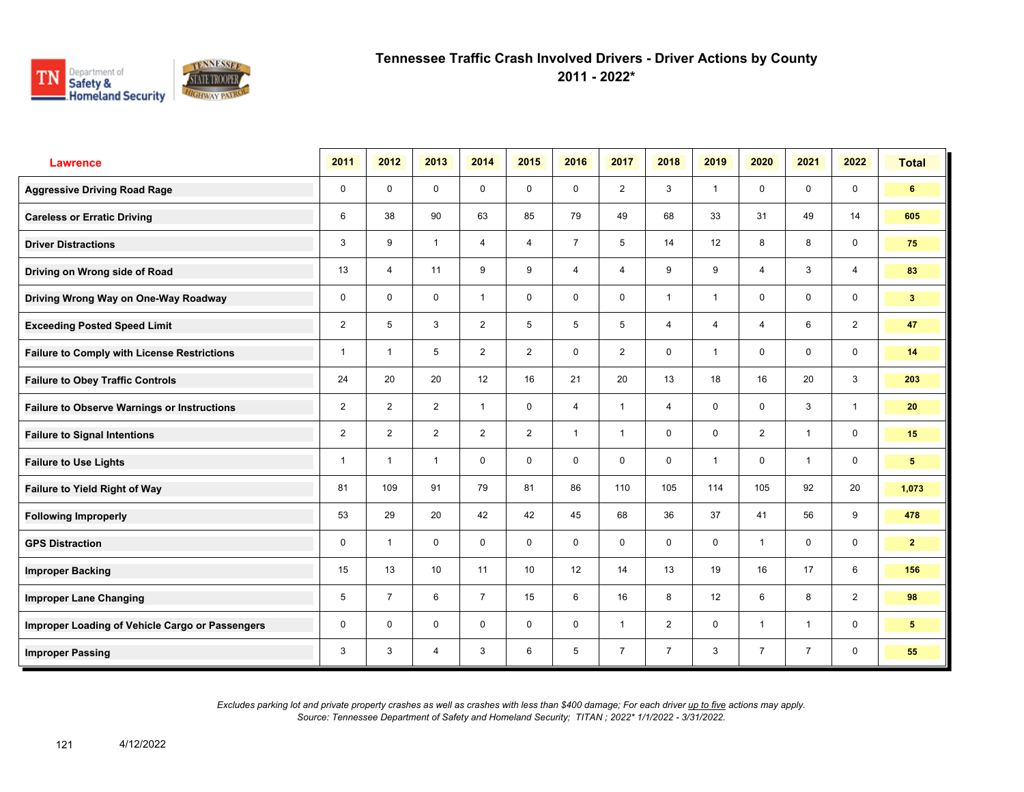

**2011 - 2022\***

| <b>Lawrence</b>                                    | 2011           | 2012           | 2013           | 2014           | 2015           | 2016           | 2017           | 2018           | 2019           | 2020                    | 2021           | 2022           | <b>Total</b>   |
|----------------------------------------------------|----------------|----------------|----------------|----------------|----------------|----------------|----------------|----------------|----------------|-------------------------|----------------|----------------|----------------|
| <b>Aggressive Driving Road Rage</b>                | 0              | $\mathbf 0$    | $\mathbf 0$    | $\mathbf 0$    | 0              | $\mathbf 0$    | $\overline{2}$ | 3              | $\overline{1}$ | $\mathbf 0$             | $\mathbf 0$    | $\mathbf 0$    | 6              |
| <b>Careless or Erratic Driving</b>                 | 6              | 38             | 90             | 63             | 85             | 79             | 49             | 68             | 33             | 31                      | 49             | 14             | 605            |
| <b>Driver Distractions</b>                         | 3              | 9              | $\mathbf{1}$   | $\overline{4}$ | $\overline{4}$ | $\overline{7}$ | 5              | 14             | 12             | 8                       | 8              | $\mathbf 0$    | 75             |
| Driving on Wrong side of Road                      | 13             | $\overline{4}$ | 11             | 9              | 9              | $\overline{4}$ | $\overline{4}$ | 9              | 9              | $\overline{4}$          | 3              | $\overline{4}$ | 83             |
| Driving Wrong Way on One-Way Roadway               | 0              | $\mathbf 0$    | 0              | $\mathbf{1}$   | 0              | $\mathbf 0$    | 0              | $\overline{1}$ | 1              | $\mathbf 0$             | $\mathbf 0$    | $\mathbf 0$    | 3 <sup>2</sup> |
| <b>Exceeding Posted Speed Limit</b>                | $\overline{2}$ | 5              | 3              | $\overline{2}$ | 5              | 5              | 5              | 4              | 4              | $\overline{4}$          | 6              | $\overline{2}$ | 47             |
| <b>Failure to Comply with License Restrictions</b> | $\mathbf{1}$   | $\overline{1}$ | 5              | $\overline{2}$ | $\overline{2}$ | $\Omega$       | $\overline{2}$ | $\mathbf 0$    | $\mathbf 1$    | $\Omega$                | $\mathbf 0$    | $\mathbf 0$    | 14             |
| <b>Failure to Obey Traffic Controls</b>            | 24             | 20             | 20             | 12             | 16             | 21             | 20             | 13             | 18             | 16                      | 20             | 3              | 203            |
| <b>Failure to Observe Warnings or Instructions</b> | $\overline{2}$ | $\overline{2}$ | $\overline{2}$ | $\mathbf{1}$   | $\mathbf 0$    | $\overline{4}$ | $\overline{1}$ | $\overline{4}$ | 0              | $\mathbf 0$             | 3              | $\mathbf{1}$   | 20             |
| <b>Failure to Signal Intentions</b>                | $\overline{2}$ | $\overline{2}$ | $\overline{2}$ | $\overline{2}$ | $\overline{2}$ | $\overline{1}$ | $\overline{1}$ | $\mathbf 0$    | 0              | $\overline{2}$          | $\overline{1}$ | $\mathbf 0$    | 15             |
| <b>Failure to Use Lights</b>                       | $\mathbf{1}$   | $\overline{1}$ | $\mathbf{1}$   | $\mathbf 0$    | $\mathbf 0$    | $\mathbf 0$    | 0              | $\mathbf 0$    | $\mathbf 1$    | $\Omega$                | $\overline{1}$ | $\mathbf 0$    | 5              |
| Failure to Yield Right of Way                      | 81             | 109            | 91             | 79             | 81             | 86             | 110            | 105            | 114            | 105                     | 92             | 20             | 1,073          |
| <b>Following Improperly</b>                        | 53             | 29             | 20             | 42             | 42             | 45             | 68             | 36             | 37             | 41                      | 56             | 9              | 478            |
| <b>GPS Distraction</b>                             | 0              | $\overline{1}$ | $\mathbf 0$    | $\mathbf 0$    | 0              | 0              | $\mathbf 0$    | $\mathbf 0$    | 0              | $\overline{\mathbf{1}}$ | $\mathbf 0$    | $\mathbf 0$    | $\mathbf{2}$   |
| <b>Improper Backing</b>                            | 15             | 13             | 10             | 11             | 10             | 12             | 14             | 13             | 19             | 16                      | 17             | 6              | 156            |
| <b>Improper Lane Changing</b>                      | 5              | $\overline{7}$ | 6              | $\overline{7}$ | 15             | 6              | 16             | 8              | 12             | 6                       | 8              | $\overline{2}$ | 98             |
| Improper Loading of Vehicle Cargo or Passengers    | 0              | $\mathbf 0$    | $\mathbf 0$    | $\mathbf 0$    | $\mathbf 0$    | $\Omega$       | $\mathbf{1}$   | $\overline{2}$ | 0              | $\overline{1}$          | $\overline{1}$ | $\mathbf 0$    | 5              |
| <b>Improper Passing</b>                            | 3              | 3              | 4              | 3              | 6              | 5              | $\overline{7}$ | $\overline{7}$ | 3              | $\overline{7}$          | $\overline{7}$ | 0              | 55             |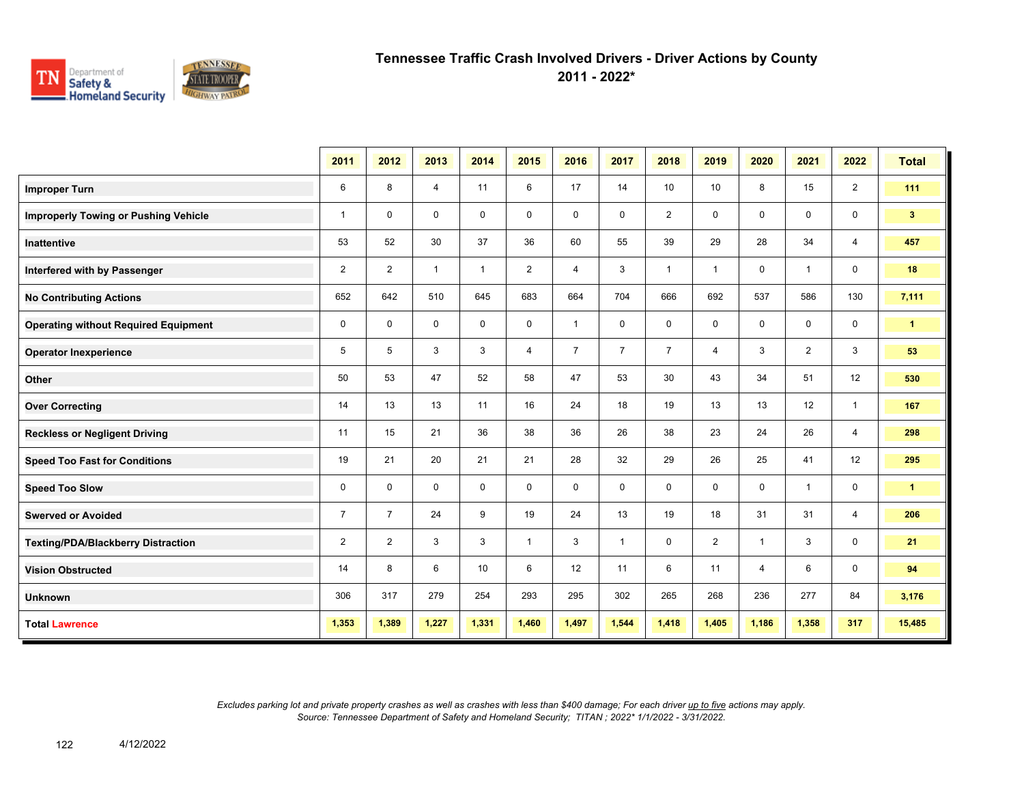

**2011 - 2022\***

|                                             | 2011           | 2012           | 2013           | 2014         | 2015           | 2016           | 2017           | 2018           | 2019           | 2020           | 2021           | 2022           | <b>Total</b>         |
|---------------------------------------------|----------------|----------------|----------------|--------------|----------------|----------------|----------------|----------------|----------------|----------------|----------------|----------------|----------------------|
| <b>Improper Turn</b>                        | 6              | 8              | $\overline{4}$ | 11           | 6              | 17             | 14             | 10             | 10             | 8              | 15             | $\overline{2}$ | 111                  |
| <b>Improperly Towing or Pushing Vehicle</b> | $\mathbf{1}$   | $\mathbf 0$    | $\mathbf 0$    | $\mathbf 0$  | $\mathbf 0$    | $\mathbf 0$    | $\mathbf 0$    | $\overline{2}$ | $\mathbf 0$    | $\mathbf 0$    | $\mathbf 0$    | $\mathbf 0$    | 3 <sub>1</sub>       |
| Inattentive                                 | 53             | 52             | 30             | 37           | 36             | 60             | 55             | 39             | 29             | 28             | 34             | 4              | 457                  |
| Interfered with by Passenger                | $\overline{2}$ | $\overline{2}$ | $\mathbf{1}$   | $\mathbf{1}$ | $\overline{2}$ | 4              | 3              | $\mathbf{1}$   | $\mathbf{1}$   | 0              | $\mathbf{1}$   | 0              | 18                   |
| <b>No Contributing Actions</b>              | 652            | 642            | 510            | 645          | 683            | 664            | 704            | 666            | 692            | 537            | 586            | 130            | 7,111                |
| <b>Operating without Required Equipment</b> | $\mathbf 0$    | $\mathbf 0$    | $\mathbf 0$    | $\mathbf 0$  | $\mathbf 0$    | $\overline{1}$ | $\mathbf 0$    | 0              | $\mathbf 0$    | $\mathbf 0$    | $\mathbf 0$    | $\mathbf 0$    | $\blacktriangleleft$ |
| <b>Operator Inexperience</b>                | $\overline{5}$ | 5              | 3              | 3            | $\overline{4}$ | $\overline{7}$ | $\overline{7}$ | $\overline{7}$ | $\overline{4}$ | 3              | $\overline{2}$ | 3              | 53                   |
| Other                                       | 50             | 53             | 47             | 52           | 58             | 47             | 53             | 30             | 43             | 34             | 51             | 12             | 530                  |
| <b>Over Correcting</b>                      | 14             | 13             | 13             | 11           | 16             | 24             | 18             | 19             | 13             | 13             | 12             | $\mathbf{1}$   | 167                  |
| <b>Reckless or Negligent Driving</b>        | 11             | 15             | 21             | 36           | 38             | 36             | 26             | 38             | 23             | 24             | 26             | $\overline{4}$ | 298                  |
| <b>Speed Too Fast for Conditions</b>        | 19             | 21             | 20             | 21           | 21             | 28             | 32             | 29             | 26             | 25             | 41             | 12             | 295                  |
| <b>Speed Too Slow</b>                       | $\mathbf 0$    | $\Omega$       | $\mathbf 0$    | $\mathbf 0$  | $\mathbf 0$    | 0              | $\mathbf 0$    | 0              | 0              | $\mathbf 0$    | $\mathbf{1}$   | $\mathbf 0$    | $\mathbf{1}$         |
| <b>Swerved or Avoided</b>                   | $\overline{7}$ | $\overline{7}$ | 24             | 9            | 19             | 24             | 13             | 19             | 18             | 31             | 31             | 4              | 206                  |
| <b>Texting/PDA/Blackberry Distraction</b>   | 2              | $\overline{2}$ | 3              | 3            | $\mathbf{1}$   | 3              | $\mathbf{1}$   | 0              | $\overline{2}$ | $\mathbf 1$    | 3              | 0              | 21                   |
| <b>Vision Obstructed</b>                    | 14             | 8              | 6              | 10           | 6              | 12             | 11             | 6              | 11             | $\overline{4}$ | 6              | $\mathbf 0$    | 94                   |
| <b>Unknown</b>                              | 306            | 317            | 279            | 254          | 293            | 295            | 302            | 265            | 268            | 236            | 277            | 84             | 3,176                |
| <b>Total Lawrence</b>                       | 1,353          | 1,389          | 1,227          | 1,331        | 1,460          | 1,497          | 1,544          | 1,418          | 1,405          | 1,186          | 1,358          | 317            | 15,485               |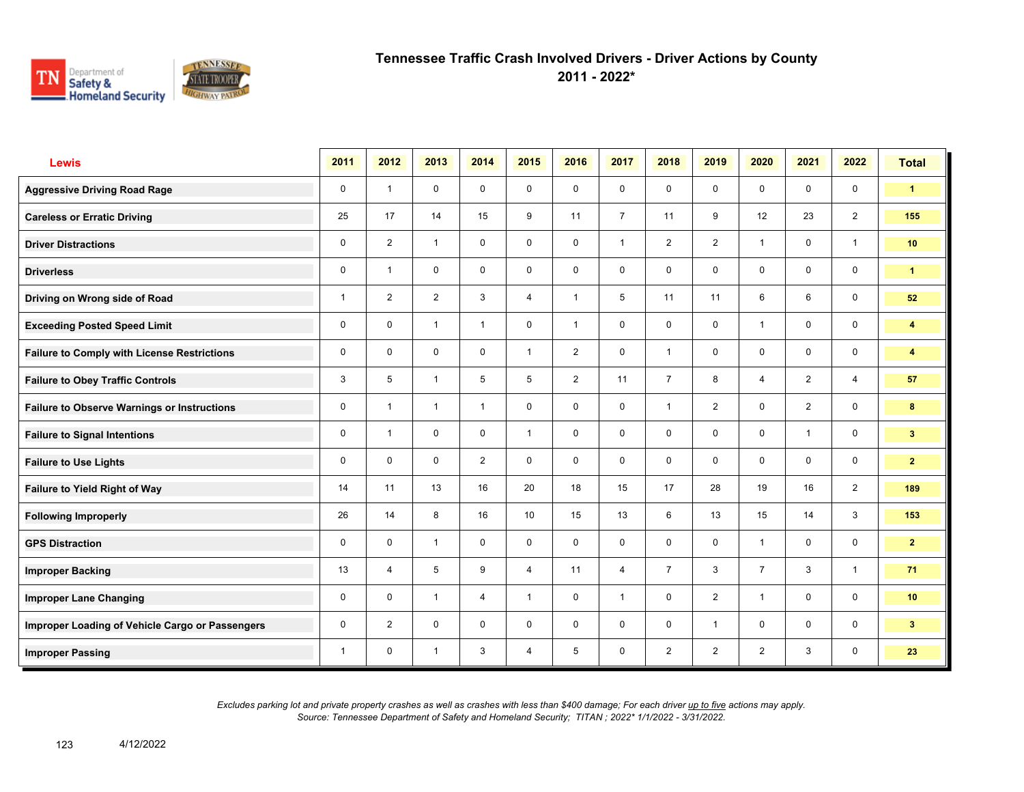

**2011 - 2022\***

| <b>Lewis</b>                                       | 2011 | 2012                    | 2013           | 2014           | 2015           | 2016           | 2017           | 2018           | 2019           | 2020           | 2021           | 2022           | <b>Total</b>            |
|----------------------------------------------------|------|-------------------------|----------------|----------------|----------------|----------------|----------------|----------------|----------------|----------------|----------------|----------------|-------------------------|
| <b>Aggressive Driving Road Rage</b>                | 0    | $\overline{1}$          | $\mathbf 0$    | $\mathbf 0$    | $\mathbf 0$    | $\mathbf 0$    | $\mathbf 0$    | $\mathsf{O}$   | $\mathbf 0$    | $\mathbf 0$    | $\mathbf 0$    | $\mathbf 0$    | $\mathbf{1}$            |
| <b>Careless or Erratic Driving</b>                 | 25   | 17                      | 14             | 15             | 9              | 11             | $\overline{7}$ | 11             | 9              | 12             | 23             | 2              | 155                     |
| <b>Driver Distractions</b>                         | 0    | $\overline{2}$          | $\mathbf{1}$   | $\mathbf 0$    | $\mathbf 0$    | $\mathbf 0$    | $\mathbf{1}$   | $\overline{2}$ | $\overline{2}$ | $\overline{1}$ | $\mathbf 0$    | $\mathbf{1}$   | 10 <sup>°</sup>         |
| <b>Driverless</b>                                  | 0    | $\overline{\mathbf{1}}$ | $\mathbf 0$    | $\mathbf 0$    | 0              | $\mathbf 0$    | $\mathbf 0$    | $\mathsf{O}$   | $\mathbf 0$    | $\mathbf 0$    | $\mathbf 0$    | $\mathbf 0$    | $\mathbf{1}$            |
| Driving on Wrong side of Road                      | 1    | $\overline{2}$          | $\overline{2}$ | 3              | $\overline{4}$ | $\overline{1}$ | 5              | 11             | 11             | 6              | 6              | $\mathbf 0$    | 52                      |
| <b>Exceeding Posted Speed Limit</b>                | 0    | $\mathbf 0$             | $\mathbf{1}$   | $\overline{1}$ | 0              | $\overline{1}$ | $\mathbf 0$    | $\mathbf 0$    | $\mathbf 0$    | $\overline{1}$ | $\mathbf 0$    | $\mathbf 0$    | $\overline{\mathbf{4}}$ |
| <b>Failure to Comply with License Restrictions</b> | 0    | $\Omega$                | $\mathbf 0$    | $\mathbf 0$    | $\mathbf{1}$   | 2              | $\mathbf 0$    | $\mathbf{1}$   | $\mathbf 0$    | $\mathbf 0$    | $\mathbf 0$    | $\mathbf 0$    | 4                       |
| <b>Failure to Obey Traffic Controls</b>            | 3    | 5                       | $\overline{1}$ | 5              | 5              | 2              | 11             | $\overline{7}$ | 8              | $\overline{4}$ | 2              | $\overline{4}$ | 57                      |
| <b>Failure to Observe Warnings or Instructions</b> | 0    | $\overline{\mathbf{1}}$ | $\mathbf{1}$   | $\mathbf{1}$   | 0              | $\mathbf 0$    | $\mathbf 0$    | $\mathbf{1}$   | $\overline{2}$ | $\mathbf 0$    | $\overline{2}$ | $\mathbf 0$    | 8                       |
| <b>Failure to Signal Intentions</b>                | 0    | $\overline{1}$          | $\Omega$       | $\mathbf 0$    | $\mathbf{1}$   | $\Omega$       | $\mathbf 0$    | $\mathbf 0$    | $\mathbf 0$    | $\Omega$       | $\mathbf{1}$   | $\mathbf 0$    | 3 <sup>2</sup>          |
| <b>Failure to Use Lights</b>                       | 0    | $\Omega$                | $\mathbf 0$    | $\overline{2}$ | 0              | $\mathbf 0$    | $\mathbf 0$    | $\mathbf 0$    | $\mathbf 0$    | $\mathbf{0}$   | $\mathbf 0$    | $\mathbf 0$    | $\mathbf{2}$            |
| Failure to Yield Right of Way                      | 14   | 11                      | 13             | 16             | 20             | 18             | 15             | 17             | 28             | 19             | 16             | 2              | 189                     |
| <b>Following Improperly</b>                        | 26   | 14                      | 8              | 16             | 10             | 15             | 13             | 6              | 13             | 15             | 14             | $\mathbf{3}$   | 153                     |
| <b>GPS Distraction</b>                             | 0    | $\mathbf 0$             | $\overline{1}$ | $\mathbf 0$    | $\mathbf 0$    | $\mathbf 0$    | $\mathbf 0$    | $\mathbf 0$    | $\mathbf 0$    | $\overline{1}$ | $\mathbf 0$    | $\mathbf 0$    | $\mathbf{2}$            |
| <b>Improper Backing</b>                            | 13   | $\overline{4}$          | 5              | 9              | $\overline{4}$ | 11             | $\overline{4}$ | $\overline{7}$ | 3              | $\overline{7}$ | 3              | $\overline{1}$ | 71                      |
| <b>Improper Lane Changing</b>                      | 0    | $\mathbf 0$             | $\overline{1}$ | $\overline{4}$ | $\mathbf{1}$   | 0              | $\mathbf{1}$   | $\mathsf{O}$   | $\overline{2}$ | $\overline{1}$ | $\mathbf 0$    | $\mathbf 0$    | 10                      |
| Improper Loading of Vehicle Cargo or Passengers    | 0    | $\overline{2}$          | $\mathbf 0$    | $\mathbf 0$    | 0              | $\mathbf 0$    | $\mathbf 0$    | $\mathbf 0$    | 1              | $\mathbf 0$    | $\mathbf 0$    | $\mathbf 0$    | 3 <sup>2</sup>          |
| <b>Improper Passing</b>                            | 1    | 0                       | 1              | 3              | 4              | 5              | $\mathbf 0$    | $\overline{2}$ | $\overline{2}$ | $\overline{2}$ | 3              | $\mathbf 0$    | 23                      |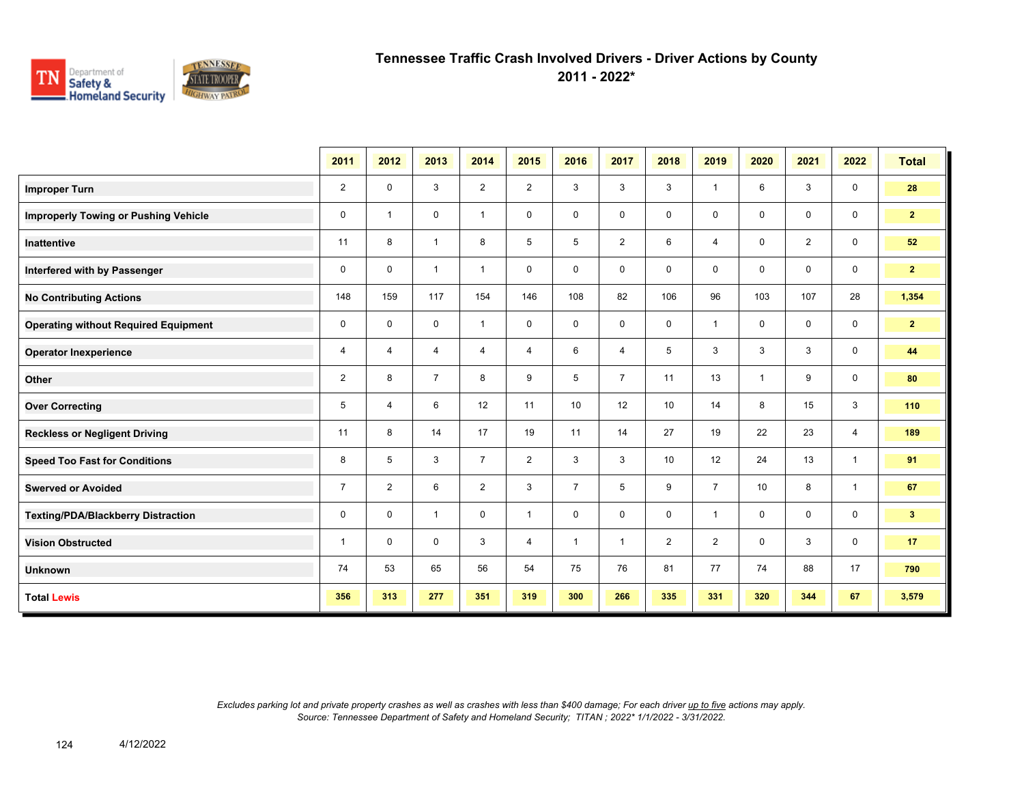

**2011 - 2022\***

|                                             | 2011           | 2012                     | 2013           | 2014           | 2015           | 2016           | 2017           | 2018           | 2019           | 2020           | 2021           | 2022           | <b>Total</b>   |
|---------------------------------------------|----------------|--------------------------|----------------|----------------|----------------|----------------|----------------|----------------|----------------|----------------|----------------|----------------|----------------|
| <b>Improper Turn</b>                        | $\overline{2}$ | 0                        | 3              | $\overline{2}$ | $\overline{2}$ | 3              | 3              | 3              | 1              | 6              | 3              | $\mathbf 0$    | 28             |
| <b>Improperly Towing or Pushing Vehicle</b> | 0              | $\overline{\phantom{a}}$ | 0              | $\mathbf{1}$   | 0              | $\mathbf 0$    | 0              | 0              | 0              | $\mathbf 0$    | $\mathbf 0$    | $\mathbf 0$    | $\mathbf{2}$   |
| <b>Inattentive</b>                          | 11             | 8                        | $\mathbf{1}$   | 8              | 5              | 5              | $\overline{2}$ | 6              | 4              | $\mathbf 0$    | $\overline{2}$ | $\mathbf 0$    | 52             |
| Interfered with by Passenger                | 0              | $\mathbf 0$              | $\mathbf{1}$   | $\mathbf{1}$   | $\mathbf 0$    | $\mathbf 0$    | 0              | $\mathbf 0$    | 0              | $\Omega$       | $\mathbf 0$    | $\mathbf 0$    | 2 <sub>2</sub> |
| <b>No Contributing Actions</b>              | 148            | 159                      | 117            | 154            | 146            | 108            | 82             | 106            | 96             | 103            | 107            | 28             | 1,354          |
| <b>Operating without Required Equipment</b> | 0              | $\mathbf 0$              | $\mathbf 0$    | $\mathbf{1}$   | 0              | $\mathbf 0$    | $\mathbf 0$    | $\mathbf 0$    | 1              | $\mathbf 0$    | $\mathbf 0$    | $\mathbf 0$    | $\overline{2}$ |
| <b>Operator Inexperience</b>                | 4              | 4                        | 4              | 4              | 4              | 6              | $\overline{4}$ | 5              | 3              | 3              | 3              | $\mathbf 0$    | 44             |
| Other                                       | $\overline{2}$ | 8                        | $\overline{7}$ | 8              | 9              | 5              | $\overline{7}$ | 11             | 13             | $\overline{1}$ | 9              | $\mathbf 0$    | 80             |
| <b>Over Correcting</b>                      | 5              | 4                        | 6              | 12             | 11             | 10             | 12             | 10             | 14             | 8              | 15             | 3              | 110            |
| <b>Reckless or Negligent Driving</b>        | 11             | 8                        | 14             | 17             | 19             | 11             | 14             | 27             | 19             | 22             | 23             | $\overline{4}$ | 189            |
| <b>Speed Too Fast for Conditions</b>        | 8              | 5                        | 3              | $\overline{7}$ | $\overline{2}$ | 3              | 3              | 10             | 12             | 24             | 13             | $\mathbf{1}$   | 91             |
| <b>Swerved or Avoided</b>                   | $\overline{7}$ | $\overline{2}$           | 6              | $\overline{2}$ | 3              | $\overline{7}$ | 5              | 9              | $\overline{7}$ | 10             | 8              | $\mathbf{1}$   | 67             |
| <b>Texting/PDA/Blackberry Distraction</b>   | 0              | $\mathbf 0$              | $\mathbf{1}$   | $\mathbf 0$    | $\mathbf{1}$   | $\mathbf 0$    | $\mathbf 0$    | $\mathbf 0$    | 1              | $\mathbf 0$    | $\mathbf 0$    | $\mathbf 0$    | 3 <sup>7</sup> |
| <b>Vision Obstructed</b>                    | $\mathbf{1}$   | $\mathbf 0$              | $\mathbf 0$    | 3              | $\overline{4}$ | $\mathbf{1}$   | $\mathbf{1}$   | $\overline{2}$ | $\overline{2}$ | $\mathbf 0$    | 3              | $\mathbf 0$    | 17             |
| <b>Unknown</b>                              | 74             | 53                       | 65             | 56             | 54             | 75             | 76             | 81             | 77             | 74             | 88             | 17             | 790            |
| <b>Total Lewis</b>                          | 356            | 313                      | 277            | 351            | 319            | 300            | 266            | 335            | 331            | 320            | 344            | 67             | 3,579          |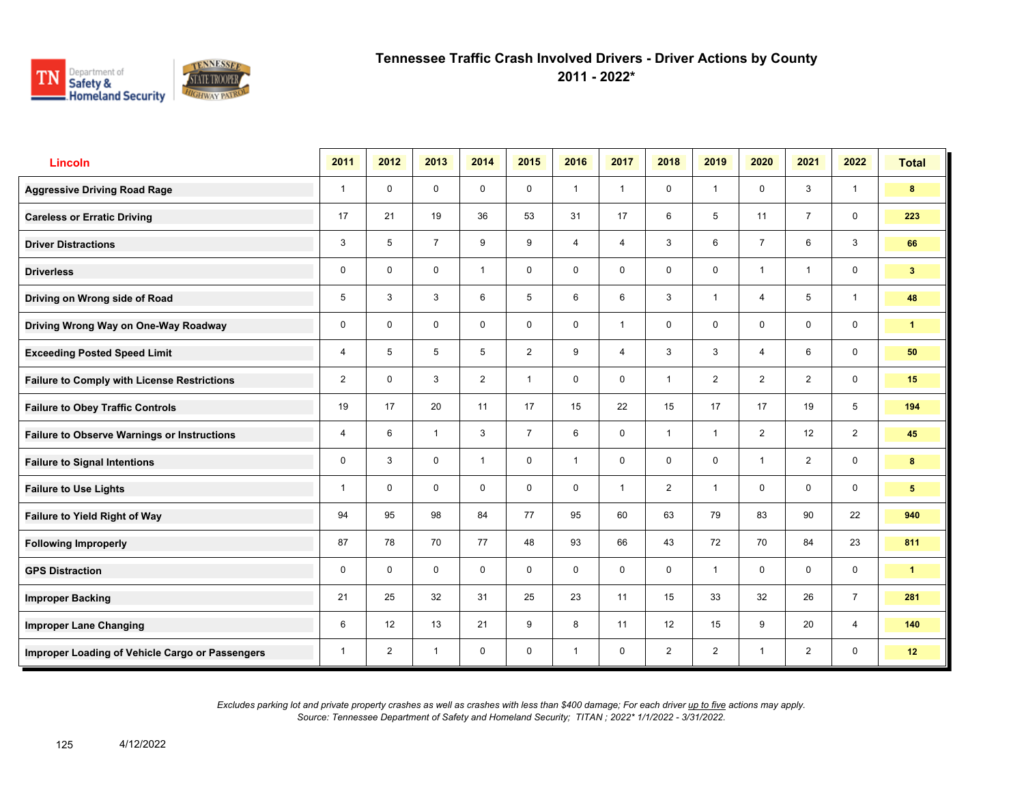

**2011 - 2022\***

| Lincoln                                            | 2011           | 2012           | 2013           | 2014           | 2015           | 2016           | 2017           | 2018           | 2019           | 2020           | 2021           | 2022           | <b>Total</b>         |
|----------------------------------------------------|----------------|----------------|----------------|----------------|----------------|----------------|----------------|----------------|----------------|----------------|----------------|----------------|----------------------|
| <b>Aggressive Driving Road Rage</b>                | $\mathbf{1}$   | $\mathbf 0$    | $\mathbf 0$    | $\mathbf 0$    | $\mathbf 0$    | $\overline{1}$ | $\mathbf{1}$   | $\mathbf 0$    | $\mathbf{1}$   | $\mathbf 0$    | 3              | $\mathbf{1}$   | 8                    |
| <b>Careless or Erratic Driving</b>                 | 17             | 21             | 19             | 36             | 53             | 31             | 17             | 6              | 5              | 11             | $\overline{7}$ | $\mathbf 0$    | 223                  |
| <b>Driver Distractions</b>                         | 3              | 5              | $\overline{7}$ | 9              | 9              | $\overline{4}$ | $\overline{4}$ | $\mathbf{3}$   | 6              | $\overline{7}$ | 6              | $\mathbf{3}$   | 66                   |
| <b>Driverless</b>                                  | 0              | $\mathbf 0$    | $\mathsf{O}$   | $\mathbf{1}$   | 0              | $\mathbf 0$    | $\mathbf 0$    | $\mathbf 0$    | 0              | $\overline{1}$ | $\overline{1}$ | $\mathbf 0$    | 3 <sup>2</sup>       |
| Driving on Wrong side of Road                      | 5              | 3              | 3              | 6              | 5              | 6              | 6              | $\mathbf{3}$   | 1              | $\overline{4}$ | 5              | $\mathbf{1}$   | 48                   |
| Driving Wrong Way on One-Way Roadway               | 0              | $\mathbf 0$    | $\mathbf 0$    | $\mathbf 0$    | 0              | $\mathbf 0$    | 1              | $\mathbf 0$    | 0              | $\mathbf 0$    | 0              | $\mathbf 0$    | $\mathbf{1}$         |
| <b>Exceeding Posted Speed Limit</b>                | 4              | 5              | 5              | 5              | $\overline{2}$ | 9              | $\overline{4}$ | 3              | 3              | $\overline{4}$ | 6              | $\mathbf 0$    | 50                   |
| <b>Failure to Comply with License Restrictions</b> | $\overline{2}$ | $\mathbf 0$    | 3              | $\overline{2}$ | $\mathbf{1}$   | $\mathbf 0$    | $\mathbf 0$    | $\mathbf{1}$   | $\overline{2}$ | 2              | 2              | $\mathbf 0$    | 15                   |
| <b>Failure to Obey Traffic Controls</b>            | 19             | 17             | 20             | 11             | 17             | 15             | 22             | 15             | 17             | 17             | 19             | 5              | 194                  |
| <b>Failure to Observe Warnings or Instructions</b> | 4              | 6              | $\mathbf{1}$   | 3              | $\overline{7}$ | 6              | $\mathbf 0$    | $\mathbf{1}$   | $\mathbf{1}$   | 2              | 12             | $\overline{2}$ | 45                   |
| <b>Failure to Signal Intentions</b>                | 0              | 3              | $\mathbf 0$    | $\mathbf{1}$   | $\mathbf 0$    | $\overline{1}$ | $\mathbf 0$    | $\mathbf 0$    | $\mathbf 0$    | $\overline{1}$ | 2              | $\mathsf{O}$   | 8                    |
| <b>Failure to Use Lights</b>                       | 1              | $\Omega$       | $\Omega$       | $\mathbf 0$    | $\mathbf 0$    | $\Omega$       | $\mathbf{1}$   | $\overline{2}$ | $\mathbf{1}$   | $\mathbf{0}$   | $\mathbf 0$    | $\mathbf 0$    | 5 <sup>5</sup>       |
| Failure to Yield Right of Way                      | 94             | 95             | 98             | 84             | 77             | 95             | 60             | 63             | 79             | 83             | 90             | 22             | 940                  |
| <b>Following Improperly</b>                        | 87             | 78             | 70             | 77             | 48             | 93             | 66             | 43             | 72             | 70             | 84             | 23             | 811                  |
| <b>GPS Distraction</b>                             | 0              | $\Omega$       | $\mathbf 0$    | $\mathbf 0$    | $\mathbf 0$    | $\mathbf 0$    | $\mathbf 0$    | $\mathbf 0$    | 1              | $\mathbf 0$    | $\mathbf 0$    | $\mathbf 0$    | $\blacktriangleleft$ |
| <b>Improper Backing</b>                            | 21             | 25             | 32             | 31             | 25             | 23             | 11             | 15             | 33             | 32             | 26             | $\overline{7}$ | 281                  |
| <b>Improper Lane Changing</b>                      | 6              | 12             | 13             | 21             | 9              | 8              | 11             | 12             | 15             | 9              | 20             | $\overline{4}$ | 140                  |
| Improper Loading of Vehicle Cargo or Passengers    | 1              | $\overline{2}$ | $\mathbf{1}$   | $\mathbf 0$    | 0              | $\mathbf{1}$   | $\mathbf 0$    | $\overline{2}$ | $\overline{2}$ | -1             | $\overline{2}$ | $\mathbf 0$    | 12                   |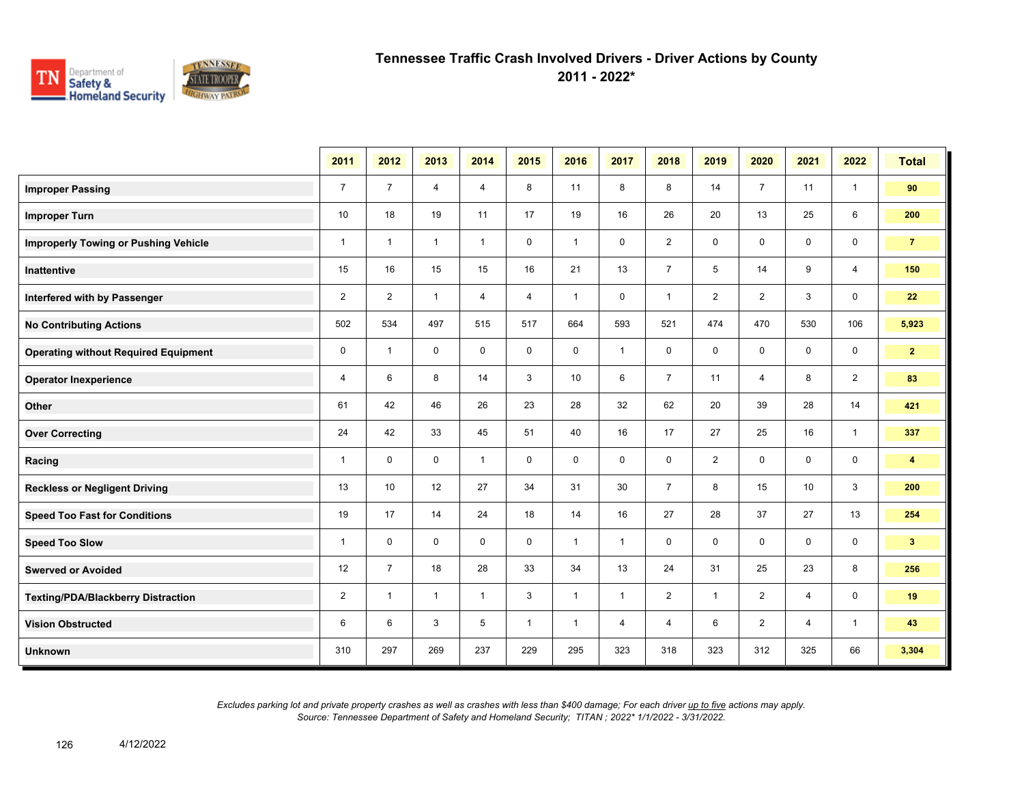

**2011 - 2022\***

|                                             | 2011           | 2012           | 2013         | 2014           | 2015         | 2016         | 2017         | 2018           | 2019           | 2020           | 2021           | 2022           | <b>Total</b>   |
|---------------------------------------------|----------------|----------------|--------------|----------------|--------------|--------------|--------------|----------------|----------------|----------------|----------------|----------------|----------------|
| <b>Improper Passing</b>                     | $\overline{7}$ | $\overline{7}$ | 4            | $\overline{4}$ | 8            | 11           | 8            | 8              | 14             | $\overline{7}$ | 11             | $\mathbf{1}$   | 90             |
| <b>Improper Turn</b>                        | 10             | 18             | 19           | 11             | 17           | 19           | 16           | 26             | 20             | 13             | 25             | 6              | 200            |
| <b>Improperly Towing or Pushing Vehicle</b> | $\mathbf{1}$   | $\overline{1}$ | $\mathbf{1}$ | $\mathbf{1}$   | $\mathbf 0$  | $\mathbf{1}$ | 0            | $\overline{2}$ | 0              | $\mathbf 0$    | $\mathbf 0$    | $\mathbf 0$    | $\overline{7}$ |
| <b>Inattentive</b>                          | 15             | 16             | 15           | 15             | 16           | 21           | 13           | $\overline{7}$ | 5              | 14             | 9              | $\overline{4}$ | 150            |
| Interfered with by Passenger                | 2              | $\overline{2}$ | $\mathbf{1}$ | 4              | 4            | $\mathbf{1}$ | 0            | $\mathbf{1}$   | $\overline{2}$ | $\overline{2}$ | 3              | $\mathbf 0$    | 22             |
| <b>No Contributing Actions</b>              | 502            | 534            | 497          | 515            | 517          | 664          | 593          | 521            | 474            | 470            | 530            | 106            | 5,923          |
| <b>Operating without Required Equipment</b> | 0              | $\mathbf{1}$   | $\mathbf 0$  | $\mathbf 0$    | 0            | $\mathbf 0$  | $\mathbf{1}$ | $\mathbf 0$    | 0              | $\mathbf 0$    | $\mathbf 0$    | $\mathbf 0$    | 2 <sub>1</sub> |
| <b>Operator Inexperience</b>                | 4              | 6              | 8            | 14             | 3            | 10           | 6            | $\overline{7}$ | 11             | $\overline{4}$ | 8              | $\overline{2}$ | 83             |
| Other                                       | 61             | 42             | 46           | 26             | 23           | 28           | 32           | 62             | 20             | 39             | 28             | 14             | 421            |
| <b>Over Correcting</b>                      | 24             | 42             | 33           | 45             | 51           | 40           | 16           | 17             | 27             | 25             | 16             | $\mathbf{1}$   | 337            |
| Racing                                      | $\mathbf{1}$   | 0              | $\mathbf 0$  | $\mathbf{1}$   | 0            | $\mathbf 0$  | 0            | $\mathbf 0$    | $\overline{c}$ | $\mathbf 0$    | $\mathbf 0$    | $\mathbf 0$    | $\overline{4}$ |
| <b>Reckless or Negligent Driving</b>        | 13             | 10             | 12           | 27             | 34           | 31           | 30           | $\overline{7}$ | 8              | 15             | 10             | $\mathbf{3}$   | 200            |
| <b>Speed Too Fast for Conditions</b>        | 19             | 17             | 14           | 24             | 18           | 14           | 16           | 27             | 28             | 37             | 27             | 13             | 254            |
| <b>Speed Too Slow</b>                       | 1              | $\mathbf 0$    | $\mathbf 0$  | $\mathbf 0$    | $\mathbf 0$  | $\mathbf{1}$ | $\mathbf{1}$ | $\mathbf 0$    | 0              | $\mathbf 0$    | $\mathbf 0$    | $\mathbf 0$    | 3 <sup>1</sup> |
| <b>Swerved or Avoided</b>                   | 12             | $\overline{7}$ | 18           | 28             | 33           | 34           | 13           | 24             | 31             | 25             | 23             | 8              | 256            |
| <b>Texting/PDA/Blackberry Distraction</b>   | $\overline{2}$ | $\overline{1}$ | $\mathbf{1}$ | $\mathbf{1}$   | 3            | $\mathbf{1}$ | $\mathbf{1}$ | $\overline{2}$ | 1              | $\overline{2}$ | $\overline{4}$ | $\mathbf 0$    | 19             |
| <b>Vision Obstructed</b>                    | 6              | 6              | 3            | 5              | $\mathbf{1}$ | $\mathbf{1}$ | 4            | 4              | 6              | $\overline{2}$ | 4              | $\mathbf{1}$   | 43             |
| <b>Unknown</b>                              | 310            | 297            | 269          | 237            | 229          | 295          | 323          | 318            | 323            | 312            | 325            | 66             | 3,304          |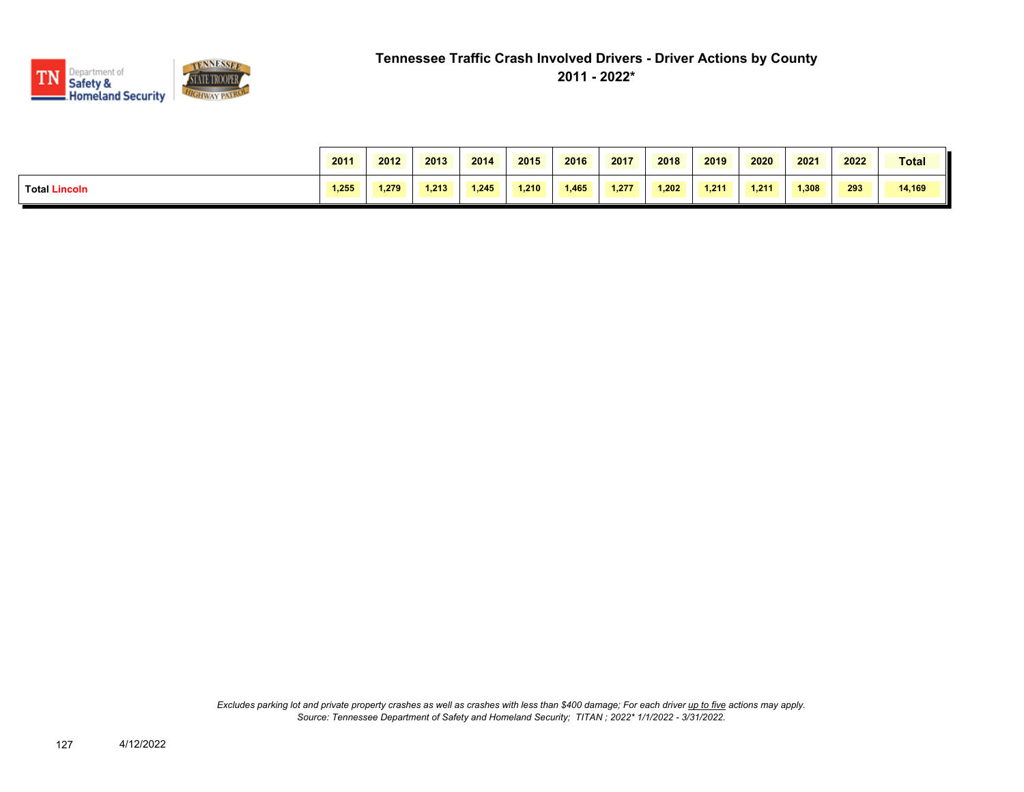

|                      | 2011  | 2012  | 2013  | 2014  | 2015  | 2016  | 2017  | 2018  | 2019  | 2020  | 2021  | 2022 | Total  |
|----------------------|-------|-------|-------|-------|-------|-------|-------|-------|-------|-------|-------|------|--------|
| <b>Total Lincoln</b> | 1.255 | 1.279 | 1.213 | 1.245 | 1.210 | 1.465 | 1.277 | 1.202 | 1.211 | 1.211 | 1,308 | 293  | 14,169 |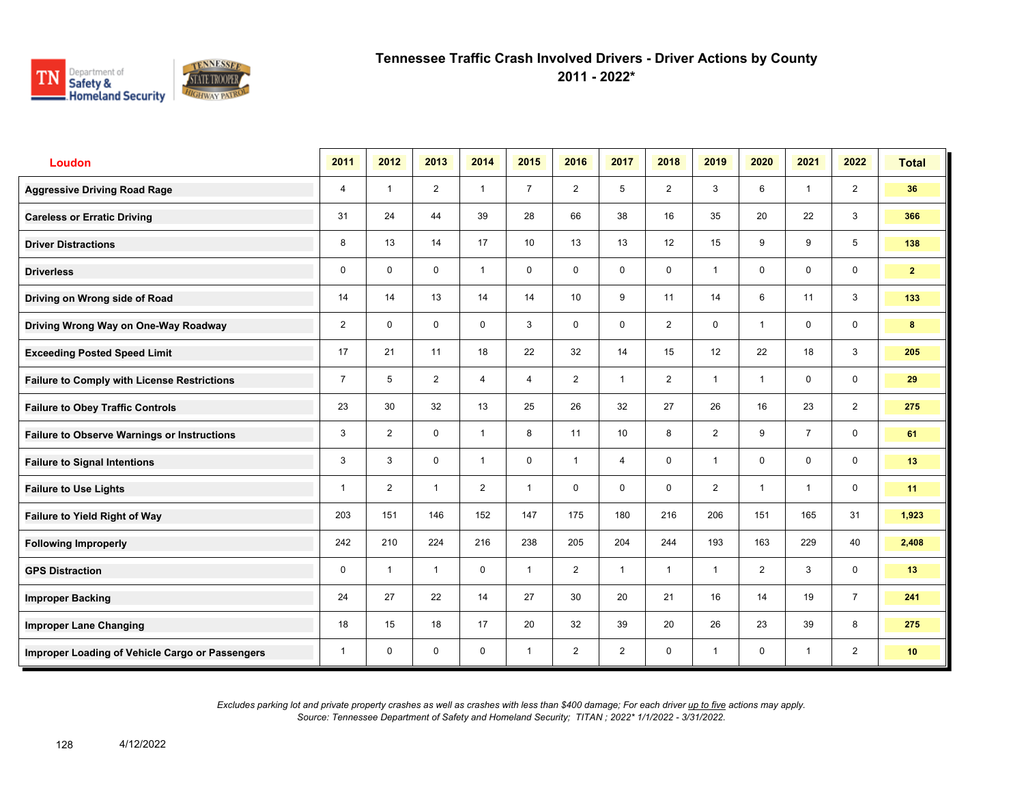

**2011 - 2022\***

| <b>Loudon</b>                                      | 2011           | 2012                    | 2013           | 2014           | 2015           | 2016           | 2017           | 2018           | 2019           | 2020           | 2021           | 2022           | <b>Total</b>    |
|----------------------------------------------------|----------------|-------------------------|----------------|----------------|----------------|----------------|----------------|----------------|----------------|----------------|----------------|----------------|-----------------|
| <b>Aggressive Driving Road Rage</b>                | 4              | $\overline{1}$          | $\overline{2}$ | $\mathbf{1}$   | $\overline{7}$ | 2              | 5              | $\overline{2}$ | 3              | 6              | $\mathbf{1}$   | $\overline{2}$ | 36              |
| <b>Careless or Erratic Driving</b>                 | 31             | 24                      | 44             | 39             | 28             | 66             | 38             | 16             | 35             | 20             | 22             | 3              | 366             |
| <b>Driver Distractions</b>                         | 8              | 13                      | 14             | 17             | 10             | 13             | 13             | 12             | 15             | 9              | 9              | 5              | 138             |
| <b>Driverless</b>                                  | 0              | $\mathbf 0$             | 0              | $\mathbf{1}$   | 0              | $\mathbf 0$    | $\mathbf 0$    | $\mathsf{O}$   | $\mathbf{1}$   | 0              | 0              | $\mathbf 0$    | 2 <sup>1</sup>  |
| Driving on Wrong side of Road                      | 14             | 14                      | 13             | 14             | 14             | 10             | 9              | 11             | 14             | 6              | 11             | $\mathbf{3}$   | 133             |
| Driving Wrong Way on One-Way Roadway               | $\overline{2}$ | $\Omega$                | $\mathbf 0$    | $\mathbf 0$    | 3              | $\Omega$       | $\mathbf 0$    | $\overline{2}$ | 0              | $\overline{1}$ | $\mathbf 0$    | $\mathbf 0$    | 8               |
| <b>Exceeding Posted Speed Limit</b>                | 17             | 21                      | 11             | 18             | 22             | 32             | 14             | 15             | 12             | 22             | 18             | 3              | 205             |
| <b>Failure to Comply with License Restrictions</b> | $\overline{7}$ | 5                       | $\overline{2}$ | $\overline{4}$ | 4              | 2              | $\mathbf{1}$   | $\overline{2}$ | 1              | $\overline{1}$ | $\mathbf 0$    | $\mathbf 0$    | 29              |
| <b>Failure to Obey Traffic Controls</b>            | 23             | 30                      | 32             | 13             | 25             | 26             | 32             | 27             | 26             | 16             | 23             | 2              | 275             |
| <b>Failure to Observe Warnings or Instructions</b> | 3              | $\overline{2}$          | 0              | $\mathbf{1}$   | 8              | 11             | 10             | 8              | $\overline{2}$ | 9              | $\overline{7}$ | $\mathbf 0$    | 61              |
| <b>Failure to Signal Intentions</b>                | 3              | 3                       | $\Omega$       | $\overline{1}$ | 0              | $\overline{1}$ | $\overline{4}$ | $\mathbf 0$    | $\mathbf{1}$   | $\mathbf{0}$   | $\mathbf{0}$   | $\mathbf 0$    | 13              |
| <b>Failure to Use Lights</b>                       | 1              | $\overline{2}$          | $\mathbf{1}$   | $\overline{2}$ | $\mathbf{1}$   | $\mathbf 0$    | $\mathbf 0$    | $\mathbf 0$    | $\overline{2}$ | $\overline{1}$ | $\mathbf{1}$   | $\mathbf 0$    | 11              |
| Failure to Yield Right of Way                      | 203            | 151                     | 146            | 152            | 147            | 175            | 180            | 216            | 206            | 151            | 165            | 31             | 1,923           |
| <b>Following Improperly</b>                        | 242            | 210                     | 224            | 216            | 238            | 205            | 204            | 244            | 193            | 163            | 229            | 40             | 2,408           |
| <b>GPS Distraction</b>                             | 0              | $\overline{\mathbf{1}}$ | $\mathbf{1}$   | $\mathbf 0$    | $\mathbf{1}$   | 2              | $\mathbf{1}$   | $\mathbf{1}$   | $\mathbf{1}$   | 2              | 3              | $\mathbf 0$    | 13              |
| <b>Improper Backing</b>                            | 24             | 27                      | 22             | 14             | 27             | 30             | 20             | 21             | 16             | 14             | 19             | $\overline{7}$ | 241             |
| <b>Improper Lane Changing</b>                      | 18             | 15                      | 18             | 17             | 20             | 32             | 39             | 20             | 26             | 23             | 39             | 8              | 275             |
| Improper Loading of Vehicle Cargo or Passengers    | 1              | $\mathbf 0$             | 0              | $\mathbf 0$    | $\mathbf{1}$   | $\overline{2}$ | $\overline{2}$ | $\mathsf{O}$   | 1              | $\mathbf 0$    | $\mathbf{1}$   | $\overline{2}$ | 10 <sup>°</sup> |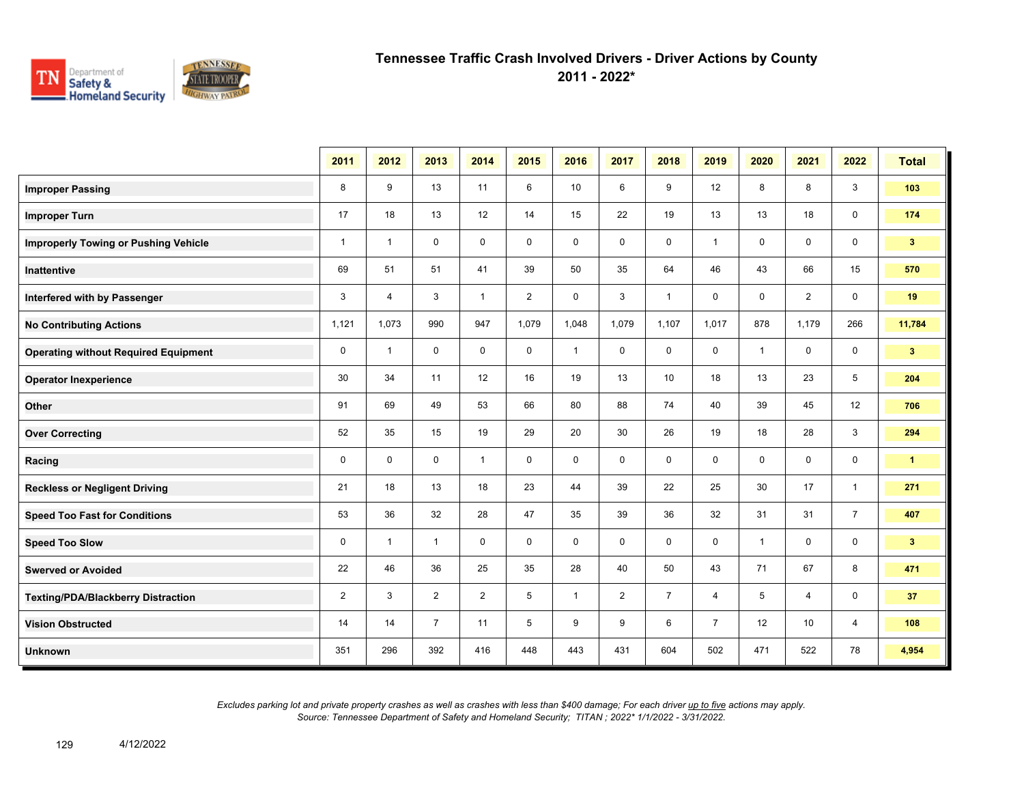

**2011 - 2022\***

|                                             | 2011           | 2012           | 2013           | 2014           | 2015           | 2016         | 2017           | 2018           | 2019           | 2020         | 2021           | 2022           | <b>Total</b>         |
|---------------------------------------------|----------------|----------------|----------------|----------------|----------------|--------------|----------------|----------------|----------------|--------------|----------------|----------------|----------------------|
| <b>Improper Passing</b>                     | 8              | 9              | 13             | 11             | 6              | 10           | 6              | 9              | 12             | 8            | 8              | 3              | 103                  |
| <b>Improper Turn</b>                        | 17             | 18             | 13             | 12             | 14             | 15           | 22             | 19             | 13             | 13           | 18             | 0              | 174                  |
| <b>Improperly Towing or Pushing Vehicle</b> | $\mathbf{1}$   | $\overline{1}$ | $\mathbf 0$    | $\mathbf 0$    | $\mathbf 0$    | $\mathbf 0$  | 0              | $\mathbf 0$    | $\mathbf{1}$   | $\mathbf 0$  | $\mathbf 0$    | 0              | 3 <sup>2</sup>       |
| Inattentive                                 | 69             | 51             | 51             | 41             | 39             | 50           | 35             | 64             | 46             | 43           | 66             | 15             | 570                  |
| Interfered with by Passenger                | 3              | $\overline{4}$ | 3              | $\mathbf{1}$   | $\overline{2}$ | $\mathbf 0$  | 3              | $\mathbf{1}$   | $\mathbf 0$    | $\mathbf 0$  | $\overline{2}$ | 0              | 19                   |
| <b>No Contributing Actions</b>              | 1,121          | 1,073          | 990            | 947            | 1,079          | 1,048        | 1,079          | 1,107          | 1,017          | 878          | 1,179          | 266            | 11,784               |
| <b>Operating without Required Equipment</b> | $\mathbf 0$    | $\mathbf{1}$   | $\mathbf 0$    | $\mathbf 0$    | $\mathbf 0$    | $\mathbf{1}$ | $\mathbf 0$    | $\mathbf 0$    | $\mathsf{O}$   | $\mathbf{1}$ | $\mathbf 0$    | 0              | 3 <sup>2</sup>       |
| <b>Operator Inexperience</b>                | 30             | 34             | 11             | 12             | 16             | 19           | 13             | 10             | 18             | 13           | 23             | 5              | 204                  |
| Other                                       | 91             | 69             | 49             | 53             | 66             | 80           | 88             | 74             | 40             | 39           | 45             | 12             | 706                  |
| <b>Over Correcting</b>                      | 52             | 35             | 15             | 19             | 29             | 20           | 30             | 26             | 19             | 18           | 28             | 3              | 294                  |
| Racing                                      | $\mathbf 0$    | $\mathbf 0$    | $\mathbf 0$    | $\mathbf{1}$   | $\mathbf 0$    | $\mathbf 0$  | $\mathbf 0$    | $\mathbf 0$    | 0              | $\mathbf 0$  | $\mathbf 0$    | 0              | $\blacktriangleleft$ |
| <b>Reckless or Negligent Driving</b>        | 21             | 18             | 13             | 18             | 23             | 44           | 39             | 22             | 25             | 30           | 17             | $\mathbf{1}$   | 271                  |
| <b>Speed Too Fast for Conditions</b>        | 53             | 36             | 32             | 28             | 47             | 35           | 39             | 36             | 32             | 31           | 31             | $\overline{7}$ | 407                  |
| <b>Speed Too Slow</b>                       | 0              | $\mathbf{1}$   | $\mathbf{1}$   | $\mathbf 0$    | $\mathbf 0$    | $\mathbf 0$  | $\mathbf 0$    | $\mathbf 0$    | $\mathbf 0$    | $\mathbf{1}$ | $\mathbf 0$    | 0              | 3 <sup>2</sup>       |
| <b>Swerved or Avoided</b>                   | 22             | 46             | 36             | 25             | 35             | 28           | 40             | 50             | 43             | 71           | 67             | 8              | 471                  |
| <b>Texting/PDA/Blackberry Distraction</b>   | $\overline{2}$ | 3              | $\overline{2}$ | $\overline{2}$ | 5              | $\mathbf{1}$ | $\overline{2}$ | $\overline{7}$ | 4              | 5            | 4              | 0              | 37                   |
| <b>Vision Obstructed</b>                    | 14             | 14             | $\overline{7}$ | 11             | 5              | 9            | 9              | 6              | $\overline{7}$ | 12           | 10             | 4              | 108                  |
| Unknown                                     | 351            | 296            | 392            | 416            | 448            | 443          | 431            | 604            | 502            | 471          | 522            | 78             | 4,954                |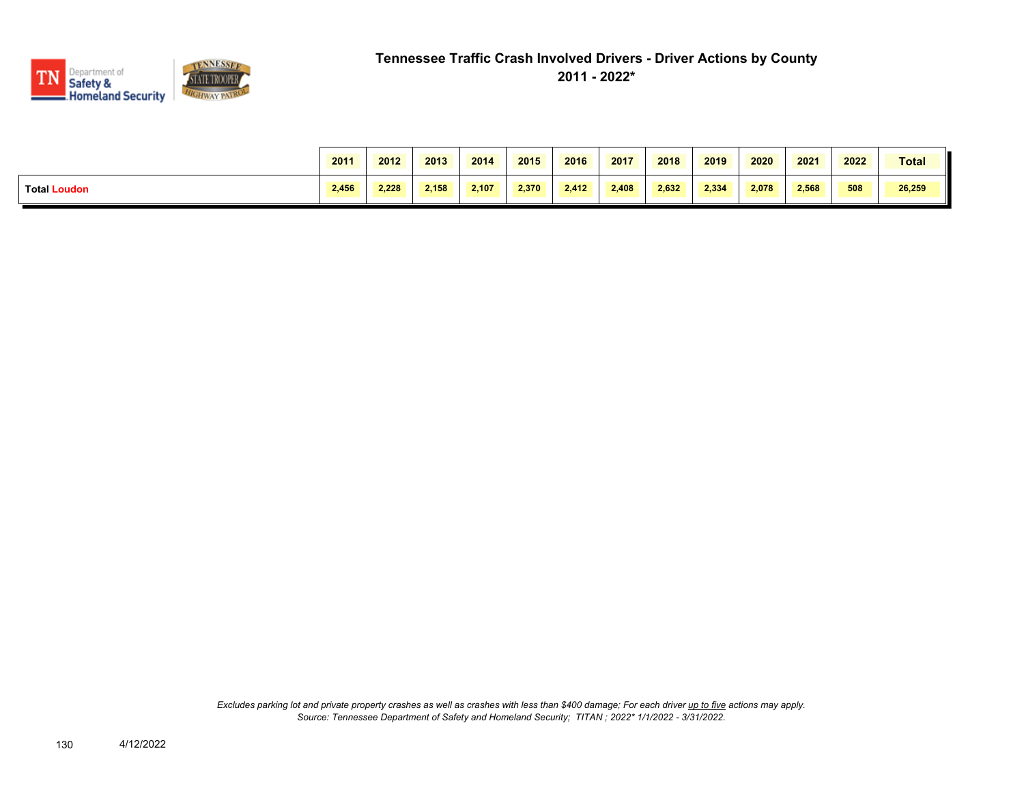

|                     | 2011  | 2012  | 2013  | 2014  | 2015  | 2016  | 2017  | 2018  | 2019  | 2020  | 2021  | 2022 | <b>Total</b> |
|---------------------|-------|-------|-------|-------|-------|-------|-------|-------|-------|-------|-------|------|--------------|
| <b>Total Loudon</b> | 2.456 | 2.228 | 2.158 | 2.107 | 2.370 | 2.412 | 2.408 | 2,632 | 2.334 | 2.078 | 2.568 | 508  | 26,259       |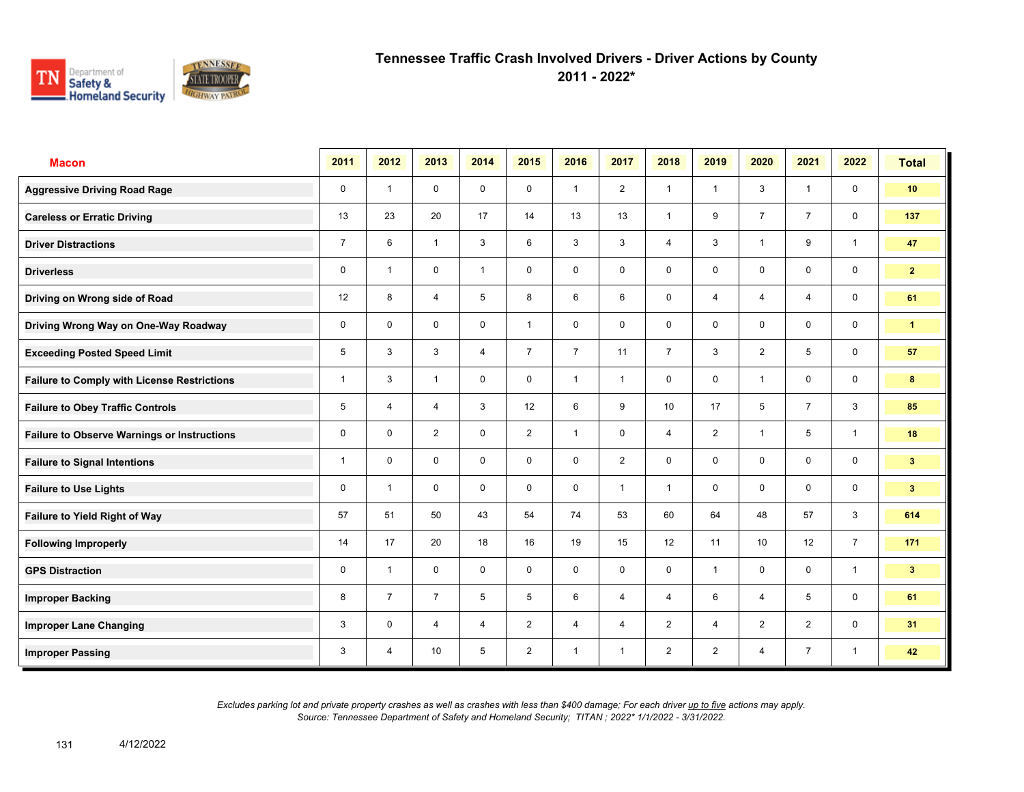

**2011 - 2022\***

| <b>Macon</b>                                       | 2011           | 2012           | 2013           | 2014           | 2015           | 2016           | 2017           | 2018            | 2019           | 2020            | 2021           | 2022           | <b>Total</b>    |
|----------------------------------------------------|----------------|----------------|----------------|----------------|----------------|----------------|----------------|-----------------|----------------|-----------------|----------------|----------------|-----------------|
| <b>Aggressive Driving Road Rage</b>                | $\mathbf 0$    | $\overline{1}$ | $\mathbf 0$    | $\mathbf 0$    | $\mathbf 0$    | $\overline{1}$ | 2              | $\mathbf{1}$    | $\mathbf{1}$   | 3               | $\mathbf{1}$   | $\mathbf 0$    | 10 <sub>1</sub> |
| <b>Careless or Erratic Driving</b>                 | 13             | 23             | 20             | 17             | 14             | 13             | 13             | $\mathbf{1}$    | 9              | $\overline{7}$  | $\overline{7}$ | $\mathbf 0$    | 137             |
| <b>Driver Distractions</b>                         | $\overline{7}$ | 6              | $\mathbf{1}$   | 3              | 6              | 3              | $\mathbf{3}$   | $\overline{4}$  | 3              | $\overline{1}$  | 9              | $\mathbf{1}$   | 47              |
| <b>Driverless</b>                                  | 0              | $\overline{1}$ | $\mathbf 0$    | $\mathbf{1}$   | $\mathbf 0$    | $\mathbf 0$    | $\mathbf 0$    | $\mathbf 0$     | 0              | $\mathbf 0$     | $\mathbf 0$    | $\mathbf 0$    | 2 <sup>7</sup>  |
| Driving on Wrong side of Road                      | 12             | 8              | 4              | 5              | 8              | 6              | 6              | $\mathbf 0$     | 4              | $\overline{4}$  | 4              | $\mathbf 0$    | 61              |
| Driving Wrong Way on One-Way Roadway               | 0              | $\mathbf 0$    | $\mathbf 0$    | $\mathbf 0$    | $\mathbf{1}$   | $\mathbf 0$    | $\mathbf 0$    | $\mathbf 0$     | 0              | $\mathbf 0$     | $\mathbf 0$    | $\mathbf 0$    | $\mathbf{1}$    |
| <b>Exceeding Posted Speed Limit</b>                | 5              | 3              | 3              | $\overline{4}$ | $\overline{7}$ | $\overline{7}$ | 11             | $\overline{7}$  | 3              | 2               | 5              | $\mathbf 0$    | 57              |
| <b>Failure to Comply with License Restrictions</b> | $\mathbf{1}$   | 3              | $\mathbf{1}$   | $\mathbf 0$    | $\mathbf 0$    | $\overline{1}$ | $\mathbf{1}$   | $\mathbf 0$     | $\mathbf 0$    | $\overline{1}$  | $\mathbf 0$    | $\mathbf 0$    | 8               |
| <b>Failure to Obey Traffic Controls</b>            | 5              | $\overline{4}$ | $\overline{4}$ | $\mathbf{3}$   | 12             | 6              | 9              | 10 <sup>1</sup> | 17             | 5               | $\overline{7}$ | $\mathbf{3}$   | 85              |
| <b>Failure to Observe Warnings or Instructions</b> | $\mathbf 0$    | $\mathbf 0$    | 2              | $\mathbf 0$    | $\overline{2}$ | $\overline{1}$ | $\mathbf 0$    | $\overline{4}$  | $\overline{2}$ | $\overline{1}$  | 5              | $\mathbf{1}$   | 18              |
| <b>Failure to Signal Intentions</b>                | 1              | $\mathbf 0$    | $\mathbf 0$    | $\mathbf 0$    | $\mathbf 0$    | $\mathbf 0$    | $\overline{2}$ | $\mathbf 0$     | $\mathbf 0$    | $\mathbf 0$     | $\mathbf 0$    | $\mathbf 0$    | 3 <sup>1</sup>  |
| <b>Failure to Use Lights</b>                       | 0              | $\overline{1}$ | $\mathbf 0$    | $\mathbf 0$    | $\mathbf 0$    | $\mathbf 0$    | $\mathbf{1}$   | $\mathbf{1}$    | 0              | $\mathbf 0$     | $\mathbf 0$    | $\mathsf{O}$   | 3 <sup>2</sup>  |
| <b>Failure to Yield Right of Way</b>               | 57             | 51             | 50             | 43             | 54             | 74             | 53             | 60              | 64             | 48              | 57             | $\mathbf{3}$   | 614             |
| <b>Following Improperly</b>                        | 14             | 17             | 20             | 18             | 16             | 19             | 15             | 12              | 11             | 10 <sup>1</sup> | 12             | $\overline{7}$ | 171             |
| <b>GPS Distraction</b>                             | 0              | $\overline{1}$ | $\mathbf 0$    | $\mathbf 0$    | 0              | $\mathbf 0$    | $\mathbf 0$    | $\mathbf 0$     | $\mathbf{1}$   | $\mathbf 0$     | $\mathbf 0$    | $\mathbf{1}$   | 3 <sup>1</sup>  |
| <b>Improper Backing</b>                            | 8              | $\overline{7}$ | $\overline{7}$ | 5              | 5              | 6              | $\overline{4}$ | $\overline{4}$  | 6              | $\overline{4}$  | 5              | $\mathsf{O}$   | 61              |
| <b>Improper Lane Changing</b>                      | 3              | $\mathbf 0$    | $\overline{4}$ | $\overline{4}$ | $\overline{2}$ | $\overline{4}$ | $\overline{4}$ | 2               | $\overline{4}$ | 2               | 2              | $\mathbf 0$    | 31              |
| <b>Improper Passing</b>                            | 3              | $\overline{4}$ | 10             | 5              | $\overline{2}$ | $\overline{1}$ | $\mathbf{1}$   | $\overline{2}$  | $\overline{2}$ | $\overline{4}$  | $\overline{7}$ | $\mathbf{1}$   | 42              |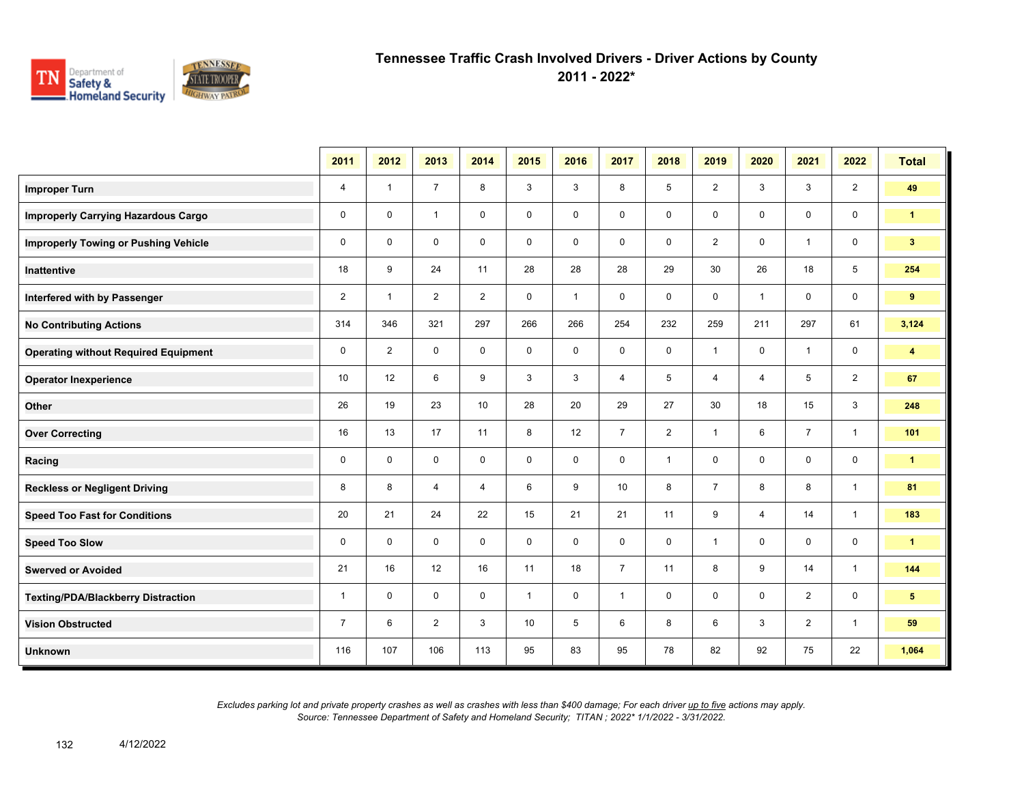

**2011 - 2022\***

|                                             | 2011           | 2012           | 2013           | 2014           | 2015         | 2016         | 2017           | 2018           | 2019           | 2020           | 2021           | 2022           | <b>Total</b>            |
|---------------------------------------------|----------------|----------------|----------------|----------------|--------------|--------------|----------------|----------------|----------------|----------------|----------------|----------------|-------------------------|
| <b>Improper Turn</b>                        | $\overline{4}$ | $\mathbf{1}$   | $\overline{7}$ | 8              | 3            | 3            | 8              | 5              | $\overline{2}$ | 3              | 3              | $\overline{2}$ | 49                      |
| <b>Improperly Carrying Hazardous Cargo</b>  | $\mathbf 0$    | $\mathbf 0$    | $\mathbf{1}$   | $\mathbf 0$    | $\mathbf 0$  | $\mathbf 0$  | $\mathbf 0$    | 0              | $\mathbf 0$    | $\mathbf 0$    | 0              | $\mathbf 0$    | $\mathbf{1}$            |
| <b>Improperly Towing or Pushing Vehicle</b> | $\mathbf 0$    | $\mathbf 0$    | $\mathbf 0$    | $\mathbf 0$    | $\mathbf 0$  | $\mathbf 0$  | $\mathbf 0$    | $\mathbf 0$    | $\overline{2}$ | $\mathbf 0$    | $\overline{1}$ | $\mathbf 0$    | 3 <sup>1</sup>          |
| Inattentive                                 | 18             | 9              | 24             | 11             | 28           | 28           | 28             | 29             | 30             | 26             | 18             | 5              | 254                     |
| Interfered with by Passenger                | $\overline{2}$ | $\mathbf{1}$   | $\overline{2}$ | $\overline{2}$ | $\mathbf 0$  | $\mathbf{1}$ | 0              | 0              | 0              | $\overline{1}$ | $\mathbf 0$    | $\mathbf 0$    | 9                       |
| <b>No Contributing Actions</b>              | 314            | 346            | 321            | 297            | 266          | 266          | 254            | 232            | 259            | 211            | 297            | 61             | 3,124                   |
| <b>Operating without Required Equipment</b> | $\mathbf 0$    | $\overline{2}$ | $\mathbf 0$    | $\mathbf 0$    | $\mathsf{O}$ | $\mathbf 0$  | $\mathbf 0$    | $\mathbf 0$    | $\mathbf{1}$   | $\mathbf 0$    | $\overline{1}$ | $\mathbf 0$    | $\overline{\mathbf{4}}$ |
| <b>Operator Inexperience</b>                | 10             | 12             | 6              | 9              | 3            | 3            | $\overline{4}$ | 5              | $\overline{4}$ | $\overline{4}$ | 5              | $\overline{2}$ | 67                      |
| Other                                       | 26             | 19             | 23             | 10             | 28           | 20           | 29             | 27             | 30             | 18             | 15             | 3              | 248                     |
| <b>Over Correcting</b>                      | 16             | 13             | 17             | 11             | 8            | 12           | $\overline{7}$ | $\overline{2}$ | $\mathbf{1}$   | 6              | $\overline{7}$ | $\mathbf{1}$   | 101                     |
| Racing                                      | $\mathbf 0$    | $\mathbf 0$    | $\mathbf 0$    | $\mathbf 0$    | $\mathbf 0$  | $\mathbf 0$  | $\mathbf 0$    | $\mathbf{1}$   | 0              | $\mathbf 0$    | $\mathbf 0$    | $\mathbf 0$    | $\mathbf{1}$            |
| <b>Reckless or Negligent Driving</b>        | 8              | 8              | 4              | 4              | 6            | 9            | 10             | 8              | $\overline{7}$ | 8              | 8              | $\mathbf{1}$   | 81                      |
| <b>Speed Too Fast for Conditions</b>        | 20             | 21             | 24             | 22             | 15           | 21           | 21             | 11             | 9              | 4              | 14             | $\overline{1}$ | 183                     |
| <b>Speed Too Slow</b>                       | 0              | $\mathbf 0$    | $\mathbf 0$    | $\mathbf 0$    | $\mathsf{O}$ | $\mathbf 0$  | $\mathbf 0$    | $\mathbf 0$    | $\mathbf{1}$   | 0              | $\mathbf 0$    | $\mathbf 0$    | $\mathbf{1}$            |
| <b>Swerved or Avoided</b>                   | 21             | 16             | 12             | 16             | 11           | 18           | $\overline{7}$ | 11             | 8              | 9              | 14             | $\mathbf{1}$   | 144                     |
| <b>Texting/PDA/Blackberry Distraction</b>   | $\mathbf{1}$   | $\mathbf 0$    | $\mathbf 0$    | $\mathbf 0$    | $\mathbf{1}$ | $\mathbf 0$  | $\mathbf{1}$   | 0              | 0              | $\mathbf 0$    | $\overline{2}$ | $\mathbf 0$    | 5                       |
| <b>Vision Obstructed</b>                    | $\overline{7}$ | 6              | 2              | 3              | 10           | 5            | 6              | 8              | 6              | 3              | $\overline{2}$ | $\mathbf{1}$   | 59                      |
| <b>Unknown</b>                              | 116            | 107            | 106            | 113            | 95           | 83           | 95             | 78             | 82             | 92             | 75             | 22             | 1,064                   |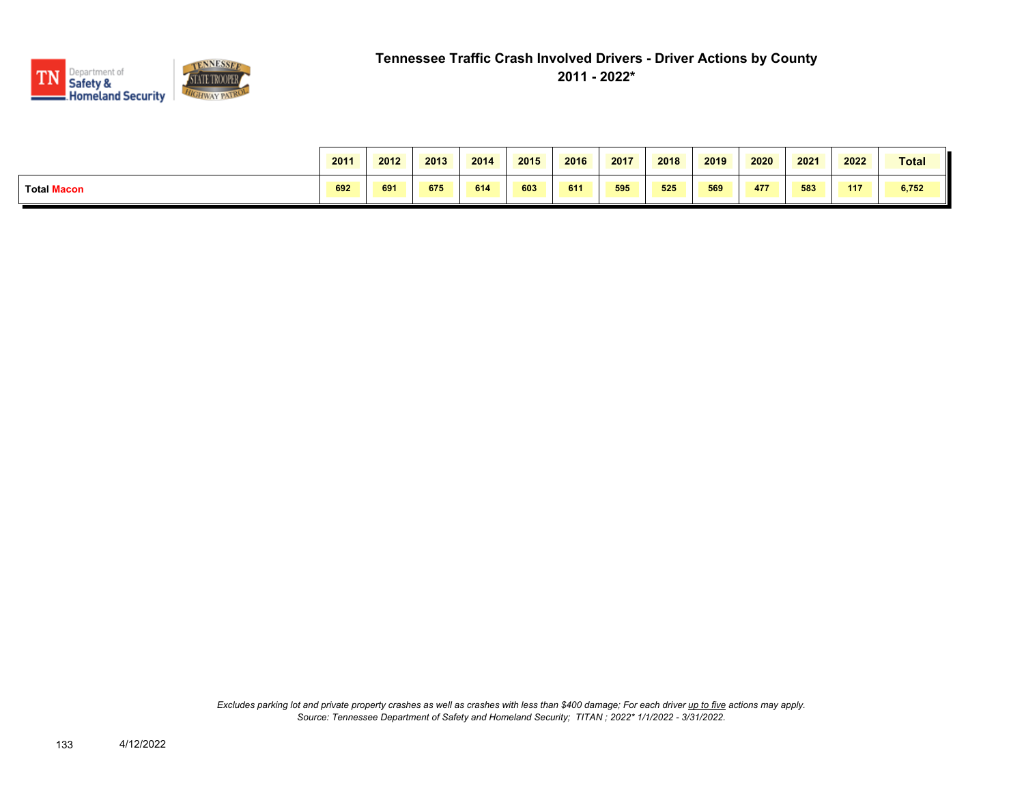

|                    | 2011 | 2012 | 2013 | 2014 | 2015 | 2016 | 2017 | 2018 | 2019 | 2020 | 2021 | 2022 | Total |
|--------------------|------|------|------|------|------|------|------|------|------|------|------|------|-------|
| <b>Total Macon</b> | 692  | 691  | 675  | 614  | 603  | 611  | 595  | 525  | 569  | 477  | 583  | 117  | 6,752 |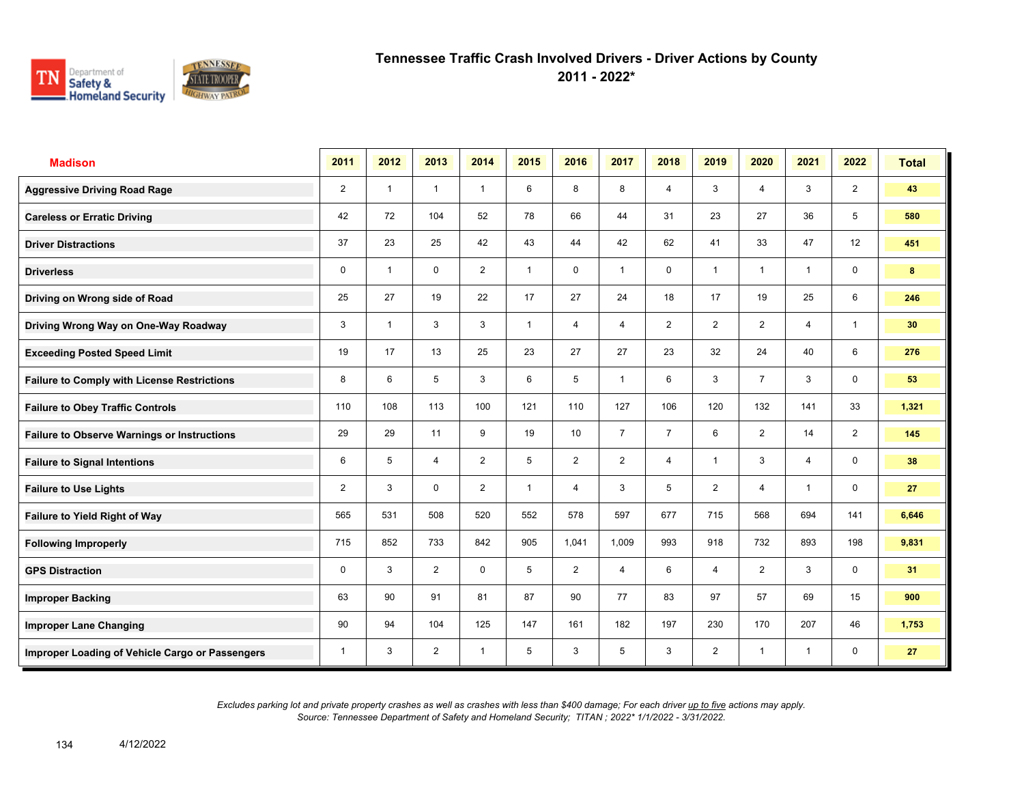

**2011 - 2022\***

| <b>Madison</b>                                     | 2011           | 2012                    | 2013           | 2014           | 2015         | 2016             | 2017           | 2018           | 2019           | 2020                    | 2021           | 2022           | <b>Total</b> |
|----------------------------------------------------|----------------|-------------------------|----------------|----------------|--------------|------------------|----------------|----------------|----------------|-------------------------|----------------|----------------|--------------|
| <b>Aggressive Driving Road Rage</b>                | $\overline{2}$ | $\overline{1}$          | $\mathbf{1}$   | $\overline{1}$ | 6            | 8                | 8              | $\overline{4}$ | 3              | 4                       | 3              | $\overline{2}$ | 43           |
| <b>Careless or Erratic Driving</b>                 | 42             | 72                      | 104            | 52             | 78           | 66               | 44             | 31             | 23             | 27                      | 36             | 5              | 580          |
| <b>Driver Distractions</b>                         | 37             | 23                      | 25             | 42             | 43           | 44               | 42             | 62             | 41             | 33                      | 47             | 12             | 451          |
| <b>Driverless</b>                                  | 0              | $\overline{\mathbf{1}}$ | $\mathbf 0$    | $\overline{2}$ | 1            | $\mathbf 0$      | 1              | 0              | $\mathbf{1}$   | $\overline{\mathbf{1}}$ | $\mathbf{1}$   | 0              | 8            |
| Driving on Wrong side of Road                      | 25             | 27                      | 19             | 22             | 17           | 27               | 24             | 18             | 17             | 19                      | 25             | 6              | 246          |
| Driving Wrong Way on One-Way Roadway               | 3              | $\overline{1}$          | 3              | 3              | 1            | $\overline{4}$   | 4              | $\overline{2}$ | $\overline{2}$ | $\overline{2}$          | 4              | $\mathbf{1}$   | 30           |
| <b>Exceeding Posted Speed Limit</b>                | 19             | 17                      | 13             | 25             | 23           | 27               | 27             | 23             | 32             | 24                      | 40             | 6              | 276          |
| <b>Failure to Comply with License Restrictions</b> | 8              | 6                       | 5              | 3              | 6            | 5                | $\overline{1}$ | 6              | 3              | $\overline{7}$          | 3              | 0              | 53           |
| <b>Failure to Obey Traffic Controls</b>            | 110            | 108                     | 113            | 100            | 121          | 110              | 127            | 106            | 120            | 132                     | 141            | 33             | 1,321        |
| <b>Failure to Observe Warnings or Instructions</b> | 29             | 29                      | 11             | 9              | 19           | 10 <sup>10</sup> | $\overline{7}$ | $\overline{7}$ | 6              | $\overline{2}$          | 14             | $\overline{2}$ | 145          |
| <b>Failure to Signal Intentions</b>                | 6              | 5                       | $\overline{4}$ | $\overline{2}$ | 5            | $\overline{2}$   | $\overline{2}$ | $\overline{4}$ | $\mathbf{1}$   | 3                       | $\overline{4}$ | 0              | 38           |
| <b>Failure to Use Lights</b>                       | $\overline{2}$ | 3                       | $\mathbf{0}$   | $\overline{2}$ | $\mathbf{1}$ | 4                | 3              | 5              | $\overline{2}$ | 4                       | $\overline{1}$ | $\mathbf 0$    | 27           |
| Failure to Yield Right of Way                      | 565            | 531                     | 508            | 520            | 552          | 578              | 597            | 677            | 715            | 568                     | 694            | 141            | 6,646        |
| <b>Following Improperly</b>                        | 715            | 852                     | 733            | 842            | 905          | 1,041            | 1,009          | 993            | 918            | 732                     | 893            | 198            | 9,831        |
| <b>GPS Distraction</b>                             | 0              | 3                       | 2              | $\mathbf 0$    | 5            | 2                | $\overline{4}$ | 6              | $\overline{4}$ | $\overline{2}$          | 3              | $\mathbf 0$    | 31           |
| <b>Improper Backing</b>                            | 63             | 90                      | 91             | 81             | 87           | 90               | 77             | 83             | 97             | 57                      | 69             | 15             | 900          |
| <b>Improper Lane Changing</b>                      | 90             | 94                      | 104            | 125            | 147          | 161              | 182            | 197            | 230            | 170                     | 207            | 46             | 1,753        |
| Improper Loading of Vehicle Cargo or Passengers    | 1              | 3                       | $\overline{2}$ | $\mathbf{1}$   | 5            | 3                | 5              | 3              | $\overline{2}$ | 1                       | 1              | 0              | 27           |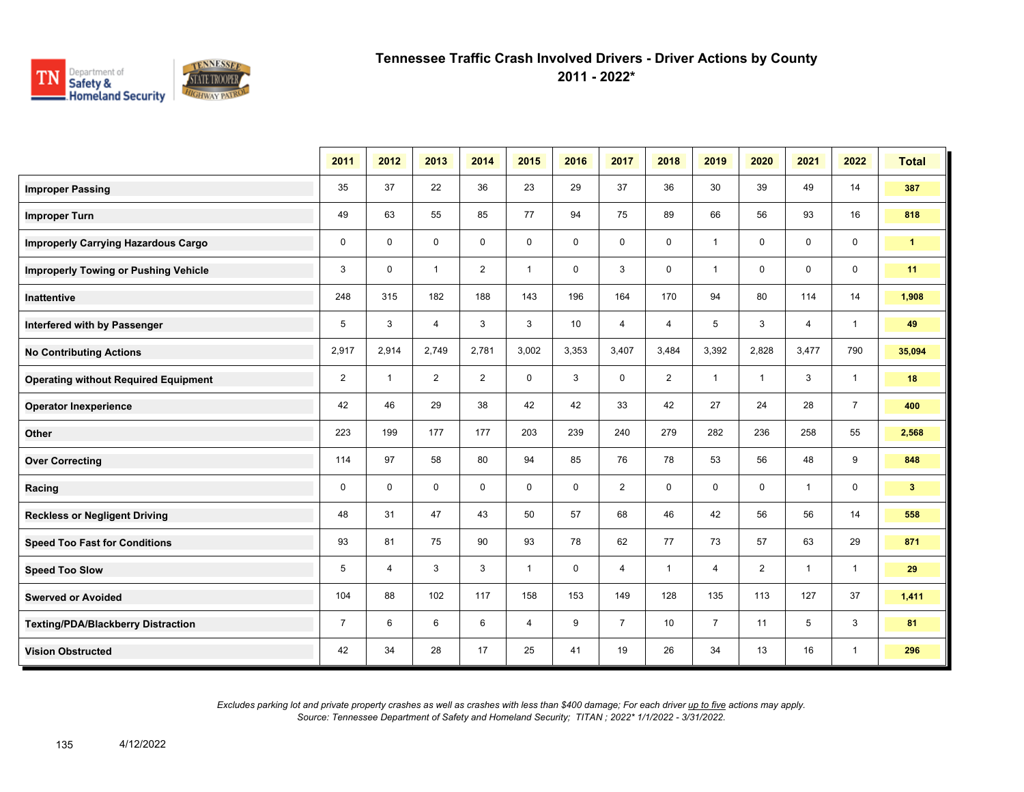

**2011 - 2022\***

|                                             | 2011           | 2012           | 2013           | 2014           | 2015         | 2016        | 2017           | 2018           | 2019           | 2020           | 2021           | 2022           | <b>Total</b>   |
|---------------------------------------------|----------------|----------------|----------------|----------------|--------------|-------------|----------------|----------------|----------------|----------------|----------------|----------------|----------------|
| <b>Improper Passing</b>                     | 35             | 37             | 22             | 36             | 23           | 29          | 37             | 36             | 30             | 39             | 49             | 14             | 387            |
| <b>Improper Turn</b>                        | 49             | 63             | 55             | 85             | 77           | 94          | 75             | 89             | 66             | 56             | 93             | 16             | 818            |
| <b>Improperly Carrying Hazardous Cargo</b>  | $\mathbf 0$    | $\Omega$       | $\mathbf 0$    | $\mathbf 0$    | $\mathbf 0$  | 0           | 0              | $\mathsf 0$    | $\mathbf{1}$   | $\mathbf 0$    | $\mathbf 0$    | 0              | $\mathbf{1}$   |
| <b>Improperly Towing or Pushing Vehicle</b> | 3              | $\Omega$       | $\mathbf{1}$   | $\overline{2}$ | $\mathbf{1}$ | $\mathbf 0$ | 3              | $\mathsf 0$    | $\mathbf{1}$   | $\mathbf 0$    | $\mathbf 0$    | $\mathbf 0$    | 11             |
| Inattentive                                 | 248            | 315            | 182            | 188            | 143          | 196         | 164            | 170            | 94             | 80             | 114            | 14             | 1,908          |
| Interfered with by Passenger                | 5              | 3              | $\overline{4}$ | 3              | 3            | 10          | $\overline{4}$ | $\overline{4}$ | 5              | 3              | $\overline{4}$ | $\mathbf{1}$   | 49             |
| <b>No Contributing Actions</b>              | 2,917          | 2,914          | 2,749          | 2,781          | 3,002        | 3,353       | 3,407          | 3,484          | 3,392          | 2,828          | 3,477          | 790            | 35,094         |
| <b>Operating without Required Equipment</b> | $\overline{2}$ | $\mathbf{1}$   | $\overline{2}$ | 2              | 0            | 3           | $\mathsf 0$    | $\overline{2}$ | $\mathbf{1}$   | $\mathbf{1}$   | 3              | $\mathbf{1}$   | 18             |
| <b>Operator Inexperience</b>                | 42             | 46             | 29             | 38             | 42           | 42          | 33             | 42             | 27             | 24             | 28             | $\overline{7}$ | 400            |
| Other                                       | 223            | 199            | 177            | 177            | 203          | 239         | 240            | 279            | 282            | 236            | 258            | 55             | 2,568          |
| <b>Over Correcting</b>                      | 114            | 97             | 58             | 80             | 94           | 85          | 76             | 78             | 53             | 56             | 48             | 9              | 848            |
| Racing                                      | $\mathbf 0$    | $\mathbf 0$    | $\mathbf 0$    | $\mathbf 0$    | $\mathbf 0$  | $\mathbf 0$ | $\overline{2}$ | $\mathsf 0$    | $\mathbf 0$    | $\mathbf 0$    | $\mathbf{1}$   | $\mathbf 0$    | 3 <sup>2</sup> |
| <b>Reckless or Negligent Driving</b>        | 48             | 31             | 47             | 43             | 50           | 57          | 68             | 46             | 42             | 56             | 56             | 14             | 558            |
| <b>Speed Too Fast for Conditions</b>        | 93             | 81             | 75             | 90             | 93           | 78          | 62             | 77             | 73             | 57             | 63             | 29             | 871            |
| <b>Speed Too Slow</b>                       | 5              | $\overline{4}$ | 3              | 3              | $\mathbf{1}$ | $\mathbf 0$ | 4              | $\mathbf{1}$   | 4              | $\overline{2}$ | $\mathbf{1}$   | $\mathbf{1}$   | 29             |
| <b>Swerved or Avoided</b>                   | 104            | 88             | 102            | 117            | 158          | 153         | 149            | 128            | 135            | 113            | 127            | 37             | 1,411          |
| <b>Texting/PDA/Blackberry Distraction</b>   | $\overline{7}$ | 6              | 6              | 6              | 4            | 9           | $\overline{7}$ | 10             | $\overline{7}$ | 11             | 5              | 3              | 81             |
| <b>Vision Obstructed</b>                    | 42             | 34             | 28             | 17             | 25           | 41          | 19             | 26             | 34             | 13             | 16             | $\mathbf{1}$   | 296            |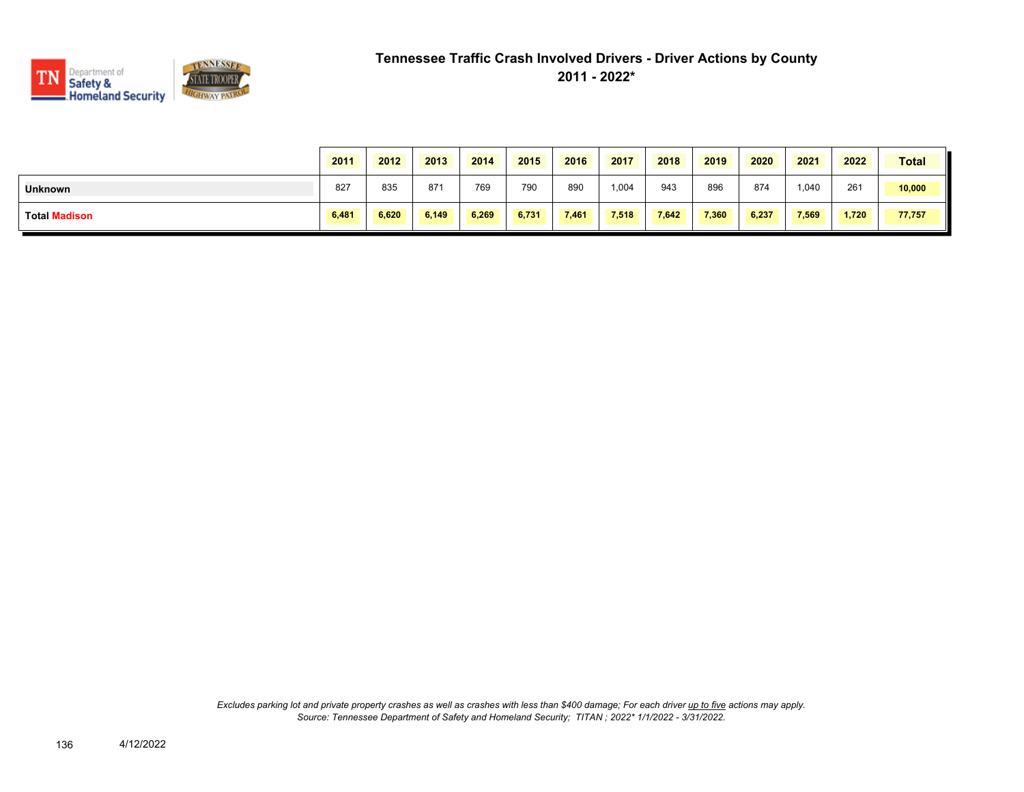

|                | 2011  | 2012  | 2013  | 2014  | 2015  | 2016  | 2017  | 2018  | 2019  | 2020  | 2021  | 2022  | <b>Total</b> |
|----------------|-------|-------|-------|-------|-------|-------|-------|-------|-------|-------|-------|-------|--------------|
| <b>Unknown</b> | 827   | 835   | 87'   | 769   | 790   | 890   | 1,004 | 943   | 896   | 874   | 1,040 | 261   | 10,000       |
| Total Madison  | 6,481 | 6.620 | 6,149 | 6.269 | 6,731 | 7,461 | 7,518 | 7.642 | 7,360 | 6,237 | 7,569 | 1,720 | 77,757       |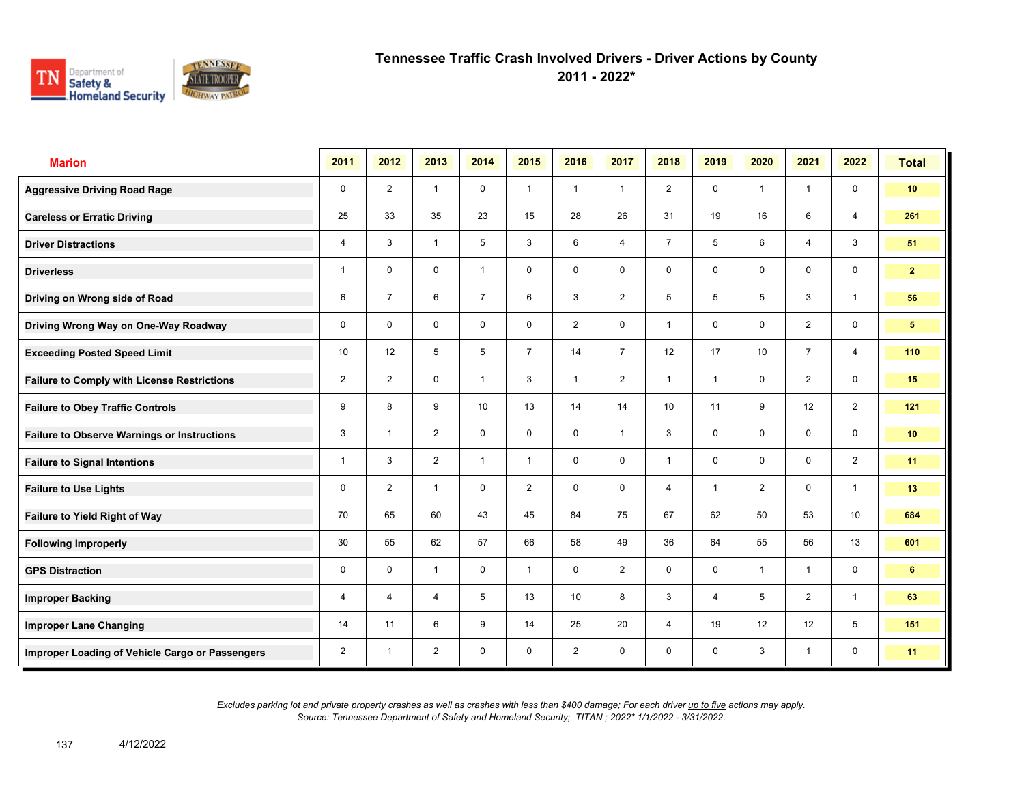

**2011 - 2022\***

| <b>Marion</b>                                      | 2011           | 2012           | 2013           | 2014           | 2015           | 2016           | 2017           | 2018            | 2019           | 2020           | 2021           | 2022                    | <b>Total</b>    |
|----------------------------------------------------|----------------|----------------|----------------|----------------|----------------|----------------|----------------|-----------------|----------------|----------------|----------------|-------------------------|-----------------|
| <b>Aggressive Driving Road Rage</b>                | $\mathbf 0$    | $\overline{2}$ | $\mathbf{1}$   | $\mathbf 0$    | $\mathbf{1}$   | $\overline{1}$ | $\mathbf{1}$   | $\overline{2}$  | $\mathbf 0$    | $\overline{1}$ | $\mathbf{1}$   | $\mathbf 0$             | 10 <sup>°</sup> |
| <b>Careless or Erratic Driving</b>                 | 25             | 33             | 35             | 23             | 15             | 28             | 26             | 31              | 19             | 16             | 6              | 4                       | 261             |
| <b>Driver Distractions</b>                         | 4              | 3              | $\mathbf{1}$   | 5              | 3              | 6              | $\overline{4}$ | $\overline{7}$  | 5              | 6              | $\overline{4}$ | $\mathbf{3}$            | 51              |
| <b>Driverless</b>                                  | 1              | $\mathbf 0$    | $\mathsf{O}$   | $\mathbf{1}$   | 0              | 0              | $\mathbf 0$    | $\mathbf 0$     | 0              | 0              | $\mathsf{O}$   | $\mathbf 0$             | 2 <sup>1</sup>  |
| Driving on Wrong side of Road                      | 6              | $\overline{7}$ | 6              | $\overline{7}$ | 6              | 3              | $\overline{2}$ | 5               | 5              | 5              | 3              | $\overline{1}$          | 56              |
| Driving Wrong Way on One-Way Roadway               | $\mathbf 0$    | $\Omega$       | $\mathbf 0$    | $\mathbf 0$    | $\mathbf 0$    | 2              | $\mathbf 0$    | $\mathbf{1}$    | 0              | $\mathbf 0$    | $\overline{2}$ | $\mathsf{O}\phantom{0}$ | 5 <sup>5</sup>  |
| <b>Exceeding Posted Speed Limit</b>                | 10             | 12             | 5              | 5              | $\overline{7}$ | 14             | $\overline{7}$ | 12              | 17             | 10             | $\overline{7}$ | $\overline{4}$          | 110             |
| <b>Failure to Comply with License Restrictions</b> | $\overline{2}$ | $\overline{2}$ | $\mathbf 0$    | $\mathbf{1}$   | 3              | $\overline{1}$ | 2              | $\mathbf{1}$    | 1              | $\mathbf 0$    | 2              | $\mathbf 0$             | 15              |
| <b>Failure to Obey Traffic Controls</b>            | 9              | 8              | 9              | 10             | 13             | 14             | 14             | 10 <sup>1</sup> | 11             | 9              | 12             | 2                       | 121             |
| <b>Failure to Observe Warnings or Instructions</b> | 3              | $\overline{1}$ | $\overline{2}$ | $\mathbf 0$    | 0              | $\mathbf 0$    | $\mathbf{1}$   | 3               | 0              | $\mathbf 0$    | $\mathbf 0$    | $\mathbf 0$             | 10 <sub>1</sub> |
| <b>Failure to Signal Intentions</b>                | 1              | 3              | 2              | $\mathbf{1}$   | $\mathbf{1}$   | $\mathbf 0$    | $\mathbf 0$    | $\mathbf{1}$    | $\mathbf 0$    | $\mathbf{0}$   | $\mathbf 0$    | $\overline{2}$          | 11              |
| <b>Failure to Use Lights</b>                       | 0              | 2              | $\mathbf{1}$   | $\mathbf 0$    | $\overline{2}$ | $\mathbf 0$    | $\mathbf 0$    | $\overline{4}$  | $\mathbf{1}$   | 2              | $\mathbf 0$    | $\mathbf{1}$            | 13              |
| Failure to Yield Right of Way                      | 70             | 65             | 60             | 43             | 45             | 84             | 75             | 67              | 62             | 50             | 53             | 10 <sup>1</sup>         | 684             |
| <b>Following Improperly</b>                        | 30             | 55             | 62             | 57             | 66             | 58             | 49             | 36              | 64             | 55             | 56             | 13                      | 601             |
| <b>GPS Distraction</b>                             | 0              | $\mathbf 0$    | $\mathbf{1}$   | $\mathbf 0$    | $\mathbf{1}$   | $\mathbf 0$    | 2              | $\mathbf 0$     | $\mathbf 0$    | $\overline{1}$ | $\mathbf{1}$   | $\mathbf 0$             | 6               |
| <b>Improper Backing</b>                            | 4              | $\overline{4}$ | $\overline{4}$ | 5              | 13             | 10             | 8              | $\mathbf{3}$    | $\overline{4}$ | 5              | 2              | $\mathbf{1}$            | 63              |
| <b>Improper Lane Changing</b>                      | 14             | 11             | 6              | 9              | 14             | 25             | 20             | $\overline{4}$  | 19             | 12             | 12             | 5                       | 151             |
| Improper Loading of Vehicle Cargo or Passengers    | $\overline{2}$ | $\overline{1}$ | $\overline{2}$ | $\mathbf 0$    | $\mathbf 0$    | $\overline{2}$ | $\mathbf 0$    | $\mathbf 0$     | 0              | 3              | $\mathbf{1}$   | $\mathbf 0$             | 11              |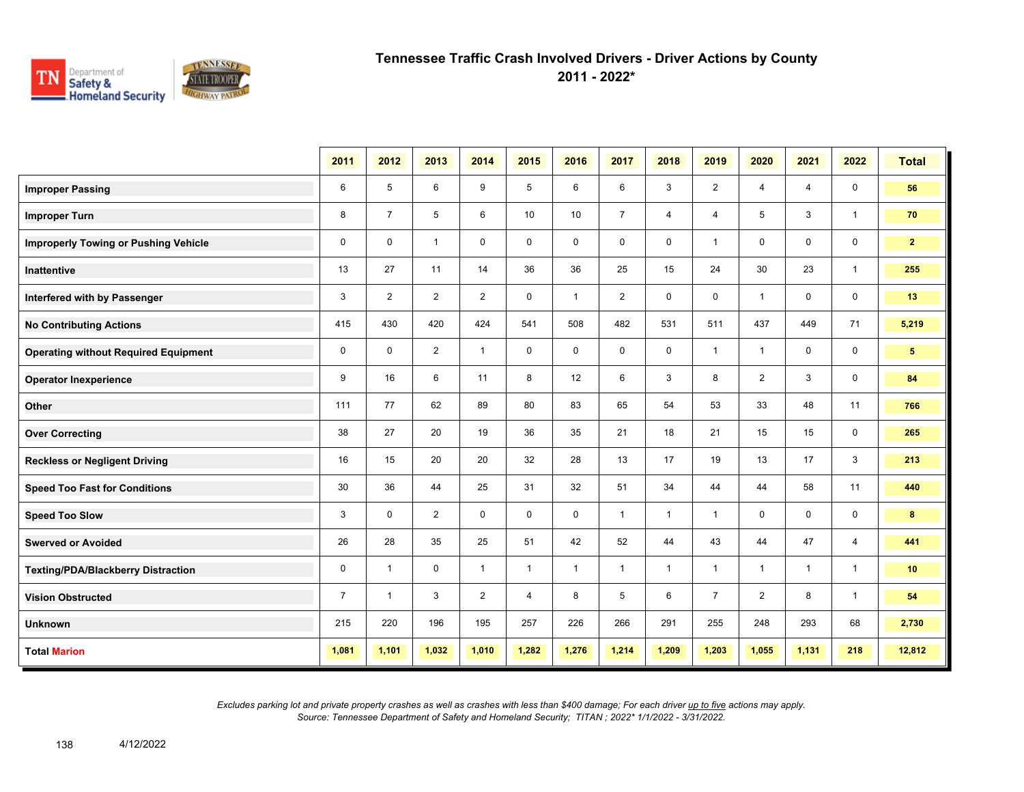

**2011 - 2022\***

|                                             | 2011           | 2012           | 2013           | 2014           | 2015         | 2016         | 2017           | 2018         | 2019           | 2020           | 2021         | 2022           | <b>Total</b>   |
|---------------------------------------------|----------------|----------------|----------------|----------------|--------------|--------------|----------------|--------------|----------------|----------------|--------------|----------------|----------------|
| <b>Improper Passing</b>                     | 6              | 5              | 6              | 9              | 5            | 6            | 6              | 3            | $\overline{2}$ | 4              | 4            | 0              | 56             |
| <b>Improper Turn</b>                        | 8              | $\overline{7}$ | 5              | 6              | 10           | 10           | $\overline{7}$ | 4            | $\overline{4}$ | 5              | 3            | $\mathbf{1}$   | 70             |
| <b>Improperly Towing or Pushing Vehicle</b> | $\mathbf 0$    | $\mathbf 0$    | $\mathbf{1}$   | $\mathbf 0$    | $\mathbf 0$  | $\mathbf 0$  | 0              | 0            | $\mathbf{1}$   | 0              | 0            | 0              | 2 <sup>1</sup> |
| <b>Inattentive</b>                          | 13             | 27             | 11             | 14             | 36           | 36           | 25             | 15           | 24             | 30             | 23           | $\mathbf{1}$   | 255            |
| Interfered with by Passenger                | 3              | $\overline{2}$ | 2              | 2              | $\mathbf 0$  | $\mathbf{1}$ | 2              | $\mathsf 0$  | 0              | $\mathbf{1}$   | 0            | $\mathbf 0$    | 13             |
| <b>No Contributing Actions</b>              | 415            | 430            | 420            | 424            | 541          | 508          | 482            | 531          | 511            | 437            | 449          | 71             | 5,219          |
| <b>Operating without Required Equipment</b> | 0              | $\mathbf 0$    | $\overline{2}$ | $\mathbf{1}$   | $\mathbf 0$  | $\mathbf 0$  | $\mathbf 0$    | $\mathbf 0$  | $\mathbf{1}$   | $\mathbf{1}$   | $\mathbf 0$  | 0              | 5 <sup>5</sup> |
| <b>Operator Inexperience</b>                | 9              | 16             | 6              | 11             | 8            | 12           | 6              | $\mathsf 3$  | 8              | $\overline{2}$ | 3            | 0              | 84             |
| Other                                       | 111            | 77             | 62             | 89             | 80           | 83           | 65             | 54           | 53             | 33             | 48           | 11             | 766            |
| <b>Over Correcting</b>                      | 38             | 27             | 20             | 19             | 36           | 35           | 21             | 18           | 21             | 15             | 15           | 0              | 265            |
| <b>Reckless or Negligent Driving</b>        | 16             | 15             | 20             | 20             | 32           | 28           | 13             | 17           | 19             | 13             | 17           | 3              | 213            |
| <b>Speed Too Fast for Conditions</b>        | 30             | 36             | 44             | 25             | 31           | 32           | 51             | 34           | 44             | 44             | 58           | 11             | 440            |
| <b>Speed Too Slow</b>                       | 3              | $\mathbf 0$    | $\overline{2}$ | $\mathbf 0$    | $\mathbf 0$  | $\mathbf 0$  | $\mathbf{1}$   | $\mathbf{1}$ | $\mathbf{1}$   | 0              | 0            | 0              | 8              |
| <b>Swerved or Avoided</b>                   | 26             | 28             | 35             | 25             | 51           | 42           | 52             | 44           | 43             | 44             | 47           | $\overline{4}$ | 441            |
| <b>Texting/PDA/Blackberry Distraction</b>   | 0              | -1             | $\mathbf 0$    | $\mathbf{1}$   | $\mathbf{1}$ | $\mathbf{1}$ | $\mathbf{1}$   | $\mathbf{1}$ | $\mathbf{1}$   | $\mathbf{1}$   | $\mathbf{1}$ | $\overline{1}$ | 10             |
| <b>Vision Obstructed</b>                    | $\overline{7}$ | -1             | 3              | $\overline{2}$ | 4            | 8            | 5              | 6            | $\overline{7}$ | $\overline{2}$ | 8            | $\mathbf{1}$   | 54             |
| <b>Unknown</b>                              | 215            | 220            | 196            | 195            | 257          | 226          | 266            | 291          | 255            | 248            | 293          | 68             | 2,730          |
| <b>Total Marion</b>                         | 1,081          | 1,101          | 1,032          | 1,010          | 1,282        | 1,276        | 1,214          | 1,209        | 1,203          | 1,055          | 1,131        | 218            | 12,812         |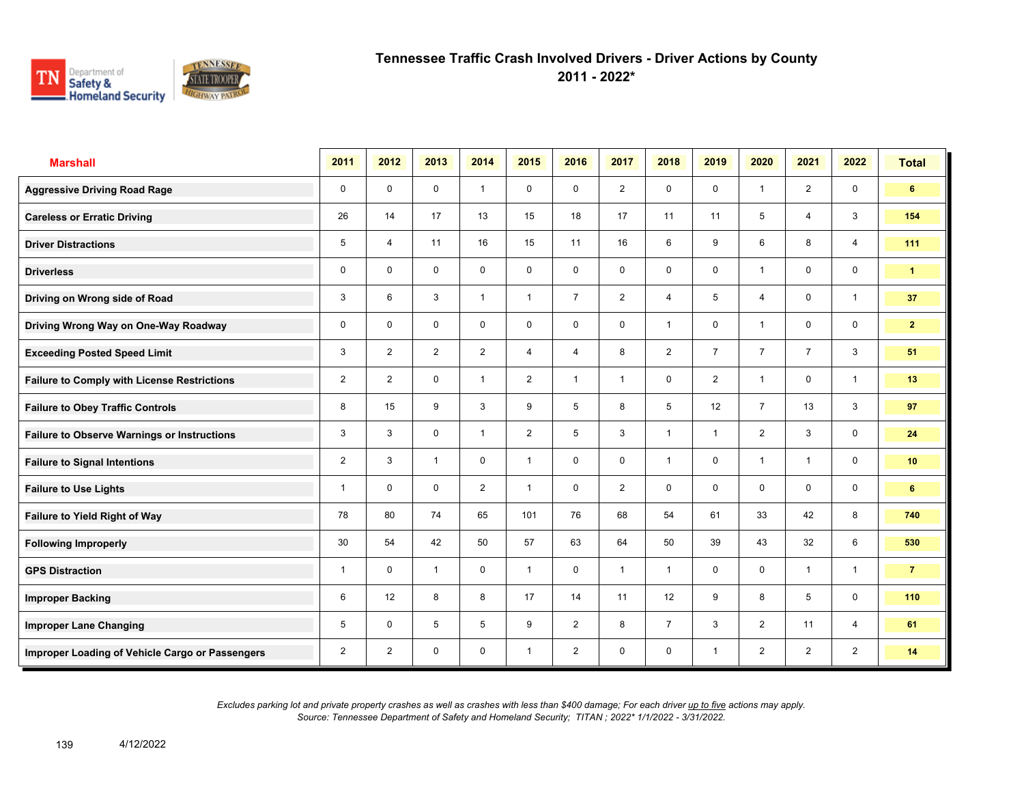

**2011 - 2022\***

| <b>Marshall</b>                                    | 2011           | 2012           | 2013           | 2014           | 2015           | 2016           | 2017           | 2018           | 2019           | 2020                    | 2021           | 2022           | <b>Total</b>   |
|----------------------------------------------------|----------------|----------------|----------------|----------------|----------------|----------------|----------------|----------------|----------------|-------------------------|----------------|----------------|----------------|
| <b>Aggressive Driving Road Rage</b>                | 0              | $\mathbf 0$    | $\mathbf 0$    | $\mathbf{1}$   | 0              | $\mathbf 0$    | $\overline{2}$ | $\mathbf 0$    | 0              | $\overline{1}$          | 2              | $\mathbf 0$    | 6              |
| <b>Careless or Erratic Driving</b>                 | 26             | 14             | 17             | 13             | 15             | 18             | 17             | 11             | 11             | 5                       | $\overline{4}$ | 3              | 154            |
| <b>Driver Distractions</b>                         | 5              | $\overline{4}$ | 11             | 16             | 15             | 11             | 16             | 6              | 9              | 6                       | 8              | $\overline{4}$ | 111            |
| <b>Driverless</b>                                  | $\mathbf 0$    | $\mathbf 0$    | $\mathbf 0$    | $\mathbf 0$    | $\mathbf 0$    | $\mathbf 0$    | 0              | $\mathbf 0$    | 0              | $\overline{1}$          | $\mathbf 0$    | $\mathbf 0$    | $\mathbf{1}$   |
| Driving on Wrong side of Road                      | 3              | 6              | 3              | $\overline{1}$ | $\mathbf{1}$   | $\overline{7}$ | $\overline{2}$ | $\overline{4}$ | 5              | 4                       | $\mathbf 0$    | $\overline{1}$ | 37             |
| Driving Wrong Way on One-Way Roadway               | 0              | $\mathbf 0$    | 0              | $\mathbf 0$    | $\mathbf 0$    | $\mathbf 0$    | $\mathbf 0$    | $\mathbf{1}$   | 0              | $\overline{\mathbf{1}}$ | $\mathbf 0$    | $\mathbf 0$    | 2 <sup>1</sup> |
| <b>Exceeding Posted Speed Limit</b>                | 3              | $\overline{2}$ | $\overline{2}$ | $\overline{2}$ | $\overline{4}$ | 4              | 8              | $\overline{2}$ | $\overline{7}$ | $\overline{7}$          | $\overline{7}$ | 3              | 51             |
| <b>Failure to Comply with License Restrictions</b> | $\overline{2}$ | $\overline{2}$ | 0              | $\mathbf{1}$   | $\overline{2}$ | $\overline{1}$ | $\mathbf{1}$   | $\mathbf 0$    | $\overline{2}$ | $\overline{\mathbf{1}}$ | 0              | $\mathbf{1}$   | 13             |
| <b>Failure to Obey Traffic Controls</b>            | 8              | 15             | 9              | 3              | 9              | 5              | 8              | 5              | 12             | $\overline{7}$          | 13             | 3              | 97             |
| <b>Failure to Observe Warnings or Instructions</b> | 3              | 3              | $\mathbf 0$    | $\mathbf{1}$   | $\overline{2}$ | 5              | 3              | $\mathbf{1}$   | $\mathbf{1}$   | $\overline{2}$          | 3              | $\mathbf 0$    | 24             |
| <b>Failure to Signal Intentions</b>                | $\overline{2}$ | 3              | $\mathbf{1}$   | $\mathbf 0$    | $\mathbf{1}$   | $\mathbf 0$    | 0              | $\overline{1}$ | 0              | $\overline{\mathbf{1}}$ | $\mathbf{1}$   | $\mathbf 0$    | 10             |
| <b>Failure to Use Lights</b>                       | 1              | $\mathbf 0$    | $\mathbf 0$    | $\overline{2}$ | $\mathbf{1}$   | $\mathbf 0$    | $\overline{2}$ | $\mathbf 0$    | 0              | $\mathbf 0$             | $\mathbf 0$    | $\mathbf 0$    | 6              |
| Failure to Yield Right of Way                      | 78             | 80             | 74             | 65             | 101            | 76             | 68             | 54             | 61             | 33                      | 42             | 8              | 740            |
| <b>Following Improperly</b>                        | 30             | 54             | 42             | 50             | 57             | 63             | 64             | 50             | 39             | 43                      | 32             | 6              | 530            |
| <b>GPS Distraction</b>                             | $\mathbf{1}$   | $\mathbf 0$    | $\mathbf{1}$   | $\mathbf 0$    | $\mathbf{1}$   | 0              | $\mathbf{1}$   | $\mathbf{1}$   | 0              | $\mathbf 0$             | $\mathbf{1}$   | $\mathbf{1}$   | $\overline{7}$ |
| <b>Improper Backing</b>                            | 6              | 12             | 8              | 8              | 17             | 14             | 11             | 12             | 9              | 8                       | 5              | $\mathbf 0$    | 110            |
| <b>Improper Lane Changing</b>                      | 5              | $\mathbf 0$    | 5              | 5              | 9              | $\overline{2}$ | 8              | $\overline{7}$ | 3              | $\overline{2}$          | 11             | $\overline{4}$ | 61             |
| Improper Loading of Vehicle Cargo or Passengers    | 2              | $\overline{2}$ | $\mathbf 0$    | $\mathbf 0$    | $\mathbf{1}$   | $\overline{2}$ | 0              | $\mathbf 0$    | $\mathbf{1}$   | 2                       | $\overline{2}$ | $\overline{2}$ | 14             |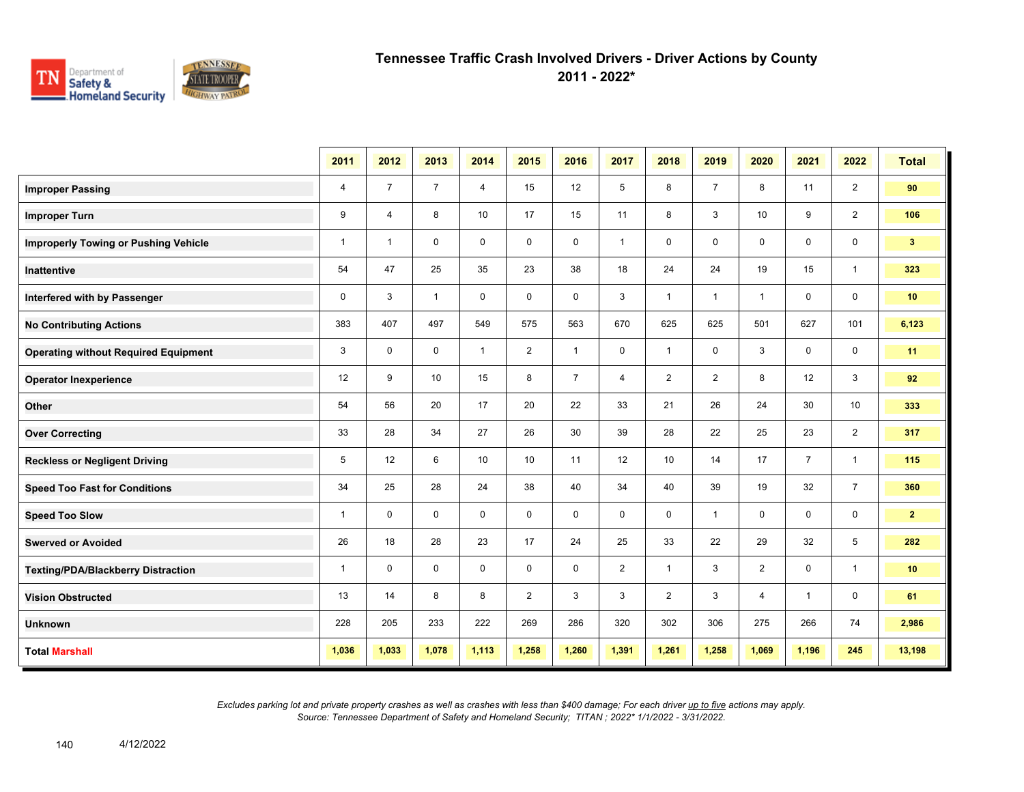

**2011 - 2022\***

|                                             | 2011           | 2012           | 2013           | 2014           | 2015           | 2016           | 2017           | 2018           | 2019           | 2020                    | 2021           | 2022           | <b>Total</b>   |
|---------------------------------------------|----------------|----------------|----------------|----------------|----------------|----------------|----------------|----------------|----------------|-------------------------|----------------|----------------|----------------|
| <b>Improper Passing</b>                     | $\overline{4}$ | $\overline{7}$ | $\overline{7}$ | $\overline{4}$ | 15             | 12             | 5              | 8              | $\overline{7}$ | 8                       | 11             | $\overline{2}$ | 90             |
| <b>Improper Turn</b>                        | 9              | $\overline{4}$ | 8              | 10             | 17             | 15             | 11             | 8              | 3              | 10                      | 9              | $\overline{2}$ | 106            |
| <b>Improperly Towing or Pushing Vehicle</b> | $\mathbf{1}$   | $\overline{1}$ | $\mathbf 0$    | $\mathbf 0$    | $\mathbf 0$    | $\mathbf 0$    | $\mathbf{1}$   | 0              | 0              | $\mathbf 0$             | $\mathbf 0$    | $\mathbf 0$    | 3 <sup>2</sup> |
| <b>Inattentive</b>                          | 54             | 47             | 25             | 35             | 23             | 38             | 18             | 24             | 24             | 19                      | 15             | $\mathbf{1}$   | 323            |
| Interfered with by Passenger                | $\pmb{0}$      | 3              | $\mathbf{1}$   | $\mathbf 0$    | $\mathbf 0$    | $\mathbf 0$    | 3              | $\mathbf{1}$   | $\mathbf{1}$   | $\overline{\mathbf{1}}$ | $\mathbf 0$    | $\mathbf 0$    | 10             |
| <b>No Contributing Actions</b>              | 383            | 407            | 497            | 549            | 575            | 563            | 670            | 625            | 625            | 501                     | 627            | 101            | 6,123          |
| <b>Operating without Required Equipment</b> | 3              | $\mathbf 0$    | $\mathbf 0$    | $\mathbf{1}$   | $\overline{2}$ | $\mathbf{1}$   | $\mathbf 0$    | $\mathbf{1}$   | 0              | 3                       | $\mathbf 0$    | $\mathbf 0$    | 11             |
| <b>Operator Inexperience</b>                | 12             | 9              | 10             | 15             | 8              | $\overline{7}$ | $\overline{4}$ | $\overline{2}$ | $\overline{2}$ | 8                       | 12             | 3              | 92             |
| Other                                       | 54             | 56             | 20             | 17             | 20             | 22             | 33             | 21             | 26             | 24                      | 30             | 10             | 333            |
| <b>Over Correcting</b>                      | 33             | 28             | 34             | 27             | 26             | 30             | 39             | 28             | 22             | 25                      | 23             | $\overline{2}$ | 317            |
| <b>Reckless or Negligent Driving</b>        | 5              | 12             | 6              | 10             | 10             | 11             | 12             | 10             | 14             | 17                      | $\overline{7}$ | $\mathbf{1}$   | 115            |
| <b>Speed Too Fast for Conditions</b>        | 34             | 25             | 28             | 24             | 38             | 40             | 34             | 40             | 39             | 19                      | 32             | $\overline{7}$ | 360            |
| <b>Speed Too Slow</b>                       | $\mathbf{1}$   | $\mathbf 0$    | $\mathbf 0$    | $\mathbf 0$    | 0              | $\mathbf 0$    | 0              | 0              | $\mathbf{1}$   | 0                       | $\mathbf 0$    | $\mathbf 0$    | 2 <sub>1</sub> |
| <b>Swerved or Avoided</b>                   | 26             | 18             | 28             | 23             | 17             | 24             | 25             | 33             | 22             | 29                      | 32             | 5              | 282            |
| <b>Texting/PDA/Blackberry Distraction</b>   | $\mathbf{1}$   | $\Omega$       | $\mathbf 0$    | $\mathbf 0$    | $\mathbf 0$    | $\mathbf 0$    | $\overline{2}$ | $\mathbf{1}$   | 3              | $\overline{2}$          | $\mathbf 0$    | $\mathbf{1}$   | 10             |
| <b>Vision Obstructed</b>                    | 13             | 14             | 8              | 8              | $\overline{2}$ | 3              | 3              | $\overline{2}$ | 3              | 4                       | 1              | $\mathbf 0$    | 61             |
| <b>Unknown</b>                              | 228            | 205            | 233            | 222            | 269            | 286            | 320            | 302            | 306            | 275                     | 266            | 74             | 2,986          |
| <b>Total Marshall</b>                       | 1,036          | 1,033          | 1,078          | 1,113          | 1,258          | 1,260          | 1,391          | 1,261          | 1,258          | 1,069                   | 1,196          | 245            | 13,198         |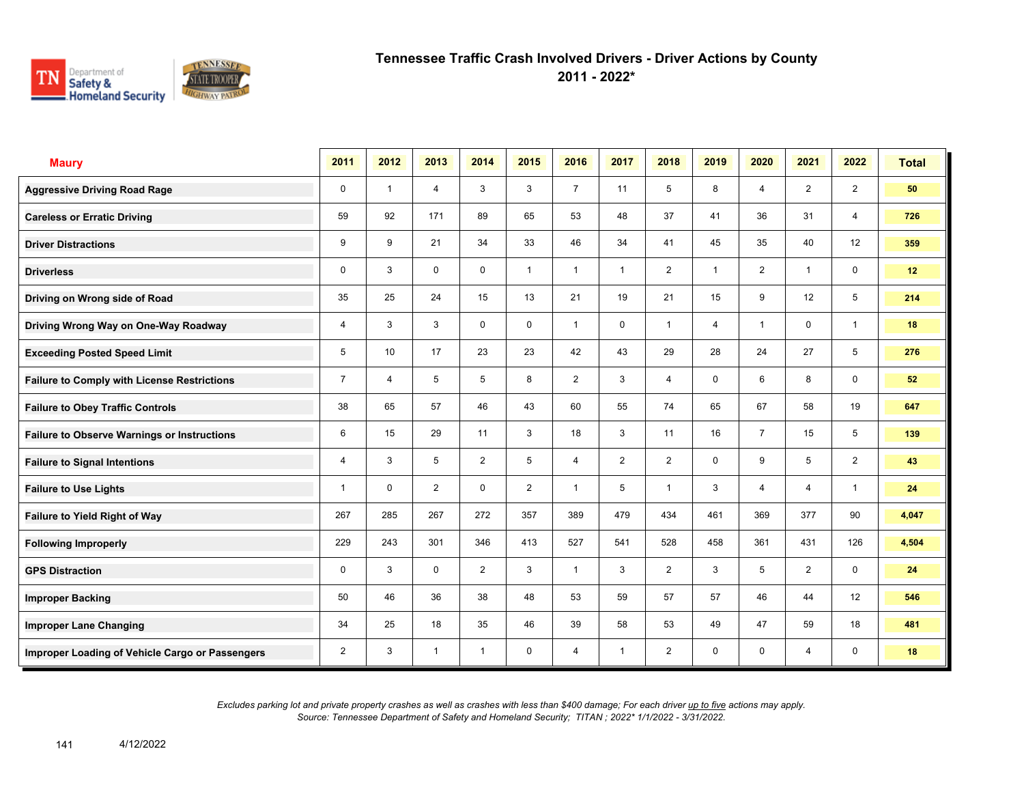

**2011 - 2022\***

| <b>Maury</b>                                       | 2011           | 2012           | 2013           | 2014           | 2015           | 2016           | 2017         | 2018           | 2019        | 2020           | 2021           | 2022           | <b>Total</b> |
|----------------------------------------------------|----------------|----------------|----------------|----------------|----------------|----------------|--------------|----------------|-------------|----------------|----------------|----------------|--------------|
| <b>Aggressive Driving Road Rage</b>                | $\mathbf 0$    | $\overline{1}$ | $\overline{4}$ | 3              | 3              | $\overline{7}$ | 11           | 5              | 8           | $\overline{4}$ | $\overline{2}$ | $\overline{2}$ | 50           |
| <b>Careless or Erratic Driving</b>                 | 59             | 92             | 171            | 89             | 65             | 53             | 48           | 37             | 41          | 36             | 31             | 4              | 726          |
| <b>Driver Distractions</b>                         | 9              | 9              | 21             | 34             | 33             | 46             | 34           | 41             | 45          | 35             | 40             | 12             | 359          |
| <b>Driverless</b>                                  | 0              | 3              | $\mathsf{O}$   | $\mathsf{O}$   | $\mathbf{1}$   | $\overline{1}$ | $\mathbf{1}$ | $\overline{2}$ | 1           | 2              | $\mathbf{1}$   | $\mathsf{O}$   | 12           |
| Driving on Wrong side of Road                      | 35             | 25             | 24             | 15             | 13             | 21             | 19           | 21             | 15          | 9              | 12             | 5              | 214          |
| Driving Wrong Way on One-Way Roadway               | 4              | 3              | 3              | $\mathbf 0$    | $\mathbf 0$    | $\overline{1}$ | $\mathbf 0$  | $\mathbf{1}$   | 4           | $\overline{1}$ | $\mathbf 0$    | $\overline{1}$ | 18           |
| <b>Exceeding Posted Speed Limit</b>                | 5              | 10             | 17             | 23             | 23             | 42             | 43           | 29             | 28          | 24             | 27             | 5              | 276          |
| <b>Failure to Comply with License Restrictions</b> | $\overline{7}$ | $\overline{4}$ | 5              | 5              | 8              | $\overline{2}$ | 3            | $\overline{4}$ | 0           | 6              | 8              | $\mathbf 0$    | 52           |
| <b>Failure to Obey Traffic Controls</b>            | 38             | 65             | 57             | 46             | 43             | 60             | 55           | 74             | 65          | 67             | 58             | 19             | 647          |
| <b>Failure to Observe Warnings or Instructions</b> | 6              | 15             | 29             | 11             | 3              | 18             | 3            | 11             | 16          | $\overline{7}$ | 15             | 5              | 139          |
| <b>Failure to Signal Intentions</b>                | 4              | 3              | 5              | $\overline{2}$ | 5              | $\overline{4}$ | 2            | $\overline{2}$ | $\mathbf 0$ | 9              | 5              | $\overline{2}$ | 43           |
| <b>Failure to Use Lights</b>                       | 1              | $\mathbf 0$    | $\overline{2}$ | $\mathbf 0$    | $\overline{2}$ | $\overline{1}$ | 5            | $\mathbf{1}$   | 3           | $\overline{4}$ | $\overline{4}$ | $\mathbf{1}$   | 24           |
| Failure to Yield Right of Way                      | 267            | 285            | 267            | 272            | 357            | 389            | 479          | 434            | 461         | 369            | 377            | 90             | 4,047        |
| <b>Following Improperly</b>                        | 229            | 243            | 301            | 346            | 413            | 527            | 541          | 528            | 458         | 361            | 431            | 126            | 4,504        |
| <b>GPS Distraction</b>                             | 0              | 3              | $\mathbf 0$    | 2              | 3              | $\mathbf{1}$   | 3            | 2              | 3           | 5              | 2              | $\mathbf 0$    | 24           |
| <b>Improper Backing</b>                            | 50             | 46             | 36             | 38             | 48             | 53             | 59           | 57             | 57          | 46             | 44             | 12             | 546          |
| <b>Improper Lane Changing</b>                      | 34             | 25             | 18             | 35             | 46             | 39             | 58           | 53             | 49          | 47             | 59             | 18             | 481          |
| Improper Loading of Vehicle Cargo or Passengers    | $\overline{2}$ | 3              | $\mathbf{1}$   | $\mathbf{1}$   | $\mathbf 0$    | $\overline{4}$ | $\mathbf{1}$ | $\overline{2}$ | 0           | $\mathbf 0$    | $\overline{4}$ | $\mathbf 0$    | 18           |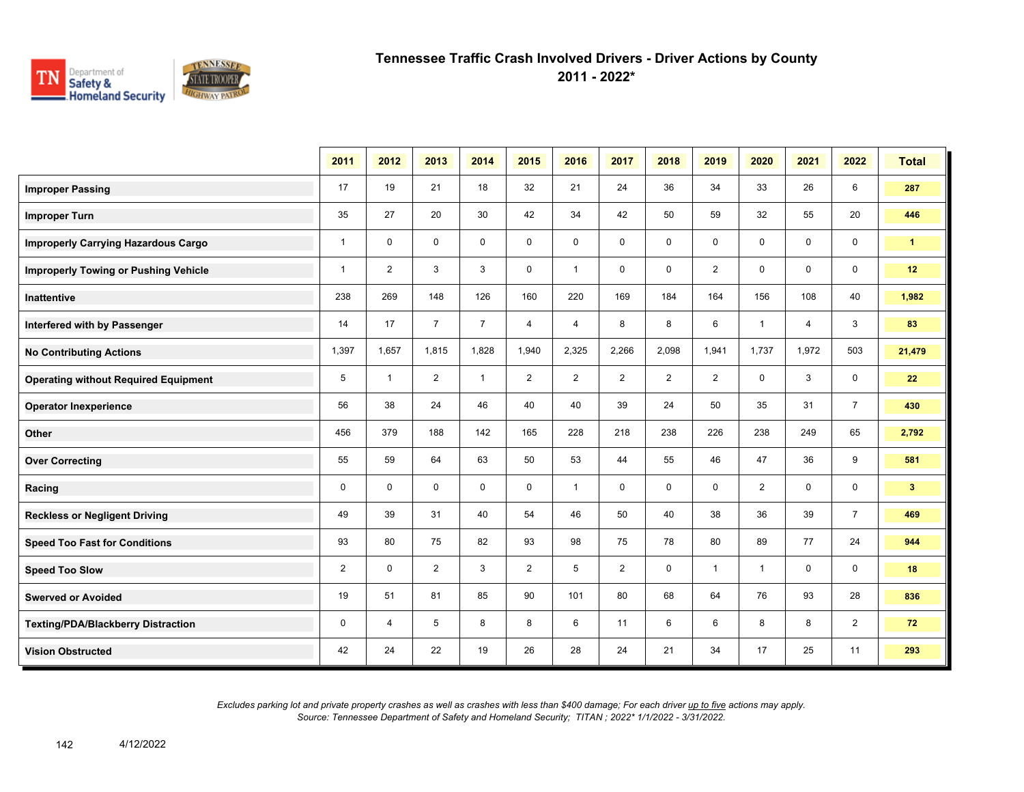

**2011 - 2022\***

|                                             | 2011         | 2012           | 2013           | 2014           | 2015           | 2016           | 2017           | 2018           | 2019           | 2020           | 2021           | 2022           | <b>Total</b>         |
|---------------------------------------------|--------------|----------------|----------------|----------------|----------------|----------------|----------------|----------------|----------------|----------------|----------------|----------------|----------------------|
| <b>Improper Passing</b>                     | 17           | 19             | 21             | 18             | 32             | 21             | 24             | 36             | 34             | 33             | 26             | 6              | 287                  |
| <b>Improper Turn</b>                        | 35           | 27             | 20             | 30             | 42             | 34             | 42             | 50             | 59             | 32             | 55             | 20             | 446                  |
| <b>Improperly Carrying Hazardous Cargo</b>  | $\mathbf{1}$ | $\mathbf{0}$   | $\mathbf 0$    | $\mathbf 0$    | $\mathbf 0$    | 0              | $\mathbf 0$    | $\mathbf 0$    | $\mathbf 0$    | 0              | $\mathbf 0$    | $\mathbf 0$    | $\blacktriangleleft$ |
| <b>Improperly Towing or Pushing Vehicle</b> | $\mathbf{1}$ | $\overline{2}$ | 3              | 3              | $\mathbf 0$    | $\mathbf{1}$   | $\mathbf 0$    | $\mathbf 0$    | $\overline{2}$ | $\mathbf 0$    | $\mathbf 0$    | $\mathbf 0$    | 12                   |
| Inattentive                                 | 238          | 269            | 148            | 126            | 160            | 220            | 169            | 184            | 164            | 156            | 108            | 40             | 1,982                |
| Interfered with by Passenger                | 14           | 17             | $\overline{7}$ | $\overline{7}$ | 4              | $\overline{4}$ | 8              | 8              | 6              | $\mathbf{1}$   | $\overline{4}$ | 3              | 83                   |
| <b>No Contributing Actions</b>              | 1,397        | 1,657          | 1,815          | 1,828          | 1,940          | 2,325          | 2,266          | 2,098          | 1,941          | 1,737          | 1,972          | 503            | 21,479               |
| <b>Operating without Required Equipment</b> | 5            | $\mathbf{1}$   | $\overline{2}$ | $\mathbf{1}$   | $\overline{2}$ | $\overline{2}$ | $\overline{2}$ | $\overline{2}$ | $\overline{2}$ | 0              | 3              | 0              | 22                   |
| <b>Operator Inexperience</b>                | 56           | 38             | 24             | 46             | 40             | 40             | 39             | 24             | 50             | 35             | 31             | $\overline{7}$ | 430                  |
| Other                                       | 456          | 379            | 188            | 142            | 165            | 228            | 218            | 238            | 226            | 238            | 249            | 65             | 2,792                |
| <b>Over Correcting</b>                      | 55           | 59             | 64             | 63             | 50             | 53             | 44             | 55             | 46             | 47             | 36             | 9              | 581                  |
| Racing                                      | $\mathbf 0$  | $\mathbf{0}$   | $\Omega$       | $\mathbf 0$    | $\mathbf 0$    | $\mathbf{1}$   | $\mathbf 0$    | $\mathbf 0$    | $\mathbf 0$    | $\overline{2}$ | $\mathbf 0$    | $\mathbf 0$    | 3 <sup>2</sup>       |
| <b>Reckless or Negligent Driving</b>        | 49           | 39             | 31             | 40             | 54             | 46             | 50             | 40             | 38             | 36             | 39             | $\overline{7}$ | 469                  |
| <b>Speed Too Fast for Conditions</b>        | 93           | 80             | 75             | 82             | 93             | 98             | 75             | 78             | 80             | 89             | 77             | 24             | 944                  |
| <b>Speed Too Slow</b>                       | 2            | $\mathbf 0$    | $\overline{2}$ | 3              | $\overline{2}$ | 5              | 2              | 0              | $\mathbf{1}$   | $\mathbf{1}$   | 0              | $\mathbf 0$    | 18                   |
| <b>Swerved or Avoided</b>                   | 19           | 51             | 81             | 85             | 90             | 101            | 80             | 68             | 64             | 76             | 93             | 28             | 836                  |
| <b>Texting/PDA/Blackberry Distraction</b>   | 0            | 4              | 5              | 8              | 8              | 6              | 11             | 6              | 6              | 8              | 8              | $\overline{2}$ | 72                   |
| <b>Vision Obstructed</b>                    | 42           | 24             | 22             | 19             | 26             | 28             | 24             | 21             | 34             | 17             | 25             | 11             | 293                  |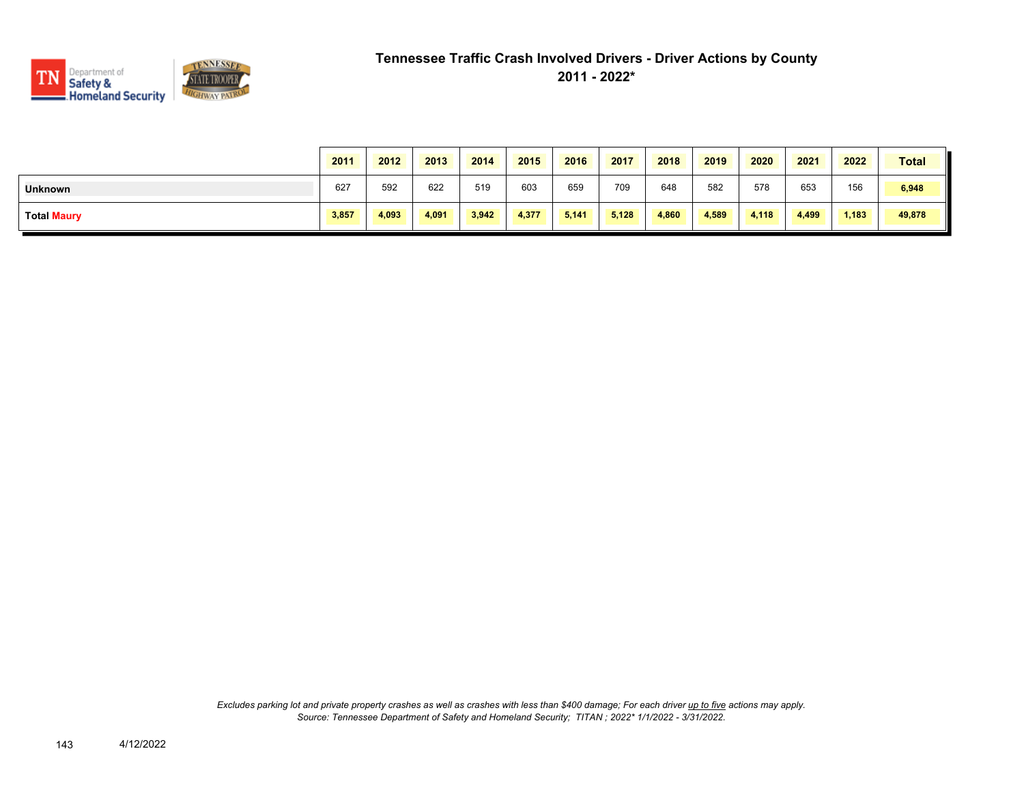

|                    | 2011  | 2012  | 2013  | 2014  | 2015  | 2016  | 2017  | 2018  | 2019  | 2020  | 2021  | 2022  | <b>Total</b> |
|--------------------|-------|-------|-------|-------|-------|-------|-------|-------|-------|-------|-------|-------|--------------|
| <b>Unknown</b>     | 627   | 592   | 622   | 519   | 603   | 659   | 709   | 648   | 582   | 578   | 653   | 156   | 6,948        |
| <b>Total Maury</b> | 3,857 | 4,093 | 4,091 | 3,942 | 4,377 | 5.141 | 5,128 | 4,860 | 4,589 | 4,118 | 4,499 | 1,183 | 49,878       |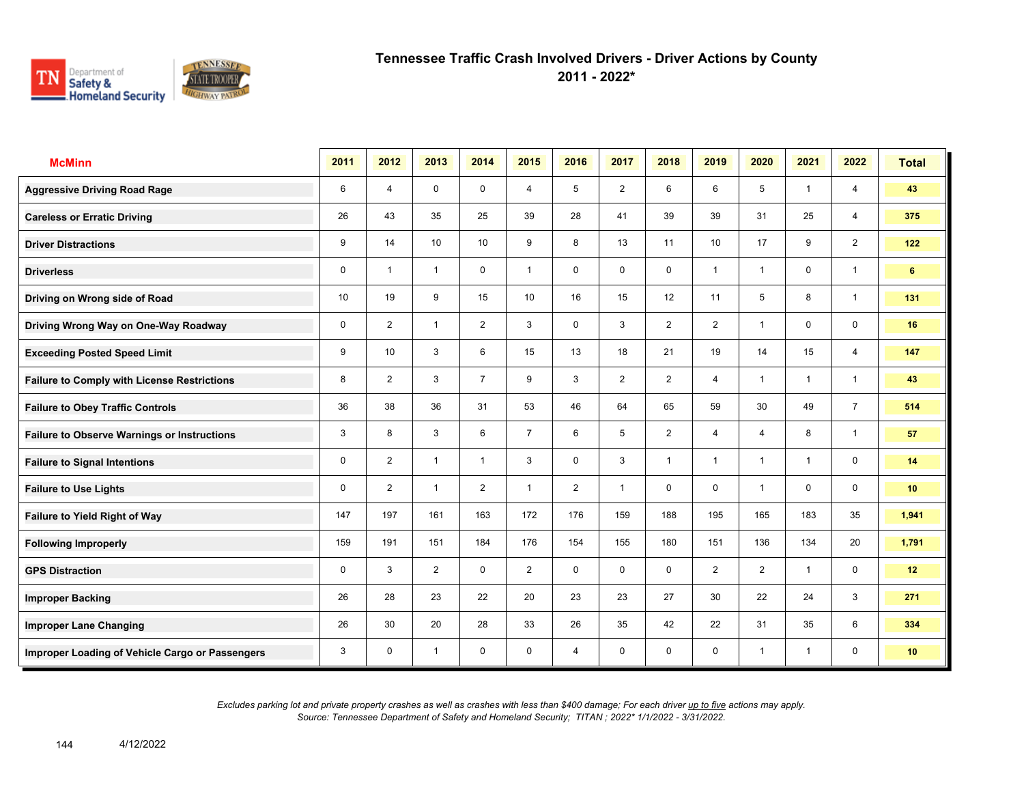

**2011 - 2022\***

| <b>McMinn</b>                                      | 2011        | 2012           | 2013           | 2014           | 2015           | 2016           | 2017           | 2018           | 2019            | 2020                    | 2021           | 2022           | <b>Total</b> |
|----------------------------------------------------|-------------|----------------|----------------|----------------|----------------|----------------|----------------|----------------|-----------------|-------------------------|----------------|----------------|--------------|
| <b>Aggressive Driving Road Rage</b>                | 6           | $\overline{4}$ | $\mathbf 0$    | $\mathbf 0$    | 4              | 5              | $\overline{2}$ | 6              | 6               | 5                       | $\overline{1}$ | 4              | 43           |
| <b>Careless or Erratic Driving</b>                 | 26          | 43             | 35             | 25             | 39             | 28             | 41             | 39             | 39              | 31                      | 25             | 4              | 375          |
| <b>Driver Distractions</b>                         | 9           | 14             | 10             | 10             | 9              | 8              | 13             | 11             | 10 <sup>1</sup> | 17                      | 9              | $\overline{2}$ | 122          |
| <b>Driverless</b>                                  | $\mathbf 0$ | $\overline{1}$ | $\mathbf{1}$   | $\mathbf 0$    | $\mathbf{1}$   | $\mathbf 0$    | 0              | $\mathbf 0$    | 1               | -1                      | $\mathbf 0$    | $\overline{1}$ | 6            |
| Driving on Wrong side of Road                      | 10          | 19             | 9              | 15             | 10             | 16             | 15             | 12             | 11              | 5                       | 8              | $\mathbf{1}$   | 131          |
| Driving Wrong Way on One-Way Roadway               | 0           | $\overline{2}$ | $\overline{1}$ | $\overline{2}$ | 3              | 0              | 3              | $\overline{2}$ | $\overline{2}$  | $\overline{1}$          | $\mathbf 0$    | $\mathbf 0$    | 16           |
| <b>Exceeding Posted Speed Limit</b>                | 9           | 10             | 3              | 6              | 15             | 13             | 18             | 21             | 19              | 14                      | 15             | 4              | 147          |
| <b>Failure to Comply with License Restrictions</b> | 8           | $\overline{2}$ | 3              | $\overline{7}$ | 9              | 3              | $\overline{2}$ | $\overline{2}$ | 4               | $\overline{\mathbf{1}}$ | $\overline{1}$ | $\overline{1}$ | 43           |
| <b>Failure to Obey Traffic Controls</b>            | 36          | 38             | 36             | 31             | 53             | 46             | 64             | 65             | 59              | 30                      | 49             | $\overline{7}$ | 514          |
| <b>Failure to Observe Warnings or Instructions</b> | 3           | 8              | 3              | 6              | $\overline{7}$ | 6              | 5              | $\overline{c}$ | 4               | 4                       | 8              | $\overline{1}$ | 57           |
| <b>Failure to Signal Intentions</b>                | 0           | $\overline{2}$ | $\mathbf{1}$   | $\overline{1}$ | 3              | $\mathbf 0$    | 3              | $\overline{1}$ | 1               | $\overline{\mathbf{1}}$ | $\overline{1}$ | $\mathbf 0$    | 14           |
| <b>Failure to Use Lights</b>                       | $\mathbf 0$ | $\overline{2}$ | $\overline{1}$ | $\overline{2}$ | $\mathbf{1}$   | $\overline{2}$ | $\overline{1}$ | $\mathbf 0$    | 0               | $\overline{\mathbf{1}}$ | $\Omega$       | $\mathbf 0$    | 10           |
| Failure to Yield Right of Way                      | 147         | 197            | 161            | 163            | 172            | 176            | 159            | 188            | 195             | 165                     | 183            | 35             | 1,941        |
| <b>Following Improperly</b>                        | 159         | 191            | 151            | 184            | 176            | 154            | 155            | 180            | 151             | 136                     | 134            | 20             | 1,791        |
| <b>GPS Distraction</b>                             | 0           | 3              | $\overline{2}$ | $\mathbf 0$    | $\overline{2}$ | $\mathbf 0$    | $\mathbf 0$    | $\mathbf 0$    | $\overline{2}$  | $\overline{2}$          | $\overline{1}$ | $\mathbf 0$    | 12           |
| <b>Improper Backing</b>                            | 26          | 28             | 23             | 22             | 20             | 23             | 23             | 27             | 30              | 22                      | 24             | 3              | 271          |
| <b>Improper Lane Changing</b>                      | 26          | 30             | 20             | 28             | 33             | 26             | 35             | 42             | 22              | 31                      | 35             | 6              | 334          |
| Improper Loading of Vehicle Cargo or Passengers    | 3           | 0              | $\overline{1}$ | 0              | 0              | 4              | 0              | $\mathbf 0$    | 0               | -1                      | $\overline{1}$ | 0              | 10           |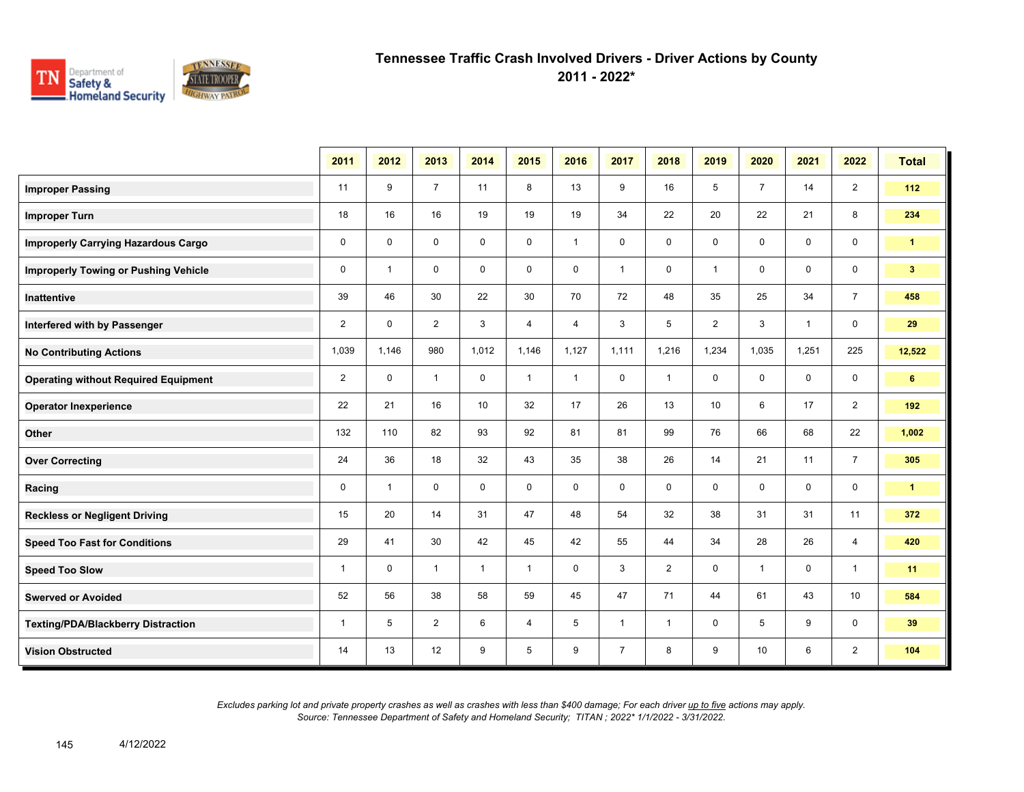

**2011 - 2022\***

|                                             | 2011           | 2012           | 2013           | 2014         | 2015         | 2016         | 2017           | 2018           | 2019           | 2020           | 2021         | 2022           | <b>Total</b>   |
|---------------------------------------------|----------------|----------------|----------------|--------------|--------------|--------------|----------------|----------------|----------------|----------------|--------------|----------------|----------------|
| <b>Improper Passing</b>                     | 11             | 9              | $\overline{7}$ | 11           | 8            | 13           | 9              | 16             | 5              | $\overline{7}$ | 14           | $\overline{2}$ | 112            |
| <b>Improper Turn</b>                        | 18             | 16             | 16             | 19           | 19           | 19           | 34             | 22             | 20             | 22             | 21           | 8              | 234            |
| <b>Improperly Carrying Hazardous Cargo</b>  | $\mathbf 0$    | $\mathbf 0$    | $\mathbf 0$    | $\mathbf 0$  | 0            | $\mathbf{1}$ | $\mathbf 0$    | 0              | $\mathbf 0$    | $\mathbf 0$    | 0            | 0              | $\mathbf{1}$   |
| <b>Improperly Towing or Pushing Vehicle</b> | $\mathbf 0$    | $\overline{1}$ | $\mathbf 0$    | $\mathbf 0$  | 0            | $\mathbf 0$  | $\mathbf{1}$   | $\mathbf 0$    | $\mathbf{1}$   | $\mathbf 0$    | 0            | 0              | 3 <sup>2</sup> |
| <b>Inattentive</b>                          | 39             | 46             | 30             | 22           | 30           | 70           | 72             | 48             | 35             | 25             | 34           | $\overline{7}$ | 458            |
| Interfered with by Passenger                | $\overline{2}$ | $\Omega$       | $\overline{2}$ | 3            | 4            | 4            | 3              | 5              | $\overline{2}$ | 3              | $\mathbf{1}$ | $\mathbf 0$    | 29             |
| <b>No Contributing Actions</b>              | 1,039          | 1,146          | 980            | 1,012        | 1,146        | 1,127        | 1,111          | 1,216          | 1,234          | 1,035          | 1,251        | 225            | 12,522         |
| <b>Operating without Required Equipment</b> | $\overline{2}$ | $\mathbf 0$    | $\mathbf{1}$   | $\mathbf 0$  | $\mathbf{1}$ | $\mathbf{1}$ | $\mathbf 0$    | $\mathbf{1}$   | 0              | $\mathbf 0$    | 0            | $\mathbf 0$    | 6              |
| <b>Operator Inexperience</b>                | 22             | 21             | 16             | 10           | 32           | 17           | 26             | 13             | 10             | 6              | 17           | $\overline{2}$ | 192            |
| Other                                       | 132            | 110            | 82             | 93           | 92           | 81           | 81             | 99             | 76             | 66             | 68           | 22             | 1,002          |
| <b>Over Correcting</b>                      | 24             | 36             | 18             | 32           | 43           | 35           | 38             | 26             | 14             | 21             | 11           | $\overline{7}$ | 305            |
| Racing                                      | $\mathbf 0$    | $\mathbf{1}$   | $\Omega$       | $\mathbf 0$  | $\mathbf 0$  | $\mathbf 0$  | $\Omega$       | $\mathbf 0$    | $\mathbf 0$    | $\Omega$       | $\mathbf 0$  | 0              | $\mathbf{1}$   |
| <b>Reckless or Negligent Driving</b>        | 15             | 20             | 14             | 31           | 47           | 48           | 54             | 32             | 38             | 31             | 31           | 11             | 372            |
| <b>Speed Too Fast for Conditions</b>        | 29             | 41             | 30             | 42           | 45           | 42           | 55             | 44             | 34             | 28             | 26           | $\overline{4}$ | 420            |
| <b>Speed Too Slow</b>                       | $\mathbf{1}$   | $\mathbf 0$    | $\mathbf{1}$   | $\mathbf{1}$ | $\mathbf{1}$ | $\mathbf 0$  | 3              | $\overline{2}$ | $\mathbf 0$    | $\mathbf{1}$   | $\mathbf 0$  | $\overline{1}$ | 11             |
| <b>Swerved or Avoided</b>                   | 52             | 56             | 38             | 58           | 59           | 45           | 47             | 71             | 44             | 61             | 43           | 10             | 584            |
| <b>Texting/PDA/Blackberry Distraction</b>   | $\mathbf{1}$   | 5              | $\overline{2}$ | 6            | 4            | 5            | $\mathbf{1}$   | $\mathbf{1}$   | 0              | 5              | 9            | 0              | 39             |
| <b>Vision Obstructed</b>                    | 14             | 13             | 12             | 9            | 5            | 9            | $\overline{7}$ | 8              | 9              | 10             | 6            | $\overline{2}$ | 104            |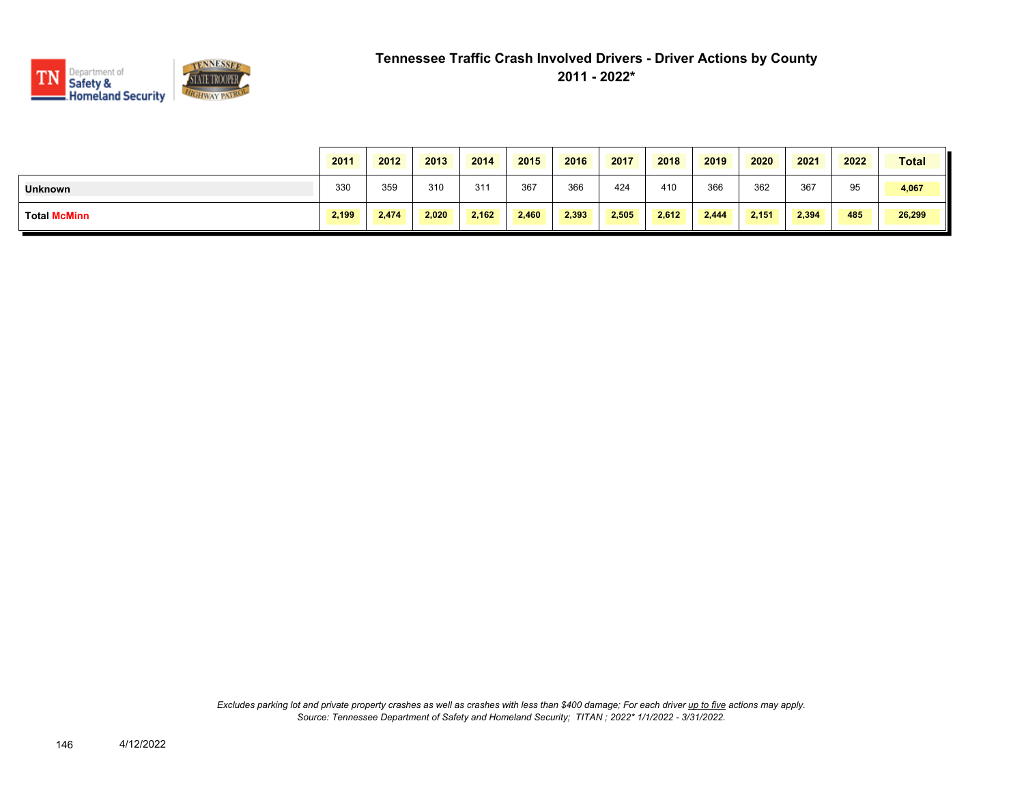

|                     | 2011  | 2012  | 2013  | 2014  | 2015  | 2016  | 2017  | 2018  | 2019  | 2020  | 2021  | 2022 | <b>Total</b> |
|---------------------|-------|-------|-------|-------|-------|-------|-------|-------|-------|-------|-------|------|--------------|
| <b>Unknown</b>      | 330   | 359   | 310   | 311   | 367   | 366   | 424   | 410   | 366   | 362   | 367   | 95   | 4,067        |
| <b>Total McMinn</b> | 2,199 | 2,474 | 2,020 | 2,162 | 2,460 | 2,393 | 2,505 | 2,612 | 2,444 | 2,151 | 2,394 | 485  | 26,299       |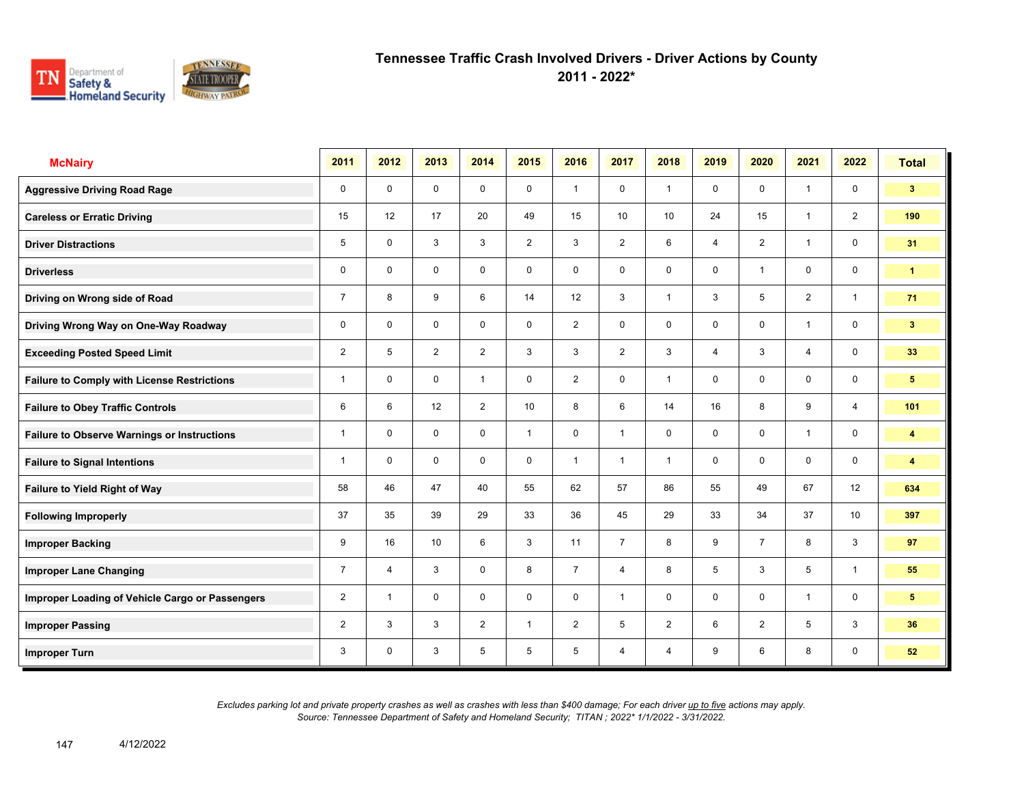

**2011 - 2022\***

| <b>McNairy</b>                                     | 2011           | 2012           | 2013        | 2014           | 2015           | 2016           | 2017           | 2018            | 2019           | 2020           | 2021           | 2022                    | <b>Total</b>    |
|----------------------------------------------------|----------------|----------------|-------------|----------------|----------------|----------------|----------------|-----------------|----------------|----------------|----------------|-------------------------|-----------------|
| <b>Aggressive Driving Road Rage</b>                | $\mathbf 0$    | $\mathbf 0$    | $\mathbf 0$ | $\mathbf 0$    | $\mathbf 0$    | $\overline{1}$ | $\mathbf 0$    | $\mathbf{1}$    | $\mathbf 0$    | $\mathbf 0$    | $\mathbf{1}$   | $\mathbf 0$             | 3 <sup>1</sup>  |
| <b>Careless or Erratic Driving</b>                 | 15             | 12             | 17          | 20             | 49             | 15             | 10             | 10 <sup>°</sup> | 24             | 15             | $\mathbf{1}$   | 2                       | 190             |
| <b>Driver Distractions</b>                         | 5              | $\mathbf 0$    | 3           | 3              | $\overline{2}$ | 3              | 2              | 6               | $\overline{4}$ | 2              | $\mathbf{1}$   | $\mathbf 0$             | 31              |
| <b>Driverless</b>                                  | 0              | $\mathbf 0$    | $\mathbf 0$ | $\mathbf 0$    | $\mathbf 0$    | $\mathbf 0$    | $\mathbf 0$    | $\mathbf 0$     | $\mathbf 0$    | $\overline{1}$ | $\mathbf 0$    | $\mathbf 0$             | $\mathbf{1}$    |
| Driving on Wrong side of Road                      | $\overline{7}$ | 8              | 9           | 6              | 14             | 12             | 3              | $\mathbf{1}$    | 3              | 5              | $\overline{2}$ | $\mathbf{1}$            | 71              |
| Driving Wrong Way on One-Way Roadway               | 0              | $\mathbf 0$    | $\mathbf 0$ | $\mathbf 0$    | $\mathbf 0$    | $\overline{2}$ | $\mathbf 0$    | $\mathbf 0$     | $\mathbf 0$    | $\mathbf 0$    | $\mathbf{1}$   | $\mathbf 0$             | $3\phantom{.0}$ |
| <b>Exceeding Posted Speed Limit</b>                | $\overline{2}$ | 5              | 2           | 2              | 3              | 3              | $\overline{2}$ | 3               | $\overline{4}$ | 3              | $\overline{4}$ | $\mathbf 0$             | 33              |
| <b>Failure to Comply with License Restrictions</b> | $\mathbf{1}$   | $\mathbf 0$    | $\mathbf 0$ | $\mathbf{1}$   | $\mathbf 0$    | $\overline{2}$ | $\mathbf 0$    | $\mathbf{1}$    | 0              | $\mathbf 0$    | $\mathbf 0$    | $\mathbf 0$             | 5               |
| <b>Failure to Obey Traffic Controls</b>            | 6              | 6              | 12          | $\overline{2}$ | 10             | 8              | 6              | 14              | 16             | 8              | 9              | $\overline{4}$          | 101             |
| <b>Failure to Observe Warnings or Instructions</b> | 1              | $\Omega$       | $\mathbf 0$ | $\mathbf 0$    | $\mathbf{1}$   | $\mathbf 0$    | $\mathbf{1}$   | $\mathbf 0$     | 0              | $\mathbf 0$    | $\mathbf{1}$   | $\mathbf 0$             | 4               |
| <b>Failure to Signal Intentions</b>                | 1              | $\mathbf 0$    | $\mathbf 0$ | $\mathbf 0$    | $\mathbf 0$    | $\overline{1}$ | $\mathbf{1}$   | $\mathbf{1}$    | $\mathbf 0$    | $\mathbf 0$    | $\mathbf 0$    | $\mathsf{O}\phantom{0}$ | 4               |
| Failure to Yield Right of Way                      | 58             | 46             | 47          | 40             | 55             | 62             | 57             | 86              | 55             | 49             | 67             | 12                      | 634             |
| <b>Following Improperly</b>                        | 37             | 35             | 39          | 29             | 33             | 36             | 45             | 29              | 33             | 34             | 37             | 10 <sup>1</sup>         | 397             |
| <b>Improper Backing</b>                            | 9              | 16             | 10          | 6              | 3              | 11             | $\overline{7}$ | 8               | 9              | $\overline{7}$ | 8              | 3                       | 97              |
| <b>Improper Lane Changing</b>                      | $\overline{7}$ | $\overline{4}$ | 3           | $\mathbf 0$    | 8              | $\overline{7}$ | $\overline{4}$ | 8               | 5              | 3              | 5              | $\mathbf{1}$            | 55              |
| Improper Loading of Vehicle Cargo or Passengers    | $\overline{2}$ | $\overline{1}$ | $\mathbf 0$ | $\mathbf 0$    | $\mathbf 0$    | $\mathbf 0$    | $\mathbf{1}$   | $\mathbf 0$     | $\mathbf 0$    | $\mathbf 0$    | $\mathbf{1}$   | $\mathsf{O}\phantom{0}$ | 5               |
| <b>Improper Passing</b>                            | $\overline{2}$ | 3              | 3           | 2              | $\mathbf{1}$   | 2              | 5              | $\overline{2}$  | 6              | 2              | 5              | $\mathbf{3}$            | 36              |
| <b>Improper Turn</b>                               | 3              | $\mathbf 0$    | 3           | 5              | 5              | 5              | $\overline{4}$ | $\overline{4}$  | 9              | 6              | 8              | $\mathbf 0$             | 52              |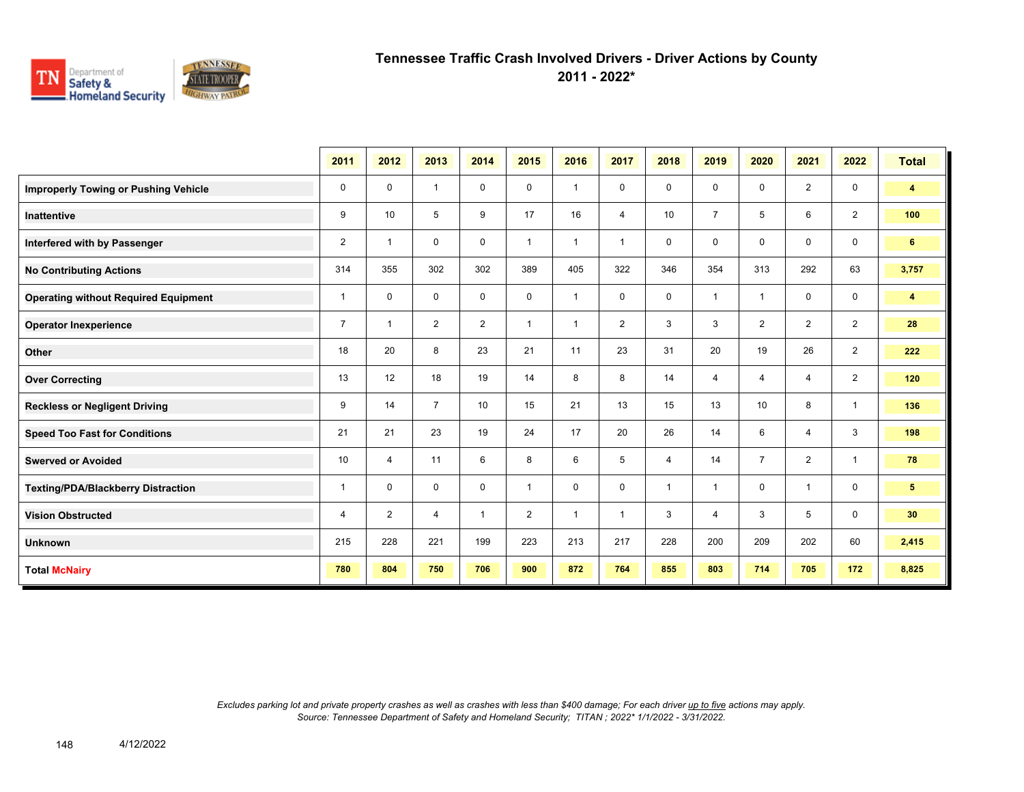

**2011 - 2022\***

|                                             | 2011           | 2012           | 2013           | 2014           | 2015           | 2016                    | 2017           | 2018           | 2019           | 2020           | 2021           | 2022           | <b>Total</b>            |
|---------------------------------------------|----------------|----------------|----------------|----------------|----------------|-------------------------|----------------|----------------|----------------|----------------|----------------|----------------|-------------------------|
| <b>Improperly Towing or Pushing Vehicle</b> | 0              | $\mathbf 0$    | $\overline{1}$ | 0              | 0              | $\overline{1}$          | $\mathbf 0$    | $\mathbf 0$    | $\mathbf 0$    | $\mathbf 0$    | $\overline{2}$ | $\mathbf 0$    | 4                       |
| Inattentive                                 | 9              | 10             | 5              | 9              | 17             | 16                      | 4              | 10             | $\overline{7}$ | 5              | 6              | $\overline{2}$ | 100                     |
| Interfered with by Passenger                | $\overline{2}$ | $\overline{1}$ | $\mathbf 0$    | $\mathbf 0$    | $\overline{1}$ | $\overline{1}$          | $\overline{1}$ | $\mathbf 0$    | 0              | $\Omega$       | $\mathbf 0$    | $\mathbf 0$    | 6 <sup>1</sup>          |
| <b>No Contributing Actions</b>              | 314            | 355            | 302            | 302            | 389            | 405                     | 322            | 346            | 354            | 313            | 292            | 63             | 3,757                   |
| <b>Operating without Required Equipment</b> | 1              | $\mathbf 0$    | $\mathbf 0$    | $\mathbf 0$    | 0              | $\overline{\mathbf{1}}$ | $\mathbf 0$    | $\mathbf 0$    | 1              | $\overline{1}$ | $\mathbf 0$    | $\mathbf 0$    | $\overline{\mathbf{4}}$ |
| <b>Operator Inexperience</b>                | $\overline{7}$ | $\overline{1}$ | $\overline{2}$ | $\overline{2}$ | 1              | $\overline{\mathbf{1}}$ | $\overline{2}$ | 3              | 3              | $\overline{2}$ | $\overline{2}$ | $\overline{2}$ | 28                      |
| Other                                       | 18             | 20             | 8              | 23             | 21             | 11                      | 23             | 31             | 20             | 19             | 26             | $\overline{2}$ | 222                     |
| <b>Over Correcting</b>                      | 13             | 12             | 18             | 19             | 14             | 8                       | 8              | 14             | 4              | $\overline{4}$ | $\overline{4}$ | $\overline{2}$ | 120                     |
| <b>Reckless or Negligent Driving</b>        | 9              | 14             | $\overline{7}$ | 10             | 15             | 21                      | 13             | 15             | 13             | 10             | 8              | $\mathbf{1}$   | 136                     |
| <b>Speed Too Fast for Conditions</b>        | 21             | 21             | 23             | 19             | 24             | 17                      | 20             | 26             | 14             | 6              | $\overline{4}$ | 3              | 198                     |
| <b>Swerved or Avoided</b>                   | 10             | 4              | 11             | 6              | 8              | 6                       | 5              | $\overline{4}$ | 14             | $\overline{7}$ | $\overline{2}$ | $\mathbf{1}$   | 78                      |
| <b>Texting/PDA/Blackberry Distraction</b>   | $\mathbf{1}$   | $\mathbf 0$    | 0              | 0              | $\mathbf{1}$   | $\mathbf 0$             | $\mathbf 0$    | $\overline{1}$ | $\mathbf{1}$   | $\mathbf 0$    | $\mathbf{1}$   | 0              | 5 <sub>5</sub>          |
| <b>Vision Obstructed</b>                    | 4              | $\overline{2}$ | 4              | $\overline{1}$ | $\overline{2}$ | $\overline{\mathbf{1}}$ | 1              | 3              | 4              | 3              | 5              | $\mathbf 0$    | 30 <sub>2</sub>         |
| <b>Unknown</b>                              | 215            | 228            | 221            | 199            | 223            | 213                     | 217            | 228            | 200            | 209            | 202            | 60             | 2,415                   |
| <b>Total McNairy</b>                        | 780            | 804            | 750            | 706            | 900            | 872                     | 764            | 855            | 803            | 714            | 705            | 172            | 8,825                   |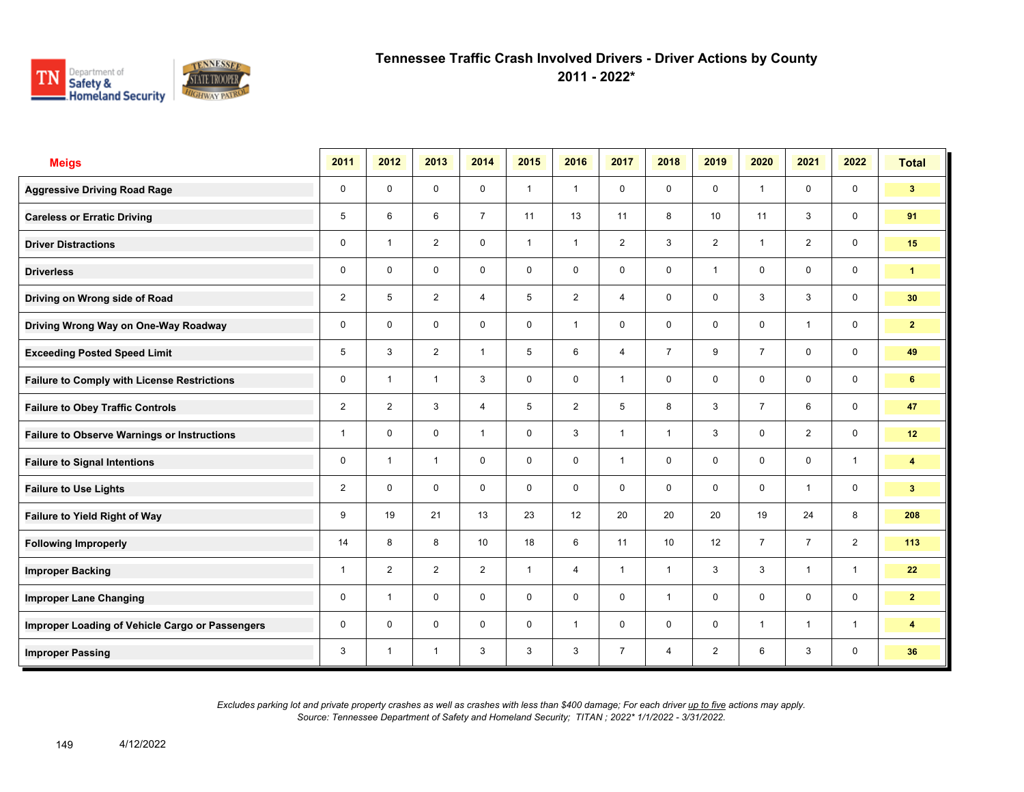

**2011 - 2022\***

| <b>Meigs</b>                                       | 2011           | 2012                    | 2013           | 2014            | 2015         | 2016           | 2017           | 2018           | 2019           | 2020           | 2021           | 2022           | <b>Total</b>            |
|----------------------------------------------------|----------------|-------------------------|----------------|-----------------|--------------|----------------|----------------|----------------|----------------|----------------|----------------|----------------|-------------------------|
| <b>Aggressive Driving Road Rage</b>                | 0              | $\mathbf 0$             | $\mathbf 0$    | $\mathbf 0$     | $\mathbf{1}$ | $\overline{1}$ | $\mathbf 0$    | $\mathbf{0}$   | $\mathbf 0$    | $\overline{1}$ | $\mathbf 0$    | $\mathbf 0$    | 3 <sup>1</sup>          |
| <b>Careless or Erratic Driving</b>                 | 5              | 6                       | 6              | $\overline{7}$  | 11           | 13             | 11             | 8              | 10             | 11             | 3              | $\mathbf 0$    | 91                      |
| <b>Driver Distractions</b>                         | 0              | $\overline{\mathbf{1}}$ | 2              | $\mathbf 0$     | $\mathbf{1}$ | $\overline{1}$ | 2              | 3              | $\overline{2}$ | $\overline{1}$ | $\overline{2}$ | $\mathbf 0$    | 15                      |
| <b>Driverless</b>                                  | 0              | $\mathbf 0$             | 0              | 0               | 0            | $\mathbf 0$    | $\mathbf 0$    | $\mathbf 0$    | $\mathbf{1}$   | 0              | 0              | $\mathbf 0$    | $\mathbf{1}$            |
| Driving on Wrong side of Road                      | $\overline{2}$ | 5                       | $\overline{2}$ | $\overline{4}$  | 5            | 2              | $\overline{4}$ | $\mathbf 0$    | $\mathbf 0$    | 3              | 3              | $\mathbf 0$    | 30                      |
| Driving Wrong Way on One-Way Roadway               | 0              | $\Omega$                | $\mathbf 0$    | $\mathbf 0$     | 0            | $\overline{1}$ | $\mathbf 0$    | $\mathbf 0$    | $\mathbf 0$    | $\mathbf 0$    | $\mathbf{1}$   | $\mathbf 0$    | $\overline{2}$          |
| <b>Exceeding Posted Speed Limit</b>                | 5              | 3                       | $\overline{2}$ | $\mathbf{1}$    | 5            | 6              | $\overline{4}$ | $\overline{7}$ | 9              | $\overline{7}$ | $\mathbf 0$    | $\mathbf 0$    | 49                      |
| <b>Failure to Comply with License Restrictions</b> | 0              | $\overline{1}$          | $\overline{1}$ | 3               | 0            | $\mathbf 0$    | $\mathbf{1}$   | $\mathbf 0$    | $\mathbf 0$    | $\mathbf 0$    | $\mathbf 0$    | $\mathbf 0$    | 6                       |
| <b>Failure to Obey Traffic Controls</b>            | $\overline{2}$ | $\overline{2}$          | 3              | $\overline{4}$  | 5            | 2              | 5              | 8              | 3              | $\overline{7}$ | 6              | $\mathbf 0$    | 47                      |
| <b>Failure to Observe Warnings or Instructions</b> | $\overline{1}$ | $\mathbf 0$             | $\mathbf 0$    | $\mathbf{1}$    | 0            | 3              | $\mathbf{1}$   | $\mathbf{1}$   | 3              | $\mathbf 0$    | $\overline{2}$ | $\mathbf 0$    | 12                      |
| <b>Failure to Signal Intentions</b>                | 0              | $\overline{\mathbf{1}}$ | $\overline{1}$ | $\Omega$        | 0            | $\mathbf{0}$   | $\mathbf{1}$   | $\mathbf 0$    | $\mathbf 0$    | $\mathbf{0}$   | $\mathbf 0$    | $\mathbf{1}$   | $\overline{\mathbf{4}}$ |
| <b>Failure to Use Lights</b>                       | $\overline{2}$ | $\mathbf 0$             | $\mathbf 0$    | $\mathbf 0$     | 0            | $\mathbf 0$    | $\mathbf 0$    | $\mathbf 0$    | $\mathbf 0$    | $\mathbf 0$    | $\mathbf{1}$   | $\mathbf 0$    | 3 <sup>2</sup>          |
| Failure to Yield Right of Way                      | 9              | 19                      | 21             | 13              | 23           | 12             | 20             | 20             | 20             | 19             | 24             | 8              | 208                     |
| <b>Following Improperly</b>                        | 14             | 8                       | 8              | 10 <sup>1</sup> | 18           | 6              | 11             | 10             | 12             | $\overline{7}$ | $\overline{7}$ | $\overline{2}$ | 113                     |
| <b>Improper Backing</b>                            | 1              | $\overline{2}$          | $\overline{2}$ | $\overline{2}$  | $\mathbf{1}$ | $\overline{4}$ | $\mathbf{1}$   | $\mathbf{1}$   | 3              | 3              | $\mathbf{1}$   | $\mathbf{1}$   | 22                      |
| <b>Improper Lane Changing</b>                      | 0              | $\overline{\mathbf{1}}$ | $\mathbf 0$    | $\mathbf 0$     | $\mathbf 0$  | $\mathbf 0$    | $\mathbf 0$    | $\mathbf{1}$   | 0              | $\mathbf 0$    | $\mathbf 0$    | $\mathbf 0$    | 2 <sup>1</sup>          |
| Improper Loading of Vehicle Cargo or Passengers    | 0              | $\Omega$                | $\mathbf 0$    | $\mathbf 0$     | 0            | $\overline{1}$ | $\mathbf 0$    | $\mathbf 0$    | $\mathbf 0$    | $\overline{1}$ | $\overline{1}$ | $\mathbf{1}$   | $\overline{\mathbf{4}}$ |
| <b>Improper Passing</b>                            | 3              | $\overline{1}$          | $\overline{1}$ | 3               | 3            | 3              | $\overline{7}$ | $\overline{4}$ | $\overline{2}$ | 6              | 3              | $\mathbf 0$    | 36                      |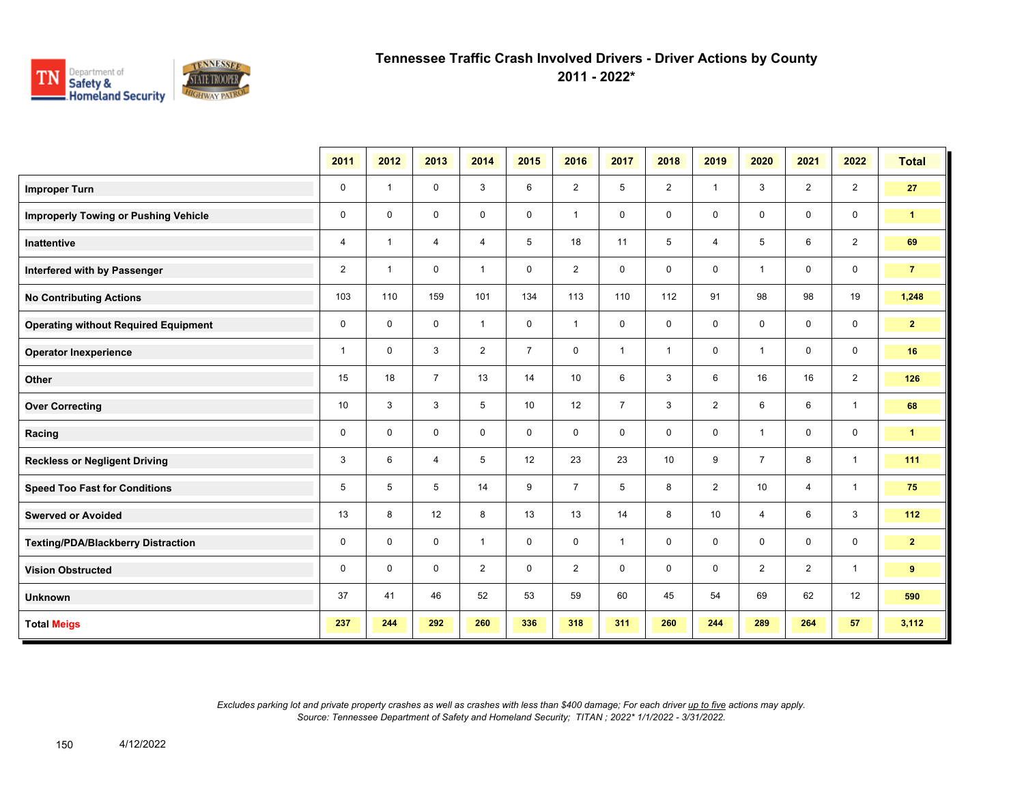

**2011 - 2022\***

|                                             | 2011         | 2012           | 2013           | 2014           | 2015           | 2016           | 2017           | 2018           | 2019           | 2020           | 2021           | 2022           | <b>Total</b>   |
|---------------------------------------------|--------------|----------------|----------------|----------------|----------------|----------------|----------------|----------------|----------------|----------------|----------------|----------------|----------------|
| <b>Improper Turn</b>                        | 0            | $\mathbf{1}$   | $\mathbf 0$    | 3              | 6              | $\overline{2}$ | 5              | $\overline{2}$ | $\mathbf{1}$   | 3              | 2              | $\overline{2}$ | 27             |
| <b>Improperly Towing or Pushing Vehicle</b> | 0            | $\mathbf 0$    | $\mathbf 0$    | $\mathbf 0$    | $\mathbf 0$    | $\mathbf{1}$   | 0              | $\mathbf 0$    | 0              | $\mathbf 0$    | $\mathbf 0$    | $\mathbf 0$    | $\mathbf{1}$   |
| Inattentive                                 | 4            | $\overline{1}$ | $\overline{4}$ | $\overline{4}$ | 5              | 18             | 11             | 5              | $\overline{4}$ | 5              | 6              | $\overline{2}$ | 69             |
| Interfered with by Passenger                | 2            | $\mathbf{1}$   | 0              | $\mathbf{1}$   | 0              | $\overline{2}$ | 0              | $\mathbf 0$    | 0              | $\overline{1}$ | $\mathbf 0$    | $\mathbf 0$    | $\overline{7}$ |
| <b>No Contributing Actions</b>              | 103          | 110            | 159            | 101            | 134            | 113            | 110            | 112            | 91             | 98             | 98             | 19             | 1,248          |
| <b>Operating without Required Equipment</b> | 0            | $\mathbf 0$    | 0              | $\mathbf{1}$   | 0              | $\mathbf{1}$   | 0              | $\mathbf 0$    | 0              | $\mathbf 0$    | $\mathbf 0$    | $\mathbf 0$    | 2 <sub>2</sub> |
| <b>Operator Inexperience</b>                | $\mathbf{1}$ | 0              | 3              | $\overline{2}$ | $\overline{7}$ | $\mathbf 0$    | $\mathbf{1}$   | $\mathbf{1}$   | 0              | $\overline{1}$ | $\mathbf 0$    | $\mathbf 0$    | 16             |
| Other                                       | 15           | 18             | $\overline{7}$ | 13             | 14             | 10             | 6              | 3              | 6              | 16             | 16             | $\overline{2}$ | 126            |
| <b>Over Correcting</b>                      | 10           | 3              | 3              | 5              | 10             | 12             | $\overline{7}$ | 3              | $\overline{2}$ | 6              | 6              | $\mathbf{1}$   | 68             |
| Racing                                      | 0            | 0              | $\mathbf 0$    | $\mathbf 0$    | 0              | $\mathbf 0$    | 0              | 0              | 0              | $\overline{1}$ | $\mathbf 0$    | $\mathbf 0$    | $\mathbf{1}$   |
| <b>Reckless or Negligent Driving</b>        | 3            | 6              | $\overline{4}$ | 5              | 12             | 23             | 23             | 10             | 9              | $\overline{7}$ | 8              | $\mathbf{1}$   | 111            |
| <b>Speed Too Fast for Conditions</b>        | 5            | 5              | 5              | 14             | 9              | $\overline{7}$ | 5              | 8              | $\overline{2}$ | 10             | $\overline{4}$ | $\mathbf{1}$   | 75             |
| <b>Swerved or Avoided</b>                   | 13           | 8              | 12             | 8              | 13             | 13             | 14             | 8              | 10             | $\overline{4}$ | 6              | $\mathbf{3}$   | 112            |
| <b>Texting/PDA/Blackberry Distraction</b>   | 0            | $\mathbf 0$    | $\mathbf 0$    | $\mathbf{1}$   | $\mathbf 0$    | $\mathbf 0$    | $\mathbf{1}$   | $\mathbf 0$    | 0              | $\mathbf 0$    | $\mathbf 0$    | $\mathbf 0$    | 2 <sub>2</sub> |
| <b>Vision Obstructed</b>                    | 0            | $\mathbf 0$    | $\mathbf 0$    | $\overline{2}$ | 0              | $\overline{2}$ | 0              | $\mathbf 0$    | 0              | $\overline{2}$ | $\overline{2}$ | $\mathbf{1}$   | 9              |
| <b>Unknown</b>                              | 37           | 41             | 46             | 52             | 53             | 59             | 60             | 45             | 54             | 69             | 62             | 12             | 590            |
| <b>Total Meigs</b>                          | 237          | 244            | 292            | 260            | 336            | 318            | 311            | 260            | 244            | 289            | 264            | 57             | 3,112          |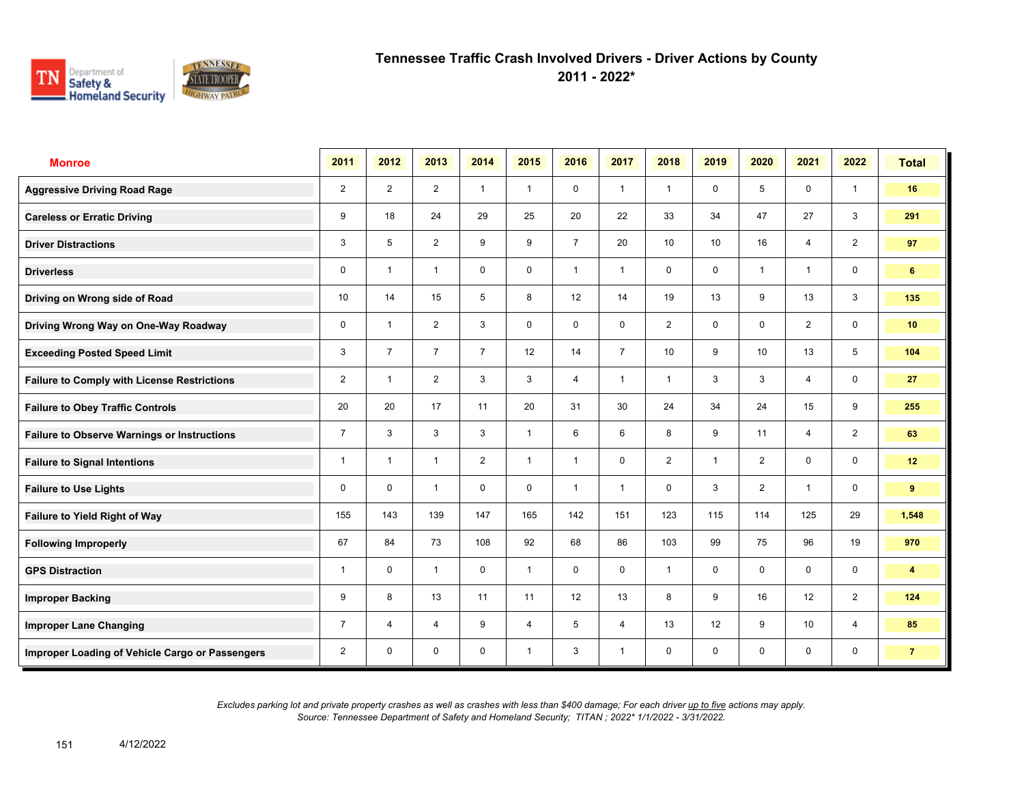

**2011 - 2022\***

| <b>Monroe</b>                                      | 2011           | 2012           | 2013           | 2014           | 2015           | 2016           | 2017           | 2018            | 2019            | 2020           | 2021           | 2022                    | <b>Total</b>            |
|----------------------------------------------------|----------------|----------------|----------------|----------------|----------------|----------------|----------------|-----------------|-----------------|----------------|----------------|-------------------------|-------------------------|
| <b>Aggressive Driving Road Rage</b>                | $\overline{2}$ | $\overline{2}$ | $\overline{2}$ | $\mathbf{1}$   | $\mathbf{1}$   | $\mathbf 0$    | $\mathbf{1}$   | $\mathbf{1}$    | $\mathbf 0$     | 5              | $\mathbf 0$    | $\mathbf{1}$            | 16                      |
| <b>Careless or Erratic Driving</b>                 | 9              | 18             | 24             | 29             | 25             | 20             | 22             | 33              | 34              | 47             | 27             | 3                       | 291                     |
| <b>Driver Distractions</b>                         | 3              | 5              | 2              | 9              | 9              | $\overline{7}$ | 20             | 10 <sup>1</sup> | 10 <sup>1</sup> | 16             | 4              | 2                       | 97                      |
| <b>Driverless</b>                                  | 0              | $\overline{1}$ | $\mathbf{1}$   | $\mathbf 0$    | $\mathbf 0$    | $\overline{1}$ | $\mathbf{1}$   | $\mathbf 0$     | 0               | $\overline{1}$ | $\mathbf{1}$   | $\mathbf 0$             | 6                       |
| Driving on Wrong side of Road                      | 10             | 14             | 15             | 5              | 8              | 12             | 14             | 19              | 13              | 9              | 13             | 3                       | 135                     |
| Driving Wrong Way on One-Way Roadway               | $\mathbf 0$    | $\overline{1}$ | $\overline{2}$ | 3              | $\mathbf 0$    | $\mathbf 0$    | $\mathbf 0$    | 2               | $\mathbf 0$     | $\mathbf 0$    | $\overline{2}$ | $\mathbf 0$             | 10 <sup>1</sup>         |
| <b>Exceeding Posted Speed Limit</b>                | 3              | $\overline{7}$ | $\overline{7}$ | $\overline{7}$ | 12             | 14             | $\overline{7}$ | 10 <sup>1</sup> | 9               | 10             | 13             | 5                       | 104                     |
| <b>Failure to Comply with License Restrictions</b> | $\overline{2}$ | $\overline{1}$ | $\overline{2}$ | 3              | 3              | $\overline{4}$ | $\mathbf{1}$   | $\mathbf{1}$    | 3               | 3              | $\overline{4}$ | $\mathbf 0$             | 27                      |
| <b>Failure to Obey Traffic Controls</b>            | 20             | 20             | 17             | 11             | 20             | 31             | 30             | 24              | 34              | 24             | 15             | 9                       | 255                     |
| <b>Failure to Observe Warnings or Instructions</b> | $\overline{7}$ | 3              | 3              | 3              | $\mathbf{1}$   | 6              | 6              | 8               | 9               | 11             | $\overline{4}$ | 2                       | 63                      |
| <b>Failure to Signal Intentions</b>                | 1              | $\overline{1}$ | $\mathbf{1}$   | $\overline{2}$ | $\mathbf{1}$   | $\overline{1}$ | $\mathbf 0$    | $\overline{2}$  | $\mathbf{1}$    | 2              | 0              | $\mathbf 0$             | 12                      |
| <b>Failure to Use Lights</b>                       | 0              | $\Omega$       | $\mathbf{1}$   | $\mathbf 0$    | $\mathbf 0$    | $\overline{1}$ | $\mathbf{1}$   | $\mathbf 0$     | 3               | 2              | $\overline{1}$ | $\mathsf{O}\phantom{0}$ | 9                       |
| <b>Failure to Yield Right of Way</b>               | 155            | 143            | 139            | 147            | 165            | 142            | 151            | 123             | 115             | 114            | 125            | 29                      | 1,548                   |
| <b>Following Improperly</b>                        | 67             | 84             | 73             | 108            | 92             | 68             | 86             | 103             | 99              | 75             | 96             | 19                      | 970                     |
| <b>GPS Distraction</b>                             | $\mathbf{1}$   | $\mathbf 0$    | $\mathbf{1}$   | $\mathbf 0$    | $\mathbf{1}$   | $\mathbf 0$    | $\mathbf 0$    | $\mathbf{1}$    | 0               | $\mathbf 0$    | $\mathbf 0$    | $\mathbf 0$             | $\overline{\mathbf{4}}$ |
| <b>Improper Backing</b>                            | 9              | 8              | 13             | 11             | 11             | 12             | 13             | 8               | 9               | 16             | 12             | 2                       | 124                     |
| <b>Improper Lane Changing</b>                      | $\overline{7}$ | $\overline{4}$ | $\overline{4}$ | 9              | $\overline{4}$ | 5              | $\overline{4}$ | 13              | 12              | 9              | 10             | $\overline{4}$          | 85                      |
| Improper Loading of Vehicle Cargo or Passengers    | $\overline{2}$ | $\mathbf 0$    | $\mathbf 0$    | $\mathbf 0$    | $\mathbf{1}$   | 3              | $\mathbf{1}$   | $\mathbf 0$     | 0               | $\mathbf 0$    | $\mathbf 0$    | $\mathbf 0$             | $\overline{7}$          |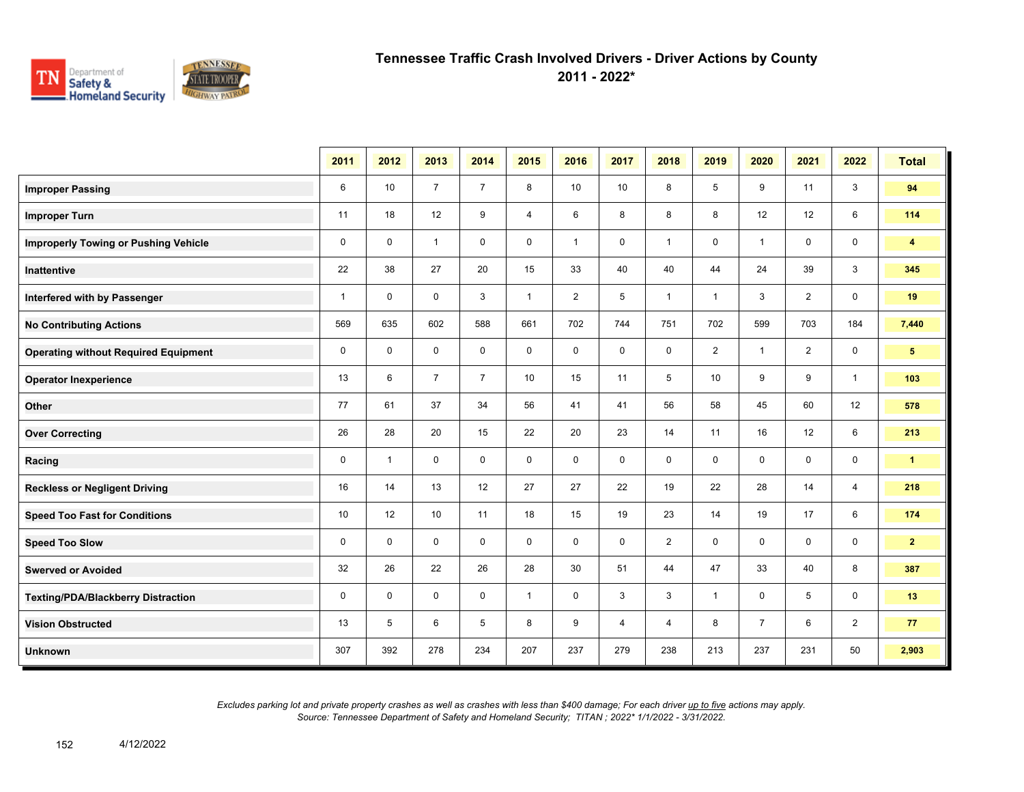

**2011 - 2022\***

|                                             | 2011         | 2012           | 2013           | 2014           | 2015         | 2016           | 2017           | 2018           | 2019            | 2020                    | 2021           | 2022           | <b>Total</b>   |
|---------------------------------------------|--------------|----------------|----------------|----------------|--------------|----------------|----------------|----------------|-----------------|-------------------------|----------------|----------------|----------------|
| <b>Improper Passing</b>                     | 6            | 10             | $\overline{7}$ | $\overline{7}$ | 8            | 10             | 10             | 8              | 5               | 9                       | 11             | 3              | 94             |
| <b>Improper Turn</b>                        | 11           | 18             | 12             | 9              | 4            | 6              | 8              | 8              | 8               | 12                      | 12             | 6              | 114            |
| <b>Improperly Towing or Pushing Vehicle</b> | $\mathbf 0$  | $\mathbf{0}$   | $\mathbf{1}$   | $\mathbf 0$    | $\mathbf 0$  | $\mathbf{1}$   | $\mathbf 0$    | $\mathbf{1}$   | $\mathbf 0$     | $\overline{1}$          | $\mathbf 0$    | $\mathbf 0$    | $\overline{4}$ |
| Inattentive                                 | 22           | 38             | 27             | 20             | 15           | 33             | 40             | 40             | 44              | 24                      | 39             | 3              | 345            |
| Interfered with by Passenger                | $\mathbf{1}$ | $\mathbf 0$    | $\mathbf 0$    | 3              | $\mathbf{1}$ | $\overline{2}$ | 5              | $\mathbf{1}$   | $\mathbf{1}$    | 3                       | $\overline{2}$ | $\mathbf 0$    | 19             |
| <b>No Contributing Actions</b>              | 569          | 635            | 602            | 588            | 661          | 702            | 744            | 751            | 702             | 599                     | 703            | 184            | 7,440          |
| <b>Operating without Required Equipment</b> | $\mathbf 0$  | $\mathbf 0$    | 0              | $\mathbf 0$    | 0            | 0              | 0              | 0              | $\overline{2}$  | $\overline{\mathbf{1}}$ | 2              | $\mathbf 0$    | 5 <sub>5</sub> |
| <b>Operator Inexperience</b>                | 13           | 6              | $\overline{7}$ | $\overline{7}$ | 10           | 15             | 11             | 5              | 10 <sup>1</sup> | 9                       | 9              | $\mathbf{1}$   | 103            |
| Other                                       | 77           | 61             | 37             | 34             | 56           | 41             | 41             | 56             | 58              | 45                      | 60             | 12             | 578            |
| <b>Over Correcting</b>                      | 26           | 28             | 20             | 15             | 22           | 20             | 23             | 14             | 11              | 16                      | 12             | 6              | 213            |
| Racing                                      | $\mathbf 0$  | $\overline{1}$ | $\mathbf 0$    | $\mathbf 0$    | $\mathbf 0$  | $\mathbf 0$    | $\mathbf 0$    | 0              | 0               | $\mathbf 0$             | $\mathbf 0$    | $\mathbf 0$    | $\mathbf{1}$   |
| <b>Reckless or Negligent Driving</b>        | 16           | 14             | 13             | 12             | 27           | 27             | 22             | 19             | 22              | 28                      | 14             | $\overline{4}$ | 218            |
| <b>Speed Too Fast for Conditions</b>        | 10           | 12             | 10             | 11             | 18           | 15             | 19             | 23             | 14              | 19                      | 17             | 6              | 174            |
| <b>Speed Too Slow</b>                       | $\mathbf 0$  | $\mathbf 0$    | $\mathbf 0$    | $\mathbf 0$    | $\mathbf 0$  | $\mathbf 0$    | $\mathbf 0$    | $\overline{2}$ | 0               | $\mathbf 0$             | $\mathbf 0$    | $\mathbf 0$    | 2 <sup>1</sup> |
| <b>Swerved or Avoided</b>                   | 32           | 26             | 22             | 26             | 28           | 30             | 51             | 44             | 47              | 33                      | 40             | 8              | 387            |
| <b>Texting/PDA/Blackberry Distraction</b>   | 0            | $\mathbf 0$    | $\mathbf 0$    | $\mathbf 0$    | $\mathbf{1}$ | 0              | 3              | 3              | $\mathbf{1}$    | 0                       | 5              | $\mathbf 0$    | 13             |
| <b>Vision Obstructed</b>                    | 13           | 5              | 6              | 5              | 8            | 9              | $\overline{4}$ | 4              | 8               | $\overline{7}$          | 6              | $\overline{2}$ | 77             |
| <b>Unknown</b>                              | 307          | 392            | 278            | 234            | 207          | 237            | 279            | 238            | 213             | 237                     | 231            | 50             | 2,903          |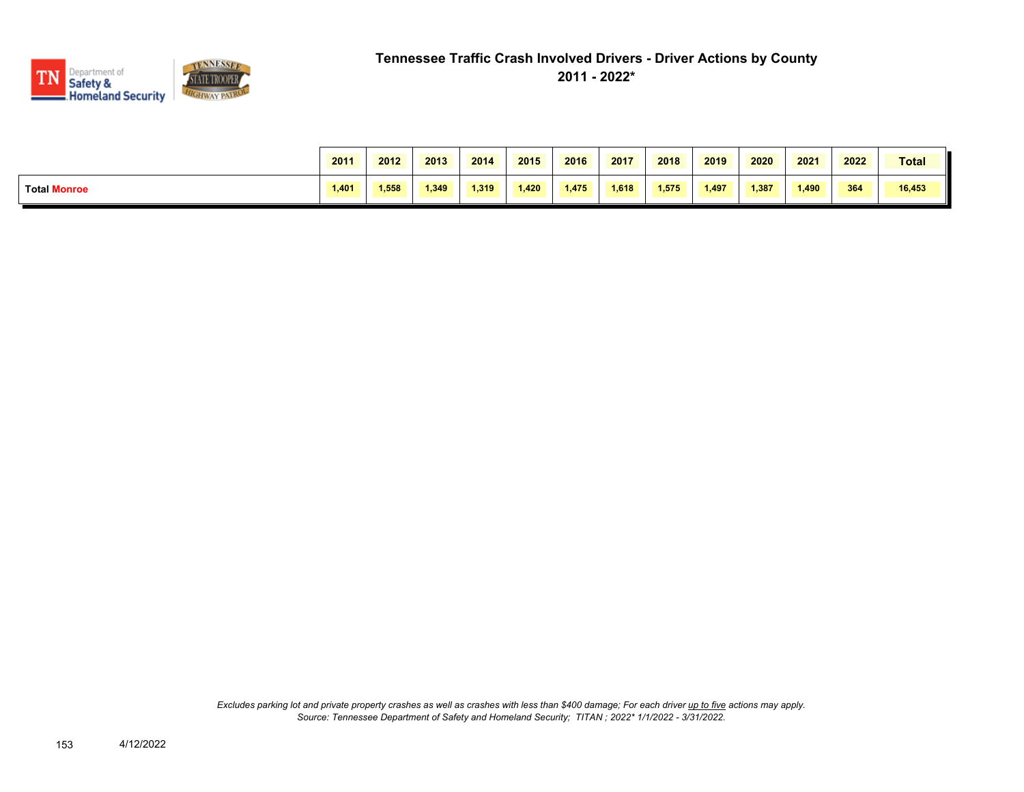

|                     | 2011  | 2012  | 2013  | 2014  | 2015  | 2016  | 2017  | 2018  | 2019  | 2020  | 2021  | 2022 | <b>Total</b> |
|---------------------|-------|-------|-------|-------|-------|-------|-------|-------|-------|-------|-------|------|--------------|
| <b>Total Monroe</b> | 1,401 | 1,558 | 1.349 | 1.319 | 1.420 | 1.475 | 1.618 | 1.575 | 1,497 | 1,387 | 1,490 | 364  | 16,453       |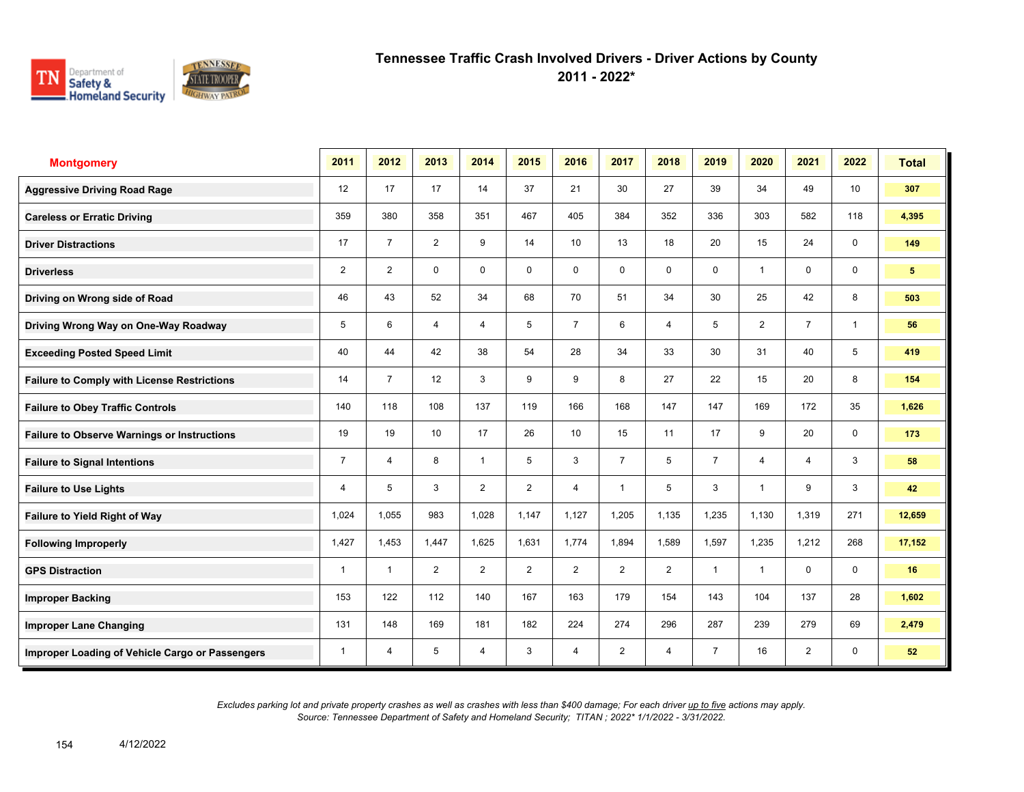

**2011 - 2022\***

| <b>Montgomery</b>                                  | 2011           | 2012           | 2013           | 2014           | 2015           | 2016           | 2017           | 2018           | 2019           | 2020                    | 2021           | 2022            | <b>Total</b>   |
|----------------------------------------------------|----------------|----------------|----------------|----------------|----------------|----------------|----------------|----------------|----------------|-------------------------|----------------|-----------------|----------------|
| <b>Aggressive Driving Road Rage</b>                | 12             | 17             | 17             | 14             | 37             | 21             | 30             | 27             | 39             | 34                      | 49             | 10 <sup>1</sup> | 307            |
| <b>Careless or Erratic Driving</b>                 | 359            | 380            | 358            | 351            | 467            | 405            | 384            | 352            | 336            | 303                     | 582            | 118             | 4,395          |
| <b>Driver Distractions</b>                         | 17             | $\overline{7}$ | $\overline{2}$ | 9              | 14             | 10             | 13             | 18             | 20             | 15                      | 24             | 0               | 149            |
| <b>Driverless</b>                                  | $\overline{2}$ | $\overline{2}$ | $\mathbf 0$    | $\mathbf 0$    | $\mathbf 0$    | $\mathbf 0$    | 0              | $\mathbf 0$    | 0              | $\overline{\mathbf{1}}$ | 0              | $\mathbf 0$     | 5 <sup>5</sup> |
| Driving on Wrong side of Road                      | 46             | 43             | 52             | 34             | 68             | 70             | 51             | 34             | 30             | 25                      | 42             | 8               | 503            |
| Driving Wrong Way on One-Way Roadway               | 5              | 6              | $\overline{4}$ | $\overline{4}$ | 5              | $\overline{7}$ | 6              | $\overline{4}$ | 5              | $\overline{2}$          | $\overline{7}$ | 1               | 56             |
| <b>Exceeding Posted Speed Limit</b>                | 40             | 44             | 42             | 38             | 54             | 28             | 34             | 33             | 30             | 31                      | 40             | 5               | 419            |
| <b>Failure to Comply with License Restrictions</b> | 14             | $\overline{7}$ | 12             | 3              | 9              | 9              | 8              | 27             | 22             | 15                      | 20             | 8               | 154            |
| <b>Failure to Obey Traffic Controls</b>            | 140            | 118            | 108            | 137            | 119            | 166            | 168            | 147            | 147            | 169                     | 172            | 35              | 1,626          |
| <b>Failure to Observe Warnings or Instructions</b> | 19             | 19             | 10             | 17             | 26             | 10             | 15             | 11             | 17             | 9                       | 20             | $\mathbf 0$     | 173            |
| <b>Failure to Signal Intentions</b>                | $\overline{7}$ | 4              | 8              | $\overline{1}$ | 5              | 3              | $\overline{7}$ | 5              | $\overline{7}$ | 4                       | 4              | 3               | 58             |
| <b>Failure to Use Lights</b>                       | 4              | 5              | 3              | $\overline{2}$ | $\overline{2}$ | $\overline{4}$ | $\overline{1}$ | 5              | 3              | $\overline{\mathbf{1}}$ | 9              | 3               | 42             |
| <b>Failure to Yield Right of Way</b>               | 1,024          | 1,055          | 983            | 1,028          | 1,147          | 1,127          | 1,205          | 1,135          | 1,235          | 1,130                   | 1,319          | 271             | 12,659         |
| <b>Following Improperly</b>                        | 1,427          | 1,453          | 1,447          | 1,625          | 1,631          | 1,774          | 1,894          | 1,589          | 1,597          | 1,235                   | 1,212          | 268             | 17,152         |
| <b>GPS Distraction</b>                             | $\mathbf 1$    | $\overline{1}$ | $\overline{2}$ | $\overline{2}$ | $\overline{2}$ | $\overline{2}$ | $\overline{2}$ | $\overline{2}$ | $\mathbf{1}$   | $\overline{1}$          | $\mathbf 0$    | $\mathbf 0$     | 16             |
| <b>Improper Backing</b>                            | 153            | 122            | 112            | 140            | 167            | 163            | 179            | 154            | 143            | 104                     | 137            | 28              | 1,602          |
| <b>Improper Lane Changing</b>                      | 131            | 148            | 169            | 181            | 182            | 224            | 274            | 296            | 287            | 239                     | 279            | 69              | 2,479          |
| Improper Loading of Vehicle Cargo or Passengers    | $\mathbf{1}$   | 4              | 5              | 4              | 3              | 4              | $\overline{2}$ | $\overline{4}$ | $\overline{7}$ | 16                      | $\overline{2}$ | $\mathbf 0$     | 52             |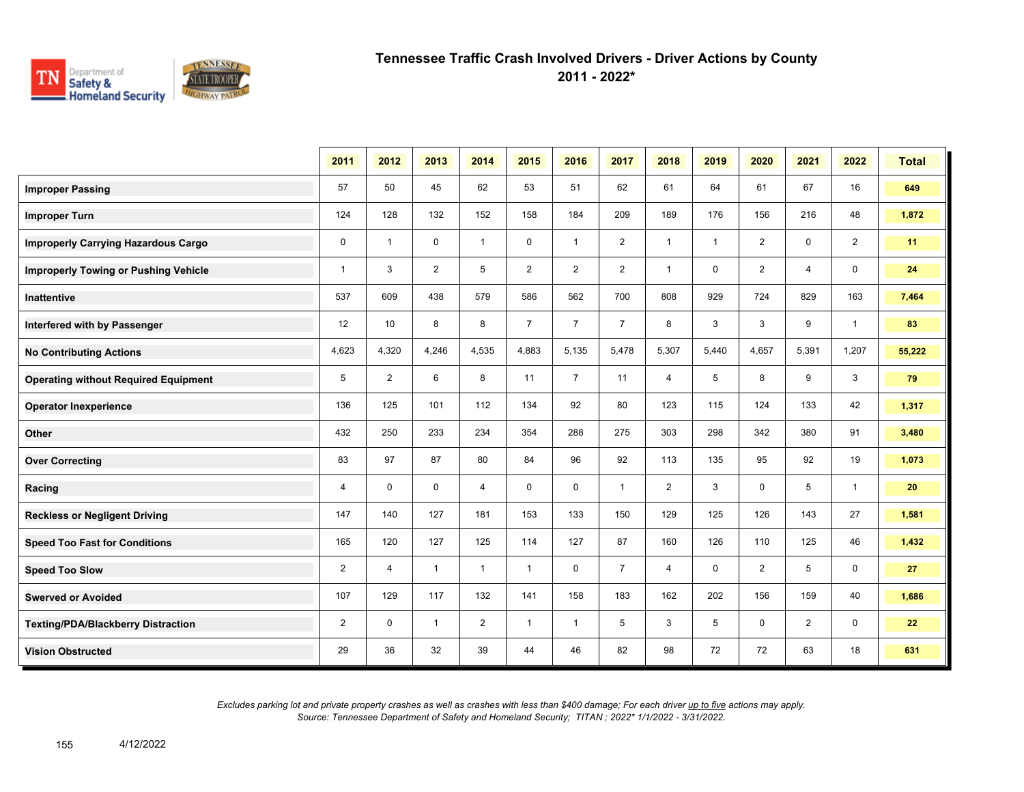

**2011 - 2022\***

|                                             | 2011         | 2012           | 2013         | 2014           | 2015           | 2016           | 2017           | 2018           | 2019         | 2020           | 2021           | 2022           | <b>Total</b> |
|---------------------------------------------|--------------|----------------|--------------|----------------|----------------|----------------|----------------|----------------|--------------|----------------|----------------|----------------|--------------|
| <b>Improper Passing</b>                     | 57           | 50             | 45           | 62             | 53             | 51             | 62             | 61             | 64           | 61             | 67             | 16             | 649          |
| <b>Improper Turn</b>                        | 124          | 128            | 132          | 152            | 158            | 184            | 209            | 189            | 176          | 156            | 216            | 48             | 1,872        |
| <b>Improperly Carrying Hazardous Cargo</b>  | $\mathbf 0$  | $\overline{1}$ | $\mathbf 0$  | $\mathbf{1}$   | $\mathbf 0$    | $\mathbf{1}$   | $\overline{2}$ | $\mathbf{1}$   | $\mathbf{1}$ | $\overline{2}$ | $\mathbf 0$    | $\overline{2}$ | 11           |
| <b>Improperly Towing or Pushing Vehicle</b> | $\mathbf{1}$ | 3              | 2            | 5              | $\overline{2}$ | 2              | $\overline{2}$ | $\mathbf{1}$   | $\mathbf 0$  | $\overline{2}$ | 4              | $\mathbf 0$    | 24           |
| Inattentive                                 | 537          | 609            | 438          | 579            | 586            | 562            | 700            | 808            | 929          | 724            | 829            | 163            | 7,464        |
| Interfered with by Passenger                | 12           | 10             | 8            | 8              | $\overline{7}$ | $\overline{7}$ | $\overline{7}$ | 8              | 3            | 3              | 9              | $\mathbf{1}$   | 83           |
| <b>No Contributing Actions</b>              | 4,623        | 4,320          | 4,246        | 4,535          | 4,883          | 5,135          | 5,478          | 5,307          | 5,440        | 4,657          | 5,391          | 1,207          | 55,222       |
| <b>Operating without Required Equipment</b> | 5            | $\overline{2}$ | 6            | 8              | 11             | $\overline{7}$ | 11             | $\overline{4}$ | 5            | 8              | 9              | 3              | 79           |
| <b>Operator Inexperience</b>                | 136          | 125            | 101          | 112            | 134            | 92             | 80             | 123            | 115          | 124            | 133            | 42             | 1,317        |
| Other                                       | 432          | 250            | 233          | 234            | 354            | 288            | 275            | 303            | 298          | 342            | 380            | 91             | 3,480        |
| <b>Over Correcting</b>                      | 83           | 97             | 87           | 80             | 84             | 96             | 92             | 113            | 135          | 95             | 92             | 19             | 1,073        |
| Racing                                      | 4            | 0              | $\mathbf 0$  | $\overline{4}$ | $\mathbf 0$    | $\mathbf 0$    | $\mathbf{1}$   | $\overline{2}$ | 3            | 0              | 5              | $\mathbf{1}$   | 20           |
| <b>Reckless or Negligent Driving</b>        | 147          | 140            | 127          | 181            | 153            | 133            | 150            | 129            | 125          | 126            | 143            | 27             | 1,581        |
| <b>Speed Too Fast for Conditions</b>        | 165          | 120            | 127          | 125            | 114            | 127            | 87             | 160            | 126          | 110            | 125            | 46             | 1,432        |
| <b>Speed Too Slow</b>                       | 2            | $\overline{4}$ | $\mathbf{1}$ | $\mathbf{1}$   | $\mathbf{1}$   | $\mathbf{0}$   | $\overline{7}$ | $\overline{4}$ | $\mathbf 0$  | $\overline{2}$ | 5              | $\mathbf 0$    | 27           |
| <b>Swerved or Avoided</b>                   | 107          | 129            | 117          | 132            | 141            | 158            | 183            | 162            | 202          | 156            | 159            | 40             | 1,686        |
| <b>Texting/PDA/Blackberry Distraction</b>   | 2            | $\mathbf 0$    | $\mathbf{1}$ | $\overline{2}$ | $\mathbf{1}$   | $\mathbf{1}$   | 5              | 3              | 5            | $\mathbf 0$    | $\overline{2}$ | 0              | 22           |
| <b>Vision Obstructed</b>                    | 29           | 36             | 32           | 39             | 44             | 46             | 82             | 98             | 72           | 72             | 63             | 18             | 631          |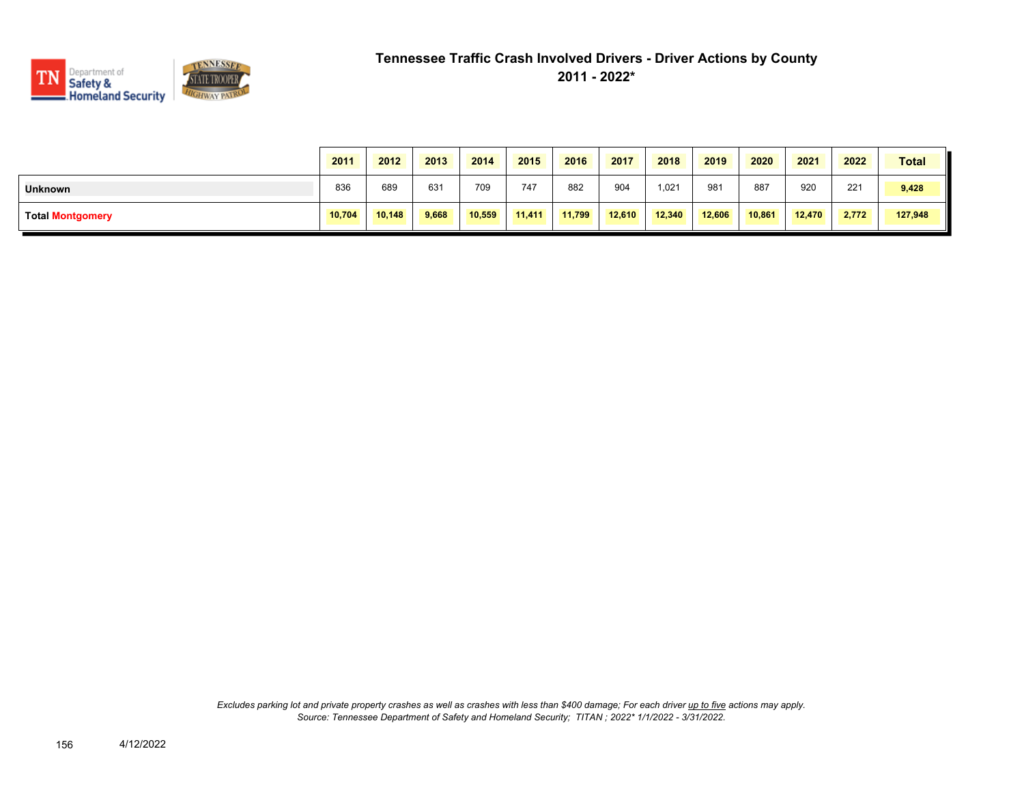

|                         | 2011   | 2012   | 2013  | 2014   | 2015   | 2016   | 2017   | 2018   | 2019   | 2020   | 2021   | 2022  | <b>Total</b> |
|-------------------------|--------|--------|-------|--------|--------|--------|--------|--------|--------|--------|--------|-------|--------------|
| <b>Unknown</b>          | 836    | 689    | 631   | 709    | 747    | 882    | 904    | 1,021  | 981    | 887    | 920    | 221   | 9,428        |
| <b>Total Montgomery</b> | 10,704 | 10.148 | 9,668 | 10,559 | 11,411 | 11,799 | 12,610 | 12,340 | 12,606 | 10,861 | 12,470 | 2,772 | 127,948      |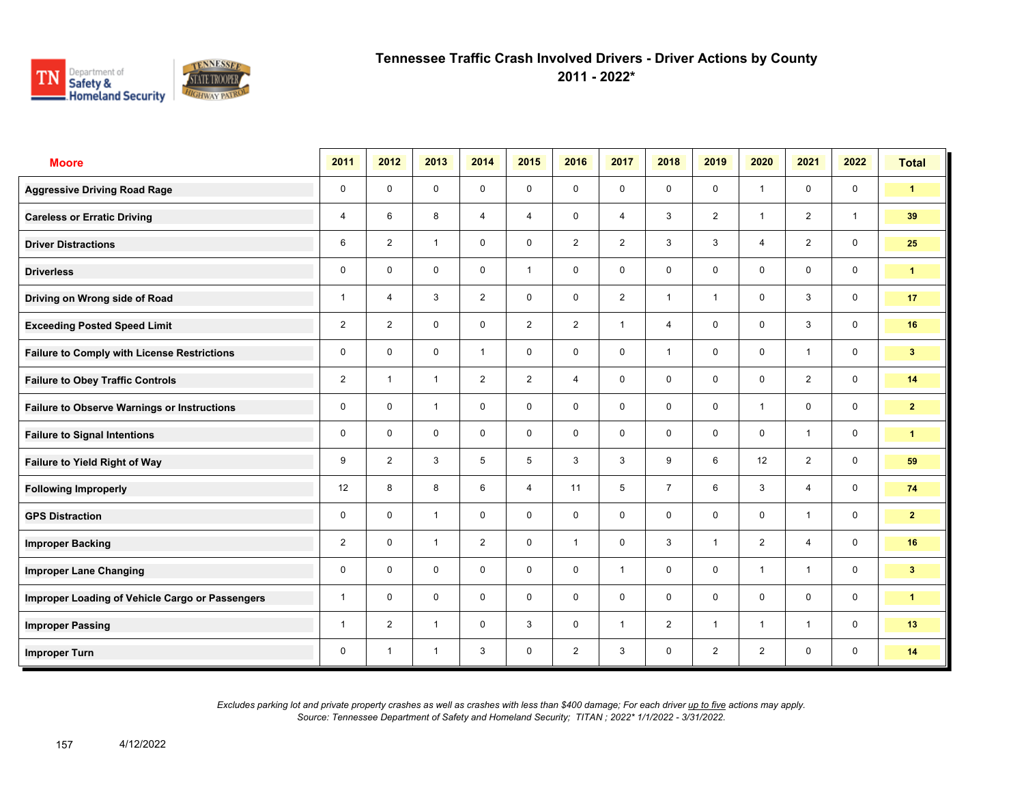

**2011 - 2022\***

| <b>Moore</b>                                       | 2011           | 2012           | 2013         | 2014           | 2015           | 2016           | 2017           | 2018           | 2019           | 2020           | 2021           | 2022         | <b>Total</b>         |
|----------------------------------------------------|----------------|----------------|--------------|----------------|----------------|----------------|----------------|----------------|----------------|----------------|----------------|--------------|----------------------|
| <b>Aggressive Driving Road Rage</b>                | $\mathbf 0$    | $\mathbf 0$    | $\mathbf 0$  | $\mathbf 0$    | 0              | $\mathbf 0$    | $\mathbf 0$    | $\mathbf 0$    | $\mathbf 0$    | $\overline{1}$ | $\mathbf 0$    | $\mathbf 0$  | $\blacktriangleleft$ |
| <b>Careless or Erratic Driving</b>                 | 4              | 6              | 8            | $\overline{4}$ | 4              | $\mathbf 0$    | $\overline{4}$ | 3              | $\overline{2}$ | $\overline{1}$ | 2              | $\mathbf{1}$ | 39                   |
| <b>Driver Distractions</b>                         | 6              | $\overline{2}$ | $\mathbf{1}$ | $\mathbf 0$    | 0              | $\overline{2}$ | 2              | 3              | 3              | $\overline{4}$ | 2              | $\mathbf 0$  | 25                   |
| <b>Driverless</b>                                  | $\mathbf 0$    | $\mathbf 0$    | 0            | $\mathbf 0$    | $\mathbf{1}$   | $\mathbf 0$    | $\mathbf 0$    | $\mathbf 0$    | 0              | $\mathbf 0$    | $\mathbf 0$    | $\mathbf 0$  | $\blacktriangleleft$ |
| Driving on Wrong side of Road                      | $\mathbf{1}$   | 4              | 3            | $\overline{2}$ | 0              | $\mathbf 0$    | 2              | $\mathbf{1}$   | $\mathbf{1}$   | $\mathbf 0$    | 3              | $\mathbf 0$  | 17                   |
| <b>Exceeding Posted Speed Limit</b>                | $\overline{2}$ | $\overline{2}$ | $\mathbf 0$  | $\mathbf 0$    | $\overline{2}$ | $\overline{2}$ | $\mathbf{1}$   | $\overline{4}$ | $\mathbf 0$    | $\mathbf 0$    | 3              | $\mathbf 0$  | 16                   |
| <b>Failure to Comply with License Restrictions</b> | $\mathbf 0$    | $\mathbf 0$    | $\mathbf 0$  | $\mathbf{1}$   | 0              | $\mathbf 0$    | $\mathbf 0$    | $\mathbf{1}$   | $\mathbf 0$    | $\mathbf 0$    | $\mathbf{1}$   | $\mathbf 0$  | 3 <sup>7</sup>       |
| <b>Failure to Obey Traffic Controls</b>            | $\overline{2}$ | $\mathbf{1}$   | $\mathbf{1}$ | $\overline{2}$ | $\overline{2}$ | $\overline{4}$ | $\mathbf 0$    | $\mathbf 0$    | $\mathbf 0$    | $\mathbf 0$    | $\overline{2}$ | $\mathbf 0$  | 14                   |
| <b>Failure to Observe Warnings or Instructions</b> | 0              | $\mathbf 0$    | $\mathbf{1}$ | $\mathbf 0$    | 0              | $\mathbf 0$    | $\mathbf 0$    | $\mathbf 0$    | $\mathbf 0$    | $\overline{1}$ | $\mathbf 0$    | $\mathbf 0$  | $\mathbf{2}$         |
| <b>Failure to Signal Intentions</b>                | $\mathbf 0$    | $\mathbf 0$    | $\mathbf 0$  | $\mathbf 0$    | 0              | $\mathbf 0$    | $\mathbf 0$    | $\mathbf 0$    | $\mathbf 0$    | $\mathbf 0$    | $\mathbf{1}$   | $\mathbf 0$  | $\mathbf{1}$         |
| Failure to Yield Right of Way                      | 9              | $\overline{2}$ | 3            | 5              | 5              | 3              | 3              | 9              | 6              | 12             | $\overline{2}$ | $\mathbf 0$  | 59                   |
| <b>Following Improperly</b>                        | 12             | 8              | 8            | 6              | $\overline{4}$ | 11             | 5              | $\overline{7}$ | 6              | 3              | $\overline{4}$ | $\mathbf 0$  | 74                   |
| <b>GPS Distraction</b>                             | 0              | $\mathbf 0$    | $\mathbf{1}$ | $\mathbf 0$    | 0              | $\mathbf 0$    | $\mathbf 0$    | $\mathbf 0$    | $\mathbf 0$    | $\mathbf 0$    | $\mathbf{1}$   | $\mathbf 0$  | $\mathbf{2}$         |
| <b>Improper Backing</b>                            | $\overline{2}$ | $\mathbf 0$    | $\mathbf{1}$ | $\overline{2}$ | 0              | $\overline{1}$ | $\mathbf 0$    | 3              | $\mathbf{1}$   | 2              | $\overline{4}$ | $\mathbf 0$  | 16                   |
| <b>Improper Lane Changing</b>                      | 0              | $\mathbf 0$    | $\mathbf 0$  | $\mathbf 0$    | 0              | $\mathbf 0$    | $\mathbf{1}$   | $\mathbf 0$    | $\mathbf 0$    | $\overline{1}$ | $\mathbf{1}$   | $\mathbf 0$  | 3 <sup>7</sup>       |
| Improper Loading of Vehicle Cargo or Passengers    | $\mathbf{1}$   | $\mathbf 0$    | $\mathbf 0$  | $\mathbf 0$    | 0              | $\mathbf 0$    | $\mathbf 0$    | $\mathbf 0$    | $\mathbf 0$    | $\Omega$       | $\mathbf 0$    | $\mathbf 0$  | $\mathbf{1}$         |
| <b>Improper Passing</b>                            | $\mathbf{1}$   | 2              | $\mathbf{1}$ | $\mathbf 0$    | 3              | $\mathbf 0$    | $\mathbf{1}$   | 2              | $\mathbf{1}$   | $\overline{1}$ | $\mathbf{1}$   | $\mathbf 0$  | 13                   |
| <b>Improper Turn</b>                               | 0              | $\overline{1}$ | $\mathbf{1}$ | 3              | 0              | $\overline{2}$ | 3              | $\mathbf 0$    | $\overline{2}$ | 2              | $\mathbf 0$    | $\mathbf 0$  | 14                   |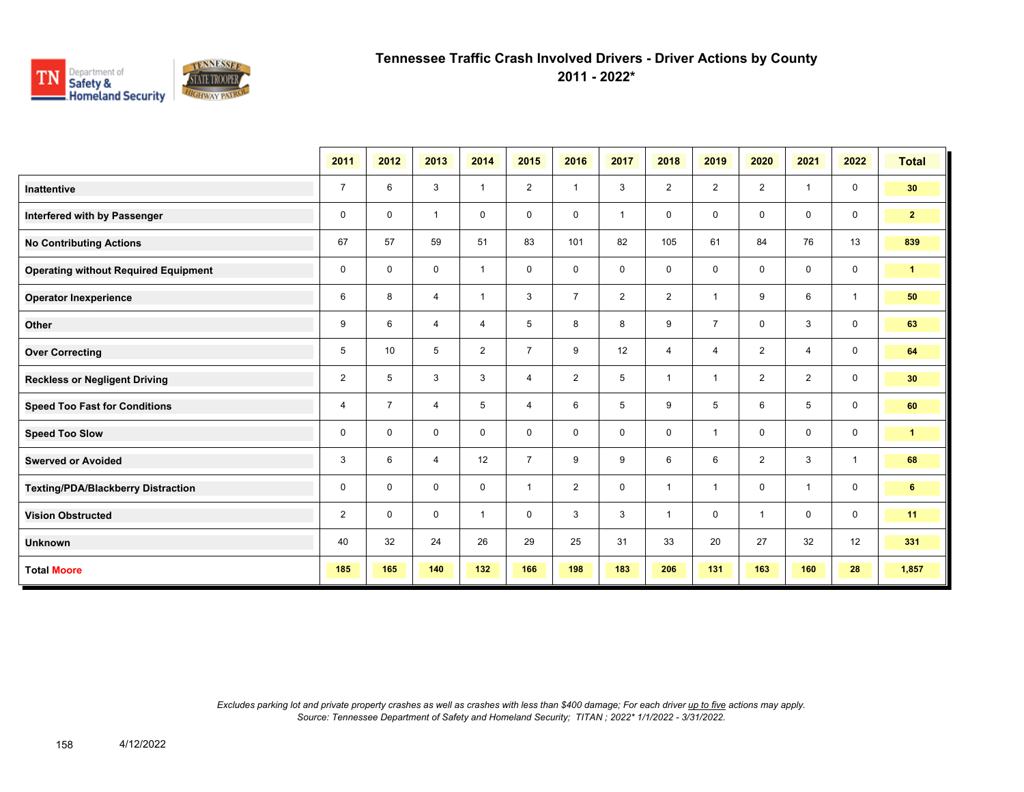

**2011 - 2022\***

|                                             | 2011           | 2012           | 2013           | 2014           | 2015           | 2016           | 2017           | 2018           | 2019           | 2020           | 2021           | 2022         | <b>Total</b>         |
|---------------------------------------------|----------------|----------------|----------------|----------------|----------------|----------------|----------------|----------------|----------------|----------------|----------------|--------------|----------------------|
| <b>Inattentive</b>                          | $\overline{7}$ | 6              | 3              | $\mathbf{1}$   | $\overline{2}$ | $\overline{1}$ | 3              | $\overline{2}$ | $\overline{2}$ | $\overline{2}$ | $\mathbf{1}$   | $\mathbf 0$  | 30                   |
| Interfered with by Passenger                | 0              | $\mathbf 0$    | $\mathbf{1}$   | 0              | 0              | 0              | $\overline{1}$ | $\mathbf 0$    | 0              | $\mathbf 0$    | $\mathbf{0}$   | $\mathbf 0$  | 2 <sub>2</sub>       |
| <b>No Contributing Actions</b>              | 67             | 57             | 59             | 51             | 83             | 101            | 82             | 105            | 61             | 84             | 76             | 13           | 839                  |
| <b>Operating without Required Equipment</b> | 0              | $\mathbf 0$    | 0              | $\mathbf{1}$   | 0              | 0              | 0              | 0              | 0              | $\mathbf 0$    | $\mathbf 0$    | $\mathsf{O}$ | $\blacktriangleleft$ |
| <b>Operator Inexperience</b>                | 6              | 8              | $\overline{4}$ | $\mathbf{1}$   | 3              | $\overline{7}$ | $\overline{2}$ | $\overline{2}$ | 1              | 9              | 6              | $\mathbf{1}$ | 50                   |
| Other                                       | 9              | 6              | 4              | 4              | 5              | 8              | 8              | 9              | $\overline{7}$ | $\mathbf 0$    | $\mathbf{3}$   | $\mathbf 0$  | 63                   |
| <b>Over Correcting</b>                      | 5              | 10             | 5              | $\overline{2}$ | $\overline{7}$ | 9              | 12             | 4              | 4              | 2              | $\overline{4}$ | $\mathsf{O}$ | 64                   |
| <b>Reckless or Negligent Driving</b>        | $\overline{2}$ | 5              | 3              | 3              | $\overline{4}$ | $\overline{2}$ | 5              | $\overline{1}$ | 1              | $\overline{2}$ | $\overline{2}$ | $\mathbf 0$  | 30                   |
| <b>Speed Too Fast for Conditions</b>        | 4              | $\overline{7}$ | 4              | 5              | 4              | 6              | 5              | 9              | 5              | 6              | 5              | $\mathbf 0$  | 60                   |
| <b>Speed Too Slow</b>                       | 0              | $\mathbf 0$    | 0              | 0              | 0              | 0              | $\mathbf 0$    | $\mathbf 0$    | 1              | $\mathbf 0$    | $\mathbf 0$    | $\mathbf 0$  | $\mathbf{1}$         |
| <b>Swerved or Avoided</b>                   | 3              | 6              | $\overline{4}$ | 12             | $\overline{7}$ | 9              | 9              | 6              | 6              | 2              | 3              | $\mathbf{1}$ | 68                   |
| Texting/PDA/Blackberry Distraction          | 0              | $\mathbf 0$    | $\mathbf 0$    | $\mathbf 0$    | $\mathbf{1}$   | $\overline{2}$ | $\mathbf 0$    | $\overline{1}$ | 1              | $\mathbf 0$    | $\mathbf{1}$   | $\mathbf 0$  | 6                    |
| <b>Vision Obstructed</b>                    | $\overline{2}$ | $\Omega$       | $\mathbf 0$    | $\mathbf{1}$   | 0              | 3              | 3              | $\overline{1}$ | 0              | $\overline{1}$ | $\mathbf 0$    | $\mathbf 0$  | 11                   |
| <b>Unknown</b>                              | 40             | 32             | 24             | 26             | 29             | 25             | 31             | 33             | 20             | 27             | 32             | 12           | 331                  |
| <b>Total Moore</b>                          | 185            | 165            | 140            | 132            | 166            | 198            | 183            | 206            | 131            | 163            | 160            | 28           | 1,857                |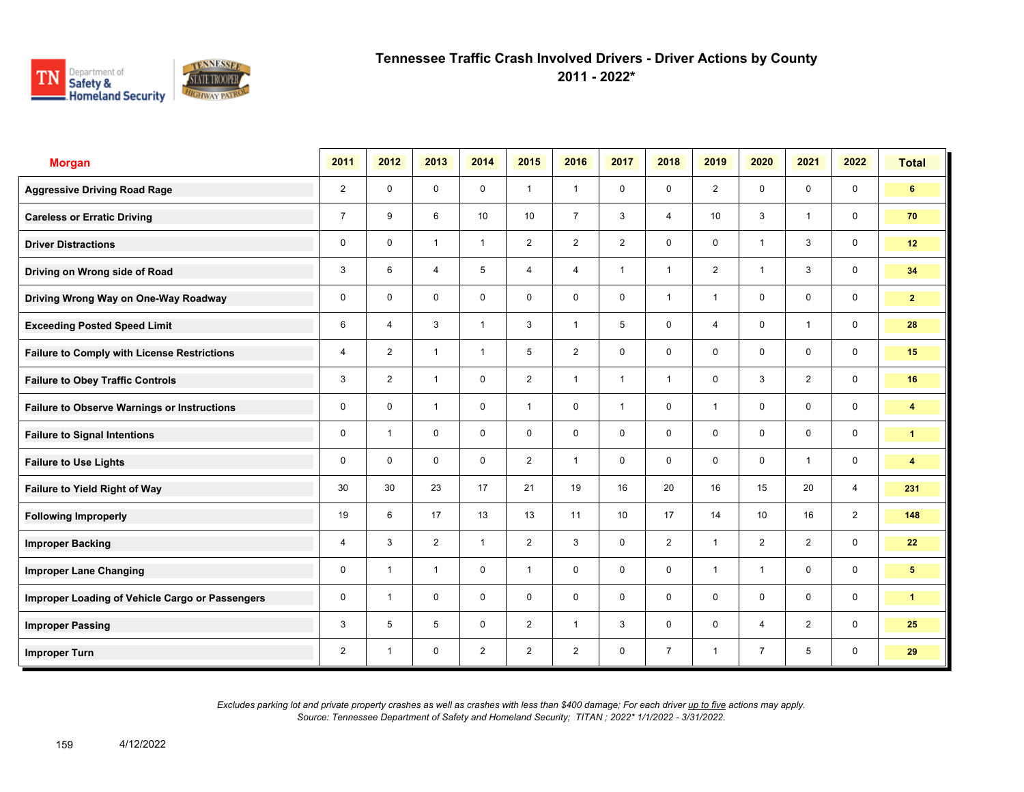

**2011 - 2022\***

| <b>Morgan</b>                                      | 2011           | 2012                    | 2013           | 2014           | 2015            | 2016           | 2017           | 2018           | 2019                    | 2020           | 2021           | 2022           | <b>Total</b>            |
|----------------------------------------------------|----------------|-------------------------|----------------|----------------|-----------------|----------------|----------------|----------------|-------------------------|----------------|----------------|----------------|-------------------------|
| <b>Aggressive Driving Road Rage</b>                | $\overline{2}$ | $\mathbf 0$             | $\mathbf 0$    | $\mathbf 0$    | $\mathbf{1}$    | $\overline{1}$ | $\mathbf 0$    | $\mathbf{0}$   | $\overline{2}$          | $\mathbf 0$    | $\mathbf 0$    | $\mathbf 0$    | 6                       |
| <b>Careless or Erratic Driving</b>                 | $\overline{7}$ | 9                       | 6              | 10             | 10 <sup>1</sup> | $\overline{7}$ | 3              | $\overline{4}$ | 10                      | 3              | $\mathbf{1}$   | $\mathbf 0$    | 70                      |
| <b>Driver Distractions</b>                         | 0              | $\mathbf 0$             | $\mathbf{1}$   | $\mathbf{1}$   | $\overline{2}$  | $\overline{2}$ | $\overline{2}$ | $\mathbf 0$    | $\mathbf 0$             | $\overline{1}$ | 3              | $\mathbf 0$    | 12                      |
| Driving on Wrong side of Road                      | 3              | 6                       | 4              | 5              | 4               | 4              | $\mathbf{1}$   | $\mathbf{1}$   | $\overline{2}$          | $\overline{1}$ | 3              | $\mathbf 0$    | 34                      |
| Driving Wrong Way on One-Way Roadway               | 0              | $\mathbf 0$             | $\mathbf 0$    | $\mathbf 0$    | 0               | $\mathbf 0$    | $\mathbf 0$    | $\mathbf{1}$   | 1                       | $\mathbf 0$    | $\mathbf 0$    | $\mathbf 0$    | $\mathbf{2}$            |
| <b>Exceeding Posted Speed Limit</b>                | 6              | $\overline{4}$          | 3              | $\overline{1}$ | 3               | $\overline{1}$ | 5              | $\mathbf 0$    | $\overline{\mathbf{4}}$ | $\mathbf 0$    | $\mathbf{1}$   | $\mathbf 0$    | 28                      |
| <b>Failure to Comply with License Restrictions</b> | $\overline{4}$ | $\overline{2}$          | $\mathbf{1}$   | $\mathbf{1}$   | 5               | $\overline{2}$ | $\mathbf 0$    | $\mathbf 0$    | $\mathbf 0$             | $\mathbf 0$    | $\mathbf 0$    | $\mathbf 0$    | 15                      |
| <b>Failure to Obey Traffic Controls</b>            | 3              | $\overline{2}$          | $\overline{1}$ | $\mathbf 0$    | $\overline{2}$  | $\overline{1}$ | $\mathbf{1}$   | $\mathbf{1}$   | $\mathbf 0$             | 3              | $\overline{2}$ | $\mathbf 0$    | 16                      |
| <b>Failure to Observe Warnings or Instructions</b> | 0              | $\Omega$                | $\overline{1}$ | $\mathbf 0$    | $\mathbf{1}$    | $\Omega$       | $\mathbf{1}$   | $\mathbf 0$    | $\mathbf{1}$            | $\Omega$       | $\mathbf 0$    | $\mathbf 0$    | 4                       |
| <b>Failure to Signal Intentions</b>                | 0              | $\overline{\mathbf{1}}$ | $\mathbf 0$    | $\mathbf 0$    | 0               | $\mathbf 0$    | $\mathbf 0$    | $\mathbf 0$    | $\mathbf 0$             | $\mathbf 0$    | $\mathbf 0$    | $\mathbf 0$    | $\mathbf{1}$            |
| <b>Failure to Use Lights</b>                       | 0              | $\Omega$                | $\Omega$       | $\Omega$       | $\overline{2}$  | $\overline{1}$ | $\mathbf 0$    | $\mathbf 0$    | $\Omega$                | $\mathbf{0}$   | $\mathbf{1}$   | $\mathbf 0$    | $\overline{\mathbf{4}}$ |
| Failure to Yield Right of Way                      | 30             | 30                      | 23             | 17             | 21              | 19             | 16             | 20             | 16                      | 15             | 20             | $\overline{4}$ | 231                     |
| <b>Following Improperly</b>                        | 19             | 6                       | 17             | 13             | 13              | 11             | 10             | 17             | 14                      | 10             | 16             | $\overline{2}$ | 148                     |
| <b>Improper Backing</b>                            | 4              | 3                       | $\overline{2}$ | $\mathbf{1}$   | $\overline{2}$  | 3              | $\mathbf 0$    | $\overline{2}$ | $\mathbf{1}$            | 2              | $\overline{2}$ | $\mathbf 0$    | 22                      |
| <b>Improper Lane Changing</b>                      | 0              | $\overline{\mathbf{1}}$ | $\mathbf{1}$   | $\mathbf 0$    | $\mathbf{1}$    | $\mathbf 0$    | $\mathbf 0$    | $\mathbf 0$    | $\mathbf{1}$            | $\overline{1}$ | $\mathbf 0$    | $\mathbf 0$    | 5 <sup>5</sup>          |
| Improper Loading of Vehicle Cargo or Passengers    | 0              | $\overline{1}$          | $\mathbf 0$    | $\mathbf 0$    | $\mathbf 0$     | $\mathbf 0$    | $\mathbf 0$    | $\mathbf 0$    | 0                       | $\mathbf 0$    | $\mathbf 0$    | $\mathbf 0$    | $\mathbf{1}$            |
| <b>Improper Passing</b>                            | 3              | 5                       | 5              | $\mathbf 0$    | $\overline{2}$  | $\overline{1}$ | 3              | $\mathbf 0$    | $\mathbf 0$             | $\overline{4}$ | $\overline{2}$ | $\mathbf 0$    | 25                      |
| <b>Improper Turn</b>                               | $\overline{2}$ | $\overline{1}$          | 0              | $\overline{2}$ | $\overline{2}$  | $\overline{2}$ | $\mathbf 0$    | $\overline{7}$ | $\mathbf{1}$            | $\overline{7}$ | 5              | $\mathbf 0$    | 29                      |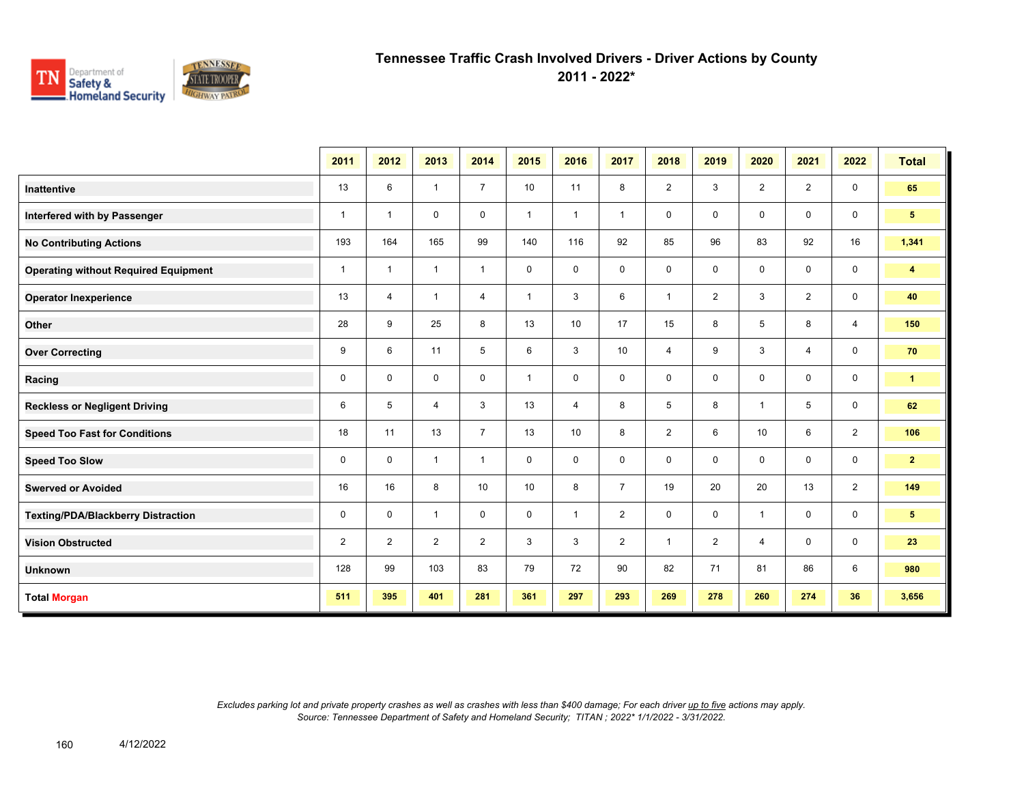

**2011 - 2022\***

|                                             | 2011           | 2012           | 2013           | 2014           | 2015         | 2016           | 2017           | 2018           | 2019           | 2020           | 2021           | 2022           | <b>Total</b>   |
|---------------------------------------------|----------------|----------------|----------------|----------------|--------------|----------------|----------------|----------------|----------------|----------------|----------------|----------------|----------------|
| <b>Inattentive</b>                          | 13             | 6              | $\mathbf{1}$   | $\overline{7}$ | 10           | 11             | 8              | $\overline{2}$ | 3              | $\overline{2}$ | $\overline{2}$ | $\mathsf{O}$   | 65             |
| Interfered with by Passenger                | $\mathbf{1}$   | $\overline{1}$ | 0              | 0              | $\mathbf{1}$ | $\overline{1}$ | $\overline{1}$ | $\mathbf 0$    | 0              | $\mathbf 0$    | $\mathbf 0$    | $\mathbf 0$    | 5 <sub>5</sub> |
| <b>No Contributing Actions</b>              | 193            | 164            | 165            | 99             | 140          | 116            | 92             | 85             | 96             | 83             | 92             | 16             | 1,341          |
| <b>Operating without Required Equipment</b> | $\mathbf{1}$   | $\mathbf{1}$   | $\mathbf{1}$   | $\mathbf{1}$   | $\mathbf 0$  | $\mathbf 0$    | $\mathbf 0$    | $\mathbf 0$    | 0              | $\Omega$       | $\mathbf 0$    | $\mathbf 0$    | 4              |
| <b>Operator Inexperience</b>                | 13             | $\overline{4}$ | $\mathbf{1}$   | $\overline{4}$ | $\mathbf{1}$ | 3              | 6              | $\overline{1}$ | $\overline{2}$ | 3              | $\overline{2}$ | $\mathbf 0$    | 40             |
| <b>Other</b>                                | 28             | 9              | 25             | 8              | 13           | 10             | 17             | 15             | 8              | 5              | 8              | $\overline{4}$ | 150            |
| <b>Over Correcting</b>                      | 9              | 6              | 11             | 5              | 6            | 3              | 10             | $\overline{4}$ | 9              | 3              | $\overline{4}$ | $\mathbf 0$    | 70             |
| Racing                                      | 0              | $\mathbf 0$    | 0              | 0              | $\mathbf{1}$ | $\mathbf 0$    | $\mathbf 0$    | $\mathbf 0$    | 0              | $\mathbf 0$    | $\mathbf 0$    | $\mathbf 0$    | $\mathbf{1}$   |
| <b>Reckless or Negligent Driving</b>        | 6              | 5              | 4              | 3              | 13           | $\overline{4}$ | 8              | 5              | 8              | $\overline{1}$ | 5              | $\mathbf 0$    | 62             |
| <b>Speed Too Fast for Conditions</b>        | 18             | 11             | 13             | $\overline{7}$ | 13           | 10             | 8              | $\overline{2}$ | 6              | 10             | 6              | $\overline{2}$ | 106            |
| <b>Speed Too Slow</b>                       | 0              | $\mathbf 0$    | $\mathbf{1}$   | $\mathbf{1}$   | 0            | $\mathbf 0$    | $\mathbf 0$    | $\mathbf 0$    | 0              | $\mathbf 0$    | $\mathbf 0$    | $\mathbf 0$    | $\overline{2}$ |
| <b>Swerved or Avoided</b>                   | 16             | 16             | 8              | 10             | 10           | 8              | $\overline{7}$ | 19             | 20             | 20             | 13             | $\overline{2}$ | 149            |
| Texting/PDA/Blackberry Distraction          | 0              | $\mathbf 0$    | $\mathbf{1}$   | $\mathbf 0$    | 0            | $\overline{1}$ | $\overline{2}$ | $\mathbf 0$    | 0              | $\overline{1}$ | $\mathbf{0}$   | $\mathbf 0$    | 5 <sub>5</sub> |
| <b>Vision Obstructed</b>                    | $\overline{2}$ | $\overline{2}$ | $\overline{2}$ | $\overline{2}$ | 3            | 3              | $\overline{2}$ | $\overline{1}$ | $\overline{2}$ | $\overline{4}$ | $\mathbf 0$    | $\mathbf 0$    | 23             |
| <b>Unknown</b>                              | 128            | 99             | 103            | 83             | 79           | 72             | 90             | 82             | 71             | 81             | 86             | 6              | 980            |
| <b>Total Morgan</b>                         | 511            | 395            | 401            | 281            | 361          | 297            | 293            | 269            | 278            | 260            | 274            | 36             | 3,656          |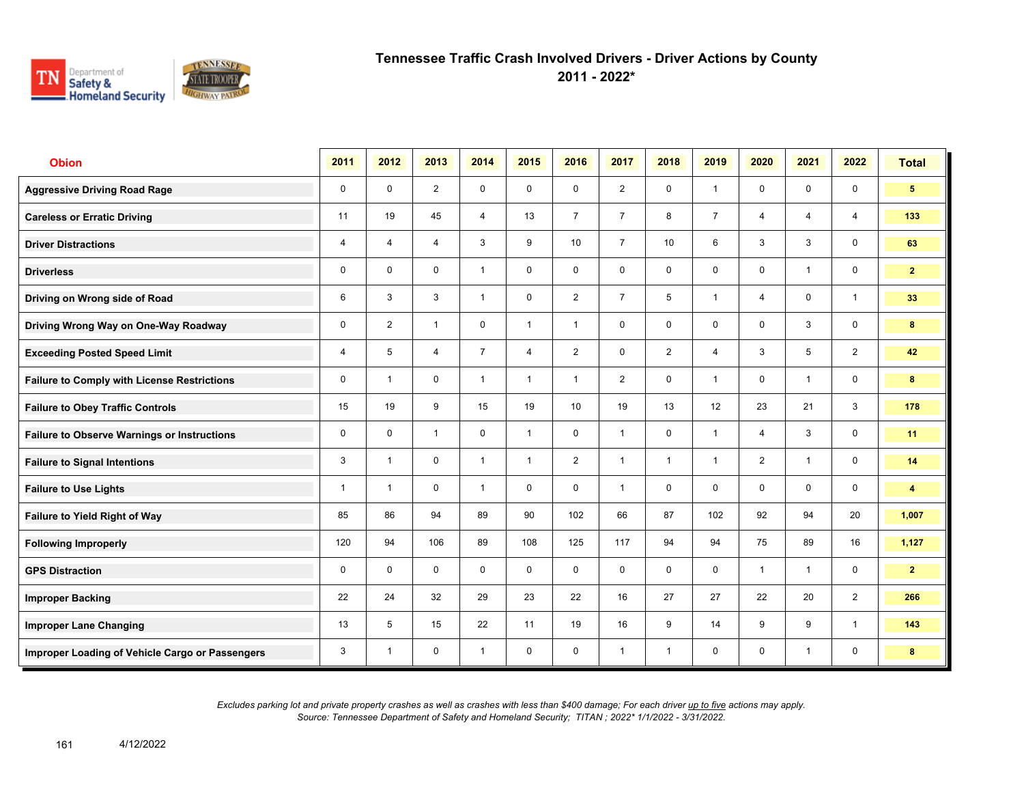

**2011 - 2022\***

| <b>Obion</b>                                       | 2011        | 2012           | 2013           | 2014           | 2015           | 2016           | 2017           | 2018            | 2019           | 2020           | 2021         | 2022                    | <b>Total</b>            |
|----------------------------------------------------|-------------|----------------|----------------|----------------|----------------|----------------|----------------|-----------------|----------------|----------------|--------------|-------------------------|-------------------------|
| <b>Aggressive Driving Road Rage</b>                | $\mathbf 0$ | $\mathbf 0$    | $\overline{2}$ | $\mathbf 0$    | $\mathbf 0$    | $\mathbf 0$    | 2              | $\mathbf 0$     | $\mathbf{1}$   | $\mathbf 0$    | $\mathbf 0$  | $\mathbf 0$             | $5\phantom{.0}$         |
| <b>Careless or Erratic Driving</b>                 | 11          | 19             | 45             | $\overline{4}$ | 13             | $\overline{7}$ | $\overline{7}$ | 8               | $\overline{7}$ | $\overline{4}$ | 4            | 4                       | 133                     |
| <b>Driver Distractions</b>                         | 4           | $\overline{4}$ | $\overline{4}$ | 3              | 9              | 10             | $\overline{7}$ | 10 <sup>1</sup> | 6              | 3              | 3            | $\mathbf 0$             | 63                      |
| <b>Driverless</b>                                  | 0           | $\mathbf 0$    | $\mathsf{O}$   | $\mathbf{1}$   | 0              | 0              | $\mathbf 0$    | $\mathbf 0$     | 0              | 0              | $\mathbf{1}$ | $\mathsf{O}$            | 2 <sup>1</sup>          |
| Driving on Wrong side of Road                      | 6           | 3              | 3              | $\mathbf{1}$   | $\mathbf 0$    | $\overline{2}$ | $\overline{7}$ | 5               | 1              | $\overline{4}$ | $\mathbf 0$  | $\overline{1}$          | 33                      |
| Driving Wrong Way on One-Way Roadway               | $\mathbf 0$ | 2              | $\mathbf{1}$   | $\mathbf 0$    | $\mathbf{1}$   | $\overline{1}$ | $\mathbf 0$    | $\mathbf 0$     | 0              | $\mathbf 0$    | 3            | $\mathbf 0$             | 8                       |
| <b>Exceeding Posted Speed Limit</b>                | 4           | 5              | $\overline{4}$ | $\overline{7}$ | $\overline{4}$ | 2              | $\mathbf 0$    | $\overline{2}$  | $\overline{4}$ | 3              | 5            | $\overline{2}$          | 42                      |
| <b>Failure to Comply with License Restrictions</b> | 0           | $\overline{1}$ | $\mathbf 0$    | $\mathbf{1}$   | $\mathbf{1}$   | $\overline{1}$ | 2              | $\mathbf 0$     | 1              | $\mathbf 0$    | $\mathbf{1}$ | $\mathbf 0$             | 8                       |
| <b>Failure to Obey Traffic Controls</b>            | 15          | 19             | 9              | 15             | 19             | 10             | 19             | 13              | 12             | 23             | 21           | 3                       | 178                     |
| <b>Failure to Observe Warnings or Instructions</b> | 0           | $\mathbf 0$    | $\mathbf{1}$   | $\mathbf 0$    | $\mathbf{1}$   | $\mathbf 0$    | $\mathbf{1}$   | $\mathbf 0$     | $\mathbf{1}$   | $\overline{4}$ | 3            | $\mathbf 0$             | 11                      |
| <b>Failure to Signal Intentions</b>                | 3           | $\overline{1}$ | $\Omega$       | $\mathbf{1}$   | $\mathbf{1}$   | 2              | $\mathbf{1}$   | $\mathbf{1}$    | $\mathbf{1}$   | 2              | $\mathbf{1}$ | $\mathsf{O}\phantom{0}$ | 14                      |
| <b>Failure to Use Lights</b>                       | 1           | $\overline{1}$ | $\mathbf 0$    | $\mathbf{1}$   | $\mathbf 0$    | $\mathbf 0$    | $\mathbf{1}$   | $\mathbf 0$     | $\mathbf 0$    | $\mathbf 0$    | $\mathbf 0$  | $\mathbf 0$             | $\overline{\mathbf{4}}$ |
| Failure to Yield Right of Way                      | 85          | 86             | 94             | 89             | 90             | 102            | 66             | 87              | 102            | 92             | 94           | 20                      | 1,007                   |
| <b>Following Improperly</b>                        | 120         | 94             | 106            | 89             | 108            | 125            | 117            | 94              | 94             | 75             | 89           | 16                      | 1,127                   |
| <b>GPS Distraction</b>                             | 0           | $\mathbf 0$    | $\mathbf 0$    | $\mathbf 0$    | $\mathbf 0$    | $\mathbf 0$    | $\mathbf 0$    | $\mathbf 0$     | $\mathbf 0$    | $\overline{1}$ | $\mathbf{1}$ | $\mathbf 0$             | $\overline{2}$          |
| <b>Improper Backing</b>                            | 22          | 24             | 32             | 29             | 23             | 22             | 16             | 27              | 27             | 22             | 20           | 2                       | 266                     |
| <b>Improper Lane Changing</b>                      | 13          | 5              | 15             | 22             | 11             | 19             | 16             | 9               | 14             | 9              | 9            | $\mathbf{1}$            | 143                     |
| Improper Loading of Vehicle Cargo or Passengers    | 3           | $\overline{1}$ | $\mathbf 0$    | $\mathbf{1}$   | $\mathbf 0$    | $\mathbf 0$    | $\mathbf{1}$   | $\mathbf{1}$    | 0              | $\mathbf 0$    | $\mathbf{1}$ | 0                       | 8                       |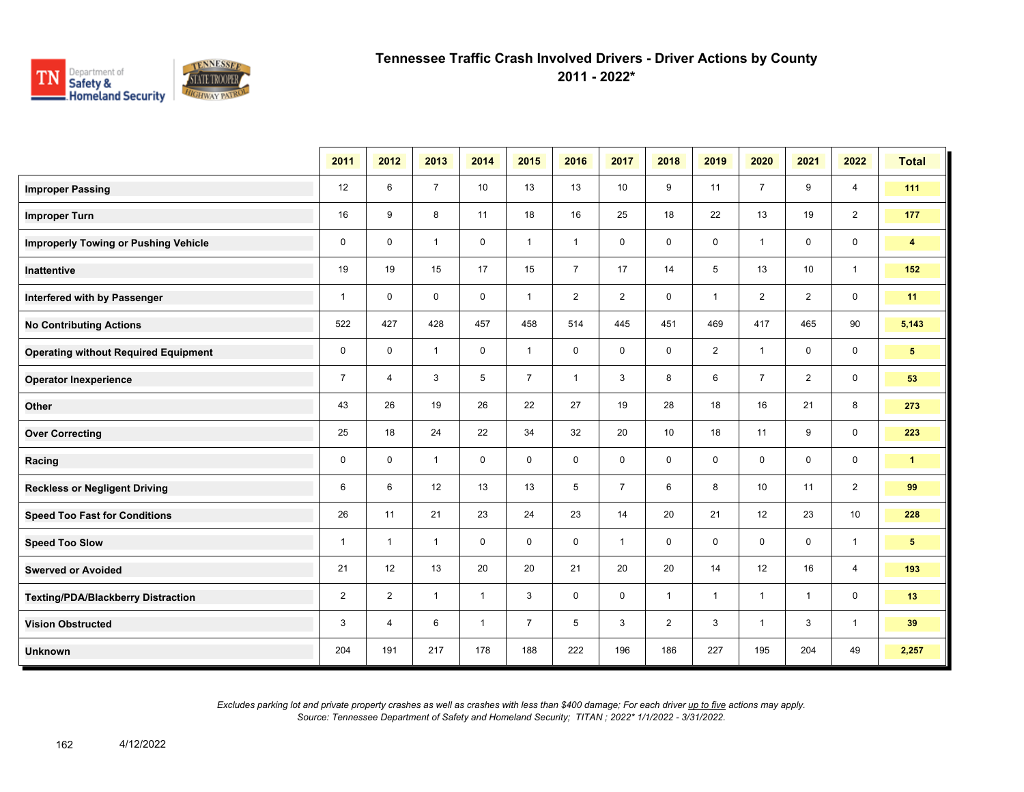

**2011 - 2022\***

|                                             | 2011           | 2012           | 2013           | 2014         | 2015           | 2016           | 2017           | 2018           | 2019           | 2020           | 2021           | 2022           | <b>Total</b>         |
|---------------------------------------------|----------------|----------------|----------------|--------------|----------------|----------------|----------------|----------------|----------------|----------------|----------------|----------------|----------------------|
| <b>Improper Passing</b>                     | 12             | 6              | $\overline{7}$ | 10           | 13             | 13             | 10             | 9              | 11             | $\overline{7}$ | 9              | $\overline{4}$ | 111                  |
| <b>Improper Turn</b>                        | 16             | 9              | 8              | 11           | 18             | 16             | 25             | 18             | 22             | 13             | 19             | $\overline{2}$ | 177                  |
| <b>Improperly Towing or Pushing Vehicle</b> | $\mathbf 0$    | $\mathbf 0$    | $\mathbf{1}$   | $\mathbf 0$  | $\mathbf{1}$   | $\mathbf{1}$   | 0              | $\mathbf 0$    | 0              | $\overline{1}$ | 0              | 0              | $\blacktriangleleft$ |
| <b>Inattentive</b>                          | 19             | 19             | 15             | 17           | 15             | $\overline{7}$ | 17             | 14             | 5              | 13             | 10             | $\mathbf{1}$   | 152                  |
| Interfered with by Passenger                | $\mathbf{1}$   | $\mathbf 0$    | $\mathbf 0$    | $\mathbf 0$  | $\mathbf{1}$   | $\overline{2}$ | 2              | 0              | $\mathbf{1}$   | $\overline{2}$ | $\overline{2}$ | $\mathbf 0$    | 11                   |
| <b>No Contributing Actions</b>              | 522            | 427            | 428            | 457          | 458            | 514            | 445            | 451            | 469            | 417            | 465            | 90             | 5,143                |
| <b>Operating without Required Equipment</b> | $\mathbf 0$    | $\mathbf 0$    | $\mathbf{1}$   | $\mathbf 0$  | $\mathbf{1}$   | $\mathbf 0$    | $\mathbf 0$    | $\mathbf 0$    | $\overline{2}$ | $\mathbf{1}$   | $\mathbf 0$    | $\mathbf 0$    | 5 <sup>5</sup>       |
| <b>Operator Inexperience</b>                | $\overline{7}$ | $\overline{4}$ | 3              | 5            | $\overline{7}$ | $\overline{1}$ | 3              | 8              | 6              | $\overline{7}$ | $\overline{2}$ | 0              | 53                   |
| Other                                       | 43             | 26             | 19             | 26           | 22             | 27             | 19             | 28             | 18             | 16             | 21             | 8              | 273                  |
| <b>Over Correcting</b>                      | 25             | 18             | 24             | 22           | 34             | 32             | 20             | 10             | 18             | 11             | 9              | 0              | 223                  |
| Racing                                      | $\mathbf 0$    | $\mathbf 0$    | $\mathbf{1}$   | $\mathbf 0$  | $\mathbf 0$    | $\mathbf 0$    | $\mathbf 0$    | $\mathbf 0$    | $\mathbf 0$    | $\mathbf 0$    | $\mathbf 0$    | $\mathbf 0$    | $\mathbf{1}$         |
| <b>Reckless or Negligent Driving</b>        | 6              | 6              | 12             | 13           | 13             | 5              | $\overline{7}$ | 6              | 8              | 10             | 11             | $\overline{2}$ | 99                   |
| <b>Speed Too Fast for Conditions</b>        | 26             | 11             | 21             | 23           | 24             | 23             | 14             | 20             | 21             | 12             | 23             | 10             | 228                  |
| <b>Speed Too Slow</b>                       | $\mathbf{1}$   | $\mathbf{1}$   | $\mathbf{1}$   | $\mathbf 0$  | $\mathbf 0$    | $\mathbf 0$    | $\mathbf{1}$   | $\mathbf 0$    | 0              | $\mathbf 0$    | 0              | $\overline{1}$ | 5 <sup>5</sup>       |
| <b>Swerved or Avoided</b>                   | 21             | 12             | 13             | 20           | 20             | 21             | 20             | 20             | 14             | 12             | 16             | $\overline{4}$ | 193                  |
| <b>Texting/PDA/Blackberry Distraction</b>   | $\overline{2}$ | $\overline{2}$ | $\mathbf{1}$   | $\mathbf{1}$ | 3              | 0              | 0              | $\mathbf{1}$   | $\mathbf{1}$   | $\overline{1}$ | $\mathbf{1}$   | 0              | 13                   |
| <b>Vision Obstructed</b>                    | 3              | 4              | 6              | $\mathbf{1}$ | $\overline{7}$ | 5              | 3              | $\overline{2}$ | 3              | $\mathbf 1$    | 3              | $\overline{1}$ | 39                   |
| <b>Unknown</b>                              | 204            | 191            | 217            | 178          | 188            | 222            | 196            | 186            | 227            | 195            | 204            | 49             | 2,257                |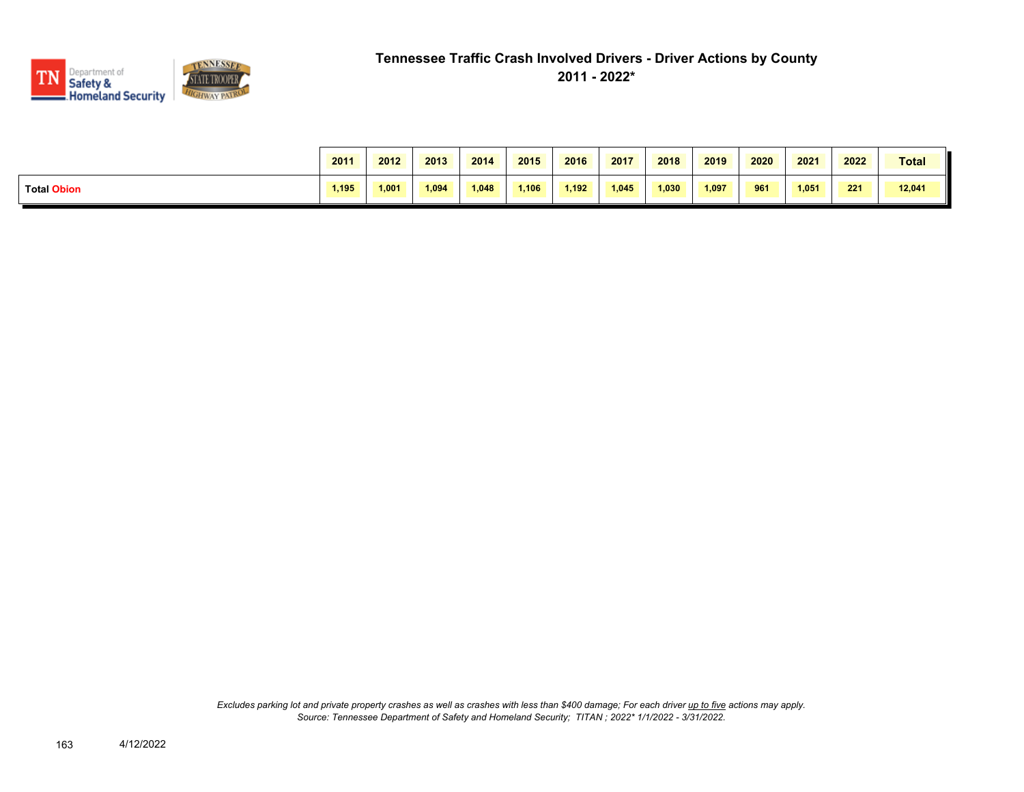

|                    | 2011  | 2012  | 2013  | 2014  | 2015  | 2016  | 2017  | 2018  | 2019  | 2020 | 2021  | 2022 | Total  |
|--------------------|-------|-------|-------|-------|-------|-------|-------|-------|-------|------|-------|------|--------|
| <b>Total Obion</b> | 1.195 | 1.001 | 1.094 | 1.048 | 1.106 | 1.192 | 1.045 | 1.030 | 1,097 | 961  | 1,051 | 221  | 12,041 |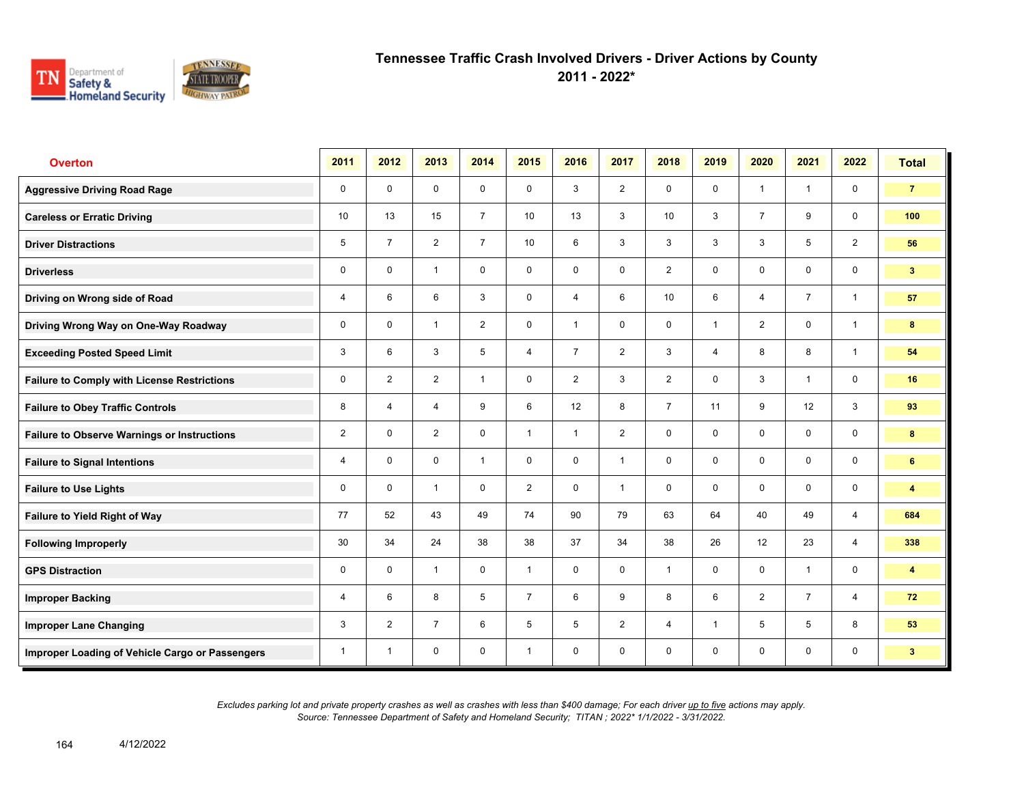

**2011 - 2022\***

| <b>Overton</b>                                     | 2011           | 2012           | 2013           | 2014           | 2015           | 2016           | 2017           | 2018            | 2019         | 2020           | 2021           | 2022                    | <b>Total</b>            |
|----------------------------------------------------|----------------|----------------|----------------|----------------|----------------|----------------|----------------|-----------------|--------------|----------------|----------------|-------------------------|-------------------------|
| <b>Aggressive Driving Road Rage</b>                | $\mathbf 0$    | $\mathbf 0$    | $\mathbf 0$    | $\mathbf 0$    | $\mathbf 0$    | 3              | 2              | $\mathbf 0$     | $\mathbf 0$  | $\overline{1}$ | $\mathbf{1}$   | $\mathbf 0$             | $\overline{7}$          |
| <b>Careless or Erratic Driving</b>                 | 10             | 13             | 15             | $\overline{7}$ | 10             | 13             | 3              | 10 <sup>°</sup> | 3            | $\overline{7}$ | 9              | $\mathbf 0$             | 100                     |
| <b>Driver Distractions</b>                         | 5              | $\overline{7}$ | 2              | $\overline{7}$ | 10             | 6              | 3              | 3               | 3            | 3              | 5              | 2                       | 56                      |
| <b>Driverless</b>                                  | 0              | $\mathbf 0$    | $\overline{1}$ | $\mathbf 0$    | $\mathbf 0$    | $\mathbf 0$    | $\mathbf 0$    | $\overline{2}$  | 0            | $\mathbf 0$    | $\mathbf 0$    | $\mathbf 0$             | 3 <sup>2</sup>          |
| Driving on Wrong side of Road                      | 4              | 6              | 6              | 3              | $\mathbf 0$    | $\overline{4}$ | $6\phantom{1}$ | 10 <sup>1</sup> | 6            | $\overline{4}$ | $\overline{7}$ | $\overline{1}$          | 57                      |
| Driving Wrong Way on One-Way Roadway               | $\mathbf 0$    | $\mathbf 0$    | $\mathbf{1}$   | $\overline{2}$ | 0              | $\mathbf{1}$   | $\mathbf 0$    | $\mathbf 0$     | $\mathbf{1}$ | $\overline{2}$ | $\mathbf 0$    | $\overline{1}$          | 8                       |
| <b>Exceeding Posted Speed Limit</b>                | 3              | 6              | 3              | 5              | 4              | $\overline{7}$ | 2              | $\mathbf{3}$    | 4            | 8              | 8              | $\mathbf{1}$            | 54                      |
| <b>Failure to Comply with License Restrictions</b> | $\mathbf 0$    | $\overline{2}$ | $\overline{2}$ | $\mathbf{1}$   | $\mathbf 0$    | 2              | 3              | $\overline{2}$  | $\mathbf 0$  | 3              | $\mathbf{1}$   | $\mathbf 0$             | 16                      |
| <b>Failure to Obey Traffic Controls</b>            | 8              | $\overline{4}$ | $\overline{4}$ | 9              | 6              | 12             | 8              | $\overline{7}$  | 11           | 9              | 12             | $\mathbf{3}$            | 93                      |
| <b>Failure to Observe Warnings or Instructions</b> | $\overline{2}$ | $\Omega$       | $\overline{2}$ | $\mathbf 0$    | $\mathbf{1}$   | $\overline{1}$ | 2              | $\mathbf 0$     | 0            | $\mathbf 0$    | $\mathbf 0$    | $\mathbf 0$             | 8                       |
| <b>Failure to Signal Intentions</b>                | 4              | $\mathbf 0$    | $\mathbf 0$    | $\overline{1}$ | 0              | $\mathbf 0$    | $\mathbf{1}$   | $\mathbf 0$     | 0            | $\mathbf 0$    | $\mathbf 0$    | $\mathbf 0$             | 6                       |
| <b>Failure to Use Lights</b>                       | $\mathbf 0$    | $\Omega$       | $\mathbf{1}$   | $\mathbf 0$    | $\overline{2}$ | $\mathbf 0$    | $\mathbf{1}$   | $\mathbf 0$     | $\mathbf 0$  | $\mathbf 0$    | $\mathbf 0$    | $\mathsf{O}\phantom{0}$ | $\overline{\mathbf{4}}$ |
| Failure to Yield Right of Way                      | 77             | 52             | 43             | 49             | 74             | 90             | 79             | 63              | 64           | 40             | 49             | $\overline{4}$          | 684                     |
| <b>Following Improperly</b>                        | 30             | 34             | 24             | 38             | 38             | 37             | 34             | 38              | 26           | 12             | 23             | $\overline{4}$          | 338                     |
| <b>GPS Distraction</b>                             | 0              | $\Omega$       | $\mathbf{1}$   | $\mathbf 0$    | $\mathbf{1}$   | $\mathbf 0$    | $\mathbf 0$    | $\mathbf{1}$    | $\mathbf 0$  | $\mathbf 0$    | $\mathbf{1}$   | $\mathbf 0$             | 4                       |
| <b>Improper Backing</b>                            | 4              | 6              | 8              | 5              | $\overline{7}$ | 6              | 9              | 8               | 6            | 2              | $\overline{7}$ | 4                       | 72                      |
| <b>Improper Lane Changing</b>                      | 3              | 2              | $\overline{7}$ | 6              | 5              | 5              | 2              | $\overline{4}$  | $\mathbf{1}$ | 5              | 5              | 8                       | 53                      |
| Improper Loading of Vehicle Cargo or Passengers    | 1              | $\overline{1}$ | $\mathbf 0$    | $\mathbf 0$    | $\mathbf{1}$   | $\mathbf 0$    | $\mathbf 0$    | $\mathbf 0$     | 0            | $\mathbf 0$    | 0              | 0                       | 3 <sup>1</sup>          |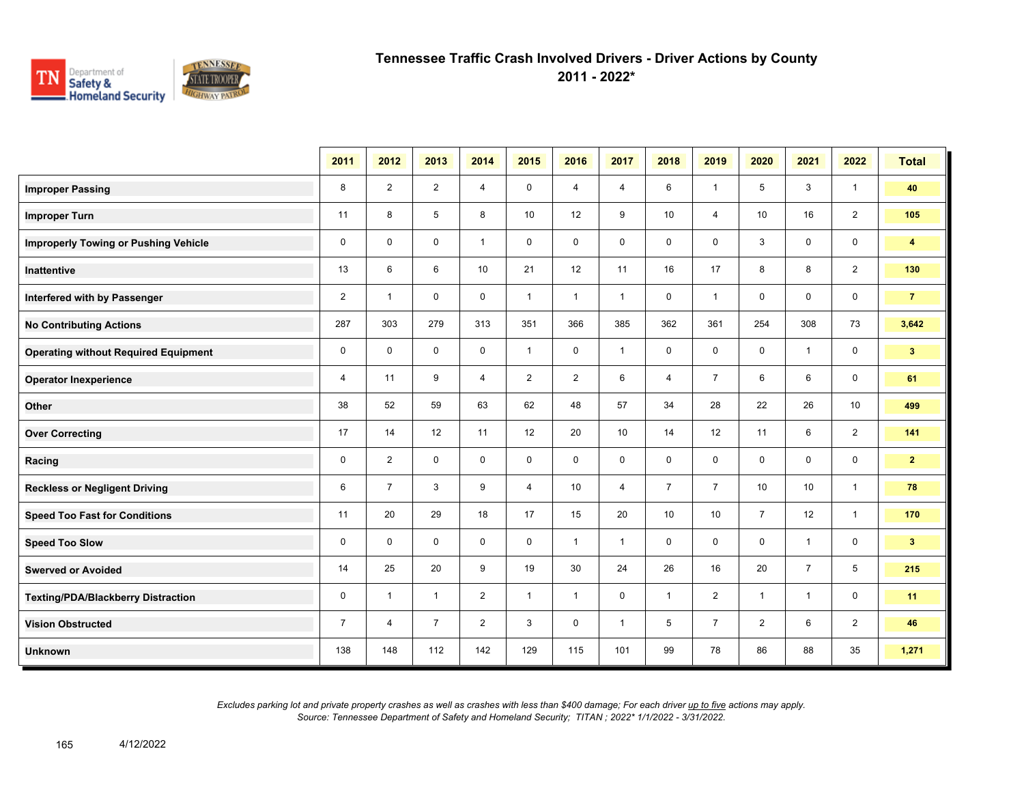

**2011 - 2022\***

|                                             | 2011           | 2012           | 2013           | 2014           | 2015           | 2016           | 2017           | 2018           | 2019           | 2020           | 2021           | 2022           | <b>Total</b>   |
|---------------------------------------------|----------------|----------------|----------------|----------------|----------------|----------------|----------------|----------------|----------------|----------------|----------------|----------------|----------------|
| <b>Improper Passing</b>                     | 8              | $\overline{2}$ | $\overline{2}$ | $\overline{4}$ | $\mathbf 0$    | 4              | 4              | 6              | $\mathbf{1}$   | 5              | 3              | $\mathbf{1}$   | 40             |
| <b>Improper Turn</b>                        | 11             | 8              | 5              | 8              | 10             | 12             | 9              | 10             | $\overline{4}$ | 10             | 16             | $\overline{2}$ | 105            |
| <b>Improperly Towing or Pushing Vehicle</b> | $\mathbf 0$    | $\mathbf{0}$   | $\mathbf 0$    | $\overline{1}$ | $\mathbf 0$    | $\mathbf 0$    | $\mathbf 0$    | 0              | 0              | 3              | $\mathbf 0$    | $\mathbf 0$    | $\overline{4}$ |
| Inattentive                                 | 13             | 6              | 6              | 10             | 21             | 12             | 11             | 16             | 17             | 8              | 8              | $\overline{2}$ | 130            |
| Interfered with by Passenger                | $\overline{2}$ | $\mathbf{1}$   | $\mathbf 0$    | $\mathbf 0$    | $\mathbf{1}$   | $\mathbf{1}$   | $\mathbf{1}$   | 0              | $\mathbf{1}$   | $\mathbf 0$    | $\mathbf 0$    | $\mathbf 0$    | $\overline{7}$ |
| <b>No Contributing Actions</b>              | 287            | 303            | 279            | 313            | 351            | 366            | 385            | 362            | 361            | 254            | 308            | 73             | 3,642          |
| <b>Operating without Required Equipment</b> | $\mathbf 0$    | $\mathbf 0$    | 0              | $\mathbf 0$    | $\mathbf{1}$   | 0              | $\mathbf{1}$   | 0              | 0              | 0              | $\overline{1}$ | $\mathbf 0$    | 3 <sup>2</sup> |
| <b>Operator Inexperience</b>                | 4              | 11             | 9              | $\overline{4}$ | $\overline{2}$ | $\overline{2}$ | 6              | $\overline{4}$ | $\overline{7}$ | 6              | 6              | $\mathbf 0$    | 61             |
| Other                                       | 38             | 52             | 59             | 63             | 62             | 48             | 57             | 34             | 28             | 22             | 26             | 10             | 499            |
| <b>Over Correcting</b>                      | 17             | 14             | 12             | 11             | 12             | 20             | 10             | 14             | 12             | 11             | 6              | 2              | 141            |
| Racing                                      | $\mathbf 0$    | $\overline{2}$ | $\mathbf 0$    | $\mathbf 0$    | $\mathbf 0$    | $\mathbf 0$    | $\mathbf 0$    | 0              | 0              | $\mathbf 0$    | $\mathbf 0$    | $\mathbf 0$    | 2 <sub>2</sub> |
| <b>Reckless or Negligent Driving</b>        | 6              | $\overline{7}$ | 3              | 9              | $\overline{4}$ | 10             | $\overline{4}$ | $\overline{7}$ | $\overline{7}$ | 10             | 10             | $\overline{1}$ | 78             |
| <b>Speed Too Fast for Conditions</b>        | 11             | 20             | 29             | 18             | 17             | 15             | 20             | 10             | 10             | $\overline{7}$ | 12             | $\mathbf{1}$   | 170            |
| <b>Speed Too Slow</b>                       | $\mathbf 0$    | $\mathbf 0$    | $\mathbf 0$    | $\mathbf 0$    | $\mathbf 0$    | $\mathbf{1}$   | $\mathbf{1}$   | $\mathbf 0$    | 0              | $\mathbf 0$    | $\overline{1}$ | $\mathbf 0$    | 3 <sup>7</sup> |
| <b>Swerved or Avoided</b>                   | 14             | 25             | 20             | 9              | 19             | 30             | 24             | 26             | 16             | 20             | $\overline{7}$ | 5              | 215            |
| <b>Texting/PDA/Blackberry Distraction</b>   | 0              | $\overline{1}$ | $\mathbf{1}$   | $\overline{2}$ | $\mathbf{1}$   | $\mathbf{1}$   | 0              | $\mathbf{1}$   | $\overline{2}$ | $\overline{1}$ | $\mathbf{1}$   | $\mathbf 0$    | 11             |
| <b>Vision Obstructed</b>                    | $\overline{7}$ | 4              | $\overline{7}$ | $\overline{2}$ | 3              | $\mathbf 0$    | $\mathbf{1}$   | 5              | $\overline{7}$ | $\overline{2}$ | 6              | $\overline{2}$ | 46             |
| <b>Unknown</b>                              | 138            | 148            | 112            | 142            | 129            | 115            | 101            | 99             | 78             | 86             | 88             | 35             | 1,271          |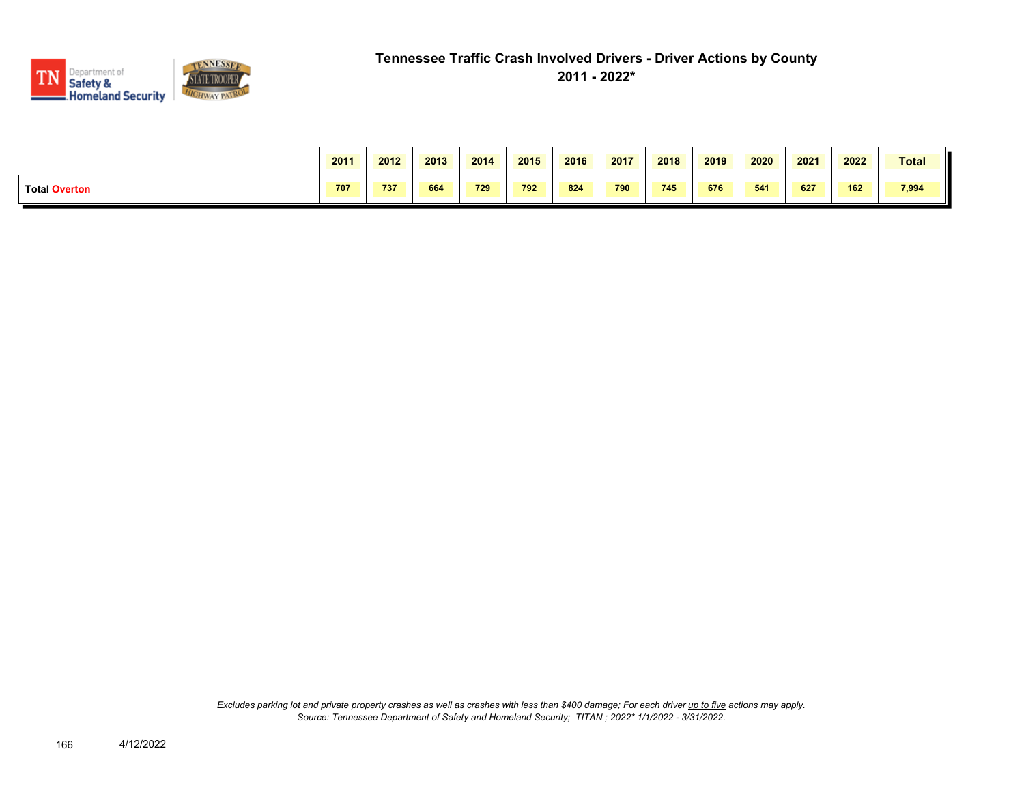

|                      | 2011 | 2012 | 2013 | 2014 | 2015 | 2016 | 2017 | 2018 | 2019 | 2020 | 2021 | 2022 | Total |
|----------------------|------|------|------|------|------|------|------|------|------|------|------|------|-------|
| <b>Total Overton</b> | 707  | 737  | 664  | 729  | 792  | 824  | 790  | 745  | 676  | 541  | 627  | 162  | 7,994 |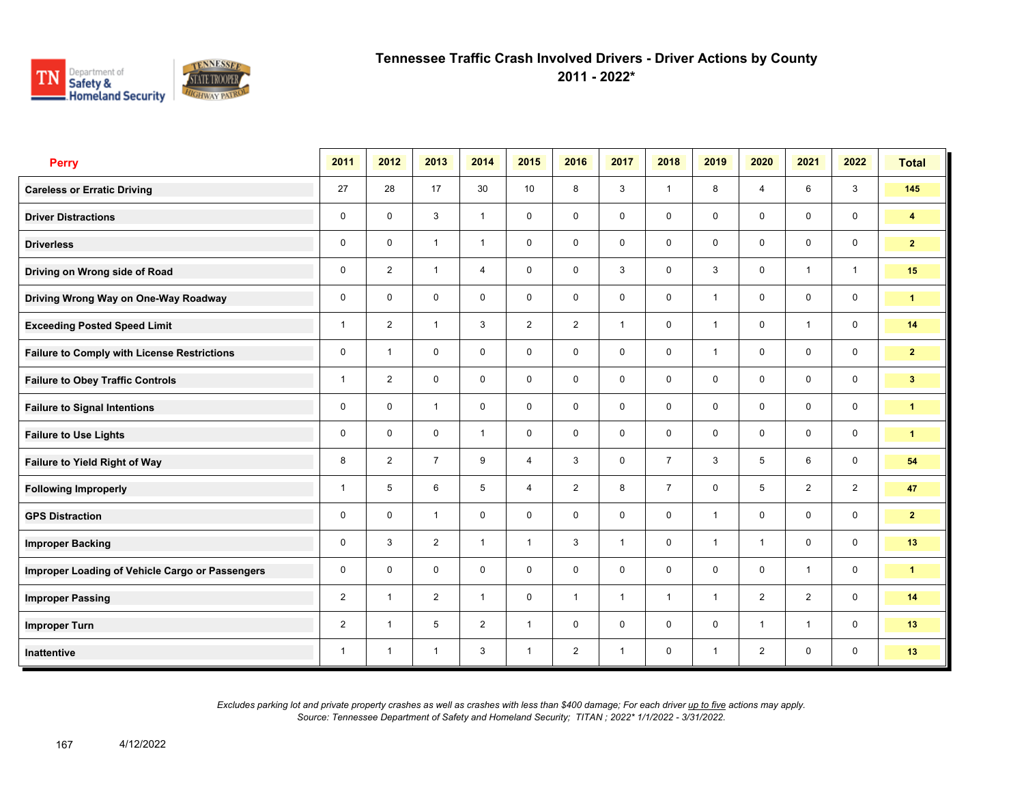

**2011 - 2022\***

| <b>Perry</b>                                       | 2011           | 2012           | 2013           | 2014           | 2015           | 2016           | 2017         | 2018           | 2019         | 2020           | 2021           | 2022           | <b>Total</b>         |
|----------------------------------------------------|----------------|----------------|----------------|----------------|----------------|----------------|--------------|----------------|--------------|----------------|----------------|----------------|----------------------|
| <b>Careless or Erratic Driving</b>                 | 27             | 28             | 17             | 30             | 10             | 8              | 3            | $\mathbf{1}$   | 8            | $\overline{4}$ | 6              | $\mathbf{3}$   | 145                  |
| <b>Driver Distractions</b>                         | $\mathbf 0$    | $\mathbf 0$    | 3              | $\mathbf{1}$   | $\mathbf 0$    | $\mathbf 0$    | $\mathbf 0$  | $\mathbf 0$    | $\mathbf 0$  | $\mathbf 0$    | $\mathbf 0$    | $\mathbf 0$    | $\overline{4}$       |
| <b>Driverless</b>                                  | $\mathbf 0$    | $\Omega$       | $\mathbf{1}$   | $\mathbf{1}$   | $\mathbf 0$    | $\mathbf 0$    | $\mathbf 0$  | $\mathbf 0$    | 0            | $\mathbf 0$    | $\mathbf 0$    | $\mathbf 0$    | $\overline{2}$       |
| Driving on Wrong side of Road                      | 0              | $\overline{2}$ | $\overline{1}$ | $\overline{4}$ | $\mathbf 0$    | $\mathbf 0$    | 3            | $\mathbf 0$    | 3            | $\mathbf 0$    | $\mathbf{1}$   | $\mathbf{1}$   | 15                   |
| Driving Wrong Way on One-Way Roadway               | 0              | $\mathbf 0$    | $\mathbf 0$    | $\mathbf 0$    | $\mathbf 0$    | $\mathbf 0$    | $\mathbf 0$  | $\mathbf 0$    | $\mathbf{1}$ | $\mathbf 0$    | $\mathbf 0$    | $\mathbf 0$    | $\blacktriangleleft$ |
| <b>Exceeding Posted Speed Limit</b>                | 1              | $\overline{2}$ | $\mathbf{1}$   | 3              | $\overline{2}$ | 2              | $\mathbf{1}$ | $\mathbf 0$    | $\mathbf{1}$ | $\mathbf 0$    | $\mathbf{1}$   | $\mathbf 0$    | 14                   |
| <b>Failure to Comply with License Restrictions</b> | $\mathbf 0$    | $\overline{1}$ | $\mathbf 0$    | $\mathbf 0$    | $\mathbf 0$    | $\mathbf 0$    | $\mathbf 0$  | $\mathbf 0$    | 1            | $\mathbf 0$    | $\mathbf 0$    | $\mathbf 0$    | $\overline{2}$       |
| <b>Failure to Obey Traffic Controls</b>            | $\mathbf{1}$   | 2              | $\mathbf 0$    | $\mathbf 0$    | $\mathbf 0$    | $\mathbf 0$    | $\mathbf 0$  | $\mathbf 0$    | $\mathbf 0$  | $\mathbf 0$    | $\mathbf 0$    | $\mathbf 0$    | 3 <sup>1</sup>       |
| <b>Failure to Signal Intentions</b>                | 0              | $\mathbf 0$    | $\mathbf{1}$   | $\mathbf 0$    | $\mathbf 0$    | $\mathbf 0$    | $\mathbf 0$  | $\mathbf 0$    | $\mathbf 0$  | $\mathbf 0$    | $\mathbf 0$    | $\mathbf 0$    | $\mathbf{1}$         |
| <b>Failure to Use Lights</b>                       | $\mathbf 0$    | $\mathbf 0$    | $\mathbf 0$    | $\mathbf{1}$   | $\mathbf 0$    | $\mathbf 0$    | $\mathbf 0$  | $\mathbf 0$    | $\mathsf{O}$ | $\mathbf 0$    | $\mathbf 0$    | $\mathbf 0$    | $\blacktriangleleft$ |
| Failure to Yield Right of Way                      | 8              | $\overline{2}$ | $\overline{7}$ | 9              | 4              | 3              | $\mathbf 0$  | $\overline{7}$ | 3            | 5              | 6              | $\mathbf 0$    | 54                   |
| <b>Following Improperly</b>                        | 1              | 5              | 6              | 5              | $\overline{4}$ | $\overline{2}$ | 8            | $\overline{7}$ | $\mathbf 0$  | 5              | $\overline{2}$ | $\overline{2}$ | 47                   |
| <b>GPS Distraction</b>                             | 0              | $\mathbf 0$    | $\mathbf{1}$   | $\mathbf 0$    | $\mathbf 0$    | $\mathbf 0$    | $\mathbf 0$  | $\mathbf 0$    | $\mathbf{1}$ | $\mathbf 0$    | $\mathbf 0$    | $\mathbf 0$    | $\overline{2}$       |
| <b>Improper Backing</b>                            | 0              | 3              | 2              | $\mathbf{1}$   | $\mathbf{1}$   | 3              | $\mathbf{1}$ | $\mathbf 0$    | $\mathbf{1}$ | $\overline{1}$ | $\mathbf 0$    | $\mathbf 0$    | 13                   |
| Improper Loading of Vehicle Cargo or Passengers    | $\mathbf 0$    | $\Omega$       | $\Omega$       | $\mathbf 0$    | $\mathbf 0$    | $\mathbf 0$    | $\mathbf 0$  | $\mathbf 0$    | $\mathbf 0$  | $\mathbf 0$    | $\mathbf{1}$   | $\mathbf 0$    | $\mathbf{1}$         |
| <b>Improper Passing</b>                            | $\overline{2}$ | $\overline{1}$ | 2              | $\mathbf{1}$   | $\mathbf 0$    | $\mathbf{1}$   | $\mathbf{1}$ | $\mathbf{1}$   | $\mathbf{1}$ | 2              | 2              | $\mathbf 0$    | 14                   |
| <b>Improper Turn</b>                               | $\overline{2}$ | $\overline{1}$ | 5              | $\overline{2}$ | $\mathbf{1}$   | $\mathbf 0$    | $\mathbf 0$  | $\mathbf 0$    | 0            | $\overline{1}$ | $\mathbf{1}$   | $\mathbf 0$    | 13                   |
| Inattentive                                        | 1              | $\overline{1}$ | $\mathbf{1}$   | 3              | $\mathbf{1}$   | $\overline{2}$ | $\mathbf{1}$ | $\mathbf 0$    | $\mathbf{1}$ | $\overline{2}$ | 0              | $\mathbf 0$    | 13                   |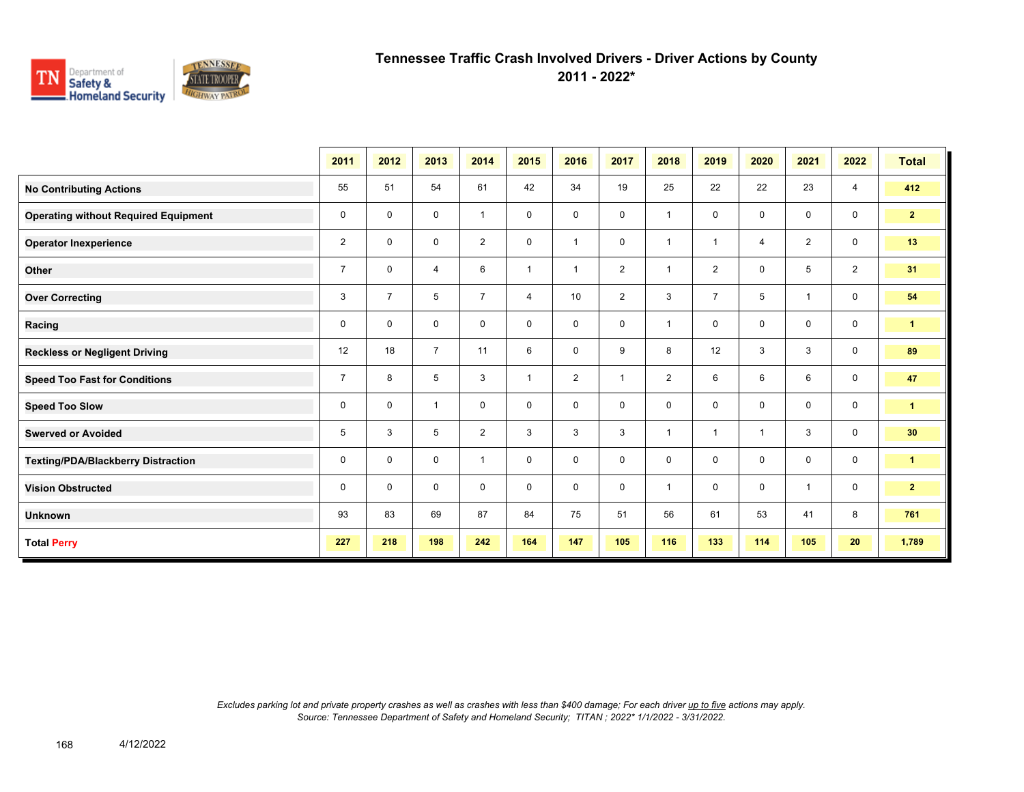

**2011 - 2022\***

|                                             | 2011           | 2012           | 2013           | 2014           | 2015           | 2016           | 2017           | 2018           | 2019           | 2020           | 2021           | 2022           | <b>Total</b>         |
|---------------------------------------------|----------------|----------------|----------------|----------------|----------------|----------------|----------------|----------------|----------------|----------------|----------------|----------------|----------------------|
| <b>No Contributing Actions</b>              | 55             | 51             | 54             | 61             | 42             | 34             | 19             | 25             | 22             | 22             | 23             | $\overline{4}$ | 412                  |
| <b>Operating without Required Equipment</b> | 0              | $\mathbf 0$    | 0              | $\mathbf{1}$   | 0              | $\mathbf 0$    | $\mathbf 0$    | $\mathbf{1}$   | $\mathbf 0$    | $\mathbf 0$    | $\mathbf 0$    | $\mathbf 0$    | $\overline{2}$       |
| <b>Operator Inexperience</b>                | $\overline{2}$ | $\mathbf 0$    | 0              | $\overline{2}$ | 0              | $\overline{1}$ | $\mathbf 0$    | $\overline{1}$ | 1              | $\overline{4}$ | 2              | $\mathbf 0$    | 13                   |
| Other                                       | $\overline{7}$ | $\mathbf 0$    | 4              | 6              | $\overline{1}$ | $\overline{1}$ | $\overline{2}$ | $\mathbf{1}$   | $\overline{2}$ | $\mathbf 0$    | 5              | $\overline{2}$ | 31                   |
| <b>Over Correcting</b>                      | 3              | $\overline{7}$ | 5              | $\overline{7}$ | $\overline{4}$ | 10             | $\overline{2}$ | 3              | $\overline{7}$ | 5              | $\overline{1}$ | 0              | 54                   |
| Racing                                      | 0              | $\mathbf 0$    | $\mathbf 0$    | $\mathbf 0$    | 0              | $\mathbf 0$    | $\mathbf 0$    | $\mathbf{1}$   | 0              | $\mathbf 0$    | $\mathbf 0$    | $\mathbf 0$    | $\blacktriangleleft$ |
| <b>Reckless or Negligent Driving</b>        | 12             | 18             | $\overline{7}$ | 11             | 6              | 0              | 9              | 8              | 12             | 3              | 3              | $\mathbf 0$    | 89                   |
| <b>Speed Too Fast for Conditions</b>        | $\overline{7}$ | 8              | 5              | 3              | $\overline{1}$ | 2              | $\overline{1}$ | $\overline{2}$ | 6              | 6              | 6              | $\mathbf 0$    | 47                   |
| <b>Speed Too Slow</b>                       | 0              | 0              | $\mathbf{1}$   | $\mathbf 0$    | 0              | 0              | 0              | $\mathbf 0$    | 0              | $\mathbf 0$    | $\mathbf 0$    | 0              | $\blacktriangleleft$ |
| <b>Swerved or Avoided</b>                   | 5              | 3              | 5              | $\overline{2}$ | 3              | 3              | 3              | $\mathbf{1}$   | $\mathbf{1}$   | $\overline{1}$ | 3              | $\mathbf 0$    | 30                   |
| <b>Texting/PDA/Blackberry Distraction</b>   | 0              | 0              | $\mathbf 0$    | $\mathbf{1}$   | 0              | 0              | $\mathbf 0$    | $\mathbf 0$    | $\mathbf 0$    | $\mathbf 0$    | $\mathbf 0$    | $\mathbf 0$    | $\blacktriangleleft$ |
| <b>Vision Obstructed</b>                    | 0              | 0              | 0              | $\mathbf 0$    | 0              | 0              | $\mathbf 0$    | $\mathbf{1}$   | 0              | $\mathbf 0$    | $\overline{1}$ | $\mathbf 0$    | 2 <sub>2</sub>       |
| <b>Unknown</b>                              | 93             | 83             | 69             | 87             | 84             | 75             | 51             | 56             | 61             | 53             | 41             | 8              | 761                  |
| <b>Total Perry</b>                          | 227            | 218            | 198            | 242            | 164            | 147            | 105            | 116            | 133            | 114            | 105            | 20             | 1,789                |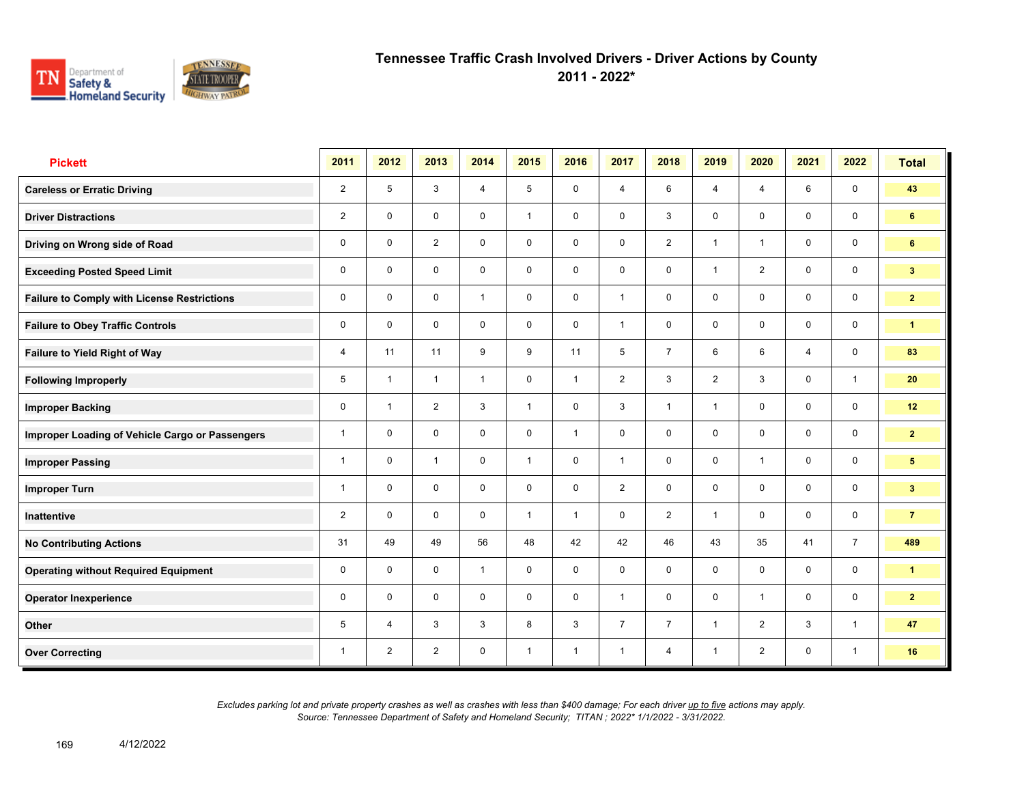

**2011 - 2022\***

| <b>Pickett</b>                                     | 2011           | 2012           | 2013           | 2014           | 2015         | 2016           | 2017           | 2018           | 2019           | 2020           | 2021           | 2022           | <b>Total</b>    |
|----------------------------------------------------|----------------|----------------|----------------|----------------|--------------|----------------|----------------|----------------|----------------|----------------|----------------|----------------|-----------------|
| <b>Careless or Erratic Driving</b>                 | $\overline{2}$ | 5              | $\mathbf{3}$   | $\overline{4}$ | 5            | $\mathbf 0$    | $\overline{4}$ | 6              | $\overline{4}$ | $\overline{4}$ | 6              | $\mathbf 0$    | 43              |
| <b>Driver Distractions</b>                         | $\overline{2}$ | $\mathbf 0$    | $\mathbf 0$    | $\mathbf 0$    | $\mathbf{1}$ | $\mathbf 0$    | $\mathbf 0$    | $\mathbf{3}$   | 0              | $\mathbf 0$    | $\mathbf 0$    | $\mathbf 0$    | 6               |
| Driving on Wrong side of Road                      | 0              | $\mathbf 0$    | 2              | $\mathbf 0$    | $\mathbf 0$  | $\mathbf 0$    | $\mathbf 0$    | $\overline{2}$ | $\mathbf{1}$   | $\overline{1}$ | $\mathbf 0$    | $\mathbf 0$    | 6               |
| <b>Exceeding Posted Speed Limit</b>                | 0              | $\mathbf 0$    | $\mathbf 0$    | $\mathbf 0$    | $\mathbf 0$  | $\mathbf 0$    | $\mathbf 0$    | $\mathbf 0$    | $\mathbf{1}$   | 2              | $\mathbf 0$    | $\mathsf{O}$   | 3 <sup>1</sup>  |
| <b>Failure to Comply with License Restrictions</b> | $\mathbf 0$    | $\mathbf 0$    | $\mathbf 0$    | $\mathbf{1}$   | 0            | $\mathbf 0$    | 1              | $\mathbf 0$    | 0              | $\mathbf 0$    | $\mathbf 0$    | $\mathbf 0$    | $\mathbf{2}$    |
| <b>Failure to Obey Traffic Controls</b>            | $\mathbf 0$    | $\mathbf 0$    | $\mathbf 0$    | $\mathbf 0$    | $\mathbf 0$  | $\mathbf 0$    | 1              | $\mathbf 0$    | 0              | $\mathbf 0$    | $\mathbf 0$    | $\mathbf 0$    | $\mathbf{1}$    |
| Failure to Yield Right of Way                      | 4              | 11             | 11             | 9              | 9            | 11             | 5              | $\overline{7}$ | 6              | 6              | $\overline{4}$ | $\mathbf 0$    | 83              |
| <b>Following Improperly</b>                        | 5              | $\overline{1}$ | $\mathbf{1}$   | $\mathbf{1}$   | 0            | $\overline{1}$ | 2              | $\mathbf{3}$   | $\overline{2}$ | 3              | $\mathbf 0$    | $\mathbf{1}$   | 20              |
| <b>Improper Backing</b>                            | 0              | $\overline{1}$ | 2              | $\mathbf{3}$   | $\mathbf{1}$ | $\mathbf 0$    | $\mathbf{3}$   | $\mathbf{1}$   | 1              | $\mathbf 0$    | $\mathbf 0$    | $\mathbf 0$    | 12              |
| Improper Loading of Vehicle Cargo or Passengers    | $\mathbf{1}$   | $\mathbf 0$    | $\mathbf 0$    | $\mathbf 0$    | $\mathbf 0$  | $\overline{1}$ | $\mathbf 0$    | $\mathbf 0$    | 0              | $\mathbf 0$    | $\mathbf 0$    | $\mathbf 0$    | $\overline{2}$  |
| <b>Improper Passing</b>                            | $\mathbf{1}$   | $\mathbf 0$    | $\mathbf{1}$   | $\mathbf 0$    | $\mathbf{1}$ | $\mathbf 0$    | $\mathbf{1}$   | $\mathbf 0$    | 0              | $\overline{1}$ | $\mathbf 0$    | $\mathbf 0$    | $5\phantom{.0}$ |
| <b>Improper Turn</b>                               | 1              | $\mathbf 0$    | $\mathbf 0$    | $\mathbf 0$    | $\mathbf 0$  | $\mathbf 0$    | $\overline{2}$ | $\mathbf 0$    | 0              | $\mathbf 0$    | $\mathbf 0$    | $\mathbf 0$    | $3\phantom{.0}$ |
| Inattentive                                        | $\overline{2}$ | $\mathbf 0$    | $\mathbf 0$    | $\mathbf 0$    | $\mathbf{1}$ | $\overline{1}$ | $\mathbf 0$    | $\overline{2}$ | $\mathbf{1}$   | $\mathbf 0$    | $\mathbf 0$    | $\mathbf 0$    | $\overline{7}$  |
| <b>No Contributing Actions</b>                     | 31             | 49             | 49             | 56             | 48           | 42             | 42             | 46             | 43             | 35             | 41             | $\overline{7}$ | 489             |
| <b>Operating without Required Equipment</b>        | 0              | $\mathbf 0$    | $\mathbf 0$    | $\mathbf{1}$   | $\mathbf 0$  | $\mathbf 0$    | $\mathbf 0$    | $\mathbf 0$    | 0              | $\mathbf 0$    | $\mathbf 0$    | $\mathbf 0$    | $\mathbf{1}$    |
| <b>Operator Inexperience</b>                       | 0              | $\mathbf 0$    | $\mathbf 0$    | $\mathbf 0$    | 0            | $\mathbf 0$    | $\mathbf{1}$   | $\mathbf 0$    | 0              | $\overline{1}$ | $\mathbf 0$    | $\mathbf 0$    | $\overline{2}$  |
| Other                                              | 5              | $\overline{4}$ | 3              | 3              | 8            | 3              | $\overline{7}$ | $\overline{7}$ | $\mathbf{1}$   | 2              | $\mathbf{3}$   | $\overline{1}$ | 47              |
| <b>Over Correcting</b>                             | 1              | $\overline{2}$ | $\overline{2}$ | $\mathbf 0$    | $\mathbf{1}$ | $\overline{1}$ | $\mathbf{1}$   | $\overline{4}$ | $\mathbf{1}$   | $\overline{2}$ | 0              | $\mathbf{1}$   | 16              |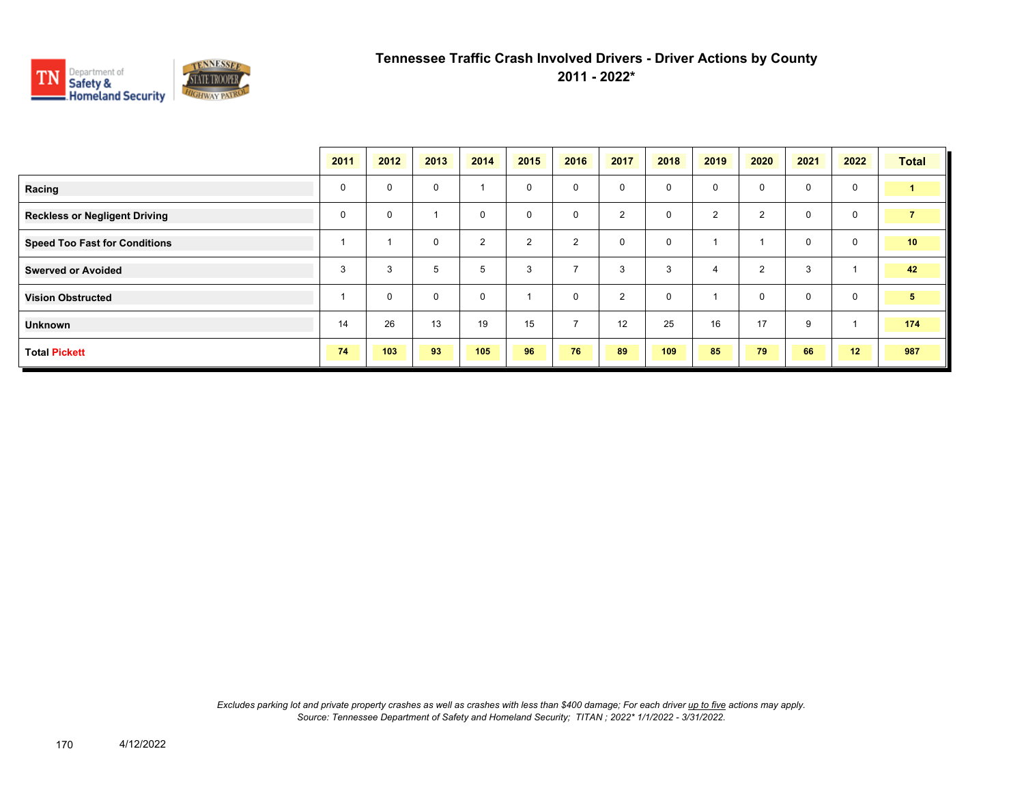

|                                      | 2011        | 2012        | 2013        | 2014     | 2015           | 2016           | 2017           | 2018 | 2019           | 2020                    | 2021         | 2022        | <b>Total</b>    |
|--------------------------------------|-------------|-------------|-------------|----------|----------------|----------------|----------------|------|----------------|-------------------------|--------------|-------------|-----------------|
| Racing                               | $\mathbf 0$ | $\mathbf 0$ | $\mathbf 0$ |          | $\mathbf 0$    | $\mathbf 0$    | $\mathbf 0$    | 0    | 0              | $\mathbf 0$             | $\mathbf 0$  | $\mathbf 0$ | $\blacksquare$  |
| <b>Reckless or Negligent Driving</b> | $\mathbf 0$ | $\mathbf 0$ |             | $\Omega$ | $\mathbf 0$    | $\mathbf 0$    | $\overline{2}$ | 0    | $\overline{2}$ | $\overline{2}$          | $\mathbf 0$  | $\mathbf 0$ | $\overline{7}$  |
| <b>Speed Too Fast for Conditions</b> |             |             | $\mathbf 0$ | 2        | $\overline{2}$ | $\overline{2}$ | $\mathbf 0$    | 0    |                | $\overline{\mathbf{1}}$ | $\mathbf{0}$ | $\mathbf 0$ | 10 <sub>1</sub> |
| <b>Swerved or Avoided</b>            | 3           | 3           | 5           | 5        | 3              | $\rightarrow$  | 3              | 3    | $\overline{4}$ | 2                       | 3            |             | 42              |
| <b>Vision Obstructed</b>             |             | $\mathbf 0$ | $\mathbf 0$ | $\Omega$ |                | $\mathbf 0$    | $\overline{2}$ | 0    |                | $\mathbf 0$             | $\mathbf 0$  | $\mathbf 0$ | $5\phantom{.0}$ |
| Unknown                              | 14          | 26          | 13          | 19       | 15             | $\overline{7}$ | 12             | 25   | 16             | 17                      | 9            |             | 174             |
| <b>Total Pickett</b>                 | 74          | 103         | 93          | 105      | 96             | 76             | 89             | 109  | 85             | 79                      | 66           | 12          | 987             |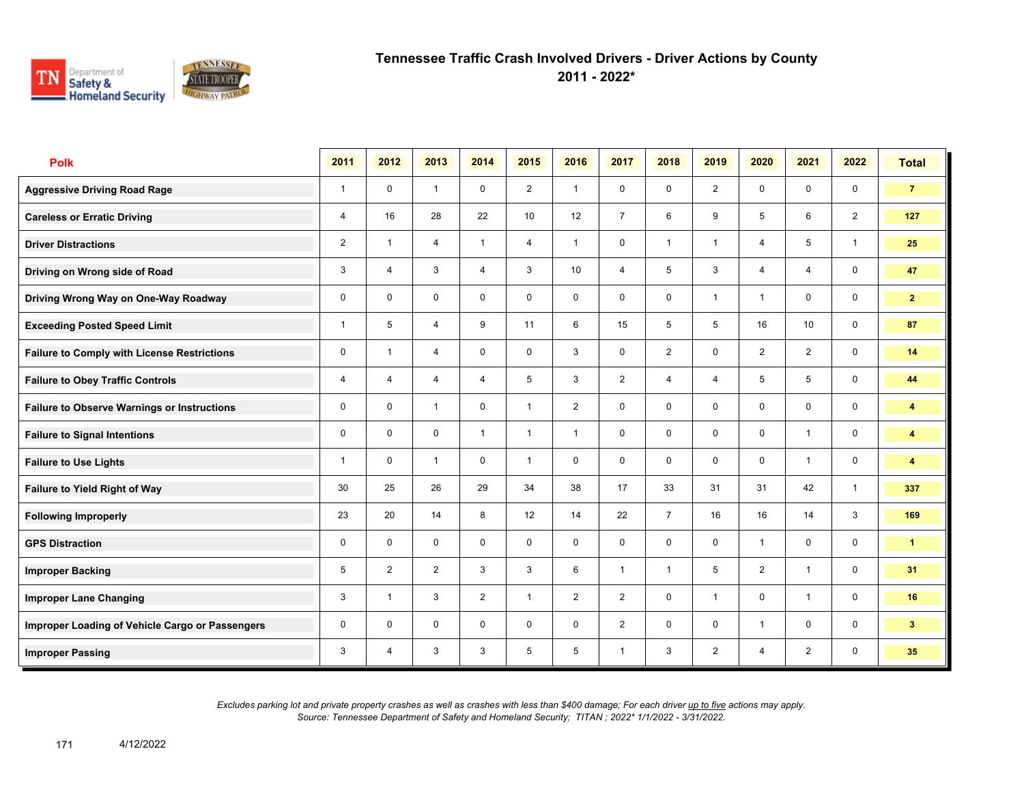

**2011 - 2022\***

| <b>Polk</b>                                        | 2011           | 2012           | 2013           | 2014           | 2015           | 2016           | 2017           | 2018           | 2019           | 2020           | 2021           | 2022                    | <b>Total</b>            |
|----------------------------------------------------|----------------|----------------|----------------|----------------|----------------|----------------|----------------|----------------|----------------|----------------|----------------|-------------------------|-------------------------|
| <b>Aggressive Driving Road Rage</b>                | $\mathbf{1}$   | $\mathbf 0$    | $\mathbf{1}$   | $\mathbf 0$    | $\overline{2}$ | $\overline{1}$ | $\mathbf 0$    | $\mathbf 0$    | $\overline{2}$ | $\mathbf 0$    | $\mathbf 0$    | $\mathbf 0$             | $\overline{7}$          |
| <b>Careless or Erratic Driving</b>                 | 4              | 16             | 28             | 22             | 10             | 12             | $\overline{7}$ | 6              | 9              | 5              | 6              | 2                       | 127                     |
| <b>Driver Distractions</b>                         | $\overline{2}$ | $\mathbf{1}$   | $\overline{4}$ | $\mathbf{1}$   | $\overline{4}$ | $\overline{1}$ | $\mathbf 0$    | $\mathbf{1}$   | $\mathbf{1}$   | $\overline{4}$ | 5              | $\mathbf{1}$            | 25                      |
| Driving on Wrong side of Road                      | 3              | 4              | 3              | 4              | 3              | 10             | 4              | 5              | 3              | $\overline{4}$ | 4              | $\mathbf 0$             | 47                      |
| Driving Wrong Way on One-Way Roadway               | $\mathbf 0$    | $\mathbf 0$    | $\mathbf 0$    | $\mathbf 0$    | $\mathbf 0$    | $\mathbf 0$    | $\mathbf 0$    | $\mathbf 0$    | 1              | $\overline{1}$ | $\mathbf 0$    | $\mathsf{O}\phantom{0}$ | $\mathbf{2}$            |
| <b>Exceeding Posted Speed Limit</b>                | 1              | 5              | 4              | 9              | 11             | 6              | 15             | 5              | 5              | 16             | 10             | $\mathbf 0$             | 87                      |
| <b>Failure to Comply with License Restrictions</b> | $\mathbf 0$    | $\overline{1}$ | $\overline{4}$ | $\mathbf 0$    | $\mathbf 0$    | 3              | $\mathbf 0$    | $\overline{2}$ | $\mathbf 0$    | 2              | $\overline{2}$ | $\mathbf 0$             | 14                      |
| <b>Failure to Obey Traffic Controls</b>            | 4              | $\overline{4}$ | $\overline{4}$ | $\overline{4}$ | 5              | 3              | 2              | $\overline{4}$ | 4              | 5              | 5              | $\mathbf 0$             | 44                      |
| <b>Failure to Observe Warnings or Instructions</b> | 0              | $\mathbf 0$    | $\mathbf{1}$   | $\mathbf 0$    | $\mathbf{1}$   | 2              | $\mathbf 0$    | $\mathbf 0$    | 0              | $\mathbf 0$    | $\mathbf 0$    | $\mathbf 0$             | 4                       |
| <b>Failure to Signal Intentions</b>                | 0              | $\Omega$       | $\mathbf 0$    | $\mathbf{1}$   | $\mathbf{1}$   | $\overline{1}$ | $\mathbf 0$    | $\mathbf 0$    | $\mathbf 0$    | $\mathbf 0$    | $\overline{1}$ | $\mathsf{O}\phantom{0}$ | 4                       |
| <b>Failure to Use Lights</b>                       | 1              | $\Omega$       | $\mathbf{1}$   | $\mathbf 0$    | $\mathbf{1}$   | $\mathbf 0$    | $\mathbf 0$    | $\mathbf 0$    | $\mathbf 0$    | $\mathbf 0$    | $\mathbf{1}$   | $\mathsf{O}\phantom{0}$ | $\overline{\mathbf{4}}$ |
| <b>Failure to Yield Right of Way</b>               | 30             | 25             | 26             | 29             | 34             | 38             | 17             | 33             | 31             | 31             | 42             | $\mathbf{1}$            | 337                     |
| <b>Following Improperly</b>                        | 23             | 20             | 14             | 8              | 12             | 14             | 22             | $\overline{7}$ | 16             | 16             | 14             | $\mathbf{3}$            | 169                     |
| <b>GPS Distraction</b>                             | 0              | $\mathbf 0$    | $\mathbf 0$    | $\mathbf 0$    | $\mathbf 0$    | $\mathbf 0$    | $\mathbf 0$    | $\mathbf 0$    | $\mathbf 0$    | $\overline{1}$ | $\mathbf 0$    | $\mathbf 0$             | $\mathbf{1}$            |
| <b>Improper Backing</b>                            | 5              | 2              | 2              | 3              | 3              | 6              | $\mathbf{1}$   | $\mathbf{1}$   | 5              | 2              | $\mathbf{1}$   | $\mathbf 0$             | 31                      |
| <b>Improper Lane Changing</b>                      | 3              | $\overline{1}$ | 3              | $\overline{2}$ | $\mathbf{1}$   | 2              | $\overline{2}$ | $\mathbf 0$    | 1              | 0              | $\mathbf{1}$   | $\mathbf 0$             | 16                      |
| Improper Loading of Vehicle Cargo or Passengers    | 0              | $\mathbf 0$    | $\mathbf 0$    | $\mathbf 0$    | $\mathbf 0$    | $\mathbf 0$    | $\overline{2}$ | $\mathbf 0$    | $\mathbf 0$    | $\overline{1}$ | $\mathbf 0$    | $\mathbf 0$             | 3 <sup>2</sup>          |
| <b>Improper Passing</b>                            | 3              | $\overline{4}$ | 3              | 3              | 5              | 5              | 1              | 3              | $\overline{2}$ | $\overline{4}$ | $\overline{2}$ | $\mathbf 0$             | 35                      |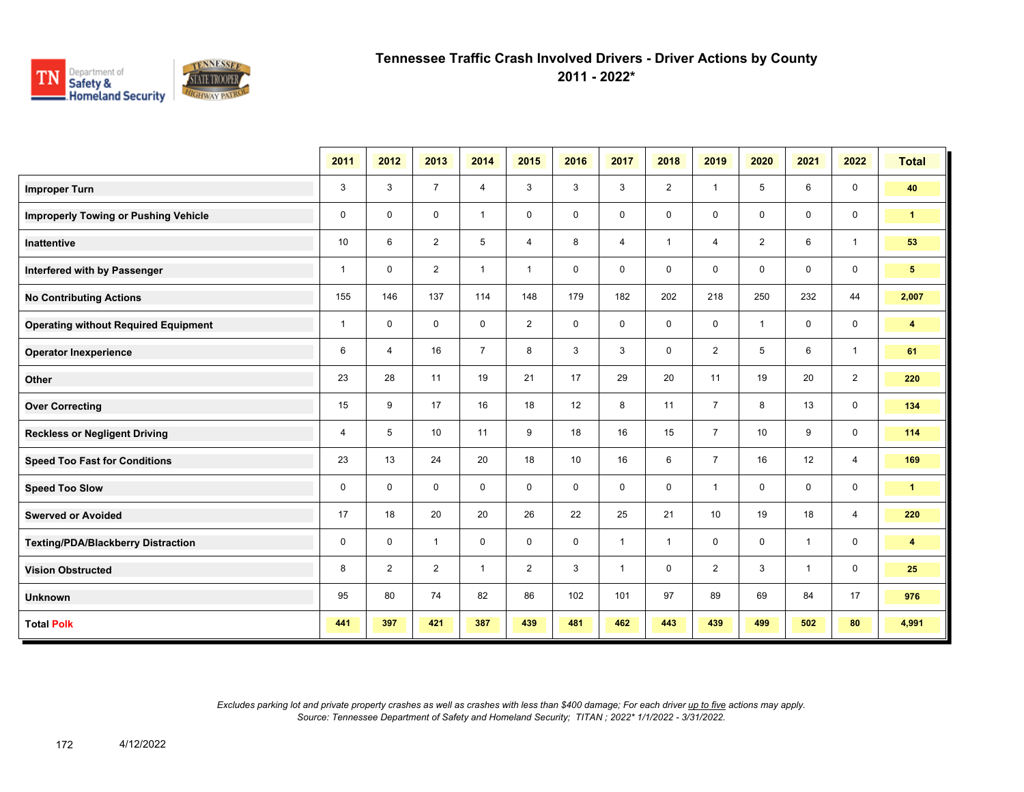

**2011 - 2022\***

|                                             | 2011         | 2012           | 2013           | 2014           | 2015           | 2016        | 2017           | 2018           | 2019           | 2020           | 2021         | 2022           | <b>Total</b>            |
|---------------------------------------------|--------------|----------------|----------------|----------------|----------------|-------------|----------------|----------------|----------------|----------------|--------------|----------------|-------------------------|
| <b>Improper Turn</b>                        | 3            | 3              | $\overline{7}$ | $\overline{4}$ | 3              | 3           | 3              | $\overline{2}$ | $\mathbf{1}$   | 5              | 6            | $\mathbf 0$    | 40                      |
| <b>Improperly Towing or Pushing Vehicle</b> | $\mathbf 0$  | $\mathbf 0$    | $\mathbf 0$    | $\mathbf{1}$   | 0              | $\mathbf 0$ | $\mathbf 0$    | $\mathbf 0$    | $\mathbf 0$    | 0              | 0            | $\mathbf 0$    | $\mathbf{1}$            |
| <b>Inattentive</b>                          | 10           | 6              | $\overline{2}$ | 5              | $\overline{4}$ | 8           | $\overline{4}$ | $\mathbf{1}$   | $\overline{4}$ | $\overline{2}$ | 6            | $\overline{1}$ | 53                      |
| Interfered with by Passenger                | $\mathbf{1}$ | $\mathbf 0$    | $\overline{2}$ | $\mathbf{1}$   | $\mathbf{1}$   | 0           | $\mathbf 0$    | 0              | 0              | $\mathbf 0$    | 0            | 0              | $5\phantom{.0}$         |
| <b>No Contributing Actions</b>              | 155          | 146            | 137            | 114            | 148            | 179         | 182            | 202            | 218            | 250            | 232          | 44             | 2,007                   |
| <b>Operating without Required Equipment</b> | $\mathbf{1}$ | $\mathbf 0$    | $\mathbf 0$    | $\mathbf 0$    | $\overline{2}$ | $\mathbf 0$ | 0              | 0              | 0              | $\overline{1}$ | 0            | 0              | $\overline{\mathbf{4}}$ |
| <b>Operator Inexperience</b>                | 6            | $\overline{4}$ | 16             | $\overline{7}$ | 8              | 3           | 3              | 0              | $\overline{2}$ | 5              | 6            | $\overline{1}$ | 61                      |
| Other                                       | 23           | 28             | 11             | 19             | 21             | 17          | 29             | 20             | 11             | 19             | 20           | $\overline{2}$ | 220                     |
| <b>Over Correcting</b>                      | 15           | 9              | 17             | 16             | 18             | 12          | 8              | 11             | $\overline{7}$ | 8              | 13           | $\mathbf 0$    | 134                     |
| <b>Reckless or Negligent Driving</b>        | 4            | 5              | 10             | 11             | 9              | 18          | 16             | 15             | $\overline{7}$ | 10             | 9            | $\mathbf 0$    | 114                     |
| <b>Speed Too Fast for Conditions</b>        | 23           | 13             | 24             | 20             | 18             | 10          | 16             | 6              | $\overline{7}$ | 16             | 12           | $\overline{4}$ | 169                     |
| <b>Speed Too Slow</b>                       | $\mathbf 0$  | $\mathbf 0$    | $\mathbf 0$    | $\mathbf 0$    | 0              | $\mathbf 0$ | 0              | 0              | $\mathbf{1}$   | $\mathbf 0$    | 0            | $\mathbf 0$    | $\mathbf{1}$            |
| <b>Swerved or Avoided</b>                   | 17           | 18             | 20             | 20             | 26             | 22          | 25             | 21             | 10             | 19             | 18           | $\overline{4}$ | 220                     |
| <b>Texting/PDA/Blackberry Distraction</b>   | $\mathbf 0$  | $\mathbf 0$    | $\mathbf{1}$   | $\mathbf 0$    | $\mathbf 0$    | $\mathbf 0$ | $\mathbf{1}$   | $\mathbf{1}$   | $\mathbf 0$    | $\mathbf 0$    | $\mathbf{1}$ | $\mathbf 0$    | $\overline{\mathbf{4}}$ |
| <b>Vision Obstructed</b>                    | 8            | 2              | $\overline{2}$ | $\mathbf{1}$   | $\overline{2}$ | 3           | $\mathbf{1}$   | $\mathbf 0$    | $\overline{2}$ | 3              | $\mathbf{1}$ | $\mathbf 0$    | 25                      |
| <b>Unknown</b>                              | 95           | 80             | 74             | 82             | 86             | 102         | 101            | 97             | 89             | 69             | 84           | 17             | 976                     |
| <b>Total Polk</b>                           | 441          | 397            | 421            | 387            | 439            | 481         | 462            | 443            | 439            | 499            | 502          | 80             | 4,991                   |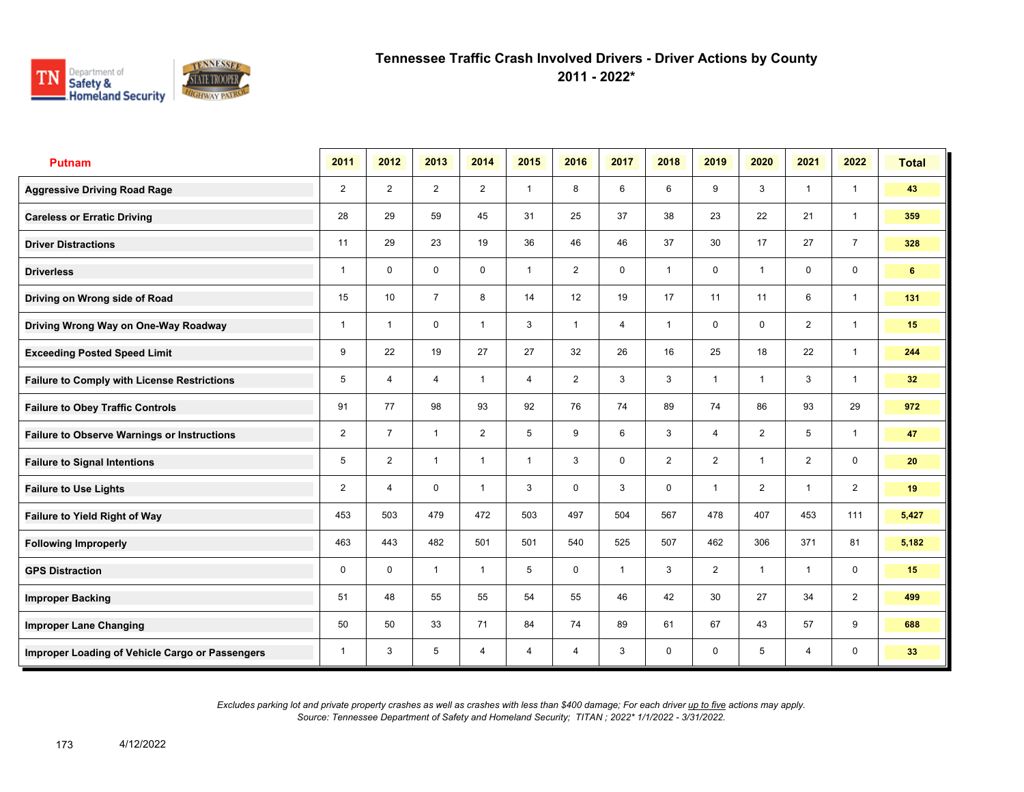

**2011 - 2022\***

| <b>Putnam</b>                                      | 2011           | 2012                    | 2013           | 2014           | 2015           | 2016           | 2017           | 2018           | 2019           | 2020           | 2021           | 2022           | <b>Total</b>    |
|----------------------------------------------------|----------------|-------------------------|----------------|----------------|----------------|----------------|----------------|----------------|----------------|----------------|----------------|----------------|-----------------|
| <b>Aggressive Driving Road Rage</b>                | $\overline{2}$ | $\overline{2}$          | $\overline{2}$ | $\overline{2}$ | $\mathbf{1}$   | 8              | 6              | 6              | 9              | 3              | $\mathbf{1}$   | $\mathbf{1}$   | 43              |
| <b>Careless or Erratic Driving</b>                 | 28             | 29                      | 59             | 45             | 31             | 25             | 37             | 38             | 23             | 22             | 21             | $\mathbf{1}$   | 359             |
| <b>Driver Distractions</b>                         | 11             | 29                      | 23             | 19             | 36             | 46             | 46             | 37             | 30             | 17             | 27             | $\overline{7}$ | 328             |
| <b>Driverless</b>                                  | 1              | $\mathbf 0$             | 0              | 0              | $\mathbf{1}$   | 2              | 0              | $\mathbf{1}$   | 0              | $\overline{1}$ | 0              | 0              | 6               |
| Driving on Wrong side of Road                      | 15             | 10                      | $\overline{7}$ | 8              | 14             | 12             | 19             | 17             | 11             | 11             | 6              | $\mathbf{1}$   | 131             |
| Driving Wrong Way on One-Way Roadway               | 1              | $\overline{\mathbf{1}}$ | $\mathbf 0$    | $\overline{1}$ | 3              | 1              | $\overline{4}$ | $\mathbf{1}$   | $\mathbf 0$    | $\mathbf 0$    | $\overline{2}$ | $\mathbf{1}$   | 15              |
| <b>Exceeding Posted Speed Limit</b>                | 9              | 22                      | 19             | 27             | 27             | 32             | 26             | 16             | 25             | 18             | 22             | $\mathbf{1}$   | 244             |
| <b>Failure to Comply with License Restrictions</b> | 5              | 4                       | $\overline{4}$ | $\mathbf{1}$   | $\overline{4}$ | $\overline{2}$ | 3              | 3              | $\mathbf{1}$   | $\overline{1}$ | 3              | $\mathbf{1}$   | 32 <sub>2</sub> |
| <b>Failure to Obey Traffic Controls</b>            | 91             | 77                      | 98             | 93             | 92             | 76             | 74             | 89             | 74             | 86             | 93             | 29             | 972             |
| <b>Failure to Observe Warnings or Instructions</b> | $\overline{2}$ | $\overline{7}$          | $\overline{1}$ | $\overline{2}$ | 5              | 9              | 6              | 3              | 4              | $\overline{2}$ | 5              | $\mathbf{1}$   | 47              |
| <b>Failure to Signal Intentions</b>                | 5              | $\overline{2}$          | $\overline{1}$ | $\overline{1}$ | $\mathbf{1}$   | 3              | $\mathbf 0$    | $\overline{2}$ | $\overline{2}$ | $\overline{1}$ | $\overline{2}$ | $\mathbf 0$    | 20              |
| <b>Failure to Use Lights</b>                       | $\overline{2}$ | 4                       | $\mathbf 0$    | $\overline{1}$ | 3              | $\mathbf 0$    | 3              | $\mathbf 0$    | $\mathbf{1}$   | $\overline{2}$ | $\mathbf{1}$   | $\overline{2}$ | 19              |
| Failure to Yield Right of Way                      | 453            | 503                     | 479            | 472            | 503            | 497            | 504            | 567            | 478            | 407            | 453            | 111            | 5,427           |
| <b>Following Improperly</b>                        | 463            | 443                     | 482            | 501            | 501            | 540            | 525            | 507            | 462            | 306            | 371            | 81             | 5,182           |
| <b>GPS Distraction</b>                             | 0              | $\mathbf 0$             | $\mathbf{1}$   | $\mathbf{1}$   | 5              | $\mathbf 0$    | $\mathbf{1}$   | 3              | $\overline{2}$ | $\mathbf{1}$   | $\mathbf{1}$   | $\mathbf 0$    | 15              |
| <b>Improper Backing</b>                            | 51             | 48                      | 55             | 55             | 54             | 55             | 46             | 42             | 30             | 27             | 34             | $\overline{2}$ | 499             |
| <b>Improper Lane Changing</b>                      | 50             | 50                      | 33             | 71             | 84             | 74             | 89             | 61             | 67             | 43             | 57             | 9              | 688             |
| Improper Loading of Vehicle Cargo or Passengers    | 1              | 3                       | 5              | $\overline{4}$ | $\overline{4}$ | 4              | 3              | 0              | 0              | 5              | $\overline{4}$ | 0              | 33              |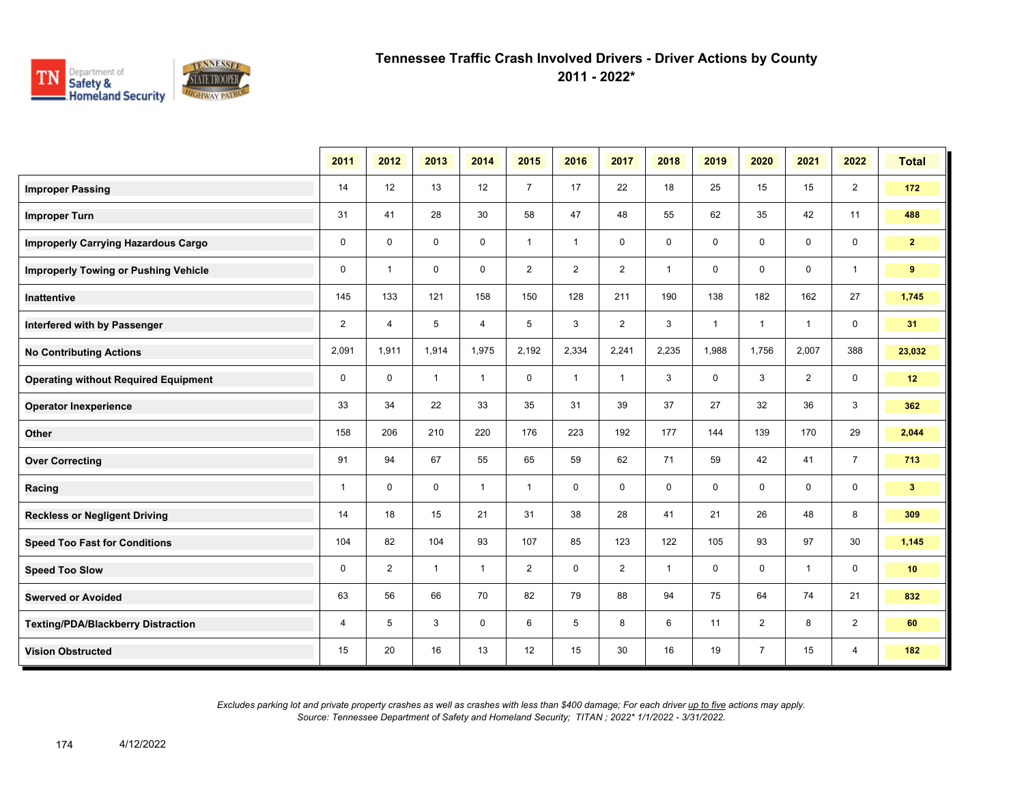

**2011 - 2022\***

|                                             | 2011           | 2012           | 2013         | 2014           | 2015           | 2016           | 2017           | 2018         | 2019         | 2020           | 2021           | 2022           | <b>Total</b>   |
|---------------------------------------------|----------------|----------------|--------------|----------------|----------------|----------------|----------------|--------------|--------------|----------------|----------------|----------------|----------------|
| <b>Improper Passing</b>                     | 14             | 12             | 13           | 12             | $\overline{7}$ | 17             | 22             | 18           | 25           | 15             | 15             | $\overline{2}$ | 172            |
| <b>Improper Turn</b>                        | 31             | 41             | 28           | 30             | 58             | 47             | 48             | 55           | 62           | 35             | 42             | 11             | 488            |
| <b>Improperly Carrying Hazardous Cargo</b>  | $\mathbf 0$    | $\mathbf 0$    | $\mathbf 0$  | $\mathbf 0$    | $\mathbf{1}$   | $\mathbf{1}$   | $\mathbf 0$    | 0            | $\mathbf 0$  | $\mathbf 0$    | $\mathbf 0$    | $\mathbf 0$    | 2 <sup>1</sup> |
| <b>Improperly Towing or Pushing Vehicle</b> | 0              | $\mathbf{1}$   | $\mathbf 0$  | $\mathbf 0$    | $\overline{2}$ | $\overline{2}$ | $\overline{2}$ | $\mathbf{1}$ | 0            | 0              | $\mathbf 0$    | $\overline{1}$ | 9              |
| <b>Inattentive</b>                          | 145            | 133            | 121          | 158            | 150            | 128            | 211            | 190          | 138          | 182            | 162            | 27             | 1,745          |
| Interfered with by Passenger                | $\overline{2}$ | 4              | 5            | $\overline{4}$ | 5              | 3              | $\overline{2}$ | 3            | $\mathbf{1}$ | $\overline{1}$ | $\overline{1}$ | $\mathbf 0$    | 31             |
| <b>No Contributing Actions</b>              | 2,091          | 1,911          | 1,914        | 1,975          | 2,192          | 2,334          | 2,241          | 2,235        | 1,988        | 1,756          | 2,007          | 388            | 23,032         |
| <b>Operating without Required Equipment</b> | 0              | $\mathbf 0$    | $\mathbf{1}$ | $\mathbf{1}$   | 0              | $\mathbf{1}$   | $\mathbf{1}$   | 3            | 0            | 3              | $\overline{2}$ | $\mathbf 0$    | 12             |
| <b>Operator Inexperience</b>                | 33             | 34             | 22           | 33             | 35             | 31             | 39             | 37           | 27           | 32             | 36             | 3              | 362            |
| Other                                       | 158            | 206            | 210          | 220            | 176            | 223            | 192            | 177          | 144          | 139            | 170            | 29             | 2,044          |
| <b>Over Correcting</b>                      | 91             | 94             | 67           | 55             | 65             | 59             | 62             | 71           | 59           | 42             | 41             | $\overline{7}$ | 713            |
| Racing                                      | $\mathbf{1}$   | 0              | $\mathbf 0$  | $\mathbf{1}$   | $\mathbf{1}$   | $\mathbf 0$    | $\mathbf 0$    | 0            | 0            | 0              | $\mathbf 0$    | $\mathbf 0$    | 3 <sup>1</sup> |
| <b>Reckless or Negligent Driving</b>        | 14             | 18             | 15           | 21             | 31             | 38             | 28             | 41           | 21           | 26             | 48             | 8              | 309            |
| <b>Speed Too Fast for Conditions</b>        | 104            | 82             | 104          | 93             | 107            | 85             | 123            | 122          | 105          | 93             | 97             | 30             | 1,145          |
| <b>Speed Too Slow</b>                       | 0              | $\overline{2}$ | $\mathbf{1}$ | $\mathbf{1}$   | $\overline{2}$ | $\mathbf 0$    | $\overline{2}$ | $\mathbf{1}$ | 0            | 0              | $\overline{1}$ | $\mathbf 0$    | 10             |
| <b>Swerved or Avoided</b>                   | 63             | 56             | 66           | 70             | 82             | 79             | 88             | 94           | 75           | 64             | 74             | 21             | 832            |
| <b>Texting/PDA/Blackberry Distraction</b>   | 4              | 5              | 3            | $\mathbf 0$    | 6              | 5              | 8              | 6            | 11           | $\overline{2}$ | 8              | $\overline{2}$ | 60             |
| <b>Vision Obstructed</b>                    | 15             | 20             | 16           | 13             | 12             | 15             | 30             | 16           | 19           | $\overline{7}$ | 15             | 4              | 182            |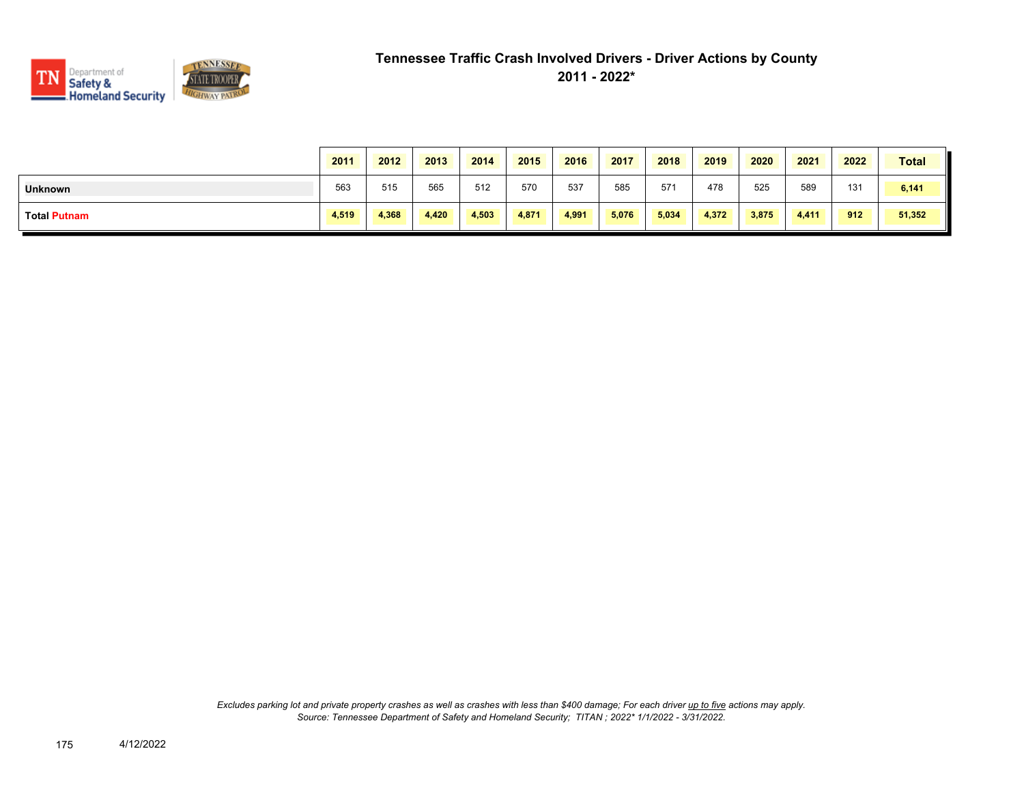

|                     | 2011  | 2012  | 2013  | 2014  | 2015  | 2016  | 2017  | 2018  | 2019  | 2020  | 2021  | 2022 | <b>Total</b> |
|---------------------|-------|-------|-------|-------|-------|-------|-------|-------|-------|-------|-------|------|--------------|
| <b>Unknown</b>      | 563   | 515   | 565   | 512   | 570   | 537   | 585   | 571   | 478   | 525   | 589   | 131  | 6,141        |
| <b>Total Putnam</b> | 4,519 | 4,368 | 4,420 | 4,503 | 4,871 | 4.991 | 5,076 | 5,034 | 4,372 | 3,875 | 4,411 | 912  | 51,352       |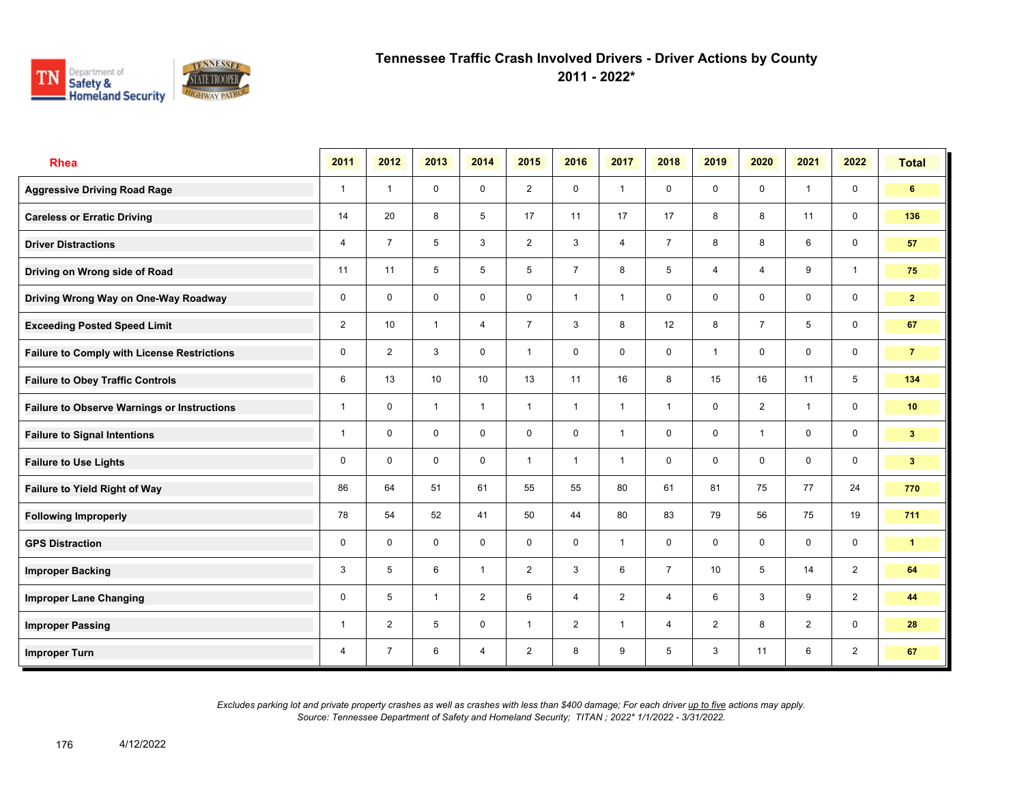

**2011 - 2022\***

| <b>Rhea</b>                                        | 2011           | 2012           | 2013           | 2014           | 2015           | 2016           | 2017           | 2018           | 2019            | 2020           | 2021           | 2022           | <b>Total</b>         |
|----------------------------------------------------|----------------|----------------|----------------|----------------|----------------|----------------|----------------|----------------|-----------------|----------------|----------------|----------------|----------------------|
| <b>Aggressive Driving Road Rage</b>                | $\mathbf{1}$   | $\overline{1}$ | $\mathbf 0$    | $\mathbf 0$    | $\overline{2}$ | $\mathbf 0$    | $\mathbf{1}$   | $\mathbf 0$    | $\mathbf 0$     | $\mathbf 0$    | $\mathbf{1}$   | $\mathbf 0$    | 6                    |
| <b>Careless or Erratic Driving</b>                 | 14             | 20             | 8              | 5              | 17             | 11             | 17             | 17             | 8               | 8              | 11             | $\mathbf 0$    | 136                  |
| <b>Driver Distractions</b>                         | 4              | $\overline{7}$ | 5              | 3              | $\overline{2}$ | 3              | $\overline{4}$ | $\overline{7}$ | 8               | 8              | 6              | $\mathbf 0$    | 57                   |
| Driving on Wrong side of Road                      | 11             | 11             | 5              | 5              | 5              | $\overline{7}$ | 8              | 5              | 4               | $\overline{4}$ | 9              | $\mathbf{1}$   | 75                   |
| Driving Wrong Way on One-Way Roadway               | 0              | $\Omega$       | $\mathbf 0$    | $\mathbf 0$    | 0              | $\overline{1}$ | $\mathbf{1}$   | $\mathbf 0$    | 0               | $\mathbf 0$    | $\mathbf 0$    | $\mathbf 0$    | 2 <sup>7</sup>       |
| <b>Exceeding Posted Speed Limit</b>                | $\overline{2}$ | 10             | $\mathbf{1}$   | $\overline{4}$ | $\overline{7}$ | 3              | 8              | 12             | 8               | $\overline{7}$ | 5              | $\mathbf 0$    | 67                   |
| <b>Failure to Comply with License Restrictions</b> | 0              | $\overline{2}$ | 3              | $\mathbf 0$    | $\mathbf{1}$   | $\mathbf 0$    | $\mathbf 0$    | $\mathbf 0$    | 1               | $\mathbf 0$    | $\mathbf 0$    | $\mathbf 0$    | $\overline{7}$       |
| <b>Failure to Obey Traffic Controls</b>            | 6              | 13             | 10             | 10             | 13             | 11             | 16             | 8              | 15              | 16             | 11             | 5              | 134                  |
| <b>Failure to Observe Warnings or Instructions</b> | 1              | $\mathbf 0$    | $\overline{1}$ | $\mathbf{1}$   | 1              | $\overline{1}$ | $\mathbf{1}$   | $\mathbf{1}$   | 0               | $\overline{2}$ | $\overline{1}$ | $\mathbf 0$    | 10                   |
| <b>Failure to Signal Intentions</b>                | 1              | $\mathbf{0}$   | $\mathbf 0$    | $\mathbf 0$    | 0              | $\mathbf 0$    | $\overline{1}$ | $\mathbf 0$    | 0               | $\overline{1}$ | $\mathbf 0$    | $\mathbf 0$    | 3 <sup>2</sup>       |
| <b>Failure to Use Lights</b>                       | 0              | $\mathbf 0$    | 0              | $\mathbf 0$    | $\mathbf{1}$   | $\overline{1}$ | $\overline{1}$ | $\mathbf 0$    | 0               | $\mathbf 0$    | 0              | $\mathbf 0$    | 3 <sup>1</sup>       |
| Failure to Yield Right of Way                      | 86             | 64             | 51             | 61             | 55             | 55             | 80             | 61             | 81              | 75             | 77             | 24             | 770                  |
| <b>Following Improperly</b>                        | 78             | 54             | 52             | 41             | 50             | 44             | 80             | 83             | 79              | 56             | 75             | 19             | 711                  |
| <b>GPS Distraction</b>                             | 0              | $\Omega$       | $\mathbf 0$    | $\mathbf 0$    | 0              | $\mathbf 0$    | $\mathbf{1}$   | $\mathbf 0$    | 0               | $\mathbf 0$    | $\mathbf 0$    | $\mathbf 0$    | $\blacktriangleleft$ |
| <b>Improper Backing</b>                            | 3              | 5              | 6              | $\mathbf{1}$   | $\overline{2}$ | 3              | 6              | $\overline{7}$ | 10 <sup>1</sup> | 5              | 14             | $\overline{2}$ | 64                   |
| <b>Improper Lane Changing</b>                      | 0              | 5              | $\overline{1}$ | $\overline{2}$ | 6              | $\overline{4}$ | 2              | $\overline{4}$ | 6               | 3              | 9              | $\overline{2}$ | 44                   |
| <b>Improper Passing</b>                            | 1              | 2              | 5              | $\mathbf 0$    | $\mathbf{1}$   | 2              | $\mathbf{1}$   | $\overline{4}$ | $\overline{2}$  | 8              | 2              | $\mathbf 0$    | 28                   |
| <b>Improper Turn</b>                               | 4              | $\overline{7}$ | 6              | $\overline{4}$ | $\overline{2}$ | 8              | 9              | 5              | 3               | 11             | 6              | $\overline{2}$ | 67                   |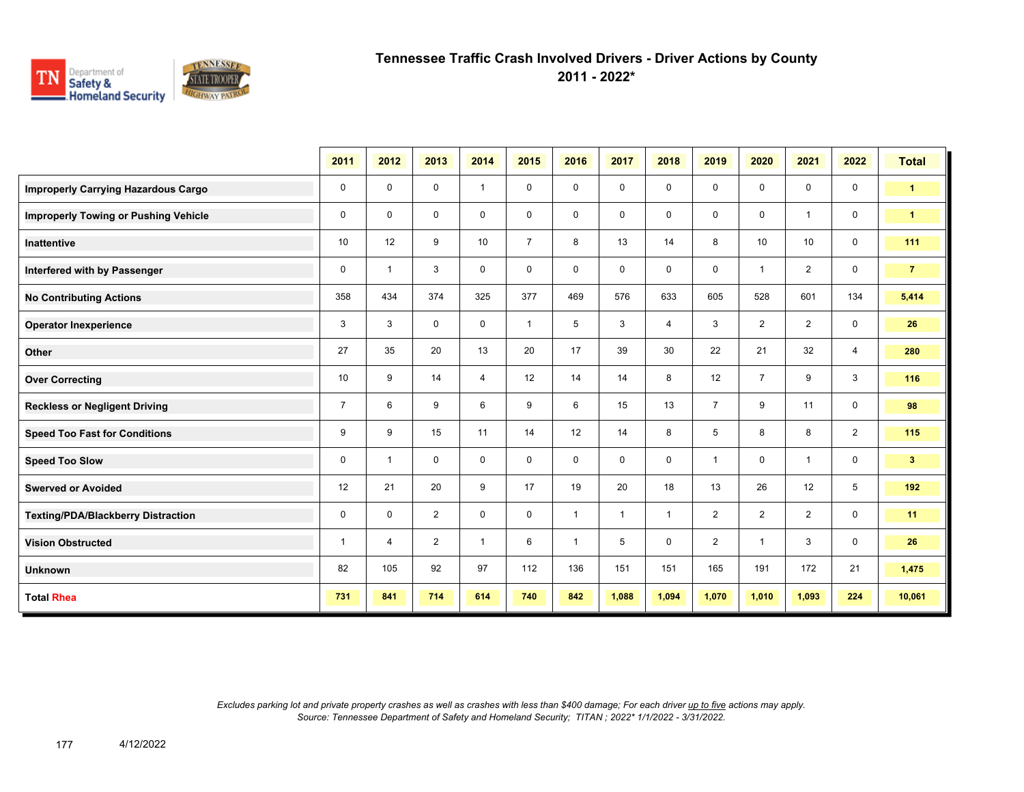

**2011 - 2022\***

|                                             | 2011           | 2012           | 2013           | 2014           | 2015           | 2016           | 2017           | 2018           | 2019           | 2020           | 2021           | 2022           | <b>Total</b>         |
|---------------------------------------------|----------------|----------------|----------------|----------------|----------------|----------------|----------------|----------------|----------------|----------------|----------------|----------------|----------------------|
| <b>Improperly Carrying Hazardous Cargo</b>  | 0              | 0              | 0              | $\mathbf{1}$   | 0              | 0              | 0              | $\mathbf 0$    | 0              | $\mathbf 0$    | $\mathbf 0$    | $\mathbf 0$    | $\blacktriangleleft$ |
| <b>Improperly Towing or Pushing Vehicle</b> | 0              | 0              | 0              | 0              | 0              | 0              | $\mathbf 0$    | $\mathbf 0$    | 0              | $\mathbf 0$    | $\mathbf{1}$   | $\mathbf 0$    | $\blacktriangleleft$ |
| <b>Inattentive</b>                          | 10             | 12             | 9              | 10             | $\overline{7}$ | 8              | 13             | 14             | 8              | 10             | 10             | $\mathbf 0$    | 111                  |
| Interfered with by Passenger                | 0              | $\overline{1}$ | 3              | $\mathbf 0$    | 0              | $\mathbf 0$    | 0              | $\mathbf 0$    | 0              | $\overline{1}$ | $\overline{2}$ | $\mathbf 0$    | $\overline{7}$       |
| <b>No Contributing Actions</b>              | 358            | 434            | 374            | 325            | 377            | 469            | 576            | 633            | 605            | 528            | 601            | 134            | 5,414                |
| <b>Operator Inexperience</b>                | 3              | 3              | $\mathbf 0$    | $\mathbf 0$    | $\mathbf{1}$   | 5              | 3              | $\overline{4}$ | 3              | $\overline{2}$ | $\overline{2}$ | $\mathbf 0$    | 26                   |
| Other                                       | 27             | 35             | 20             | 13             | 20             | 17             | 39             | 30             | 22             | 21             | 32             | 4              | 280                  |
| <b>Over Correcting</b>                      | 10             | 9              | 14             | $\overline{4}$ | 12             | 14             | 14             | 8              | 12             | $\overline{7}$ | 9              | $\mathbf{3}$   | 116                  |
| <b>Reckless or Negligent Driving</b>        | $\overline{7}$ | 6              | 9              | 6              | 9              | 6              | 15             | 13             | $\overline{7}$ | 9              | 11             | $\mathbf 0$    | 98                   |
| <b>Speed Too Fast for Conditions</b>        | 9              | 9              | 15             | 11             | 14             | 12             | 14             | 8              | 5              | 8              | 8              | $\overline{2}$ | 115                  |
| <b>Speed Too Slow</b>                       | $\mathbf 0$    | $\overline{1}$ | $\mathbf 0$    | $\mathbf 0$    | 0              | $\mathbf 0$    | $\mathbf 0$    | $\mathbf 0$    | $\mathbf{1}$   | $\mathbf 0$    | $\mathbf{1}$   | $\mathbf 0$    | 3 <sup>2</sup>       |
| <b>Swerved or Avoided</b>                   | 12             | 21             | 20             | 9              | 17             | 19             | 20             | 18             | 13             | 26             | 12             | 5              | 192                  |
| Texting/PDA/Blackberry Distraction          | 0              | 0              | $\overline{2}$ | $\mathbf 0$    | $\mathbf 0$    | $\overline{1}$ | $\overline{1}$ | $\overline{1}$ | $\overline{2}$ | $\overline{2}$ | $\overline{2}$ | $\mathbf 0$    | 11                   |
| <b>Vision Obstructed</b>                    | $\mathbf{1}$   | $\overline{4}$ | $\overline{2}$ | $\mathbf{1}$   | 6              | $\overline{1}$ | 5              | $\mathbf 0$    | $\overline{2}$ | $\overline{1}$ | 3              | $\mathbf 0$    | 26                   |
| <b>Unknown</b>                              | 82             | 105            | 92             | 97             | 112            | 136            | 151            | 151            | 165            | 191            | 172            | 21             | 1,475                |
| <b>Total Rhea</b>                           | 731            | 841            | 714            | 614            | 740            | 842            | 1,088          | 1,094          | 1,070          | 1,010          | 1,093          | 224            | 10,061               |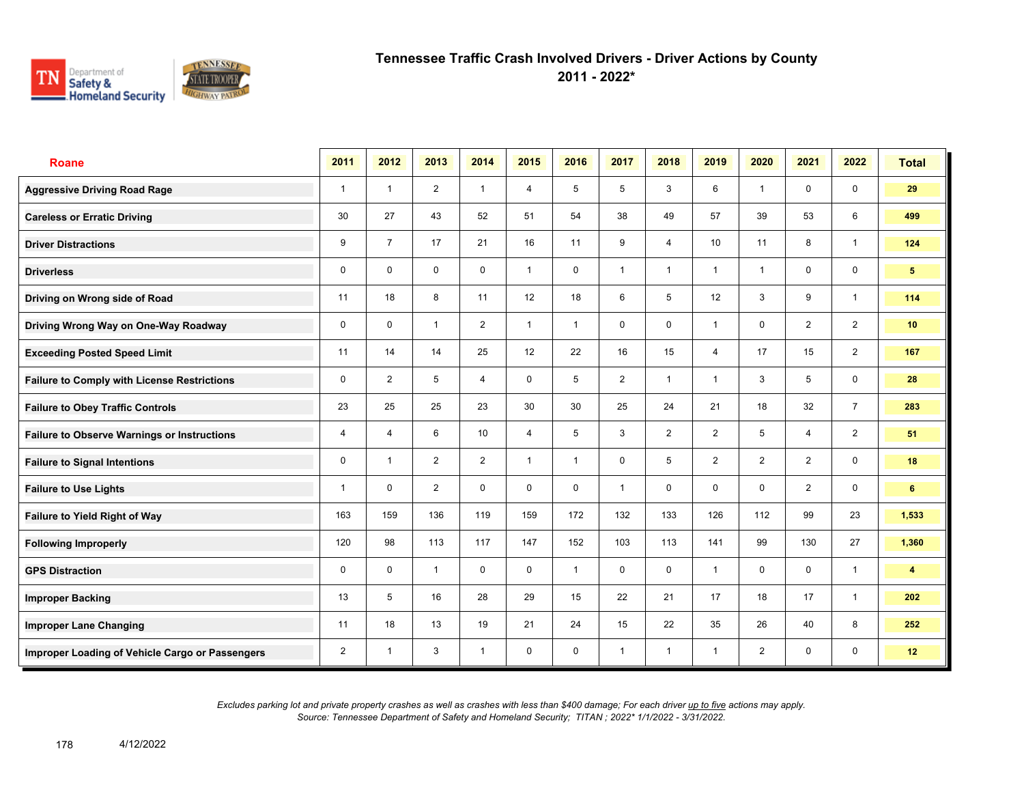

**2011 - 2022\***

| <b>Roane</b>                                       | 2011           | 2012           | 2013           | 2014           | 2015           | 2016           | 2017         | 2018           | 2019            | 2020           | 2021           | 2022                    | <b>Total</b>    |
|----------------------------------------------------|----------------|----------------|----------------|----------------|----------------|----------------|--------------|----------------|-----------------|----------------|----------------|-------------------------|-----------------|
| <b>Aggressive Driving Road Rage</b>                | $\mathbf{1}$   | $\overline{1}$ | $\overline{2}$ | $\mathbf{1}$   | $\overline{4}$ | 5              | 5            | 3              | 6               | $\overline{1}$ | $\mathbf 0$    | $\mathbf 0$             | 29              |
| <b>Careless or Erratic Driving</b>                 | 30             | 27             | 43             | 52             | 51             | 54             | 38           | 49             | 57              | 39             | 53             | 6                       | 499             |
| <b>Driver Distractions</b>                         | 9              | $\overline{7}$ | 17             | 21             | 16             | 11             | 9            | $\overline{4}$ | 10 <sup>1</sup> | 11             | 8              | $\mathbf{1}$            | 124             |
| <b>Driverless</b>                                  | 0              | $\mathbf 0$    | $\mathsf{O}$   | $\mathsf{O}$   | $\mathbf{1}$   | 0              | $\mathbf{1}$ | $\mathbf{1}$   | 1               | $\overline{1}$ | $\mathsf{O}$   | $\mathbf 0$             | 5 <sup>5</sup>  |
| Driving on Wrong side of Road                      | 11             | 18             | 8              | 11             | 12             | 18             | 6            | 5              | 12              | 3              | 9              | $\mathbf{1}$            | 114             |
| Driving Wrong Way on One-Way Roadway               | $\mathbf 0$    | $\Omega$       | $\mathbf{1}$   | 2              | $\mathbf{1}$   | $\overline{1}$ | $\mathbf 0$  | $\mathbf 0$    | 1               | $\mathbf 0$    | $\overline{2}$ | $\overline{2}$          | 10 <sup>1</sup> |
| <b>Exceeding Posted Speed Limit</b>                | 11             | 14             | 14             | 25             | 12             | 22             | 16           | 15             | $\overline{4}$  | 17             | 15             | $\overline{2}$          | 167             |
| <b>Failure to Comply with License Restrictions</b> | 0              | $\overline{2}$ | 5              | $\overline{4}$ | $\mathbf 0$    | 5              | 2            | $\mathbf{1}$   | 1               | 3              | 5              | $\mathbf 0$             | 28              |
| <b>Failure to Obey Traffic Controls</b>            | 23             | 25             | 25             | 23             | 30             | 30             | 25           | 24             | 21              | 18             | 32             | $\overline{7}$          | 283             |
| <b>Failure to Observe Warnings or Instructions</b> | 4              | $\overline{4}$ | 6              | 10             | 4              | 5              | 3            | $\overline{2}$ | $\overline{2}$  | 5              | 4              | $\overline{2}$          | 51              |
| <b>Failure to Signal Intentions</b>                | 0              | $\overline{1}$ | 2              | $\overline{2}$ | $\mathbf{1}$   | $\mathbf{1}$   | $\mathbf 0$  | 5              | $\overline{2}$  | 2              | 2              | $\mathsf{O}\phantom{0}$ | 18              |
| <b>Failure to Use Lights</b>                       | 1              | $\mathbf 0$    | $\overline{2}$ | $\mathbf 0$    | $\mathbf 0$    | $\mathbf 0$    | $\mathbf{1}$ | $\mathbf 0$    | 0               | $\mathbf 0$    | 2              | $\mathbf 0$             | 6               |
| Failure to Yield Right of Way                      | 163            | 159            | 136            | 119            | 159            | 172            | 132          | 133            | 126             | 112            | 99             | 23                      | 1,533           |
| <b>Following Improperly</b>                        | 120            | 98             | 113            | 117            | 147            | 152            | 103          | 113            | 141             | 99             | 130            | 27                      | 1,360           |
| <b>GPS Distraction</b>                             | 0              | $\mathbf 0$    | $\mathbf{1}$   | $\mathbf 0$    | $\mathbf 0$    | $\mathbf{1}$   | $\mathbf 0$  | $\mathbf 0$    | $\mathbf{1}$    | $\mathbf 0$    | $\mathbf 0$    | $\mathbf{1}$            | 4               |
| <b>Improper Backing</b>                            | 13             | 5              | 16             | 28             | 29             | 15             | 22           | 21             | 17              | 18             | 17             | $\mathbf{1}$            | 202             |
| <b>Improper Lane Changing</b>                      | 11             | 18             | 13             | 19             | 21             | 24             | 15           | 22             | 35              | 26             | 40             | 8                       | 252             |
| Improper Loading of Vehicle Cargo or Passengers    | $\overline{2}$ | $\overline{1}$ | 3              | $\mathbf{1}$   | $\mathbf 0$    | $\mathbf 0$    | $\mathbf{1}$ | $\mathbf{1}$   | $\mathbf{1}$    | $\overline{2}$ | $\mathbf 0$    | $\mathbf 0$             | 12              |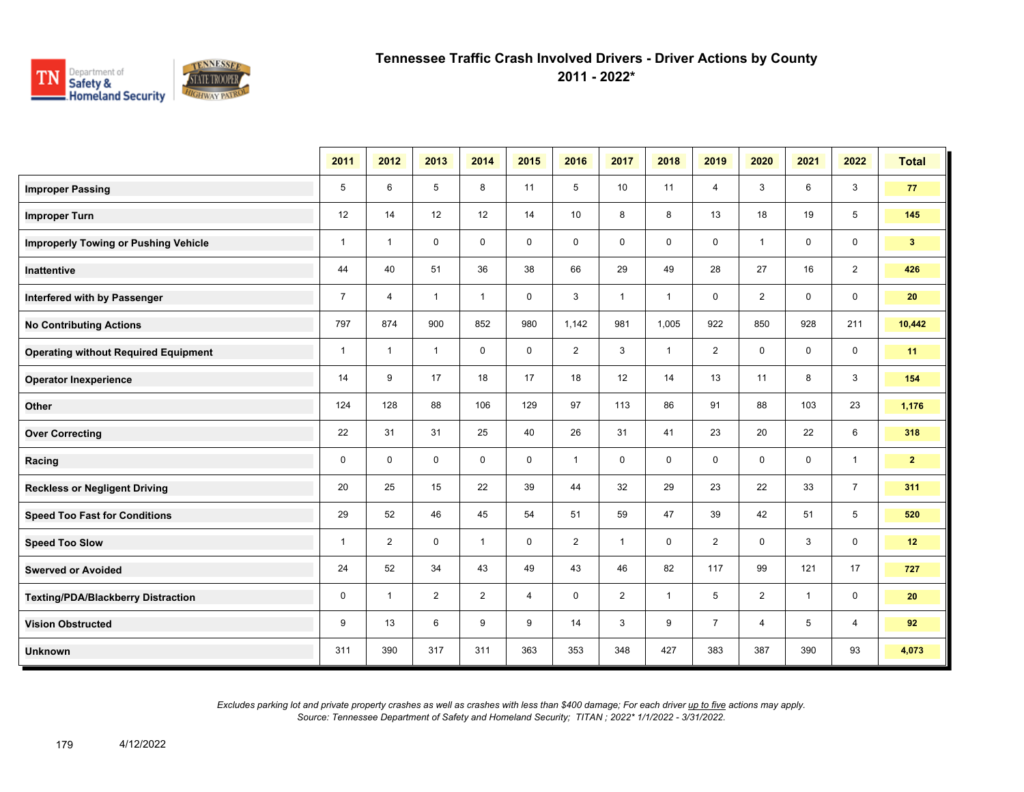

**2011 - 2022\***

|                                             | 2011           | 2012           | 2013           | 2014           | 2015        | 2016           | 2017           | 2018         | 2019           | 2020           | 2021         | 2022           | <b>Total</b>   |
|---------------------------------------------|----------------|----------------|----------------|----------------|-------------|----------------|----------------|--------------|----------------|----------------|--------------|----------------|----------------|
| <b>Improper Passing</b>                     | 5              | 6              | 5              | 8              | 11          | 5              | 10             | 11           | $\overline{4}$ | 3              | 6            | 3              | 77             |
| <b>Improper Turn</b>                        | 12             | 14             | 12             | 12             | 14          | 10             | 8              | 8            | 13             | 18             | 19           | 5              | 145            |
| <b>Improperly Towing or Pushing Vehicle</b> | $\mathbf{1}$   | $\overline{1}$ | $\mathbf 0$    | $\mathbf 0$    | $\mathbf 0$ | $\mathbf 0$    | $\mathbf 0$    | 0            | 0              | $\overline{1}$ | $\mathbf 0$  | $\mathbf 0$    | 3 <sup>2</sup> |
| Inattentive                                 | 44             | 40             | 51             | 36             | 38          | 66             | 29             | 49           | 28             | 27             | 16           | $\overline{2}$ | 426            |
| Interfered with by Passenger                | $\overline{7}$ | $\overline{4}$ | $\mathbf{1}$   | $\mathbf{1}$   | $\mathbf 0$ | 3              | $\mathbf{1}$   | $\mathbf{1}$ | $\mathbf 0$    | $\overline{2}$ | $\mathbf 0$  | $\mathbf 0$    | 20             |
| <b>No Contributing Actions</b>              | 797            | 874            | 900            | 852            | 980         | 1,142          | 981            | 1,005        | 922            | 850            | 928          | 211            | 10,442         |
| <b>Operating without Required Equipment</b> | $\mathbf{1}$   | $\mathbf{1}$   | $\mathbf{1}$   | 0              | 0           | $\overline{2}$ | 3              | $\mathbf{1}$ | $\overline{2}$ | 0              | 0            | $\mathbf 0$    | 11             |
| <b>Operator Inexperience</b>                | 14             | 9              | 17             | 18             | 17          | 18             | 12             | 14           | 13             | 11             | 8            | 3              | 154            |
| Other                                       | 124            | 128            | 88             | 106            | 129         | 97             | 113            | 86           | 91             | 88             | 103          | 23             | 1,176          |
| <b>Over Correcting</b>                      | 22             | 31             | 31             | 25             | 40          | 26             | 31             | 41           | 23             | 20             | 22           | 6              | 318            |
| Racing                                      | $\mathbf 0$    | $\mathbf 0$    | $\Omega$       | $\mathbf 0$    | $\mathbf 0$ | $\mathbf{1}$   | $\mathbf 0$    | 0            | 0              | $\mathbf 0$    | $\mathbf 0$  | $\mathbf{1}$   | 2 <sub>2</sub> |
| <b>Reckless or Negligent Driving</b>        | 20             | 25             | 15             | 22             | 39          | 44             | 32             | 29           | 23             | 22             | 33           | $\overline{7}$ | 311            |
| <b>Speed Too Fast for Conditions</b>        | 29             | 52             | 46             | 45             | 54          | 51             | 59             | 47           | 39             | 42             | 51           | 5              | 520            |
| <b>Speed Too Slow</b>                       | $\mathbf{1}$   | $\overline{2}$ | $\mathbf 0$    | $\mathbf{1}$   | $\mathbf 0$ | $\overline{2}$ | $\mathbf{1}$   | 0            | $\overline{2}$ | $\mathbf 0$    | 3            | $\mathbf 0$    | 12             |
| <b>Swerved or Avoided</b>                   | 24             | 52             | 34             | 43             | 49          | 43             | 46             | 82           | 117            | 99             | 121          | 17             | 727            |
| <b>Texting/PDA/Blackberry Distraction</b>   | 0              | $\overline{1}$ | $\overline{2}$ | $\overline{2}$ | 4           | 0              | $\overline{2}$ | $\mathbf{1}$ | 5              | $\overline{2}$ | $\mathbf{1}$ | $\mathbf 0$    | 20             |
| <b>Vision Obstructed</b>                    | 9              | 13             | 6              | 9              | 9           | 14             | 3              | 9            | $\overline{7}$ | 4              | 5            | 4              | 92             |
| <b>Unknown</b>                              | 311            | 390            | 317            | 311            | 363         | 353            | 348            | 427          | 383            | 387            | 390          | 93             | 4,073          |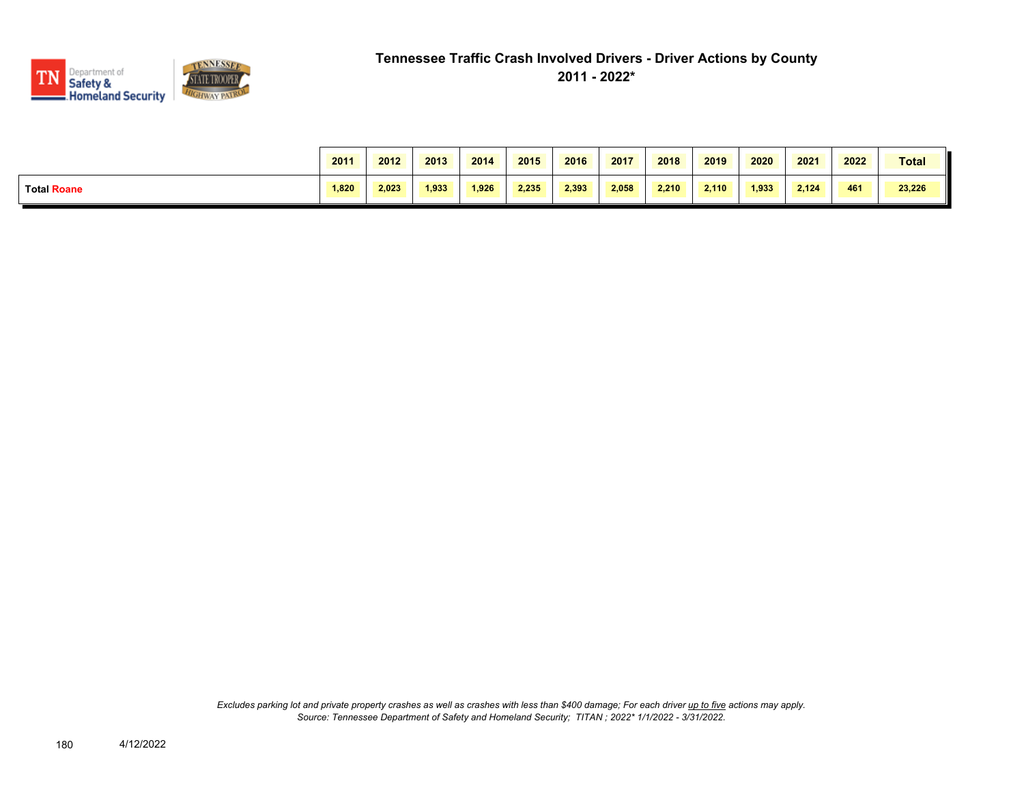

|                    | 2011  | 2012  | 2013  | 2014  | 2015  | 2016  | 2017  | 2018  | 2019  | 2020  | 2021  | 2022 | Total  |
|--------------------|-------|-------|-------|-------|-------|-------|-------|-------|-------|-------|-------|------|--------|
| <b>Total Roane</b> | 1.820 | 2.023 | 1.933 | 1.926 | 2.235 | 2.393 | 2.058 | 2.210 | 2.110 | 1.933 | 2.124 | 461  | 23,226 |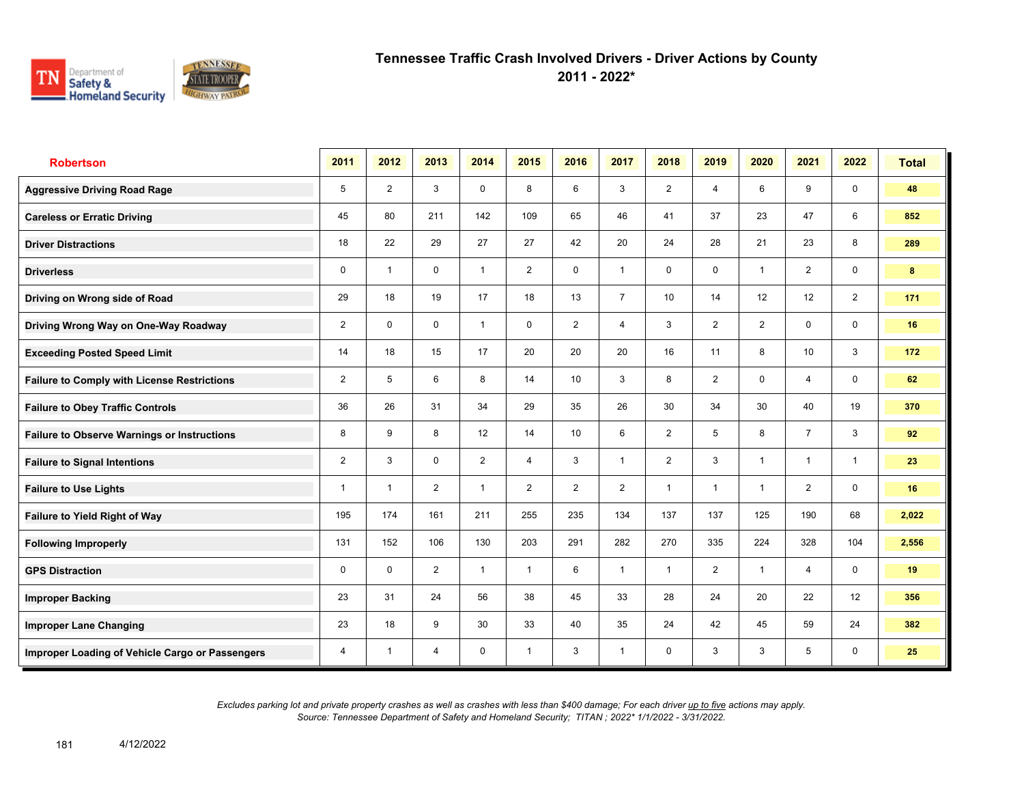

**2011 - 2022\***

| <b>Robertson</b>                                   | 2011           | 2012                    | 2013           | 2014           | 2015           | 2016           | 2017           | 2018           | 2019           | 2020           | 2021           | 2022           | <b>Total</b> |
|----------------------------------------------------|----------------|-------------------------|----------------|----------------|----------------|----------------|----------------|----------------|----------------|----------------|----------------|----------------|--------------|
| <b>Aggressive Driving Road Rage</b>                | 5              | $\overline{2}$          | 3              | $\mathbf 0$    | 8              | 6              | 3              | $\overline{2}$ | $\overline{4}$ | 6              | 9              | $\mathbf 0$    | 48           |
| <b>Careless or Erratic Driving</b>                 | 45             | 80                      | 211            | 142            | 109            | 65             | 46             | 41             | 37             | 23             | 47             | 6              | 852          |
| <b>Driver Distractions</b>                         | 18             | 22                      | 29             | 27             | 27             | 42             | 20             | 24             | 28             | 21             | 23             | 8              | 289          |
| <b>Driverless</b>                                  | 0              | $\overline{\mathbf{1}}$ | $\mathbf 0$    | $\overline{1}$ | $\overline{2}$ | $\mathbf 0$    | $\mathbf{1}$   | 0              | $\mathbf 0$    | $\overline{1}$ | $\overline{2}$ | 0              | 8            |
| Driving on Wrong side of Road                      | 29             | 18                      | 19             | 17             | 18             | 13             | $\overline{7}$ | 10             | 14             | 12             | 12             | $\overline{2}$ | 171          |
| Driving Wrong Way on One-Way Roadway               | $\overline{2}$ | 0                       | $\mathbf 0$    | $\overline{1}$ | 0              | $\overline{2}$ | $\overline{4}$ | 3              | $\overline{2}$ | $\overline{2}$ | 0              | 0              | 16           |
| <b>Exceeding Posted Speed Limit</b>                | 14             | 18                      | 15             | 17             | 20             | 20             | 20             | 16             | 11             | 8              | 10             | 3              | 172          |
| <b>Failure to Comply with License Restrictions</b> | $\overline{2}$ | 5                       | 6              | 8              | 14             | 10             | 3              | 8              | $\overline{2}$ | $\mathbf 0$    | 4              | 0              | 62           |
| <b>Failure to Obey Traffic Controls</b>            | 36             | 26                      | 31             | 34             | 29             | 35             | 26             | 30             | 34             | 30             | 40             | 19             | 370          |
| <b>Failure to Observe Warnings or Instructions</b> | 8              | 9                       | 8              | 12             | 14             | 10             | 6              | $\overline{2}$ | 5              | 8              | $\overline{7}$ | 3              | 92           |
| <b>Failure to Signal Intentions</b>                | $\overline{2}$ | 3                       | $\mathbf 0$    | $\overline{2}$ | $\overline{4}$ | 3              | $\mathbf{1}$   | $\overline{2}$ | 3              | $\overline{1}$ | $\mathbf{1}$   | $\mathbf{1}$   | 23           |
| <b>Failure to Use Lights</b>                       | 1              | $\overline{1}$          | $\overline{2}$ | $\overline{1}$ | $\overline{2}$ | $\overline{2}$ | $\overline{2}$ | $\mathbf{1}$   | $\mathbf{1}$   | $\overline{1}$ | $\overline{2}$ | $\mathbf 0$    | 16           |
| <b>Failure to Yield Right of Way</b>               | 195            | 174                     | 161            | 211            | 255            | 235            | 134            | 137            | 137            | 125            | 190            | 68             | 2,022        |
| <b>Following Improperly</b>                        | 131            | 152                     | 106            | 130            | 203            | 291            | 282            | 270            | 335            | 224            | 328            | 104            | 2,556        |
| <b>GPS Distraction</b>                             | 0              | $\Omega$                | $\overline{2}$ | $\mathbf{1}$   | $\mathbf{1}$   | 6              | $\mathbf{1}$   | $\mathbf{1}$   | $\overline{2}$ | $\overline{1}$ | 4              | 0              | 19           |
| <b>Improper Backing</b>                            | 23             | 31                      | 24             | 56             | 38             | 45             | 33             | 28             | 24             | 20             | 22             | 12             | 356          |
| <b>Improper Lane Changing</b>                      | 23             | 18                      | 9              | 30             | 33             | 40             | 35             | 24             | 42             | 45             | 59             | 24             | 382          |
| Improper Loading of Vehicle Cargo or Passengers    | 4              | $\overline{1}$          | $\overline{4}$ | 0              | $\mathbf{1}$   | 3              | $\mathbf{1}$   | 0              | 3              | 3              | 5              | 0              | 25           |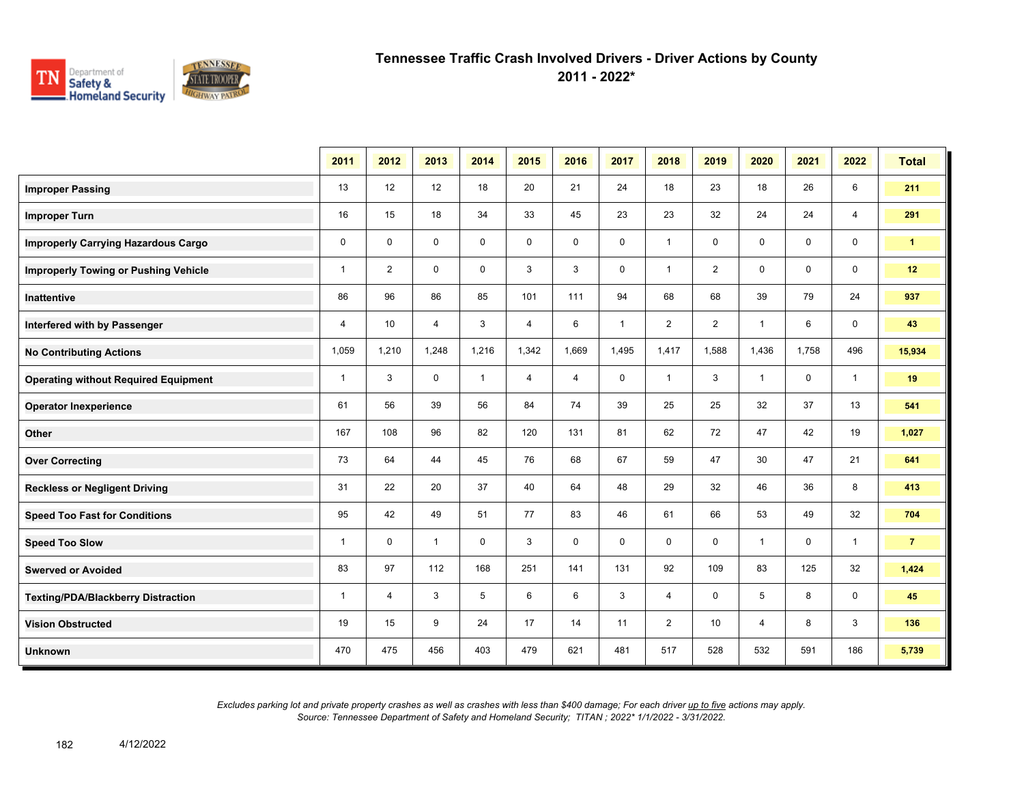

**2011 - 2022\***

|                                             | 2011           | 2012           | 2013           | 2014         | 2015           | 2016           | 2017         | 2018           | 2019           | 2020           | 2021        | 2022           | <b>Total</b>         |
|---------------------------------------------|----------------|----------------|----------------|--------------|----------------|----------------|--------------|----------------|----------------|----------------|-------------|----------------|----------------------|
| <b>Improper Passing</b>                     | 13             | 12             | 12             | 18           | 20             | 21             | 24           | 18             | 23             | 18             | 26          | 6              | 211                  |
| <b>Improper Turn</b>                        | 16             | 15             | 18             | 34           | 33             | 45             | 23           | 23             | 32             | 24             | 24          | $\overline{4}$ | 291                  |
| <b>Improperly Carrying Hazardous Cargo</b>  | $\mathbf 0$    | $\mathbf 0$    | 0              | $\mathbf 0$  | $\mathbf 0$    | $\mathbf 0$    | 0            | $\mathbf{1}$   | 0              | 0              | 0           | $\mathbf 0$    | $\blacktriangleleft$ |
| <b>Improperly Towing or Pushing Vehicle</b> | $\mathbf{1}$   | $\overline{2}$ | 0              | $\mathbf 0$  | 3              | 3              | 0            | $\mathbf{1}$   | $\overline{2}$ | 0              | 0           | $\mathbf 0$    | 12                   |
| Inattentive                                 | 86             | 96             | 86             | 85           | 101            | 111            | 94           | 68             | 68             | 39             | 79          | 24             | 937                  |
| Interfered with by Passenger                | $\overline{4}$ | 10             | $\overline{4}$ | 3            | $\overline{4}$ | 6              | $\mathbf{1}$ | $\overline{2}$ | $\overline{2}$ | $\overline{1}$ | 6           | $\mathbf 0$    | 43                   |
| <b>No Contributing Actions</b>              | 1,059          | 1,210          | 1.248          | 1,216        | 1,342          | 1.669          | 1,495        | 1,417          | 1,588          | 1,436          | 1.758       | 496            | 15,934               |
| <b>Operating without Required Equipment</b> | $\mathbf{1}$   | 3              | 0              | $\mathbf{1}$ | 4              | $\overline{4}$ | $\mathbf 0$  | $\mathbf{1}$   | 3              | $\overline{1}$ | 0           | $\overline{1}$ | 19                   |
| <b>Operator Inexperience</b>                | 61             | 56             | 39             | 56           | 84             | 74             | 39           | 25             | 25             | 32             | 37          | 13             | 541                  |
| Other                                       | 167            | 108            | 96             | 82           | 120            | 131            | 81           | 62             | 72             | 47             | 42          | 19             | 1,027                |
| <b>Over Correcting</b>                      | 73             | 64             | 44             | 45           | 76             | 68             | 67           | 59             | 47             | 30             | 47          | 21             | 641                  |
| <b>Reckless or Negligent Driving</b>        | 31             | 22             | 20             | 37           | 40             | 64             | 48           | 29             | 32             | 46             | 36          | 8              | 413                  |
| <b>Speed Too Fast for Conditions</b>        | 95             | 42             | 49             | 51           | 77             | 83             | 46           | 61             | 66             | 53             | 49          | 32             | 704                  |
| <b>Speed Too Slow</b>                       | $\mathbf{1}$   | $\mathbf 0$    | $\mathbf{1}$   | $\mathbf 0$  | 3              | $\mathbf 0$    | $\mathbf 0$  | 0              | $\mathbf 0$    | $\mathbf{1}$   | $\mathbf 0$ | $\mathbf{1}$   | $\overline{7}$       |
| <b>Swerved or Avoided</b>                   | 83             | 97             | 112            | 168          | 251            | 141            | 131          | 92             | 109            | 83             | 125         | 32             | 1,424                |
| <b>Texting/PDA/Blackberry Distraction</b>   | $\mathbf 1$    | $\overline{4}$ | 3              | 5            | 6              | 6              | 3            | 4              | 0              | 5              | 8           | 0              | 45                   |
| <b>Vision Obstructed</b>                    | 19             | 15             | 9              | 24           | 17             | 14             | 11           | $\overline{2}$ | 10             | 4              | 8           | 3              | 136                  |
| <b>Unknown</b>                              | 470            | 475            | 456            | 403          | 479            | 621            | 481          | 517            | 528            | 532            | 591         | 186            | 5,739                |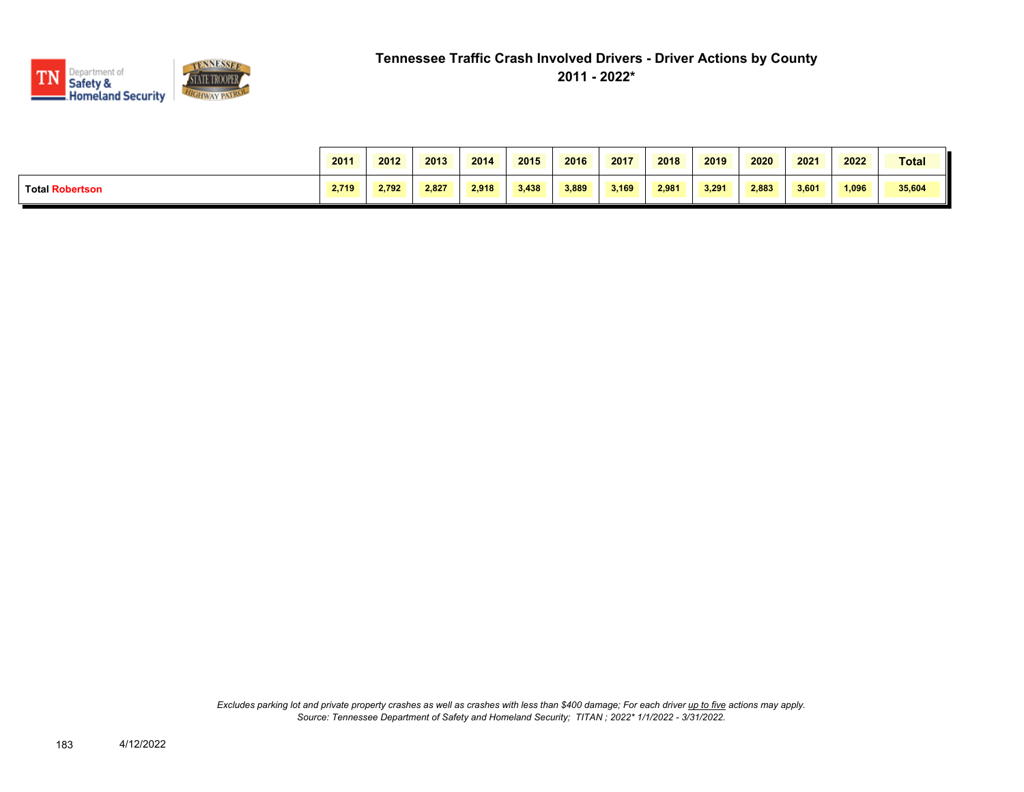

|                        | 2011  | 2012  | 2013  | 2014  | 2015  | 2016  | 2017  | 2018  | 2019  | 2020  | 2021  | 2022  | <b>Total</b> |
|------------------------|-------|-------|-------|-------|-------|-------|-------|-------|-------|-------|-------|-------|--------------|
| <b>Total Robertson</b> | 2.719 | 2.792 | 2.827 | 2.918 | 3.438 | 3,889 | 3,169 | 2.981 | 3.291 | 2.883 | 3.601 | 1,096 | 35,604       |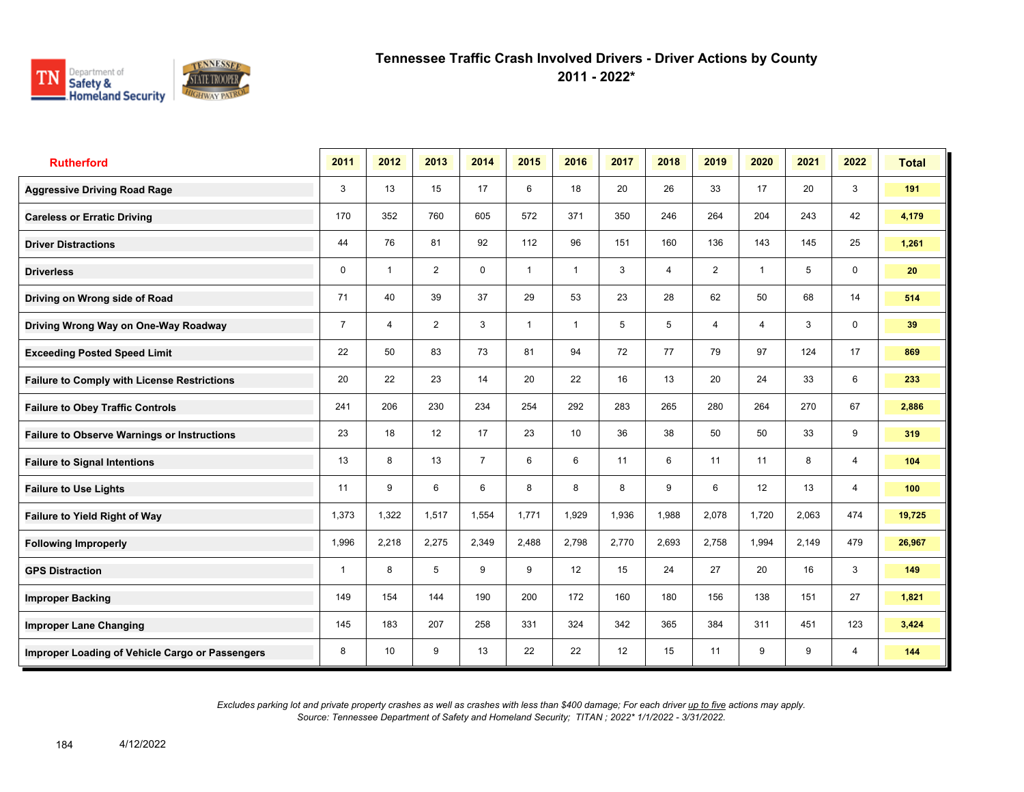

**2011 - 2022\***

| <b>Rutherford</b>                                  | 2011           | 2012                    | 2013           | 2014           | 2015         | 2016           | 2017  | 2018           | 2019           | 2020  | 2021  | 2022           | <b>Total</b> |
|----------------------------------------------------|----------------|-------------------------|----------------|----------------|--------------|----------------|-------|----------------|----------------|-------|-------|----------------|--------------|
| <b>Aggressive Driving Road Rage</b>                | 3              | 13                      | 15             | 17             | 6            | 18             | 20    | 26             | 33             | 17    | 20    | 3              | 191          |
| <b>Careless or Erratic Driving</b>                 | 170            | 352                     | 760            | 605            | 572          | 371            | 350   | 246            | 264            | 204   | 243   | 42             | 4,179        |
| <b>Driver Distractions</b>                         | 44             | 76                      | 81             | 92             | 112          | 96             | 151   | 160            | 136            | 143   | 145   | 25             | 1,261        |
| <b>Driverless</b>                                  | 0              | $\overline{\mathbf{1}}$ | $\overline{2}$ | $\mathbf 0$    | $\mathbf{1}$ | $\overline{1}$ | 3     | $\overline{4}$ | $\overline{2}$ | 1     | 5     | 0              | 20           |
| Driving on Wrong side of Road                      | 71             | 40                      | 39             | 37             | 29           | 53             | 23    | 28             | 62             | 50    | 68    | 14             | 514          |
| Driving Wrong Way on One-Way Roadway               | $\overline{7}$ | 4                       | $\overline{2}$ | 3              | $\mathbf{1}$ | 1              | 5     | 5              | 4              | 4     | 3     | $\mathbf 0$    | 39           |
| <b>Exceeding Posted Speed Limit</b>                | 22             | 50                      | 83             | 73             | 81           | 94             | 72    | 77             | 79             | 97    | 124   | 17             | 869          |
| <b>Failure to Comply with License Restrictions</b> | 20             | 22                      | 23             | 14             | 20           | 22             | 16    | 13             | 20             | 24    | 33    | 6              | 233          |
| <b>Failure to Obey Traffic Controls</b>            | 241            | 206                     | 230            | 234            | 254          | 292            | 283   | 265            | 280            | 264   | 270   | 67             | 2,886        |
| <b>Failure to Observe Warnings or Instructions</b> | 23             | 18                      | 12             | 17             | 23           | 10             | 36    | 38             | 50             | 50    | 33    | 9              | 319          |
| <b>Failure to Signal Intentions</b>                | 13             | 8                       | 13             | $\overline{7}$ | 6            | 6              | 11    | 6              | 11             | 11    | 8     | 4              | 104          |
| <b>Failure to Use Lights</b>                       | 11             | 9                       | 6              | 6              | 8            | 8              | 8     | 9              | 6              | 12    | 13    | $\overline{4}$ | 100          |
| <b>Failure to Yield Right of Way</b>               | 1,373          | 1,322                   | 1,517          | 1,554          | 1,771        | 1,929          | 1,936 | 1,988          | 2,078          | 1,720 | 2,063 | 474            | 19,725       |
| <b>Following Improperly</b>                        | 1,996          | 2,218                   | 2,275          | 2,349          | 2,488        | 2,798          | 2,770 | 2,693          | 2,758          | 1,994 | 2,149 | 479            | 26,967       |
| <b>GPS Distraction</b>                             | 1              | 8                       | 5              | 9              | 9            | 12             | 15    | 24             | 27             | 20    | 16    | 3              | 149          |
| <b>Improper Backing</b>                            | 149            | 154                     | 144            | 190            | 200          | 172            | 160   | 180            | 156            | 138   | 151   | 27             | 1,821        |
| <b>Improper Lane Changing</b>                      | 145            | 183                     | 207            | 258            | 331          | 324            | 342   | 365            | 384            | 311   | 451   | 123            | 3,424        |
| Improper Loading of Vehicle Cargo or Passengers    | 8              | 10                      | 9              | 13             | 22           | 22             | 12    | 15             | 11             | 9     | 9     | 4              | 144          |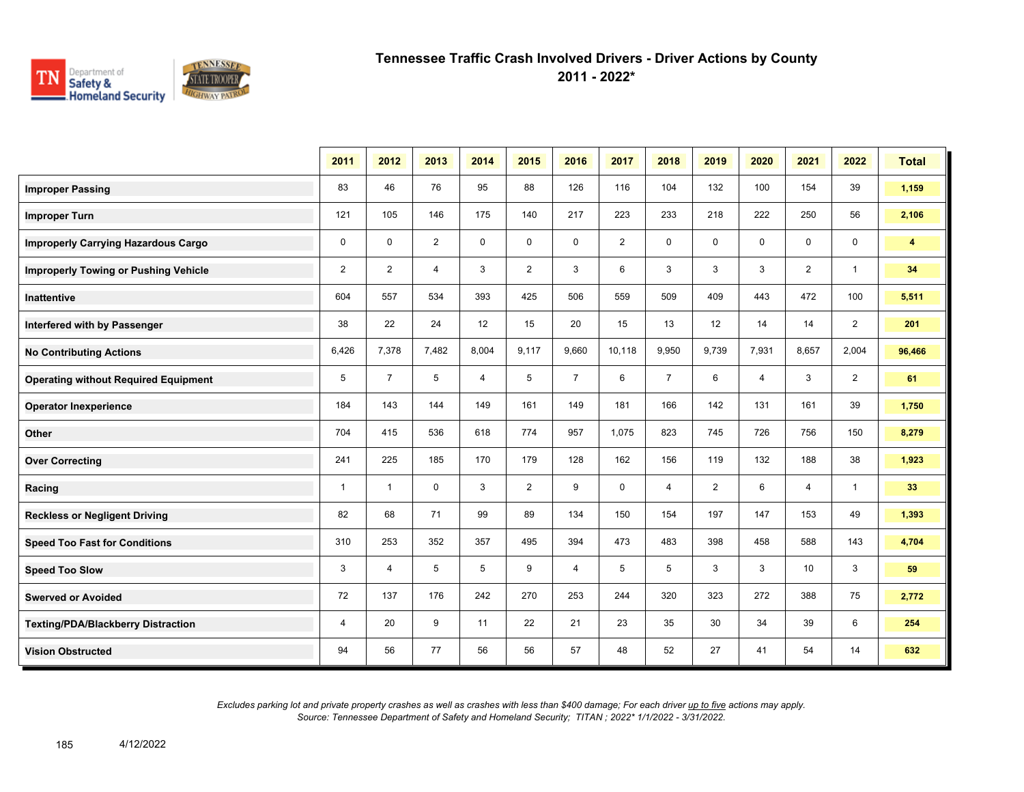

**2011 - 2022\***

|                                             | 2011           | 2012           | 2013     | 2014           | 2015           | 2016           | 2017           | 2018           | 2019           | 2020           | 2021           | 2022           | <b>Total</b>   |
|---------------------------------------------|----------------|----------------|----------|----------------|----------------|----------------|----------------|----------------|----------------|----------------|----------------|----------------|----------------|
| <b>Improper Passing</b>                     | 83             | 46             | 76       | 95             | 88             | 126            | 116            | 104            | 132            | 100            | 154            | 39             | 1,159          |
| <b>Improper Turn</b>                        | 121            | 105            | 146      | 175            | 140            | 217            | 223            | 233            | 218            | 222            | 250            | 56             | 2,106          |
| <b>Improperly Carrying Hazardous Cargo</b>  | 0              | $\mathbf 0$    | 2        | $\mathbf 0$    | $\mathbf 0$    | 0              | $\overline{2}$ | 0              | 0              | $\Omega$       | $\mathbf 0$    | $\mathbf 0$    | $\overline{4}$ |
| <b>Improperly Towing or Pushing Vehicle</b> | $\overline{2}$ | $\overline{2}$ | 4        | 3              | $\overline{2}$ | 3              | 6              | 3              | 3              | 3              | $\overline{2}$ | $\mathbf{1}$   | 34             |
| Inattentive                                 | 604            | 557            | 534      | 393            | 425            | 506            | 559            | 509            | 409            | 443            | 472            | 100            | 5,511          |
| Interfered with by Passenger                | 38             | 22             | 24       | 12             | 15             | 20             | 15             | 13             | 12             | 14             | 14             | $\overline{2}$ | 201            |
| <b>No Contributing Actions</b>              | 6,426          | 7,378          | 7,482    | 8,004          | 9,117          | 9,660          | 10,118         | 9,950          | 9,739          | 7,931          | 8,657          | 2,004          | 96,466         |
| <b>Operating without Required Equipment</b> | 5              | $\overline{7}$ | 5        | $\overline{4}$ | 5              | $\overline{7}$ | 6              | $\overline{7}$ | 6              | $\overline{4}$ | 3              | $\overline{2}$ | 61             |
| <b>Operator Inexperience</b>                | 184            | 143            | 144      | 149            | 161            | 149            | 181            | 166            | 142            | 131            | 161            | 39             | 1,750          |
| Other                                       | 704            | 415            | 536      | 618            | 774            | 957            | 1,075          | 823            | 745            | 726            | 756            | 150            | 8,279          |
| <b>Over Correcting</b>                      | 241            | 225            | 185      | 170            | 179            | 128            | 162            | 156            | 119            | 132            | 188            | 38             | 1,923          |
| Racing                                      | $\mathbf{1}$   | $\mathbf{1}$   | $\Omega$ | 3              | $\overline{2}$ | 9              | $\mathbf 0$    | $\overline{4}$ | $\overline{2}$ | 6              | $\overline{4}$ | $\mathbf{1}$   | 33             |
| <b>Reckless or Negligent Driving</b>        | 82             | 68             | 71       | 99             | 89             | 134            | 150            | 154            | 197            | 147            | 153            | 49             | 1,393          |
| <b>Speed Too Fast for Conditions</b>        | 310            | 253            | 352      | 357            | 495            | 394            | 473            | 483            | 398            | 458            | 588            | 143            | 4,704          |
| <b>Speed Too Slow</b>                       | 3              | 4              | 5        | 5              | 9              | 4              | 5              | 5              | 3              | 3              | 10             | 3              | 59             |
| <b>Swerved or Avoided</b>                   | 72             | 137            | 176      | 242            | 270            | 253            | 244            | 320            | 323            | 272            | 388            | 75             | 2,772          |
| <b>Texting/PDA/Blackberry Distraction</b>   | 4              | 20             | 9        | 11             | 22             | 21             | 23             | 35             | 30             | 34             | 39             | 6              | 254            |
| <b>Vision Obstructed</b>                    | 94             | 56             | 77       | 56             | 56             | 57             | 48             | 52             | 27             | 41             | 54             | 14             | 632            |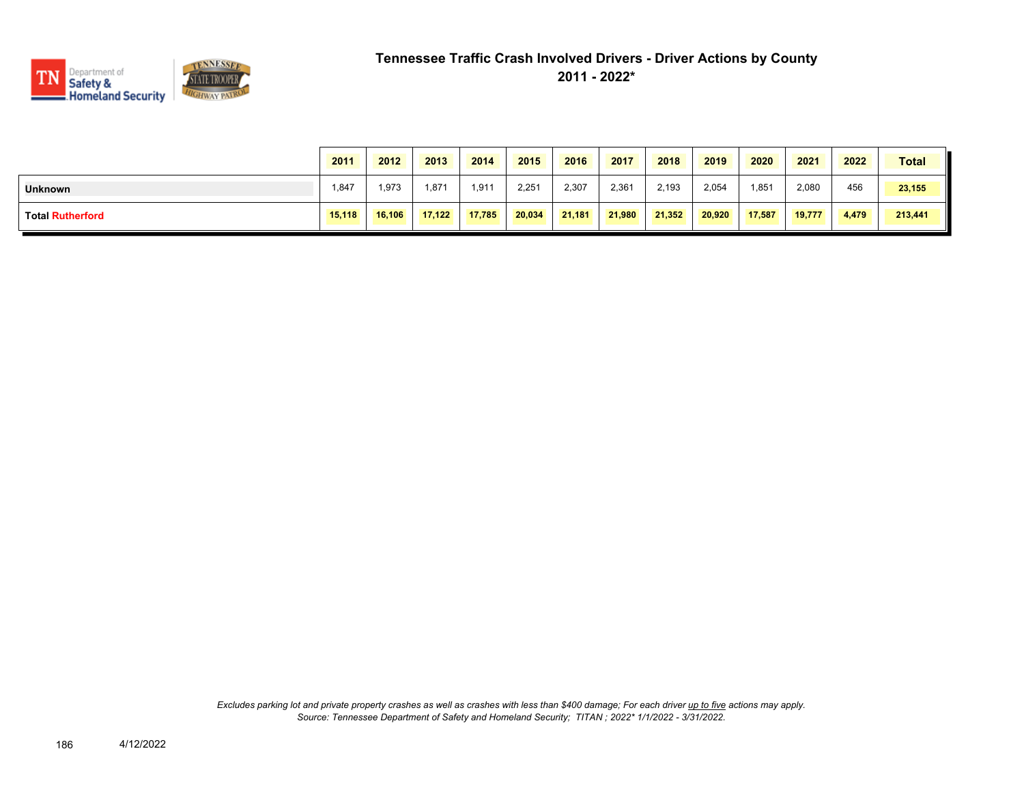

|                         | 2011   | 2012   | 2013   | 2014   | 2015   | 2016   | 2017   | 2018   | 2019   | 2020   | 2021   | 2022  | <b>Total</b> |
|-------------------------|--------|--------|--------|--------|--------|--------|--------|--------|--------|--------|--------|-------|--------------|
| <b>Unknown</b>          | 1,847  | 1,973  | 1,871  | 1.911  | 2,251  | 2,307  | 2,361  | 2,193  | 2,054  | 1,851  | 2,080  | 456   | 23,155       |
| <b>Total Rutherford</b> | 15,118 | 16,106 | 17,122 | 17,785 | 20,034 | 21.181 | 21,980 | 21,352 | 20,920 | 17,587 | 19.777 | 4,479 | 213,441      |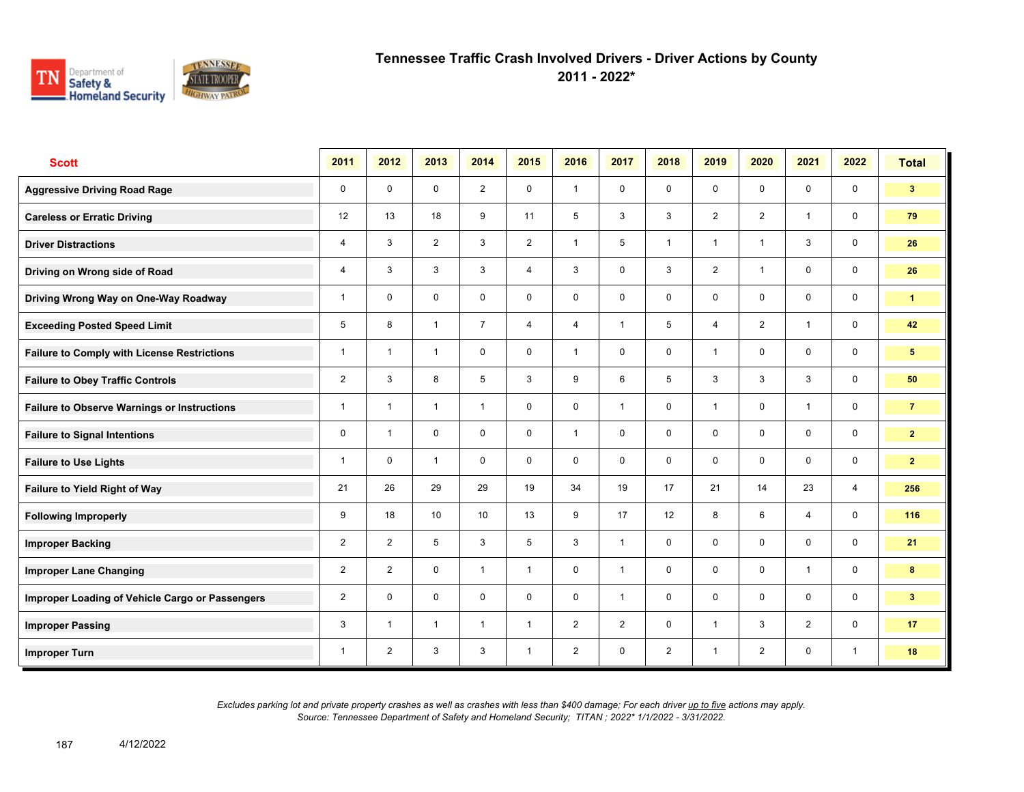

**2011 - 2022\***

| <b>Scott</b>                                       | 2011           | 2012                    | 2013           | 2014            | 2015           | 2016           | 2017         | 2018           | 2019           | 2020           | 2021           | 2022           | <b>Total</b>   |
|----------------------------------------------------|----------------|-------------------------|----------------|-----------------|----------------|----------------|--------------|----------------|----------------|----------------|----------------|----------------|----------------|
| <b>Aggressive Driving Road Rage</b>                | 0              | $\mathbf 0$             | $\mathbf 0$    | $\overline{2}$  | $\mathbf 0$    | $\overline{1}$ | $\mathbf 0$  | $\mathbf 0$    | $\mathbf 0$    | $\mathbf 0$    | $\mathbf 0$    | $\mathbf 0$    | 3 <sup>1</sup> |
| <b>Careless or Erratic Driving</b>                 | 12             | 13                      | 18             | 9               | 11             | 5              | 3            | 3              | $\overline{2}$ | 2              | $\mathbf{1}$   | $\mathbf 0$    | 79             |
| <b>Driver Distractions</b>                         | 4              | 3                       | 2              | 3               | $\overline{2}$ | $\overline{1}$ | 5            | $\mathbf{1}$   | $\mathbf{1}$   | $\overline{1}$ | 3              | $\mathbf 0$    | 26             |
| Driving on Wrong side of Road                      | 4              | 3                       | 3              | 3               | 4              | 3              | $\mathbf 0$  | 3              | $\overline{2}$ | $\overline{1}$ | $\mathbf 0$    | $\mathbf 0$    | 26             |
| Driving Wrong Way on One-Way Roadway               | 1              | $\mathbf 0$             | $\mathbf 0$    | $\mathbf 0$     | 0              | $\mathbf 0$    | $\mathbf 0$  | $\mathbf 0$    | $\mathbf 0$    | $\mathbf 0$    | $\mathbf 0$    | $\mathbf 0$    | $\mathbf{1}$   |
| <b>Exceeding Posted Speed Limit</b>                | 5              | 8                       | $\overline{1}$ | $\overline{7}$  | 4              | $\overline{4}$ | $\mathbf{1}$ | 5              | 4              | $\overline{2}$ | $\mathbf{1}$   | $\mathbf 0$    | 42             |
| <b>Failure to Comply with License Restrictions</b> | 1              | $\overline{\mathbf{1}}$ | $\mathbf{1}$   | $\mathbf 0$     | 0              | $\overline{1}$ | $\mathbf 0$  | $\mathsf{O}$   | 1              | $\mathbf 0$    | $\mathbf 0$    | $\mathbf 0$    | 5 <sup>5</sup> |
| <b>Failure to Obey Traffic Controls</b>            | $\overline{2}$ | 3                       | 8              | 5               | 3              | 9              | 6            | 5              | 3              | 3              | 3              | $\mathbf 0$    | 50             |
| <b>Failure to Observe Warnings or Instructions</b> | 1              | $\overline{\mathbf{1}}$ | $\overline{1}$ | $\mathbf{1}$    | 0              | $\mathbf 0$    | $\mathbf{1}$ | $\mathbf{0}$   | $\mathbf{1}$   | $\mathbf 0$    | $\mathbf{1}$   | $\mathbf 0$    | $\overline{7}$ |
| <b>Failure to Signal Intentions</b>                | 0              | $\overline{1}$          | $\mathbf 0$    | $\mathbf 0$     | 0              | $\mathbf{1}$   | $\mathbf 0$  | $\mathbf 0$    | $\mathbf 0$    | $\Omega$       | $\mathbf 0$    | $\mathbf 0$    | $\mathbf{2}$   |
| <b>Failure to Use Lights</b>                       | $\overline{1}$ | $\mathbf 0$             | $\overline{1}$ | $\mathbf 0$     | 0              | $\mathbf 0$    | $\mathbf 0$  | $\mathsf{O}$   | $\mathbf 0$    | $\mathbf 0$    | $\mathbf 0$    | $\mathbf 0$    | $\overline{2}$ |
| Failure to Yield Right of Way                      | 21             | 26                      | 29             | 29              | 19             | 34             | 19           | 17             | 21             | 14             | 23             | $\overline{4}$ | 256            |
| <b>Following Improperly</b>                        | 9              | 18                      | 10             | 10 <sup>1</sup> | 13             | 9              | 17           | 12             | 8              | 6              | $\overline{4}$ | $\mathbf 0$    | 116            |
| <b>Improper Backing</b>                            | $\overline{2}$ | $\overline{2}$          | 5              | 3               | 5              | 3              | $\mathbf{1}$ | $\mathsf{O}$   | 0              | $\mathbf 0$    | $\mathbf 0$    | $\mathbf 0$    | 21             |
| <b>Improper Lane Changing</b>                      | $\overline{2}$ | $\overline{2}$          | $\Omega$       | $\mathbf{1}$    | $\mathbf{1}$   | $\Omega$       | $\mathbf{1}$ | $\mathbf 0$    | $\mathbf 0$    | $\Omega$       | $\mathbf{1}$   | $\mathbf 0$    | 8              |
| Improper Loading of Vehicle Cargo or Passengers    | $\overline{2}$ | $\mathbf 0$             | $\mathbf 0$    | $\mathbf 0$     | $\mathbf 0$    | $\mathbf 0$    | $\mathbf{1}$ | $\mathsf{O}$   | 0              | $\mathbf 0$    | $\mathbf 0$    | $\mathbf 0$    | 3 <sup>2</sup> |
| <b>Improper Passing</b>                            | 3              | $\overline{1}$          | $\overline{1}$ | $\overline{1}$  | $\mathbf{1}$   | 2              | 2            | $\mathsf{O}$   | 1              | 3              | 2              | $\mathbf 0$    | 17             |
| <b>Improper Turn</b>                               | 1              | 2                       | 3              | 3               | 1              | $\overline{2}$ | $\mathbf 0$  | $\overline{2}$ | $\mathbf{1}$   | $\overline{2}$ | $\mathbf 0$    | $\mathbf{1}$   | 18             |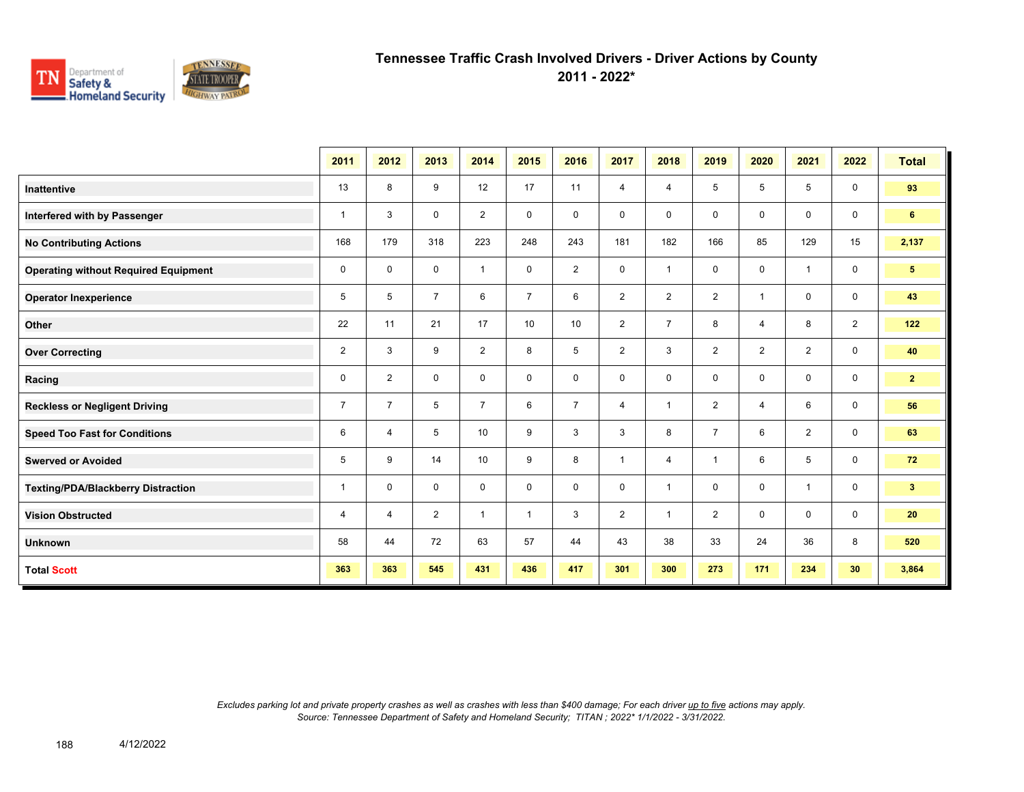

**2011 - 2022\***

|                                             | 2011           | 2012           | 2013           | 2014           | 2015           | 2016           | 2017           | 2018           | 2019           | 2020           | 2021           | 2022           | <b>Total</b>    |
|---------------------------------------------|----------------|----------------|----------------|----------------|----------------|----------------|----------------|----------------|----------------|----------------|----------------|----------------|-----------------|
| <b>Inattentive</b>                          | 13             | 8              | 9              | 12             | 17             | 11             | $\overline{4}$ | 4              | 5              | 5              | 5              | $\mathbf 0$    | 93              |
| Interfered with by Passenger                | $\mathbf{1}$   | 3              | $\mathbf 0$    | $\overline{2}$ | $\mathbf 0$    | $\mathbf 0$    | 0              | 0              | 0              | 0              | 0              | $\mathbf 0$    | 6               |
| <b>No Contributing Actions</b>              | 168            | 179            | 318            | 223            | 248            | 243            | 181            | 182            | 166            | 85             | 129            | 15             | 2,137           |
| <b>Operating without Required Equipment</b> | 0              | 0              | $\mathbf 0$    | $\mathbf{1}$   | 0              | $\overline{2}$ | 0              | $\mathbf{1}$   | 0              | 0              | $\overline{1}$ | 0              | $5\phantom{.0}$ |
| <b>Operator Inexperience</b>                | 5              | 5              | $\overline{7}$ | 6              | $\overline{7}$ | 6              | $\overline{2}$ | $\overline{2}$ | $\overline{2}$ | $\overline{1}$ | 0              | $\mathbf 0$    | 43              |
| Other                                       | 22             | 11             | 21             | 17             | 10             | 10             | $\overline{2}$ | $\overline{7}$ | 8              | 4              | 8              | $\overline{2}$ | 122             |
| <b>Over Correcting</b>                      | 2              | 3              | 9              | $\overline{2}$ | 8              | 5              | $\overline{2}$ | 3              | $\overline{2}$ | $\overline{2}$ | $\overline{2}$ | 0              | 40              |
| Racing                                      | 0              | $\overline{2}$ | $\Omega$       | $\mathbf 0$    | $\Omega$       | $\mathbf{0}$   | $\mathbf 0$    | 0              | 0              | $\mathbf 0$    | $\mathbf 0$    | $\mathbf 0$    | 2 <sup>7</sup>  |
| <b>Reckless or Negligent Driving</b>        | $\overline{7}$ | $\overline{7}$ | 5              | $\overline{7}$ | 6              | $\overline{7}$ | $\overline{4}$ | $\mathbf{1}$   | $\overline{2}$ | 4              | 6              | $\mathbf 0$    | 56              |
| <b>Speed Too Fast for Conditions</b>        | 6              | $\overline{4}$ | 5              | 10             | 9              | 3              | 3              | 8              | $\overline{7}$ | 6              | $\overline{2}$ | $\mathbf 0$    | 63              |
| <b>Swerved or Avoided</b>                   | 5              | 9              | 14             | 10             | 9              | 8              | $\mathbf{1}$   | $\overline{4}$ | $\mathbf{1}$   | 6              | 5              | $\mathbf 0$    | 72              |
| Texting/PDA/Blackberry Distraction          | $\mathbf{1}$   | $\mathbf 0$    | $\mathbf 0$    | $\mathbf 0$    | $\mathbf 0$    | $\mathbf 0$    | $\mathbf 0$    | $\mathbf{1}$   | 0              | $\mathbf 0$    | $\overline{1}$ | $\mathbf 0$    | 3 <sub>1</sub>  |
| <b>Vision Obstructed</b>                    | 4              | 4              | 2              | $\mathbf{1}$   | $\mathbf{1}$   | 3              | $\overline{2}$ | $\mathbf{1}$   | $\overline{2}$ | 0              | 0              | $\mathbf 0$    | 20              |
| <b>Unknown</b>                              | 58             | 44             | 72             | 63             | 57             | 44             | 43             | 38             | 33             | 24             | 36             | 8              | 520             |
| <b>Total Scott</b>                          | 363            | 363            | 545            | 431            | 436            | 417            | 301            | 300            | 273            | 171            | 234            | 30             | 3,864           |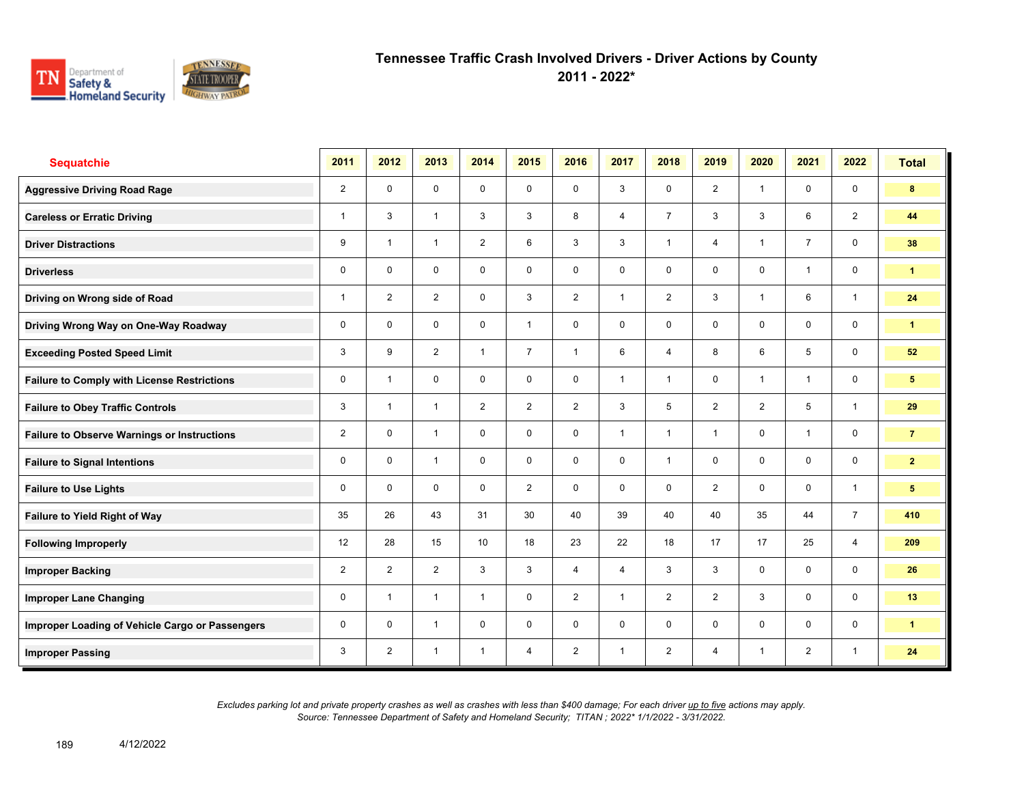

**2011 - 2022\***

| <b>Sequatchie</b>                                  | 2011           | 2012                    | 2013           | 2014           | 2015           | 2016           | 2017           | 2018           | 2019           | 2020           | 2021           | 2022           | <b>Total</b>    |
|----------------------------------------------------|----------------|-------------------------|----------------|----------------|----------------|----------------|----------------|----------------|----------------|----------------|----------------|----------------|-----------------|
| <b>Aggressive Driving Road Rage</b>                | $\overline{2}$ | $\mathbf 0$             | $\mathbf 0$    | $\mathbf 0$    | $\mathbf 0$    | $\mathbf 0$    | 3              | $\mathsf{O}$   | $\overline{2}$ | $\overline{1}$ | $\mathbf 0$    | $\mathbf 0$    | 8               |
| <b>Careless or Erratic Driving</b>                 | 1              | 3                       | $\overline{1}$ | 3              | 3              | 8              | $\overline{4}$ | $\overline{7}$ | 3              | 3              | 6              | $\overline{2}$ | 44              |
| <b>Driver Distractions</b>                         | 9              | $\overline{\mathbf{1}}$ | $\overline{1}$ | $\overline{2}$ | 6              | 3              | 3              | $\mathbf{1}$   | 4              | $\overline{1}$ | $\overline{7}$ | $\mathbf 0$    | 38              |
| <b>Driverless</b>                                  | 0              | $\Omega$                | $\mathbf 0$    | $\mathbf 0$    | 0              | $\Omega$       | $\mathbf 0$    | $\mathbf 0$    | $\mathbf 0$    | $\mathbf 0$    | $\mathbf{1}$   | $\mathbf 0$    | $\mathbf{1}$    |
| Driving on Wrong side of Road                      | 1              | $\overline{2}$          | $\overline{2}$ | $\mathbf 0$    | 3              | 2              | $\mathbf{1}$   | $\overline{2}$ | 3              | $\overline{1}$ | 6              | $\mathbf{1}$   | 24              |
| Driving Wrong Way on One-Way Roadway               | 0              | $\mathbf 0$             | $\mathbf 0$    | $\mathbf 0$    | $\mathbf{1}$   | $\mathbf 0$    | $\mathbf 0$    | $\mathsf{O}$   | $\mathbf 0$    | $\mathbf 0$    | $\mathbf 0$    | $\mathbf 0$    | 1               |
| <b>Exceeding Posted Speed Limit</b>                | 3              | 9                       | $\overline{2}$ | $\mathbf{1}$   | $\overline{7}$ | $\overline{1}$ | 6              | $\overline{4}$ | 8              | 6              | 5              | $\mathbf 0$    | 52              |
| <b>Failure to Comply with License Restrictions</b> | 0              | $\overline{\mathbf{1}}$ | $\mathbf 0$    | $\mathbf 0$    | 0              | $\Omega$       | $\mathbf{1}$   | $\mathbf{1}$   | $\mathbf 0$    | $\overline{1}$ | $\mathbf{1}$   | $\mathbf 0$    | $5\phantom{.0}$ |
| <b>Failure to Obey Traffic Controls</b>            | 3              | $\overline{1}$          | $\mathbf{1}$   | $\overline{2}$ | $\overline{2}$ | 2              | 3              | 5              | $\overline{2}$ | $\overline{2}$ | 5              | $\mathbf{1}$   | 29              |
| <b>Failure to Observe Warnings or Instructions</b> | $\overline{2}$ | 0                       | $\overline{1}$ | $\mathbf 0$    | 0              | $\mathbf 0$    | $\mathbf{1}$   | $\mathbf{1}$   | $\mathbf{1}$   | $\mathbf 0$    | $\mathbf{1}$   | $\mathbf 0$    | $\overline{7}$  |
| <b>Failure to Signal Intentions</b>                | 0              | $\Omega$                | $\overline{1}$ | $\mathbf 0$    | 0              | $\mathbf 0$    | $\mathbf 0$    | $\mathbf{1}$   | $\mathbf 0$    | $\mathbf 0$    | $\mathbf 0$    | $\mathbf 0$    | $\mathbf{2}$    |
| <b>Failure to Use Lights</b>                       | 0              | $\Omega$                | $\Omega$       | $\mathbf 0$    | $\overline{2}$ | $\Omega$       | $\mathbf 0$    | $\mathbf 0$    | $\overline{2}$ | $\Omega$       | $\mathbf 0$    | $\mathbf{1}$   | $5\phantom{.0}$ |
| Failure to Yield Right of Way                      | 35             | 26                      | 43             | 31             | 30             | 40             | 39             | 40             | 40             | 35             | 44             | $\overline{7}$ | 410             |
| <b>Following Improperly</b>                        | 12             | 28                      | 15             | 10             | 18             | 23             | 22             | 18             | 17             | 17             | 25             | $\overline{4}$ | 209             |
| <b>Improper Backing</b>                            | $\overline{2}$ | $\overline{2}$          | $\overline{2}$ | 3              | 3              | $\overline{4}$ | $\overline{4}$ | 3              | 3              | $\mathbf 0$    | $\mathbf 0$    | $\mathbf 0$    | 26              |
| <b>Improper Lane Changing</b>                      | 0              | $\overline{1}$          | $\mathbf{1}$   | $\mathbf{1}$   | 0              | 2              | $\mathbf{1}$   | $\overline{2}$ | $\overline{2}$ | 3              | $\mathbf 0$    | $\mathbf 0$    | 13              |
| Improper Loading of Vehicle Cargo or Passengers    | 0              | $\Omega$                | $\overline{1}$ | $\mathbf 0$    | 0              | $\Omega$       | $\mathbf 0$    | $\mathbf 0$    | $\mathbf 0$    | $\mathbf 0$    | $\mathbf 0$    | $\mathbf 0$    | $\mathbf{1}$    |
| <b>Improper Passing</b>                            | 3              | 2                       | $\overline{1}$ | $\overline{1}$ | 4              | $\overline{2}$ | $\mathbf{1}$   | $\overline{2}$ | 4              | $\overline{1}$ | $\overline{2}$ | $\mathbf{1}$   | 24              |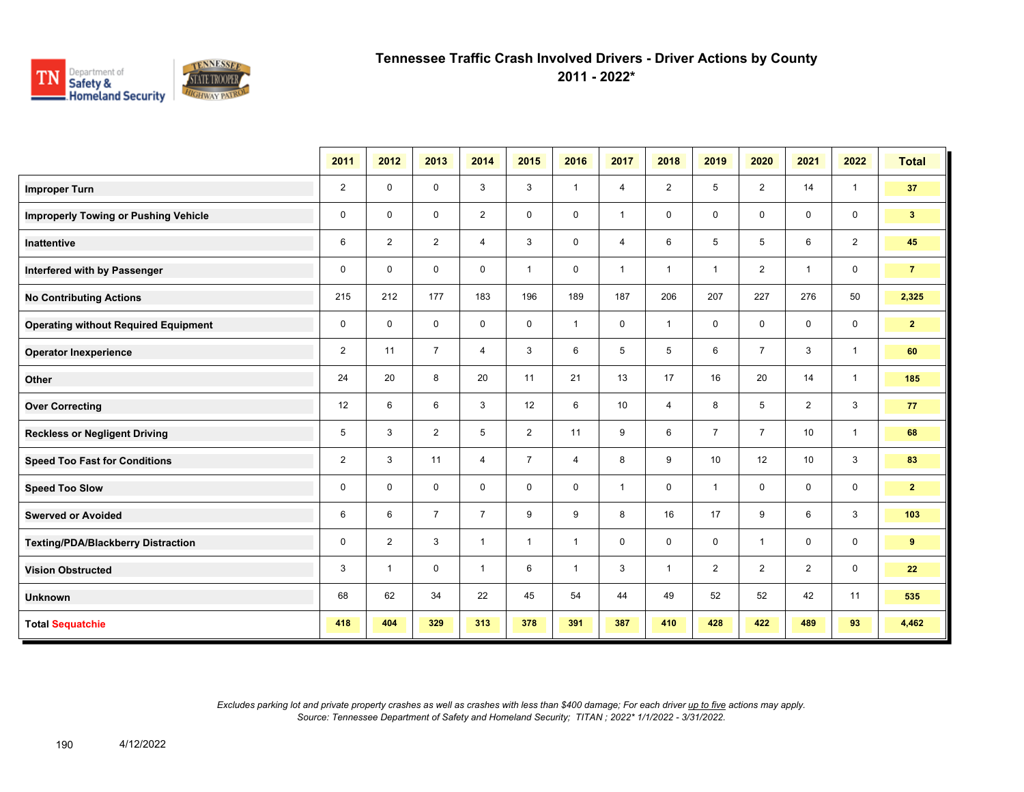

**2011 - 2022\***

|                                             | 2011           | 2012           | 2013           | 2014           | 2015           | 2016         | 2017           | 2018           | 2019           | 2020           | 2021           | 2022           | <b>Total</b>   |
|---------------------------------------------|----------------|----------------|----------------|----------------|----------------|--------------|----------------|----------------|----------------|----------------|----------------|----------------|----------------|
| <b>Improper Turn</b>                        | $\overline{2}$ | 0              | $\mathbf 0$    | 3              | 3              | $\mathbf{1}$ | $\overline{4}$ | $\overline{2}$ | 5              | 2              | 14             | $\mathbf{1}$   | 37             |
| <b>Improperly Towing or Pushing Vehicle</b> | 0              | 0              | $\mathbf 0$    | $\overline{2}$ | 0              | $\mathbf 0$  | $\mathbf{1}$   | $\mathbf 0$    | 0              | $\mathbf 0$    | $\mathbf 0$    | $\mathbf 0$    | 3 <sup>7</sup> |
| <b>Inattentive</b>                          | 6              | $\overline{2}$ | $\overline{2}$ | $\overline{4}$ | 3              | $\mathbf 0$  | $\overline{4}$ | 6              | 5              | 5              | 6              | $\overline{2}$ | 45             |
| Interfered with by Passenger                | 0              | 0              | $\mathbf 0$    | $\mathbf 0$    | $\mathbf{1}$   | 0            | $\mathbf{1}$   | $\overline{1}$ | $\mathbf 1$    | $\overline{2}$ | $\mathbf{1}$   | $\mathbf 0$    | $\overline{7}$ |
| <b>No Contributing Actions</b>              | 215            | 212            | 177            | 183            | 196            | 189          | 187            | 206            | 207            | 227            | 276            | 50             | 2,325          |
| <b>Operating without Required Equipment</b> | 0              | $\mathbf 0$    | 0              | 0              | 0              | $\mathbf{1}$ | 0              | $\overline{1}$ | 0              | $\mathbf 0$    | $\mathbf 0$    | $\mathbf 0$    | $\mathbf{2}$   |
| <b>Operator Inexperience</b>                | $\overline{2}$ | 11             | $\overline{7}$ | 4              | 3              | 6            | 5              | 5              | 6              | $\overline{7}$ | 3              | $\mathbf{1}$   | 60             |
| Other                                       | 24             | 20             | 8              | 20             | 11             | 21           | 13             | 17             | 16             | 20             | 14             | $\mathbf{1}$   | 185            |
| <b>Over Correcting</b>                      | 12             | 6              | 6              | 3              | 12             | 6            | 10             | 4              | 8              | 5              | 2              | $\mathbf{3}$   | 77             |
| <b>Reckless or Negligent Driving</b>        | 5              | 3              | 2              | 5              | $\overline{2}$ | 11           | 9              | 6              | $\overline{7}$ | $\overline{7}$ | 10             | $\mathbf{1}$   | 68             |
| <b>Speed Too Fast for Conditions</b>        | 2              | 3              | 11             | $\overline{4}$ | $\overline{7}$ | 4            | 8              | 9              | 10             | 12             | 10             | $\mathbf{3}$   | 83             |
| <b>Speed Too Slow</b>                       | 0              | $\mathbf 0$    | $\mathbf 0$    | $\mathbf 0$    | 0              | $\mathbf 0$  | $\mathbf{1}$   | $\mathbf 0$    | 1              | $\mathbf 0$    | $\mathbf 0$    | $\mathbf 0$    | $\mathbf{2}$   |
| <b>Swerved or Avoided</b>                   | 6              | 6              | $\overline{7}$ | $\overline{7}$ | 9              | 9            | 8              | 16             | 17             | 9              | 6              | 3              | 103            |
| <b>Texting/PDA/Blackberry Distraction</b>   | $\mathsf 0$    | $\overline{2}$ | 3              | $\mathbf{1}$   | $\mathbf{1}$   | $\mathbf{1}$ | 0              | $\mathbf 0$    | 0              | $\overline{1}$ | $\mathbf 0$    | $\mathbf 0$    | 9              |
| <b>Vision Obstructed</b>                    | 3              | $\mathbf{1}$   | $\mathbf 0$    | $\mathbf{1}$   | 6              | $\mathbf{1}$ | 3              | $\mathbf{1}$   | $\overline{2}$ | $\overline{2}$ | $\overline{2}$ | $\mathbf 0$    | 22             |
| <b>Unknown</b>                              | 68             | 62             | 34             | 22             | 45             | 54           | 44             | 49             | 52             | 52             | 42             | 11             | 535            |
| <b>Total Sequatchie</b>                     | 418            | 404            | 329            | 313            | 378            | 391          | 387            | 410            | 428            | 422            | 489            | 93             | 4,462          |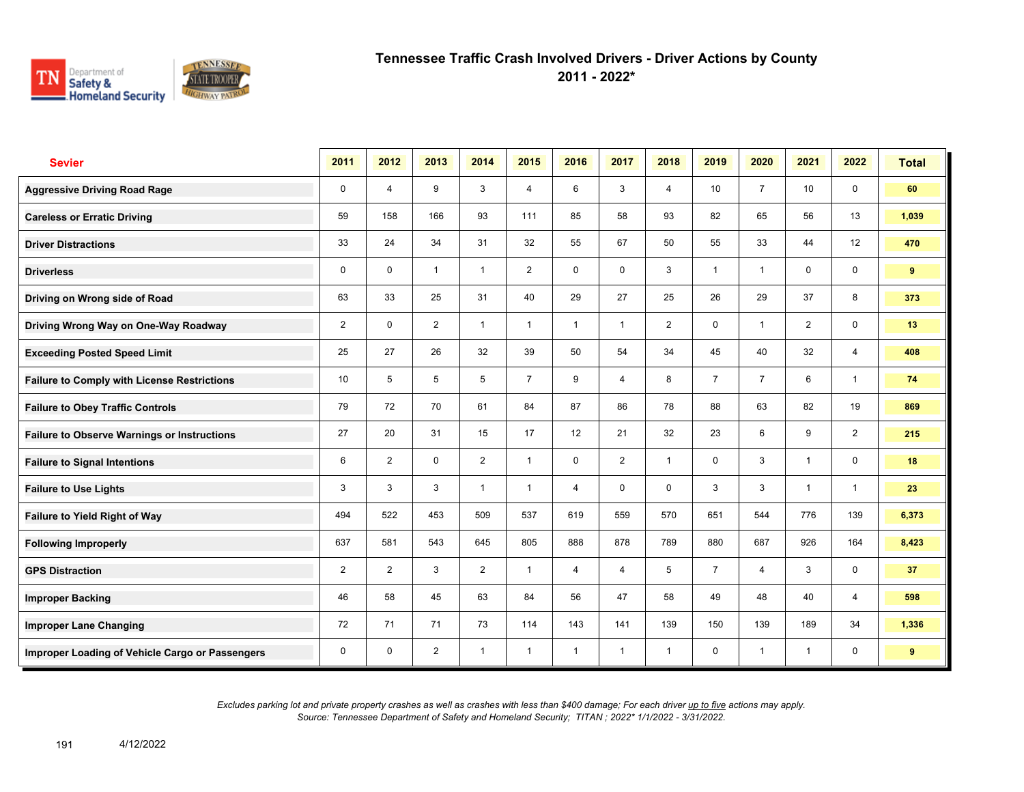

**2011 - 2022\***

| <b>Sevier</b>                                      | 2011           | 2012           | 2013           | 2014           | 2015           | 2016                    | 2017           | 2018           | 2019           | 2020                    | 2021           | 2022           | <b>Total</b> |
|----------------------------------------------------|----------------|----------------|----------------|----------------|----------------|-------------------------|----------------|----------------|----------------|-------------------------|----------------|----------------|--------------|
| <b>Aggressive Driving Road Rage</b>                | $\mathbf 0$    | 4              | 9              | 3              | $\overline{4}$ | 6                       | 3              | $\overline{4}$ | 10             | $\overline{7}$          | 10             | $\mathbf 0$    | 60           |
| <b>Careless or Erratic Driving</b>                 | 59             | 158            | 166            | 93             | 111            | 85                      | 58             | 93             | 82             | 65                      | 56             | 13             | 1,039        |
| <b>Driver Distractions</b>                         | 33             | 24             | 34             | 31             | 32             | 55                      | 67             | 50             | 55             | 33                      | 44             | 12             | 470          |
| <b>Driverless</b>                                  | 0              | 0              | $\mathbf{1}$   | $\mathbf{1}$   | $\overline{2}$ | 0                       | 0              | 3              | $\mathbf{1}$   | $\overline{\mathbf{1}}$ | 0              | 0              | 9            |
| Driving on Wrong side of Road                      | 63             | 33             | 25             | 31             | 40             | 29                      | 27             | 25             | 26             | 29                      | 37             | 8              | 373          |
| Driving Wrong Way on One-Way Roadway               | $\overline{2}$ | $\mathbf 0$    | $\overline{2}$ | $\mathbf{1}$   | $\mathbf{1}$   | $\overline{\mathbf{1}}$ | 1              | $\overline{2}$ | 0              | $\overline{\mathbf{1}}$ | $\overline{2}$ | $\mathbf 0$    | 13           |
| <b>Exceeding Posted Speed Limit</b>                | 25             | 27             | 26             | 32             | 39             | 50                      | 54             | 34             | 45             | 40                      | 32             | $\overline{4}$ | 408          |
| <b>Failure to Comply with License Restrictions</b> | 10             | 5              | 5              | 5              | $\overline{7}$ | 9                       | 4              | 8              | $\overline{7}$ | $\overline{7}$          | 6              | $\mathbf{1}$   | 74           |
| <b>Failure to Obey Traffic Controls</b>            | 79             | 72             | 70             | 61             | 84             | 87                      | 86             | 78             | 88             | 63                      | 82             | 19             | 869          |
| <b>Failure to Observe Warnings or Instructions</b> | 27             | 20             | 31             | 15             | 17             | 12                      | 21             | 32             | 23             | 6                       | 9              | $\overline{2}$ | 215          |
| <b>Failure to Signal Intentions</b>                | 6              | $\overline{2}$ | $\Omega$       | $\overline{2}$ | $\mathbf{1}$   | $\Omega$                | $\overline{2}$ | $\overline{1}$ | 0              | 3                       | $\overline{1}$ | $\mathbf 0$    | 18           |
| <b>Failure to Use Lights</b>                       | 3              | 3              | 3              | $\overline{1}$ | $\mathbf{1}$   | $\overline{4}$          | 0              | $\mathbf 0$    | 3              | 3                       | $\overline{1}$ | $\mathbf{1}$   | 23           |
| Failure to Yield Right of Way                      | 494            | 522            | 453            | 509            | 537            | 619                     | 559            | 570            | 651            | 544                     | 776            | 139            | 6,373        |
| <b>Following Improperly</b>                        | 637            | 581            | 543            | 645            | 805            | 888                     | 878            | 789            | 880            | 687                     | 926            | 164            | 8,423        |
| <b>GPS Distraction</b>                             | $\overline{2}$ | $\overline{2}$ | 3              | $\overline{2}$ | $\mathbf{1}$   | 4                       | $\overline{4}$ | 5              | $\overline{7}$ | 4                       | 3              | $\mathbf 0$    | 37           |
| <b>Improper Backing</b>                            | 46             | 58             | 45             | 63             | 84             | 56                      | 47             | 58             | 49             | 48                      | 40             | $\overline{4}$ | 598          |
| <b>Improper Lane Changing</b>                      | 72             | 71             | 71             | 73             | 114            | 143                     | 141            | 139            | 150            | 139                     | 189            | 34             | 1,336        |
| Improper Loading of Vehicle Cargo or Passengers    | 0              | $\mathbf 0$    | $\overline{2}$ | $\overline{1}$ | $\mathbf{1}$   | $\overline{1}$          | $\overline{1}$ | $\overline{1}$ | 0              | -1                      | $\overline{1}$ | $\mathbf 0$    | 9            |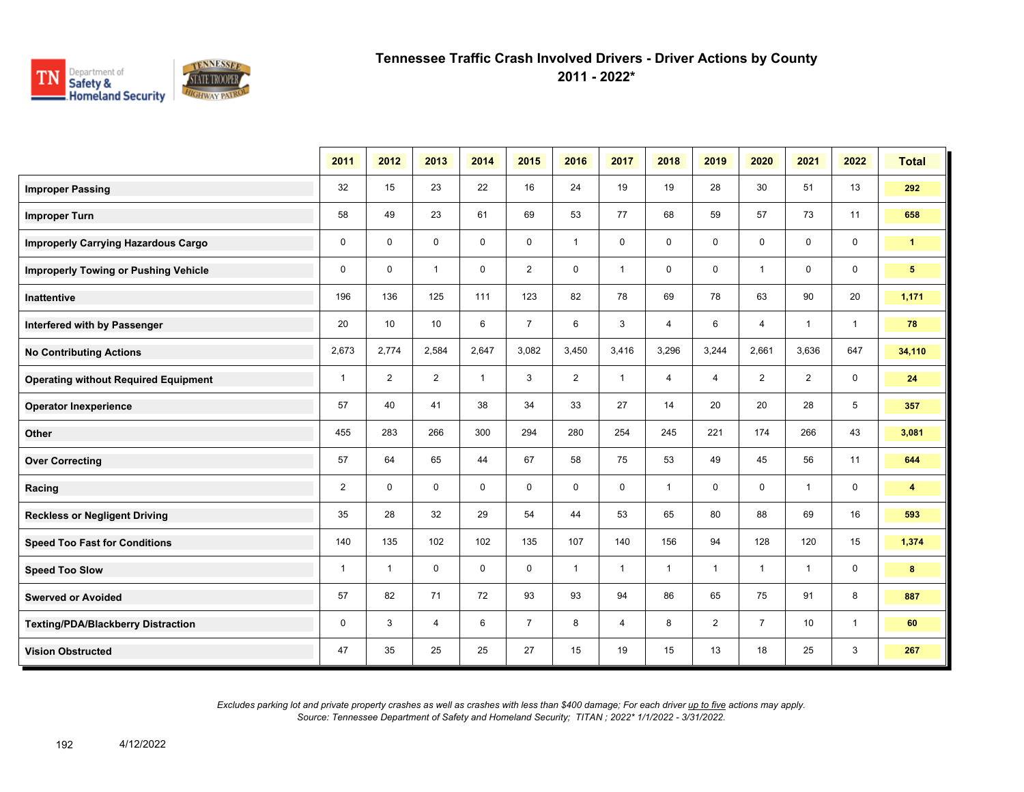

**2011 - 2022\***

|                                             | 2011         | 2012           | 2013           | 2014         | 2015           | 2016           | 2017         | 2018           | 2019           | 2020           | 2021           | 2022         | <b>Total</b>            |
|---------------------------------------------|--------------|----------------|----------------|--------------|----------------|----------------|--------------|----------------|----------------|----------------|----------------|--------------|-------------------------|
| <b>Improper Passing</b>                     | 32           | 15             | 23             | 22           | 16             | 24             | 19           | 19             | 28             | 30             | 51             | 13           | 292                     |
| <b>Improper Turn</b>                        | 58           | 49             | 23             | 61           | 69             | 53             | 77           | 68             | 59             | 57             | 73             | 11           | 658                     |
| <b>Improperly Carrying Hazardous Cargo</b>  | 0            | $\mathbf 0$    | $\mathbf 0$    | 0            | 0              | $\mathbf{1}$   | 0            | 0              | 0              | 0              | 0              | $\mathbf 0$  | $\mathbf{1}$            |
| <b>Improperly Towing or Pushing Vehicle</b> | 0            | $\mathbf 0$    | $\mathbf{1}$   | $\mathbf 0$  | $\overline{2}$ | $\mathbf 0$    | $\mathbf{1}$ | 0              | $\mathbf 0$    | $\overline{1}$ | $\mathbf 0$    | $\mathbf 0$  | 5                       |
| Inattentive                                 | 196          | 136            | 125            | 111          | 123            | 82             | 78           | 69             | 78             | 63             | 90             | 20           | 1,171                   |
| Interfered with by Passenger                | 20           | 10             | 10             | 6            | $\overline{7}$ | 6              | 3            | $\overline{4}$ | 6              | $\overline{4}$ | $\overline{1}$ | $\mathbf{1}$ | 78                      |
| <b>No Contributing Actions</b>              | 2,673        | 2,774          | 2,584          | 2,647        | 3,082          | 3,450          | 3,416        | 3,296          | 3,244          | 2,661          | 3,636          | 647          | 34,110                  |
| <b>Operating without Required Equipment</b> | $\mathbf{1}$ | $\overline{2}$ | $\overline{2}$ | $\mathbf{1}$ | 3              | $\overline{2}$ | $\mathbf{1}$ | $\overline{4}$ | $\overline{4}$ | $\overline{2}$ | $\overline{2}$ | $\mathbf 0$  | 24                      |
| <b>Operator Inexperience</b>                | 57           | 40             | 41             | 38           | 34             | 33             | 27           | 14             | 20             | 20             | 28             | 5            | 357                     |
| Other                                       | 455          | 283            | 266            | 300          | 294            | 280            | 254          | 245            | 221            | 174            | 266            | 43           | 3,081                   |
| <b>Over Correcting</b>                      | 57           | 64             | 65             | 44           | 67             | 58             | 75           | 53             | 49             | 45             | 56             | 11           | 644                     |
| Racing                                      | 2            | $\mathbf 0$    | $\mathbf 0$    | $\mathbf 0$  | $\mathbf 0$    | $\mathbf 0$    | $\mathbf 0$  | $\mathbf{1}$   | 0              | $\mathbf 0$    | $\overline{1}$ | $\mathbf 0$  | $\overline{\mathbf{4}}$ |
| <b>Reckless or Negligent Driving</b>        | 35           | 28             | 32             | 29           | 54             | 44             | 53           | 65             | 80             | 88             | 69             | 16           | 593                     |
| <b>Speed Too Fast for Conditions</b>        | 140          | 135            | 102            | 102          | 135            | 107            | 140          | 156            | 94             | 128            | 120            | 15           | 1,374                   |
| <b>Speed Too Slow</b>                       | $\mathbf{1}$ | $\overline{1}$ | $\mathbf 0$    | $\mathbf 0$  | $\mathbf 0$    | $\mathbf{1}$   | $\mathbf{1}$ | $\mathbf{1}$   | $\mathbf{1}$   | $\overline{1}$ | $\overline{1}$ | $\mathbf 0$  | 8                       |
| <b>Swerved or Avoided</b>                   | 57           | 82             | 71             | 72           | 93             | 93             | 94           | 86             | 65             | 75             | 91             | 8            | 887                     |
| Texting/PDA/Blackberry Distraction          | 0            | 3              | 4              | 6            | $\overline{7}$ | 8              | 4            | 8              | $\overline{2}$ | $\overline{7}$ | 10             | $\mathbf{1}$ | 60                      |
| <b>Vision Obstructed</b>                    | 47           | 35             | 25             | 25           | 27             | 15             | 19           | 15             | 13             | 18             | 25             | 3            | 267                     |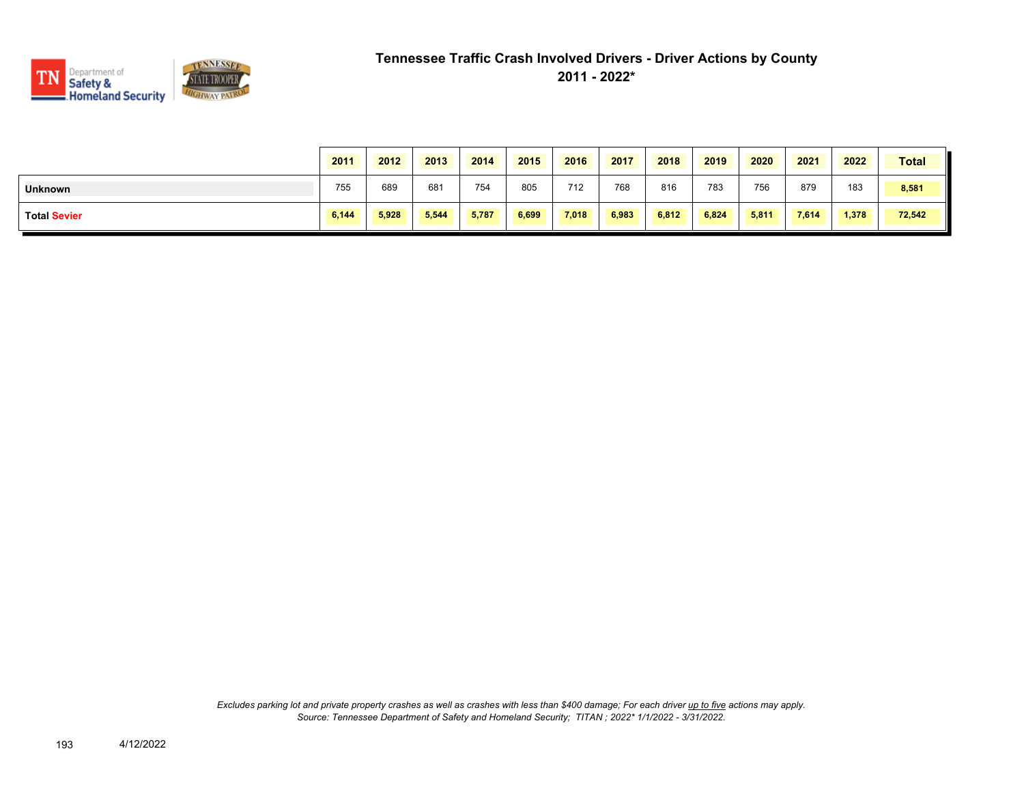

|                     | 2011  | 2012  | 2013  | 2014  | 2015  | 2016  | 2017  | 2018  | 2019  | 2020  | 2021  | 2022  | <b>Total</b> |
|---------------------|-------|-------|-------|-------|-------|-------|-------|-------|-------|-------|-------|-------|--------------|
| <b>Unknown</b>      | 755   | 689   | 681   | 754   | 805   | 712   | 768   | 816   | 783   | 756   | 879   | 183   | 8,581        |
| <b>Total Sevier</b> | 6,144 | 5,928 | 5,544 | 5,787 | 6,699 | 7.018 | 6,983 | 6,812 | 6,824 | 5,811 | 7,614 | 1,378 | 72,542       |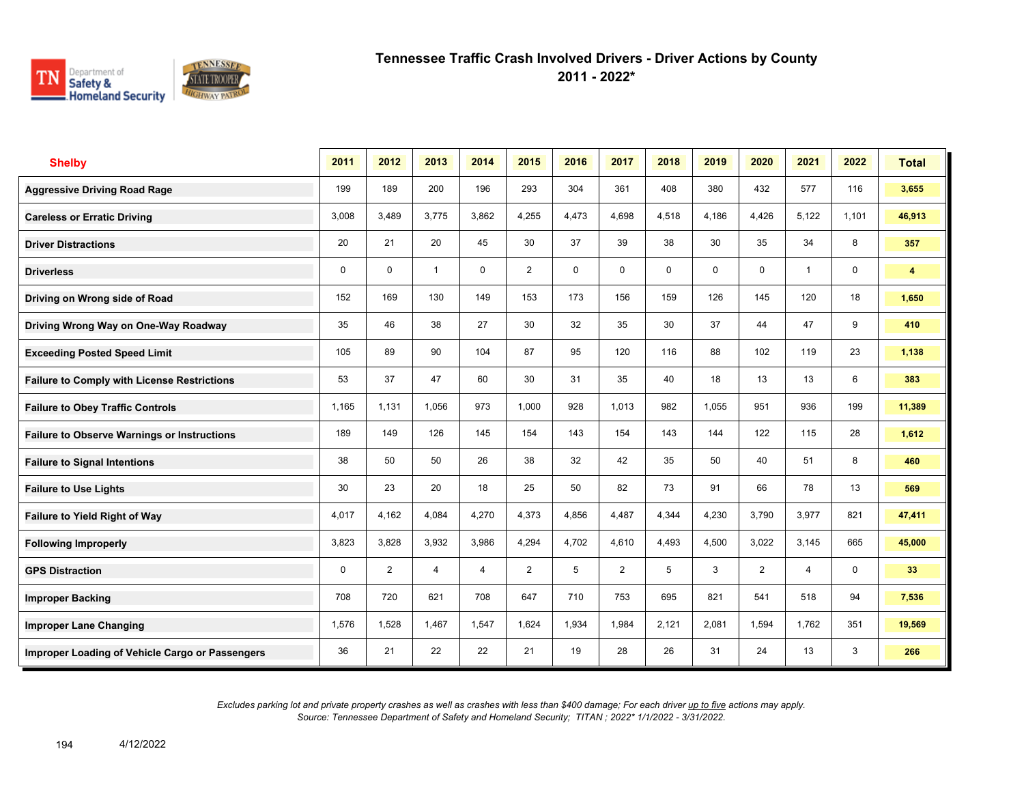

**2011 - 2022\***

| <b>Shelby</b>                                      | 2011  | 2012        | 2013           | 2014           | 2015           | 2016        | 2017  | 2018  | 2019  | 2020        | 2021           | 2022        | <b>Total</b>   |
|----------------------------------------------------|-------|-------------|----------------|----------------|----------------|-------------|-------|-------|-------|-------------|----------------|-------------|----------------|
| <b>Aggressive Driving Road Rage</b>                | 199   | 189         | 200            | 196            | 293            | 304         | 361   | 408   | 380   | 432         | 577            | 116         | 3,655          |
| <b>Careless or Erratic Driving</b>                 | 3,008 | 3,489       | 3,775          | 3,862          | 4,255          | 4,473       | 4,698 | 4,518 | 4,186 | 4,426       | 5,122          | 1,101       | 46,913         |
| <b>Driver Distractions</b>                         | 20    | 21          | 20             | 45             | 30             | 37          | 39    | 38    | 30    | 35          | 34             | 8           | 357            |
| <b>Driverless</b>                                  | 0     | $\mathbf 0$ | $\mathbf{1}$   | $\mathbf 0$    | $\overline{2}$ | $\mathbf 0$ | 0     | 0     | 0     | $\mathbf 0$ | $\mathbf{1}$   | 0           | $\overline{4}$ |
| Driving on Wrong side of Road                      | 152   | 169         | 130            | 149            | 153            | 173         | 156   | 159   | 126   | 145         | 120            | 18          | 1,650          |
| Driving Wrong Way on One-Way Roadway               | 35    | 46          | 38             | 27             | 30             | 32          | 35    | 30    | 37    | 44          | 47             | 9           | 410            |
| <b>Exceeding Posted Speed Limit</b>                | 105   | 89          | 90             | 104            | 87             | 95          | 120   | 116   | 88    | 102         | 119            | 23          | 1,138          |
| <b>Failure to Comply with License Restrictions</b> | 53    | 37          | 47             | 60             | 30             | 31          | 35    | 40    | 18    | 13          | 13             | 6           | 383            |
| <b>Failure to Obey Traffic Controls</b>            | 1,165 | 1.131       | 1,056          | 973            | 1,000          | 928         | 1,013 | 982   | 1,055 | 951         | 936            | 199         | 11,389         |
| <b>Failure to Observe Warnings or Instructions</b> | 189   | 149         | 126            | 145            | 154            | 143         | 154   | 143   | 144   | 122         | 115            | 28          | 1,612          |
| <b>Failure to Signal Intentions</b>                | 38    | 50          | 50             | 26             | 38             | 32          | 42    | 35    | 50    | 40          | 51             | 8           | 460            |
| <b>Failure to Use Lights</b>                       | 30    | 23          | 20             | 18             | 25             | 50          | 82    | 73    | 91    | 66          | 78             | 13          | 569            |
| <b>Failure to Yield Right of Way</b>               | 4,017 | 4,162       | 4,084          | 4,270          | 4,373          | 4,856       | 4,487 | 4,344 | 4,230 | 3,790       | 3,977          | 821         | 47,411         |
| <b>Following Improperly</b>                        | 3,823 | 3,828       | 3,932          | 3,986          | 4,294          | 4,702       | 4,610 | 4,493 | 4,500 | 3,022       | 3,145          | 665         | 45,000         |
| <b>GPS Distraction</b>                             | 0     | 2           | $\overline{4}$ | $\overline{4}$ | $\overline{2}$ | 5           | 2     | 5     | 3     | 2           | $\overline{4}$ | $\mathbf 0$ | 33             |
| <b>Improper Backing</b>                            | 708   | 720         | 621            | 708            | 647            | 710         | 753   | 695   | 821   | 541         | 518            | 94          | 7,536          |
| <b>Improper Lane Changing</b>                      | 1,576 | 1,528       | 1.467          | 1,547          | 1,624          | 1,934       | 1,984 | 2,121 | 2,081 | 1,594       | 1,762          | 351         | 19,569         |
| Improper Loading of Vehicle Cargo or Passengers    | 36    | 21          | 22             | 22             | 21             | 19          | 28    | 26    | 31    | 24          | 13             | 3           | 266            |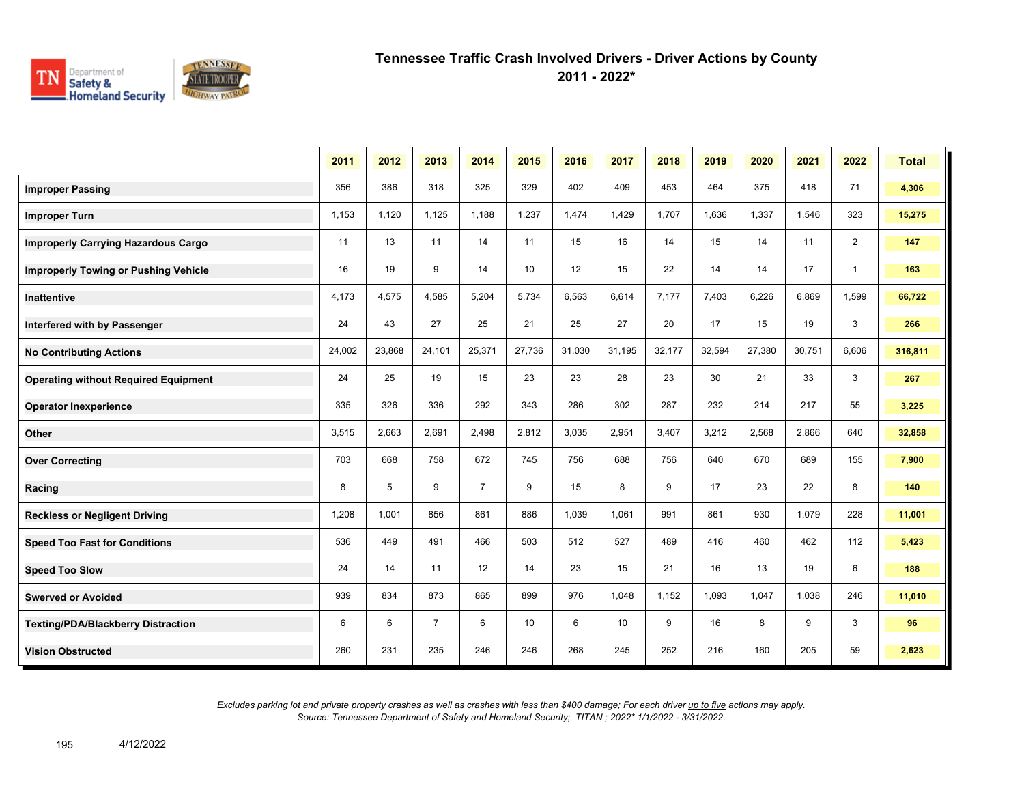

**2011 - 2022\***

|                                             | 2011   | 2012   | 2013           | 2014           | 2015            | 2016   | 2017   | 2018   | 2019   | 2020   | 2021   | 2022           | <b>Total</b> |
|---------------------------------------------|--------|--------|----------------|----------------|-----------------|--------|--------|--------|--------|--------|--------|----------------|--------------|
| <b>Improper Passing</b>                     | 356    | 386    | 318            | 325            | 329             | 402    | 409    | 453    | 464    | 375    | 418    | 71             | 4,306        |
| <b>Improper Turn</b>                        | 1,153  | 1,120  | 1,125          | 1,188          | 1,237           | 1,474  | 1,429  | 1,707  | 1,636  | 1,337  | 1,546  | 323            | 15,275       |
| <b>Improperly Carrying Hazardous Cargo</b>  | 11     | 13     | 11             | 14             | 11              | 15     | 16     | 14     | 15     | 14     | 11     | $\overline{2}$ | 147          |
| <b>Improperly Towing or Pushing Vehicle</b> | 16     | 19     | 9              | 14             | 10              | 12     | 15     | 22     | 14     | 14     | 17     | $\overline{1}$ | 163          |
| Inattentive                                 | 4,173  | 4,575  | 4,585          | 5,204          | 5,734           | 6,563  | 6,614  | 7,177  | 7,403  | 6,226  | 6,869  | 1,599          | 66,722       |
| Interfered with by Passenger                | 24     | 43     | 27             | 25             | 21              | 25     | 27     | 20     | 17     | 15     | 19     | 3              | 266          |
| <b>No Contributing Actions</b>              | 24,002 | 23,868 | 24,101         | 25,371         | 27,736          | 31,030 | 31,195 | 32,177 | 32,594 | 27,380 | 30,751 | 6,606          | 316,811      |
| <b>Operating without Required Equipment</b> | 24     | 25     | 19             | 15             | 23              | 23     | 28     | 23     | 30     | 21     | 33     | 3              | 267          |
| <b>Operator Inexperience</b>                | 335    | 326    | 336            | 292            | 343             | 286    | 302    | 287    | 232    | 214    | 217    | 55             | 3,225        |
| Other                                       | 3,515  | 2,663  | 2,691          | 2,498          | 2,812           | 3,035  | 2,951  | 3,407  | 3,212  | 2,568  | 2,866  | 640            | 32,858       |
| <b>Over Correcting</b>                      | 703    | 668    | 758            | 672            | 745             | 756    | 688    | 756    | 640    | 670    | 689    | 155            | 7,900        |
| Racing                                      | 8      | 5      | 9              | $\overline{7}$ | 9               | 15     | 8      | 9      | 17     | 23     | 22     | 8              | 140          |
| <b>Reckless or Negligent Driving</b>        | 1,208  | 1.001  | 856            | 861            | 886             | 1,039  | 1,061  | 991    | 861    | 930    | 1,079  | 228            | 11,001       |
| <b>Speed Too Fast for Conditions</b>        | 536    | 449    | 491            | 466            | 503             | 512    | 527    | 489    | 416    | 460    | 462    | 112            | 5,423        |
| <b>Speed Too Slow</b>                       | 24     | 14     | 11             | 12             | 14              | 23     | 15     | 21     | 16     | 13     | 19     | 6              | 188          |
| <b>Swerved or Avoided</b>                   | 939    | 834    | 873            | 865            | 899             | 976    | 1,048  | 1,152  | 1,093  | 1,047  | 1,038  | 246            | 11,010       |
| <b>Texting/PDA/Blackberry Distraction</b>   | 6      | 6      | $\overline{7}$ | 6              | 10 <sup>°</sup> | 6      | 10     | 9      | 16     | 8      | 9      | 3              | 96           |
| <b>Vision Obstructed</b>                    | 260    | 231    | 235            | 246            | 246             | 268    | 245    | 252    | 216    | 160    | 205    | 59             | 2,623        |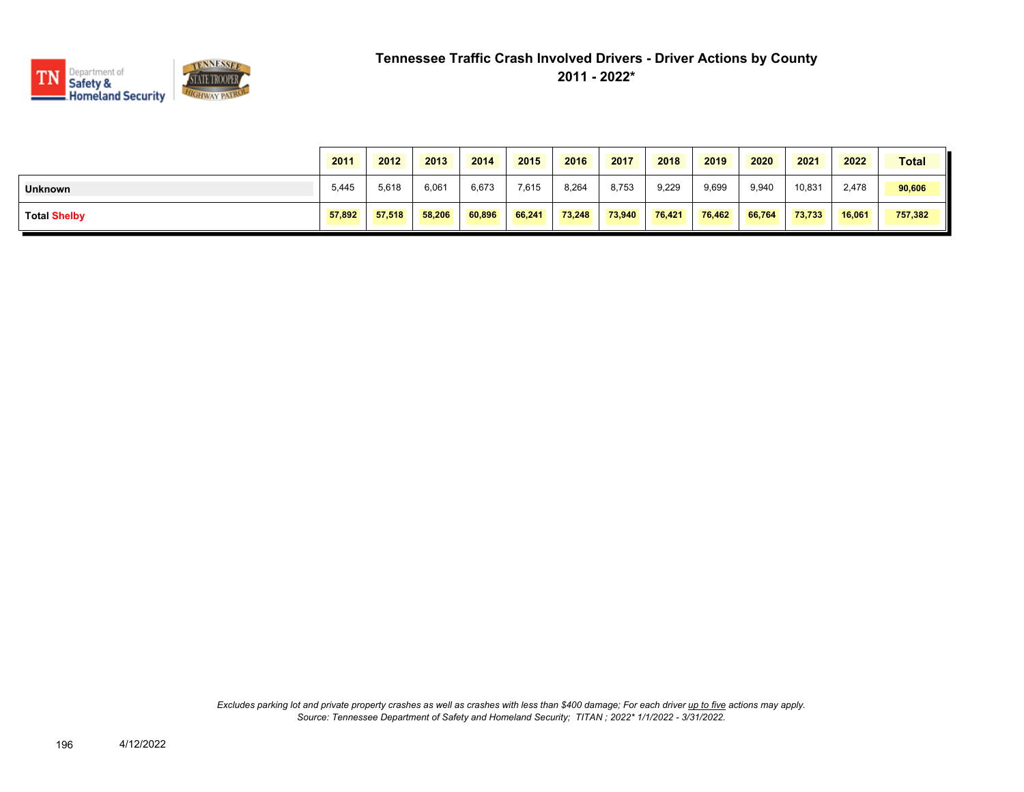

|                     | 2011   | 2012   | 2013   | 2014   | 2015   | 2016   | 2017   | 2018   | 2019   | 2020   | 2021   | 2022   | <b>Total</b> |
|---------------------|--------|--------|--------|--------|--------|--------|--------|--------|--------|--------|--------|--------|--------------|
| <b>Unknown</b>      | 5,445  | 5,618  | 6,061  | 6,673  | 7,615  | 8,264  | 8,753  | 9,229  | 9,699  | 9,940  | 10,831 | 2,478  | 90,606       |
| <b>Total Shelby</b> | 57,892 | 57.518 | 58,206 | 60.896 | 66,241 | 73,248 | 73,940 | 76,421 | 76,462 | 66.764 | 73.733 | 16.061 | 757,382      |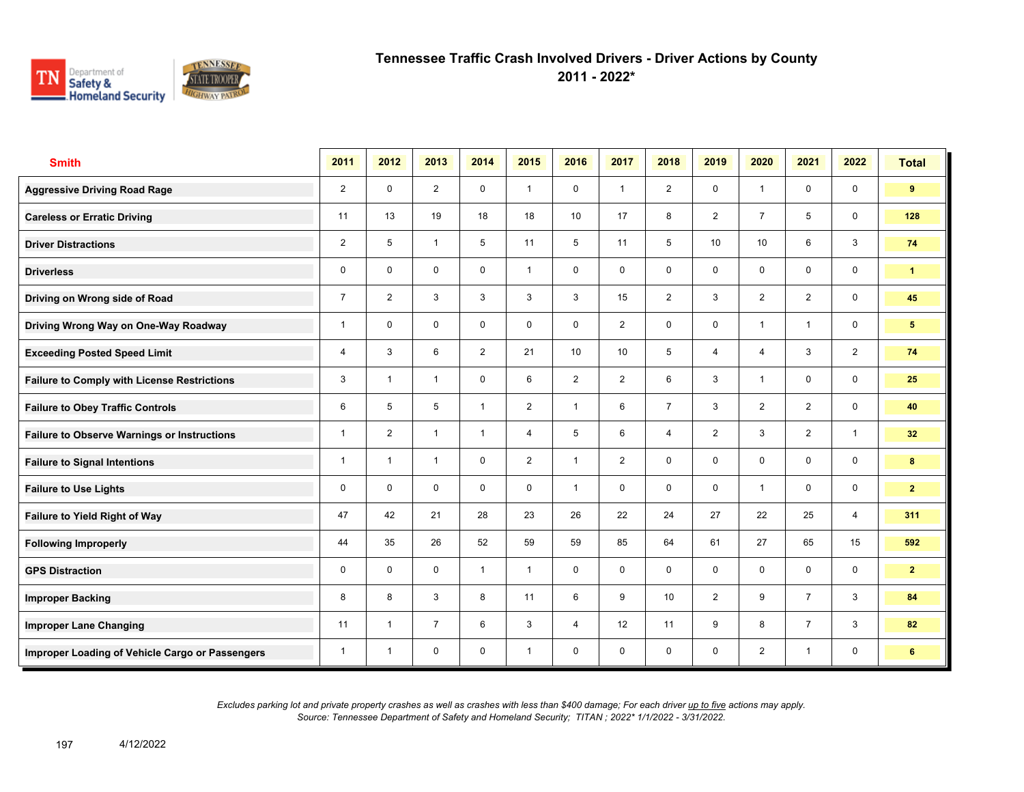

**2011 - 2022\***

| <b>Smith</b>                                       | 2011           | 2012           | 2013           | 2014           | 2015           | 2016           | 2017           | 2018            | 2019            | 2020           | 2021           | 2022                    | <b>Total</b>    |
|----------------------------------------------------|----------------|----------------|----------------|----------------|----------------|----------------|----------------|-----------------|-----------------|----------------|----------------|-------------------------|-----------------|
| <b>Aggressive Driving Road Rage</b>                | $\overline{2}$ | $\mathbf 0$    | $\overline{2}$ | $\mathbf 0$    | $\mathbf{1}$   | $\mathbf 0$    | $\mathbf{1}$   | $\overline{2}$  | $\mathbf 0$     | $\overline{1}$ | $\mathbf 0$    | $\mathbf 0$             | 9               |
| <b>Careless or Erratic Driving</b>                 | 11             | 13             | 19             | 18             | 18             | 10             | 17             | 8               | $\overline{2}$  | $\overline{7}$ | 5              | $\mathbf 0$             | 128             |
| <b>Driver Distractions</b>                         | $\overline{2}$ | 5              | $\mathbf{1}$   | 5              | 11             | 5              | 11             | 5               | 10 <sup>1</sup> | 10             | 6              | $\mathbf{3}$            | 74              |
| <b>Driverless</b>                                  | 0              | $\mathbf 0$    | $\mathsf{O}$   | $\mathsf{O}$   | $\mathbf{1}$   | $\mathsf{O}$   | $\mathbf 0$    | $\mathbf 0$     | 0               | 0              | $\mathsf{O}$   | $\mathbf 0$             | $\mathbf{1}$    |
| Driving on Wrong side of Road                      | $\overline{7}$ | $\overline{2}$ | 3              | 3              | 3              | 3              | 15             | $\overline{2}$  | 3               | $\overline{2}$ | $\overline{2}$ | $\mathbf 0$             | 45              |
| Driving Wrong Way on One-Way Roadway               | 1              | $\Omega$       | $\mathbf 0$    | $\mathbf 0$    | $\mathbf 0$    | $\mathbf 0$    | $\overline{2}$ | $\mathbf 0$     | $\mathbf 0$     | $\overline{1}$ | $\mathbf{1}$   | $\mathbf 0$             | $5\phantom{.0}$ |
| <b>Exceeding Posted Speed Limit</b>                | 4              | 3              | 6              | $\overline{2}$ | 21             | 10             | 10             | 5               | $\overline{4}$  | $\overline{4}$ | 3              | $\overline{2}$          | 74              |
| <b>Failure to Comply with License Restrictions</b> | 3              | $\overline{1}$ | $\mathbf{1}$   | $\mathbf 0$    | 6              | 2              | 2              | 6               | 3               | $\overline{1}$ | $\mathbf 0$    | $\mathbf 0$             | 25              |
| <b>Failure to Obey Traffic Controls</b>            | 6              | 5              | 5              | $\mathbf{1}$   | $\overline{2}$ | $\overline{1}$ | 6              | $\overline{7}$  | 3               | 2              | 2              | $\mathbf 0$             | 40              |
| <b>Failure to Observe Warnings or Instructions</b> | $\mathbf{1}$   | $\overline{2}$ | $\mathbf{1}$   | $\mathbf{1}$   | 4              | 5              | 6              | $\overline{4}$  | $\overline{2}$  | 3              | 2              | $\mathbf{1}$            | 32 <sub>2</sub> |
| <b>Failure to Signal Intentions</b>                | 1              | $\overline{1}$ | $\mathbf{1}$   | $\mathbf 0$    | $\overline{2}$ | $\mathbf{1}$   | $\overline{2}$ | $\mathbf 0$     | $\mathbf 0$     | $\mathbf{0}$   | $\mathbf 0$    | $\mathsf{O}\phantom{0}$ | 8               |
| <b>Failure to Use Lights</b>                       | $\mathbf 0$    | $\mathbf 0$    | $\mathbf 0$    | $\mathbf 0$    | $\mathbf 0$    | $\overline{1}$ | $\mathbf 0$    | $\mathbf 0$     | $\mathbf 0$     | $\overline{1}$ | $\mathbf 0$    | $\mathbf 0$             | $\mathbf{2}$    |
| Failure to Yield Right of Way                      | 47             | 42             | 21             | 28             | 23             | 26             | 22             | 24              | 27              | 22             | 25             | 4                       | 311             |
| <b>Following Improperly</b>                        | 44             | 35             | 26             | 52             | 59             | 59             | 85             | 64              | 61              | 27             | 65             | 15                      | 592             |
| <b>GPS Distraction</b>                             | 0              | $\mathbf 0$    | $\mathbf 0$    | $\mathbf{1}$   | $\mathbf{1}$   | $\mathbf 0$    | $\mathbf 0$    | $\mathbf 0$     | $\mathbf 0$     | $\mathbf 0$    | $\mathbf 0$    | $\mathbf 0$             | $\mathbf{2}$    |
| <b>Improper Backing</b>                            | 8              | 8              | 3              | 8              | 11             | 6              | 9              | 10 <sup>1</sup> | $\overline{2}$  | 9              | $\overline{7}$ | $\mathbf{3}$            | 84              |
| <b>Improper Lane Changing</b>                      | 11             | $\overline{1}$ | $\overline{7}$ | 6              | 3              | $\overline{4}$ | 12             | 11              | 9               | 8              | $\overline{7}$ | 3                       | 82              |
| Improper Loading of Vehicle Cargo or Passengers    | 1              | $\overline{1}$ | $\mathbf 0$    | $\mathbf 0$    | $\mathbf{1}$   | $\mathbf 0$    | $\mathbf 0$    | $\mathbf 0$     | 0               | $\overline{2}$ | $\mathbf{1}$   | 0                       | 6               |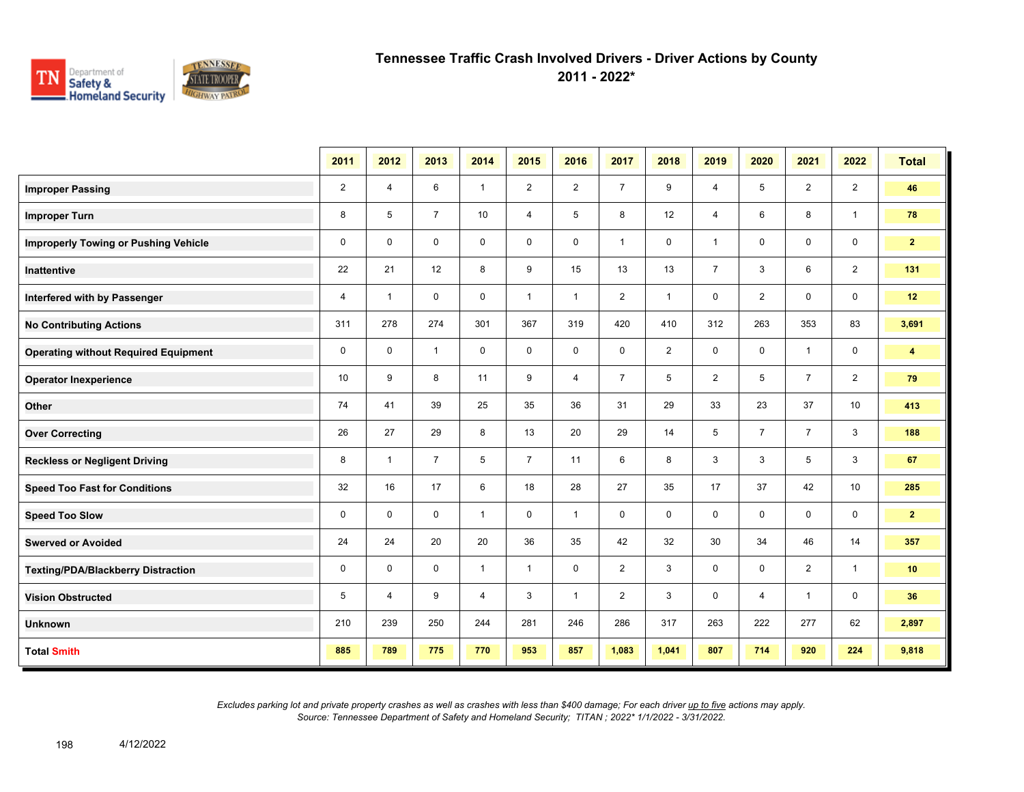

**2011 - 2022\***

|                                             | 2011           | 2012           | 2013           | 2014           | 2015           | 2016           | 2017           | 2018           | 2019           | 2020           | 2021           | 2022           | <b>Total</b>            |
|---------------------------------------------|----------------|----------------|----------------|----------------|----------------|----------------|----------------|----------------|----------------|----------------|----------------|----------------|-------------------------|
| <b>Improper Passing</b>                     | $\overline{2}$ | 4              | 6              | $\mathbf{1}$   | $\overline{2}$ | $\overline{2}$ | $\overline{7}$ | 9              | $\overline{4}$ | 5              | $\overline{2}$ | $\overline{2}$ | 46                      |
| <b>Improper Turn</b>                        | 8              | 5              | $\overline{7}$ | 10             | $\overline{4}$ | 5              | 8              | 12             | $\overline{4}$ | 6              | 8              | $\mathbf{1}$   | 78                      |
| <b>Improperly Towing or Pushing Vehicle</b> | $\mathbf 0$    | $\mathbf 0$    | $\mathbf 0$    | $\mathbf 0$    | $\mathbf 0$    | $\mathbf 0$    | $\mathbf{1}$   | 0              | $\mathbf{1}$   | 0              | 0              | 0              | 2 <sup>7</sup>          |
| <b>Inattentive</b>                          | 22             | 21             | 12             | 8              | 9              | 15             | 13             | 13             | $\overline{7}$ | 3              | 6              | $\overline{2}$ | 131                     |
| Interfered with by Passenger                | 4              | $\overline{1}$ | $\mathbf 0$    | $\mathbf 0$    | $\mathbf{1}$   | $\mathbf{1}$   | 2              | $\mathbf{1}$   | 0              | $\overline{2}$ | 0              | $\mathbf 0$    | 12                      |
| <b>No Contributing Actions</b>              | 311            | 278            | 274            | 301            | 367            | 319            | 420            | 410            | 312            | 263            | 353            | 83             | 3,691                   |
| <b>Operating without Required Equipment</b> | 0              | $\mathbf 0$    | $\mathbf{1}$   | $\mathbf 0$    | $\mathbf 0$    | $\mathbf 0$    | $\mathbf 0$    | $\overline{2}$ | $\mathbf 0$    | $\mathbf 0$    | $\mathbf{1}$   | 0              | $\overline{\mathbf{4}}$ |
| <b>Operator Inexperience</b>                | 10             | 9              | 8              | 11             | 9              | $\overline{4}$ | $\overline{7}$ | $\sqrt{5}$     | $\overline{2}$ | 5              | $\overline{7}$ | $\overline{2}$ | 79                      |
| Other                                       | 74             | 41             | 39             | 25             | 35             | 36             | 31             | 29             | 33             | 23             | 37             | 10             | 413                     |
| <b>Over Correcting</b>                      | 26             | 27             | 29             | 8              | 13             | 20             | 29             | 14             | 5              | $\overline{7}$ | $\overline{7}$ | 3              | 188                     |
| <b>Reckless or Negligent Driving</b>        | 8              | $\overline{1}$ | $\overline{7}$ | 5              | $\overline{7}$ | 11             | 6              | 8              | 3              | 3              | 5              | 3              | 67                      |
| <b>Speed Too Fast for Conditions</b>        | 32             | 16             | 17             | 6              | 18             | 28             | 27             | 35             | 17             | 37             | 42             | 10             | 285                     |
| <b>Speed Too Slow</b>                       | 0              | $\mathbf 0$    | $\mathbf 0$    | $\mathbf{1}$   | $\mathbf 0$    | $\mathbf{1}$   | 0              | $\mathbf 0$    | 0              | 0              | 0              | 0              | 2 <sup>7</sup>          |
| <b>Swerved or Avoided</b>                   | 24             | 24             | 20             | 20             | 36             | 35             | 42             | 32             | 30             | 34             | 46             | 14             | 357                     |
| <b>Texting/PDA/Blackberry Distraction</b>   | 0              | $\mathbf 0$    | $\mathbf 0$    | $\mathbf{1}$   | $\mathbf{1}$   | $\mathbf 0$    | $\overline{2}$ | 3              | $\mathbf 0$    | $\mathbf 0$    | $\overline{2}$ | $\overline{1}$ | 10                      |
| <b>Vision Obstructed</b>                    | 5              | $\overline{4}$ | 9              | $\overline{4}$ | 3              | $\mathbf{1}$   | 2              | 3              | 0              | 4              | $\mathbf{1}$   | 0              | 36                      |
| <b>Unknown</b>                              | 210            | 239            | 250            | 244            | 281            | 246            | 286            | 317            | 263            | 222            | 277            | 62             | 2,897                   |
| <b>Total Smith</b>                          | 885            | 789            | 775            | 770            | 953            | 857            | 1,083          | 1,041          | 807            | 714            | 920            | 224            | 9,818                   |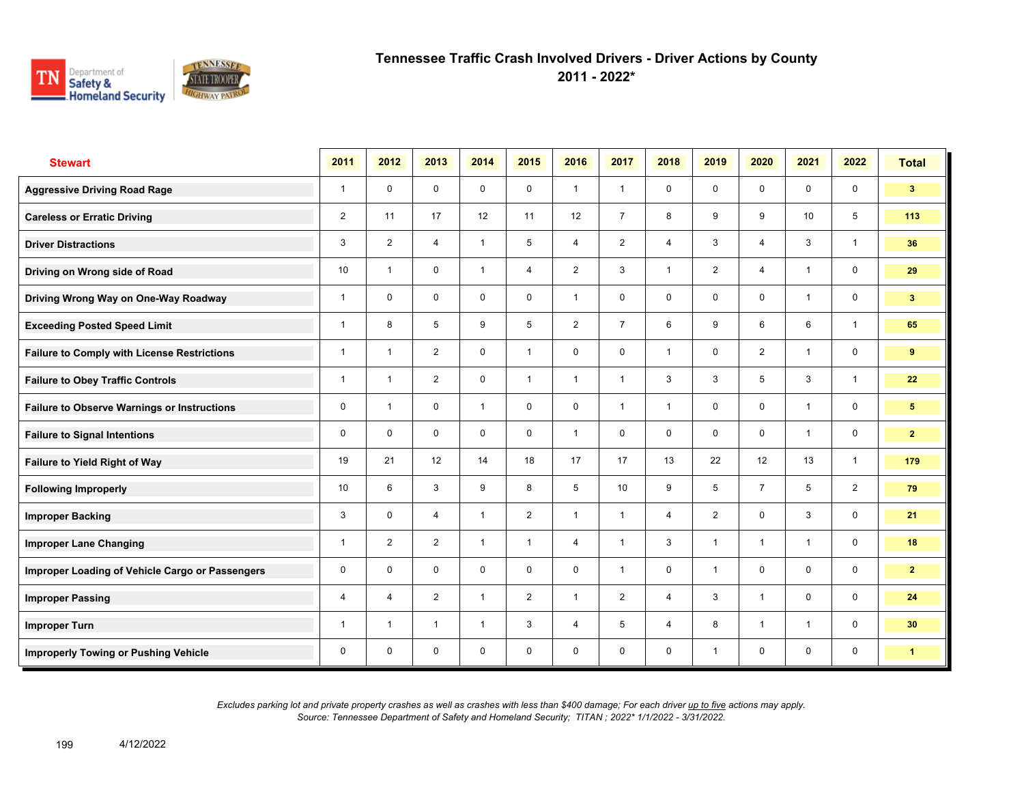

**2011 - 2022\***

| <b>Stewart</b>                                     | 2011           | 2012                    | 2013           | 2014           | 2015           | 2016           | 2017           | 2018           | 2019           | 2020           | 2021           | 2022           | <b>Total</b>   |
|----------------------------------------------------|----------------|-------------------------|----------------|----------------|----------------|----------------|----------------|----------------|----------------|----------------|----------------|----------------|----------------|
| <b>Aggressive Driving Road Rage</b>                | $\mathbf{1}$   | $\mathbf 0$             | $\mathbf 0$    | $\mathbf 0$    | $\mathbf 0$    | $\mathbf{1}$   | $\mathbf{1}$   | $\mathbf 0$    | $\mathbf 0$    | $\mathbf 0$    | $\mathbf 0$    | $\mathbf 0$    | 3 <sup>1</sup> |
| <b>Careless or Erratic Driving</b>                 | $\overline{2}$ | 11                      | 17             | 12             | 11             | 12             | $\overline{7}$ | 8              | 9              | 9              | 10             | 5              | 113            |
| <b>Driver Distractions</b>                         | 3              | $\overline{2}$          | $\overline{4}$ | $\mathbf{1}$   | 5              | $\overline{4}$ | 2              | $\overline{4}$ | 3              | $\overline{4}$ | 3              | $\mathbf{1}$   | 36             |
| Driving on Wrong side of Road                      | 10             | $\overline{1}$          | $\mathbf 0$    | $\mathbf{1}$   | 4              | 2              | 3              | $\mathbf{1}$   | $\overline{2}$ | $\overline{4}$ | $\mathbf{1}$   | $\mathbf 0$    | 29             |
| Driving Wrong Way on One-Way Roadway               | 1              | $\mathbf 0$             | 0              | $\mathbf 0$    | 0              | $\overline{1}$ | $\mathbf 0$    | $\mathbf 0$    | 0              | $\mathbf 0$    | $\mathbf{1}$   | $\mathbf 0$    | 3 <sup>7</sup> |
| <b>Exceeding Posted Speed Limit</b>                | 1              | 8                       | 5              | 9              | 5              | 2              | $\overline{7}$ | 6              | 9              | 6              | 6              | $\mathbf{1}$   | 65             |
| <b>Failure to Comply with License Restrictions</b> | 1              | $\overline{\mathbf{1}}$ | $\overline{2}$ | $\mathbf 0$    | $\mathbf{1}$   | $\mathbf 0$    | $\mathbf 0$    | $\overline{1}$ | $\mathbf 0$    | 2              | $\mathbf{1}$   | $\mathbf 0$    | 9              |
| <b>Failure to Obey Traffic Controls</b>            | $\mathbf{1}$   | $\overline{\mathbf{1}}$ | $\overline{2}$ | $\mathbf 0$    | $\mathbf{1}$   | $\overline{1}$ | $\mathbf{1}$   | 3              | 3              | 5              | 3              | $\mathbf{1}$   | 22             |
| <b>Failure to Observe Warnings or Instructions</b> | 0              | $\overline{\mathbf{1}}$ | 0              | $\mathbf{1}$   | 0              | $\mathbf 0$    | $\mathbf{1}$   | $\mathbf{1}$   | $\mathbf 0$    | $\mathbf 0$    | $\mathbf{1}$   | $\mathbf 0$    | 5              |
| <b>Failure to Signal Intentions</b>                | 0              | $\Omega$                | $\mathbf 0$    | $\mathbf 0$    | 0              | $\mathbf{1}$   | $\mathbf 0$    | $\mathbf 0$    | $\mathbf 0$    | $\mathbf 0$    | $\mathbf{1}$   | $\mathbf 0$    | $\mathbf{2}$   |
| Failure to Yield Right of Way                      | 19             | 21                      | 12             | 14             | 18             | 17             | 17             | 13             | 22             | 12             | 13             | $\mathbf{1}$   | 179            |
| <b>Following Improperly</b>                        | 10             | 6                       | 3              | 9              | 8              | 5              | 10             | 9              | 5              | $\overline{7}$ | 5              | $\overline{2}$ | 79             |
| <b>Improper Backing</b>                            | 3              | $\mathbf 0$             | 4              | $\mathbf{1}$   | $\overline{2}$ | $\overline{1}$ | $\mathbf{1}$   | $\overline{4}$ | $\overline{2}$ | $\Omega$       | 3              | $\mathbf 0$    | 21             |
| <b>Improper Lane Changing</b>                      | 1              | $\overline{2}$          | $\overline{2}$ | $\mathbf{1}$   | $\mathbf{1}$   | $\overline{4}$ | $\mathbf{1}$   | 3              | $\mathbf{1}$   | $\overline{1}$ | $\overline{1}$ | $\mathbf 0$    | 18             |
| Improper Loading of Vehicle Cargo or Passengers    | 0              | $\mathbf 0$             | $\mathbf 0$    | $\mathbf 0$    | $\mathbf 0$    | $\mathbf 0$    | $\mathbf{1}$   | $\mathbf 0$    | $\mathbf{1}$   | $\mathbf 0$    | $\mathbf 0$    | $\mathbf 0$    | $\overline{2}$ |
| <b>Improper Passing</b>                            | 4              | 4                       | 2              | $\mathbf{1}$   | $\overline{2}$ | $\overline{1}$ | 2              | $\overline{4}$ | 3              | $\overline{1}$ | $\mathbf 0$    | $\mathbf 0$    | 24             |
| <b>Improper Turn</b>                               | 1              | $\overline{1}$          | $\mathbf{1}$   | $\overline{1}$ | 3              | $\overline{4}$ | 5              | $\overline{4}$ | 8              | $\overline{1}$ | $\mathbf{1}$   | $\mathbf 0$    | 30             |
| <b>Improperly Towing or Pushing Vehicle</b>        | 0              | $\mathbf 0$             | 0              | $\mathbf 0$    | 0              | $\mathbf 0$    | $\mathbf 0$    | $\mathbf 0$    | $\mathbf{1}$   | $\mathbf 0$    | $\mathbf 0$    | $\mathbf 0$    | $\mathbf{1}$   |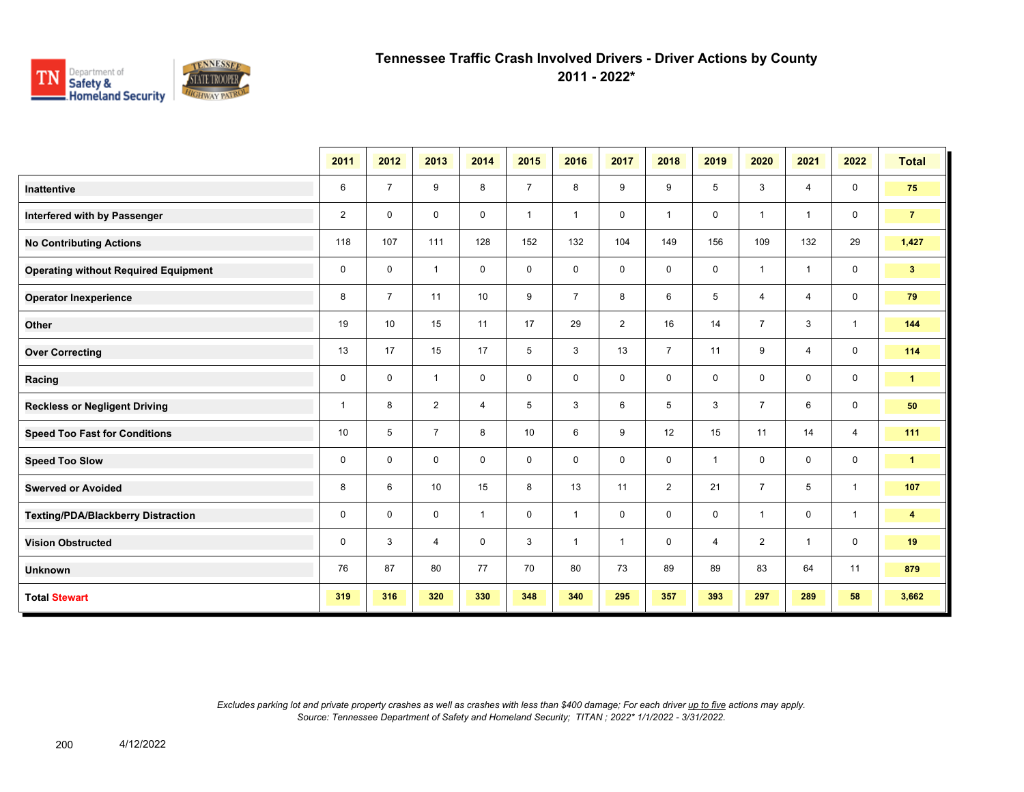

**2011 - 2022\***

|                                             | 2011           | 2012           | 2013           | 2014           | 2015           | 2016           | 2017           | 2018           | 2019           | 2020                    | 2021           | 2022           | <b>Total</b>            |
|---------------------------------------------|----------------|----------------|----------------|----------------|----------------|----------------|----------------|----------------|----------------|-------------------------|----------------|----------------|-------------------------|
| <b>Inattentive</b>                          | 6              | $\overline{7}$ | 9              | 8              | $\overline{7}$ | 8              | 9              | 9              | 5              | 3                       | 4              | $\mathbf 0$    | 75                      |
| Interfered with by Passenger                | $\overline{2}$ | $\mathbf 0$    | $\mathbf 0$    | 0              | $\mathbf{1}$   | $\overline{1}$ | $\mathbf 0$    | $\overline{1}$ | 0              | $\overline{\mathbf{1}}$ | $\overline{1}$ | $\mathbf 0$    | $\overline{7}$          |
| <b>No Contributing Actions</b>              | 118            | 107            | 111            | 128            | 152            | 132            | 104            | 149            | 156            | 109                     | 132            | 29             | 1,427                   |
| <b>Operating without Required Equipment</b> | 0              | $\mathbf 0$    | $\mathbf{1}$   | $\mathbf 0$    | $\mathbf 0$    | $\mathbf 0$    | $\mathbf 0$    | $\mathbf 0$    | 0              | $\overline{1}$          | $\mathbf{1}$   | $\mathbf 0$    | 3 <sup>2</sup>          |
| <b>Operator Inexperience</b>                | 8              | $\overline{7}$ | 11             | 10             | 9              | $\overline{7}$ | 8              | 6              | 5              | $\overline{4}$          | $\overline{4}$ | $\mathbf 0$    | 79                      |
| <b>Other</b>                                | 19             | 10             | 15             | 11             | 17             | 29             | $\overline{2}$ | 16             | 14             | $\overline{7}$          | 3              | $\mathbf{1}$   | 144                     |
| <b>Over Correcting</b>                      | 13             | 17             | 15             | 17             | 5              | 3              | 13             | $\overline{7}$ | 11             | 9                       | $\overline{4}$ | $\mathbf 0$    | 114                     |
| Racing                                      | 0              | $\mathbf 0$    | $\mathbf{1}$   | $\mathbf 0$    | 0              | $\mathbf 0$    | $\mathbf 0$    | $\mathbf 0$    | 0              | $\mathbf 0$             | $\mathbf{0}$   | $\mathbf 0$    | $\mathbf{1}$            |
| <b>Reckless or Negligent Driving</b>        | $\mathbf{1}$   | 8              | $\overline{2}$ | $\overline{4}$ | 5              | 3              | 6              | 5              | 3              | $\overline{7}$          | 6              | $\mathbf 0$    | 50                      |
| <b>Speed Too Fast for Conditions</b>        | 10             | 5              | $\overline{7}$ | 8              | 10             | 6              | 9              | 12             | 15             | 11                      | 14             | $\overline{4}$ | 111                     |
| <b>Speed Too Slow</b>                       | $\mathbf 0$    | $\mathbf 0$    | $\mathbf 0$    | $\mathbf 0$    | 0              | $\mathbf 0$    | $\mathbf 0$    | $\mathbf 0$    | $\mathbf{1}$   | $\mathbf 0$             | $\mathbf{0}$   | $\mathbf 0$    | $\blacktriangleleft$    |
| <b>Swerved or Avoided</b>                   | 8              | 6              | 10             | 15             | 8              | 13             | 11             | 2              | 21             | $\overline{7}$          | 5              | $\mathbf{1}$   | 107                     |
| <b>Texting/PDA/Blackberry Distraction</b>   | 0              | 0              | $\mathbf 0$    | $\mathbf{1}$   | $\mathbf 0$    | $\overline{1}$ | $\mathbf 0$    | $\mathbf 0$    | 0              | $\overline{1}$          | $\mathbf{0}$   | $\mathbf{1}$   | $\overline{\mathbf{4}}$ |
| <b>Vision Obstructed</b>                    | $\mathbf 0$    | 3              | $\overline{4}$ | $\mathbf 0$    | 3              | $\overline{1}$ | $\overline{1}$ | $\mathbf 0$    | $\overline{4}$ | $\overline{2}$          | $\mathbf{1}$   | $\mathbf 0$    | 19                      |
| <b>Unknown</b>                              | 76             | 87             | 80             | 77             | 70             | 80             | 73             | 89             | 89             | 83                      | 64             | 11             | 879                     |
| <b>Total Stewart</b>                        | 319            | 316            | 320            | 330            | 348            | 340            | 295            | 357            | 393            | 297                     | 289            | 58             | 3,662                   |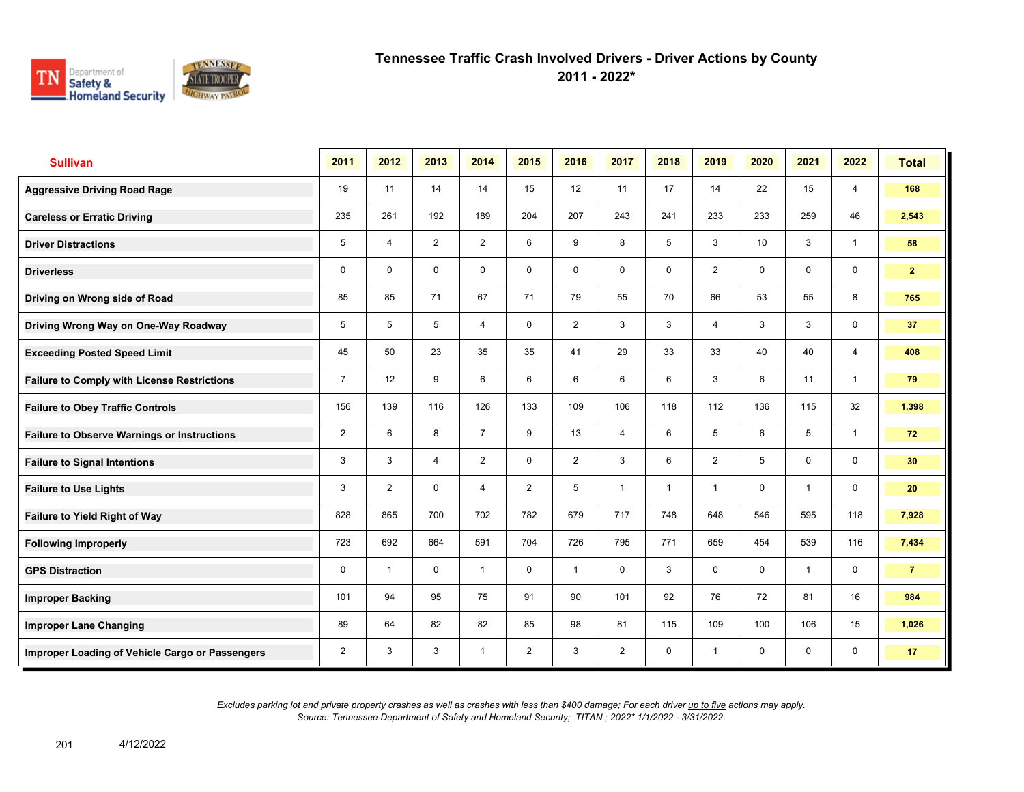

**2011 - 2022\***

| <b>Sullivan</b>                                    | 2011           | 2012           | 2013           | 2014           | 2015           | 2016           | 2017           | 2018           | 2019           | 2020        | 2021           | 2022           | <b>Total</b>   |
|----------------------------------------------------|----------------|----------------|----------------|----------------|----------------|----------------|----------------|----------------|----------------|-------------|----------------|----------------|----------------|
| <b>Aggressive Driving Road Rage</b>                | 19             | 11             | 14             | 14             | 15             | 12             | 11             | 17             | 14             | 22          | 15             | $\overline{4}$ | 168            |
| <b>Careless or Erratic Driving</b>                 | 235            | 261            | 192            | 189            | 204            | 207            | 243            | 241            | 233            | 233         | 259            | 46             | 2,543          |
| <b>Driver Distractions</b>                         | 5              | 4              | $\overline{2}$ | $\overline{2}$ | 6              | 9              | 8              | 5              | 3              | 10          | 3              | $\mathbf{1}$   | 58             |
| <b>Driverless</b>                                  | $\mathbf 0$    | $\mathbf 0$    | $\mathbf 0$    | $\mathbf 0$    | $\mathbf 0$    | $\mathbf 0$    | 0              | $\mathbf 0$    | $\overline{2}$ | $\Omega$    | $\mathbf 0$    | $\mathbf 0$    | $\mathbf{2}$   |
| Driving on Wrong side of Road                      | 85             | 85             | 71             | 67             | 71             | 79             | 55             | 70             | 66             | 53          | 55             | 8              | 765            |
| Driving Wrong Way on One-Way Roadway               | 5              | 5              | 5              | $\overline{4}$ | $\mathbf 0$    | $\overline{2}$ | 3              | 3              | 4              | 3           | 3              | $\mathbf 0$    | 37             |
| <b>Exceeding Posted Speed Limit</b>                | 45             | 50             | 23             | 35             | 35             | 41             | 29             | 33             | 33             | 40          | 40             | $\overline{4}$ | 408            |
| <b>Failure to Comply with License Restrictions</b> | $\overline{7}$ | 12             | 9              | 6              | 6              | 6              | 6              | 6              | 3              | 6           | 11             | $\overline{1}$ | 79             |
| <b>Failure to Obey Traffic Controls</b>            | 156            | 139            | 116            | 126            | 133            | 109            | 106            | 118            | 112            | 136         | 115            | 32             | 1,398          |
| <b>Failure to Observe Warnings or Instructions</b> | $\overline{2}$ | 6              | 8              | $\overline{7}$ | 9              | 13             | 4              | 6              | 5              | 6           | 5              | $\overline{1}$ | 72             |
| <b>Failure to Signal Intentions</b>                | 3              | 3              | $\overline{4}$ | $\overline{2}$ | $\mathbf 0$    | $\overline{2}$ | 3              | 6              | $\overline{2}$ | 5           | 0              | $\mathbf 0$    | 30             |
| <b>Failure to Use Lights</b>                       | 3              | $\overline{2}$ | $\Omega$       | $\overline{4}$ | $\overline{2}$ | 5              | $\overline{1}$ | $\overline{1}$ | 1              | $\Omega$    | $\overline{1}$ | $\mathbf 0$    | 20             |
| Failure to Yield Right of Way                      | 828            | 865            | 700            | 702            | 782            | 679            | 717            | 748            | 648            | 546         | 595            | 118            | 7,928          |
| <b>Following Improperly</b>                        | 723            | 692            | 664            | 591            | 704            | 726            | 795            | 771            | 659            | 454         | 539            | 116            | 7,434          |
| <b>GPS Distraction</b>                             | 0              | $\overline{1}$ | $\mathbf 0$    | $\mathbf{1}$   | $\mathbf 0$    | $\overline{1}$ | $\mathbf 0$    | 3              | 0              | $\mathbf 0$ | $\overline{1}$ | $\mathbf 0$    | $\overline{7}$ |
| <b>Improper Backing</b>                            | 101            | 94             | 95             | 75             | 91             | 90             | 101            | 92             | 76             | 72          | 81             | 16             | 984            |
| <b>Improper Lane Changing</b>                      | 89             | 64             | 82             | 82             | 85             | 98             | 81             | 115            | 109            | 100         | 106            | 15             | 1,026          |
| Improper Loading of Vehicle Cargo or Passengers    | 2              | 3              | 3              | $\overline{1}$ | $\overline{2}$ | 3              | $\overline{2}$ | $\mathbf 0$    | 1              | $\mathbf 0$ | 0              | 0              | 17             |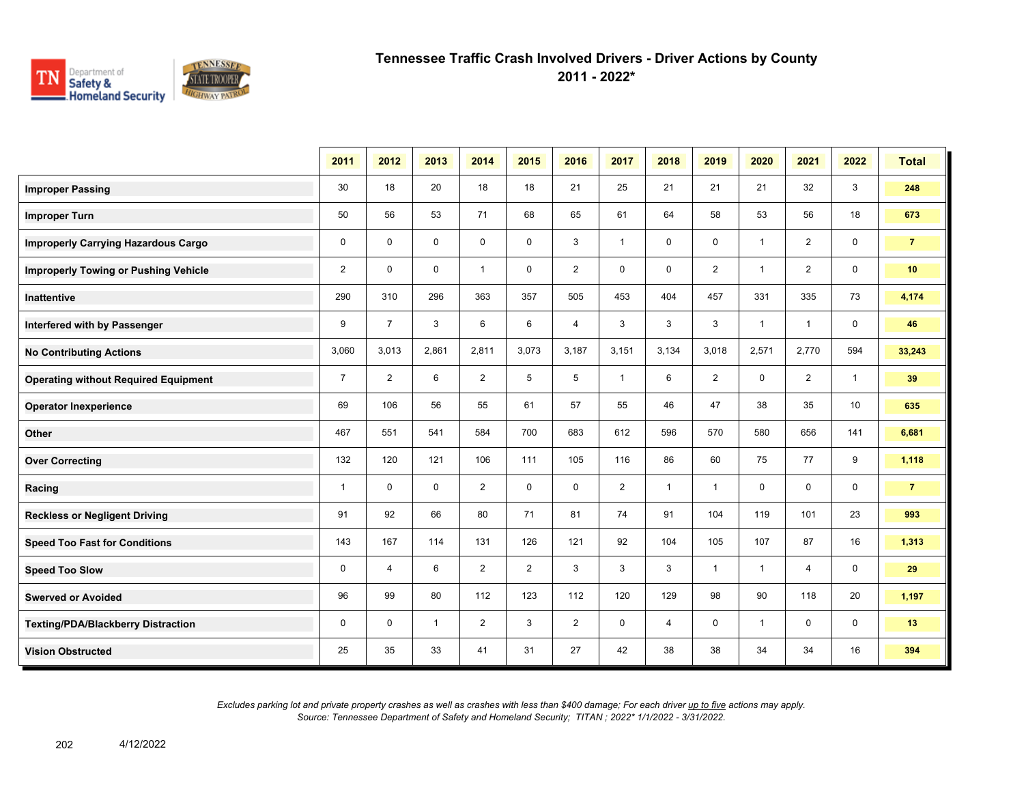

**2011 - 2022\***

|                                             | 2011           | 2012           | 2013         | 2014           | 2015           | 2016           | 2017           | 2018         | 2019           | 2020           | 2021           | 2022           | <b>Total</b>   |
|---------------------------------------------|----------------|----------------|--------------|----------------|----------------|----------------|----------------|--------------|----------------|----------------|----------------|----------------|----------------|
| <b>Improper Passing</b>                     | 30             | 18             | 20           | 18             | 18             | 21             | 25             | 21           | 21             | 21             | 32             | 3              | 248            |
| <b>Improper Turn</b>                        | 50             | 56             | 53           | 71             | 68             | 65             | 61             | 64           | 58             | 53             | 56             | 18             | 673            |
| <b>Improperly Carrying Hazardous Cargo</b>  | $\mathbf 0$    | $\mathbf 0$    | $\mathbf 0$  | $\mathbf 0$    | $\mathbf 0$    | 3              | $\mathbf{1}$   | 0            | $\mathbf 0$    | $\overline{1}$ | $\overline{2}$ | $\mathbf 0$    | $\overline{7}$ |
| <b>Improperly Towing or Pushing Vehicle</b> | 2              | $\mathbf 0$    | $\mathbf 0$  | $\mathbf{1}$   | 0              | $\overline{2}$ | 0              | 0            | $\overline{2}$ | $\overline{1}$ | $\overline{2}$ | $\mathbf 0$    | 10             |
| <b>Inattentive</b>                          | 290            | 310            | 296          | 363            | 357            | 505            | 453            | 404          | 457            | 331            | 335            | 73             | 4,174          |
| Interfered with by Passenger                | 9              | $\overline{7}$ | 3            | 6              | 6              | 4              | 3              | 3            | 3              | $\overline{1}$ | $\overline{1}$ | $\mathbf 0$    | 46             |
| <b>No Contributing Actions</b>              | 3,060          | 3,013          | 2,861        | 2,811          | 3,073          | 3,187          | 3,151          | 3,134        | 3,018          | 2,571          | 2,770          | 594            | 33,243         |
| <b>Operating without Required Equipment</b> | $\overline{7}$ | $\overline{2}$ | 6            | $\overline{2}$ | 5              | 5              | $\mathbf{1}$   | 6            | $\overline{2}$ | $\mathbf 0$    | $\overline{2}$ | $\overline{1}$ | 39             |
| <b>Operator Inexperience</b>                | 69             | 106            | 56           | 55             | 61             | 57             | 55             | 46           | 47             | 38             | 35             | 10             | 635            |
| Other                                       | 467            | 551            | 541          | 584            | 700            | 683            | 612            | 596          | 570            | 580            | 656            | 141            | 6,681          |
| <b>Over Correcting</b>                      | 132            | 120            | 121          | 106            | 111            | 105            | 116            | 86           | 60             | 75             | 77             | 9              | 1,118          |
| Racing                                      | $\mathbf{1}$   | $\mathbf 0$    | $\mathbf 0$  | $\overline{2}$ | 0              | $\mathbf 0$    | $\overline{2}$ | $\mathbf{1}$ | $\mathbf{1}$   | 0              | $\mathbf 0$    | $\mathbf 0$    | $\overline{7}$ |
| <b>Reckless or Negligent Driving</b>        | 91             | 92             | 66           | 80             | 71             | 81             | 74             | 91           | 104            | 119            | 101            | 23             | 993            |
| <b>Speed Too Fast for Conditions</b>        | 143            | 167            | 114          | 131            | 126            | 121            | 92             | 104          | 105            | 107            | 87             | 16             | 1,313          |
| <b>Speed Too Slow</b>                       | 0              | 4              | 6            | $\overline{2}$ | $\overline{2}$ | 3              | 3              | 3            | $\mathbf{1}$   | $\overline{1}$ | $\overline{4}$ | $\mathbf 0$    | 29             |
| <b>Swerved or Avoided</b>                   | 96             | 99             | 80           | 112            | 123            | 112            | 120            | 129          | 98             | 90             | 118            | 20             | 1,197          |
| Texting/PDA/Blackberry Distraction          | 0              | $\mathbf 0$    | $\mathbf{1}$ | $\overline{2}$ | 3              | $\overline{2}$ | 0              | 4            | 0              | $\overline{1}$ | 0              | 0              | 13             |
| <b>Vision Obstructed</b>                    | 25             | 35             | 33           | 41             | 31             | 27             | 42             | 38           | 38             | 34             | 34             | 16             | 394            |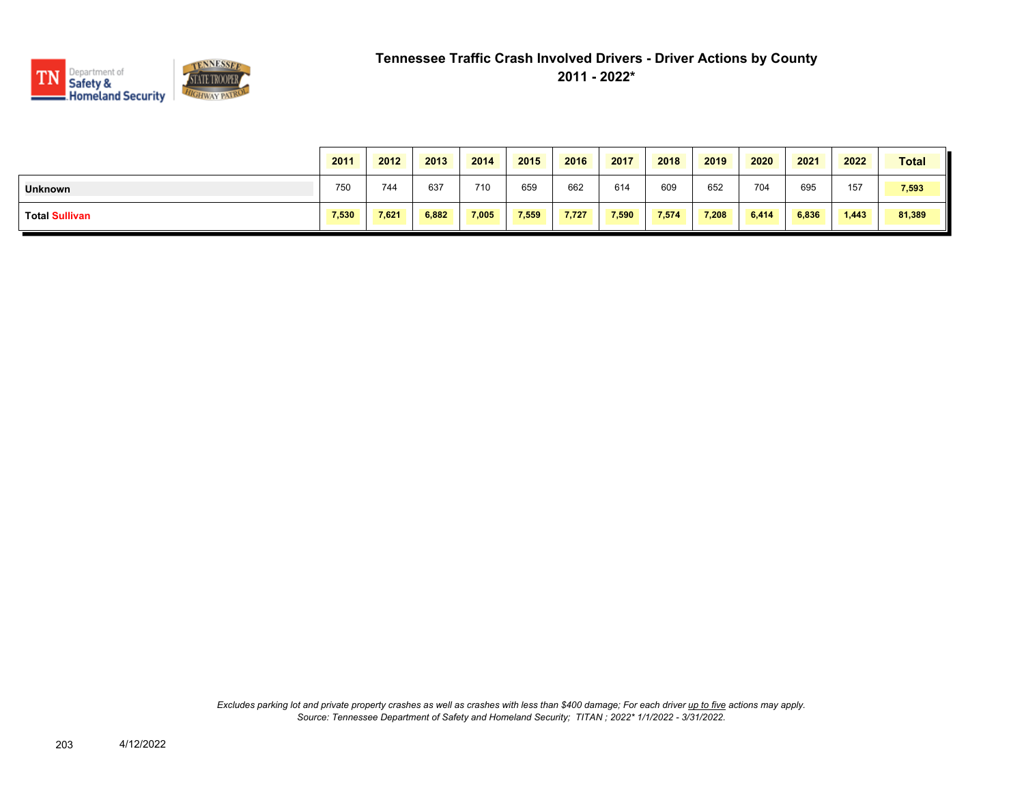

|                | 2011  | 2012  | 2013  | 2014  | 2015  | 2016  | 2017  | 2018  | 2019  | 2020  | 2021  | 2022  | <b>Total</b> |
|----------------|-------|-------|-------|-------|-------|-------|-------|-------|-------|-------|-------|-------|--------------|
| <b>Unknown</b> | 750   | 744   | 637   | 710   | 659   | 662   | 614   | 609   | 652   | 704   | 695   | 157   | 7,593        |
| Total Sullivan | 7,530 | 7,621 | 6,882 | 7,005 | 7,559 | 7,727 | 7,590 | 7,574 | 7,208 | 6,414 | 6,836 | 1,443 | 81,389       |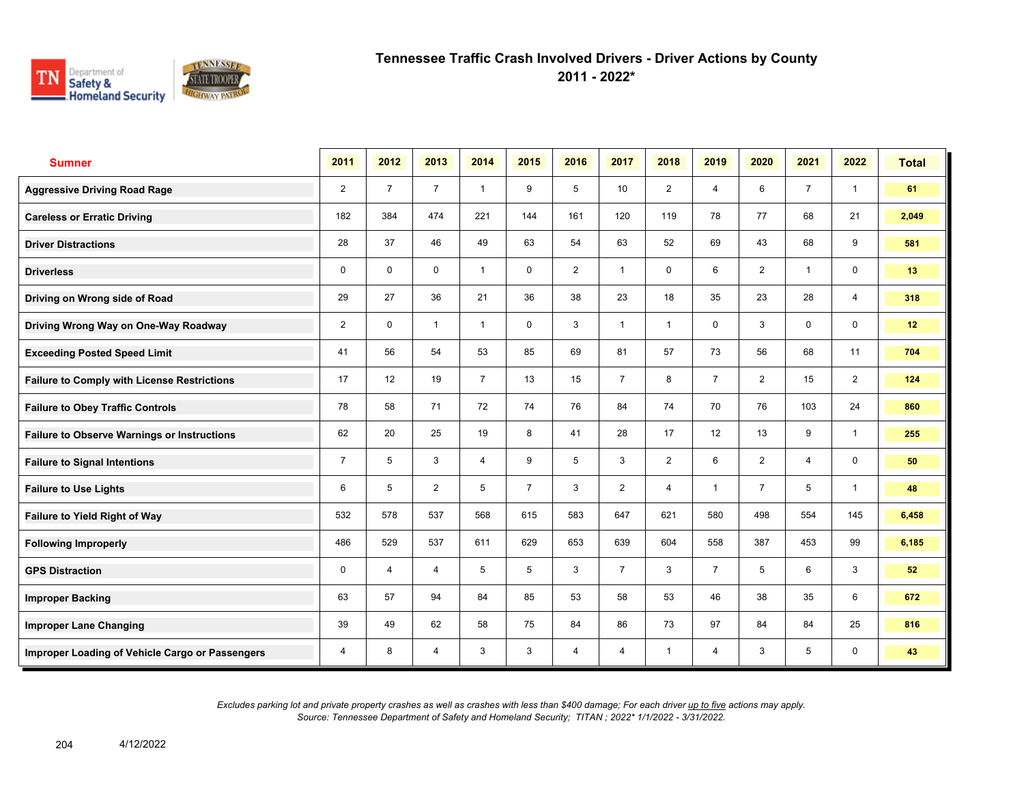

**2011 - 2022\***

| <b>Sumner</b>                                      | 2011           | 2012           | 2013           | 2014           | 2015           | 2016           | 2017           | 2018           | 2019           | 2020           | 2021           | 2022           | <b>Total</b> |
|----------------------------------------------------|----------------|----------------|----------------|----------------|----------------|----------------|----------------|----------------|----------------|----------------|----------------|----------------|--------------|
| <b>Aggressive Driving Road Rage</b>                | $\overline{2}$ | $\overline{7}$ | $\overline{7}$ | $\overline{1}$ | 9              | 5              | 10             | $\overline{2}$ | $\overline{4}$ | 6              | $\overline{7}$ | $\mathbf{1}$   | 61           |
| <b>Careless or Erratic Driving</b>                 | 182            | 384            | 474            | 221            | 144            | 161            | 120            | 119            | 78             | 77             | 68             | 21             | 2,049        |
| <b>Driver Distractions</b>                         | 28             | 37             | 46             | 49             | 63             | 54             | 63             | 52             | 69             | 43             | 68             | 9              | 581          |
| <b>Driverless</b>                                  | $\mathbf 0$    | $\mathbf 0$    | $\mathbf 0$    | $\mathbf{1}$   | $\mathbf 0$    | $\overline{2}$ | 1              | $\mathbf 0$    | 6              | $\overline{2}$ | $\mathbf{1}$   | $\mathbf 0$    | 13           |
| Driving on Wrong side of Road                      | 29             | 27             | 36             | 21             | 36             | 38             | 23             | 18             | 35             | 23             | 28             | 4              | 318          |
| Driving Wrong Way on One-Way Roadway               | $\overline{2}$ | 0              | $\mathbf{1}$   | $\mathbf{1}$   | $\mathbf 0$    | 3              | $\mathbf{1}$   | $\mathbf{1}$   | 0              | 3              | $\mathbf 0$    | $\mathbf 0$    | 12           |
| <b>Exceeding Posted Speed Limit</b>                | 41             | 56             | 54             | 53             | 85             | 69             | 81             | 57             | 73             | 56             | 68             | 11             | 704          |
| <b>Failure to Comply with License Restrictions</b> | 17             | 12             | 19             | $\overline{7}$ | 13             | 15             | $\overline{7}$ | 8              | $\overline{7}$ | $\overline{2}$ | 15             | $\overline{2}$ | 124          |
| <b>Failure to Obey Traffic Controls</b>            | 78             | 58             | 71             | 72             | 74             | 76             | 84             | 74             | 70             | 76             | 103            | 24             | 860          |
| <b>Failure to Observe Warnings or Instructions</b> | 62             | 20             | 25             | 19             | 8              | 41             | 28             | 17             | 12             | 13             | 9              | $\mathbf{1}$   | 255          |
| <b>Failure to Signal Intentions</b>                | $\overline{7}$ | 5              | 3              | $\overline{4}$ | 9              | 5              | 3              | $\overline{2}$ | 6              | $\overline{2}$ | $\overline{4}$ | $\mathbf 0$    | 50           |
| <b>Failure to Use Lights</b>                       | 6              | 5              | $\overline{2}$ | 5              | $\overline{7}$ | 3              | $\overline{2}$ | $\overline{4}$ | 1              | $\overline{7}$ | 5              | $\mathbf{1}$   | 48           |
| Failure to Yield Right of Way                      | 532            | 578            | 537            | 568            | 615            | 583            | 647            | 621            | 580            | 498            | 554            | 145            | 6,458        |
| <b>Following Improperly</b>                        | 486            | 529            | 537            | 611            | 629            | 653            | 639            | 604            | 558            | 387            | 453            | 99             | 6,185        |
| <b>GPS Distraction</b>                             | 0              | 4              | $\overline{4}$ | 5              | 5              | 3              | $\overline{7}$ | 3              | $\overline{7}$ | 5              | 6              | 3              | 52           |
| <b>Improper Backing</b>                            | 63             | 57             | 94             | 84             | 85             | 53             | 58             | 53             | 46             | 38             | 35             | 6              | 672          |
| <b>Improper Lane Changing</b>                      | 39             | 49             | 62             | 58             | 75             | 84             | 86             | 73             | 97             | 84             | 84             | 25             | 816          |
| Improper Loading of Vehicle Cargo or Passengers    | 4              | 8              | 4              | 3              | 3              | 4              | 4              | $\overline{1}$ | 4              | 3              | 5              | 0              | 43           |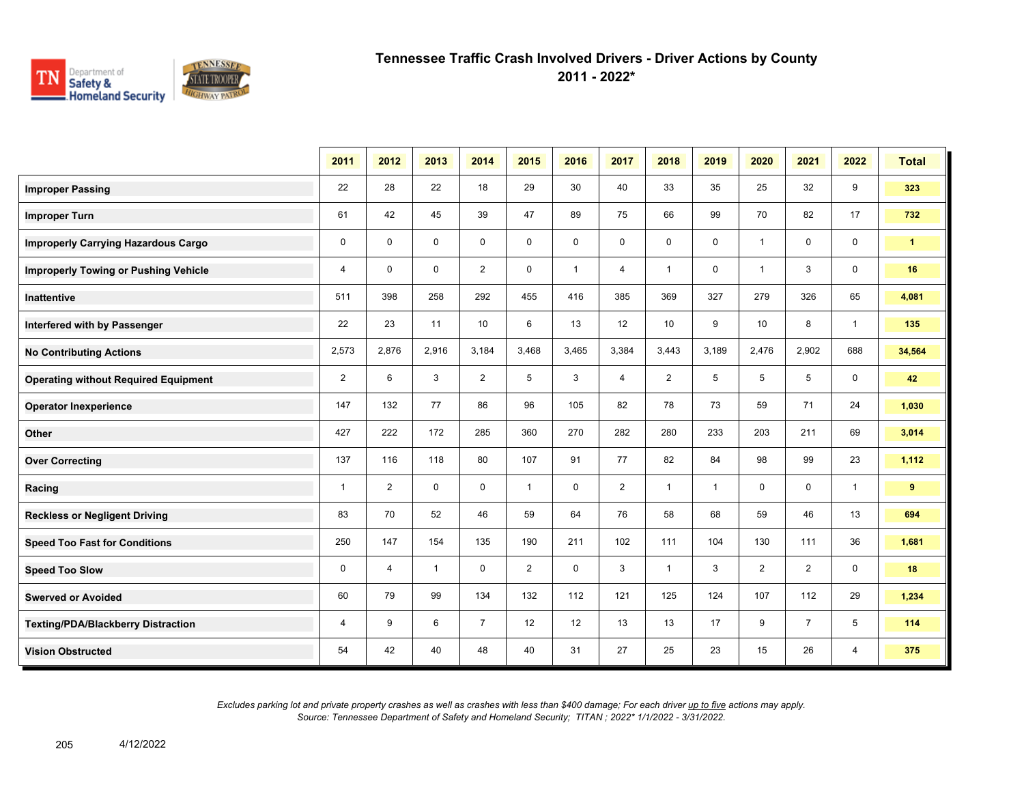

**2011 - 2022\***

|                                             | 2011           | 2012           | 2013         | 2014           | 2015           | 2016         | 2017           | 2018           | 2019         | 2020                    | 2021           | 2022         | <b>Total</b> |
|---------------------------------------------|----------------|----------------|--------------|----------------|----------------|--------------|----------------|----------------|--------------|-------------------------|----------------|--------------|--------------|
| <b>Improper Passing</b>                     | 22             | 28             | 22           | 18             | 29             | 30           | 40             | 33             | 35           | 25                      | 32             | 9            | 323          |
| <b>Improper Turn</b>                        | 61             | 42             | 45           | 39             | 47             | 89           | 75             | 66             | 99           | 70                      | 82             | 17           | 732          |
| <b>Improperly Carrying Hazardous Cargo</b>  | $\mathbf 0$    | $\Omega$       | $\mathbf 0$  | $\mathbf 0$    | $\mathbf 0$    | 0            | 0              | $\mathsf 0$    | $\mathbf 0$  | $\overline{\mathbf{1}}$ | $\mathbf 0$    | 0            | $\mathbf{1}$ |
| <b>Improperly Towing or Pushing Vehicle</b> | $\overline{4}$ | $\Omega$       | $\mathbf 0$  | $\overline{2}$ | $\mathbf 0$    | $\mathbf{1}$ | 4              | $\mathbf{1}$   | $\mathbf 0$  | $\mathbf{1}$            | 3              | $\mathbf 0$  | 16           |
| Inattentive                                 | 511            | 398            | 258          | 292            | 455            | 416          | 385            | 369            | 327          | 279                     | 326            | 65           | 4,081        |
| Interfered with by Passenger                | 22             | 23             | 11           | 10             | 6              | 13           | 12             | 10             | 9            | 10                      | 8              | $\mathbf{1}$ | 135          |
| <b>No Contributing Actions</b>              | 2,573          | 2,876          | 2,916        | 3,184          | 3,468          | 3,465        | 3,384          | 3,443          | 3,189        | 2,476                   | 2,902          | 688          | 34,564       |
| <b>Operating without Required Equipment</b> | $\overline{2}$ | 6              | 3            | 2              | 5              | 3            | $\overline{4}$ | $\overline{2}$ | 5            | 5                       | 5              | 0            | 42           |
| <b>Operator Inexperience</b>                | 147            | 132            | 77           | 86             | 96             | 105          | 82             | 78             | 73           | 59                      | 71             | 24           | 1,030        |
| Other                                       | 427            | 222            | 172          | 285            | 360            | 270          | 282            | 280            | 233          | 203                     | 211            | 69           | 3,014        |
| <b>Over Correcting</b>                      | 137            | 116            | 118          | 80             | 107            | 91           | 77             | 82             | 84           | 98                      | 99             | 23           | 1,112        |
| Racing                                      | $\mathbf{1}$   | $\overline{2}$ | $\mathbf 0$  | $\mathbf 0$    | $\mathbf{1}$   | $\mathbf 0$  | 2              | $\mathbf{1}$   | $\mathbf{1}$ | $\mathbf 0$             | $\mathbf 0$    | $\mathbf{1}$ | $9^{\circ}$  |
| <b>Reckless or Negligent Driving</b>        | 83             | 70             | 52           | 46             | 59             | 64           | 76             | 58             | 68           | 59                      | 46             | 13           | 694          |
| <b>Speed Too Fast for Conditions</b>        | 250            | 147            | 154          | 135            | 190            | 211          | 102            | 111            | 104          | 130                     | 111            | 36           | 1,681        |
| <b>Speed Too Slow</b>                       | $\mathbf 0$    | $\overline{4}$ | $\mathbf{1}$ | $\mathbf 0$    | $\overline{2}$ | $\mathbf 0$  | 3              | $\mathbf{1}$   | 3            | $\overline{2}$          | $\overline{2}$ | 0            | 18           |
| <b>Swerved or Avoided</b>                   | 60             | 79             | 99           | 134            | 132            | 112          | 121            | 125            | 124          | 107                     | 112            | 29           | 1,234        |
| <b>Texting/PDA/Blackberry Distraction</b>   | 4              | 9              | 6            | $\overline{7}$ | 12             | 12           | 13             | 13             | 17           | 9                       | $\overline{7}$ | 5            | 114          |
| <b>Vision Obstructed</b>                    | 54             | 42             | 40           | 48             | 40             | 31           | 27             | 25             | 23           | 15                      | 26             | 4            | 375          |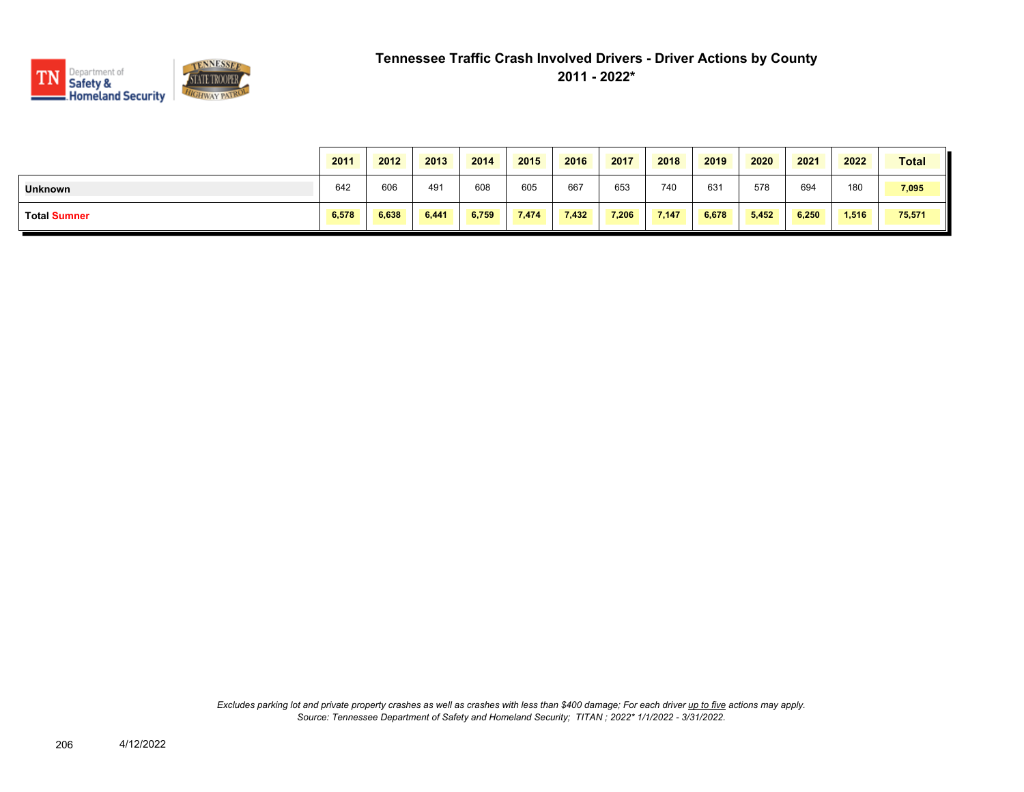

|                     | 2011  | 2012  | 2013  | 2014  | 2015  | 2016  | 2017  | 2018  | 2019  | 2020  | 2021  | 2022  | <b>Total</b> |
|---------------------|-------|-------|-------|-------|-------|-------|-------|-------|-------|-------|-------|-------|--------------|
| <b>Unknown</b>      | 642   | 606   | 491   | 608   | 605   | 667   | 653   | 740   | 631   | 578   | 694   | 180   | 7,095        |
| <b>Total Sumner</b> | 6,578 | 6,638 | 6,441 | 6,759 | 7,474 | 7,432 | 7,206 | 7,147 | 6,678 | 5,452 | 6,250 | 1,516 | 75,571       |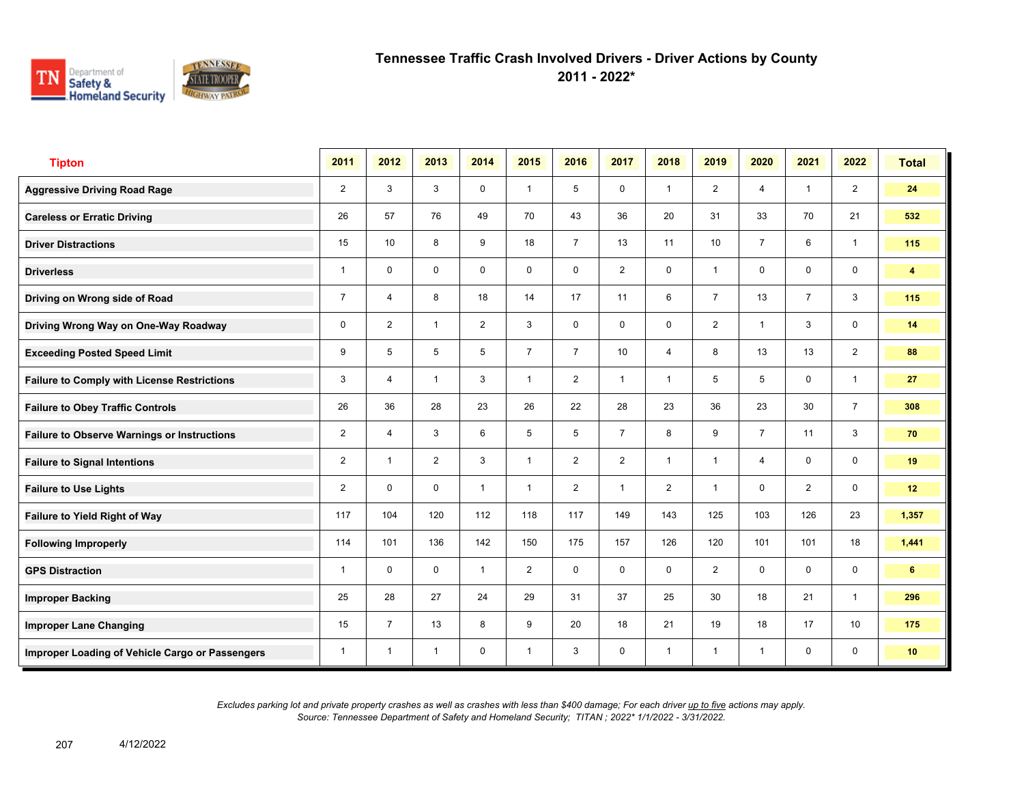

**2011 - 2022\***

| <b>Tipton</b>                                      | 2011           | 2012           | 2013           | 2014           | 2015           | 2016           | 2017           | 2018           | 2019           | 2020           | 2021           | 2022           | <b>Total</b>   |
|----------------------------------------------------|----------------|----------------|----------------|----------------|----------------|----------------|----------------|----------------|----------------|----------------|----------------|----------------|----------------|
| <b>Aggressive Driving Road Rage</b>                | $\overline{2}$ | 3              | 3              | $\mathbf 0$    | $\mathbf{1}$   | 5              | $\mathbf 0$    | $\mathbf{1}$   | $\overline{2}$ | 4              | $\mathbf{1}$   | $\overline{2}$ | 24             |
| <b>Careless or Erratic Driving</b>                 | 26             | 57             | 76             | 49             | 70             | 43             | 36             | 20             | 31             | 33             | 70             | 21             | 532            |
| <b>Driver Distractions</b>                         | 15             | 10             | 8              | 9              | 18             | $\overline{7}$ | 13             | 11             | 10             | $\overline{7}$ | 6              | $\mathbf{1}$   | 115            |
| <b>Driverless</b>                                  | 1              | $\mathbf 0$    | 0              | 0              | 0              | 0              | $\overline{2}$ | 0              | $\mathbf{1}$   | 0              | 0              | 0              | $\overline{4}$ |
| Driving on Wrong side of Road                      | $\overline{7}$ | 4              | 8              | 18             | 14             | 17             | 11             | 6              | $\overline{7}$ | 13             | $\overline{7}$ | 3              | 115            |
| Driving Wrong Way on One-Way Roadway               | 0              | $\overline{2}$ | $\mathbf{1}$   | $\overline{2}$ | 3              | $\mathbf 0$    | $\mathbf 0$    | 0              | $\overline{2}$ | 1              | 3              | $\mathbf 0$    | 14             |
| <b>Exceeding Posted Speed Limit</b>                | 9              | 5              | 5              | 5              | $\overline{7}$ | $\overline{7}$ | 10             | $\overline{4}$ | 8              | 13             | 13             | $\overline{2}$ | 88             |
| <b>Failure to Comply with License Restrictions</b> | 3              | 4              | $\overline{1}$ | 3              | $\mathbf{1}$   | $\overline{2}$ | $\mathbf{1}$   | $\mathbf{1}$   | 5              | 5              | $\mathbf 0$    | $\mathbf{1}$   | 27             |
| <b>Failure to Obey Traffic Controls</b>            | 26             | 36             | 28             | 23             | 26             | 22             | 28             | 23             | 36             | 23             | 30             | $\overline{7}$ | 308            |
| <b>Failure to Observe Warnings or Instructions</b> | $\overline{2}$ | 4              | 3              | 6              | 5              | 5              | $\overline{7}$ | 8              | 9              | $\overline{7}$ | 11             | 3              | 70             |
| <b>Failure to Signal Intentions</b>                | $\overline{2}$ | $\overline{1}$ | $\overline{2}$ | 3              | $\mathbf{1}$   | $\overline{2}$ | $\overline{2}$ | $\mathbf{1}$   | $\mathbf{1}$   | 4              | $\mathbf 0$    | 0              | 19             |
| <b>Failure to Use Lights</b>                       | $\overline{2}$ | $\mathbf 0$    | $\mathbf 0$    | $\overline{1}$ | $\mathbf{1}$   | $\overline{2}$ | $\mathbf{1}$   | $\overline{2}$ | $\mathbf{1}$   | $\mathbf 0$    | $\overline{2}$ | $\mathbf 0$    | 12             |
| Failure to Yield Right of Way                      | 117            | 104            | 120            | 112            | 118            | 117            | 149            | 143            | 125            | 103            | 126            | 23             | 1,357          |
| <b>Following Improperly</b>                        | 114            | 101            | 136            | 142            | 150            | 175            | 157            | 126            | 120            | 101            | 101            | 18             | 1,441          |
| <b>GPS Distraction</b>                             | 1              | $\mathbf 0$    | $\mathbf 0$    | $\mathbf{1}$   | $\overline{2}$ | $\mathbf 0$    | $\mathbf 0$    | $\mathbf 0$    | $\overline{2}$ | $\mathbf 0$    | $\mathbf 0$    | $\mathbf 0$    | 6              |
| <b>Improper Backing</b>                            | 25             | 28             | 27             | 24             | 29             | 31             | 37             | 25             | 30             | 18             | 21             | $\mathbf{1}$   | 296            |
| <b>Improper Lane Changing</b>                      | 15             | $\overline{7}$ | 13             | 8              | 9              | 20             | 18             | 21             | 19             | 18             | 17             | 10             | 175            |
| Improper Loading of Vehicle Cargo or Passengers    | 1              | $\overline{1}$ | $\overline{1}$ | $\mathbf 0$    | $\mathbf{1}$   | 3              | 0              | $\mathbf{1}$   | $\mathbf{1}$   | 1              | 0              | 0              | 10             |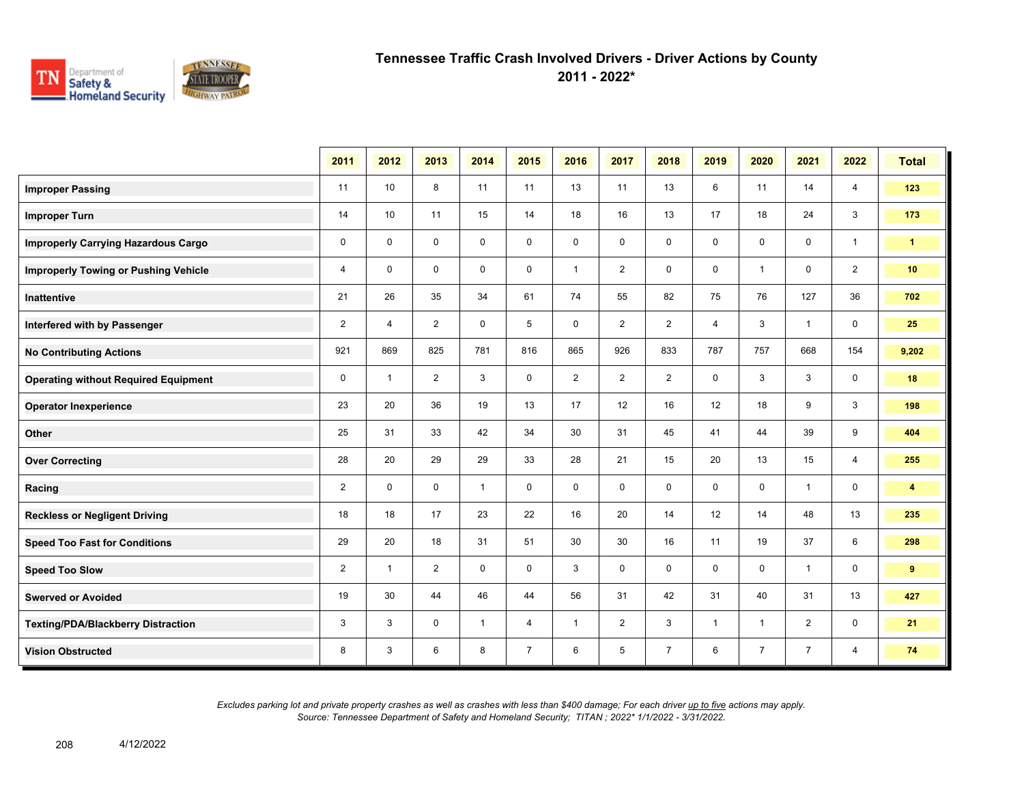

**2011 - 2022\***

|                                             | 2011           | 2012           | 2013           | 2014         | 2015           | 2016           | 2017           | 2018           | 2019           | 2020           | 2021           | 2022           | <b>Total</b>            |
|---------------------------------------------|----------------|----------------|----------------|--------------|----------------|----------------|----------------|----------------|----------------|----------------|----------------|----------------|-------------------------|
| <b>Improper Passing</b>                     | 11             | 10             | 8              | 11           | 11             | 13             | 11             | 13             | 6              | 11             | 14             | 4              | 123                     |
| <b>Improper Turn</b>                        | 14             | 10             | 11             | 15           | 14             | 18             | 16             | 13             | 17             | 18             | 24             | 3              | 173                     |
| <b>Improperly Carrying Hazardous Cargo</b>  | $\mathbf 0$    | $\mathbf{0}$   | $\mathbf 0$    | $\mathbf 0$  | 0              | $\mathbf 0$    | $\mathbf 0$    | $\mathbf 0$    | $\mathbf 0$    | $\mathbf 0$    | 0              | $\mathbf{1}$   | $\blacktriangleleft$    |
| <b>Improperly Towing or Pushing Vehicle</b> | $\overline{4}$ | $\Omega$       | $\mathbf 0$    | $\mathbf 0$  | $\mathbf 0$    | $\mathbf{1}$   | $\overline{2}$ | $\mathbf 0$    | $\mathbf 0$    | $\mathbf{1}$   | $\mathbf 0$    | $\overline{2}$ | 10                      |
| Inattentive                                 | 21             | 26             | 35             | 34           | 61             | 74             | 55             | 82             | 75             | 76             | 127            | 36             | 702                     |
| Interfered with by Passenger                | $\overline{2}$ | $\overline{4}$ | 2              | $\mathbf 0$  | 5              | $\mathbf 0$    | $\overline{2}$ | $\overline{2}$ | $\overline{4}$ | 3              | $\mathbf{1}$   | $\mathbf 0$    | 25                      |
| <b>No Contributing Actions</b>              | 921            | 869            | 825            | 781          | 816            | 865            | 926            | 833            | 787            | 757            | 668            | 154            | 9,202                   |
| <b>Operating without Required Equipment</b> | $\mathbf 0$    | $\mathbf{1}$   | $\overline{2}$ | 3            | $\mathbf 0$    | $\overline{2}$ | $\overline{2}$ | $\overline{2}$ | 0              | 3              | 3              | $\mathbf 0$    | 18                      |
| <b>Operator Inexperience</b>                | 23             | 20             | 36             | 19           | 13             | 17             | 12             | 16             | 12             | 18             | 9              | 3              | 198                     |
| Other                                       | 25             | 31             | 33             | 42           | 34             | 30             | 31             | 45             | 41             | 44             | 39             | 9              | 404                     |
| <b>Over Correcting</b>                      | 28             | 20             | 29             | 29           | 33             | 28             | 21             | 15             | 20             | 13             | 15             | $\overline{4}$ | 255                     |
| Racing                                      | $\overline{2}$ | $\mathbf{0}$   | $\Omega$       | $\mathbf{1}$ | $\mathbf 0$    | $\mathbf 0$    | $\mathbf 0$    | $\mathbf 0$    | $\mathbf 0$    | $\mathbf 0$    | $\mathbf{1}$   | $\mathbf 0$    | $\overline{\mathbf{4}}$ |
| <b>Reckless or Negligent Driving</b>        | 18             | 18             | 17             | 23           | 22             | 16             | 20             | 14             | 12             | 14             | 48             | 13             | 235                     |
| <b>Speed Too Fast for Conditions</b>        | 29             | 20             | 18             | 31           | 51             | 30             | 30             | 16             | 11             | 19             | 37             | 6              | 298                     |
| <b>Speed Too Slow</b>                       | $\overline{2}$ | $\mathbf{1}$   | $\overline{2}$ | $\mathbf 0$  | $\mathbf 0$    | 3              | 0              | 0              | 0              | $\mathbf 0$    | $\mathbf{1}$   | $\mathbf 0$    | 9                       |
| <b>Swerved or Avoided</b>                   | 19             | 30             | 44             | 46           | 44             | 56             | 31             | 42             | 31             | 40             | 31             | 13             | 427                     |
| <b>Texting/PDA/Blackberry Distraction</b>   | 3              | 3              | $\mathbf 0$    | $\mathbf 1$  | 4              | -1             | $\overline{2}$ | 3              | $\mathbf{1}$   | -1             | $\overline{2}$ | 0              | 21                      |
| <b>Vision Obstructed</b>                    | 8              | 3              | 6              | 8            | $\overline{7}$ | 6              | 5              | $\overline{7}$ | 6              | $\overline{7}$ | $\overline{7}$ | 4              | 74                      |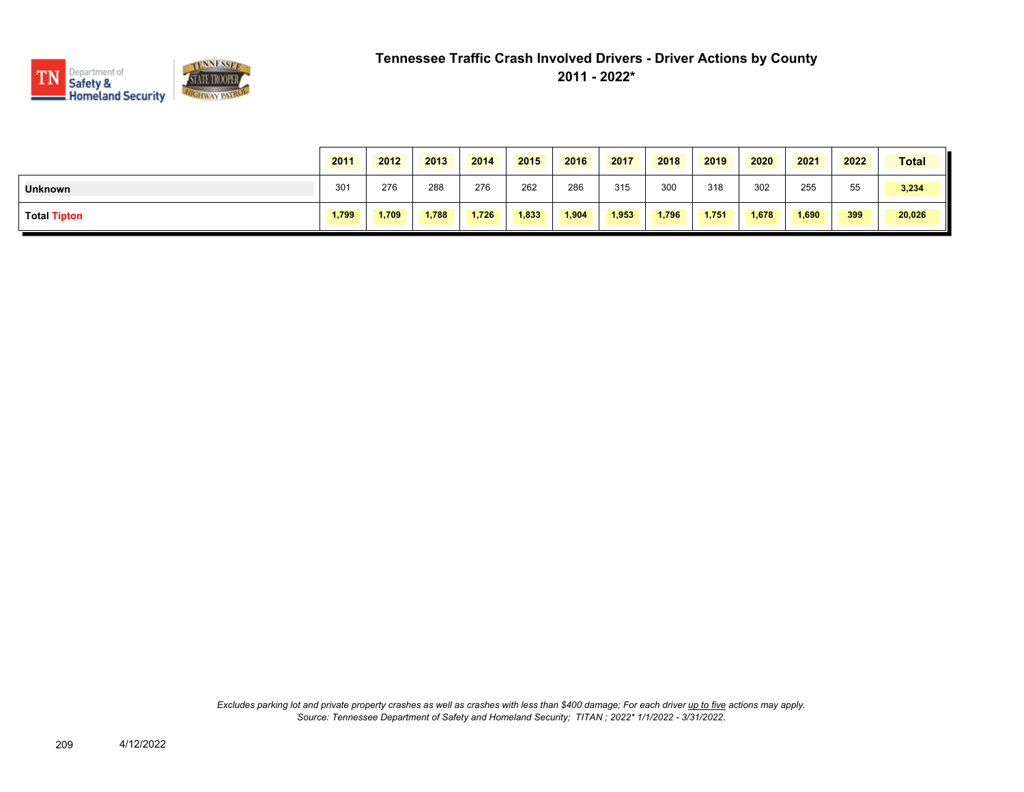

|                     | 2011  | 2012  | 2013  | 2014  | 2015  | 2016  | 2017  | 2018  | 2019  | 2020  | 2021  | 2022 | <b>Total</b> |
|---------------------|-------|-------|-------|-------|-------|-------|-------|-------|-------|-------|-------|------|--------------|
| <b>Unknown</b>      | 301   | 276   | 288   | 276   | 262   | 286   | 315   | 300   | 318   | 302   | 255   | 55   | 3,234        |
| <b>Total Tipton</b> | 1,799 | 1,709 | 1,788 | 1,726 | 1,833 | 1,904 | 1,953 | 1,796 | 1,751 | 1,678 | 1,690 | 399  | 20,026       |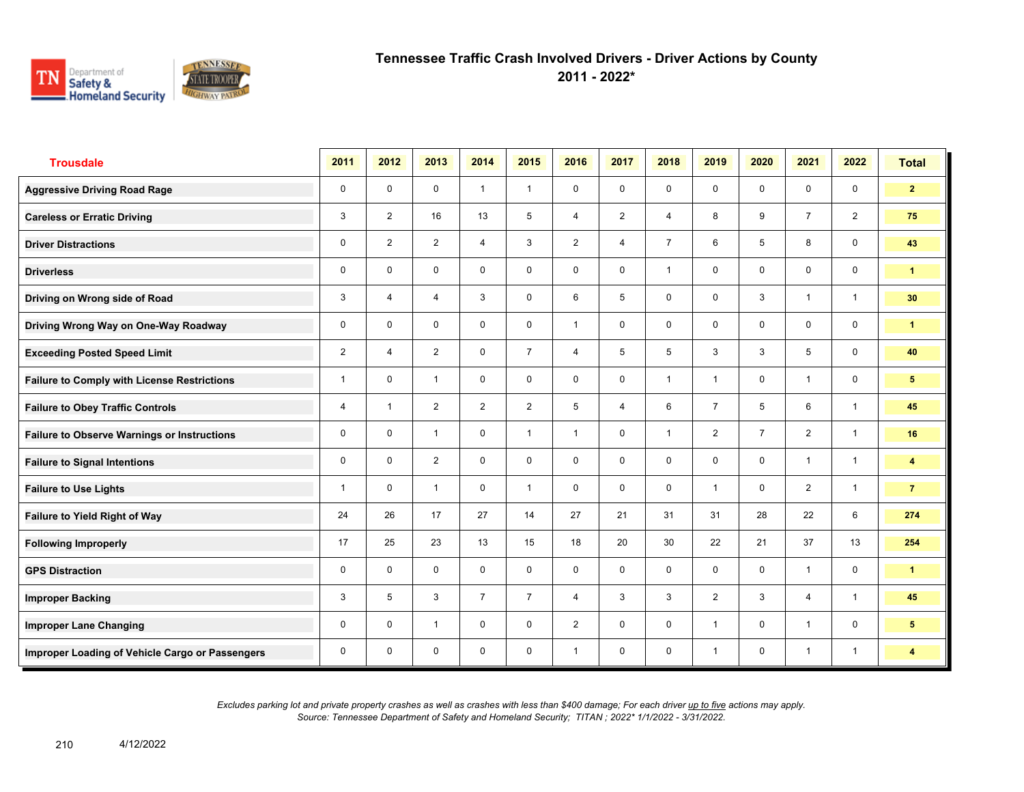

**2011 - 2022\***

| <b>Trousdale</b>                                   | 2011           | 2012                    | 2013           | 2014           | 2015           | 2016           | 2017           | 2018           | 2019           | 2020           | 2021           | 2022           | <b>Total</b>            |
|----------------------------------------------------|----------------|-------------------------|----------------|----------------|----------------|----------------|----------------|----------------|----------------|----------------|----------------|----------------|-------------------------|
| <b>Aggressive Driving Road Rage</b>                | 0              | $\mathbf 0$             | $\mathbf 0$    | $\mathbf{1}$   | $\mathbf{1}$   | $\mathbf 0$    | $\mathbf 0$    | $\mathbf{0}$   | $\mathbf 0$    | $\mathbf 0$    | $\mathbf 0$    | $\mathbf 0$    | $\overline{2}$          |
| <b>Careless or Erratic Driving</b>                 | 3              | $\overline{2}$          | 16             | 13             | 5              | $\overline{4}$ | 2              | $\overline{4}$ | 8              | 9              | $\overline{7}$ | 2              | 75                      |
| <b>Driver Distractions</b>                         | 0              | $\overline{2}$          | $\overline{2}$ | $\overline{4}$ | 3              | $\overline{2}$ | $\overline{4}$ | $\overline{7}$ | 6              | 5              | 8              | $\mathbf 0$    | 43                      |
| <b>Driverless</b>                                  | 0              | $\mathbf 0$             | 0              | 0              | 0              | 0              | $\mathbf 0$    | $\mathbf{1}$   | 0              | 0              | $\mathbf 0$    | $\mathbf 0$    | $\blacksquare$          |
| Driving on Wrong side of Road                      | 3              | 4                       | $\overline{4}$ | 3              | 0              | 6              | 5              | $\mathbf 0$    | $\mathbf 0$    | 3              | $\mathbf{1}$   | $\mathbf{1}$   | 30 <sub>o</sub>         |
| Driving Wrong Way on One-Way Roadway               | 0              | $\mathbf 0$             | $\mathbf 0$    | $\mathbf 0$    | 0              | $\overline{1}$ | $\mathbf 0$    | $\mathbf 0$    | $\mathbf 0$    | $\mathbf 0$    | $\mathbf 0$    | $\mathbf 0$    | $\mathbf{1}$            |
| <b>Exceeding Posted Speed Limit</b>                | $\overline{2}$ | $\overline{4}$          | $\overline{2}$ | $\mathbf 0$    | $\overline{7}$ | $\overline{4}$ | 5              | 5              | 3              | 3              | 5              | $\mathbf 0$    | 40                      |
| <b>Failure to Comply with License Restrictions</b> | 1              | $\Omega$                | $\overline{1}$ | $\mathbf 0$    | 0              | $\mathbf 0$    | $\mathbf 0$    | $\mathbf{1}$   | $\mathbf{1}$   | $\mathbf 0$    | $\mathbf{1}$   | $\mathbf 0$    | $5\phantom{.0}$         |
| <b>Failure to Obey Traffic Controls</b>            | 4              | $\overline{\mathbf{1}}$ | $\overline{2}$ | $\overline{2}$ | $\overline{2}$ | 5              | $\overline{4}$ | 6              | $\overline{7}$ | 5              | 6              | $\overline{1}$ | 45                      |
| <b>Failure to Observe Warnings or Instructions</b> | 0              | $\mathbf 0$             | $\overline{1}$ | $\mathbf 0$    | $\mathbf{1}$   | $\overline{1}$ | $\mathbf 0$    | $\mathbf{1}$   | $\overline{2}$ | $\overline{7}$ | 2              | $\mathbf{1}$   | 16                      |
| <b>Failure to Signal Intentions</b>                | 0              | $\Omega$                | $\overline{2}$ | $\Omega$       | 0              | $\mathbf{0}$   | $\mathbf 0$    | $\mathbf 0$    | $\mathbf 0$    | $\mathbf{0}$   | $\mathbf{1}$   | $\mathbf{1}$   | $\overline{\mathbf{4}}$ |
| <b>Failure to Use Lights</b>                       | 1              | $\mathbf 0$             | $\overline{1}$ | $\mathbf 0$    | $\mathbf{1}$   | $\mathbf 0$    | $\mathbf 0$    | $\mathbf 0$    | $\mathbf{1}$   | $\mathbf 0$    | 2              | $\mathbf{1}$   | $\overline{7}$          |
| Failure to Yield Right of Way                      | 24             | 26                      | 17             | 27             | 14             | 27             | 21             | 31             | 31             | 28             | 22             | 6              | 274                     |
| <b>Following Improperly</b>                        | 17             | 25                      | 23             | 13             | 15             | 18             | 20             | 30             | 22             | 21             | 37             | 13             | 254                     |
| <b>GPS Distraction</b>                             | 0              | $\mathbf 0$             | $\mathbf 0$    | $\mathbf 0$    | $\mathbf 0$    | $\mathbf 0$    | $\mathbf 0$    | $\mathbf 0$    | $\mathbf 0$    | $\mathbf 0$    | $\mathbf{1}$   | $\mathbf 0$    | $\mathbf{1}$            |
| <b>Improper Backing</b>                            | 3              | 5                       | 3              | $\overline{7}$ | $\overline{7}$ | $\overline{4}$ | 3              | 3              | $\overline{2}$ | 3              | $\overline{4}$ | $\mathbf{1}$   | 45                      |
| <b>Improper Lane Changing</b>                      | 0              | $\mathbf 0$             | $\overline{1}$ | $\mathbf 0$    | 0              | $\overline{2}$ | $\mathbf 0$    | $\mathbf 0$    | 1              | $\mathbf 0$    | $\mathbf{1}$   | $\mathbf 0$    | $5\phantom{.0}$         |
| Improper Loading of Vehicle Cargo or Passengers    | 0              | $\mathbf 0$             | 0              | $\mathbf 0$    | 0              | $\overline{1}$ | $\mathbf 0$    | $\mathbf 0$    | 1              | $\mathbf 0$    | $\mathbf{1}$   | $\mathbf{1}$   | $\overline{\mathbf{4}}$ |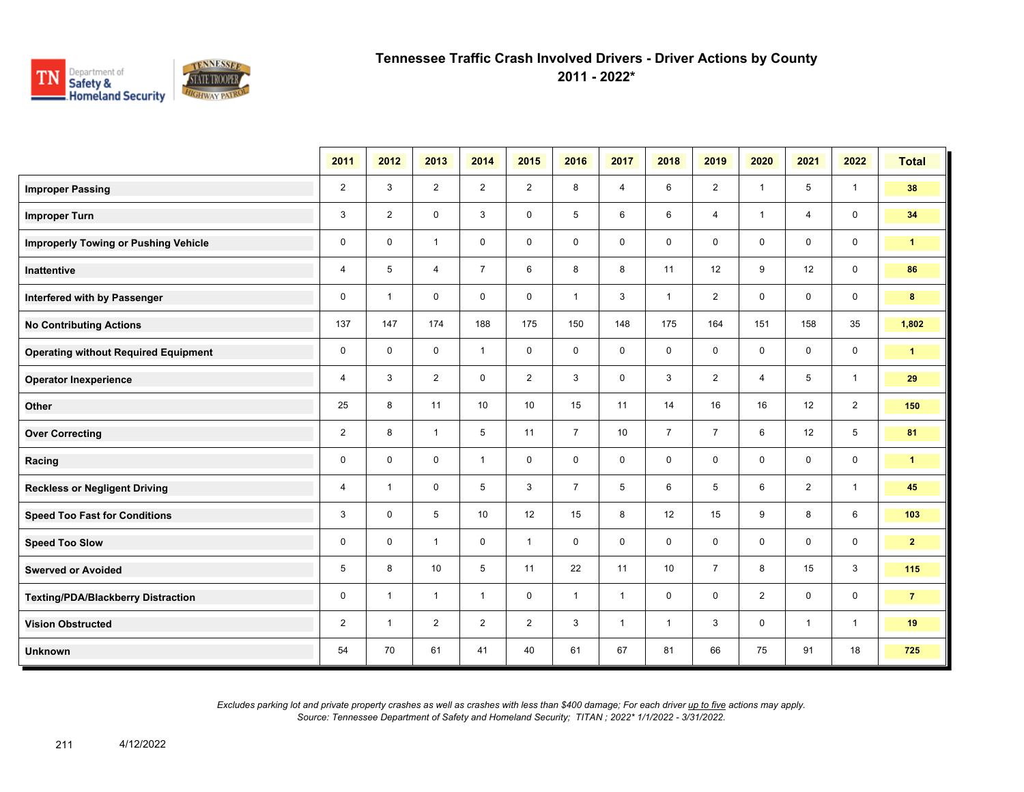

**2011 - 2022\***

|                                             | 2011           | 2012                    | 2013           | 2014           | 2015           | 2016           | 2017           | 2018           | 2019           | 2020           | 2021           | 2022            | <b>Total</b>         |
|---------------------------------------------|----------------|-------------------------|----------------|----------------|----------------|----------------|----------------|----------------|----------------|----------------|----------------|-----------------|----------------------|
| <b>Improper Passing</b>                     | $\overline{2}$ | 3                       | $\overline{2}$ | $\overline{2}$ | $\overline{2}$ | 8              | $\overline{4}$ | 6              | $\overline{2}$ | $\overline{1}$ | 5              | $\mathbf{1}$    | 38                   |
| <b>Improper Turn</b>                        | 3              | $\overline{2}$          | $\mathbf 0$    | 3              | $\mathbf 0$    | 5              | 6              | 6              | $\overline{4}$ | $\overline{1}$ | $\overline{4}$ | $\mathbf 0$     | 34                   |
| <b>Improperly Towing or Pushing Vehicle</b> | $\mathbf 0$    | $\mathbf 0$             | $\mathbf{1}$   | $\mathbf 0$    | $\mathbf 0$    | $\mathbf 0$    | 0              | 0              | 0              | $\mathbf 0$    | $\mathbf 0$    | $\mathbf 0$     | $\mathbf{1}$         |
| <b>Inattentive</b>                          | $\overline{4}$ | 5                       | 4              | $\overline{7}$ | 6              | 8              | 8              | 11             | 12             | 9              | 12             | $\mathbf 0$     | 86                   |
| Interfered with by Passenger                | $\mathbf 0$    | $\mathbf{1}$            | $\mathbf 0$    | $\mathbf 0$    | $\mathbf 0$    | $\mathbf{1}$   | 3              | $\mathbf{1}$   | $\overline{2}$ | $\mathbf 0$    | $\mathbf 0$    | $\mathbf 0$     | 8                    |
| <b>No Contributing Actions</b>              | 137            | 147                     | 174            | 188            | 175            | 150            | 148            | 175            | 164            | 151            | 158            | 35              | 1,802                |
| <b>Operating without Required Equipment</b> | $\mathbf 0$    | $\mathbf 0$             | $\mathbf 0$    | $\mathbf{1}$   | $\mathbf 0$    | $\mathbf 0$    | $\mathbf 0$    | 0              | $\mathsf{O}$   | $\mathbf 0$    | $\mathbf 0$    | $\mathbf 0$     | $\blacktriangleleft$ |
| <b>Operator Inexperience</b>                | 4              | 3                       | $\overline{2}$ | $\mathbf 0$    | $\overline{2}$ | 3              | $\mathbf 0$    | 3              | $\overline{2}$ | 4              | 5              | $\mathbf{1}$    | 29                   |
| Other                                       | 25             | 8                       | 11             | 10             | 10             | 15             | 11             | 14             | 16             | 16             | 12             | 2               | 150                  |
| <b>Over Correcting</b>                      | $\overline{2}$ | 8                       | $\mathbf{1}$   | 5              | 11             | $\overline{7}$ | 10             | $\overline{7}$ | $\overline{7}$ | 6              | 12             | $5\overline{)}$ | 81                   |
| Racing                                      | $\mathbf 0$    | $\mathbf 0$             | $\mathbf 0$    | $\mathbf{1}$   | $\mathbf 0$    | $\mathbf 0$    | $\mathbf 0$    | $\mathbf 0$    | $\mathbf 0$    | $\mathbf 0$    | $\mathbf 0$    | $\mathbf 0$     | $\mathbf{1}$         |
| <b>Reckless or Negligent Driving</b>        | 4              | $\overline{1}$          | $\mathbf 0$    | 5              | 3              | $\overline{7}$ | 5              | 6              | 5              | 6              | 2              | $\mathbf{1}$    | 45                   |
| <b>Speed Too Fast for Conditions</b>        | 3              | $\mathbf 0$             | 5              | 10             | 12             | 15             | 8              | 12             | 15             | 9              | 8              | 6               | 103                  |
| <b>Speed Too Slow</b>                       | $\mathbf 0$    | $\mathbf 0$             | $\mathbf{1}$   | $\mathbf 0$    | $\mathbf{1}$   | $\mathbf 0$    | $\mathbf 0$    | 0              | 0              | $\mathbf 0$    | $\mathbf 0$    | $\mathbf 0$     | $\mathbf{2}$         |
| <b>Swerved or Avoided</b>                   | $\overline{5}$ | 8                       | 10             | 5              | 11             | 22             | 11             | 10             | $\overline{7}$ | 8              | 15             | 3               | 115                  |
| <b>Texting/PDA/Blackberry Distraction</b>   | $\mathbf 0$    | $\overline{\mathbf{1}}$ | $\mathbf{1}$   | $\mathbf{1}$   | $\mathbf 0$    | $\mathbf{1}$   | $\mathbf{1}$   | 0              | 0              | $\overline{2}$ | $\mathbf 0$    | $\mathbf 0$     | $\overline{7}$       |
| <b>Vision Obstructed</b>                    | $\overline{2}$ | -1                      | $\overline{2}$ | $\overline{2}$ | $\overline{2}$ | 3              | $\mathbf{1}$   | $\mathbf{1}$   | 3              | 0              | $\overline{1}$ | $\mathbf{1}$    | 19                   |
| <b>Unknown</b>                              | 54             | 70                      | 61             | 41             | 40             | 61             | 67             | 81             | 66             | 75             | 91             | 18              | 725                  |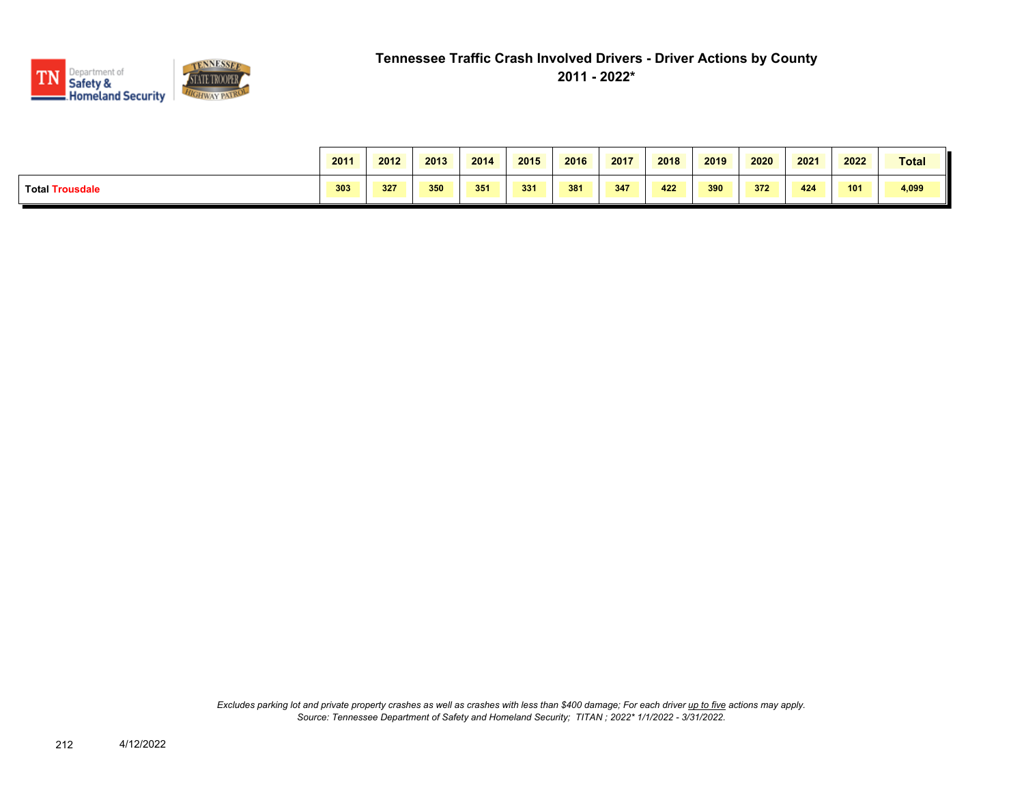

|                                         | 2011 | 2012 | 2013 | 2014 | 2015 | 2016 | 2017 | 2018 | 2019 | 2020 | 2021 | 2022 | <b>Total</b> |
|-----------------------------------------|------|------|------|------|------|------|------|------|------|------|------|------|--------------|
| <b>Total Tr</b><br>ousdale <sup>.</sup> | 303  | 327  | 350  | 351  | 331  | 381  | 347  | 422  | 390  | 372  | 424  | 101  | 4,099        |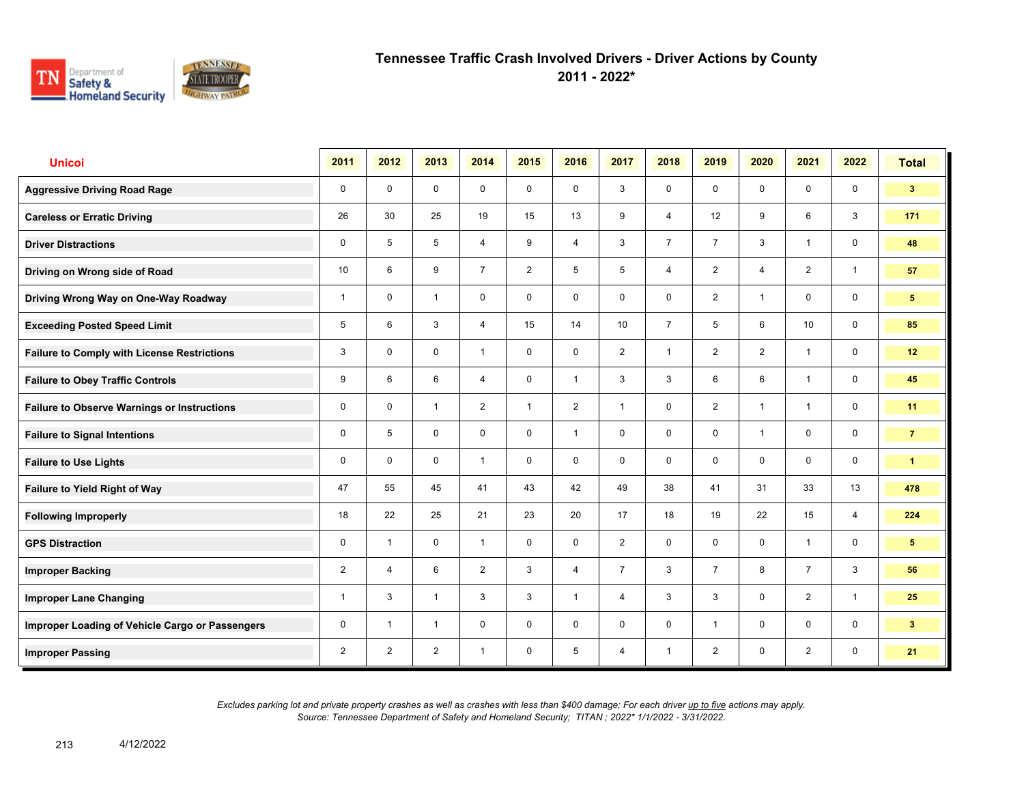

**2011 - 2022\***

| <b>Unicoi</b>                                      | 2011           | 2012           | 2013           | 2014           | 2015           | 2016           | 2017           | 2018           | 2019           | 2020           | 2021           | 2022           | <b>Total</b>         |
|----------------------------------------------------|----------------|----------------|----------------|----------------|----------------|----------------|----------------|----------------|----------------|----------------|----------------|----------------|----------------------|
| <b>Aggressive Driving Road Rage</b>                | 0              | $\mathbf 0$    | $\mathbf 0$    | $\mathbf 0$    | $\mathbf 0$    | $\mathbf 0$    | 3              | $\mathbf 0$    | $\mathbf 0$    | $\mathbf 0$    | $\mathbf 0$    | $\mathbf 0$    | 3 <sup>1</sup>       |
| <b>Careless or Erratic Driving</b>                 | 26             | 30             | 25             | 19             | 15             | 13             | 9              | $\overline{4}$ | 12             | 9              | 6              | 3              | 171                  |
| <b>Driver Distractions</b>                         | 0              | 5              | 5              | $\overline{4}$ | 9              | $\overline{4}$ | 3              | $\overline{7}$ | $\overline{7}$ | 3              | $\mathbf{1}$   | $\mathbf 0$    | 48                   |
| Driving on Wrong side of Road                      | 10             | 6              | 9              | $\overline{7}$ | $\overline{2}$ | 5              | 5              | $\overline{4}$ | $\overline{2}$ | $\overline{4}$ | 2              | $\mathbf{1}$   | 57                   |
| Driving Wrong Way on One-Way Roadway               | 1              | $\mathbf 0$    | $\mathbf{1}$   | $\mathbf 0$    | 0              | $\mathbf 0$    | $\mathbf 0$    | $\mathbf 0$    | $\overline{2}$ | $\overline{1}$ | $\mathbf 0$    | $\mathbf 0$    | 5 <sup>5</sup>       |
| <b>Exceeding Posted Speed Limit</b>                | 5              | 6              | 3              | $\overline{4}$ | 15             | 14             | 10             | $\overline{7}$ | 5              | 6              | 10             | $\mathbf 0$    | 85                   |
| <b>Failure to Comply with License Restrictions</b> | 3              | $\mathbf{0}$   | $\mathbf 0$    | $\mathbf{1}$   | 0              | $\mathbf 0$    | $\overline{2}$ | $\mathbf{1}$   | $\overline{2}$ | $\overline{2}$ | $\overline{1}$ | $\mathbf 0$    | 12                   |
| <b>Failure to Obey Traffic Controls</b>            | 9              | 6              | 6              | $\overline{4}$ | 0              | $\overline{1}$ | 3              | 3              | 6              | 6              | $\mathbf{1}$   | $\mathbf 0$    | 45                   |
| <b>Failure to Observe Warnings or Instructions</b> | 0              | $\mathbf{0}$   | $\overline{1}$ | $\overline{2}$ | 1              | $\overline{2}$ | $\mathbf{1}$   | $\mathbf 0$    | $\overline{2}$ | $\overline{1}$ | $\mathbf{1}$   | $\mathbf 0$    | 11                   |
| <b>Failure to Signal Intentions</b>                | 0              | 5              | $\Omega$       | $\Omega$       | 0              | $\overline{1}$ | $\mathbf 0$    | $\mathbf 0$    | 0              | $\overline{1}$ | $\Omega$       | $\mathbf 0$    | $\overline{7}$       |
| <b>Failure to Use Lights</b>                       | 0              | $\Omega$       | $\mathbf 0$    | $\overline{1}$ | 0              | $\mathbf 0$    | $\mathbf 0$    | $\mathbf 0$    | 0              | $\Omega$       | $\mathbf 0$    | $\mathbf 0$    | $\blacktriangleleft$ |
| <b>Failure to Yield Right of Way</b>               | 47             | 55             | 45             | 41             | 43             | 42             | 49             | 38             | 41             | 31             | 33             | 13             | 478                  |
| <b>Following Improperly</b>                        | 18             | 22             | 25             | 21             | 23             | 20             | 17             | 18             | 19             | 22             | 15             | $\overline{4}$ | 224                  |
| <b>GPS Distraction</b>                             | 0              | $\overline{1}$ | $\mathbf 0$    | $\mathbf{1}$   | 0              | $\mathbf 0$    | 2              | $\mathbf 0$    | $\mathbf 0$    | $\mathbf 0$    | $\mathbf{1}$   | $\mathbf 0$    | 5 <sup>5</sup>       |
| <b>Improper Backing</b>                            | $\overline{2}$ | $\overline{4}$ | 6              | $\overline{2}$ | 3              | $\overline{4}$ | $\overline{7}$ | 3              | $\overline{7}$ | 8              | $\overline{7}$ | 3              | 56                   |
| <b>Improper Lane Changing</b>                      | 1              | 3              | $\overline{1}$ | 3              | 3              | $\overline{1}$ | $\overline{4}$ | 3              | 3              | $\mathbf 0$    | $\overline{2}$ | $\overline{1}$ | 25                   |
| Improper Loading of Vehicle Cargo or Passengers    | 0              | $\overline{1}$ | $\overline{1}$ | $\mathbf 0$    | 0              | $\Omega$       | $\mathbf 0$    | $\mathbf 0$    | 1              | $\Omega$       | $\mathbf 0$    | $\mathbf 0$    | 3 <sup>2</sup>       |
| <b>Improper Passing</b>                            | $\overline{a}$ | $\overline{2}$ | $\overline{2}$ | $\overline{1}$ | 0              | 5              | 4              | $\mathbf{1}$   | $\overline{2}$ | $\mathbf 0$    | $\overline{2}$ | $\mathbf 0$    | 21                   |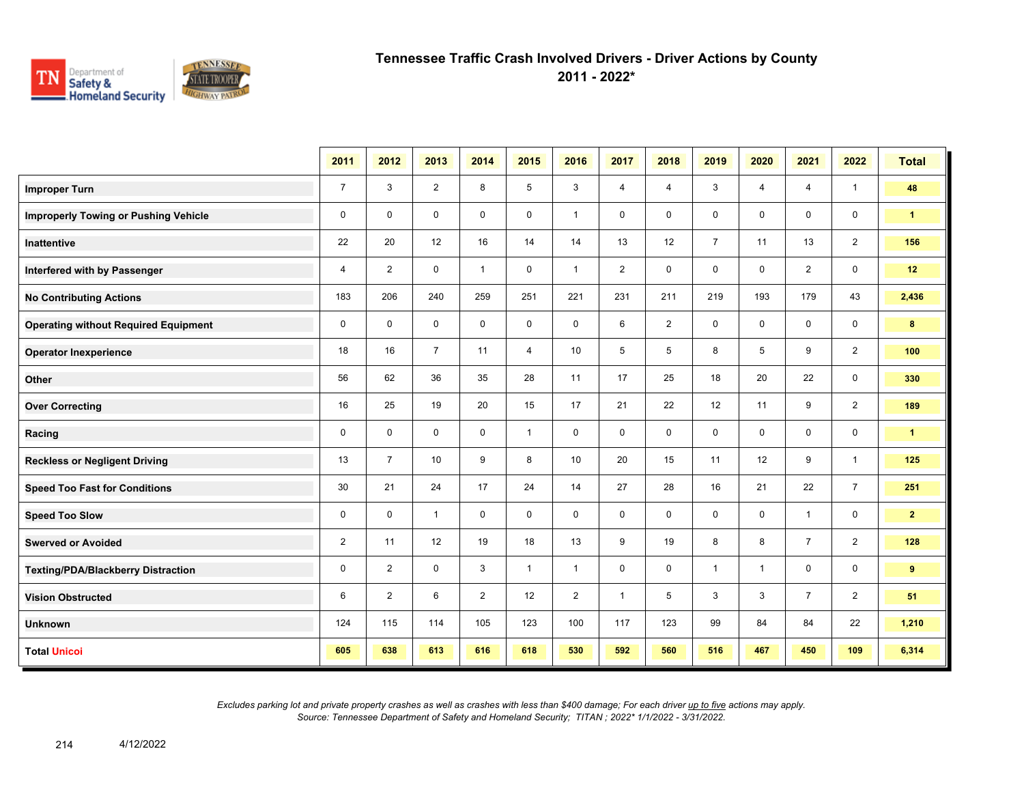

**2011 - 2022\***

|                                             | 2011           | 2012           | 2013           | 2014           | 2015           | 2016           | 2017           | 2018           | 2019           | 2020           | 2021           | 2022           | <b>Total</b>         |
|---------------------------------------------|----------------|----------------|----------------|----------------|----------------|----------------|----------------|----------------|----------------|----------------|----------------|----------------|----------------------|
| <b>Improper Turn</b>                        | $\overline{7}$ | 3              | $\overline{2}$ | 8              | 5              | 3              | 4              | 4              | 3              | $\overline{4}$ | $\overline{4}$ | $\mathbf{1}$   | 48                   |
| <b>Improperly Towing or Pushing Vehicle</b> | $\mathbf 0$    | $\mathbf 0$    | $\mathbf 0$    | $\mathbf 0$    | $\mathbf 0$    | $\mathbf{1}$   | $\mathbf 0$    | $\mathbf 0$    | $\mathsf 0$    | $\mathbf 0$    | $\mathbf 0$    | 0              | $\blacktriangleleft$ |
| <b>Inattentive</b>                          | 22             | 20             | 12             | 16             | 14             | 14             | 13             | 12             | $\overline{7}$ | 11             | 13             | $\overline{2}$ | 156                  |
| Interfered with by Passenger                | $\overline{4}$ | $\overline{2}$ | $\mathbf 0$    | $\mathbf{1}$   | 0              | $\mathbf{1}$   | $\overline{2}$ | $\mathsf{O}$   | 0              | $\mathbf 0$    | $\overline{2}$ | 0              | 12                   |
| <b>No Contributing Actions</b>              | 183            | 206            | 240            | 259            | 251            | 221            | 231            | 211            | 219            | 193            | 179            | 43             | 2,436                |
| <b>Operating without Required Equipment</b> | $\mathbf 0$    | $\mathbf 0$    | $\mathbf 0$    | $\mathbf 0$    | 0              | $\mathbf 0$    | 6              | $\overline{a}$ | $\mathbf 0$    | $\mathbf 0$    | 0              | 0              | 8                    |
| <b>Operator Inexperience</b>                | 18             | 16             | $\overline{7}$ | 11             | $\overline{4}$ | 10             | 5              | 5              | 8              | 5              | 9              | $\overline{2}$ | 100                  |
| Other                                       | 56             | 62             | 36             | 35             | 28             | 11             | 17             | 25             | 18             | 20             | 22             | 0              | 330                  |
| <b>Over Correcting</b>                      | 16             | 25             | 19             | 20             | 15             | 17             | 21             | 22             | 12             | 11             | 9              | $\overline{2}$ | 189                  |
| Racing                                      | $\mathbf 0$    | $\mathbf 0$    | $\mathbf 0$    | $\mathbf 0$    | $\mathbf{1}$   | $\mathbf 0$    | $\mathbf 0$    | $\mathbf 0$    | $\mathbf 0$    | $\mathbf 0$    | $\mathbf 0$    | 0              | $\blacktriangleleft$ |
| <b>Reckless or Negligent Driving</b>        | 13             | $\overline{7}$ | 10             | 9              | 8              | 10             | 20             | 15             | 11             | 12             | 9              | $\mathbf{1}$   | 125                  |
| <b>Speed Too Fast for Conditions</b>        | 30             | 21             | 24             | 17             | 24             | 14             | 27             | 28             | 16             | 21             | 22             | $\overline{7}$ | 251                  |
| <b>Speed Too Slow</b>                       | 0              | $\mathbf 0$    | $\mathbf{1}$   | $\mathbf 0$    | $\mathbf 0$    | $\mathbf 0$    | $\mathbf 0$    | $\mathbf 0$    | $\mathbf 0$    | $\mathbf 0$    | $\mathbf{1}$   | 0              | 2 <sub>2</sub>       |
| <b>Swerved or Avoided</b>                   | $\overline{2}$ | 11             | 12             | 19             | 18             | 13             | 9              | 19             | 8              | 8              | $\overline{7}$ | $\overline{2}$ | 128                  |
| <b>Texting/PDA/Blackberry Distraction</b>   | 0              | $\overline{2}$ | $\mathbf 0$    | 3              | $\mathbf{1}$   | $\mathbf{1}$   | $\mathbf 0$    | $\mathbf 0$    | $\mathbf{1}$   | $\mathbf{1}$   | $\mathbf 0$    | 0              | 9                    |
| <b>Vision Obstructed</b>                    | 6              | $\overline{2}$ | 6              | $\overline{2}$ | 12             | $\overline{2}$ | $\mathbf{1}$   | 5              | 3              | 3              | $\overline{7}$ | $\overline{2}$ | 51                   |
| <b>Unknown</b>                              | 124            | 115            | 114            | 105            | 123            | 100            | 117            | 123            | 99             | 84             | 84             | 22             | 1,210                |
| <b>Total Unicoi</b>                         | 605            | 638            | 613            | 616            | 618            | 530            | 592            | 560            | 516            | 467            | 450            | 109            | 6,314                |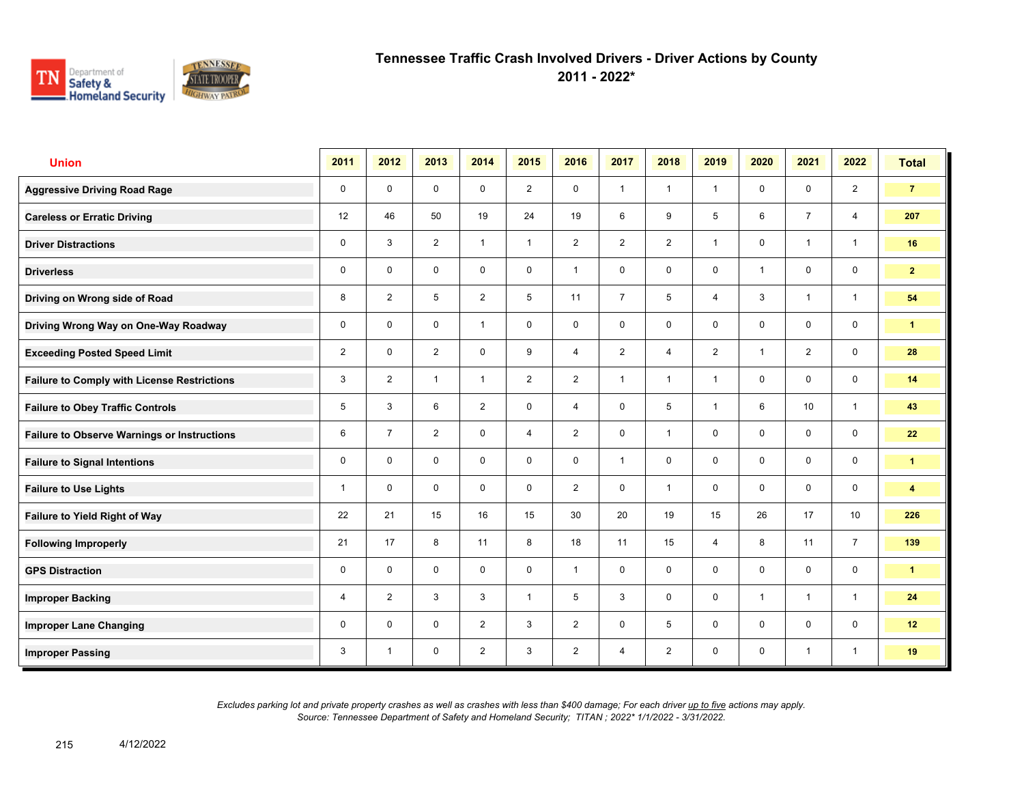

**2011 - 2022\***

| <b>Union</b>                                       | 2011           | 2012           | 2013           | 2014           | 2015           | 2016           | 2017           | 2018           | 2019           | 2020           | 2021           | 2022            | <b>Total</b>            |
|----------------------------------------------------|----------------|----------------|----------------|----------------|----------------|----------------|----------------|----------------|----------------|----------------|----------------|-----------------|-------------------------|
| <b>Aggressive Driving Road Rage</b>                | 0              | $\mathbf 0$    | $\mathbf 0$    | $\mathbf 0$    | $\overline{2}$ | $\mathbf 0$    | $\mathbf{1}$   | $\mathbf{1}$   | $\mathbf{1}$   | $\mathbf 0$    | $\mathbf 0$    | $\overline{2}$  | $\overline{7}$          |
| <b>Careless or Erratic Driving</b>                 | 12             | 46             | 50             | 19             | 24             | 19             | $6\phantom{1}$ | 9              | 5              | 6              | $\overline{7}$ | $\overline{4}$  | 207                     |
| <b>Driver Distractions</b>                         | 0              | 3              | $\overline{2}$ | $\mathbf{1}$   | $\mathbf{1}$   | $\overline{2}$ | 2              | $\overline{2}$ | $\mathbf{1}$   | $\mathbf 0$    | $\mathbf{1}$   | $\mathbf{1}$    | 16                      |
| <b>Driverless</b>                                  | 0              | $\mathbf 0$    | 0              | 0              | 0              | $\mathbf{1}$   | $\mathbf 0$    | $\mathbf 0$    | 0              | $\overline{1}$ | $\mathbf 0$    | $\mathbf 0$     | 2 <sup>1</sup>          |
| Driving on Wrong side of Road                      | 8              | $\overline{2}$ | 5              | $\overline{2}$ | 5              | 11             | $\overline{7}$ | 5              | 4              | 3              | $\mathbf{1}$   | $\mathbf{1}$    | 54                      |
| Driving Wrong Way on One-Way Roadway               | 0              | $\mathbf 0$    | $\mathbf 0$    | $\overline{1}$ | 0              | $\mathbf 0$    | $\mathbf 0$    | $\mathbf 0$    | $\mathbf 0$    | $\mathbf 0$    | $\mathbf 0$    | $\mathbf 0$     | $\mathbf{1}$            |
| <b>Exceeding Posted Speed Limit</b>                | $\overline{2}$ | $\mathbf 0$    | $\overline{2}$ | $\mathbf 0$    | 9              | $\overline{4}$ | 2              | $\overline{4}$ | $\overline{2}$ | $\overline{1}$ | $\overline{2}$ | $\mathbf 0$     | 28                      |
| <b>Failure to Comply with License Restrictions</b> | 3              | $\overline{2}$ | $\overline{1}$ | $\mathbf{1}$   | $\overline{2}$ | 2              | $\mathbf{1}$   | $\mathbf{1}$   | $\mathbf{1}$   | $\mathbf 0$    | $\mathbf 0$    | $\mathbf 0$     | 14                      |
| <b>Failure to Obey Traffic Controls</b>            | 5              | 3              | 6              | 2              | 0              | $\overline{4}$ | $\mathbf 0$    | 5              | $\mathbf{1}$   | 6              | 10             | $\mathbf{1}$    | 43                      |
| <b>Failure to Observe Warnings or Instructions</b> | 6              | $\overline{7}$ | $\overline{2}$ | $\mathbf 0$    | 4              | 2              | $\mathbf 0$    | $\mathbf{1}$   | 0              | $\mathbf 0$    | $\mathbf 0$    | $\mathbf 0$     | 22                      |
| <b>Failure to Signal Intentions</b>                | 0              | $\Omega$       | $\Omega$       | $\Omega$       | 0              | $\Omega$       | $\mathbf{1}$   | $\mathbf 0$    | $\mathbf 0$    | $\mathbf{0}$   | $\mathbf 0$    | $\mathbf 0$     | $\mathbf{1}$            |
| <b>Failure to Use Lights</b>                       | 1              | $\mathbf 0$    | $\mathbf 0$    | $\mathbf 0$    | 0              | 2              | $\mathbf 0$    | $\mathbf{1}$   | $\mathbf 0$    | $\mathbf 0$    | $\mathbf 0$    | $\mathbf 0$     | $\overline{\mathbf{4}}$ |
| Failure to Yield Right of Way                      | 22             | 21             | 15             | 16             | 15             | 30             | 20             | 19             | 15             | 26             | 17             | 10 <sup>1</sup> | 226                     |
| <b>Following Improperly</b>                        | 21             | 17             | 8              | 11             | 8              | 18             | 11             | 15             | $\overline{4}$ | 8              | 11             | $\overline{7}$  | 139                     |
| <b>GPS Distraction</b>                             | 0              | $\mathbf 0$    | $\mathbf 0$    | $\mathbf 0$    | $\mathbf 0$    | $\overline{1}$ | $\mathbf 0$    | $\mathbf 0$    | $\mathbf 0$    | $\mathbf 0$    | $\mathbf 0$    | $\mathbf 0$     | $\mathbf{1}$            |
| <b>Improper Backing</b>                            | 4              | $\overline{2}$ | 3              | 3              | $\mathbf{1}$   | 5              | $\mathbf{3}$   | $\mathbf 0$    | 0              | $\overline{1}$ | $\mathbf{1}$   | $\mathbf{1}$    | 24                      |
| <b>Improper Lane Changing</b>                      | 0              | $\mathbf 0$    | $\mathbf 0$    | $\overline{2}$ | 3              | 2              | $\mathbf 0$    | 5              | 0              | $\mathbf 0$    | $\mathbf 0$    | $\mathbf 0$     | 12                      |
| <b>Improper Passing</b>                            | 3              | $\overline{1}$ | 0              | $\overline{2}$ | 3              | $\overline{2}$ | $\overline{4}$ | $\overline{2}$ | 0              | $\mathbf 0$    | $\mathbf{1}$   | $\mathbf{1}$    | 19                      |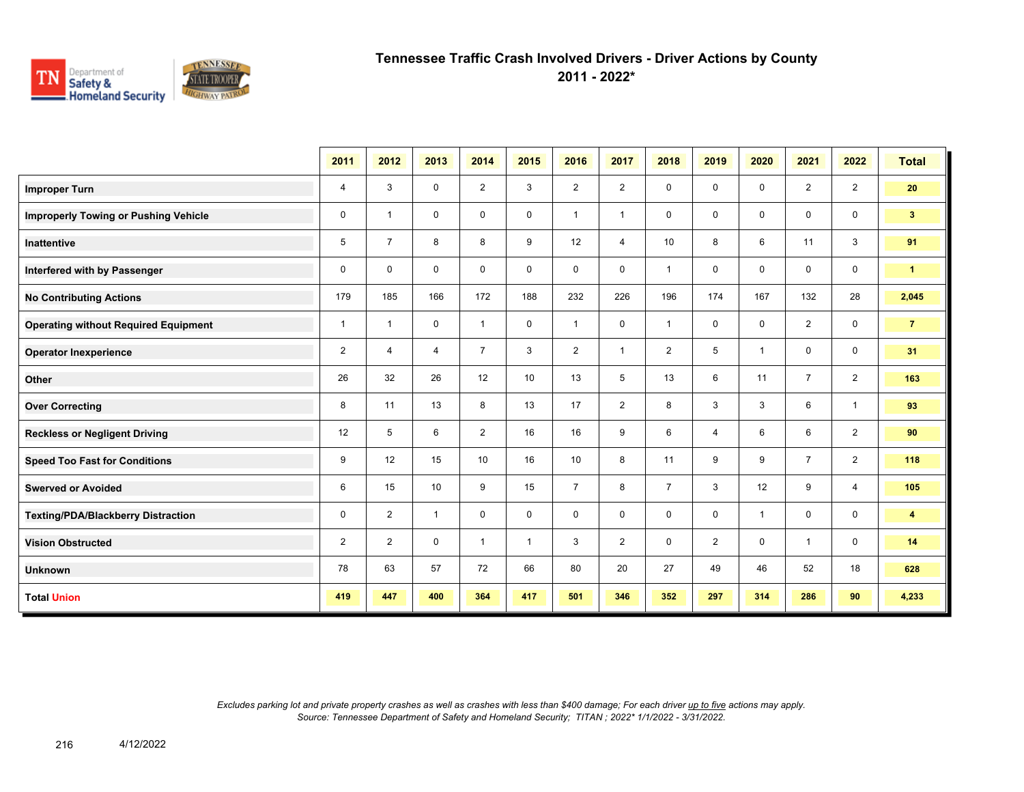

**2011 - 2022\***

|                                             | 2011           | 2012           | 2013         | 2014           | 2015         | 2016           | 2017           | 2018           | 2019           | 2020           | 2021           | 2022           | <b>Total</b>         |
|---------------------------------------------|----------------|----------------|--------------|----------------|--------------|----------------|----------------|----------------|----------------|----------------|----------------|----------------|----------------------|
| <b>Improper Turn</b>                        | $\overline{4}$ | 3              | 0            | $\overline{2}$ | 3            | $\overline{2}$ | $\overline{2}$ | 0              | 0              | $\mathbf 0$    | $\overline{2}$ | $\overline{2}$ | 20                   |
| <b>Improperly Towing or Pushing Vehicle</b> | 0              | $\overline{1}$ | 0            | 0              | 0            | $\overline{1}$ | $\overline{1}$ | $\mathbf 0$    | 0              | $\mathbf 0$    | $\mathbf 0$    | $\mathbf 0$    | 3 <sup>2</sup>       |
| <b>Inattentive</b>                          | 5              | $\overline{7}$ | 8            | 8              | 9            | 12             | $\overline{4}$ | 10             | 8              | 6              | 11             | $\mathbf{3}$   | 91                   |
| Interfered with by Passenger                | $\mathbf 0$    | $\mathbf{0}$   | $\mathbf 0$  | $\mathbf 0$    | $\mathbf 0$  | $\mathbf 0$    | $\mathbf 0$    | $\overline{1}$ | 0              | $\Omega$       | $\mathbf{0}$   | $\mathbf 0$    | $\blacktriangleleft$ |
| <b>No Contributing Actions</b>              | 179            | 185            | 166          | 172            | 188          | 232            | 226            | 196            | 174            | 167            | 132            | 28             | 2,045                |
| <b>Operating without Required Equipment</b> | $\mathbf{1}$   | $\overline{1}$ | 0            | $\mathbf{1}$   | 0            | $\overline{1}$ | $\mathbf 0$    | $\overline{1}$ | 0              | $\mathbf 0$    | $\overline{2}$ | $\mathbf 0$    | $\overline{7}$       |
| <b>Operator Inexperience</b>                | $\overline{2}$ | 4              | 4            | $\overline{7}$ | 3            | $\overline{2}$ | $\overline{1}$ | $\overline{2}$ | 5              | $\overline{1}$ | $\mathbf 0$    | $\mathbf 0$    | 31                   |
| Other                                       | 26             | 32             | 26           | 12             | 10           | 13             | 5              | 13             | 6              | 11             | $\overline{7}$ | 2              | 163                  |
| <b>Over Correcting</b>                      | 8              | 11             | 13           | 8              | 13           | 17             | $\overline{2}$ | 8              | 3              | 3              | 6              | $\mathbf{1}$   | 93                   |
| <b>Reckless or Negligent Driving</b>        | 12             | 5              | 6            | $\overline{2}$ | 16           | 16             | 9              | 6              | 4              | 6              | 6              | $\overline{2}$ | 90                   |
| <b>Speed Too Fast for Conditions</b>        | 9              | 12             | 15           | 10             | 16           | 10             | 8              | 11             | 9              | 9              | $\overline{7}$ | 2              | 118                  |
| <b>Swerved or Avoided</b>                   | 6              | 15             | 10           | 9              | 15           | $\overline{7}$ | 8              | $\overline{7}$ | 3              | 12             | 9              | $\overline{4}$ | 105                  |
| Texting/PDA/Blackberry Distraction          | 0              | $\overline{2}$ | $\mathbf{1}$ | $\mathbf 0$    | 0            | 0              | 0              | $\mathbf 0$    | 0              | $\overline{1}$ | $\mathbf{0}$   | $\mathbf 0$    | 4                    |
| <b>Vision Obstructed</b>                    | $\overline{2}$ | $\overline{2}$ | $\mathbf 0$  | $\mathbf{1}$   | $\mathbf{1}$ | 3              | $\overline{2}$ | $\mathbf 0$    | $\overline{2}$ | $\mathbf 0$    | $\mathbf{1}$   | $\mathbf 0$    | 14                   |
| <b>Unknown</b>                              | 78             | 63             | 57           | 72             | 66           | 80             | 20             | 27             | 49             | 46             | 52             | 18             | 628                  |
| <b>Total Union</b>                          | 419            | 447            | 400          | 364            | 417          | 501            | 346            | 352            | 297            | 314            | 286            | 90             | 4,233                |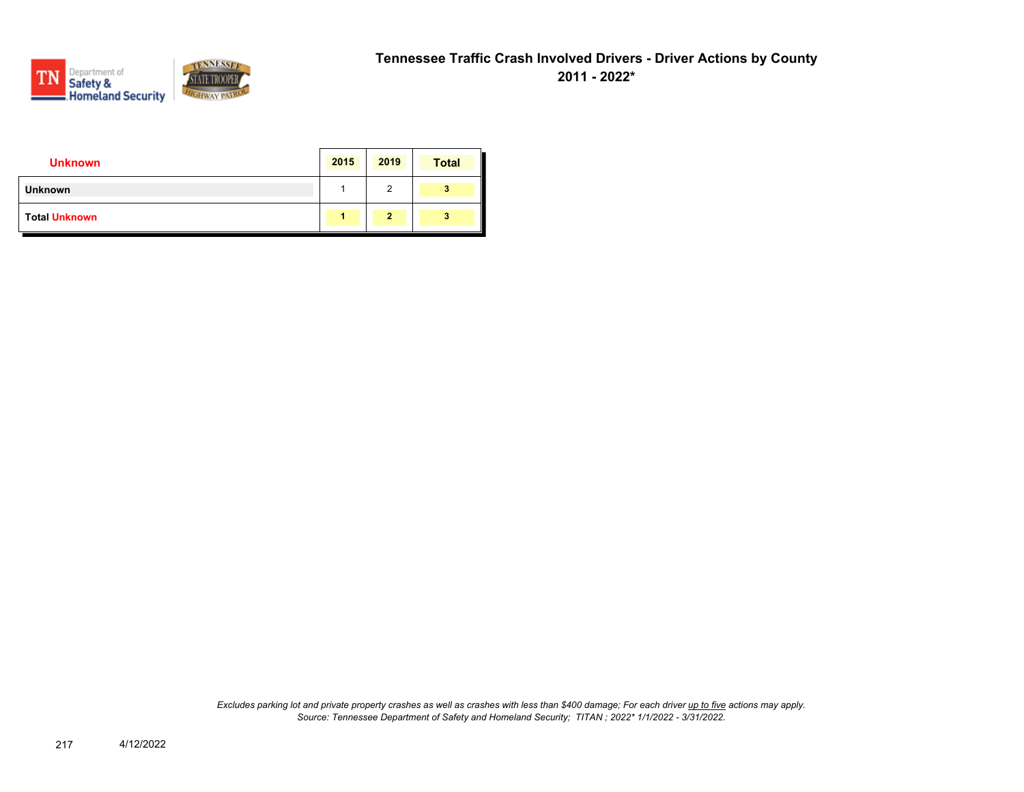

| <b>Unknown</b>       | 2015 | 2019           | <b>Total</b> |
|----------------------|------|----------------|--------------|
| <b>Unknown</b>       |      | 2              | 3            |
| <b>Total Unknown</b> |      | $\overline{2}$ | 3            |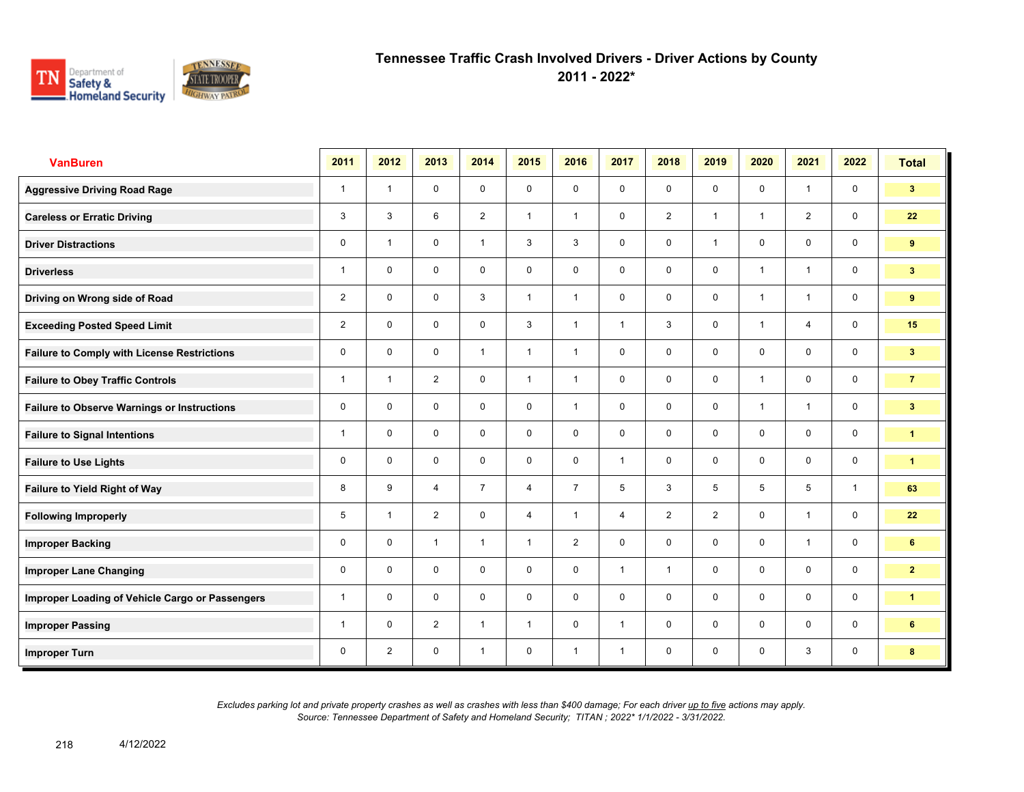

**2011 - 2022\***

| <b>VanBuren</b>                                    | 2011           | 2012                    | 2013           | 2014           | 2015           | 2016           | 2017           | 2018           | 2019           | 2020           | 2021           | 2022         | <b>Total</b>         |
|----------------------------------------------------|----------------|-------------------------|----------------|----------------|----------------|----------------|----------------|----------------|----------------|----------------|----------------|--------------|----------------------|
| <b>Aggressive Driving Road Rage</b>                | $\overline{1}$ | $\overline{1}$          | $\mathbf 0$    | $\mathbf 0$    | $\mathbf 0$    | $\mathbf 0$    | $\mathbf 0$    | $\mathbf 0$    | $\mathbf 0$    | $\mathbf 0$    | $\mathbf{1}$   | $\mathbf 0$  | 3 <sup>7</sup>       |
| <b>Careless or Erratic Driving</b>                 | 3              | 3                       | 6              | $\overline{2}$ | $\mathbf{1}$   | $\overline{1}$ | $\mathbf 0$    | $\overline{2}$ | $\mathbf{1}$   | $\overline{1}$ | 2              | $\mathbf 0$  | 22                   |
| <b>Driver Distractions</b>                         | 0              | $\overline{1}$          | $\mathbf 0$    | $\mathbf{1}$   | 3              | 3              | $\mathbf 0$    | $\mathbf 0$    | $\mathbf{1}$   | $\mathbf 0$    | $\mathbf 0$    | $\mathbf 0$  | 9                    |
| <b>Driverless</b>                                  | 1              | $\mathbf 0$             | $\mathbf 0$    | $\mathbf 0$    | $\mathbf 0$    | $\mathbf 0$    | $\mathbf 0$    | $\mathbf 0$    | $\mathbf 0$    | $\overline{1}$ | $\mathbf{1}$   | $\mathbf 0$  | 3 <sup>1</sup>       |
| Driving on Wrong side of Road                      | $\overline{2}$ | $\Omega$                | $\mathbf 0$    | 3              | $\mathbf{1}$   | $\mathbf{1}$   | $\mathbf 0$    | $\mathbf 0$    | $\mathbf 0$    | $\overline{1}$ | $\mathbf{1}$   | $\mathbf 0$  | 9                    |
| <b>Exceeding Posted Speed Limit</b>                | $\overline{2}$ | $\mathbf 0$             | $\mathbf 0$    | $\mathbf 0$    | 3              | $\mathbf{1}$   | $\mathbf{1}$   | 3              | $\mathbf 0$    | $\overline{1}$ | $\overline{4}$ | $\mathbf 0$  | 15                   |
| <b>Failure to Comply with License Restrictions</b> | 0              | $\mathbf 0$             | $\mathbf 0$    | $\overline{1}$ | $\mathbf{1}$   | $\overline{1}$ | $\mathbf 0$    | $\mathbf 0$    | $\mathbf 0$    | $\mathbf 0$    | $\mathbf 0$    | $\mathbf 0$  | 3 <sup>2</sup>       |
| <b>Failure to Obey Traffic Controls</b>            | 1              | $\overline{\mathbf{1}}$ | $\overline{2}$ | $\mathbf 0$    | $\mathbf{1}$   | $\overline{1}$ | $\mathbf 0$    | $\mathbf 0$    | $\mathbf 0$    | $\overline{1}$ | $\mathbf 0$    | $\mathbf 0$  | $\overline{7}$       |
| <b>Failure to Observe Warnings or Instructions</b> | 0              | $\Omega$                | $\mathbf 0$    | $\mathbf 0$    | 0              | $\mathbf{1}$   | $\mathbf 0$    | $\mathbf 0$    | $\Omega$       | $\overline{1}$ | $\mathbf{1}$   | $\mathbf 0$  | 3 <sup>2</sup>       |
| <b>Failure to Signal Intentions</b>                | 1              | $\mathbf 0$             | $\mathbf 0$    | $\mathbf 0$    | 0              | $\mathbf 0$    | $\mathbf 0$    | $\mathbf 0$    | $\mathbf 0$    | $\mathbf 0$    | $\mathbf 0$    | $\mathbf 0$  | $\mathbf{1}$         |
| <b>Failure to Use Lights</b>                       | 0              | $\mathbf 0$             | $\mathbf 0$    | $\mathbf 0$    | 0              | $\mathbf 0$    | $\mathbf{1}$   | $\mathbf 0$    | $\mathbf 0$    | $\mathbf 0$    | $\mathbf 0$    | $\mathbf 0$  | $\blacktriangleleft$ |
| <b>Failure to Yield Right of Way</b>               | 8              | 9                       | $\overline{4}$ | $\overline{7}$ | $\overline{4}$ | $\overline{7}$ | 5              | $\mathbf{3}$   | 5              | 5              | 5              | $\mathbf{1}$ | 63                   |
| <b>Following Improperly</b>                        | 5              | $\overline{1}$          | $\overline{2}$ | $\mathbf 0$    | $\overline{4}$ | $\mathbf{1}$   | $\overline{4}$ | $\overline{2}$ | $\overline{2}$ | $\Omega$       | $\mathbf{1}$   | $\mathbf 0$  | 22                   |
| <b>Improper Backing</b>                            | 0              | $\Omega$                | $\mathbf{1}$   | $\mathbf{1}$   | $\mathbf{1}$   | 2              | $\mathbf 0$    | $\mathbf 0$    | $\mathbf 0$    | $\Omega$       | $\mathbf{1}$   | $\mathbf 0$  | 6 <sup>1</sup>       |
| <b>Improper Lane Changing</b>                      | 0              | 0                       | $\mathbf 0$    | $\mathbf 0$    | $\mathbf 0$    | $\mathbf 0$    | $\mathbf{1}$   | $\mathbf{1}$   | $\mathbf 0$    | $\mathbf 0$    | $\mathbf 0$    | $\mathbf 0$  | $\overline{2}$       |
| Improper Loading of Vehicle Cargo or Passengers    | 1              | 0                       | $\mathbf 0$    | $\mathbf 0$    | $\mathbf 0$    | $\mathbf 0$    | $\mathbf 0$    | $\mathbf 0$    | $\mathbf 0$    | $\mathbf 0$    | $\mathbf 0$    | $\mathbf 0$  | $\mathbf{1}$         |
| <b>Improper Passing</b>                            | 1              | $\mathbf 0$             | 2              | $\mathbf{1}$   | $\mathbf{1}$   | $\mathbf 0$    | $\mathbf{1}$   | $\mathbf 0$    | $\mathbf 0$    | $\mathbf 0$    | $\mathbf 0$    | $\mathbf 0$  | 6                    |
| <b>Improper Turn</b>                               | 0              | $\overline{2}$          | $\mathbf 0$    | $\mathbf{1}$   | $\mathbf 0$    | $\overline{1}$ | $\mathbf{1}$   | $\mathbf 0$    | $\mathbf 0$    | $\mathbf 0$    | 3              | $\mathbf 0$  | 8                    |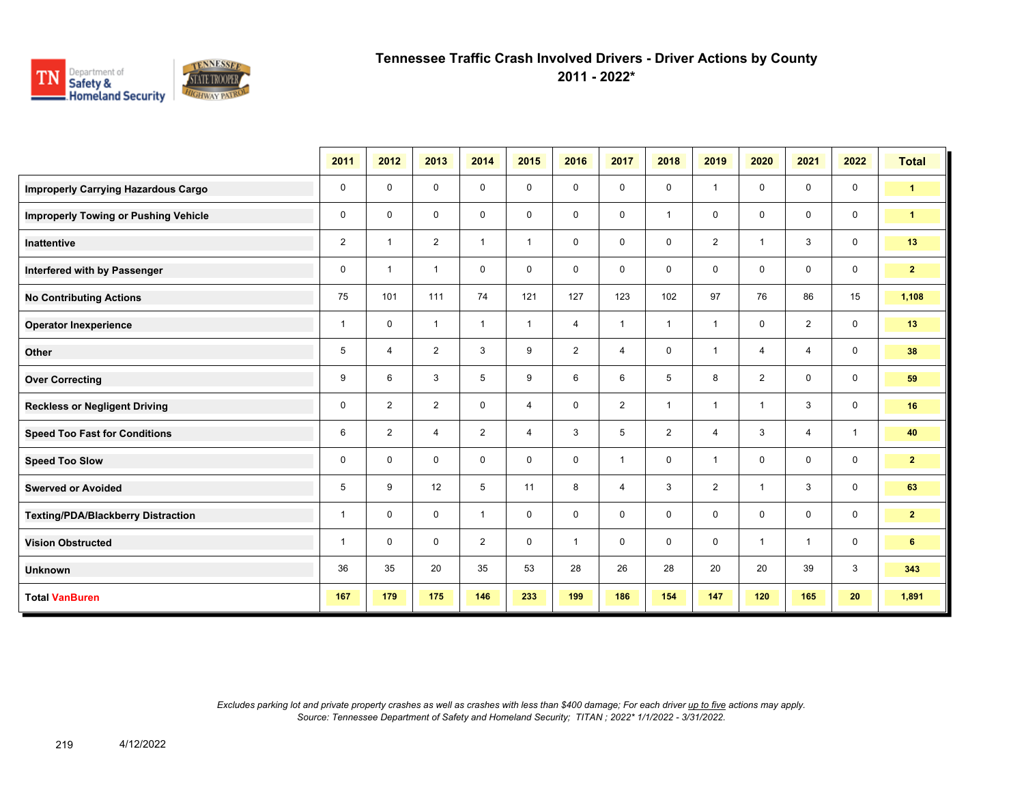

**2011 - 2022\***

|                                             | 2011           | 2012           | 2013           | 2014           | 2015           | 2016           | 2017           | 2018           | 2019           | 2020                    | 2021           | 2022         | <b>Total</b>         |
|---------------------------------------------|----------------|----------------|----------------|----------------|----------------|----------------|----------------|----------------|----------------|-------------------------|----------------|--------------|----------------------|
| <b>Improperly Carrying Hazardous Cargo</b>  | 0              | 0              | $\mathbf 0$    | 0              | 0              | 0              | 0              | $\mathbf 0$    | 1              | 0                       | 0              | $\mathbf 0$  | $\blacktriangleleft$ |
| <b>Improperly Towing or Pushing Vehicle</b> | 0              | 0              | 0              | 0              | 0              | 0              | 0              | $\overline{1}$ | 0              | $\mathbf 0$             | $\mathbf 0$    | $\mathbf 0$  | $\blacktriangleleft$ |
| Inattentive                                 | $\overline{2}$ | $\overline{1}$ | $\overline{2}$ | $\mathbf{1}$   | $\mathbf{1}$   | 0              | 0              | 0              | $\overline{2}$ | $\overline{\mathbf{1}}$ | 3              | $\mathbf 0$  | 13                   |
| Interfered with by Passenger                | 0              | $\overline{1}$ | $\mathbf{1}$   | $\mathbf 0$    | $\mathbf 0$    | $\mathbf 0$    | 0              | $\mathbf 0$    | 0              | $\mathbf 0$             | $\mathbf 0$    | $\mathbf 0$  | 2 <sub>1</sub>       |
| <b>No Contributing Actions</b>              | 75             | 101            | 111            | 74             | 121            | 127            | 123            | 102            | 97             | 76                      | 86             | 15           | 1,108                |
| <b>Operator Inexperience</b>                | $\mathbf{1}$   | 0              | $\mathbf{1}$   | $\mathbf{1}$   | $\mathbf{1}$   | 4              | $\mathbf{1}$   | $\overline{1}$ | $\overline{1}$ | 0                       | $\overline{2}$ | $\mathbf 0$  | 13                   |
| Other                                       | 5              | $\overline{4}$ | 2              | 3              | 9              | $\overline{2}$ | 4              | 0              | 1              | $\overline{4}$          | 4              | $\mathsf{O}$ | 38                   |
| <b>Over Correcting</b>                      | 9              | 6              | 3              | 5              | 9              | 6              | 6              | 5              | 8              | 2                       | 0              | $\mathbf 0$  | 59                   |
| <b>Reckless or Negligent Driving</b>        | 0              | $\overline{2}$ | 2              | 0              | $\overline{4}$ | $\mathbf 0$    | $\overline{2}$ | $\mathbf{1}$   | $\overline{1}$ | $\overline{1}$          | 3              | $\mathbf 0$  | 16                   |
| <b>Speed Too Fast for Conditions</b>        | 6              | $\overline{2}$ | $\overline{4}$ | $\overline{2}$ | 4              | 3              | 5              | $\overline{2}$ | 4              | 3                       | $\overline{4}$ | $\mathbf{1}$ | 40                   |
| <b>Speed Too Slow</b>                       | 0              | 0              | 0              | $\mathbf 0$    | 0              | 0              | $\mathbf{1}$   | $\mathbf 0$    | $\overline{1}$ | 0                       | $\mathbf 0$    | $\mathbf 0$  | $\mathbf{2}$         |
| <b>Swerved or Avoided</b>                   | 5              | 9              | 12             | 5              | 11             | 8              | 4              | 3              | $\overline{2}$ | $\overline{1}$          | 3              | $\mathbf 0$  | 63                   |
| <b>Texting/PDA/Blackberry Distraction</b>   | $\mathbf{1}$   | 0              | $\mathbf 0$    | $\mathbf{1}$   | 0              | 0              | 0              | 0              | 0              | $\mathbf 0$             | 0              | 0            | $\overline{2}$       |
| <b>Vision Obstructed</b>                    | $\mathbf{1}$   | 0              | $\mathbf 0$    | $\overline{2}$ | $\mathbf 0$    | $\mathbf{1}$   | 0              | 0              | 0              | $\overline{1}$          | $\mathbf{1}$   | $\mathbf 0$  | 6                    |
| <b>Unknown</b>                              | 36             | 35             | 20             | 35             | 53             | 28             | 26             | 28             | 20             | 20                      | 39             | 3            | 343                  |
| <b>Total VanBuren</b>                       | 167            | 179            | 175            | 146            | 233            | 199            | 186            | 154            | 147            | 120                     | 165            | 20           | 1,891                |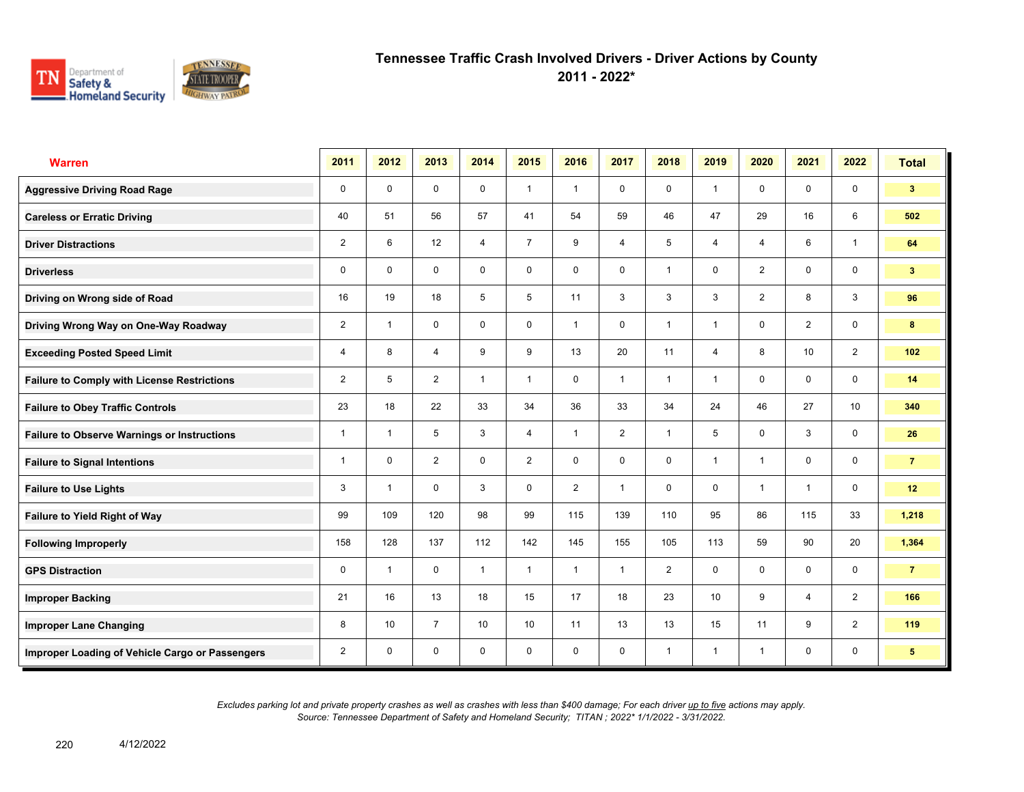

**2011 - 2022\***

| <b>Warren</b>                                      | 2011           | 2012                    | 2013           | 2014           | 2015           | 2016           | 2017           | 2018           | 2019           | 2020           | 2021           | 2022           | <b>Total</b>   |
|----------------------------------------------------|----------------|-------------------------|----------------|----------------|----------------|----------------|----------------|----------------|----------------|----------------|----------------|----------------|----------------|
| <b>Aggressive Driving Road Rage</b>                | 0              | $\mathbf 0$             | $\mathbf 0$    | $\mathbf 0$    | $\mathbf{1}$   | $\overline{1}$ | $\mathbf 0$    | $\mathbf 0$    | $\mathbf{1}$   | $\mathbf 0$    | $\mathbf 0$    | $\mathbf 0$    | 3 <sup>2</sup> |
| <b>Careless or Erratic Driving</b>                 | 40             | 51                      | 56             | 57             | 41             | 54             | 59             | 46             | 47             | 29             | 16             | 6              | 502            |
| <b>Driver Distractions</b>                         | $\overline{2}$ | 6                       | 12             | $\overline{4}$ | $\overline{7}$ | 9              | $\overline{4}$ | 5              | 4              | 4              | 6              | $\mathbf{1}$   | 64             |
| <b>Driverless</b>                                  | 0              | $\Omega$                | $\mathbf 0$    | $\mathbf 0$    | $\mathbf 0$    | $\mathbf 0$    | $\mathbf 0$    | $\mathbf{1}$   | $\mathbf 0$    | $\overline{2}$ | $\mathbf 0$    | 0              | 3 <sup>7</sup> |
| Driving on Wrong side of Road                      | 16             | 19                      | 18             | 5              | 5              | 11             | 3              | 3              | 3              | $\overline{2}$ | 8              | 3              | 96             |
| Driving Wrong Way on One-Way Roadway               | $\overline{2}$ | $\overline{1}$          | $\mathbf 0$    | $\mathbf 0$    | 0              | $\overline{1}$ | 0              | $\mathbf{1}$   | $\mathbf{1}$   | 0              | $\overline{2}$ | 0              | 8              |
| <b>Exceeding Posted Speed Limit</b>                | 4              | 8                       | $\overline{4}$ | 9              | 9              | 13             | 20             | 11             | $\overline{4}$ | 8              | 10             | $\overline{2}$ | 102            |
| <b>Failure to Comply with License Restrictions</b> | $\overline{2}$ | 5                       | $\overline{2}$ | $\mathbf{1}$   | $\mathbf{1}$   | $\mathbf 0$    | $\mathbf{1}$   | $\mathbf{1}$   | $\mathbf{1}$   | 0              | $\mathbf 0$    | 0              | 14             |
| <b>Failure to Obey Traffic Controls</b>            | 23             | 18                      | 22             | 33             | 34             | 36             | 33             | 34             | 24             | 46             | 27             | 10             | 340            |
| <b>Failure to Observe Warnings or Instructions</b> | $\overline{1}$ | $\overline{\mathbf{1}}$ | 5              | 3              | 4              | $\overline{1}$ | $\overline{2}$ | $\mathbf{1}$   | 5              | 0              | 3              | 0              | 26             |
| <b>Failure to Signal Intentions</b>                | 1              | $\Omega$                | $\overline{2}$ | $\mathbf 0$    | $\overline{2}$ | $\mathbf 0$    | 0              | 0              | $\mathbf{1}$   | $\overline{1}$ | $\mathbf 0$    | 0              | $\overline{7}$ |
| <b>Failure to Use Lights</b>                       | 3              | $\overline{1}$          | $\Omega$       | 3              | $\mathbf 0$    | $\overline{2}$ | $\mathbf{1}$   | $\mathbf 0$    | $\mathbf 0$    | $\overline{1}$ | $\mathbf{1}$   | $\mathbf 0$    | 12             |
| Failure to Yield Right of Way                      | 99             | 109                     | 120            | 98             | 99             | 115            | 139            | 110            | 95             | 86             | 115            | 33             | 1,218          |
| <b>Following Improperly</b>                        | 158            | 128                     | 137            | 112            | 142            | 145            | 155            | 105            | 113            | 59             | 90             | 20             | 1,364          |
| <b>GPS Distraction</b>                             | 0              | $\overline{1}$          | $\mathbf 0$    | $\mathbf{1}$   | $\mathbf{1}$   | $\mathbf{1}$   | $\mathbf{1}$   | $\overline{2}$ | 0              | 0              | $\mathbf 0$    | 0              | $\overline{7}$ |
| <b>Improper Backing</b>                            | 21             | 16                      | 13             | 18             | 15             | 17             | 18             | 23             | 10             | 9              | $\overline{4}$ | $\overline{2}$ | 166            |
| <b>Improper Lane Changing</b>                      | 8              | 10                      | $\overline{7}$ | 10             | 10             | 11             | 13             | 13             | 15             | 11             | 9              | $\overline{2}$ | 119            |
| Improper Loading of Vehicle Cargo or Passengers    | $\overline{2}$ | $\mathbf 0$             | 0              | 0              | 0              | 0              | 0              | $\mathbf{1}$   | $\mathbf{1}$   | $\overline{1}$ | 0              | 0              | 5 <sup>5</sup> |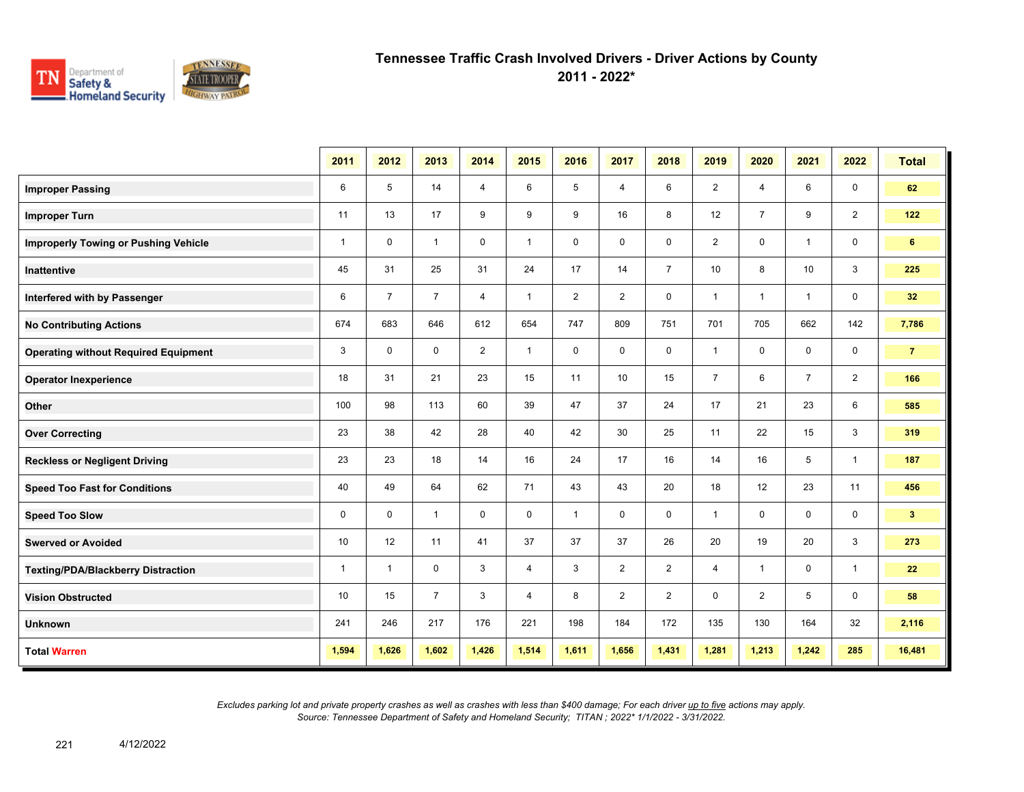

**2011 - 2022\***

|                                             | 2011         | 2012           | 2013           | 2014           | 2015           | 2016           | 2017           | 2018           | 2019           | 2020           | 2021           | 2022           | <b>Total</b>   |
|---------------------------------------------|--------------|----------------|----------------|----------------|----------------|----------------|----------------|----------------|----------------|----------------|----------------|----------------|----------------|
| <b>Improper Passing</b>                     | 6            | 5              | 14             | $\overline{4}$ | 6              | 5              | 4              | 6              | $\overline{2}$ | 4              | 6              | 0              | 62             |
| <b>Improper Turn</b>                        | 11           | 13             | 17             | 9              | 9              | 9              | 16             | 8              | 12             | $\overline{7}$ | 9              | $\overline{2}$ | 122            |
| <b>Improperly Towing or Pushing Vehicle</b> | $\mathbf{1}$ | $\mathbf 0$    | $\mathbf{1}$   | $\mathbf 0$    | $\mathbf{1}$   | $\mathbf 0$    | 0              | 0              | $\overline{2}$ | 0              | $\mathbf{1}$   | 0              | 6              |
| <b>Inattentive</b>                          | 45           | 31             | 25             | 31             | 24             | 17             | 14             | $\overline{7}$ | 10             | 8              | 10             | $\mathbf{3}$   | 225            |
| Interfered with by Passenger                | 6            | $\overline{7}$ | $\overline{7}$ | $\overline{4}$ | $\mathbf{1}$   | $\overline{2}$ | $\overline{2}$ | $\mathbf 0$    | $\mathbf{1}$   | $\mathbf{1}$   | $\mathbf{1}$   | $\mathbf 0$    | 32             |
| <b>No Contributing Actions</b>              | 674          | 683            | 646            | 612            | 654            | 747            | 809            | 751            | 701            | 705            | 662            | 142            | 7,786          |
| <b>Operating without Required Equipment</b> | 3            | $\mathbf 0$    | $\mathbf 0$    | 2              | $\mathbf{1}$   | $\mathbf 0$    | $\mathbf 0$    | $\mathbf 0$    | $\mathbf{1}$   | $\mathbf 0$    | $\mathbf 0$    | 0              | $\overline{7}$ |
| <b>Operator Inexperience</b>                | 18           | 31             | 21             | 23             | 15             | 11             | 10             | 15             | $\overline{7}$ | 6              | $\overline{7}$ | $\overline{2}$ | 166            |
| Other                                       | 100          | 98             | 113            | 60             | 39             | 47             | 37             | 24             | 17             | 21             | 23             | 6              | 585            |
| <b>Over Correcting</b>                      | 23           | 38             | 42             | 28             | 40             | 42             | 30             | 25             | 11             | 22             | 15             | 3              | 319            |
| <b>Reckless or Negligent Driving</b>        | 23           | 23             | 18             | 14             | 16             | 24             | 17             | 16             | 14             | 16             | 5              | $\mathbf{1}$   | 187            |
| <b>Speed Too Fast for Conditions</b>        | 40           | 49             | 64             | 62             | 71             | 43             | 43             | 20             | 18             | 12             | 23             | 11             | 456            |
| <b>Speed Too Slow</b>                       | 0            | $\mathbf 0$    | $\mathbf{1}$   | $\mathbf 0$    | $\mathbf 0$    | $\mathbf{1}$   | 0              | $\mathbf 0$    | $\mathbf{1}$   | 0              | 0              | 0              | 3 <sup>7</sup> |
| <b>Swerved or Avoided</b>                   | 10           | 12             | 11             | 41             | 37             | 37             | 37             | 26             | 20             | 19             | 20             | 3              | 273            |
| <b>Texting/PDA/Blackberry Distraction</b>   | $\mathbf{1}$ | -1             | $\mathbf 0$    | 3              | $\overline{4}$ | 3              | $\overline{2}$ | $\overline{2}$ | $\overline{4}$ | $\mathbf{1}$   | $\mathbf 0$    | $\overline{1}$ | 22             |
| <b>Vision Obstructed</b>                    | 10           | 15             | $\overline{7}$ | 3              | $\overline{4}$ | 8              | 2              | $\overline{2}$ | 0              | $\overline{2}$ | 5              | 0              | 58             |
| <b>Unknown</b>                              | 241          | 246            | 217            | 176            | 221            | 198            | 184            | 172            | 135            | 130            | 164            | 32             | 2,116          |
| <b>Total Warren</b>                         | 1,594        | 1,626          | 1,602          | 1,426          | 1,514          | 1,611          | 1,656          | 1,431          | 1,281          | 1,213          | 1,242          | 285            | 16,481         |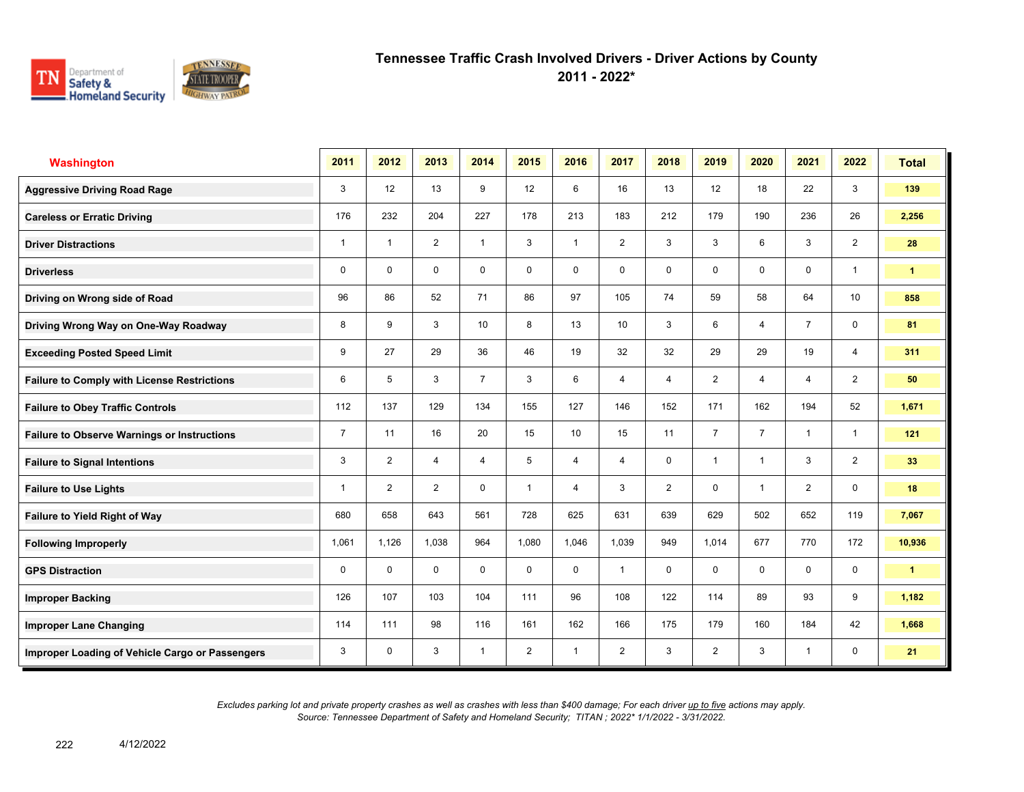

**2011 - 2022\***

| <b>Washington</b>                                  | 2011           | 2012                    | 2013           | 2014           | 2015           | 2016           | 2017           | 2018           | 2019           | 2020           | 2021           | 2022            | <b>Total</b>         |
|----------------------------------------------------|----------------|-------------------------|----------------|----------------|----------------|----------------|----------------|----------------|----------------|----------------|----------------|-----------------|----------------------|
| <b>Aggressive Driving Road Rage</b>                | 3              | 12                      | 13             | 9              | 12             | 6              | 16             | 13             | 12             | 18             | 22             | 3               | 139                  |
| <b>Careless or Erratic Driving</b>                 | 176            | 232                     | 204            | 227            | 178            | 213            | 183            | 212            | 179            | 190            | 236            | 26              | 2,256                |
| <b>Driver Distractions</b>                         | 1              | $\overline{\mathbf{1}}$ | 2              | $\mathbf{1}$   | 3              | $\overline{1}$ | $\overline{2}$ | 3              | 3              | 6              | 3              | $\overline{2}$  | 28                   |
| <b>Driverless</b>                                  | 0              | 0                       | $\mathbf 0$    | $\mathbf 0$    | 0              | $\mathbf 0$    | 0              | 0              | 0              | $\mathbf 0$    | $\mathbf 0$    | $\mathbf{1}$    | $\mathbf{1}$         |
| Driving on Wrong side of Road                      | 96             | 86                      | 52             | 71             | 86             | 97             | 105            | 74             | 59             | 58             | 64             | 10 <sup>1</sup> | 858                  |
| Driving Wrong Way on One-Way Roadway               | 8              | 9                       | 3              | 10             | 8              | 13             | 10             | 3              | 6              | 4              | $\overline{7}$ | 0               | 81                   |
| <b>Exceeding Posted Speed Limit</b>                | 9              | 27                      | 29             | 36             | 46             | 19             | 32             | 32             | 29             | 29             | 19             | 4               | 311                  |
| <b>Failure to Comply with License Restrictions</b> | 6              | 5                       | 3              | $\overline{7}$ | 3              | 6              | $\overline{4}$ | $\overline{4}$ | $\overline{2}$ | 4              | 4              | $\overline{2}$  | 50                   |
| <b>Failure to Obey Traffic Controls</b>            | 112            | 137                     | 129            | 134            | 155            | 127            | 146            | 152            | 171            | 162            | 194            | 52              | 1,671                |
| <b>Failure to Observe Warnings or Instructions</b> | $\overline{7}$ | 11                      | 16             | 20             | 15             | 10             | 15             | 11             | $\overline{7}$ | $\overline{7}$ | $\mathbf{1}$   | $\mathbf{1}$    | 121                  |
| <b>Failure to Signal Intentions</b>                | 3              | $\overline{2}$          | $\overline{4}$ | $\overline{4}$ | 5              | 4              | 4              | 0              | $\mathbf{1}$   | $\overline{1}$ | 3              | $\overline{2}$  | 33                   |
| <b>Failure to Use Lights</b>                       | 1              | $\overline{2}$          | $\overline{2}$ | $\mathbf 0$    | $\mathbf{1}$   | 4              | 3              | $\overline{2}$ | 0              | 1              | $\overline{2}$ | $\mathbf 0$     | 18                   |
| <b>Failure to Yield Right of Way</b>               | 680            | 658                     | 643            | 561            | 728            | 625            | 631            | 639            | 629            | 502            | 652            | 119             | 7,067                |
| <b>Following Improperly</b>                        | 1,061          | 1,126                   | 1,038          | 964            | 1,080          | 1,046          | 1,039          | 949            | 1,014          | 677            | 770            | 172             | 10,936               |
| <b>GPS Distraction</b>                             | 0              | $\Omega$                | $\Omega$       | $\mathbf 0$    | $\mathbf 0$    | $\mathbf 0$    | $\mathbf{1}$   | 0              | $\mathbf 0$    | 0              | $\mathbf 0$    | 0               | $\blacktriangleleft$ |
| <b>Improper Backing</b>                            | 126            | 107                     | 103            | 104            | 111            | 96             | 108            | 122            | 114            | 89             | 93             | 9               | 1,182                |
| <b>Improper Lane Changing</b>                      | 114            | 111                     | 98             | 116            | 161            | 162            | 166            | 175            | 179            | 160            | 184            | 42              | 1,668                |
| Improper Loading of Vehicle Cargo or Passengers    | 3              | $\mathbf 0$             | 3              | $\mathbf{1}$   | $\overline{2}$ | $\overline{1}$ | $\overline{2}$ | 3              | $\overline{2}$ | 3              | $\mathbf{1}$   | $\mathbf 0$     | 21                   |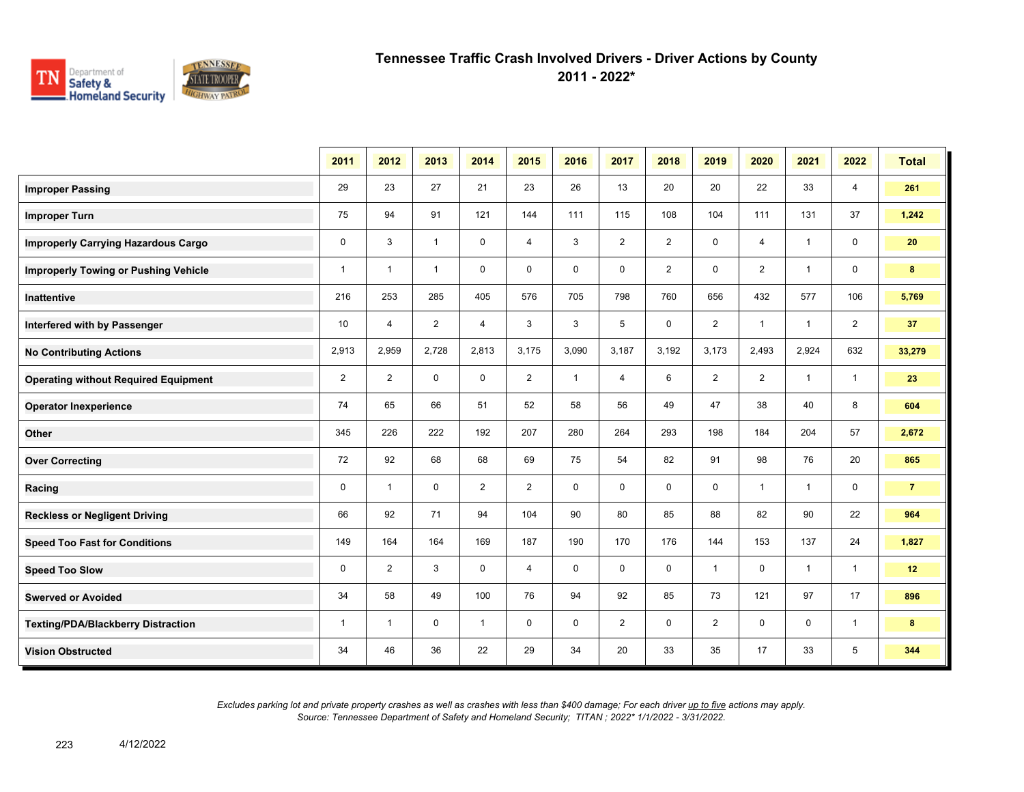

**2011 - 2022\***

|                                             | 2011           | 2012           | 2013           | 2014           | 2015           | 2016         | 2017           | 2018           | 2019           | 2020           | 2021           | 2022           | <b>Total</b>   |
|---------------------------------------------|----------------|----------------|----------------|----------------|----------------|--------------|----------------|----------------|----------------|----------------|----------------|----------------|----------------|
| <b>Improper Passing</b>                     | 29             | 23             | 27             | 21             | 23             | 26           | 13             | 20             | 20             | 22             | 33             | 4              | 261            |
| <b>Improper Turn</b>                        | 75             | 94             | 91             | 121            | 144            | 111          | 115            | 108            | 104            | 111            | 131            | 37             | 1,242          |
| <b>Improperly Carrying Hazardous Cargo</b>  | $\mathbf 0$    | 3              | $\mathbf{1}$   | $\mathbf 0$    | 4              | 3            | $\overline{2}$ | $\overline{2}$ | 0              | 4              | $\overline{1}$ | $\mathbf 0$    | 20             |
| <b>Improperly Towing or Pushing Vehicle</b> | $\mathbf{1}$   | $\mathbf{1}$   | $\mathbf{1}$   | $\mathbf 0$    | $\mathbf 0$    | $\mathbf 0$  | $\mathbf 0$    | $\overline{2}$ | $\mathbf 0$    | $\overline{2}$ | $\mathbf{1}$   | 0              | 8              |
| <b>Inattentive</b>                          | 216            | 253            | 285            | 405            | 576            | 705          | 798            | 760            | 656            | 432            | 577            | 106            | 5,769          |
| Interfered with by Passenger                | 10             | 4              | $\overline{2}$ | 4              | 3              | 3            | 5              | 0              | $\overline{2}$ | $\overline{1}$ | $\mathbf{1}$   | $\overline{2}$ | 37             |
| <b>No Contributing Actions</b>              | 2,913          | 2,959          | 2,728          | 2,813          | 3,175          | 3,090        | 3,187          | 3,192          | 3,173          | 2,493          | 2,924          | 632            | 33,279         |
| <b>Operating without Required Equipment</b> | $\overline{2}$ | $\overline{2}$ | $\mathbf 0$    | $\mathbf 0$    | $\overline{2}$ | $\mathbf{1}$ | $\overline{4}$ | 6              | $\overline{2}$ | $\overline{2}$ | $\overline{1}$ | $\mathbf{1}$   | 23             |
| <b>Operator Inexperience</b>                | 74             | 65             | 66             | 51             | 52             | 58           | 56             | 49             | 47             | 38             | 40             | 8              | 604            |
| Other                                       | 345            | 226            | 222            | 192            | 207            | 280          | 264            | 293            | 198            | 184            | 204            | 57             | 2,672          |
| <b>Over Correcting</b>                      | 72             | 92             | 68             | 68             | 69             | 75           | 54             | 82             | 91             | 98             | 76             | 20             | 865            |
| Racing                                      | $\mathbf 0$    | $\mathbf{1}$   | $\Omega$       | $\overline{2}$ | $\overline{2}$ | $\Omega$     | $\Omega$       | $\mathbf 0$    | $\mathbf 0$    | $\overline{1}$ | $\mathbf{1}$   | $\mathbf 0$    | $\overline{7}$ |
| <b>Reckless or Negligent Driving</b>        | 66             | 92             | 71             | 94             | 104            | 90           | 80             | 85             | 88             | 82             | 90             | 22             | 964            |
| <b>Speed Too Fast for Conditions</b>        | 149            | 164            | 164            | 169            | 187            | 190          | 170            | 176            | 144            | 153            | 137            | 24             | 1,827          |
| <b>Speed Too Slow</b>                       | $\mathbf 0$    | $\overline{2}$ | 3              | $\mathbf 0$    | 4              | $\mathbf 0$  | $\mathbf 0$    | $\mathbf 0$    | $\mathbf{1}$   | $\mathbf 0$    | $\overline{1}$ | $\mathbf{1}$   | 12             |
| <b>Swerved or Avoided</b>                   | 34             | 58             | 49             | 100            | 76             | 94           | 92             | 85             | 73             | 121            | 97             | 17             | 896            |
| <b>Texting/PDA/Blackberry Distraction</b>   | $\mathbf{1}$   | $\mathbf{1}$   | 0              | $\mathbf{1}$   | 0              | 0            | $\overline{2}$ | 0              | $\overline{2}$ | 0              | 0              | $\overline{1}$ | 8              |
| <b>Vision Obstructed</b>                    | 34             | 46             | 36             | 22             | 29             | 34           | 20             | 33             | 35             | 17             | 33             | 5              | 344            |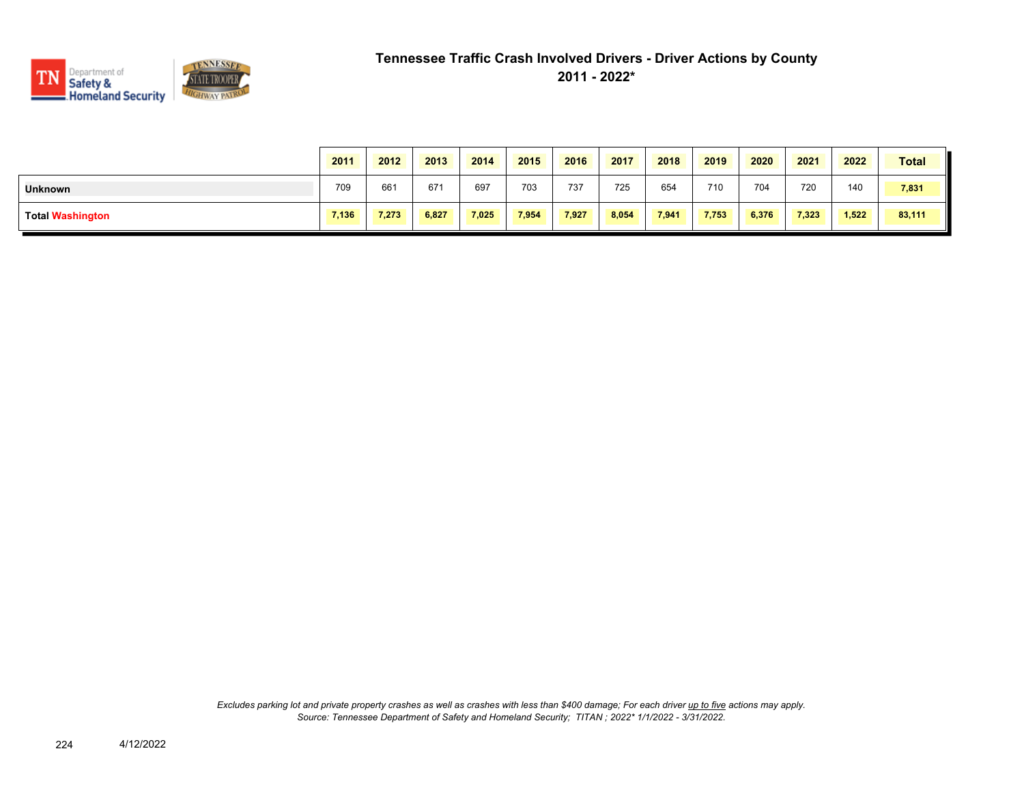

|                         | 2011  | 2012  | 2013  | 2014  | 2015  | 2016  | 2017  | 2018  | 2019  | 2020  | 2021  | 2022  | <b>Total</b> |
|-------------------------|-------|-------|-------|-------|-------|-------|-------|-------|-------|-------|-------|-------|--------------|
| <b>Unknown</b>          | 709   | 661   | 67'   | 697   | 703   | 737   | 725   | 654   | 710   | 704   | 720   | 140   | 7,831        |
| <b>Total Washington</b> | 7,136 | 7,273 | 6,827 | 7,025 | 7,954 | 7,927 | 8,054 | 7,941 | 7,753 | 6,376 | 7,323 | 1,522 | 83,111       |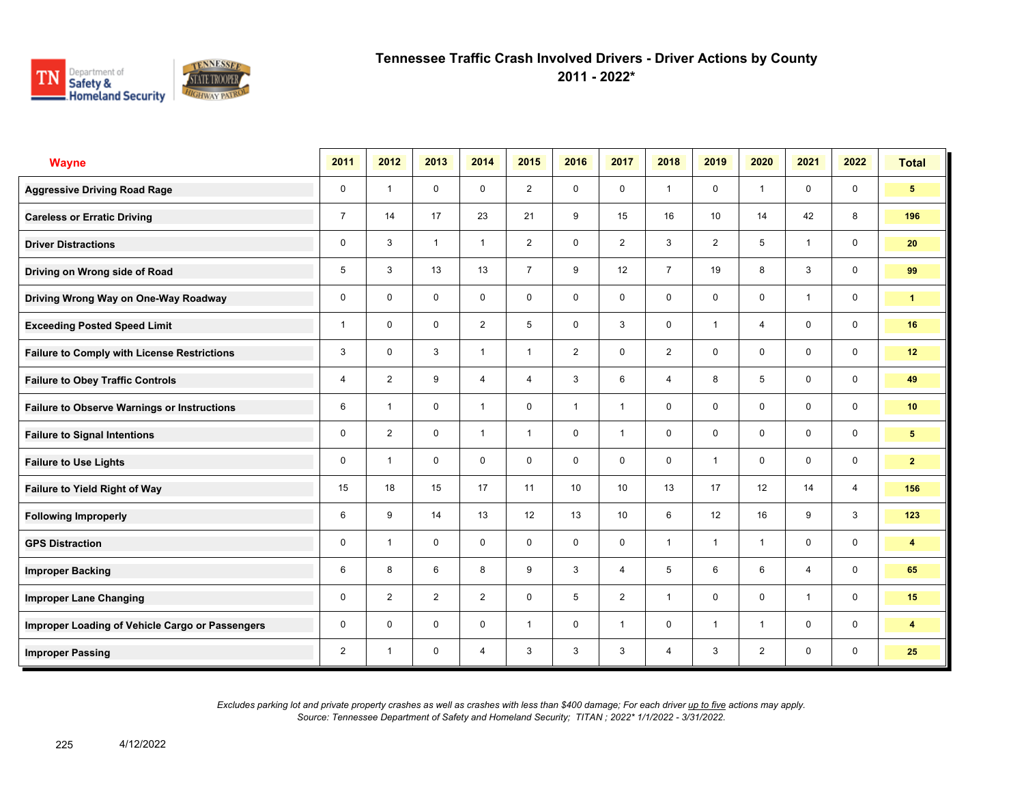

**2011 - 2022\***

| <b>Wayne</b>                                       | 2011           | 2012                    | 2013           | 2014           | 2015           | 2016           | 2017           | 2018           | 2019           | 2020           | 2021           | 2022           | <b>Total</b>            |
|----------------------------------------------------|----------------|-------------------------|----------------|----------------|----------------|----------------|----------------|----------------|----------------|----------------|----------------|----------------|-------------------------|
| <b>Aggressive Driving Road Rage</b>                | 0              | $\overline{1}$          | $\mathbf 0$    | $\mathbf 0$    | $\overline{2}$ | $\mathbf 0$    | $\mathbf 0$    | $\mathbf{1}$   | $\mathbf 0$    | $\overline{1}$ | $\mathbf 0$    | $\mathbf 0$    | $5\phantom{.0}$         |
| <b>Careless or Erratic Driving</b>                 | $\overline{7}$ | 14                      | 17             | 23             | 21             | 9              | 15             | 16             | 10             | 14             | 42             | 8              | 196                     |
| <b>Driver Distractions</b>                         | 0              | 3                       | $\mathbf{1}$   | $\mathbf{1}$   | $\overline{2}$ | $\mathbf 0$    | $\overline{2}$ | 3              | $\overline{2}$ | 5              | $\mathbf{1}$   | $\mathbf 0$    | 20                      |
| Driving on Wrong side of Road                      | 5              | 3                       | 13             | 13             | $\overline{7}$ | 9              | 12             | $\overline{7}$ | 19             | 8              | 3              | $\mathbf 0$    | 99                      |
| Driving Wrong Way on One-Way Roadway               | 0              | $\mathbf 0$             | $\mathbf 0$    | $\mathbf 0$    | 0              | $\mathbf 0$    | $\mathbf 0$    | $\mathbf 0$    | $\mathbf 0$    | $\mathbf 0$    | $\mathbf{1}$   | $\mathbf 0$    | $\mathbf{1}$            |
| <b>Exceeding Posted Speed Limit</b>                | 1              | $\Omega$                | $\mathbf 0$    | $\overline{2}$ | 5              | $\Omega$       | 3              | $\mathbf 0$    | 1              | $\overline{4}$ | $\mathbf 0$    | $\mathbf 0$    | 16                      |
| <b>Failure to Comply with License Restrictions</b> | 3              | $\mathbf 0$             | 3              | $\mathbf{1}$   | $\mathbf{1}$   | $\overline{2}$ | $\mathbf 0$    | $\overline{2}$ | $\mathbf 0$    | $\mathbf 0$    | $\mathbf 0$    | $\mathbf 0$    | 12                      |
| <b>Failure to Obey Traffic Controls</b>            | 4              | $\overline{2}$          | 9              | $\overline{4}$ | 4              | 3              | 6              | $\overline{4}$ | 8              | 5              | $\mathbf 0$    | $\mathbf 0$    | 49                      |
| <b>Failure to Observe Warnings or Instructions</b> | 6              | $\overline{\mathbf{1}}$ | $\Omega$       | $\overline{1}$ | $\Omega$       | $\overline{1}$ | $\mathbf{1}$   | $\mathbf 0$    | $\Omega$       | $\Omega$       | $\mathbf 0$    | $\mathbf 0$    | 10 <sup>°</sup>         |
| <b>Failure to Signal Intentions</b>                | 0              | $\overline{2}$          | $\mathbf 0$    | $\mathbf{1}$   | $\mathbf{1}$   | $\mathbf 0$    | $\mathbf{1}$   | $\mathbf 0$    | $\mathbf 0$    | $\mathbf 0$    | $\mathbf 0$    | $\mathbf 0$    | $5\phantom{.0}$         |
| <b>Failure to Use Lights</b>                       | 0              | $\overline{1}$          | $\Omega$       | $\Omega$       | $\Omega$       | $\mathbf{0}$   | $\mathbf 0$    | $\mathbf 0$    | $\mathbf{1}$   | $\mathbf{0}$   | $\Omega$       | $\mathbf 0$    | $\overline{2}$          |
| Failure to Yield Right of Way                      | 15             | 18                      | 15             | 17             | 11             | 10             | 10             | 13             | 17             | 12             | 14             | $\overline{4}$ | 156                     |
| <b>Following Improperly</b>                        | 6              | 9                       | 14             | 13             | 12             | 13             | 10             | 6              | 12             | 16             | 9              | 3              | 123                     |
| <b>GPS Distraction</b>                             | 0              | $\overline{1}$          | $\mathbf 0$    | $\mathbf 0$    | $\mathbf 0$    | $\mathbf 0$    | $\mathbf 0$    | $\mathbf{1}$   | $\mathbf{1}$   | $\overline{1}$ | $\mathbf 0$    | $\mathbf 0$    | $\overline{\mathbf{4}}$ |
| <b>Improper Backing</b>                            | 6              | 8                       | 6              | 8              | 9              | 3              | $\overline{4}$ | 5              | 6              | 6              | $\overline{4}$ | $\mathbf 0$    | 65                      |
| <b>Improper Lane Changing</b>                      | 0              | $\overline{2}$          | $\overline{2}$ | $\overline{2}$ | 0              | 5              | $\overline{2}$ | $\mathbf{1}$   | 0              | $\mathbf 0$    | $\mathbf{1}$   | $\mathbf 0$    | 15                      |
| Improper Loading of Vehicle Cargo or Passengers    | 0              | $\Omega$                | $\mathbf 0$    | $\mathbf 0$    | $\mathbf{1}$   | $\mathbf 0$    | $\mathbf{1}$   | $\mathbf{0}$   | $\mathbf{1}$   | $\overline{1}$ | $\mathbf 0$    | $\mathbf 0$    | $\overline{\mathbf{4}}$ |
| <b>Improper Passing</b>                            | $\overline{2}$ | $\overline{1}$          | 0              | $\overline{4}$ | 3              | 3              | 3              | $\overline{4}$ | 3              | $\overline{2}$ | 0              | $\mathbf 0$    | 25                      |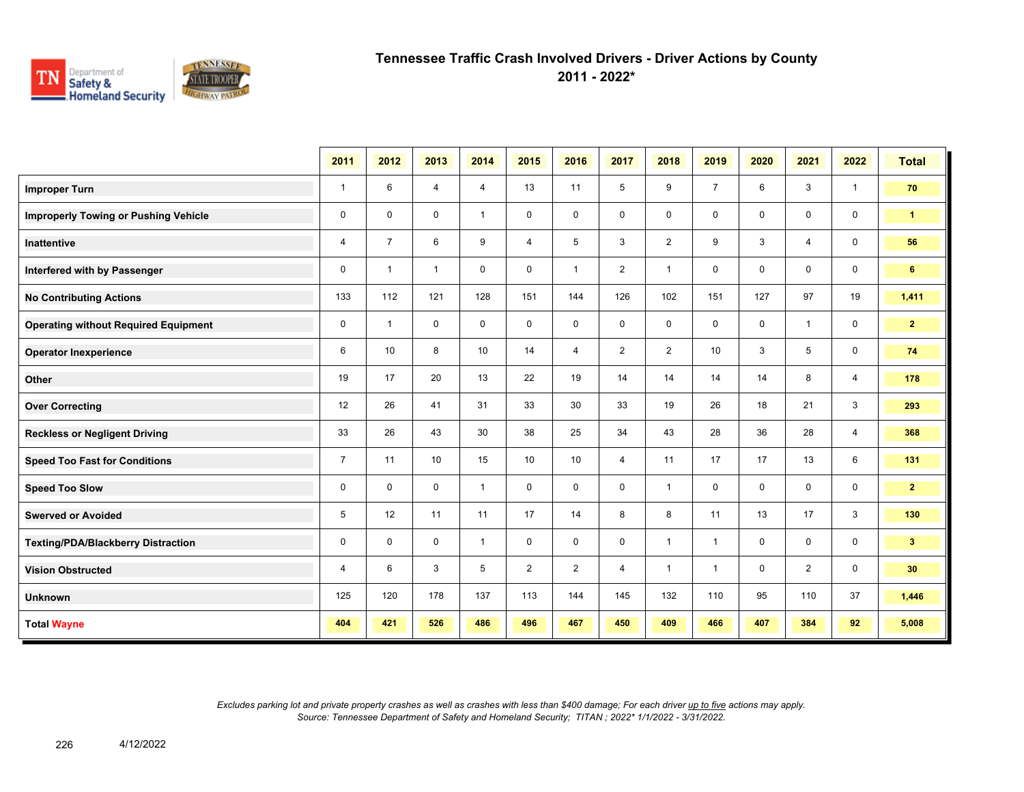

**2011 - 2022\***

|                                             | 2011           | 2012           | 2013           | 2014         | 2015           | 2016           | 2017           | 2018           | 2019           | 2020        | 2021           | 2022           | <b>Total</b>   |
|---------------------------------------------|----------------|----------------|----------------|--------------|----------------|----------------|----------------|----------------|----------------|-------------|----------------|----------------|----------------|
| <b>Improper Turn</b>                        | $\mathbf{1}$   | 6              | $\overline{4}$ | 4            | 13             | 11             | 5              | 9              | $\overline{7}$ | 6           | 3              | $\mathbf{1}$   | 70             |
| <b>Improperly Towing or Pushing Vehicle</b> | $\pmb{0}$      | $\mathbf 0$    | $\mathbf 0$    | $\mathbf{1}$ | 0              | $\mathbf 0$    | $\mathbf 0$    | 0              | 0              | 0           | $\mathbf 0$    | $\mathbf 0$    | $\mathbf{1}$   |
| <b>Inattentive</b>                          | 4              | $\overline{7}$ | 6              | 9            | 4              | 5              | 3              | $\overline{2}$ | 9              | 3           | $\overline{4}$ | $\mathbf 0$    | 56             |
| Interfered with by Passenger                | $\mathbf 0$    | $\overline{1}$ | $\mathbf{1}$   | $\mathbf 0$  | 0              | $\mathbf{1}$   | $\overline{2}$ | $\mathbf{1}$   | 0              | 0           | 0              | 0              | 6              |
| <b>No Contributing Actions</b>              | 133            | 112            | 121            | 128          | 151            | 144            | 126            | 102            | 151            | 127         | 97             | 19             | 1,411          |
| <b>Operating without Required Equipment</b> | $\mathbf 0$    | -1             | $\mathbf 0$    | $\mathbf 0$  | 0              | 0              | 0              | 0              | 0              | 0           | $\overline{1}$ | $\mathbf 0$    | $\mathbf{2}$   |
| <b>Operator Inexperience</b>                | 6              | 10             | 8              | 10           | 14             | 4              | $\overline{2}$ | $\overline{2}$ | 10             | 3           | 5              | $\mathbf 0$    | 74             |
| Other                                       | 19             | 17             | 20             | 13           | 22             | 19             | 14             | 14             | 14             | 14          | 8              | 4              | 178            |
| <b>Over Correcting</b>                      | 12             | 26             | 41             | 31           | 33             | 30             | 33             | 19             | 26             | 18          | 21             | 3              | 293            |
| <b>Reckless or Negligent Driving</b>        | 33             | 26             | 43             | 30           | 38             | 25             | 34             | 43             | 28             | 36          | 28             | $\overline{4}$ | 368            |
| <b>Speed Too Fast for Conditions</b>        | $\overline{7}$ | 11             | 10             | 15           | 10             | 10             | $\overline{4}$ | 11             | 17             | 17          | 13             | 6              | 131            |
| <b>Speed Too Slow</b>                       | $\mathbf 0$    | $\Omega$       | $\mathbf 0$    | $\mathbf{1}$ | $\mathbf 0$    | $\mathbf 0$    | 0              | $\mathbf{1}$   | 0              | $\mathbf 0$ | $\mathbf 0$    | $\mathbf 0$    | 2 <sup>1</sup> |
| <b>Swerved or Avoided</b>                   | 5              | 12             | 11             | 11           | 17             | 14             | 8              | 8              | 11             | 13          | 17             | 3              | 130            |
| <b>Texting/PDA/Blackberry Distraction</b>   | $\pmb{0}$      | $\mathbf 0$    | $\mathbf 0$    | $\mathbf{1}$ | $\mathbf 0$    | $\mathbf 0$    | $\mathbf 0$    | $\mathbf{1}$   | $\mathbf{1}$   | $\mathbf 0$ | $\mathbf 0$    | $\mathbf 0$    | 3 <sup>2</sup> |
| <b>Vision Obstructed</b>                    | $\overline{4}$ | 6              | 3              | 5            | $\overline{2}$ | $\overline{2}$ | $\overline{4}$ | $\mathbf{1}$   | $\mathbf{1}$   | $\mathbf 0$ | $\overline{2}$ | $\mathbf 0$    | 30             |
| <b>Unknown</b>                              | 125            | 120            | 178            | 137          | 113            | 144            | 145            | 132            | 110            | 95          | 110            | 37             | 1,446          |
| <b>Total Wayne</b>                          | 404            | 421            | 526            | 486          | 496            | 467            | 450            | 409            | 466            | 407         | 384            | 92             | 5,008          |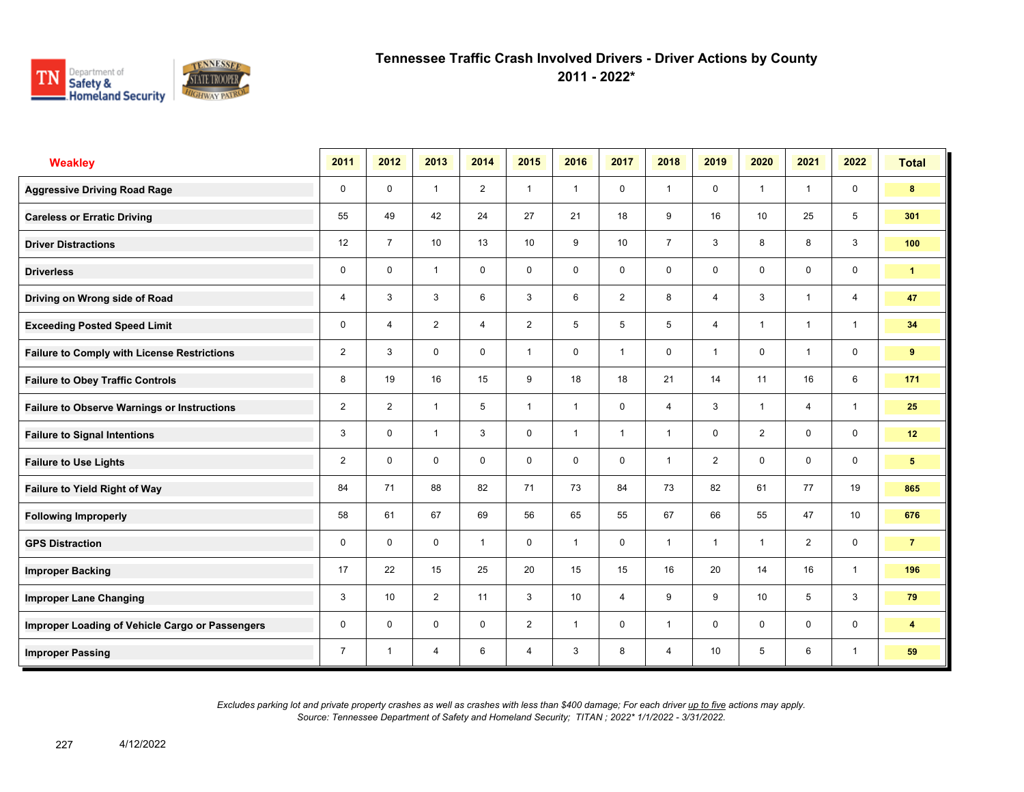

**2011 - 2022\***

| <b>Weakley</b>                                     | 2011           | 2012           | 2013           | 2014           | 2015           | 2016                    | 2017           | 2018           | 2019           | 2020                    | 2021           | 2022           | <b>Total</b>            |
|----------------------------------------------------|----------------|----------------|----------------|----------------|----------------|-------------------------|----------------|----------------|----------------|-------------------------|----------------|----------------|-------------------------|
| <b>Aggressive Driving Road Rage</b>                | $\mathbf 0$    | $\mathbf 0$    | $\mathbf{1}$   | $\overline{2}$ | $\mathbf{1}$   | $\overline{1}$          | $\mathbf 0$    | $\mathbf{1}$   | 0              | $\overline{1}$          | $\mathbf{1}$   | $\mathbf 0$    | 8                       |
| <b>Careless or Erratic Driving</b>                 | 55             | 49             | 42             | 24             | 27             | 21                      | 18             | 9              | 16             | 10                      | 25             | 5              | 301                     |
| <b>Driver Distractions</b>                         | 12             | $\overline{7}$ | 10             | 13             | 10             | 9                       | 10             | $\overline{7}$ | 3              | 8                       | 8              | 3              | 100                     |
| <b>Driverless</b>                                  | 0              | 0              | $\mathbf{1}$   | 0              | 0              | 0                       | 0              | $\mathbf 0$    | 0              | 0                       | 0              | 0              | $\mathbf{1}$            |
| Driving on Wrong side of Road                      | 4              | 3              | 3              | 6              | 3              | 6                       | $\overline{2}$ | 8              | 4              | 3                       | $\mathbf{1}$   | $\overline{4}$ | 47                      |
| <b>Exceeding Posted Speed Limit</b>                | $\mathbf 0$    | $\overline{4}$ | $\overline{2}$ | $\overline{4}$ | $\overline{2}$ | 5                       | 5              | 5              | $\overline{4}$ | $\overline{\mathbf{1}}$ | $\mathbf{1}$   | $\overline{1}$ | 34                      |
| <b>Failure to Comply with License Restrictions</b> | $\overline{2}$ | 3              | $\mathbf 0$    | $\mathbf 0$    | $\mathbf{1}$   | $\mathbf 0$             | $\overline{1}$ | $\mathbf 0$    | $\mathbf{1}$   | $\mathbf 0$             | $\overline{1}$ | $\mathbf 0$    | 9                       |
| <b>Failure to Obey Traffic Controls</b>            | 8              | 19             | 16             | 15             | 9              | 18                      | 18             | 21             | 14             | 11                      | 16             | 6              | 171                     |
| <b>Failure to Observe Warnings or Instructions</b> | $\overline{2}$ | $\overline{2}$ | $\overline{1}$ | 5              | $\mathbf{1}$   | $\overline{\mathbf{1}}$ | $\mathbf 0$    | $\overline{4}$ | 3              | $\overline{\mathbf{1}}$ | $\overline{4}$ | $\mathbf{1}$   | 25                      |
| <b>Failure to Signal Intentions</b>                | 3              | $\mathbf 0$    | $\overline{1}$ | 3              | 0              | $\overline{\mathbf{1}}$ | $\overline{1}$ | $\overline{1}$ | 0              | $\overline{2}$          | $\mathbf 0$    | $\mathbf 0$    | 12                      |
| <b>Failure to Use Lights</b>                       | $\overline{2}$ | $\Omega$       | $\Omega$       | $\Omega$       | $\mathbf 0$    | $\Omega$                | 0              | $\overline{1}$ | $\overline{2}$ | $\Omega$                | $\Omega$       | $\mathbf 0$    | $5\phantom{.0}$         |
| Failure to Yield Right of Way                      | 84             | 71             | 88             | 82             | 71             | 73                      | 84             | 73             | 82             | 61                      | 77             | 19             | 865                     |
| <b>Following Improperly</b>                        | 58             | 61             | 67             | 69             | 56             | 65                      | 55             | 67             | 66             | 55                      | 47             | 10             | 676                     |
| <b>GPS Distraction</b>                             | 0              | $\Omega$       | $\mathbf 0$    | $\mathbf{1}$   | $\mathbf 0$    | $\overline{1}$          | $\mathbf 0$    | $\mathbf{1}$   | 1              | $\overline{1}$          | $\overline{2}$ | $\mathbf 0$    | $\overline{7}$          |
| <b>Improper Backing</b>                            | 17             | 22             | 15             | 25             | 20             | 15                      | 15             | 16             | 20             | 14                      | 16             | $\mathbf{1}$   | 196                     |
| <b>Improper Lane Changing</b>                      | 3              | 10             | $\overline{2}$ | 11             | 3              | 10                      | $\overline{4}$ | 9              | 9              | 10                      | 5              | 3              | 79                      |
| Improper Loading of Vehicle Cargo or Passengers    | 0              | $\mathbf 0$    | $\mathbf 0$    | $\mathbf 0$    | $\overline{2}$ | $\mathbf{1}$            | $\mathbf 0$    | $\mathbf{1}$   | 0              | $\mathbf 0$             | $\mathbf 0$    | $\mathbf 0$    | $\overline{\mathbf{4}}$ |
| <b>Improper Passing</b>                            | $\overline{7}$ | $\mathbf 1$    | $\overline{4}$ | 6              | $\overline{4}$ | 3                       | 8              | $\overline{4}$ | 10             | 5                       | 6              | $\overline{1}$ | 59                      |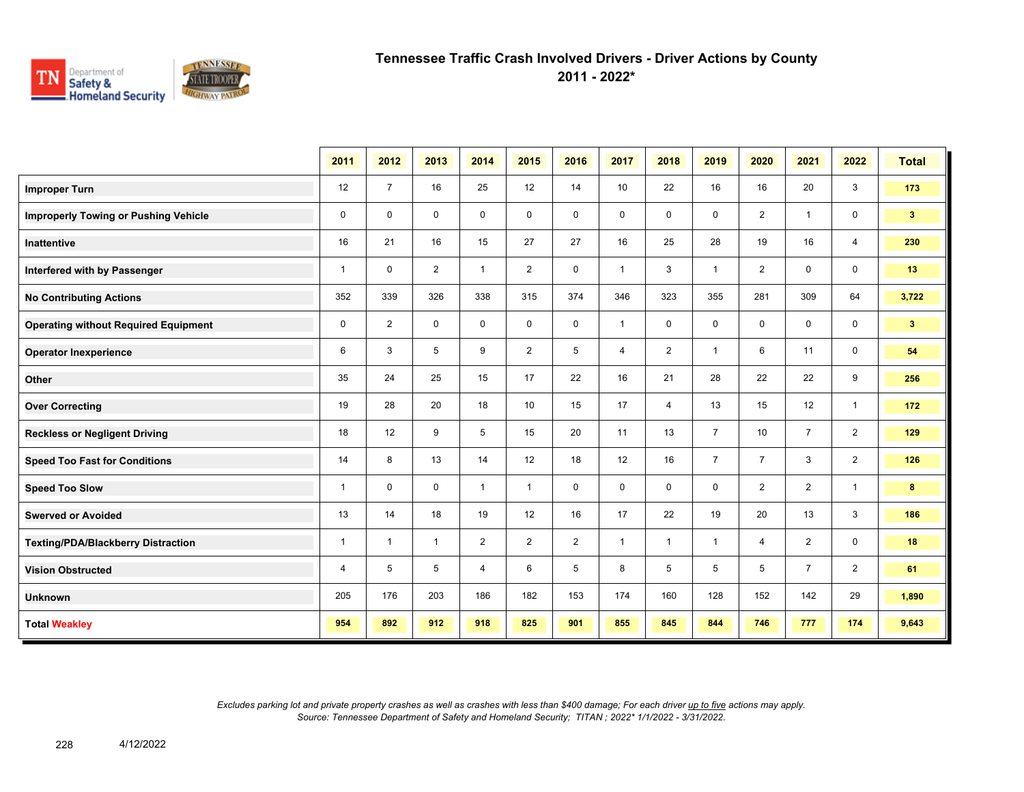

**2011 - 2022\***

|                                             | 2011           | 2012           | 2013           | 2014           | 2015           | 2016           | 2017           | 2018           | 2019           | 2020           | 2021           | 2022           | <b>Total</b>   |
|---------------------------------------------|----------------|----------------|----------------|----------------|----------------|----------------|----------------|----------------|----------------|----------------|----------------|----------------|----------------|
| <b>Improper Turn</b>                        | 12             | $\overline{7}$ | 16             | 25             | 12             | 14             | 10             | 22             | 16             | 16             | 20             | 3              | 173            |
| <b>Improperly Towing or Pushing Vehicle</b> | $\mathbf 0$    | $\mathbf 0$    | $\mathbf 0$    | $\mathbf 0$    | $\mathbf 0$    | $\mathbf 0$    | $\mathbf 0$    | 0              | 0              | $\overline{2}$ | $\overline{1}$ | $\mathbf 0$    | 3 <sup>1</sup> |
| Inattentive                                 | 16             | 21             | 16             | 15             | 27             | 27             | 16             | 25             | 28             | 19             | 16             | $\overline{4}$ | 230            |
| Interfered with by Passenger                | $\mathbf{1}$   | $\mathbf 0$    | $\overline{2}$ | $\mathbf{1}$   | $\overline{2}$ | $\mathbf 0$    | $\mathbf{1}$   | 3              | $\mathbf{1}$   | $\overline{2}$ | 0              | $\mathbf 0$    | 13             |
| <b>No Contributing Actions</b>              | 352            | 339            | 326            | 338            | 315            | 374            | 346            | 323            | 355            | 281            | 309            | 64             | 3,722          |
| <b>Operating without Required Equipment</b> | $\mathbf 0$    | $\overline{2}$ | 0              | $\mathbf 0$    | $\mathbf 0$    | $\mathbf 0$    | $\mathbf{1}$   | 0              | 0              | $\mathbf 0$    | $\mathbf 0$    | $\mathbf 0$    | 3 <sup>2</sup> |
| <b>Operator Inexperience</b>                | 6              | 3              | 5              | 9              | $\overline{2}$ | 5              | $\overline{4}$ | $\overline{2}$ | $\mathbf{1}$   | 6              | 11             | $\mathbf 0$    | 54             |
| Other                                       | 35             | 24             | 25             | 15             | 17             | 22             | 16             | 21             | 28             | 22             | 22             | 9              | 256            |
| <b>Over Correcting</b>                      | 19             | 28             | 20             | 18             | 10             | 15             | 17             | 4              | 13             | 15             | 12             | $\overline{1}$ | 172            |
| <b>Reckless or Negligent Driving</b>        | 18             | 12             | 9              | 5              | 15             | 20             | 11             | 13             | $\overline{7}$ | 10             | $\overline{7}$ | $\overline{2}$ | 129            |
| <b>Speed Too Fast for Conditions</b>        | 14             | 8              | 13             | 14             | 12             | 18             | 12             | 16             | $\overline{7}$ | $\overline{7}$ | 3              | $\overline{2}$ | 126            |
| <b>Speed Too Slow</b>                       | $\mathbf{1}$   | $\mathbf 0$    | $\mathbf 0$    | $\mathbf{1}$   | $\mathbf{1}$   | $\mathbf 0$    | $\mathbf 0$    | 0              | 0              | $\overline{2}$ | $\overline{2}$ | $\overline{1}$ | 8              |
| <b>Swerved or Avoided</b>                   | 13             | 14             | 18             | 19             | 12             | 16             | 17             | 22             | 19             | 20             | 13             | 3              | 186            |
| <b>Texting/PDA/Blackberry Distraction</b>   | $\mathbf{1}$   | 1              | $\mathbf{1}$   | $\overline{2}$ | $\overline{2}$ | $\overline{2}$ | $\mathbf{1}$   | $\mathbf{1}$   | $\mathbf{1}$   | 4              | $\overline{2}$ | $\mathbf 0$    | 18             |
| <b>Vision Obstructed</b>                    | $\overline{4}$ | 5              | 5              | 4              | 6              | 5              | 8              | 5              | 5              | 5              | $\overline{7}$ | $\overline{2}$ | 61             |
| <b>Unknown</b>                              | 205            | 176            | 203            | 186            | 182            | 153            | 174            | 160            | 128            | 152            | 142            | 29             | 1,890          |
| <b>Total Weakley</b>                        | 954            | 892            | 912            | 918            | 825            | 901            | 855            | 845            | 844            | 746            | 777            | 174            | 9,643          |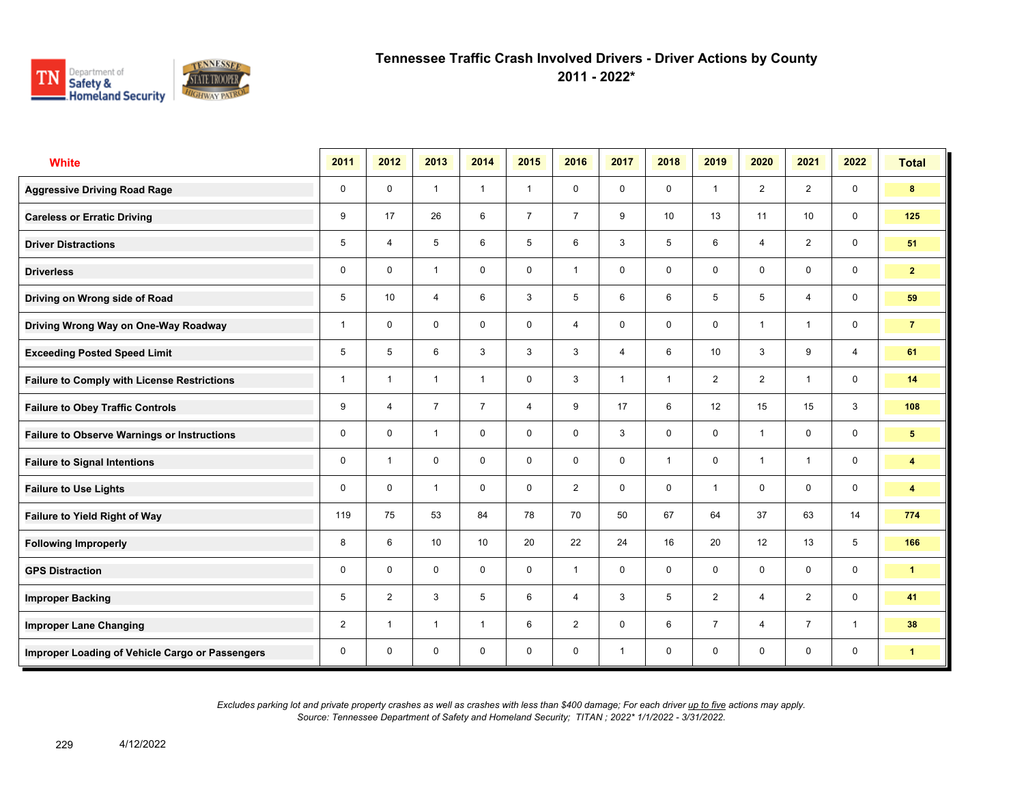

**2011 - 2022\***

| <b>White</b>                                       | 2011           | 2012                    | 2013           | 2014           | 2015           | 2016           | 2017           | 2018         | 2019           | 2020           | 2021           | 2022           | <b>Total</b>            |
|----------------------------------------------------|----------------|-------------------------|----------------|----------------|----------------|----------------|----------------|--------------|----------------|----------------|----------------|----------------|-------------------------|
| <b>Aggressive Driving Road Rage</b>                | 0              | $\mathbf 0$             | $\mathbf{1}$   | $\mathbf{1}$   | $\mathbf{1}$   | $\mathbf 0$    | $\mathbf 0$    | $\mathbf{0}$ | $\mathbf{1}$   | 2              | $\overline{2}$ | $\mathbf 0$    | 8                       |
| <b>Careless or Erratic Driving</b>                 | 9              | 17                      | 26             | 6              | $\overline{7}$ | $\overline{7}$ | 9              | 10           | 13             | 11             | 10             | $\mathbf 0$    | 125                     |
| <b>Driver Distractions</b>                         | 5              | 4                       | 5              | 6              | 5              | 6              | 3              | 5            | 6              | $\overline{4}$ | 2              | $\mathbf 0$    | 51                      |
| <b>Driverless</b>                                  | 0              | $\mathbf 0$             | $\overline{1}$ | 0              | 0              | $\mathbf{1}$   | $\mathbf 0$    | $\mathbf 0$  | 0              | 0              | 0              | $\mathbf 0$    | 2 <sup>1</sup>          |
| Driving on Wrong side of Road                      | 5              | 10                      | $\overline{4}$ | 6              | 3              | 5              | 6              | 6            | 5              | 5              | $\overline{4}$ | $\mathbf 0$    | 59                      |
| Driving Wrong Way on One-Way Roadway               | 1              | $\mathbf 0$             | $\mathbf 0$    | $\mathbf 0$    | 0              | $\overline{4}$ | $\mathbf 0$    | $\mathbf 0$  | $\mathbf 0$    | $\overline{1}$ | $\mathbf{1}$   | $\mathbf 0$    | $\overline{7}$          |
| <b>Exceeding Posted Speed Limit</b>                | 5              | 5                       | 6              | 3              | 3              | 3              | $\overline{4}$ | 6            | 10             | 3              | 9              | $\overline{4}$ | 61                      |
| <b>Failure to Comply with License Restrictions</b> | 1              | $\overline{\mathbf{1}}$ | $\overline{1}$ | $\mathbf{1}$   | 0              | 3              | $\mathbf{1}$   | $\mathbf{1}$ | $\overline{2}$ | 2              | $\mathbf{1}$   | $\mathbf 0$    | 14                      |
| <b>Failure to Obey Traffic Controls</b>            | 9              | $\overline{4}$          | $\overline{7}$ | $\overline{7}$ | 4              | 9              | 17             | 6            | 12             | 15             | 15             | 3              | 108                     |
| <b>Failure to Observe Warnings or Instructions</b> | 0              | $\mathbf 0$             | $\overline{1}$ | $\mathbf 0$    | 0              | $\mathbf 0$    | 3              | $\mathbf 0$  | 0              | $\overline{1}$ | $\mathbf 0$    | $\mathbf 0$    | 5                       |
| <b>Failure to Signal Intentions</b>                | 0              | $\overline{1}$          | $\Omega$       | $\Omega$       | 0              | $\mathbf{0}$   | $\mathbf 0$    | $\mathbf{1}$ | $\mathbf 0$    | $\overline{1}$ | $\mathbf{1}$   | $\mathbf 0$    | $\overline{\mathbf{4}}$ |
| <b>Failure to Use Lights</b>                       | 0              | $\mathbf 0$             | $\overline{1}$ | $\mathbf 0$    | 0              | $\overline{2}$ | $\mathbf 0$    | $\mathbf 0$  | $\mathbf{1}$   | $\mathbf 0$    | $\mathbf 0$    | $\mathbf 0$    | $\overline{\mathbf{4}}$ |
| Failure to Yield Right of Way                      | 119            | 75                      | 53             | 84             | 78             | 70             | 50             | 67           | 64             | 37             | 63             | 14             | 774                     |
| <b>Following Improperly</b>                        | 8              | 6                       | 10             | 10             | 20             | 22             | 24             | 16           | 20             | 12             | 13             | 5              | 166                     |
| <b>GPS Distraction</b>                             | 0              | $\mathbf 0$             | $\mathbf 0$    | $\mathbf 0$    | $\mathbf 0$    | $\overline{1}$ | $\mathbf 0$    | $\mathbf 0$  | $\mathbf 0$    | $\mathbf 0$    | $\mathbf 0$    | $\mathbf 0$    | $\mathbf{1}$            |
| <b>Improper Backing</b>                            | 5              | $\overline{2}$          | 3              | 5              | 6              | $\overline{4}$ | 3              | 5            | $\overline{2}$ | $\overline{4}$ | 2              | $\mathbf 0$    | 41                      |
| <b>Improper Lane Changing</b>                      | $\overline{2}$ | $\overline{1}$          | $\overline{1}$ | $\mathbf{1}$   | 6              | 2              | $\mathbf 0$    | 6            | $\overline{7}$ | $\overline{4}$ | $\overline{7}$ | $\mathbf{1}$   | 38                      |
| Improper Loading of Vehicle Cargo or Passengers    | 0              | $\mathbf 0$             | 0              | $\mathbf 0$    | 0              | $\mathbf 0$    | $\mathbf{1}$   | $\mathbf 0$  | $\mathbf 0$    | $\mathbf 0$    | 0              | $\mathbf 0$    | $\mathbf{1}$            |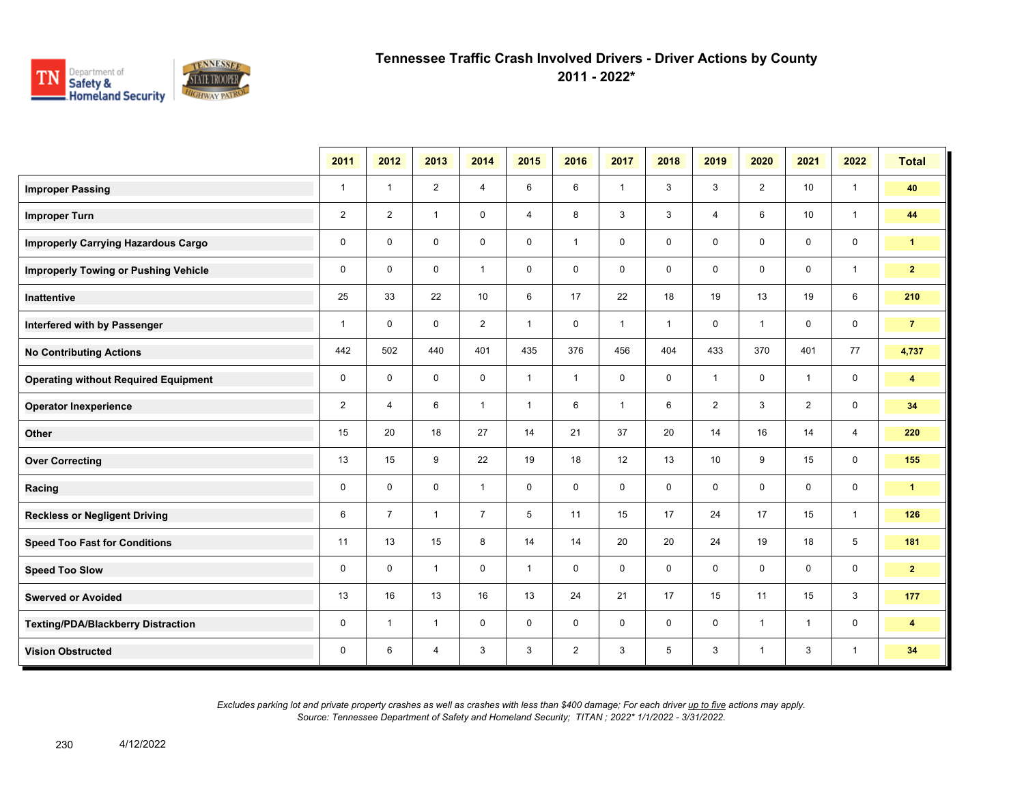

**2011 - 2022\***

|                                             | 2011           | 2012           | 2013           | 2014           | 2015           | 2016           | 2017         | 2018         | 2019           | 2020           | 2021           | 2022           | <b>Total</b>            |
|---------------------------------------------|----------------|----------------|----------------|----------------|----------------|----------------|--------------|--------------|----------------|----------------|----------------|----------------|-------------------------|
| <b>Improper Passing</b>                     | $\mathbf{1}$   | $\mathbf{1}$   | $\overline{2}$ | 4              | 6              | 6              | $\mathbf{1}$ | 3            | 3              | $\overline{2}$ | 10             | $\overline{1}$ | 40                      |
| <b>Improper Turn</b>                        | $\overline{2}$ | $\overline{2}$ | $\mathbf{1}$   | $\mathbf 0$    | $\overline{4}$ | 8              | 3            | $\mathbf{3}$ | 4              | 6              | 10             | $\overline{1}$ | 44                      |
| <b>Improperly Carrying Hazardous Cargo</b>  | $\mathbf 0$    | $\mathbf 0$    | $\mathbf 0$    | $\mathbf 0$    | 0              | $\mathbf{1}$   | $\mathbf 0$  | 0            | $\mathbf 0$    | $\mathbf 0$    | 0              | $\mathbf 0$    | $\mathbf{1}$            |
| <b>Improperly Towing or Pushing Vehicle</b> | $\mathbf 0$    | $\mathbf{0}$   | $\mathbf 0$    | $\mathbf{1}$   | 0              | $\mathbf 0$    | $\mathbf 0$  | $\mathbf 0$  | $\mathbf 0$    | $\mathbf 0$    | 0              | $\mathbf{1}$   | 2 <sub>2</sub>          |
| <b>Inattentive</b>                          | 25             | 33             | 22             | 10             | 6              | 17             | 22           | 18           | 19             | 13             | 19             | 6              | 210                     |
| Interfered with by Passenger                | $\mathbf{1}$   | $\Omega$       | $\mathbf 0$    | $\overline{2}$ | $\mathbf{1}$   | $\mathbf 0$    | $\mathbf{1}$ | $\mathbf{1}$ | 0              | $\mathbf{1}$   | 0              | $\mathbf 0$    | $\overline{7}$          |
| <b>No Contributing Actions</b>              | 442            | 502            | 440            | 401            | 435            | 376            | 456          | 404          | 433            | 370            | 401            | 77             | 4,737                   |
| <b>Operating without Required Equipment</b> | 0              | $\mathbf 0$    | $\mathbf 0$    | $\mathbf 0$    | $\mathbf{1}$   | $\mathbf{1}$   | 0            | $\mathbf 0$  | $\mathbf{1}$   | $\mathbf 0$    | $\mathbf{1}$   | $\mathbf 0$    | $\overline{\mathbf{4}}$ |
| <b>Operator Inexperience</b>                | 2              | $\overline{4}$ | 6              | $\mathbf{1}$   | $\mathbf{1}$   | 6              | $\mathbf{1}$ | 6            | $\overline{2}$ | 3              | $\overline{2}$ | $\mathbf 0$    | 34                      |
| Other                                       | 15             | 20             | 18             | 27             | 14             | 21             | 37           | 20           | 14             | 16             | 14             | $\overline{4}$ | 220                     |
| <b>Over Correcting</b>                      | 13             | 15             | 9              | 22             | 19             | 18             | 12           | 13           | 10             | 9              | 15             | $\mathbf 0$    | 155                     |
| Racing                                      | $\mathbf 0$    | $\mathbf 0$    | $\Omega$       | $\mathbf{1}$   | $\mathbf 0$    | $\mathbf 0$    | $\Omega$     | $\mathbf 0$  | $\mathbf 0$    | $\mathbf 0$    | $\mathbf 0$    | 0              | $\mathbf{1}$            |
| <b>Reckless or Negligent Driving</b>        | 6              | $\overline{7}$ | $\mathbf{1}$   | $\overline{7}$ | 5              | 11             | 15           | 17           | 24             | 17             | 15             | $\mathbf{1}$   | 126                     |
| <b>Speed Too Fast for Conditions</b>        | 11             | 13             | 15             | 8              | 14             | 14             | 20           | 20           | 24             | 19             | 18             | 5              | 181                     |
| <b>Speed Too Slow</b>                       | $\mathbf 0$    | $\mathbf 0$    | $\mathbf{1}$   | $\mathbf 0$    | $\mathbf{1}$   | $\mathbf 0$    | $\mathbf 0$  | $\mathbf 0$  | $\mathbf 0$    | $\mathbf 0$    | $\mathbf 0$    | $\mathbf 0$    | $\overline{2}$          |
| <b>Swerved or Avoided</b>                   | 13             | 16             | 13             | 16             | 13             | 24             | 21           | 17           | 15             | 11             | 15             | 3              | 177                     |
| <b>Texting/PDA/Blackberry Distraction</b>   | 0              | $\mathbf{1}$   | $\mathbf{1}$   | $\mathbf 0$    | 0              | 0              | 0            | 0            | 0              | $\mathbf{1}$   | $\mathbf{1}$   | 0              | $\blacktriangleleft$    |
| <b>Vision Obstructed</b>                    | 0              | 6              | $\overline{4}$ | 3              | 3              | $\overline{2}$ | $\mathsf 3$  | 5            | 3              | $\mathbf{1}$   | 3              | $\mathbf{1}$   | 34                      |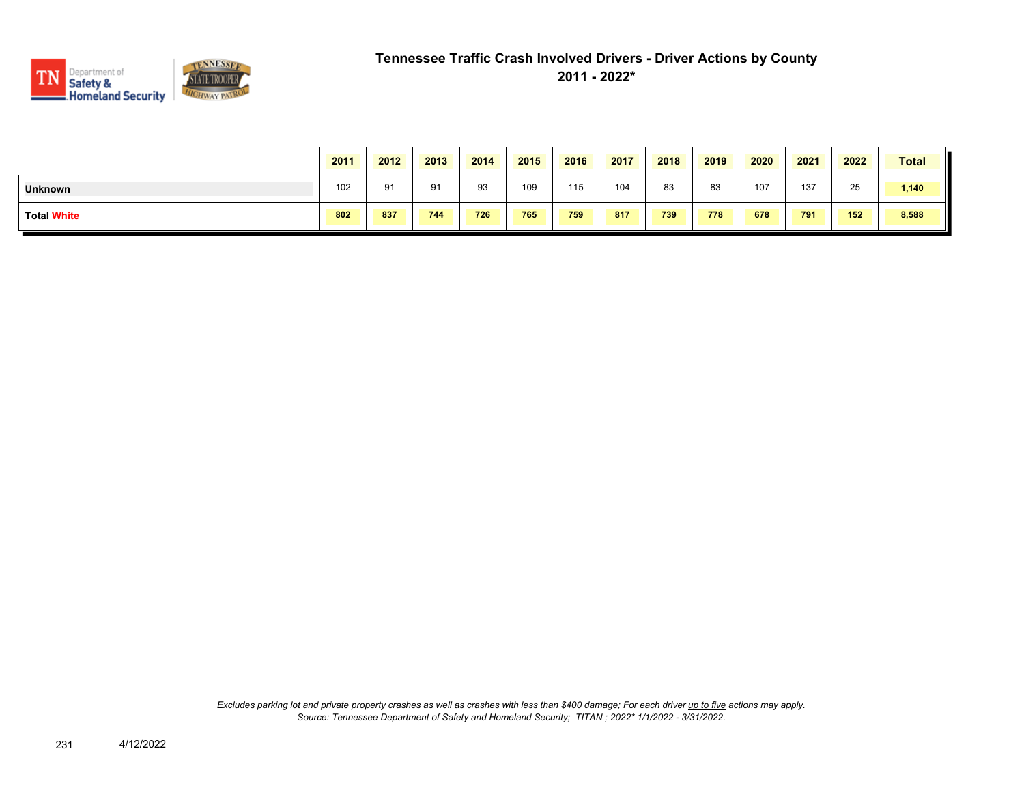

|                    | 2011 | 2012 | 2013 | 2014 | 2015 | 2016 | 2017 | 2018 | 2019 | 2020 | 2021 | 2022 | <b>Total</b> |
|--------------------|------|------|------|------|------|------|------|------|------|------|------|------|--------------|
| <b>Unknown</b>     | 102  | 91   | 91   | 93   | 109  | 115  | 104  | 83   | 83   | 107  | 137  | 25   | 1,140        |
| <b>Total White</b> | 802  | 837  | 744  | 726  | 765  | 759  | 817  | 739  | 778  | 678  | 791  | 152  | 8,588        |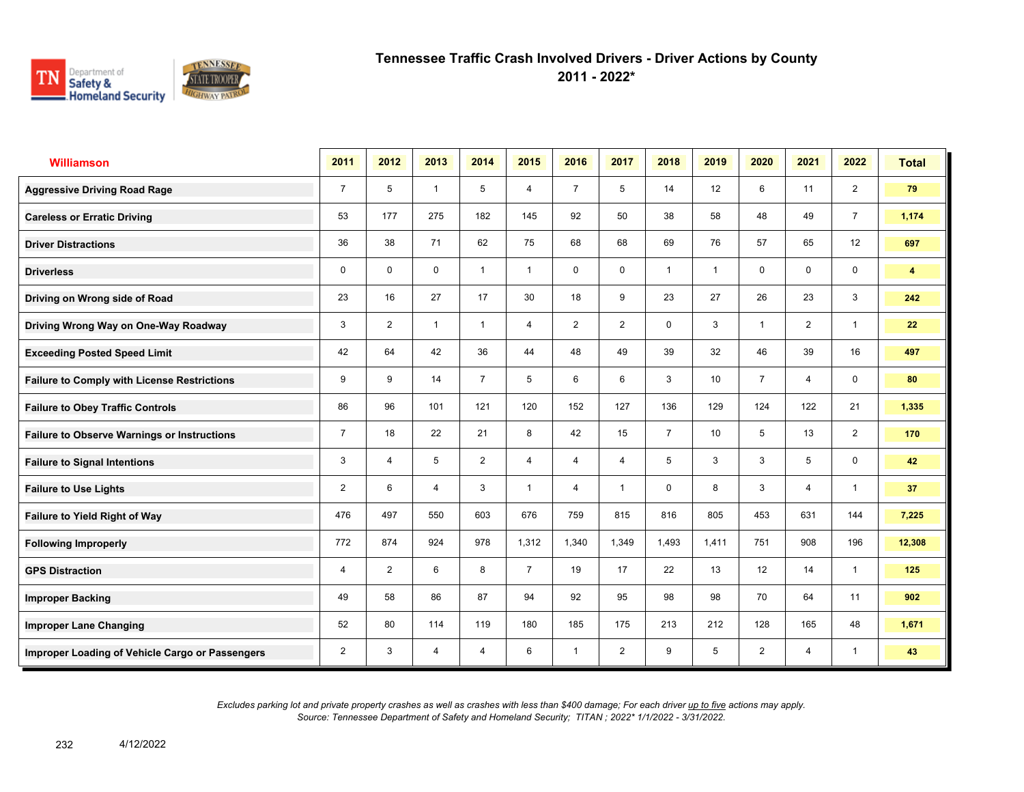

**2011 - 2022\***

| <b>Williamson</b>                                  | 2011           | 2012           | 2013           | 2014           | 2015           | 2016           | 2017           | 2018           | 2019            | 2020           | 2021           | 2022           | <b>Total</b> |
|----------------------------------------------------|----------------|----------------|----------------|----------------|----------------|----------------|----------------|----------------|-----------------|----------------|----------------|----------------|--------------|
| <b>Aggressive Driving Road Rage</b>                | $\overline{7}$ | 5              | $\mathbf{1}$   | 5              | $\overline{4}$ | $\overline{7}$ | 5              | 14             | 12              | 6              | 11             | $\overline{2}$ | 79           |
| <b>Careless or Erratic Driving</b>                 | 53             | 177            | 275            | 182            | 145            | 92             | 50             | 38             | 58              | 48             | 49             | $\overline{7}$ | 1,174        |
| <b>Driver Distractions</b>                         | 36             | 38             | 71             | 62             | 75             | 68             | 68             | 69             | 76              | 57             | 65             | 12             | 697          |
| <b>Driverless</b>                                  | 0              | 0              | $\mathbf 0$    | $\mathbf{1}$   | $\mathbf{1}$   | 0              | 0              | $\mathbf{1}$   | 1               | 0              | 0              | $\mathbf 0$    | 4            |
| Driving on Wrong side of Road                      | 23             | 16             | 27             | 17             | 30             | 18             | 9              | 23             | 27              | 26             | 23             | 3              | 242          |
| Driving Wrong Way on One-Way Roadway               | 3              | $\overline{2}$ | $\mathbf{1}$   | $\mathbf{1}$   | $\overline{4}$ | $\overline{2}$ | $\overline{2}$ | $\mathbf 0$    | 3               | $\overline{1}$ | $\overline{2}$ | $\overline{1}$ | 22           |
| <b>Exceeding Posted Speed Limit</b>                | 42             | 64             | 42             | 36             | 44             | 48             | 49             | 39             | 32              | 46             | 39             | 16             | 497          |
| <b>Failure to Comply with License Restrictions</b> | 9              | 9              | 14             | $\overline{7}$ | 5              | 6              | 6              | 3              | 10 <sup>1</sup> | $\overline{7}$ | 4              | $\mathbf 0$    | 80           |
| <b>Failure to Obey Traffic Controls</b>            | 86             | 96             | 101            | 121            | 120            | 152            | 127            | 136            | 129             | 124            | 122            | 21             | 1,335        |
| <b>Failure to Observe Warnings or Instructions</b> | $\overline{7}$ | 18             | 22             | 21             | 8              | 42             | 15             | $\overline{7}$ | 10 <sup>1</sup> | 5              | 13             | $\overline{2}$ | 170          |
| <b>Failure to Signal Intentions</b>                | 3              | 4              | 5              | $\overline{2}$ | $\overline{4}$ | 4              | 4              | 5              | 3               | 3              | 5              | $\mathbf 0$    | 42           |
| <b>Failure to Use Lights</b>                       | $\overline{2}$ | 6              | $\overline{4}$ | 3              | $\mathbf{1}$   | $\overline{4}$ | $\overline{1}$ | $\mathbf 0$    | 8               | 3              | $\overline{4}$ | $\overline{1}$ | 37           |
| <b>Failure to Yield Right of Way</b>               | 476            | 497            | 550            | 603            | 676            | 759            | 815            | 816            | 805             | 453            | 631            | 144            | 7,225        |
| <b>Following Improperly</b>                        | 772            | 874            | 924            | 978            | 1,312          | 1,340          | 1,349          | 1,493          | 1,411           | 751            | 908            | 196            | 12,308       |
| <b>GPS Distraction</b>                             | $\overline{4}$ | $\overline{2}$ | 6              | 8              | $\overline{7}$ | 19             | 17             | 22             | 13              | 12             | 14             | $\mathbf{1}$   | 125          |
| <b>Improper Backing</b>                            | 49             | 58             | 86             | 87             | 94             | 92             | 95             | 98             | 98              | 70             | 64             | 11             | 902          |
| <b>Improper Lane Changing</b>                      | 52             | 80             | 114            | 119            | 180            | 185            | 175            | 213            | 212             | 128            | 165            | 48             | 1,671        |
| Improper Loading of Vehicle Cargo or Passengers    | $\overline{2}$ | 3              | $\overline{4}$ | 4              | 6              | $\overline{1}$ | $\overline{2}$ | 9              | 5               | $\overline{2}$ | 4              | $\mathbf{1}$   | 43           |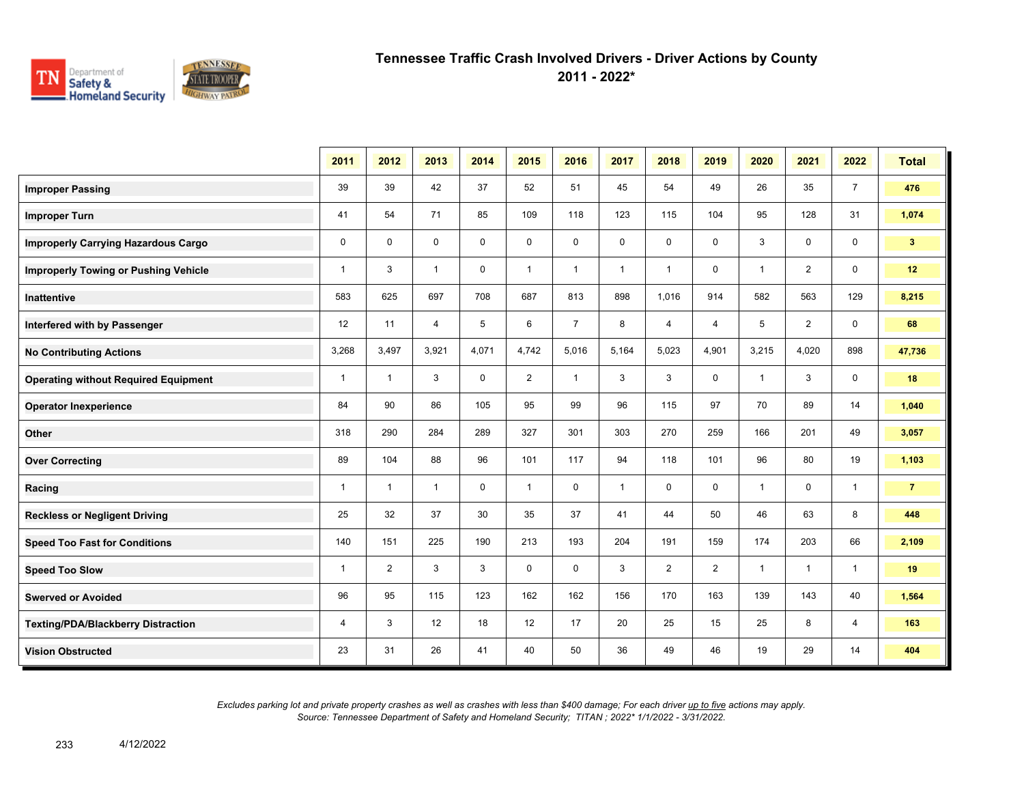

**2011 - 2022\***

|                                             | 2011         | 2012           | 2013           | 2014        | 2015           | 2016           | 2017         | 2018           | 2019           | 2020           | 2021           | 2022           | <b>Total</b>   |
|---------------------------------------------|--------------|----------------|----------------|-------------|----------------|----------------|--------------|----------------|----------------|----------------|----------------|----------------|----------------|
| <b>Improper Passing</b>                     | 39           | 39             | 42             | 37          | 52             | 51             | 45           | 54             | 49             | 26             | 35             | $\overline{7}$ | 476            |
| <b>Improper Turn</b>                        | 41           | 54             | 71             | 85          | 109            | 118            | 123          | 115            | 104            | 95             | 128            | 31             | 1,074          |
| <b>Improperly Carrying Hazardous Cargo</b>  | $\mathbf 0$  | $\Omega$       | $\mathbf 0$    | $\mathbf 0$ | 0              | 0              | 0            | $\mathsf 0$    | $\mathbf 0$    | 3              | $\mathbf 0$    | 0              | 3 <sup>2</sup> |
| <b>Improperly Towing or Pushing Vehicle</b> | $\mathbf{1}$ | 3              | $\mathbf{1}$   | $\mathbf 0$ | $\mathbf{1}$   | $\mathbf{1}$   | $\mathbf{1}$ | $\mathbf{1}$   | $\mathbf 0$    | $\overline{1}$ | $\overline{2}$ | $\mathbf 0$    | 12             |
| Inattentive                                 | 583          | 625            | 697            | 708         | 687            | 813            | 898          | 1,016          | 914            | 582            | 563            | 129            | 8,215          |
| Interfered with by Passenger                | 12           | 11             | $\overline{4}$ | 5           | 6              | $\overline{7}$ | 8            | $\overline{4}$ | $\overline{4}$ | 5              | 2              | $\mathbf 0$    | 68             |
| <b>No Contributing Actions</b>              | 3,268        | 3,497          | 3,921          | 4,071       | 4,742          | 5,016          | 5,164        | 5,023          | 4,901          | 3,215          | 4,020          | 898            | 47,736         |
| <b>Operating without Required Equipment</b> | $\mathbf{1}$ | $\mathbf{1}$   | 3              | $\mathbf 0$ | $\overline{2}$ | $\mathbf{1}$   | 3            | 3              | $\mathbf 0$    | $\mathbf{1}$   | 3              | 0              | 18             |
| <b>Operator Inexperience</b>                | 84           | 90             | 86             | 105         | 95             | 99             | 96           | 115            | 97             | 70             | 89             | 14             | 1,040          |
| Other                                       | 318          | 290            | 284            | 289         | 327            | 301            | 303          | 270            | 259            | 166            | 201            | 49             | 3,057          |
| <b>Over Correcting</b>                      | 89           | 104            | 88             | 96          | 101            | 117            | 94           | 118            | 101            | 96             | 80             | 19             | 1,103          |
| Racing                                      | $\mathbf{1}$ | $\mathbf{1}$   | $\mathbf{1}$   | $\mathbf 0$ | $\mathbf{1}$   | $\mathbf 0$    | $\mathbf{1}$ | $\mathsf 0$    | $\mathbf 0$    | $\mathbf{1}$   | $\mathbf 0$    | $\mathbf{1}$   | $\overline{7}$ |
| <b>Reckless or Negligent Driving</b>        | 25           | 32             | 37             | 30          | 35             | 37             | 41           | 44             | 50             | 46             | 63             | 8              | 448            |
| <b>Speed Too Fast for Conditions</b>        | 140          | 151            | 225            | 190         | 213            | 193            | 204          | 191            | 159            | 174            | 203            | 66             | 2,109          |
| <b>Speed Too Slow</b>                       | $\mathbf{1}$ | $\overline{2}$ | 3              | 3           | 0              | $\mathbf 0$    | 3            | $\overline{2}$ | $\overline{2}$ | $\overline{1}$ | $\mathbf{1}$   | $\mathbf{1}$   | 19             |
| <b>Swerved or Avoided</b>                   | 96           | 95             | 115            | 123         | 162            | 162            | 156          | 170            | 163            | 139            | 143            | 40             | 1,564          |
| <b>Texting/PDA/Blackberry Distraction</b>   | 4            | 3              | 12             | 18          | 12             | 17             | 20           | 25             | 15             | 25             | 8              | 4              | 163            |
| <b>Vision Obstructed</b>                    | 23           | 31             | 26             | 41          | 40             | 50             | 36           | 49             | 46             | 19             | 29             | 14             | 404            |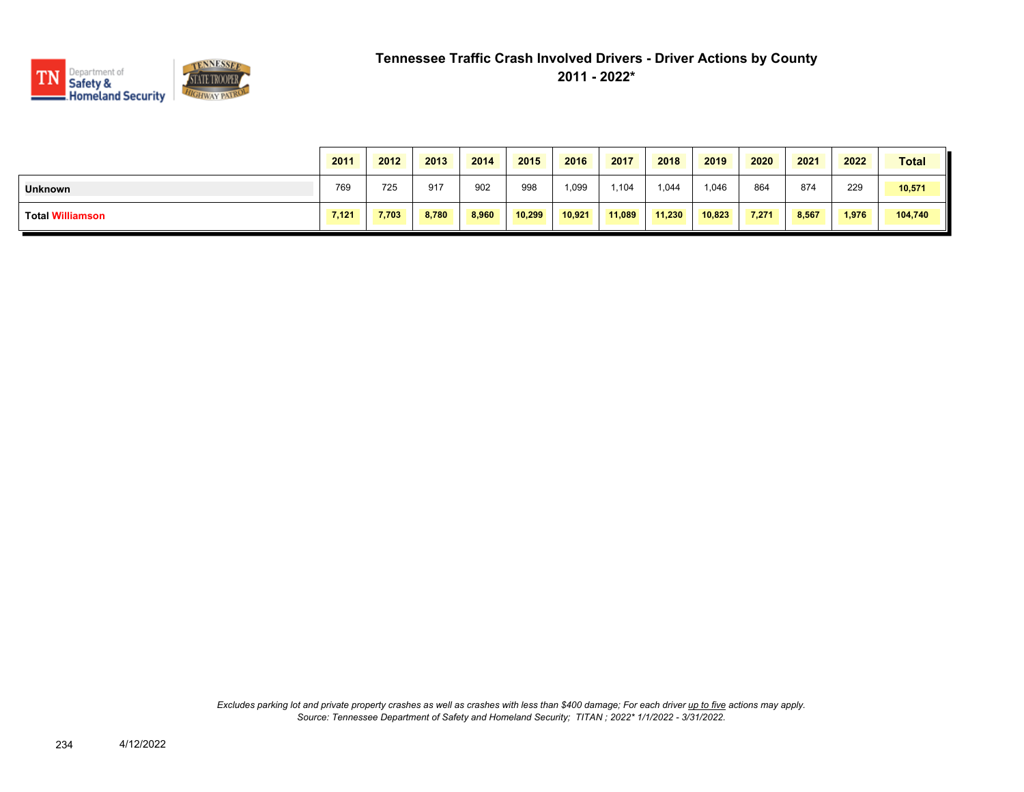

|                         | 2011  | 2012  | 2013  | 2014  | 2015   | 2016   | 2017   | 2018   | 2019   | 2020  | 2021  | 2022  | <b>Total</b> |
|-------------------------|-------|-------|-------|-------|--------|--------|--------|--------|--------|-------|-------|-------|--------------|
| <b>Unknown</b>          | 769   | 725   | 917   | 902   | 998    | 1,099  | 1,104  | 1,044  | 1,046  | 864   | 874   | 229   | 10,571       |
| <b>Total Williamson</b> | 7,121 | 7,703 | 8,780 | 8,960 | 10,299 | 10,921 | 11,089 | 11,230 | 10,823 | 7,271 | 8,567 | 1,976 | 104,740      |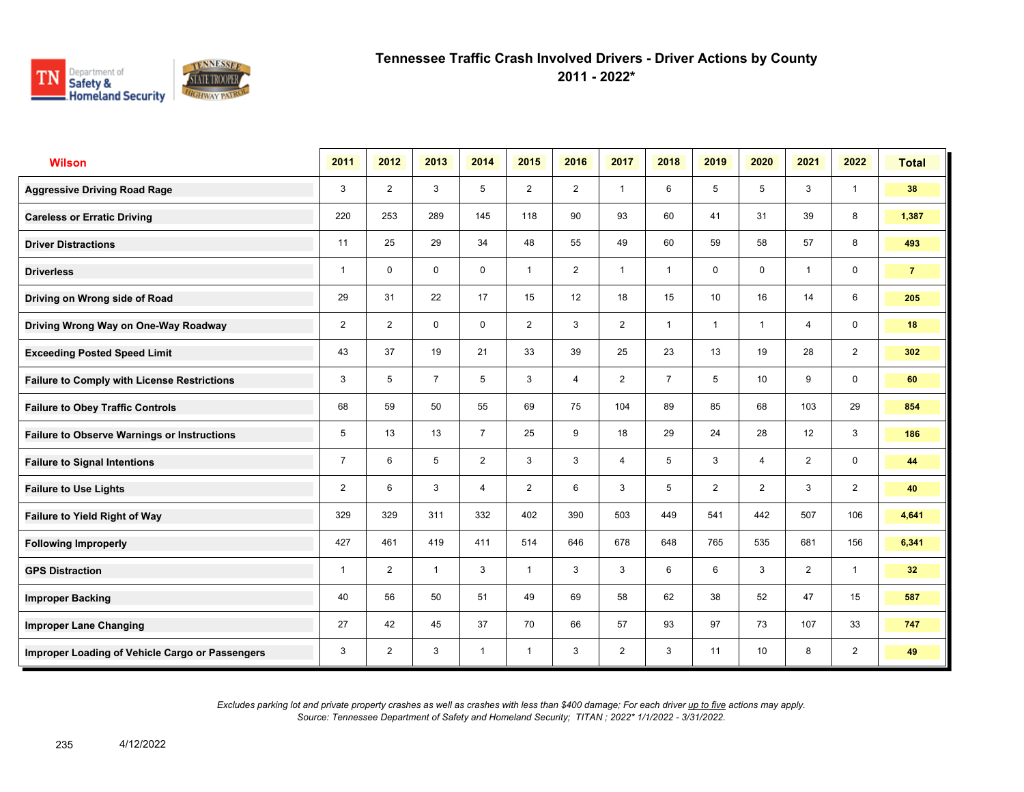

**2011 - 2022\***

| <b>Wilson</b>                                      | 2011           | 2012           | 2013           | 2014           | 2015           | 2016           | 2017           | 2018           | 2019           | 2020                    | 2021           | 2022           | <b>Total</b>   |
|----------------------------------------------------|----------------|----------------|----------------|----------------|----------------|----------------|----------------|----------------|----------------|-------------------------|----------------|----------------|----------------|
| <b>Aggressive Driving Road Rage</b>                | 3              | $\overline{2}$ | 3              | 5              | $\overline{2}$ | $\overline{2}$ | $\overline{1}$ | 6              | 5              | 5                       | 3              | $\mathbf{1}$   | 38             |
| <b>Careless or Erratic Driving</b>                 | 220            | 253            | 289            | 145            | 118            | 90             | 93             | 60             | 41             | 31                      | 39             | 8              | 1,387          |
| <b>Driver Distractions</b>                         | 11             | 25             | 29             | 34             | 48             | 55             | 49             | 60             | 59             | 58                      | 57             | 8              | 493            |
| <b>Driverless</b>                                  | 1              | $\mathbf 0$    | $\mathbf 0$    | $\mathbf 0$    | $\mathbf{1}$   | $\overline{2}$ | $\overline{1}$ | $\mathbf{1}$   | 0              | $\mathbf 0$             | $\overline{1}$ | 0              | $\overline{7}$ |
| Driving on Wrong side of Road                      | 29             | 31             | 22             | 17             | 15             | 12             | 18             | 15             | 10             | 16                      | 14             | 6              | 205            |
| Driving Wrong Way on One-Way Roadway               | $\overline{2}$ | 2              | $\mathbf 0$    | $\mathbf 0$    | $\overline{2}$ | 3              | $\overline{2}$ | $\overline{1}$ | $\mathbf{1}$   | $\overline{1}$          | $\overline{4}$ | $\mathbf 0$    | 18             |
| <b>Exceeding Posted Speed Limit</b>                | 43             | 37             | 19             | 21             | 33             | 39             | 25             | 23             | 13             | 19                      | 28             | $\overline{2}$ | 302            |
| <b>Failure to Comply with License Restrictions</b> | 3              | 5              | $\overline{7}$ | 5              | 3              | $\overline{4}$ | $\overline{2}$ | $\overline{7}$ | 5              | 10                      | 9              | 0              | 60             |
| <b>Failure to Obey Traffic Controls</b>            | 68             | 59             | 50             | 55             | 69             | 75             | 104            | 89             | 85             | 68                      | 103            | 29             | 854            |
| <b>Failure to Observe Warnings or Instructions</b> | 5              | 13             | 13             | $\overline{7}$ | 25             | 9              | 18             | 29             | 24             | 28                      | 12             | 3              | 186            |
| <b>Failure to Signal Intentions</b>                | $\overline{7}$ | 6              | 5              | $\overline{2}$ | 3              | 3              | 4              | 5              | 3              | $\overline{\mathbf{A}}$ | $\overline{2}$ | 0              | 44             |
| <b>Failure to Use Lights</b>                       | 2              | 6              | 3              | $\overline{4}$ | $\overline{2}$ | 6              | 3              | 5              | $\overline{2}$ | $\overline{2}$          | 3              | $\overline{2}$ | 40             |
| <b>Failure to Yield Right of Way</b>               | 329            | 329            | 311            | 332            | 402            | 390            | 503            | 449            | 541            | 442                     | 507            | 106            | 4,641          |
| <b>Following Improperly</b>                        | 427            | 461            | 419            | 411            | 514            | 646            | 678            | 648            | 765            | 535                     | 681            | 156            | 6,341          |
| <b>GPS Distraction</b>                             | 1              | $\overline{2}$ | $\overline{1}$ | 3              | $\mathbf{1}$   | 3              | 3              | 6              | 6              | 3                       | $\overline{2}$ | $\mathbf{1}$   | 32             |
| <b>Improper Backing</b>                            | 40             | 56             | 50             | 51             | 49             | 69             | 58             | 62             | 38             | 52                      | 47             | 15             | 587            |
| <b>Improper Lane Changing</b>                      | 27             | 42             | 45             | 37             | 70             | 66             | 57             | 93             | 97             | 73                      | 107            | 33             | 747            |
| Improper Loading of Vehicle Cargo or Passengers    | 3              | 2              | 3              | $\mathbf{1}$   | $\mathbf{1}$   | 3              | $\overline{2}$ | 3              | 11             | 10                      | 8              | $\overline{2}$ | 49             |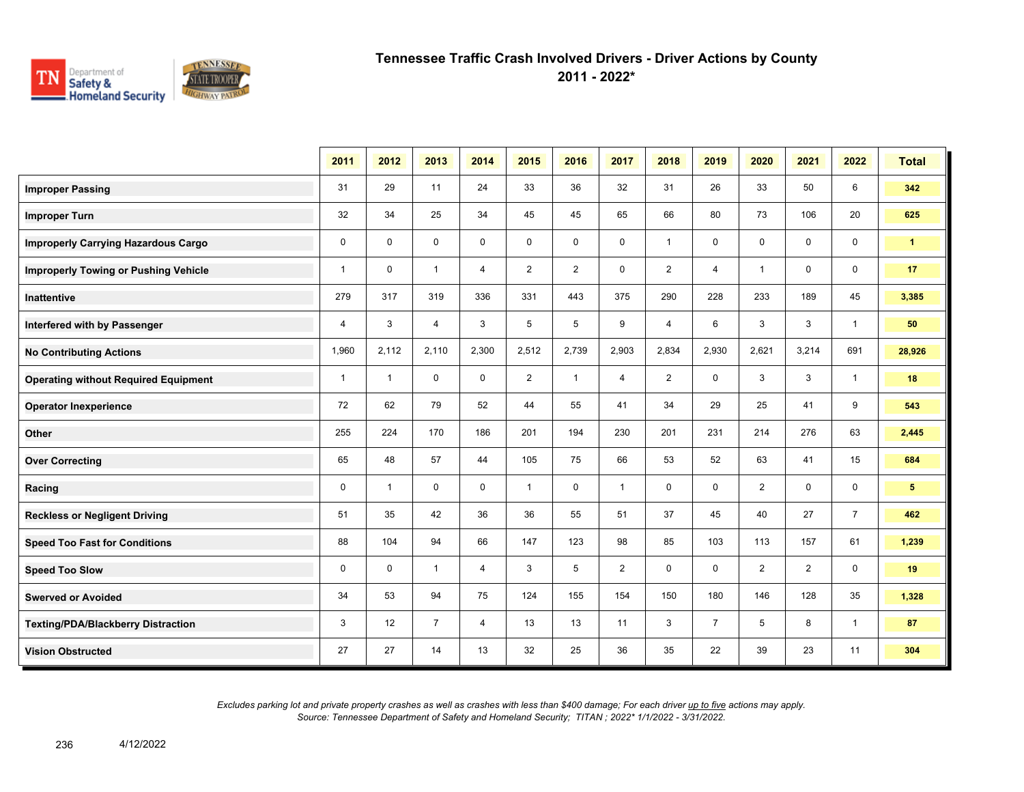

**2011 - 2022\***

|                                             | 2011         | 2012         | 2013           | 2014           | 2015           | 2016           | 2017           | 2018           | 2019           | 2020                    | 2021           | 2022           | <b>Total</b>         |
|---------------------------------------------|--------------|--------------|----------------|----------------|----------------|----------------|----------------|----------------|----------------|-------------------------|----------------|----------------|----------------------|
| <b>Improper Passing</b>                     | 31           | 29           | 11             | 24             | 33             | 36             | 32             | 31             | 26             | 33                      | 50             | 6              | 342                  |
| <b>Improper Turn</b>                        | 32           | 34           | 25             | 34             | 45             | 45             | 65             | 66             | 80             | 73                      | 106            | 20             | 625                  |
| <b>Improperly Carrying Hazardous Cargo</b>  | 0            | $\mathbf 0$  | $\mathbf 0$    | $\mathbf 0$    | $\mathbf 0$    | $\mathbf 0$    | 0              | $\mathbf{1}$   | 0              | 0                       | 0              | $\mathbf 0$    | $\blacktriangleleft$ |
| <b>Improperly Towing or Pushing Vehicle</b> | $\mathbf{1}$ | $\mathbf 0$  | $\mathbf{1}$   | 4              | $\overline{2}$ | $\overline{2}$ | 0              | $\overline{2}$ | $\overline{4}$ | $\overline{\mathbf{1}}$ | 0              | $\mathbf 0$    | 17                   |
| Inattentive                                 | 279          | 317          | 319            | 336            | 331            | 443            | 375            | 290            | 228            | 233                     | 189            | 45             | 3,385                |
| Interfered with by Passenger                | 4            | 3            | 4              | 3              | 5              | 5              | 9              | $\overline{4}$ | 6              | 3                       | 3              | $\overline{1}$ | 50                   |
| <b>No Contributing Actions</b>              | 1,960        | 2,112        | 2,110          | 2,300          | 2,512          | 2,739          | 2,903          | 2,834          | 2,930          | 2.621                   | 3,214          | 691            | 28,926               |
| <b>Operating without Required Equipment</b> | $\mathbf{1}$ | $\mathbf{1}$ | $\mathbf 0$    | $\mathbf 0$    | $\overline{2}$ | $\mathbf{1}$   | $\overline{4}$ | $\overline{2}$ | 0              | 3                       | 3              | $\overline{1}$ | 18                   |
| <b>Operator Inexperience</b>                | 72           | 62           | 79             | 52             | 44             | 55             | 41             | 34             | 29             | 25                      | 41             | 9              | 543                  |
| Other                                       | 255          | 224          | 170            | 186            | 201            | 194            | 230            | 201            | 231            | 214                     | 276            | 63             | 2,445                |
| <b>Over Correcting</b>                      | 65           | 48           | 57             | 44             | 105            | 75             | 66             | 53             | 52             | 63                      | 41             | 15             | 684                  |
| Racing                                      | 0            | $\mathbf{1}$ | $\mathbf 0$    | 0              | $\mathbf{1}$   | $\mathbf 0$    | $\mathbf{1}$   | 0              | 0              | $\overline{2}$          | 0              | $\mathbf 0$    | 5 <sup>5</sup>       |
| <b>Reckless or Negligent Driving</b>        | 51           | 35           | 42             | 36             | 36             | 55             | 51             | 37             | 45             | 40                      | 27             | $\overline{7}$ | 462                  |
| <b>Speed Too Fast for Conditions</b>        | 88           | 104          | 94             | 66             | 147            | 123            | 98             | 85             | 103            | 113                     | 157            | 61             | 1,239                |
| <b>Speed Too Slow</b>                       | 0            | $\mathbf 0$  | $\mathbf{1}$   | $\overline{4}$ | 3              | 5              | $\overline{2}$ | 0              | $\mathbf 0$    | $\overline{2}$          | $\overline{2}$ | $\mathbf 0$    | 19                   |
| <b>Swerved or Avoided</b>                   | 34           | 53           | 94             | 75             | 124            | 155            | 154            | 150            | 180            | 146                     | 128            | 35             | 1,328                |
| <b>Texting/PDA/Blackberry Distraction</b>   | 3            | 12           | $\overline{7}$ | 4              | 13             | 13             | 11             | 3              | $\overline{7}$ | 5                       | 8              | $\mathbf{1}$   | 87                   |
| <b>Vision Obstructed</b>                    | 27           | 27           | 14             | 13             | 32             | 25             | 36             | 35             | 22             | 39                      | 23             | 11             | 304                  |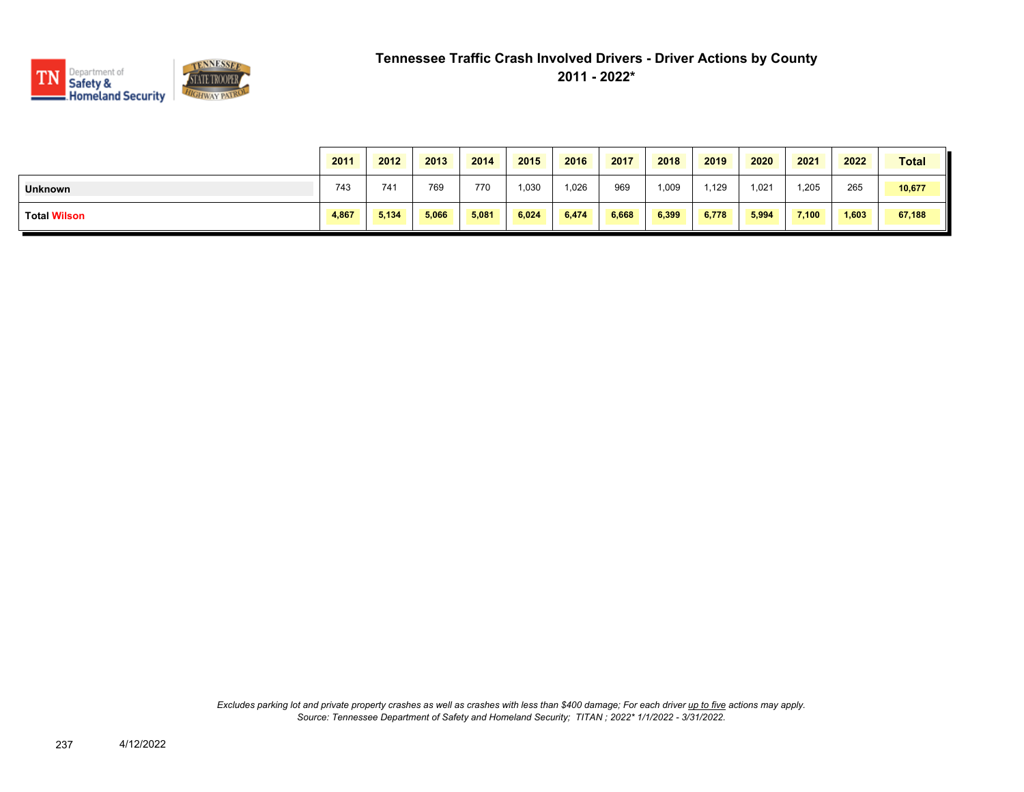

|                     | 2011  | 2012  | 2013  | 2014  | 2015  | 2016  | 2017  | 2018   | 2019  | 2020  | 2021  | 2022  | <b>Total</b> |
|---------------------|-------|-------|-------|-------|-------|-------|-------|--------|-------|-------|-------|-------|--------------|
| <b>Unknown</b>      | 743   | 741   | 769   | 770   | 1,030 | 1.026 | 969   | 009, ا | ,129  | 1,021 | 1,205 | 265   | 10,677       |
| <b>Total Wilson</b> | 4,867 | 5,134 | 5,066 | 5,081 | 6,024 | 6,474 | 6,668 | 6,399  | 6,778 | 5,994 | 7,100 | 1,603 | 67,188       |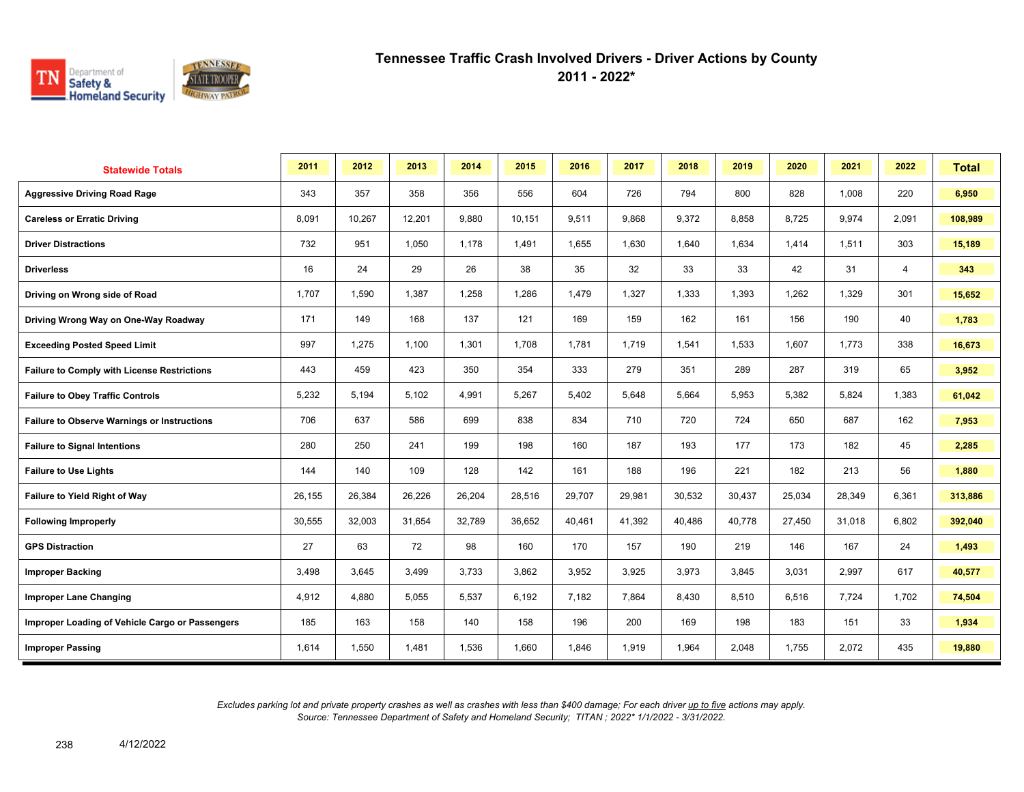

**2011 - 2022\***

| <b>Statewide Totals</b>                            | 2011   | 2012   | 2013   | 2014   | 2015   | 2016   | 2017   | 2018   | 2019   | 2020   | 2021   | 2022           | <b>Total</b> |
|----------------------------------------------------|--------|--------|--------|--------|--------|--------|--------|--------|--------|--------|--------|----------------|--------------|
| <b>Aggressive Driving Road Rage</b>                | 343    | 357    | 358    | 356    | 556    | 604    | 726    | 794    | 800    | 828    | 1,008  | 220            | 6,950        |
| <b>Careless or Erratic Driving</b>                 | 8,091  | 10,267 | 12,201 | 9,880  | 10,151 | 9,511  | 9,868  | 9,372  | 8,858  | 8,725  | 9,974  | 2,091          | 108,989      |
| <b>Driver Distractions</b>                         | 732    | 951    | 1,050  | 1,178  | 1,491  | 1,655  | 1,630  | 1,640  | 1,634  | 1,414  | 1,511  | 303            | 15,189       |
| <b>Driverless</b>                                  | 16     | 24     | 29     | 26     | 38     | 35     | 32     | 33     | 33     | 42     | 31     | $\overline{4}$ | 343          |
| Driving on Wrong side of Road                      | 1,707  | 1,590  | 1,387  | 1,258  | 1,286  | 1,479  | 1,327  | 1,333  | 1,393  | 1,262  | 1,329  | 301            | 15,652       |
| Driving Wrong Way on One-Way Roadway               | 171    | 149    | 168    | 137    | 121    | 169    | 159    | 162    | 161    | 156    | 190    | 40             | 1,783        |
| <b>Exceeding Posted Speed Limit</b>                | 997    | 1,275  | 1,100  | 1,301  | 1,708  | 1,781  | 1,719  | 1,541  | 1,533  | 1,607  | 1,773  | 338            | 16,673       |
| <b>Failure to Comply with License Restrictions</b> | 443    | 459    | 423    | 350    | 354    | 333    | 279    | 351    | 289    | 287    | 319    | 65             | 3,952        |
| <b>Failure to Obey Traffic Controls</b>            | 5,232  | 5,194  | 5,102  | 4,991  | 5,267  | 5,402  | 5,648  | 5,664  | 5,953  | 5,382  | 5,824  | 1,383          | 61,042       |
| <b>Failure to Observe Warnings or Instructions</b> | 706    | 637    | 586    | 699    | 838    | 834    | 710    | 720    | 724    | 650    | 687    | 162            | 7,953        |
| <b>Failure to Signal Intentions</b>                | 280    | 250    | 241    | 199    | 198    | 160    | 187    | 193    | 177    | 173    | 182    | 45             | 2,285        |
| <b>Failure to Use Lights</b>                       | 144    | 140    | 109    | 128    | 142    | 161    | 188    | 196    | 221    | 182    | 213    | 56             | 1,880        |
| Failure to Yield Right of Way                      | 26,155 | 26,384 | 26,226 | 26,204 | 28,516 | 29,707 | 29,981 | 30,532 | 30,437 | 25,034 | 28,349 | 6,361          | 313,886      |
| <b>Following Improperly</b>                        | 30,555 | 32,003 | 31,654 | 32,789 | 36,652 | 40,461 | 41,392 | 40,486 | 40,778 | 27,450 | 31,018 | 6,802          | 392,040      |
| <b>GPS Distraction</b>                             | 27     | 63     | 72     | 98     | 160    | 170    | 157    | 190    | 219    | 146    | 167    | 24             | 1,493        |
| <b>Improper Backing</b>                            | 3,498  | 3,645  | 3,499  | 3,733  | 3,862  | 3,952  | 3,925  | 3,973  | 3,845  | 3,031  | 2,997  | 617            | 40,577       |
| <b>Improper Lane Changing</b>                      | 4,912  | 4,880  | 5,055  | 5,537  | 6,192  | 7,182  | 7,864  | 8,430  | 8,510  | 6,516  | 7,724  | 1,702          | 74,504       |
| Improper Loading of Vehicle Cargo or Passengers    | 185    | 163    | 158    | 140    | 158    | 196    | 200    | 169    | 198    | 183    | 151    | 33             | 1,934        |
| <b>Improper Passing</b>                            | 1,614  | 1,550  | 1,481  | 1,536  | 1,660  | 1.846  | 1,919  | 1,964  | 2,048  | 1,755  | 2,072  | 435            | 19,880       |